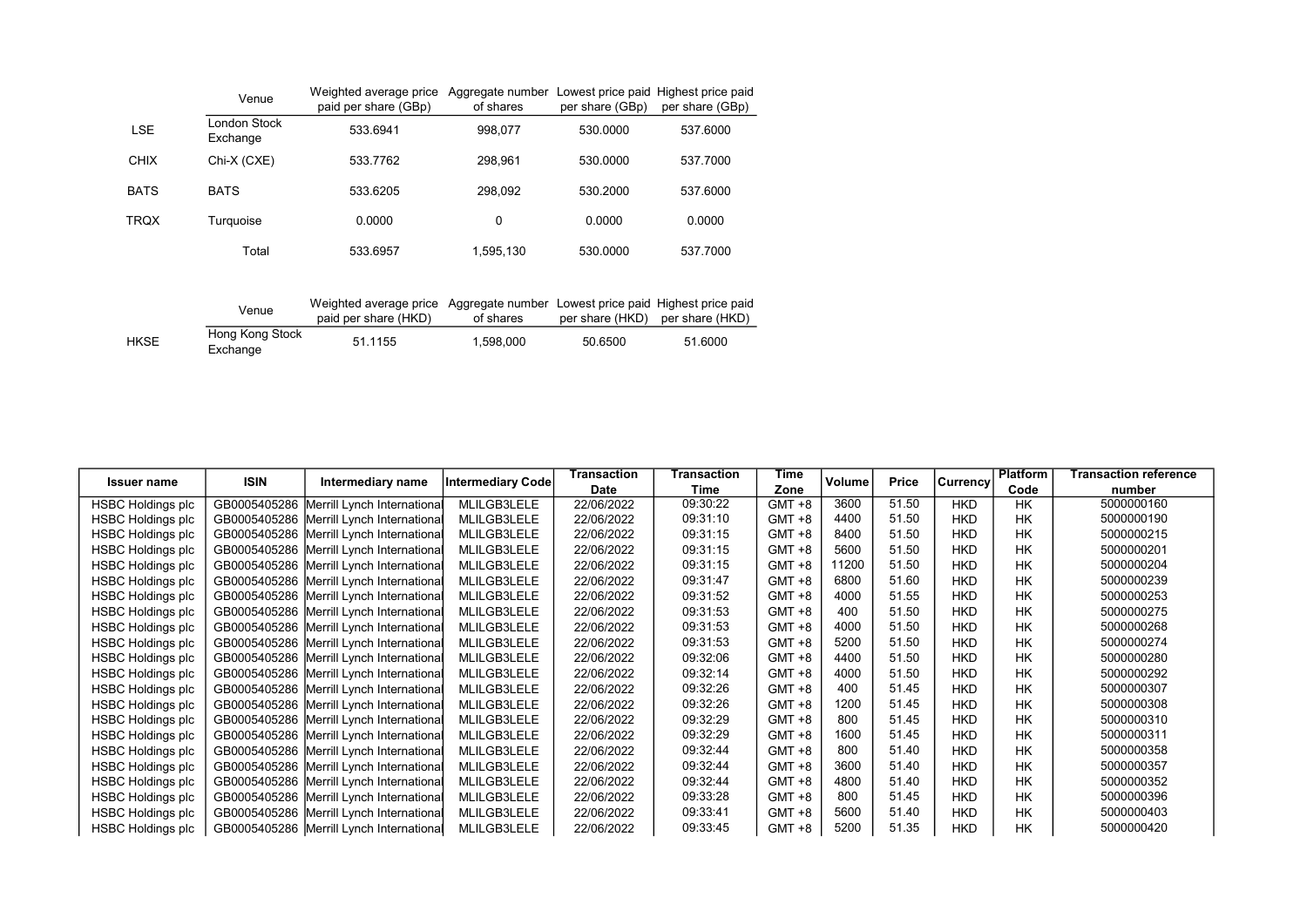|             | Venue                    | Weighted average price<br>paid per share (GBp) | Aggregate number Lowest price paid Highest price paid<br>of shares | per share (GBp) | per share (GBp) |
|-------------|--------------------------|------------------------------------------------|--------------------------------------------------------------------|-----------------|-----------------|
| <b>LSE</b>  | London Stock<br>Exchange | 533.6941                                       | 998.077                                                            | 530,0000        | 537,6000        |
| <b>CHIX</b> | Chi-X (CXE)              | 533.7762                                       | 298,961                                                            | 530,0000        | 537,7000        |
| <b>BATS</b> | <b>BATS</b>              | 533.6205                                       | 298.092                                                            | 530,2000        | 537.6000        |
| <b>TRQX</b> | Turquoise                | 0.0000                                         | 0                                                                  | 0.0000          | 0.0000          |
|             | Total                    | 533.6957                                       | 1,595,130                                                          | 530,0000        | 537.7000        |

|             | Venue                       | Weighted average price Aggregate number Lowest price paid Highest price paid<br>paid per share (HKD) | of shares |         | per share (HKD) per share (HKD) |
|-------------|-----------------------------|------------------------------------------------------------------------------------------------------|-----------|---------|---------------------------------|
| <b>HKSE</b> | Hong Kong Stock<br>Exchange | 51.1155                                                                                              | 1.598.000 | 50.6500 | 51.6000                         |

| <b>Issuer name</b>       | <b>ISIN</b> | Intermediary name                        | Intermediary Code | Transaction | Transaction | Time      | Volume | <b>Price</b> | Currency   | <b>Platform</b> | Transaction reference |
|--------------------------|-------------|------------------------------------------|-------------------|-------------|-------------|-----------|--------|--------------|------------|-----------------|-----------------------|
|                          |             |                                          |                   | Date        | Time        | Zone      |        |              |            | Code            | number                |
| <b>HSBC Holdings plc</b> |             | GB0005405286 Merrill Lynch International | MLILGB3LELE       | 22/06/2022  | 09:30:22    | $GMT + 8$ | 3600   | 51.50        | <b>HKD</b> | <b>HK</b>       | 5000000160            |
| HSBC Holdings plc        |             | GB0005405286 Merrill Lynch International | MLILGB3LELE       | 22/06/2022  | 09:31:10    | $GMT + 8$ | 4400   | 51.50        | <b>HKD</b> | <b>HK</b>       | 5000000190            |
| <b>HSBC Holdings plc</b> |             | GB0005405286 Merrill Lynch International | MLILGB3LELE       | 22/06/2022  | 09:31:15    | $GMT + 8$ | 8400   | 51.50        | <b>HKD</b> | <b>HK</b>       | 5000000215            |
| <b>HSBC Holdings plc</b> |             | GB0005405286 Merrill Lynch International | MLILGB3LELE       | 22/06/2022  | 09:31:15    | $GMT + 8$ | 5600   | 51.50        | <b>HKD</b> | <b>HK</b>       | 5000000201            |
| <b>HSBC Holdings plc</b> |             | GB0005405286 Merrill Lynch International | MLILGB3LELE       | 22/06/2022  | 09:31:15    | $GMT + 8$ | 11200  | 51.50        | <b>HKD</b> | <b>HK</b>       | 5000000204            |
| <b>HSBC Holdings plc</b> |             | GB0005405286 Merrill Lynch International | MLILGB3LELE       | 22/06/2022  | 09:31:47    | $GMT + 8$ | 6800   | 51.60        | <b>HKD</b> | <b>HK</b>       | 5000000239            |
| <b>HSBC Holdings plc</b> |             | GB0005405286 Merrill Lynch International | MLILGB3LELE       | 22/06/2022  | 09:31:52    | $GMT + 8$ | 4000   | 51.55        | <b>HKD</b> | <b>HK</b>       | 5000000253            |
| <b>HSBC Holdings plc</b> |             | GB0005405286 Merrill Lynch International | MLILGB3LELE       | 22/06/2022  | 09:31:53    | $GMT + 8$ | 400    | 51.50        | <b>HKD</b> | <b>HK</b>       | 5000000275            |
| <b>HSBC Holdings plc</b> |             | GB0005405286 Merrill Lynch International | MLILGB3LELE       | 22/06/2022  | 09:31:53    | $GMT + 8$ | 4000   | 51.50        | <b>HKD</b> | <b>HK</b>       | 5000000268            |
| <b>HSBC Holdings plc</b> |             | GB0005405286 Merrill Lynch International | MLILGB3LELE       | 22/06/2022  | 09:31:53    | $GMT + 8$ | 5200   | 51.50        | <b>HKD</b> | <b>HK</b>       | 5000000274            |
| <b>HSBC Holdings plc</b> |             | GB0005405286 Merrill Lynch International | MLILGB3LELE       | 22/06/2022  | 09:32:06    | $GMT + 8$ | 4400   | 51.50        | <b>HKD</b> | <b>HK</b>       | 5000000280            |
| <b>HSBC Holdings plc</b> |             | GB0005405286 Merrill Lynch International | MLILGB3LELE       | 22/06/2022  | 09:32:14    | $GMT + 8$ | 4000   | 51.50        | <b>HKD</b> | <b>HK</b>       | 5000000292            |
| <b>HSBC Holdings plc</b> |             | GB0005405286 Merrill Lynch International | MLILGB3LELE       | 22/06/2022  | 09:32:26    | $GMT + 8$ | 400    | 51.45        | <b>HKD</b> | <b>HK</b>       | 5000000307            |
| <b>HSBC Holdings plc</b> |             | GB0005405286 Merrill Lynch International | MLILGB3LELE       | 22/06/2022  | 09:32:26    | $GMT + 8$ | 1200   | 51.45        | <b>HKD</b> | <b>HK</b>       | 5000000308            |
| <b>HSBC Holdings plc</b> |             | GB0005405286 Merrill Lynch International | MLILGB3LELE       | 22/06/2022  | 09:32:29    | $GMT + 8$ | 800    | 51.45        | <b>HKD</b> | <b>HK</b>       | 5000000310            |
| <b>HSBC Holdings plc</b> |             | GB0005405286 Merrill Lynch International | MLILGB3LELE       | 22/06/2022  | 09:32:29    | $GMT + 8$ | 1600   | 51.45        | <b>HKD</b> | <b>HK</b>       | 5000000311            |
| <b>HSBC Holdings plc</b> |             | GB0005405286 Merrill Lynch International | MLILGB3LELE       | 22/06/2022  | 09:32:44    | $GMT + 8$ | 800    | 51.40        | <b>HKD</b> | <b>HK</b>       | 5000000358            |
| <b>HSBC Holdings plc</b> |             | GB0005405286 Merrill Lynch International | MLILGB3LELE       | 22/06/2022  | 09:32:44    | $GMT + 8$ | 3600   | 51.40        | <b>HKD</b> | <b>HK</b>       | 5000000357            |
| <b>HSBC Holdings plc</b> |             | GB0005405286 Merrill Lynch International | MLILGB3LELE       | 22/06/2022  | 09:32:44    | $GMT + 8$ | 4800   | 51.40        | <b>HKD</b> | <b>HK</b>       | 5000000352            |
| <b>HSBC Holdings plc</b> |             | GB0005405286 Merrill Lynch International | MLILGB3LELE       | 22/06/2022  | 09:33:28    | $GMT + 8$ | 800    | 51.45        | <b>HKD</b> | <b>HK</b>       | 5000000396            |
| <b>HSBC Holdings plc</b> |             | GB0005405286 Merrill Lynch International | MLILGB3LELE       | 22/06/2022  | 09:33:41    | $GMT + 8$ | 5600   | 51.40        | <b>HKD</b> | <b>HK</b>       | 5000000403            |
| <b>HSBC Holdings plc</b> |             | GB0005405286 Merrill Lynch International | MLILGB3LELE       | 22/06/2022  | 09:33:45    | $GMT + 8$ | 5200   | 51.35        | <b>HKD</b> | <b>HK</b>       | 5000000420            |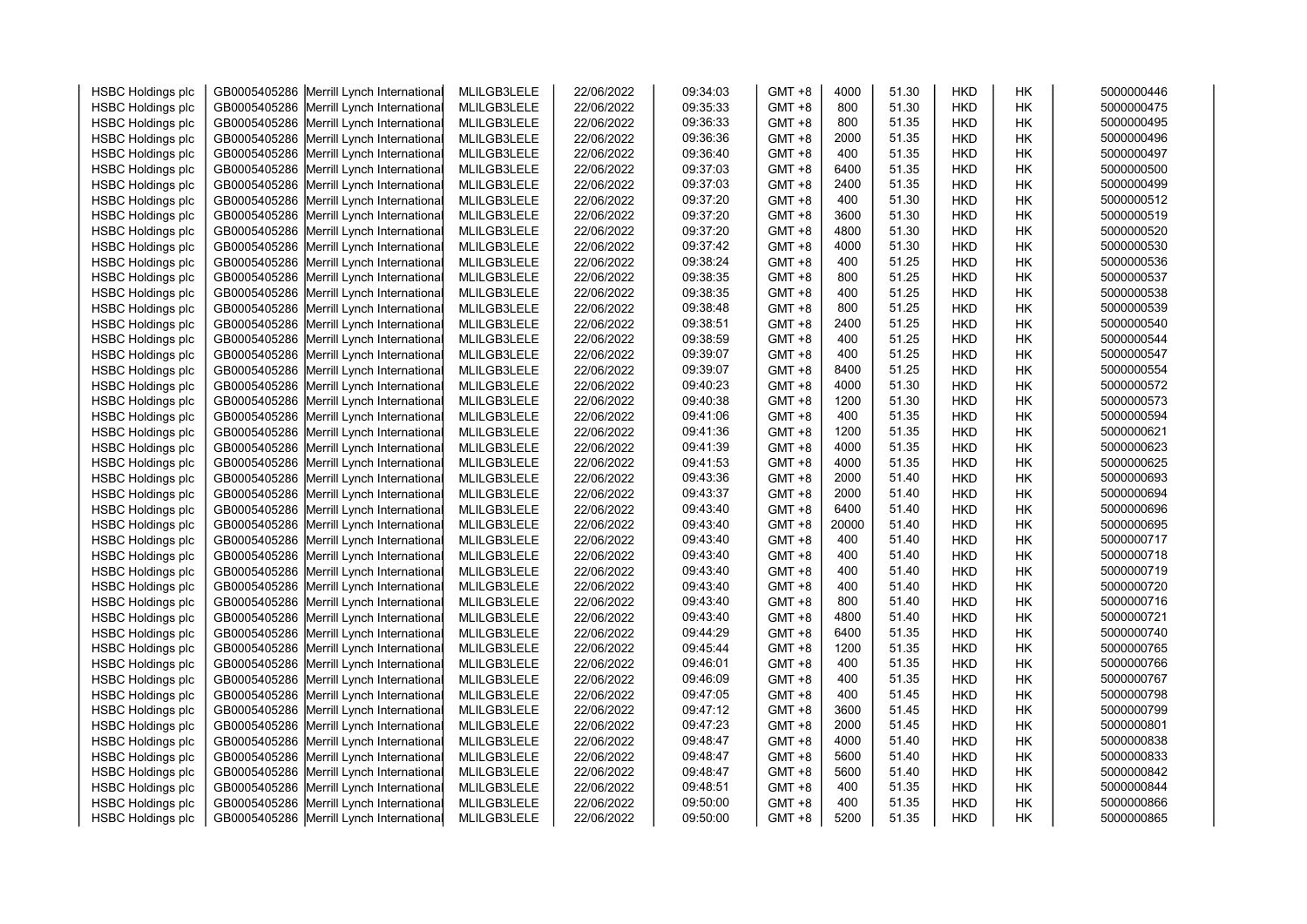| <b>HSBC Holdings plc</b> | GB0005405286 | Merrill Lynch International              | MLILGB3LELE | 22/06/2022 | 09:34:03 | $GMT + 8$     | 4000  | 51.30 | <b>HKD</b> | НK        | 5000000446 |
|--------------------------|--------------|------------------------------------------|-------------|------------|----------|---------------|-------|-------|------------|-----------|------------|
| <b>HSBC Holdings plc</b> | GB0005405286 | Merrill Lynch International              | MLILGB3LELE | 22/06/2022 | 09:35:33 | $GMT + 8$     | 800   | 51.30 | <b>HKD</b> | HK        | 5000000475 |
| <b>HSBC Holdings plc</b> | GB0005405286 | Merrill Lynch International              | MLILGB3LELE | 22/06/2022 | 09:36:33 | $GMT + 8$     | 800   | 51.35 | <b>HKD</b> | <b>HK</b> | 5000000495 |
| <b>HSBC Holdings plc</b> | GB0005405286 | Merrill Lynch International              | MLILGB3LELE | 22/06/2022 | 09:36:36 | $GMT + 8$     | 2000  | 51.35 | <b>HKD</b> | HK        | 5000000496 |
| <b>HSBC Holdings plc</b> | GB0005405286 | Merrill Lynch International              | MLILGB3LELE | 22/06/2022 | 09:36:40 | $GMT + 8$     | 400   | 51.35 | <b>HKD</b> | НK        | 5000000497 |
| <b>HSBC Holdings plc</b> | GB0005405286 | Merrill Lynch International              | MLILGB3LELE | 22/06/2022 | 09:37:03 | $GMT + 8$     | 6400  | 51.35 | <b>HKD</b> | HK        | 5000000500 |
| <b>HSBC Holdings plc</b> | GB0005405286 | Merrill Lynch International              | MLILGB3LELE | 22/06/2022 | 09:37:03 | <b>GMT +8</b> | 2400  | 51.35 | HKD        | HK        | 5000000499 |
| <b>HSBC Holdings plc</b> | GB0005405286 | Merrill Lynch International              | MLILGB3LELE | 22/06/2022 | 09:37:20 | $GMT + 8$     | 400   | 51.30 | <b>HKD</b> | НK        | 5000000512 |
| <b>HSBC Holdings plc</b> | GB0005405286 | Merrill Lynch International              | MLILGB3LELE | 22/06/2022 | 09:37:20 | <b>GMT +8</b> | 3600  | 51.30 | <b>HKD</b> | НK        | 5000000519 |
| <b>HSBC Holdings plc</b> | GB0005405286 | Merrill Lynch International              | MLILGB3LELE | 22/06/2022 | 09:37:20 | <b>GMT +8</b> | 4800  | 51.30 | <b>HKD</b> | HK        | 5000000520 |
| <b>HSBC Holdings plc</b> | GB0005405286 | Merrill Lynch International              | MLILGB3LELE | 22/06/2022 | 09:37:42 | $GMT + 8$     | 4000  | 51.30 | <b>HKD</b> | <b>HK</b> | 5000000530 |
| <b>HSBC Holdings plc</b> | GB0005405286 | Merrill Lynch International              | MLILGB3LELE | 22/06/2022 | 09:38:24 | $GMT + 8$     | 400   | 51.25 | <b>HKD</b> | HK        | 5000000536 |
| <b>HSBC Holdings plc</b> | GB0005405286 | Merrill Lynch International              | MLILGB3LELE | 22/06/2022 | 09:38:35 | $GMT + 8$     | 800   | 51.25 | <b>HKD</b> | НK        | 5000000537 |
| <b>HSBC Holdings plc</b> | GB0005405286 | Merrill Lynch International              | MLILGB3LELE | 22/06/2022 | 09:38:35 | $GMT + 8$     | 400   | 51.25 | <b>HKD</b> | HK        | 5000000538 |
| <b>HSBC Holdings plc</b> | GB0005405286 | Merrill Lynch International              | MLILGB3LELE | 22/06/2022 | 09:38:48 | <b>GMT +8</b> | 800   | 51.25 | HKD        | HК        | 5000000539 |
| <b>HSBC Holdings plc</b> | GB0005405286 | Merrill Lynch International              | MLILGB3LELE | 22/06/2022 | 09:38:51 | $GMT + 8$     | 2400  | 51.25 | <b>HKD</b> | HK        | 5000000540 |
| <b>HSBC Holdings plc</b> | GB0005405286 | Merrill Lynch International              | MLILGB3LELE | 22/06/2022 | 09:38:59 | <b>GMT +8</b> | 400   | 51.25 | <b>HKD</b> | HК        | 5000000544 |
| <b>HSBC Holdings plc</b> | GB0005405286 | Merrill Lynch International              | MLILGB3LELE | 22/06/2022 | 09:39:07 | $GMT + 8$     | 400   | 51.25 | <b>HKD</b> | HК        | 5000000547 |
| <b>HSBC Holdings plc</b> | GB0005405286 | Merrill Lynch International              | MLILGB3LELE | 22/06/2022 | 09:39:07 | $GMT + 8$     | 8400  | 51.25 | <b>HKD</b> | <b>HK</b> | 5000000554 |
| <b>HSBC Holdings plc</b> | GB0005405286 | Merrill Lynch International              | MLILGB3LELE | 22/06/2022 | 09:40:23 | $GMT + 8$     | 4000  | 51.30 | <b>HKD</b> | HК        | 5000000572 |
| <b>HSBC Holdings plc</b> | GB0005405286 | Merrill Lynch International              | MLILGB3LELE | 22/06/2022 | 09:40:38 | $GMT + 8$     | 1200  | 51.30 | <b>HKD</b> | HK        | 5000000573 |
| <b>HSBC Holdings plc</b> | GB0005405286 | Merrill Lynch International              | MLILGB3LELE | 22/06/2022 | 09:41:06 | $GMT + 8$     | 400   | 51.35 | <b>HKD</b> | НK        | 5000000594 |
| <b>HSBC Holdings plc</b> | GB0005405286 | Merrill Lynch International              | MLILGB3LELE | 22/06/2022 | 09:41:36 | GMT +8        | 1200  | 51.35 | <b>HKD</b> | HK        | 5000000621 |
| <b>HSBC Holdings plc</b> | GB0005405286 | Merrill Lynch International              | MLILGB3LELE | 22/06/2022 | 09:41:39 | $GMT + 8$     | 4000  | 51.35 | <b>HKD</b> | HK        | 5000000623 |
| <b>HSBC Holdings plc</b> | GB0005405286 | Merrill Lynch International              | MLILGB3LELE | 22/06/2022 | 09:41:53 | GMT +8        | 4000  | 51.35 | <b>HKD</b> | HK        | 5000000625 |
| <b>HSBC Holdings plc</b> | GB0005405286 | Merrill Lynch International              | MLILGB3LELE | 22/06/2022 | 09:43:36 | $GMT + 8$     | 2000  | 51.40 | <b>HKD</b> | HК        | 5000000693 |
| <b>HSBC Holdings plc</b> | GB0005405286 | Merrill Lynch International              | MLILGB3LELE | 22/06/2022 | 09:43:37 | $GMT + 8$     | 2000  | 51.40 | <b>HKD</b> | <b>HK</b> | 5000000694 |
| <b>HSBC Holdings plc</b> | GB0005405286 | Merrill Lynch International              | MLILGB3LELE | 22/06/2022 | 09:43:40 | $GMT + 8$     | 6400  | 51.40 | <b>HKD</b> | HK        | 5000000696 |
| <b>HSBC Holdings plc</b> | GB0005405286 | Merrill Lynch International              | MLILGB3LELE | 22/06/2022 | 09:43:40 | $GMT + 8$     | 20000 | 51.40 | <b>HKD</b> | HK        | 5000000695 |
| <b>HSBC Holdings plc</b> | GB0005405286 | Merrill Lynch International              | MLILGB3LELE | 22/06/2022 | 09:43:40 | $GMT + 8$     | 400   | 51.40 | <b>HKD</b> | HК        | 5000000717 |
| <b>HSBC Holdings plc</b> | GB0005405286 | Merrill Lynch International              | MLILGB3LELE | 22/06/2022 | 09:43:40 | $GMT + 8$     | 400   | 51.40 | HKD        | HК        | 5000000718 |
| <b>HSBC Holdings plc</b> | GB0005405286 | Merrill Lynch International              | MLILGB3LELE | 22/06/2022 | 09:43:40 | $GMT + 8$     | 400   | 51.40 | <b>HKD</b> | HK        | 5000000719 |
| <b>HSBC Holdings plc</b> | GB0005405286 | Merrill Lynch International              | MLILGB3LELE | 22/06/2022 | 09:43:40 | <b>GMT +8</b> | 400   | 51.40 | HKD        | HΚ        | 5000000720 |
| <b>HSBC Holdings plc</b> | GB0005405286 | Merrill Lynch International              | MLILGB3LELE | 22/06/2022 | 09:43:40 | $GMT + 8$     | 800   | 51.40 | <b>HKD</b> | HК        | 5000000716 |
| <b>HSBC Holdings plc</b> | GB0005405286 | Merrill Lynch International              | MLILGB3LELE | 22/06/2022 | 09:43:40 | <b>GMT +8</b> | 4800  | 51.40 | <b>HKD</b> | НK        | 5000000721 |
| <b>HSBC Holdings plc</b> | GB0005405286 | Merrill Lynch International              | MLILGB3LELE | 22/06/2022 | 09:44:29 | $GMT + 8$     | 6400  | 51.35 | <b>HKD</b> | HК        | 5000000740 |
| <b>HSBC Holdings plc</b> | GB0005405286 | Merrill Lynch International              | MLILGB3LELE | 22/06/2022 | 09:45:44 | $GMT + 8$     | 1200  | 51.35 | <b>HKD</b> | HK        | 5000000765 |
| <b>HSBC Holdings plc</b> | GB0005405286 | Merrill Lynch International              | MLILGB3LELE | 22/06/2022 | 09:46:01 | $GMT + 8$     | 400   | 51.35 | <b>HKD</b> | HК        | 5000000766 |
| <b>HSBC Holdings plc</b> | GB0005405286 | Merrill Lynch International              | MLILGB3LELE | 22/06/2022 | 09:46:09 | GMT +8        | 400   | 51.35 | <b>HKD</b> | HК        | 5000000767 |
| <b>HSBC Holdings plc</b> | GB0005405286 | Merrill Lynch International              | MLILGB3LELE | 22/06/2022 | 09:47:05 | $GMT + 8$     | 400   | 51.45 | <b>HKD</b> | HK        | 5000000798 |
| <b>HSBC Holdings plc</b> | GB0005405286 | Merrill Lynch International              | MLILGB3LELE | 22/06/2022 | 09:47:12 | GMT +8        | 3600  | 51.45 | <b>HKD</b> | HК        | 5000000799 |
| <b>HSBC Holdings plc</b> | GB0005405286 | Merrill Lynch International              | MLILGB3LELE | 22/06/2022 | 09:47:23 | $GMT + 8$     | 2000  | 51.45 | <b>HKD</b> | НK        | 5000000801 |
| <b>HSBC Holdings plc</b> | GB0005405286 | Merrill Lynch International              | MLILGB3LELE | 22/06/2022 | 09:48:47 | <b>GMT +8</b> | 4000  | 51.40 | <b>HKD</b> | НK        | 5000000838 |
| <b>HSBC Holdings plc</b> | GB0005405286 | Merrill Lynch International              | MLILGB3LELE | 22/06/2022 | 09:48:47 | $GMT + 8$     | 5600  | 51.40 | <b>HKD</b> | HK        | 5000000833 |
| <b>HSBC Holdings plc</b> | GB0005405286 | Merrill Lynch International              | MLILGB3LELE | 22/06/2022 | 09:48:47 | $GMT + 8$     | 5600  | 51.40 | <b>HKD</b> | <b>HK</b> | 5000000842 |
| <b>HSBC Holdings plc</b> | GB0005405286 | Merrill Lynch International              | MLILGB3LELE | 22/06/2022 | 09:48:51 | $GMT + 8$     | 400   | 51.35 | <b>HKD</b> | HК        | 5000000844 |
| <b>HSBC Holdings plc</b> | GB0005405286 | Merrill Lynch International              | MLILGB3LELE | 22/06/2022 | 09:50:00 | $GMT + 8$     | 400   | 51.35 | HKD        | HΚ        | 5000000866 |
| <b>HSBC Holdings plc</b> |              | GB0005405286 Merrill Lynch International | MLILGB3LELE | 22/06/2022 | 09:50:00 | $GMT + 8$     | 5200  | 51.35 | <b>HKD</b> | <b>HK</b> | 5000000865 |
|                          |              |                                          |             |            |          |               |       |       |            |           |            |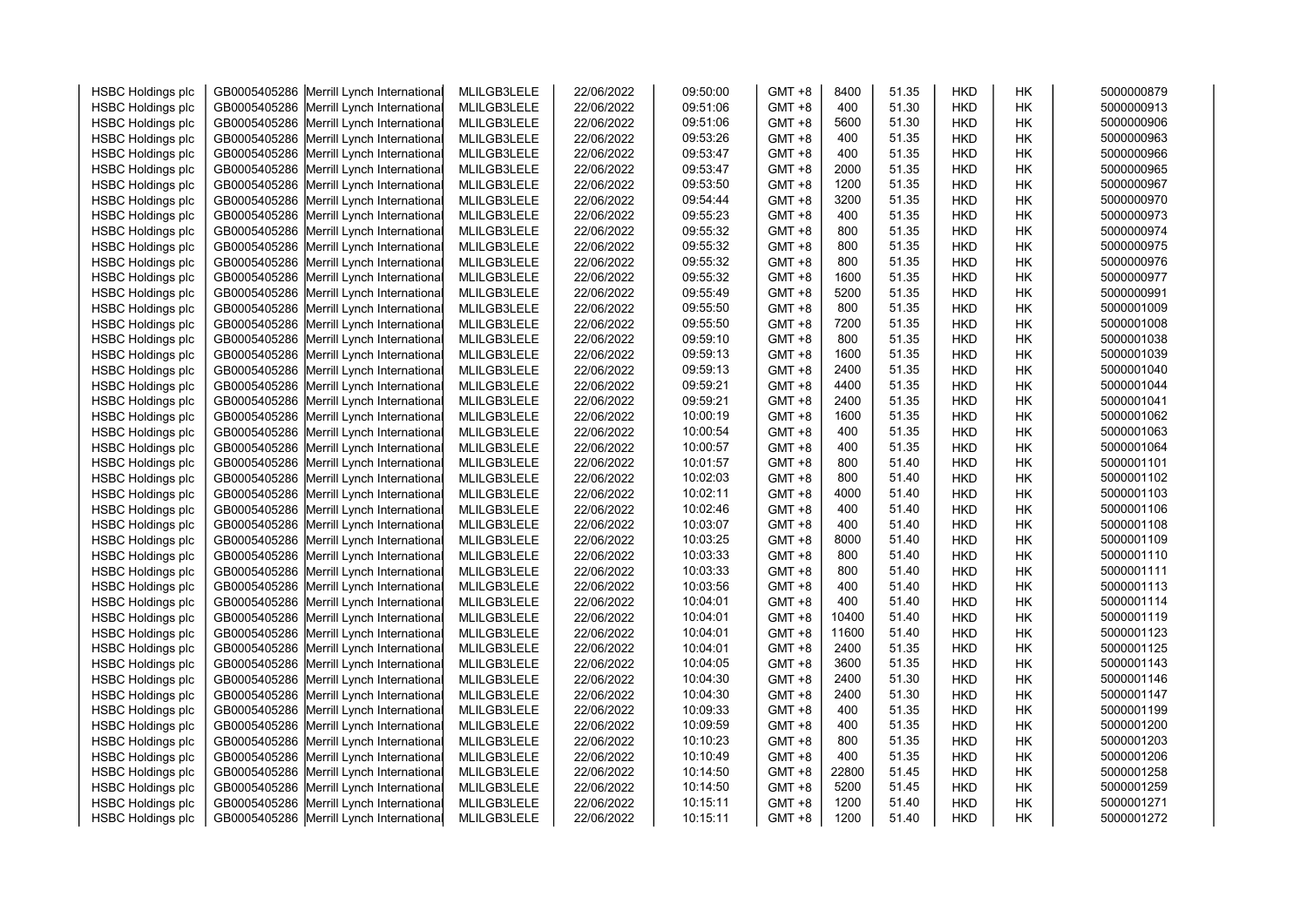| <b>HSBC Holdings plc</b> | GB0005405286 | Merrill Lynch International              | MLILGB3LELE | 22/06/2022 | 09:50:00 | $GMT + 8$ | 8400  | 51.35 | <b>HKD</b> | HК        | 5000000879 |
|--------------------------|--------------|------------------------------------------|-------------|------------|----------|-----------|-------|-------|------------|-----------|------------|
| <b>HSBC Holdings plc</b> | GB0005405286 | Merrill Lynch International              | MLILGB3LELE | 22/06/2022 | 09:51:06 | $GMT + 8$ | 400   | 51.30 | <b>HKD</b> | HK        | 5000000913 |
| <b>HSBC Holdings plc</b> | GB0005405286 | Merrill Lynch International              | MLILGB3LELE | 22/06/2022 | 09:51:06 | $GMT + 8$ | 5600  | 51.30 | <b>HKD</b> | HK        | 5000000906 |
| <b>HSBC Holdings plc</b> | GB0005405286 | Merrill Lynch International              | MLILGB3LELE | 22/06/2022 | 09:53:26 | $GMT + 8$ | 400   | 51.35 | <b>HKD</b> | HK        | 5000000963 |
| <b>HSBC Holdings plc</b> | GB0005405286 | Merrill Lynch International              | MLILGB3LELE | 22/06/2022 | 09:53:47 | $GMT + 8$ | 400   | 51.35 | <b>HKD</b> | HK        | 5000000966 |
| <b>HSBC Holdings plc</b> | GB0005405286 | Merrill Lynch International              | MLILGB3LELE | 22/06/2022 | 09:53:47 | $GMT + 8$ | 2000  | 51.35 | <b>HKD</b> | HK        | 5000000965 |
| <b>HSBC Holdings plc</b> | GB0005405286 | Merrill Lynch International              | MLILGB3LELE | 22/06/2022 | 09:53:50 | $GMT + 8$ | 1200  | 51.35 | <b>HKD</b> | HK        | 5000000967 |
| <b>HSBC Holdings plc</b> | GB0005405286 | Merrill Lynch International              | MLILGB3LELE | 22/06/2022 | 09:54:44 | $GMT + 8$ | 3200  | 51.35 | <b>HKD</b> | HK        | 5000000970 |
| <b>HSBC Holdings plc</b> | GB0005405286 | Merrill Lynch International              | MLILGB3LELE | 22/06/2022 | 09:55:23 | $GMT + 8$ | 400   | 51.35 | <b>HKD</b> | HK        | 5000000973 |
| <b>HSBC Holdings plc</b> | GB0005405286 | Merrill Lynch International              | MLILGB3LELE | 22/06/2022 | 09:55:32 | $GMT + 8$ | 800   | 51.35 | <b>HKD</b> | HК        | 5000000974 |
| <b>HSBC Holdings plc</b> | GB0005405286 | Merrill Lynch International              | MLILGB3LELE | 22/06/2022 | 09:55:32 | $GMT + 8$ | 800   | 51.35 | <b>HKD</b> | <b>HK</b> | 5000000975 |
| <b>HSBC Holdings plc</b> | GB0005405286 | Merrill Lynch International              | MLILGB3LELE | 22/06/2022 | 09:55:32 | $GMT + 8$ | 800   | 51.35 | <b>HKD</b> | HK        | 5000000976 |
| <b>HSBC Holdings plc</b> | GB0005405286 | Merrill Lynch International              | MLILGB3LELE | 22/06/2022 | 09:55:32 | $GMT + 8$ | 1600  | 51.35 | <b>HKD</b> | HK        | 5000000977 |
| <b>HSBC Holdings plc</b> | GB0005405286 | Merrill Lynch International              | MLILGB3LELE | 22/06/2022 | 09:55:49 | $GMT + 8$ | 5200  | 51.35 | <b>HKD</b> | HK        | 5000000991 |
| <b>HSBC Holdings plc</b> | GB0005405286 | Merrill Lynch International              | MLILGB3LELE | 22/06/2022 | 09:55:50 | $GMT + 8$ | 800   | 51.35 | <b>HKD</b> | HK        | 5000001009 |
| <b>HSBC Holdings plc</b> | GB0005405286 | Merrill Lynch International              | MLILGB3LELE | 22/06/2022 | 09:55:50 | $GMT + 8$ | 7200  | 51.35 | <b>HKD</b> | HK        | 5000001008 |
| <b>HSBC Holdings plc</b> | GB0005405286 | Merrill Lynch International              | MLILGB3LELE | 22/06/2022 | 09:59:10 | $GMT + 8$ | 800   | 51.35 | <b>HKD</b> | HK        | 5000001038 |
| <b>HSBC Holdings plc</b> | GB0005405286 | Merrill Lynch International              | MLILGB3LELE | 22/06/2022 | 09:59:13 | $GMT + 8$ | 1600  | 51.35 | <b>HKD</b> | HK        | 5000001039 |
| <b>HSBC Holdings plc</b> | GB0005405286 | Merrill Lynch International              | MLILGB3LELE | 22/06/2022 | 09:59:13 | $GMT + 8$ | 2400  | 51.35 | <b>HKD</b> | HК        | 5000001040 |
| <b>HSBC Holdings plc</b> | GB0005405286 | Merrill Lynch International              | MLILGB3LELE | 22/06/2022 | 09:59:21 | $GMT + 8$ | 4400  | 51.35 | <b>HKD</b> | HK        | 5000001044 |
| <b>HSBC Holdings plc</b> | GB0005405286 | Merrill Lynch International              | MLILGB3LELE | 22/06/2022 | 09:59:21 | $GMT + 8$ | 2400  | 51.35 | <b>HKD</b> | HK        | 5000001041 |
| <b>HSBC Holdings plc</b> | GB0005405286 | Merrill Lynch International              | MLILGB3LELE | 22/06/2022 | 10:00:19 | $GMT + 8$ | 1600  | 51.35 | HKD        | HK        | 5000001062 |
| <b>HSBC Holdings plc</b> | GB0005405286 | Merrill Lynch International              | MLILGB3LELE | 22/06/2022 | 10:00:54 | $GMT + 8$ | 400   | 51.35 | <b>HKD</b> | HK        | 5000001063 |
| <b>HSBC Holdings plc</b> | GB0005405286 | Merrill Lynch International              | MLILGB3LELE | 22/06/2022 | 10:00:57 | $GMT + 8$ | 400   | 51.35 | HKD        | HK        | 5000001064 |
| <b>HSBC Holdings plc</b> | GB0005405286 | Merrill Lynch International              | MLILGB3LELE | 22/06/2022 | 10:01:57 | $GMT + 8$ | 800   | 51.40 | <b>HKD</b> | <b>HK</b> | 5000001101 |
| <b>HSBC Holdings plc</b> | GB0005405286 | Merrill Lynch International              | MLILGB3LELE | 22/06/2022 | 10:02:03 | $GMT + 8$ | 800   | 51.40 | <b>HKD</b> | HK        | 5000001102 |
| <b>HSBC Holdings plc</b> | GB0005405286 | Merrill Lynch International              | MLILGB3LELE | 22/06/2022 | 10:02:11 | $GMT + 8$ | 4000  | 51.40 | <b>HKD</b> | HК        | 5000001103 |
| <b>HSBC Holdings plc</b> | GB0005405286 | Merrill Lynch International              | MLILGB3LELE | 22/06/2022 | 10:02:46 | $GMT + 8$ | 400   | 51.40 | <b>HKD</b> | HK        | 5000001106 |
| <b>HSBC Holdings plc</b> | GB0005405286 | Merrill Lynch International              | MLILGB3LELE | 22/06/2022 | 10:03:07 | $GMT + 8$ | 400   | 51.40 | <b>HKD</b> | HK        | 5000001108 |
| <b>HSBC Holdings plc</b> | GB0005405286 | Merrill Lynch International              | MLILGB3LELE | 22/06/2022 | 10:03:25 | $GMT + 8$ | 8000  | 51.40 | <b>HKD</b> | HK        | 5000001109 |
| <b>HSBC Holdings plc</b> | GB0005405286 | Merrill Lynch International              | MLILGB3LELE | 22/06/2022 | 10:03:33 | $GMT + 8$ | 800   | 51.40 | <b>HKD</b> | HK        | 5000001110 |
| <b>HSBC Holdings plc</b> | GB0005405286 | Merrill Lynch International              | MLILGB3LELE | 22/06/2022 | 10:03:33 | $GMT + 8$ | 800   | 51.40 | <b>HKD</b> | HK        | 5000001111 |
| <b>HSBC Holdings plc</b> | GB0005405286 | Merrill Lynch International              | MLILGB3LELE | 22/06/2022 | 10:03:56 | GMT +8    | 400   | 51.40 | HKD        | HK        | 5000001113 |
| <b>HSBC Holdings plc</b> | GB0005405286 | Merrill Lynch International              | MLILGB3LELE | 22/06/2022 | 10:04:01 | $GMT + 8$ | 400   | 51.40 | <b>HKD</b> | HK        | 5000001114 |
| <b>HSBC Holdings plc</b> | GB0005405286 | Merrill Lynch International              | MLILGB3LELE | 22/06/2022 | 10:04:01 | $GMT + 8$ | 10400 | 51.40 | <b>HKD</b> | HK        | 5000001119 |
| <b>HSBC Holdings plc</b> | GB0005405286 | Merrill Lynch International              | MLILGB3LELE | 22/06/2022 | 10:04:01 | $GMT + 8$ | 11600 | 51.40 | <b>HKD</b> | HК        | 5000001123 |
| <b>HSBC Holdings plc</b> | GB0005405286 | Merrill Lynch International              | MLILGB3LELE | 22/06/2022 | 10:04:01 | $GMT + 8$ | 2400  | 51.35 | <b>HKD</b> | HK        | 5000001125 |
| <b>HSBC Holdings plc</b> | GB0005405286 | Merrill Lynch International              | MLILGB3LELE | 22/06/2022 | 10:04:05 | $GMT + 8$ | 3600  | 51.35 | <b>HKD</b> | HK        | 5000001143 |
| <b>HSBC Holdings plc</b> | GB0005405286 | Merrill Lynch International              | MLILGB3LELE | 22/06/2022 | 10:04:30 | $GMT + 8$ | 2400  | 51.30 | <b>HKD</b> | <b>HK</b> | 5000001146 |
| <b>HSBC Holdings plc</b> | GB0005405286 | Merrill Lynch International              | MLILGB3LELE | 22/06/2022 | 10:04:30 | $GMT + 8$ | 2400  | 51.30 | <b>HKD</b> | HK        | 5000001147 |
| <b>HSBC Holdings plc</b> | GB0005405286 | Merrill Lynch International              | MLILGB3LELE | 22/06/2022 | 10:09:33 | $GMT + 8$ | 400   | 51.35 | <b>HKD</b> | HK        | 5000001199 |
| <b>HSBC Holdings plc</b> | GB0005405286 | Merrill Lynch International              | MLILGB3LELE | 22/06/2022 | 10:09:59 | $GMT + 8$ | 400   | 51.35 | <b>HKD</b> | HK        | 5000001200 |
| <b>HSBC Holdings plc</b> | GB0005405286 | Merrill Lynch International              | MLILGB3LELE | 22/06/2022 | 10:10:23 | $GMT + 8$ | 800   | 51.35 | <b>HKD</b> | HK        | 5000001203 |
| <b>HSBC Holdings plc</b> | GB0005405286 | Merrill Lynch International              | MLILGB3LELE | 22/06/2022 | 10:10:49 | $GMT + 8$ | 400   | 51.35 | <b>HKD</b> | HК        | 5000001206 |
| <b>HSBC Holdings plc</b> | GB0005405286 | Merrill Lynch International              | MLILGB3LELE | 22/06/2022 | 10:14:50 | $GMT + 8$ | 22800 | 51.45 | <b>HKD</b> | HК        | 5000001258 |
| <b>HSBC Holdings plc</b> | GB0005405286 | Merrill Lynch International              | MLILGB3LELE | 22/06/2022 | 10:14:50 | $GMT + 8$ | 5200  | 51.45 | <b>HKD</b> | HK        | 5000001259 |
| <b>HSBC Holdings plc</b> | GB0005405286 | Merrill Lynch International              | MLILGB3LELE | 22/06/2022 | 10:15:11 | $GMT + 8$ | 1200  | 51.40 | HKD        | HK        | 5000001271 |
| <b>HSBC Holdings plc</b> |              | GB0005405286 Merrill Lynch International | MLILGB3LELE | 22/06/2022 | 10:15:11 | $GMT + 8$ | 1200  | 51.40 | <b>HKD</b> | <b>HK</b> | 5000001272 |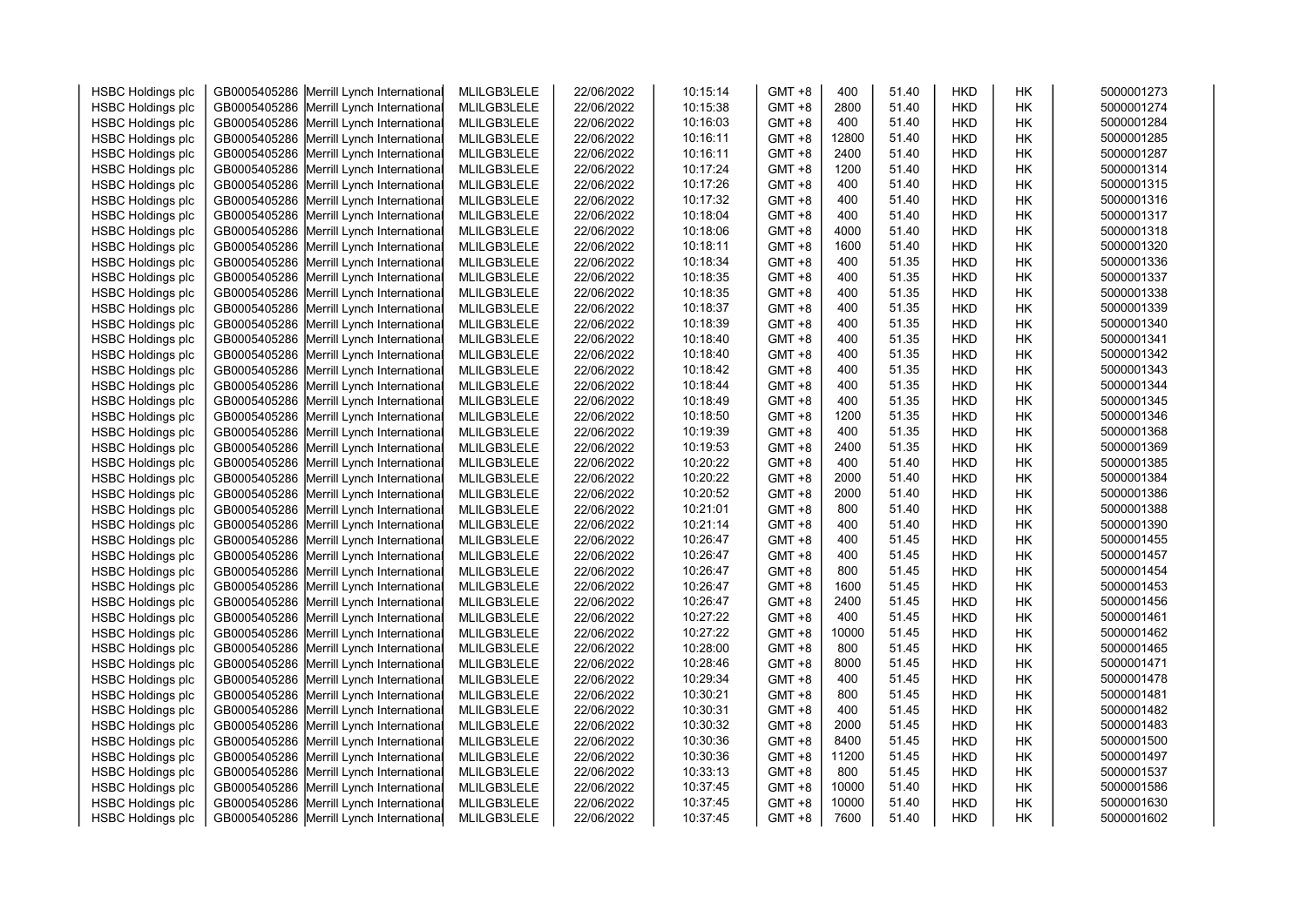| <b>HSBC Holdings plc</b> | GB0005405286 | Merrill Lynch International              | MLILGB3LELE | 22/06/2022 | 10:15:14 | GMT +8    | 400   | 51.40 | <b>HKD</b> | HΚ | 5000001273 |
|--------------------------|--------------|------------------------------------------|-------------|------------|----------|-----------|-------|-------|------------|----|------------|
| <b>HSBC Holdings plc</b> | GB0005405286 | Merrill Lynch International              | MLILGB3LELE | 22/06/2022 | 10:15:38 | GMT +8    | 2800  | 51.40 | <b>HKD</b> | HΚ | 5000001274 |
| <b>HSBC Holdings plc</b> | GB0005405286 | Merrill Lynch International              | MLILGB3LELE | 22/06/2022 | 10:16:03 | $GMT + 8$ | 400   | 51.40 | <b>HKD</b> | HΚ | 5000001284 |
| <b>HSBC Holdings plc</b> | GB0005405286 | Merrill Lynch International              | MLILGB3LELE | 22/06/2022 | 10:16:11 | GMT +8    | 12800 | 51.40 | <b>HKD</b> | HΚ | 5000001285 |
| <b>HSBC Holdings plc</b> | GB0005405286 | Merrill Lynch International              | MLILGB3LELE | 22/06/2022 | 10:16:11 | $GMT + 8$ | 2400  | 51.40 | <b>HKD</b> | HΚ | 5000001287 |
| <b>HSBC Holdings plc</b> | GB0005405286 | Merrill Lynch International              | MLILGB3LELE | 22/06/2022 | 10:17:24 | GMT +8    | 1200  | 51.40 | HKD        | HΚ | 5000001314 |
| <b>HSBC Holdings plc</b> | GB0005405286 | Merrill Lynch International              | MLILGB3LELE | 22/06/2022 | 10:17:26 | GMT +8    | 400   | 51.40 | HKD        | HΚ | 5000001315 |
| <b>HSBC Holdings plc</b> | GB0005405286 | Merrill Lynch International              | MLILGB3LELE | 22/06/2022 | 10:17:32 | GMT +8    | 400   | 51.40 | <b>HKD</b> | НK | 5000001316 |
| <b>HSBC Holdings plc</b> | GB0005405286 | Merrill Lynch International              | MLILGB3LELE | 22/06/2022 | 10:18:04 | $GMT + 8$ | 400   | 51.40 | <b>HKD</b> | HΚ | 5000001317 |
| <b>HSBC Holdings plc</b> | GB0005405286 | Merrill Lynch International              | MLILGB3LELE | 22/06/2022 | 10:18:06 | GMT +8    | 4000  | 51.40 | <b>HKD</b> | НK | 5000001318 |
| <b>HSBC Holdings plc</b> | GB0005405286 | Merrill Lynch International              | MLILGB3LELE | 22/06/2022 | 10:18:11 | $GMT + 8$ | 1600  | 51.40 | <b>HKD</b> | HΚ | 5000001320 |
| <b>HSBC Holdings plc</b> | GB0005405286 | Merrill Lynch International              | MLILGB3LELE | 22/06/2022 | 10:18:34 | GMT +8    | 400   | 51.35 | <b>HKD</b> | HΚ | 5000001336 |
| <b>HSBC Holdings plc</b> | GB0005405286 | Merrill Lynch International              | MLILGB3LELE | 22/06/2022 | 10:18:35 | $GMT + 8$ | 400   | 51.35 | <b>HKD</b> | НK | 5000001337 |
| <b>HSBC Holdings plc</b> | GB0005405286 | Merrill Lynch International              | MLILGB3LELE | 22/06/2022 | 10:18:35 | GMT +8    | 400   | 51.35 | HKD        | HΚ | 5000001338 |
| <b>HSBC Holdings plc</b> | GB0005405286 | Merrill Lynch International              | MLILGB3LELE | 22/06/2022 | 10:18:37 | GMT +8    | 400   | 51.35 | HKD        | НK | 5000001339 |
| <b>HSBC Holdings plc</b> | GB0005405286 | Merrill Lynch International              | MLILGB3LELE | 22/06/2022 | 10:18:39 | $GMT + 8$ | 400   | 51.35 | <b>HKD</b> | НK | 5000001340 |
| <b>HSBC Holdings plc</b> | GB0005405286 | Merrill Lynch International              | MLILGB3LELE | 22/06/2022 | 10:18:40 | GMT +8    | 400   | 51.35 | HKD        | HΚ | 5000001341 |
| <b>HSBC Holdings plc</b> | GB0005405286 | Merrill Lynch International              | MLILGB3LELE | 22/06/2022 | 10:18:40 | GMT +8    | 400   | 51.35 | HKD        | HΚ | 5000001342 |
| <b>HSBC Holdings plc</b> | GB0005405286 | Merrill Lynch International              | MLILGB3LELE | 22/06/2022 | 10:18:42 | $GMT + 8$ | 400   | 51.35 | <b>HKD</b> | HΚ | 5000001343 |
| <b>HSBC Holdings plc</b> | GB0005405286 | Merrill Lynch International              | MLILGB3LELE | 22/06/2022 | 10:18:44 | GMT +8    | 400   | 51.35 | <b>HKD</b> | HΚ | 5000001344 |
| <b>HSBC Holdings plc</b> | GB0005405286 | Merrill Lynch International              | MLILGB3LELE | 22/06/2022 | 10:18:49 | GMT +8    | 400   | 51.35 | <b>HKD</b> | HΚ | 5000001345 |
| <b>HSBC Holdings plc</b> | GB0005405286 | Merrill Lynch International              | MLILGB3LELE | 22/06/2022 | 10:18:50 | GMT +8    | 1200  | 51.35 | <b>HKD</b> | НK | 5000001346 |
| <b>HSBC Holdings plc</b> | GB0005405286 | Merrill Lynch International              | MLILGB3LELE | 22/06/2022 | 10:19:39 | GMT +8    | 400   | 51.35 | HKD        | НK | 5000001368 |
| <b>HSBC Holdings plc</b> | GB0005405286 | Merrill Lynch International              | MLILGB3LELE | 22/06/2022 | 10:19:53 | GMT +8    | 2400  | 51.35 | HKD        | HΚ | 5000001369 |
| <b>HSBC Holdings plc</b> | GB0005405286 | Merrill Lynch International              | MLILGB3LELE | 22/06/2022 | 10:20:22 | GMT +8    | 400   | 51.40 | HKD        | HΚ | 5000001385 |
| <b>HSBC Holdings plc</b> | GB0005405286 | Merrill Lynch International              | MLILGB3LELE | 22/06/2022 | 10:20:22 | $GMT + 8$ | 2000  | 51.40 | HKD        | НK | 5000001384 |
| <b>HSBC Holdings plc</b> | GB0005405286 | Merrill Lynch International              | MLILGB3LELE | 22/06/2022 | 10:20:52 | $GMT + 8$ | 2000  | 51.40 | <b>HKD</b> | HΚ | 5000001386 |
| <b>HSBC Holdings plc</b> | GB0005405286 | Merrill Lynch International              | MLILGB3LELE | 22/06/2022 | 10:21:01 | $GMT + 8$ | 800   | 51.40 | <b>HKD</b> | HΚ | 5000001388 |
| <b>HSBC Holdings plc</b> | GB0005405286 | Merrill Lynch International              | MLILGB3LELE | 22/06/2022 | 10:21:14 | $GMT + 8$ | 400   | 51.40 | <b>HKD</b> | HΚ | 5000001390 |
| <b>HSBC Holdings plc</b> | GB0005405286 | Merrill Lynch International              | MLILGB3LELE | 22/06/2022 | 10:26:47 | GMT +8    | 400   | 51.45 | <b>HKD</b> | HΚ | 5000001455 |
| <b>HSBC Holdings plc</b> | GB0005405286 | Merrill Lynch International              | MLILGB3LELE | 22/06/2022 | 10:26:47 | GMT +8    | 400   | 51.45 | HKD        | НK | 5000001457 |
| <b>HSBC Holdings plc</b> | GB0005405286 | Merrill Lynch International              | MLILGB3LELE | 22/06/2022 | 10:26:47 | $GMT + 8$ | 800   | 51.45 | HKD        | HΚ | 5000001454 |
| <b>HSBC Holdings plc</b> | GB0005405286 | Merrill Lynch International              | MLILGB3LELE | 22/06/2022 | 10:26:47 | GMT +8    | 1600  | 51.45 | HKD        | HΚ | 5000001453 |
| <b>HSBC Holdings plc</b> | GB0005405286 | Merrill Lynch International              | MLILGB3LELE | 22/06/2022 | 10:26:47 | $GMT + 8$ | 2400  | 51.45 | HKD        | НK | 5000001456 |
| <b>HSBC Holdings plc</b> | GB0005405286 | Merrill Lynch International              | MLILGB3LELE | 22/06/2022 | 10:27:22 | GMT +8    | 400   | 51.45 | <b>HKD</b> | НK | 5000001461 |
| <b>HSBC Holdings plc</b> | GB0005405286 | Merrill Lynch International              | MLILGB3LELE | 22/06/2022 | 10:27:22 | GMT +8    | 10000 | 51.45 | HKD        | HΚ | 5000001462 |
| <b>HSBC Holdings plc</b> | GB0005405286 | Merrill Lynch International              | MLILGB3LELE | 22/06/2022 | 10:28:00 | $GMT + 8$ | 800   | 51.45 | <b>HKD</b> | HΚ | 5000001465 |
| <b>HSBC Holdings plc</b> | GB0005405286 | Merrill Lynch International              | MLILGB3LELE | 22/06/2022 | 10:28:46 | GMT +8    | 8000  | 51.45 | <b>HKD</b> | HΚ | 5000001471 |
| <b>HSBC Holdings plc</b> | GB0005405286 | Merrill Lynch International              | MLILGB3LELE | 22/06/2022 | 10:29:34 | GMT +8    | 400   | 51.45 | HKD        | НK | 5000001478 |
| <b>HSBC Holdings plc</b> | GB0005405286 | Merrill Lynch International              | MLILGB3LELE | 22/06/2022 | 10:30:21 | $GMT + 8$ | 800   | 51.45 | <b>HKD</b> | HΚ | 5000001481 |
| <b>HSBC Holdings plc</b> | GB0005405286 | Merrill Lynch International              | MLILGB3LELE | 22/06/2022 | 10:30:31 | GMT +8    | 400   | 51.45 | HKD        | HΚ | 5000001482 |
| <b>HSBC Holdings plc</b> | GB0005405286 | Merrill Lynch International              | MLILGB3LELE | 22/06/2022 | 10:30:32 | GMT +8    | 2000  | 51.45 | <b>HKD</b> | НK | 5000001483 |
| <b>HSBC Holdings plc</b> | GB0005405286 | Merrill Lynch International              | MLILGB3LELE | 22/06/2022 | 10:30:36 | GMT +8    | 8400  | 51.45 | <b>HKD</b> | HΚ | 5000001500 |
| <b>HSBC Holdings plc</b> | GB0005405286 | Merrill Lynch International              | MLILGB3LELE | 22/06/2022 | 10:30:36 | GMT +8    | 11200 | 51.45 | <b>HKD</b> | HΚ | 5000001497 |
| <b>HSBC Holdings plc</b> | GB0005405286 | Merrill Lynch International              | MLILGB3LELE | 22/06/2022 | 10:33:13 | $GMT + 8$ | 800   | 51.45 | HKD        | HΚ | 5000001537 |
| <b>HSBC Holdings plc</b> | GB0005405286 | Merrill Lynch International              | MLILGB3LELE | 22/06/2022 | 10:37:45 | GMT +8    | 10000 | 51.40 | <b>HKD</b> | НK | 5000001586 |
| <b>HSBC Holdings plc</b> | GB0005405286 | Merrill Lynch International              | MLILGB3LELE | 22/06/2022 | 10:37:45 | GMT +8    | 10000 | 51.40 | HKD        | HΚ | 5000001630 |
| <b>HSBC Holdings plc</b> |              | GB0005405286 Merrill Lynch International | MLILGB3LELE | 22/06/2022 | 10:37:45 | GMT +8    | 7600  | 51.40 | <b>HKD</b> | НK | 5000001602 |
|                          |              |                                          |             |            |          |           |       |       |            |    |            |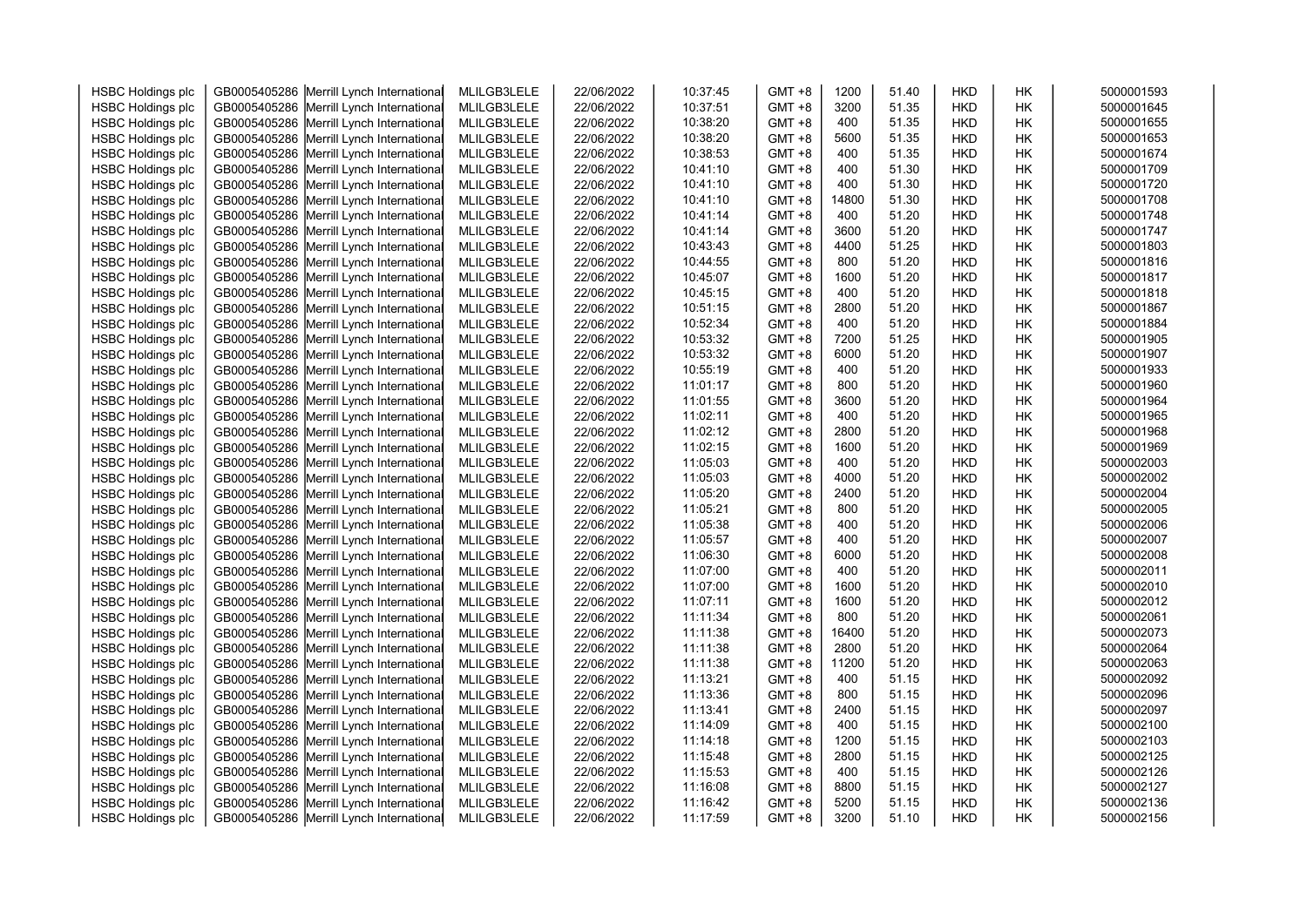| <b>HSBC Holdings plc</b> | GB0005405286 | Merrill Lynch International              | MLILGB3LELE | 22/06/2022 | 10:37:45 | $GMT + 8$ | 1200  | 51.40 | <b>HKD</b> | HK        | 5000001593 |
|--------------------------|--------------|------------------------------------------|-------------|------------|----------|-----------|-------|-------|------------|-----------|------------|
| <b>HSBC Holdings plc</b> | GB0005405286 | Merrill Lynch International              | MLILGB3LELE | 22/06/2022 | 10:37:51 | $GMT + 8$ | 3200  | 51.35 | <b>HKD</b> | HK        | 5000001645 |
| <b>HSBC Holdings plc</b> | GB0005405286 | Merrill Lynch International              | MLILGB3LELE | 22/06/2022 | 10:38:20 | $GMT + 8$ | 400   | 51.35 | <b>HKD</b> | HK        | 5000001655 |
| <b>HSBC Holdings plc</b> | GB0005405286 | Merrill Lynch International              | MLILGB3LELE | 22/06/2022 | 10:38:20 | $GMT + 8$ | 5600  | 51.35 | <b>HKD</b> | HK        | 5000001653 |
| <b>HSBC Holdings plc</b> | GB0005405286 | Merrill Lynch International              | MLILGB3LELE | 22/06/2022 | 10:38:53 | $GMT + 8$ | 400   | 51.35 | <b>HKD</b> | HK        | 5000001674 |
| <b>HSBC Holdings plc</b> | GB0005405286 | Merrill Lynch International              | MLILGB3LELE | 22/06/2022 | 10:41:10 | $GMT + 8$ | 400   | 51.30 | <b>HKD</b> | HK        | 5000001709 |
| <b>HSBC Holdings plc</b> | GB0005405286 | Merrill Lynch International              | MLILGB3LELE | 22/06/2022 | 10:41:10 | $GMT + 8$ | 400   | 51.30 | <b>HKD</b> | HK        | 5000001720 |
| <b>HSBC Holdings plc</b> | GB0005405286 | Merrill Lynch International              | MLILGB3LELE | 22/06/2022 | 10:41:10 | $GMT + 8$ | 14800 | 51.30 | <b>HKD</b> | HK        | 5000001708 |
| <b>HSBC Holdings plc</b> | GB0005405286 | Merrill Lynch International              | MLILGB3LELE | 22/06/2022 | 10:41:14 | $GMT + 8$ | 400   | 51.20 | <b>HKD</b> | HK        | 5000001748 |
| <b>HSBC Holdings plc</b> | GB0005405286 | Merrill Lynch International              | MLILGB3LELE | 22/06/2022 | 10:41:14 | $GMT + 8$ | 3600  | 51.20 | <b>HKD</b> | HK        | 5000001747 |
| <b>HSBC Holdings plc</b> | GB0005405286 | Merrill Lynch International              | MLILGB3LELE | 22/06/2022 | 10:43:43 | $GMT + 8$ | 4400  | 51.25 | <b>HKD</b> | HK        | 5000001803 |
| <b>HSBC Holdings plc</b> | GB0005405286 | Merrill Lynch International              | MLILGB3LELE | 22/06/2022 | 10:44:55 | $GMT + 8$ | 800   | 51.20 | <b>HKD</b> | HK        | 5000001816 |
| <b>HSBC Holdings plc</b> | GB0005405286 | Merrill Lynch International              | MLILGB3LELE | 22/06/2022 | 10:45:07 | $GMT + 8$ | 1600  | 51.20 | <b>HKD</b> | HK        | 5000001817 |
| <b>HSBC Holdings plc</b> | GB0005405286 | Merrill Lynch International              | MLILGB3LELE | 22/06/2022 | 10:45:15 | $GMT + 8$ | 400   | 51.20 | <b>HKD</b> | HK        | 5000001818 |
| <b>HSBC Holdings plc</b> | GB0005405286 | Merrill Lynch International              | MLILGB3LELE | 22/06/2022 | 10:51:15 | $GMT + 8$ | 2800  | 51.20 | HKD        | HK        | 5000001867 |
| <b>HSBC Holdings plc</b> | GB0005405286 | Merrill Lynch International              | MLILGB3LELE | 22/06/2022 | 10:52:34 | $GMT + 8$ | 400   | 51.20 | <b>HKD</b> | HK        | 5000001884 |
| <b>HSBC Holdings plc</b> | GB0005405286 | Merrill Lynch International              | MLILGB3LELE | 22/06/2022 | 10:53:32 | $GMT + 8$ | 7200  | 51.25 | <b>HKD</b> | HK        | 5000001905 |
| <b>HSBC Holdings plc</b> | GB0005405286 | Merrill Lynch International              | MLILGB3LELE | 22/06/2022 | 10:53:32 | $GMT + 8$ | 6000  | 51.20 | <b>HKD</b> | HK        | 5000001907 |
| <b>HSBC Holdings plc</b> | GB0005405286 | Merrill Lynch International              | MLILGB3LELE | 22/06/2022 | 10:55:19 | $GMT + 8$ | 400   | 51.20 | <b>HKD</b> | <b>HK</b> | 5000001933 |
| <b>HSBC Holdings plc</b> | GB0005405286 | Merrill Lynch International              | MLILGB3LELE | 22/06/2022 | 11:01:17 | $GMT + 8$ | 800   | 51.20 | <b>HKD</b> | HK        | 5000001960 |
| <b>HSBC Holdings plc</b> | GB0005405286 | Merrill Lynch International              | MLILGB3LELE | 22/06/2022 | 11:01:55 | $GMT + 8$ | 3600  | 51.20 | <b>HKD</b> | HK        | 5000001964 |
| <b>HSBC Holdings plc</b> | GB0005405286 | Merrill Lynch International              | MLILGB3LELE | 22/06/2022 | 11:02:11 | $GMT + 8$ | 400   | 51.20 | <b>HKD</b> | HK        | 5000001965 |
| <b>HSBC Holdings plc</b> | GB0005405286 | Merrill Lynch International              | MLILGB3LELE | 22/06/2022 | 11:02:12 | $GMT + 8$ | 2800  | 51.20 | <b>HKD</b> | HK        | 5000001968 |
| <b>HSBC Holdings plc</b> | GB0005405286 | Merrill Lynch International              | MLILGB3LELE | 22/06/2022 | 11:02:15 | $GMT + 8$ | 1600  | 51.20 | <b>HKD</b> | HK        | 5000001969 |
| <b>HSBC Holdings plc</b> | GB0005405286 | Merrill Lynch International              | MLILGB3LELE | 22/06/2022 | 11:05:03 | $GMT + 8$ | 400   | 51.20 | <b>HKD</b> | HK        | 5000002003 |
| <b>HSBC Holdings plc</b> | GB0005405286 | Merrill Lynch International              | MLILGB3LELE | 22/06/2022 | 11:05:03 | $GMT + 8$ | 4000  | 51.20 | HKD        | НK        | 5000002002 |
| <b>HSBC Holdings plc</b> | GB0005405286 | Merrill Lynch International              | MLILGB3LELE | 22/06/2022 | 11:05:20 | $GMT + 8$ | 2400  | 51.20 | <b>HKD</b> | <b>HK</b> | 5000002004 |
| <b>HSBC Holdings plc</b> | GB0005405286 | Merrill Lynch International              | MLILGB3LELE | 22/06/2022 | 11:05:21 | $GMT + 8$ | 800   | 51.20 | <b>HKD</b> | HК        | 5000002005 |
| <b>HSBC Holdings plc</b> | GB0005405286 | Merrill Lynch International              | MLILGB3LELE | 22/06/2022 | 11:05:38 | $GMT + 8$ | 400   | 51.20 | <b>HKD</b> | HK        | 5000002006 |
| <b>HSBC Holdings plc</b> | GB0005405286 | Merrill Lynch International              | MLILGB3LELE | 22/06/2022 | 11:05:57 | $GMT + 8$ | 400   | 51.20 | <b>HKD</b> | HK        | 5000002007 |
| <b>HSBC Holdings plc</b> | GB0005405286 | Merrill Lynch International              | MLILGB3LELE | 22/06/2022 | 11:06:30 | $GMT + 8$ | 6000  | 51.20 | HKD        | HK        | 5000002008 |
| <b>HSBC Holdings plc</b> | GB0005405286 | Merrill Lynch International              | MLILGB3LELE | 22/06/2022 | 11:07:00 | $GMT + 8$ | 400   | 51.20 | <b>HKD</b> | HK        | 5000002011 |
| <b>HSBC Holdings plc</b> | GB0005405286 | Merrill Lynch International              | MLILGB3LELE | 22/06/2022 | 11:07:00 | $GMT + 8$ | 1600  | 51.20 | HKD        | HK        | 5000002010 |
| <b>HSBC Holdings plc</b> | GB0005405286 | Merrill Lynch International              | MLILGB3LELE | 22/06/2022 | 11:07:11 | $GMT + 8$ | 1600  | 51.20 | <b>HKD</b> | НK        | 5000002012 |
| <b>HSBC Holdings plc</b> | GB0005405286 | Merrill Lynch International              | MLILGB3LELE | 22/06/2022 | 11:11:34 | $GMT + 8$ | 800   | 51.20 | <b>HKD</b> | HK        | 5000002061 |
| <b>HSBC Holdings plc</b> | GB0005405286 | Merrill Lynch International              | MLILGB3LELE | 22/06/2022 | 11:11:38 | $GMT + 8$ | 16400 | 51.20 | <b>HKD</b> | HК        | 5000002073 |
| <b>HSBC Holdings plc</b> | GB0005405286 | Merrill Lynch International              | MLILGB3LELE | 22/06/2022 | 11:11:38 | $GMT + 8$ | 2800  | 51.20 | <b>HKD</b> | <b>HK</b> | 5000002064 |
| <b>HSBC Holdings plc</b> | GB0005405286 | Merrill Lynch International              | MLILGB3LELE | 22/06/2022 | 11:11:38 | $GMT + 8$ | 11200 | 51.20 | <b>HKD</b> | HK        | 5000002063 |
| <b>HSBC Holdings plc</b> | GB0005405286 | Merrill Lynch International              | MLILGB3LELE | 22/06/2022 | 11:13:21 | $GMT + 8$ | 400   | 51.15 | <b>HKD</b> | HK        | 5000002092 |
| <b>HSBC Holdings plc</b> | GB0005405286 | Merrill Lynch International              | MLILGB3LELE | 22/06/2022 | 11:13:36 | $GMT + 8$ | 800   | 51.15 | <b>HKD</b> | HK        | 5000002096 |
| <b>HSBC Holdings plc</b> | GB0005405286 | Merrill Lynch International              | MLILGB3LELE | 22/06/2022 | 11:13:41 | $GMT + 8$ | 2400  | 51.15 | <b>HKD</b> | HK        | 5000002097 |
| <b>HSBC Holdings plc</b> | GB0005405286 | Merrill Lynch International              | MLILGB3LELE | 22/06/2022 | 11:14:09 | $GMT + 8$ | 400   | 51.15 | <b>HKD</b> | HK        | 5000002100 |
| <b>HSBC Holdings plc</b> | GB0005405286 | Merrill Lynch International              | MLILGB3LELE | 22/06/2022 | 11:14:18 | $GMT + 8$ | 1200  | 51.15 | <b>HKD</b> | HK        | 5000002103 |
| <b>HSBC Holdings plc</b> | GB0005405286 | Merrill Lynch International              | MLILGB3LELE | 22/06/2022 | 11:15:48 | $GMT + 8$ | 2800  | 51.15 | <b>HKD</b> | HК        | 5000002125 |
| <b>HSBC Holdings plc</b> | GB0005405286 | Merrill Lynch International              | MLILGB3LELE | 22/06/2022 | 11:15:53 | $GMT + 8$ | 400   | 51.15 | <b>HKD</b> | HК        | 5000002126 |
| <b>HSBC Holdings plc</b> | GB0005405286 | Merrill Lynch International              | MLILGB3LELE | 22/06/2022 | 11:16:08 | $GMT + 8$ | 8800  | 51.15 | <b>HKD</b> | HK        | 5000002127 |
| <b>HSBC Holdings plc</b> | GB0005405286 | Merrill Lynch International              | MLILGB3LELE | 22/06/2022 | 11:16:42 | $GMT + 8$ | 5200  | 51.15 | HKD        | HK        | 5000002136 |
| <b>HSBC Holdings plc</b> |              | GB0005405286 Merrill Lynch International | MLILGB3LELE | 22/06/2022 | 11:17:59 | $GMT + 8$ | 3200  | 51.10 | <b>HKD</b> | <b>HK</b> | 5000002156 |
|                          |              |                                          |             |            |          |           |       |       |            |           |            |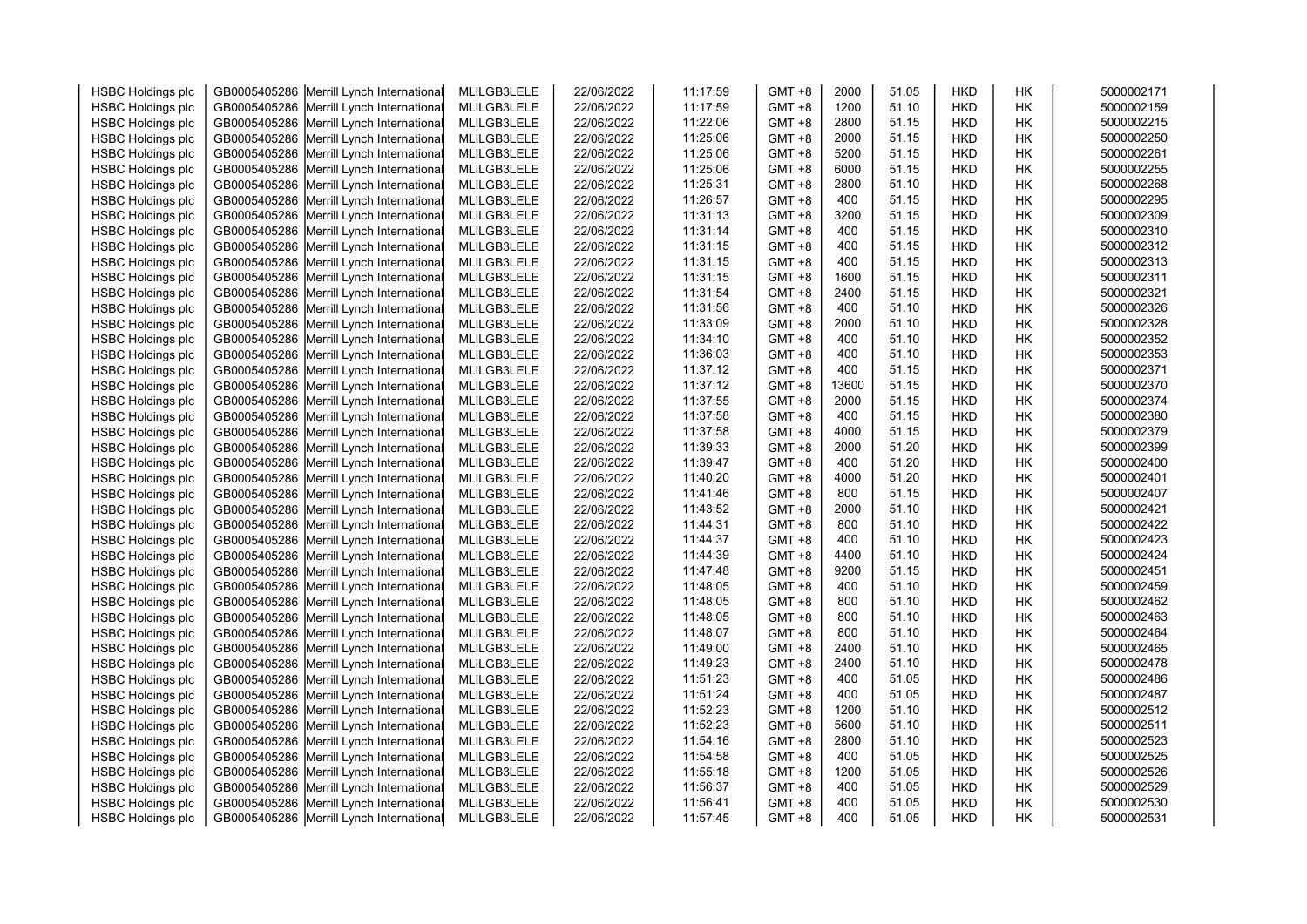| <b>HSBC Holdings plc</b> | GB0005405286 | Merrill Lynch International              | MLILGB3LELE | 22/06/2022 | 11:17:59 | $GMT + 8$ | 2000  | 51.05 | <b>HKD</b> | HК        | 5000002171 |
|--------------------------|--------------|------------------------------------------|-------------|------------|----------|-----------|-------|-------|------------|-----------|------------|
| <b>HSBC Holdings plc</b> | GB0005405286 | Merrill Lynch International              | MLILGB3LELE | 22/06/2022 | 11:17:59 | $GMT + 8$ | 1200  | 51.10 | <b>HKD</b> | HK        | 5000002159 |
| <b>HSBC Holdings plc</b> | GB0005405286 | Merrill Lynch International              | MLILGB3LELE | 22/06/2022 | 11:22:06 | $GMT + 8$ | 2800  | 51.15 | <b>HKD</b> | HK        | 5000002215 |
| <b>HSBC Holdings plc</b> | GB0005405286 | Merrill Lynch International              | MLILGB3LELE | 22/06/2022 | 11:25:06 | $GMT + 8$ | 2000  | 51.15 | <b>HKD</b> | HK        | 5000002250 |
| <b>HSBC Holdings plc</b> | GB0005405286 | Merrill Lynch International              | MLILGB3LELE | 22/06/2022 | 11:25:06 | $GMT + 8$ | 5200  | 51.15 | <b>HKD</b> | HK        | 5000002261 |
| <b>HSBC Holdings plc</b> | GB0005405286 | Merrill Lynch International              | MLILGB3LELE | 22/06/2022 | 11:25:06 | $GMT + 8$ | 6000  | 51.15 | <b>HKD</b> | HK        | 5000002255 |
| <b>HSBC Holdings plc</b> | GB0005405286 | Merrill Lynch International              | MLILGB3LELE | 22/06/2022 | 11:25:31 | $GMT + 8$ | 2800  | 51.10 | <b>HKD</b> | HK        | 5000002268 |
| <b>HSBC Holdings plc</b> | GB0005405286 | Merrill Lynch International              | MLILGB3LELE | 22/06/2022 | 11:26:57 | $GMT + 8$ | 400   | 51.15 | HKD        | HK        | 5000002295 |
| <b>HSBC Holdings plc</b> | GB0005405286 | Merrill Lynch International              | MLILGB3LELE | 22/06/2022 | 11:31:13 | $GMT + 8$ | 3200  | 51.15 | <b>HKD</b> | HK        | 5000002309 |
| <b>HSBC Holdings plc</b> | GB0005405286 | Merrill Lynch International              | MLILGB3LELE | 22/06/2022 | 11:31:14 | $GMT + 8$ | 400   | 51.15 | <b>HKD</b> | HК        | 5000002310 |
| <b>HSBC Holdings plc</b> | GB0005405286 | Merrill Lynch International              | MLILGB3LELE | 22/06/2022 | 11:31:15 | $GMT + 8$ | 400   | 51.15 | <b>HKD</b> | <b>HK</b> | 5000002312 |
| <b>HSBC Holdings plc</b> | GB0005405286 | Merrill Lynch International              | MLILGB3LELE | 22/06/2022 | 11:31:15 | $GMT + 8$ | 400   | 51.15 | <b>HKD</b> | HK        | 5000002313 |
| <b>HSBC Holdings plc</b> | GB0005405286 | Merrill Lynch International              | MLILGB3LELE | 22/06/2022 | 11:31:15 | $GMT + 8$ | 1600  | 51.15 | <b>HKD</b> | HK        | 5000002311 |
| <b>HSBC Holdings plc</b> | GB0005405286 | Merrill Lynch International              | MLILGB3LELE | 22/06/2022 | 11:31:54 | $GMT + 8$ | 2400  | 51.15 | <b>HKD</b> | HK        | 5000002321 |
| <b>HSBC Holdings plc</b> | GB0005405286 | Merrill Lynch International              | MLILGB3LELE | 22/06/2022 | 11:31:56 | $GMT + 8$ | 400   | 51.10 | <b>HKD</b> | HK        | 5000002326 |
| <b>HSBC Holdings plc</b> | GB0005405286 | Merrill Lynch International              | MLILGB3LELE | 22/06/2022 | 11:33:09 | $GMT + 8$ | 2000  | 51.10 | <b>HKD</b> | HK        | 5000002328 |
| <b>HSBC Holdings plc</b> | GB0005405286 | Merrill Lynch International              | MLILGB3LELE | 22/06/2022 | 11:34:10 | $GMT + 8$ | 400   | 51.10 | <b>HKD</b> | HK        | 5000002352 |
| <b>HSBC Holdings plc</b> | GB0005405286 | Merrill Lynch International              | MLILGB3LELE | 22/06/2022 | 11:36:03 | $GMT + 8$ | 400   | 51.10 | <b>HKD</b> | HК        | 5000002353 |
| <b>HSBC Holdings plc</b> | GB0005405286 | Merrill Lynch International              | MLILGB3LELE | 22/06/2022 | 11:37:12 | $GMT + 8$ | 400   | 51.15 | <b>HKD</b> | HК        | 5000002371 |
| <b>HSBC Holdings plc</b> | GB0005405286 | Merrill Lynch International              | MLILGB3LELE | 22/06/2022 | 11:37:12 | $GMT + 8$ | 13600 | 51.15 | <b>HKD</b> | HK        | 5000002370 |
| <b>HSBC Holdings plc</b> | GB0005405286 | Merrill Lynch International              | MLILGB3LELE | 22/06/2022 | 11:37:55 | $GMT + 8$ | 2000  | 51.15 | <b>HKD</b> | HK        | 5000002374 |
| <b>HSBC Holdings plc</b> | GB0005405286 | Merrill Lynch International              | MLILGB3LELE | 22/06/2022 | 11:37:58 | $GMT + 8$ | 400   | 51.15 | HKD        | HK        | 5000002380 |
| <b>HSBC Holdings plc</b> | GB0005405286 | Merrill Lynch International              | MLILGB3LELE | 22/06/2022 | 11:37:58 | $GMT + 8$ | 4000  | 51.15 | <b>HKD</b> | HK        | 5000002379 |
| <b>HSBC Holdings plc</b> | GB0005405286 | Merrill Lynch International              | MLILGB3LELE | 22/06/2022 | 11:39:33 | $GMT + 8$ | 2000  | 51.20 | <b>HKD</b> | HK        | 5000002399 |
| <b>HSBC Holdings plc</b> | GB0005405286 | Merrill Lynch International              | MLILGB3LELE | 22/06/2022 | 11:39:47 | $GMT + 8$ | 400   | 51.20 | <b>HKD</b> | <b>HK</b> | 5000002400 |
| <b>HSBC Holdings plc</b> | GB0005405286 | Merrill Lynch International              | MLILGB3LELE | 22/06/2022 | 11:40:20 | $GMT + 8$ | 4000  | 51.20 | <b>HKD</b> | HK        | 5000002401 |
| <b>HSBC Holdings plc</b> | GB0005405286 | Merrill Lynch International              | MLILGB3LELE | 22/06/2022 | 11:41:46 | $GMT + 8$ | 800   | 51.15 | <b>HKD</b> | HК        | 5000002407 |
| <b>HSBC Holdings plc</b> | GB0005405286 | Merrill Lynch International              | MLILGB3LELE | 22/06/2022 | 11:43:52 | $GMT + 8$ | 2000  | 51.10 | <b>HKD</b> | HK        | 5000002421 |
| <b>HSBC Holdings plc</b> | GB0005405286 | Merrill Lynch International              | MLILGB3LELE | 22/06/2022 | 11:44:31 | $GMT + 8$ | 800   | 51.10 | <b>HKD</b> | HK        | 5000002422 |
| <b>HSBC Holdings plc</b> | GB0005405286 | Merrill Lynch International              | MLILGB3LELE | 22/06/2022 | 11:44:37 | $GMT + 8$ | 400   | 51.10 | <b>HKD</b> | HK        | 5000002423 |
| <b>HSBC Holdings plc</b> | GB0005405286 | Merrill Lynch International              | MLILGB3LELE | 22/06/2022 | 11:44:39 | $GMT + 8$ | 4400  | 51.10 | <b>HKD</b> | HK        | 5000002424 |
| <b>HSBC Holdings plc</b> | GB0005405286 | Merrill Lynch International              | MLILGB3LELE | 22/06/2022 | 11:47:48 | $GMT + 8$ | 9200  | 51.15 | <b>HKD</b> | HK        | 5000002451 |
| <b>HSBC Holdings plc</b> | GB0005405286 | Merrill Lynch International              | MLILGB3LELE | 22/06/2022 | 11:48:05 | GMT +8    | 400   | 51.10 | HKD        | HK        | 5000002459 |
| <b>HSBC Holdings plc</b> | GB0005405286 | Merrill Lynch International              | MLILGB3LELE | 22/06/2022 | 11:48:05 | $GMT + 8$ | 800   | 51.10 | <b>HKD</b> | HK        | 5000002462 |
| <b>HSBC Holdings plc</b> | GB0005405286 | Merrill Lynch International              | MLILGB3LELE | 22/06/2022 | 11:48:05 | $GMT + 8$ | 800   | 51.10 | <b>HKD</b> | HK        | 5000002463 |
| <b>HSBC Holdings plc</b> | GB0005405286 | Merrill Lynch International              | MLILGB3LELE | 22/06/2022 | 11:48:07 | $GMT + 8$ | 800   | 51.10 | <b>HKD</b> | HК        | 5000002464 |
| <b>HSBC Holdings plc</b> | GB0005405286 | Merrill Lynch International              | MLILGB3LELE | 22/06/2022 | 11:49:00 | $GMT + 8$ | 2400  | 51.10 | <b>HKD</b> | HK        | 5000002465 |
| <b>HSBC Holdings plc</b> | GB0005405286 | Merrill Lynch International              | MLILGB3LELE | 22/06/2022 | 11:49:23 | $GMT + 8$ | 2400  | 51.10 | HKD        | HK        | 5000002478 |
| <b>HSBC Holdings plc</b> | GB0005405286 | Merrill Lynch International              | MLILGB3LELE | 22/06/2022 | 11:51:23 | $GMT + 8$ | 400   | 51.05 | <b>HKD</b> | <b>HK</b> | 5000002486 |
| <b>HSBC Holdings plc</b> | GB0005405286 | Merrill Lynch International              | MLILGB3LELE | 22/06/2022 | 11:51:24 | $GMT + 8$ | 400   | 51.05 | <b>HKD</b> | HK        | 5000002487 |
| <b>HSBC Holdings plc</b> | GB0005405286 | Merrill Lynch International              | MLILGB3LELE | 22/06/2022 | 11:52:23 | GMT +8    | 1200  | 51.10 | <b>HKD</b> | HK        | 5000002512 |
| <b>HSBC Holdings plc</b> | GB0005405286 | Merrill Lynch International              | MLILGB3LELE | 22/06/2022 | 11:52:23 | $GMT + 8$ | 5600  | 51.10 | <b>HKD</b> | HK        | 5000002511 |
| <b>HSBC Holdings plc</b> | GB0005405286 | Merrill Lynch International              | MLILGB3LELE | 22/06/2022 | 11:54:16 | $GMT + 8$ | 2800  | 51.10 | <b>HKD</b> | HK        | 5000002523 |
| <b>HSBC Holdings plc</b> | GB0005405286 | Merrill Lynch International              | MLILGB3LELE | 22/06/2022 | 11:54:58 | $GMT + 8$ | 400   | 51.05 | <b>HKD</b> | HК        | 5000002525 |
| <b>HSBC Holdings plc</b> | GB0005405286 | Merrill Lynch International              | MLILGB3LELE | 22/06/2022 | 11:55:18 | $GMT + 8$ | 1200  | 51.05 | <b>HKD</b> | HК        | 5000002526 |
| <b>HSBC Holdings plc</b> | GB0005405286 | Merrill Lynch International              | MLILGB3LELE | 22/06/2022 | 11:56:37 | $GMT + 8$ | 400   | 51.05 | <b>HKD</b> | HK        | 5000002529 |
| <b>HSBC Holdings plc</b> | GB0005405286 | Merrill Lynch International              | MLILGB3LELE | 22/06/2022 | 11:56:41 | $GMT + 8$ | 400   | 51.05 | HKD        | HK        | 5000002530 |
| <b>HSBC Holdings plc</b> |              | GB0005405286 Merrill Lynch International | MLILGB3LELE | 22/06/2022 | 11:57:45 | $GMT + 8$ | 400   | 51.05 | <b>HKD</b> | <b>HK</b> | 5000002531 |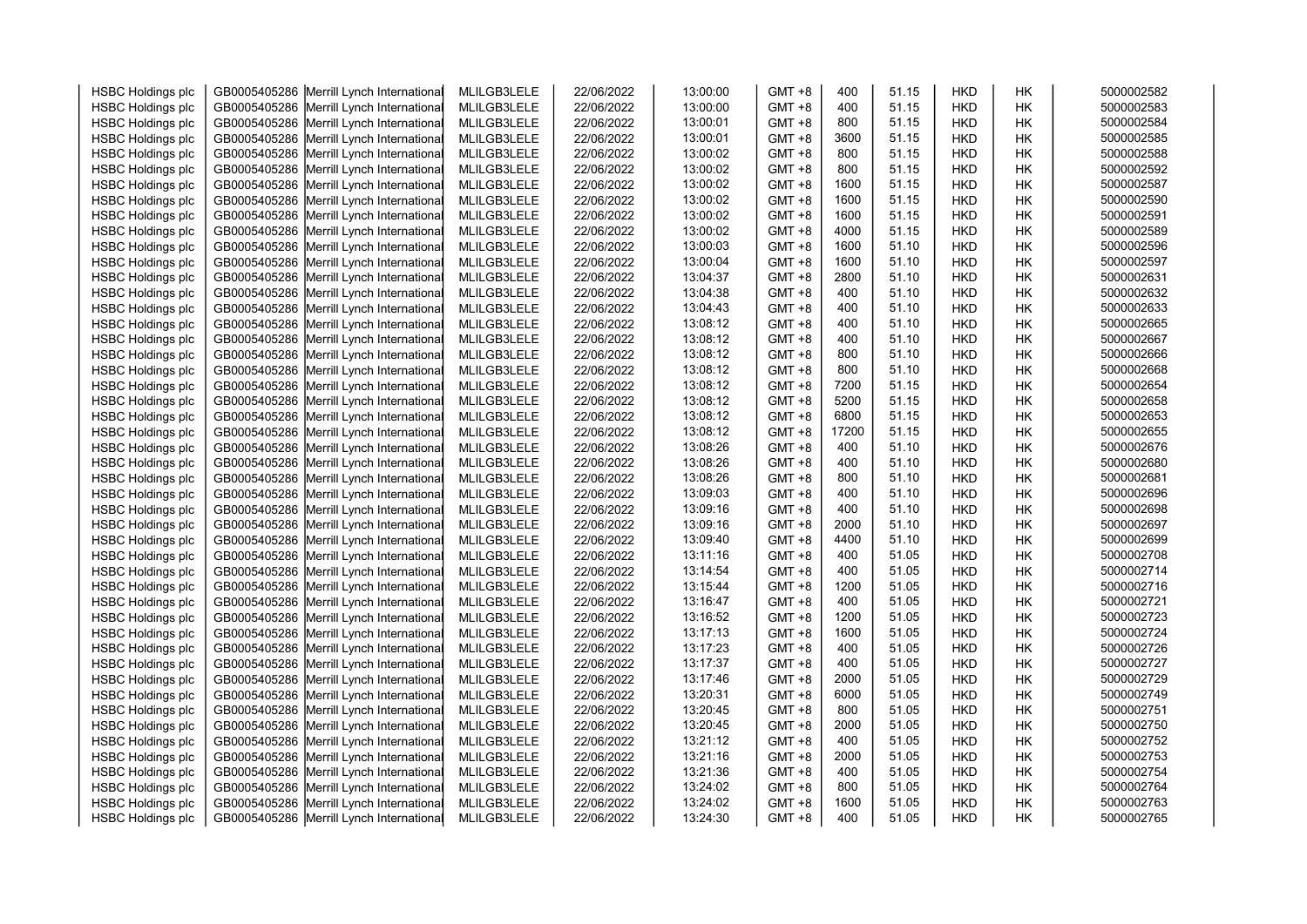| <b>HSBC Holdings plc</b> | GB0005405286 | Merrill Lynch International              | MLILGB3LELE | 22/06/2022 | 13:00:00 | $GMT + 8$ | 400   | 51.15 | <b>HKD</b> | <b>HK</b> | 5000002582 |
|--------------------------|--------------|------------------------------------------|-------------|------------|----------|-----------|-------|-------|------------|-----------|------------|
| <b>HSBC Holdings plc</b> | GB0005405286 | Merrill Lynch International              | MLILGB3LELE | 22/06/2022 | 13:00:00 | $GMT + 8$ | 400   | 51.15 | <b>HKD</b> | HК        | 5000002583 |
| <b>HSBC Holdings plc</b> | GB0005405286 | Merrill Lynch International              | MLILGB3LELE | 22/06/2022 | 13:00:01 | $GMT + 8$ | 800   | 51.15 | <b>HKD</b> | HК        | 5000002584 |
| <b>HSBC Holdings plc</b> | GB0005405286 | Merrill Lynch International              | MLILGB3LELE | 22/06/2022 | 13:00:01 | $GMT + 8$ | 3600  | 51.15 | <b>HKD</b> | HK        | 5000002585 |
| <b>HSBC Holdings plc</b> | GB0005405286 | Merrill Lynch International              | MLILGB3LELE | 22/06/2022 | 13:00:02 | $GMT + 8$ | 800   | 51.15 | <b>HKD</b> | HK        | 5000002588 |
| <b>HSBC Holdings plc</b> | GB0005405286 | Merrill Lynch International              | MLILGB3LELE | 22/06/2022 | 13:00:02 | $GMT + 8$ | 800   | 51.15 | <b>HKD</b> | HK        | 5000002592 |
| <b>HSBC Holdings plc</b> | GB0005405286 | Merrill Lynch International              | MLILGB3LELE | 22/06/2022 | 13:00:02 | $GMT + 8$ | 1600  | 51.15 | <b>HKD</b> | HK        | 5000002587 |
| <b>HSBC Holdings plc</b> | GB0005405286 | Merrill Lynch International              | MLILGB3LELE | 22/06/2022 | 13:00:02 | $GMT + 8$ | 1600  | 51.15 | <b>HKD</b> | HK        | 5000002590 |
| <b>HSBC Holdings plc</b> | GB0005405286 | Merrill Lynch International              | MLILGB3LELE | 22/06/2022 | 13:00:02 | $GMT + 8$ | 1600  | 51.15 | <b>HKD</b> | HK        | 5000002591 |
| <b>HSBC Holdings plc</b> | GB0005405286 | Merrill Lynch International              | MLILGB3LELE | 22/06/2022 | 13:00:02 | $GMT + 8$ | 4000  | 51.15 | <b>HKD</b> | HK        | 5000002589 |
| <b>HSBC Holdings plc</b> | GB0005405286 | Merrill Lynch International              | MLILGB3LELE | 22/06/2022 | 13:00:03 | $GMT + 8$ | 1600  | 51.10 | <b>HKD</b> | HК        | 5000002596 |
| <b>HSBC Holdings plc</b> | GB0005405286 | Merrill Lynch International              | MLILGB3LELE | 22/06/2022 | 13:00:04 | $GMT + 8$ | 1600  | 51.10 | <b>HKD</b> | HK        | 5000002597 |
| <b>HSBC Holdings plc</b> | GB0005405286 | Merrill Lynch International              | MLILGB3LELE | 22/06/2022 | 13:04:37 | $GMT + 8$ | 2800  | 51.10 | <b>HKD</b> | HK        | 5000002631 |
| <b>HSBC Holdings plc</b> | GB0005405286 | Merrill Lynch International              | MLILGB3LELE | 22/06/2022 | 13:04:38 | $GMT + 8$ | 400   | 51.10 | <b>HKD</b> | HK        | 5000002632 |
| <b>HSBC Holdings plc</b> | GB0005405286 | Merrill Lynch International              | MLILGB3LELE | 22/06/2022 | 13:04:43 | $GMT + 8$ | 400   | 51.10 | HKD        | HK        | 5000002633 |
| <b>HSBC Holdings plc</b> | GB0005405286 | Merrill Lynch International              | MLILGB3LELE | 22/06/2022 | 13:08:12 | $GMT + 8$ | 400   | 51.10 | <b>HKD</b> | HK        | 5000002665 |
| <b>HSBC Holdings plc</b> | GB0005405286 | Merrill Lynch International              | MLILGB3LELE | 22/06/2022 | 13:08:12 | $GMT + 8$ | 400   | 51.10 | <b>HKD</b> | HK        | 5000002667 |
| <b>HSBC Holdings plc</b> | GB0005405286 | Merrill Lynch International              | MLILGB3LELE | 22/06/2022 | 13:08:12 | $GMT + 8$ | 800   | 51.10 | <b>HKD</b> | HK        | 5000002666 |
| <b>HSBC Holdings plc</b> | GB0005405286 | Merrill Lynch International              | MLILGB3LELE | 22/06/2022 | 13:08:12 | $GMT + 8$ | 800   | 51.10 | <b>HKD</b> | <b>HK</b> | 5000002668 |
| <b>HSBC Holdings plc</b> | GB0005405286 | Merrill Lynch International              | MLILGB3LELE | 22/06/2022 | 13:08:12 | $GMT + 8$ | 7200  | 51.15 | <b>HKD</b> | HK        | 5000002654 |
| <b>HSBC Holdings plc</b> | GB0005405286 | Merrill Lynch International              | MLILGB3LELE | 22/06/2022 | 13:08:12 | $GMT + 8$ | 5200  | 51.15 | <b>HKD</b> | HK        | 5000002658 |
| <b>HSBC Holdings plc</b> | GB0005405286 | Merrill Lynch International              | MLILGB3LELE | 22/06/2022 | 13:08:12 | $GMT + 8$ | 6800  | 51.15 | <b>HKD</b> | HK        | 5000002653 |
| <b>HSBC Holdings plc</b> | GB0005405286 | Merrill Lynch International              | MLILGB3LELE | 22/06/2022 | 13:08:12 | $GMT + 8$ | 17200 | 51.15 | <b>HKD</b> | HK        | 5000002655 |
| <b>HSBC Holdings plc</b> | GB0005405286 | Merrill Lynch International              | MLILGB3LELE | 22/06/2022 | 13:08:26 | $GMT + 8$ | 400   | 51.10 | <b>HKD</b> | HK        | 5000002676 |
| <b>HSBC Holdings plc</b> | GB0005405286 | Merrill Lynch International              | MLILGB3LELE | 22/06/2022 | 13:08:26 | $GMT + 8$ | 400   | 51.10 | <b>HKD</b> | HK        | 5000002680 |
| <b>HSBC Holdings plc</b> | GB0005405286 | Merrill Lynch International              | MLILGB3LELE | 22/06/2022 | 13:08:26 | $GMT + 8$ | 800   | 51.10 | <b>HKD</b> | НK        | 5000002681 |
| <b>HSBC Holdings plc</b> | GB0005405286 | Merrill Lynch International              | MLILGB3LELE | 22/06/2022 | 13:09:03 | $GMT + 8$ | 400   | 51.10 | <b>HKD</b> | <b>HK</b> | 5000002696 |
| <b>HSBC Holdings plc</b> | GB0005405286 | Merrill Lynch International              | MLILGB3LELE | 22/06/2022 | 13:09:16 | $GMT + 8$ | 400   | 51.10 | <b>HKD</b> | HК        | 5000002698 |
| <b>HSBC Holdings plc</b> | GB0005405286 | Merrill Lynch International              | MLILGB3LELE | 22/06/2022 | 13:09:16 | $GMT + 8$ | 2000  | 51.10 | <b>HKD</b> | HK        | 5000002697 |
| <b>HSBC Holdings plc</b> | GB0005405286 | Merrill Lynch International              | MLILGB3LELE | 22/06/2022 | 13:09:40 | $GMT + 8$ | 4400  | 51.10 | <b>HKD</b> | HK        | 5000002699 |
| <b>HSBC Holdings plc</b> | GB0005405286 | Merrill Lynch International              | MLILGB3LELE | 22/06/2022 | 13:11:16 | $GMT + 8$ | 400   | 51.05 | HKD        | HK        | 5000002708 |
| <b>HSBC Holdings plc</b> | GB0005405286 | Merrill Lynch International              | MLILGB3LELE | 22/06/2022 | 13:14:54 | $GMT + 8$ | 400   | 51.05 | <b>HKD</b> | HK        | 5000002714 |
| <b>HSBC Holdings plc</b> | GB0005405286 | Merrill Lynch International              | MLILGB3LELE | 22/06/2022 | 13:15:44 | $GMT + 8$ | 1200  | 51.05 | <b>HKD</b> | HK        | 5000002716 |
| <b>HSBC Holdings plc</b> | GB0005405286 | Merrill Lynch International              | MLILGB3LELE | 22/06/2022 | 13:16:47 | $GMT + 8$ | 400   | 51.05 | <b>HKD</b> | НK        | 5000002721 |
| <b>HSBC Holdings plc</b> | GB0005405286 | Merrill Lynch International              | MLILGB3LELE | 22/06/2022 | 13:16:52 | $GMT + 8$ | 1200  | 51.05 | <b>HKD</b> | HK        | 5000002723 |
| <b>HSBC Holdings plc</b> | GB0005405286 | Merrill Lynch International              | MLILGB3LELE | 22/06/2022 | 13:17:13 | $GMT + 8$ | 1600  | 51.05 | <b>HKD</b> | HК        | 5000002724 |
| <b>HSBC Holdings plc</b> | GB0005405286 | Merrill Lynch International              | MLILGB3LELE | 22/06/2022 | 13:17:23 | $GMT + 8$ | 400   | 51.05 | <b>HKD</b> | <b>HK</b> | 5000002726 |
| <b>HSBC Holdings plc</b> | GB0005405286 | Merrill Lynch International              | MLILGB3LELE | 22/06/2022 | 13:17:37 | $GMT + 8$ | 400   | 51.05 | <b>HKD</b> | HK        | 5000002727 |
| <b>HSBC Holdings plc</b> | GB0005405286 | Merrill Lynch International              | MLILGB3LELE | 22/06/2022 | 13:17:46 | $GMT + 8$ | 2000  | 51.05 | <b>HKD</b> | HK        | 5000002729 |
| <b>HSBC Holdings plc</b> | GB0005405286 | Merrill Lynch International              | MLILGB3LELE | 22/06/2022 | 13:20:31 | $GMT + 8$ | 6000  | 51.05 | <b>HKD</b> | HK        | 5000002749 |
| <b>HSBC Holdings plc</b> | GB0005405286 | Merrill Lynch International              | MLILGB3LELE | 22/06/2022 | 13:20:45 | $GMT + 8$ | 800   | 51.05 | <b>HKD</b> | HK        | 5000002751 |
| <b>HSBC Holdings plc</b> | GB0005405286 | Merrill Lynch International              | MLILGB3LELE | 22/06/2022 | 13:20:45 | $GMT + 8$ | 2000  | 51.05 | <b>HKD</b> | HK        | 5000002750 |
| <b>HSBC Holdings plc</b> | GB0005405286 | Merrill Lynch International              | MLILGB3LELE | 22/06/2022 | 13:21:12 | $GMT + 8$ | 400   | 51.05 | <b>HKD</b> | HK        | 5000002752 |
| <b>HSBC Holdings plc</b> | GB0005405286 | Merrill Lynch International              | MLILGB3LELE | 22/06/2022 | 13:21:16 | $GMT + 8$ | 2000  | 51.05 | <b>HKD</b> | HК        | 5000002753 |
| <b>HSBC Holdings plc</b> | GB0005405286 | Merrill Lynch International              | MLILGB3LELE | 22/06/2022 | 13:21:36 | $GMT + 8$ | 400   | 51.05 | <b>HKD</b> | HК        | 5000002754 |
| <b>HSBC Holdings plc</b> | GB0005405286 | Merrill Lynch International              | MLILGB3LELE | 22/06/2022 | 13:24:02 | $GMT + 8$ | 800   | 51.05 | <b>HKD</b> | HK        | 5000002764 |
| <b>HSBC Holdings plc</b> | GB0005405286 | Merrill Lynch International              | MLILGB3LELE | 22/06/2022 | 13:24:02 | $GMT + 8$ | 1600  | 51.05 | <b>HKD</b> | HK        | 5000002763 |
| <b>HSBC Holdings plc</b> |              | GB0005405286 Merrill Lynch International | MLILGB3LELE | 22/06/2022 | 13:24:30 | $GMT + 8$ | 400   | 51.05 | <b>HKD</b> | <b>HK</b> | 5000002765 |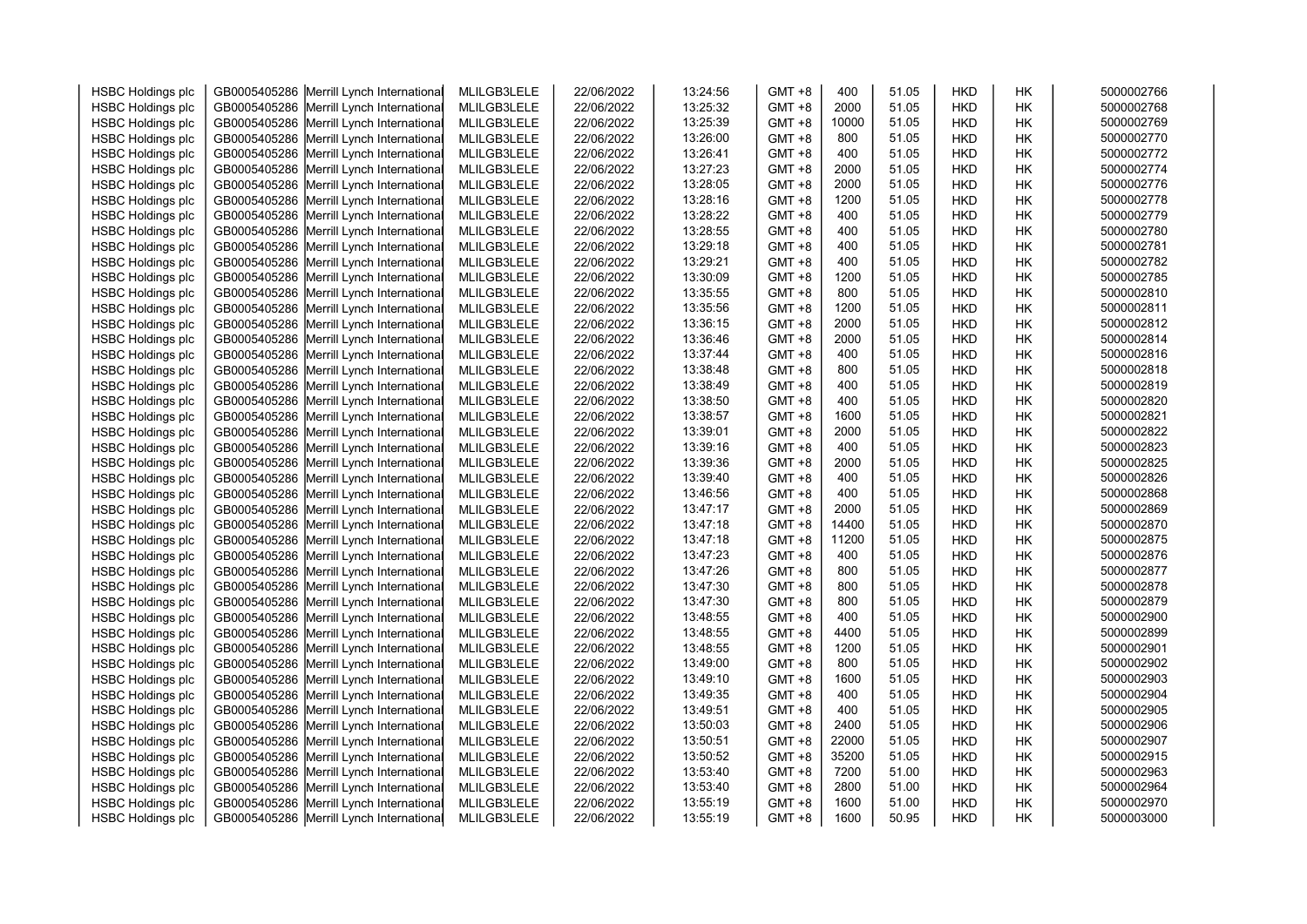| <b>HSBC Holdings plc</b> | GB0005405286 | Merrill Lynch International              | MLILGB3LELE | 22/06/2022 | 13:24:56 | $GMT + 8$ | 400   | 51.05 | <b>HKD</b> | <b>HK</b> | 5000002766 |
|--------------------------|--------------|------------------------------------------|-------------|------------|----------|-----------|-------|-------|------------|-----------|------------|
| <b>HSBC Holdings plc</b> | GB0005405286 | Merrill Lynch International              | MLILGB3LELE | 22/06/2022 | 13:25:32 | $GMT + 8$ | 2000  | 51.05 | <b>HKD</b> | HК        | 5000002768 |
| <b>HSBC Holdings plc</b> | GB0005405286 | Merrill Lynch International              | MLILGB3LELE | 22/06/2022 | 13:25:39 | $GMT + 8$ | 10000 | 51.05 | <b>HKD</b> | HК        | 5000002769 |
| <b>HSBC Holdings plc</b> | GB0005405286 | Merrill Lynch International              | MLILGB3LELE | 22/06/2022 | 13:26:00 | $GMT + 8$ | 800   | 51.05 | <b>HKD</b> | HK        | 5000002770 |
| <b>HSBC Holdings plc</b> | GB0005405286 | Merrill Lynch International              | MLILGB3LELE | 22/06/2022 | 13:26:41 | $GMT + 8$ | 400   | 51.05 | <b>HKD</b> | HK        | 5000002772 |
| <b>HSBC Holdings plc</b> | GB0005405286 | Merrill Lynch International              | MLILGB3LELE | 22/06/2022 | 13:27:23 | $GMT + 8$ | 2000  | 51.05 | <b>HKD</b> | HK        | 5000002774 |
| <b>HSBC Holdings plc</b> | GB0005405286 | Merrill Lynch International              | MLILGB3LELE | 22/06/2022 | 13:28:05 | $GMT + 8$ | 2000  | 51.05 | <b>HKD</b> | HK        | 5000002776 |
| <b>HSBC Holdings plc</b> | GB0005405286 | Merrill Lynch International              | MLILGB3LELE | 22/06/2022 | 13:28:16 | $GMT + 8$ | 1200  | 51.05 | <b>HKD</b> | HK        | 5000002778 |
| <b>HSBC Holdings plc</b> | GB0005405286 | Merrill Lynch International              | MLILGB3LELE | 22/06/2022 | 13:28:22 | $GMT + 8$ | 400   | 51.05 | <b>HKD</b> | HK        | 5000002779 |
| <b>HSBC Holdings plc</b> | GB0005405286 | Merrill Lynch International              | MLILGB3LELE | 22/06/2022 | 13:28:55 | $GMT + 8$ | 400   | 51.05 | <b>HKD</b> | HK        | 5000002780 |
| <b>HSBC Holdings plc</b> | GB0005405286 | Merrill Lynch International              | MLILGB3LELE | 22/06/2022 | 13:29:18 | $GMT + 8$ | 400   | 51.05 | <b>HKD</b> | HК        | 5000002781 |
| <b>HSBC Holdings plc</b> | GB0005405286 | Merrill Lynch International              | MLILGB3LELE | 22/06/2022 | 13:29:21 | $GMT + 8$ | 400   | 51.05 | <b>HKD</b> | HK        | 5000002782 |
| <b>HSBC Holdings plc</b> | GB0005405286 | Merrill Lynch International              | MLILGB3LELE | 22/06/2022 | 13:30:09 | $GMT + 8$ | 1200  | 51.05 | <b>HKD</b> | HK        | 5000002785 |
| <b>HSBC Holdings plc</b> | GB0005405286 | Merrill Lynch International              | MLILGB3LELE | 22/06/2022 | 13:35:55 | $GMT + 8$ | 800   | 51.05 | <b>HKD</b> | HK        | 5000002810 |
| <b>HSBC Holdings plc</b> | GB0005405286 | Merrill Lynch International              | MLILGB3LELE | 22/06/2022 | 13:35:56 | $GMT + 8$ | 1200  | 51.05 | HKD        | HK        | 5000002811 |
| <b>HSBC Holdings plc</b> | GB0005405286 | Merrill Lynch International              | MLILGB3LELE | 22/06/2022 | 13:36:15 | $GMT + 8$ | 2000  | 51.05 | <b>HKD</b> | HK        | 5000002812 |
| <b>HSBC Holdings plc</b> | GB0005405286 | Merrill Lynch International              | MLILGB3LELE | 22/06/2022 | 13:36:46 | $GMT + 8$ | 2000  | 51.05 | <b>HKD</b> | HK        | 5000002814 |
| <b>HSBC Holdings plc</b> | GB0005405286 | Merrill Lynch International              | MLILGB3LELE | 22/06/2022 | 13:37:44 | $GMT + 8$ | 400   | 51.05 | <b>HKD</b> | HK        | 5000002816 |
| <b>HSBC Holdings plc</b> | GB0005405286 | Merrill Lynch International              | MLILGB3LELE | 22/06/2022 | 13:38:48 | $GMT + 8$ | 800   | 51.05 | <b>HKD</b> | <b>HK</b> | 5000002818 |
| <b>HSBC Holdings plc</b> | GB0005405286 | Merrill Lynch International              | MLILGB3LELE | 22/06/2022 | 13:38:49 | $GMT + 8$ | 400   | 51.05 | <b>HKD</b> | HK        | 5000002819 |
| <b>HSBC Holdings plc</b> | GB0005405286 | Merrill Lynch International              | MLILGB3LELE | 22/06/2022 | 13:38:50 | $GMT + 8$ | 400   | 51.05 | <b>HKD</b> | HK        | 5000002820 |
| <b>HSBC Holdings plc</b> | GB0005405286 | Merrill Lynch International              | MLILGB3LELE | 22/06/2022 | 13:38:57 | $GMT + 8$ | 1600  | 51.05 | <b>HKD</b> | HK        | 5000002821 |
| <b>HSBC Holdings plc</b> | GB0005405286 | Merrill Lynch International              | MLILGB3LELE | 22/06/2022 | 13:39:01 | $GMT + 8$ | 2000  | 51.05 | <b>HKD</b> | HK        | 5000002822 |
| <b>HSBC Holdings plc</b> | GB0005405286 | Merrill Lynch International              | MLILGB3LELE | 22/06/2022 | 13:39:16 | $GMT + 8$ | 400   | 51.05 | <b>HKD</b> | HK        | 5000002823 |
| <b>HSBC Holdings plc</b> | GB0005405286 | Merrill Lynch International              | MLILGB3LELE | 22/06/2022 | 13:39:36 | $GMT + 8$ | 2000  | 51.05 | <b>HKD</b> | HK        | 5000002825 |
| <b>HSBC Holdings plc</b> | GB0005405286 | Merrill Lynch International              | MLILGB3LELE | 22/06/2022 | 13:39:40 | $GMT + 8$ | 400   | 51.05 | <b>HKD</b> | НK        | 5000002826 |
| <b>HSBC Holdings plc</b> | GB0005405286 | Merrill Lynch International              | MLILGB3LELE | 22/06/2022 | 13:46:56 | $GMT + 8$ | 400   | 51.05 | <b>HKD</b> | <b>HK</b> | 5000002868 |
| <b>HSBC Holdings plc</b> | GB0005405286 | Merrill Lynch International              | MLILGB3LELE | 22/06/2022 | 13:47:17 | $GMT + 8$ | 2000  | 51.05 | <b>HKD</b> | HК        | 5000002869 |
| <b>HSBC Holdings plc</b> | GB0005405286 | Merrill Lynch International              | MLILGB3LELE | 22/06/2022 | 13:47:18 | $GMT + 8$ | 14400 | 51.05 | <b>HKD</b> | HK        | 5000002870 |
| <b>HSBC Holdings plc</b> | GB0005405286 | Merrill Lynch International              | MLILGB3LELE | 22/06/2022 | 13:47:18 | $GMT + 8$ | 11200 | 51.05 | <b>HKD</b> | HK        | 5000002875 |
| <b>HSBC Holdings plc</b> | GB0005405286 | Merrill Lynch International              | MLILGB3LELE | 22/06/2022 | 13:47:23 | $GMT + 8$ | 400   | 51.05 | <b>HKD</b> | HK        | 5000002876 |
| <b>HSBC Holdings plc</b> | GB0005405286 | Merrill Lynch International              | MLILGB3LELE | 22/06/2022 | 13:47:26 | $GMT + 8$ | 800   | 51.05 | <b>HKD</b> | HK        | 5000002877 |
| <b>HSBC Holdings plc</b> | GB0005405286 | Merrill Lynch International              | MLILGB3LELE | 22/06/2022 | 13:47:30 | $GMT + 8$ | 800   | 51.05 | <b>HKD</b> | HK        | 5000002878 |
| <b>HSBC Holdings plc</b> | GB0005405286 | Merrill Lynch International              | MLILGB3LELE | 22/06/2022 | 13:47:30 | $GMT + 8$ | 800   | 51.05 | <b>HKD</b> | НK        | 5000002879 |
| <b>HSBC Holdings plc</b> | GB0005405286 | Merrill Lynch International              | MLILGB3LELE | 22/06/2022 | 13:48:55 | $GMT + 8$ | 400   | 51.05 | <b>HKD</b> | HK        | 5000002900 |
| <b>HSBC Holdings plc</b> | GB0005405286 | Merrill Lynch International              | MLILGB3LELE | 22/06/2022 | 13:48:55 | $GMT + 8$ | 4400  | 51.05 | <b>HKD</b> | HК        | 5000002899 |
| <b>HSBC Holdings plc</b> | GB0005405286 | Merrill Lynch International              | MLILGB3LELE | 22/06/2022 | 13:48:55 | $GMT + 8$ | 1200  | 51.05 | <b>HKD</b> | <b>HK</b> | 5000002901 |
| <b>HSBC Holdings plc</b> | GB0005405286 | Merrill Lynch International              | MLILGB3LELE | 22/06/2022 | 13:49:00 | $GMT + 8$ | 800   | 51.05 | <b>HKD</b> | HK        | 5000002902 |
| <b>HSBC Holdings plc</b> | GB0005405286 | Merrill Lynch International              | MLILGB3LELE | 22/06/2022 | 13:49:10 | $GMT + 8$ | 1600  | 51.05 | <b>HKD</b> | HK        | 5000002903 |
| <b>HSBC Holdings plc</b> | GB0005405286 | Merrill Lynch International              | MLILGB3LELE | 22/06/2022 | 13:49:35 | $GMT + 8$ | 400   | 51.05 | <b>HKD</b> | HK        | 5000002904 |
| <b>HSBC Holdings plc</b> | GB0005405286 | Merrill Lynch International              | MLILGB3LELE | 22/06/2022 | 13:49:51 | $GMT + 8$ | 400   | 51.05 | <b>HKD</b> | HK        | 5000002905 |
| <b>HSBC Holdings plc</b> | GB0005405286 | Merrill Lynch International              | MLILGB3LELE | 22/06/2022 | 13:50:03 | $GMT + 8$ | 2400  | 51.05 | <b>HKD</b> | HK        | 5000002906 |
| <b>HSBC Holdings plc</b> | GB0005405286 | Merrill Lynch International              | MLILGB3LELE | 22/06/2022 | 13:50:51 | $GMT + 8$ | 22000 | 51.05 | <b>HKD</b> | HK        | 5000002907 |
| <b>HSBC Holdings plc</b> | GB0005405286 | Merrill Lynch International              | MLILGB3LELE | 22/06/2022 | 13:50:52 | $GMT + 8$ | 35200 | 51.05 | <b>HKD</b> | HК        | 5000002915 |
| <b>HSBC Holdings plc</b> | GB0005405286 | Merrill Lynch International              | MLILGB3LELE | 22/06/2022 | 13:53:40 | $GMT + 8$ | 7200  | 51.00 | <b>HKD</b> | HК        | 5000002963 |
| <b>HSBC Holdings plc</b> | GB0005405286 | Merrill Lynch International              | MLILGB3LELE | 22/06/2022 | 13:53:40 | $GMT + 8$ | 2800  | 51.00 | <b>HKD</b> | HK        | 5000002964 |
| <b>HSBC Holdings plc</b> | GB0005405286 | Merrill Lynch International              | MLILGB3LELE | 22/06/2022 | 13:55:19 | $GMT + 8$ | 1600  | 51.00 | <b>HKD</b> | HK        | 5000002970 |
| <b>HSBC Holdings plc</b> |              | GB0005405286 Merrill Lynch International | MLILGB3LELE | 22/06/2022 | 13:55:19 | $GMT + 8$ | 1600  | 50.95 | <b>HKD</b> | <b>HK</b> | 5000003000 |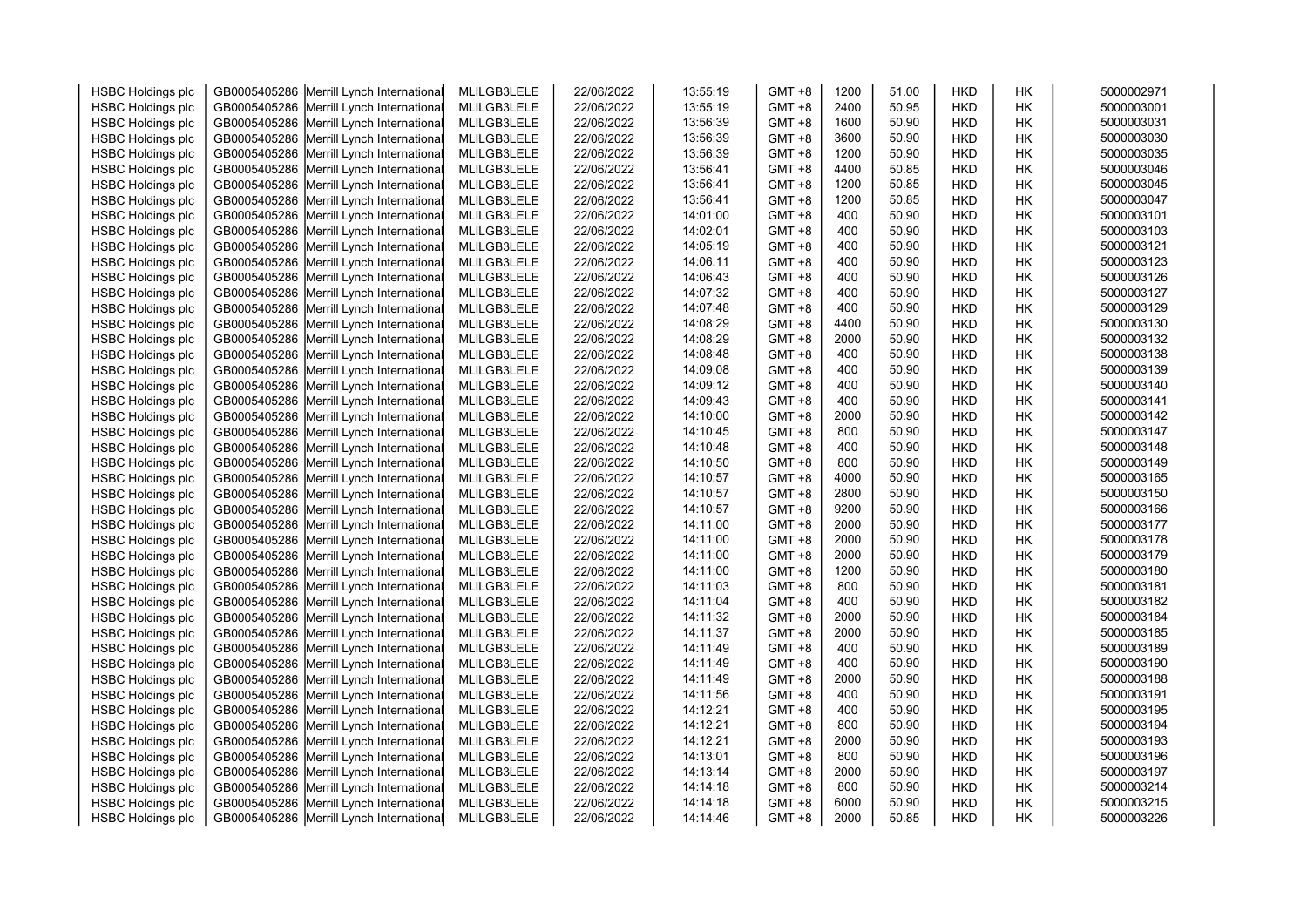| <b>HSBC Holdings plc</b>                             | GB0005405286 | Merrill Lynch International              | MLILGB3LELE | 22/06/2022 | 13:55:19 | GMT +8                 | 1200 | 51.00 | <b>HKD</b> | HΚ | 5000002971 |
|------------------------------------------------------|--------------|------------------------------------------|-------------|------------|----------|------------------------|------|-------|------------|----|------------|
| <b>HSBC Holdings plc</b>                             | GB0005405286 | Merrill Lynch International              | MLILGB3LELE | 22/06/2022 | 13:55:19 | GMT +8                 | 2400 | 50.95 | <b>HKD</b> | HΚ | 5000003001 |
| <b>HSBC Holdings plc</b>                             | GB0005405286 | Merrill Lynch International              | MLILGB3LELE | 22/06/2022 | 13:56:39 | <b>GMT +8</b>          | 1600 | 50.90 | <b>HKD</b> | HΚ | 5000003031 |
| <b>HSBC Holdings plc</b>                             | GB0005405286 | Merrill Lynch International              | MLILGB3LELE | 22/06/2022 | 13:56:39 | GMT +8                 | 3600 | 50.90 | <b>HKD</b> | HΚ | 5000003030 |
| <b>HSBC Holdings plc</b>                             | GB0005405286 | Merrill Lynch International              | MLILGB3LELE | 22/06/2022 | 13:56:39 | <b>GMT +8</b>          | 1200 | 50.90 | <b>HKD</b> | HΚ | 5000003035 |
| <b>HSBC Holdings plc</b>                             | GB0005405286 | Merrill Lynch International              | MLILGB3LELE | 22/06/2022 | 13:56:41 | GMT +8                 | 4400 | 50.85 | <b>HKD</b> | HΚ | 5000003046 |
| <b>HSBC Holdings plc</b>                             | GB0005405286 | Merrill Lynch International              | MLILGB3LELE | 22/06/2022 | 13:56:41 | GMT +8                 | 1200 | 50.85 | HKD        | HΚ | 5000003045 |
| <b>HSBC Holdings plc</b>                             | GB0005405286 | Merrill Lynch International              | MLILGB3LELE | 22/06/2022 | 13:56:41 | GMT +8                 | 1200 | 50.85 | <b>HKD</b> | НK | 5000003047 |
| <b>HSBC Holdings plc</b>                             | GB0005405286 | Merrill Lynch International              | MLILGB3LELE | 22/06/2022 | 14:01:00 | $GMT + 8$              | 400  | 50.90 | <b>HKD</b> | HΚ | 5000003101 |
| <b>HSBC Holdings plc</b>                             | GB0005405286 | Merrill Lynch International              | MLILGB3LELE | 22/06/2022 | 14:02:01 | GMT +8                 | 400  | 50.90 | <b>HKD</b> | HΚ | 5000003103 |
| <b>HSBC Holdings plc</b>                             | GB0005405286 | Merrill Lynch International              | MLILGB3LELE | 22/06/2022 | 14:05:19 | $GMT + 8$              | 400  | 50.90 | <b>HKD</b> | HΚ | 5000003121 |
| <b>HSBC Holdings plc</b>                             | GB0005405286 | Merrill Lynch International              | MLILGB3LELE | 22/06/2022 | 14:06:11 | GMT +8                 | 400  | 50.90 | <b>HKD</b> | HΚ | 5000003123 |
| <b>HSBC Holdings plc</b>                             | GB0005405286 | Merrill Lynch International              | MLILGB3LELE | 22/06/2022 | 14:06:43 | $GMT + 8$              | 400  | 50.90 | <b>HKD</b> | НK | 5000003126 |
| <b>HSBC Holdings plc</b>                             | GB0005405286 | Merrill Lynch International              | MLILGB3LELE | 22/06/2022 | 14:07:32 | GMT +8                 | 400  | 50.90 | HKD        | HΚ | 5000003127 |
| <b>HSBC Holdings plc</b>                             | GB0005405286 | Merrill Lynch International              | MLILGB3LELE | 22/06/2022 | 14:07:48 | GMT +8                 | 400  | 50.90 | HKD        | НK | 5000003129 |
| <b>HSBC Holdings plc</b>                             | GB0005405286 | Merrill Lynch International              | MLILGB3LELE | 22/06/2022 | 14:08:29 | $GMT + 8$              | 4400 | 50.90 | <b>HKD</b> | НK | 5000003130 |
| <b>HSBC Holdings plc</b>                             | GB0005405286 | Merrill Lynch International              | MLILGB3LELE | 22/06/2022 | 14:08:29 | GMT +8                 | 2000 | 50.90 | <b>HKD</b> | HΚ | 5000003132 |
| <b>HSBC Holdings plc</b>                             | GB0005405286 | Merrill Lynch International              | MLILGB3LELE | 22/06/2022 | 14:08:48 | GMT +8                 | 400  | 50.90 | HKD        | HК | 5000003138 |
| <b>HSBC Holdings plc</b>                             | GB0005405286 | Merrill Lynch International              | MLILGB3LELE | 22/06/2022 | 14:09:08 | $GMT + 8$              | 400  | 50.90 | <b>HKD</b> | HΚ | 5000003139 |
| <b>HSBC Holdings plc</b>                             | GB0005405286 | Merrill Lynch International              | MLILGB3LELE | 22/06/2022 | 14:09:12 | GMT +8                 | 400  | 50.90 | <b>HKD</b> | HΚ | 5000003140 |
| <b>HSBC Holdings plc</b>                             | GB0005405286 | Merrill Lynch International              | MLILGB3LELE | 22/06/2022 | 14:09:43 | GMT +8                 | 400  | 50.90 | <b>HKD</b> | HΚ | 5000003141 |
| <b>HSBC Holdings plc</b>                             | GB0005405286 | Merrill Lynch International              | MLILGB3LELE | 22/06/2022 | 14:10:00 | GMT +8                 | 2000 | 50.90 | <b>HKD</b> | HΚ | 5000003142 |
| <b>HSBC Holdings plc</b>                             | GB0005405286 | Merrill Lynch International              | MLILGB3LELE | 22/06/2022 | 14:10:45 | GMT +8                 | 800  | 50.90 | HKD        | HΚ | 5000003147 |
| <b>HSBC Holdings plc</b>                             | GB0005405286 | Merrill Lynch International              | MLILGB3LELE | 22/06/2022 | 14:10:48 | GMT +8                 | 400  | 50.90 | HKD        | HΚ | 5000003148 |
| <b>HSBC Holdings plc</b>                             | GB0005405286 | Merrill Lynch International              | MLILGB3LELE | 22/06/2022 | 14:10:50 | GMT +8                 | 800  | 50.90 | <b>HKD</b> | HΚ | 5000003149 |
| <b>HSBC Holdings plc</b>                             | GB0005405286 | Merrill Lynch International              | MLILGB3LELE | 22/06/2022 | 14:10:57 | $GMT + 8$              | 4000 | 50.90 | HKD        | НK | 5000003165 |
| <b>HSBC Holdings plc</b>                             | GB0005405286 | Merrill Lynch International              | MLILGB3LELE | 22/06/2022 | 14:10:57 | $GMT + 8$              | 2800 | 50.90 | <b>HKD</b> | HΚ | 5000003150 |
| <b>HSBC Holdings plc</b>                             | GB0005405286 | Merrill Lynch International              | MLILGB3LELE | 22/06/2022 | 14:10:57 | $GMT + 8$              | 9200 | 50.90 | <b>HKD</b> | HΚ | 5000003166 |
| <b>HSBC Holdings plc</b>                             | GB0005405286 | Merrill Lynch International              | MLILGB3LELE | 22/06/2022 | 14:11:00 | $GMT + 8$              | 2000 | 50.90 | <b>HKD</b> | HΚ | 5000003177 |
|                                                      | GB0005405286 |                                          | MLILGB3LELE |            | 14:11:00 | GMT +8                 | 2000 | 50.90 | <b>HKD</b> | HΚ | 5000003178 |
| <b>HSBC Holdings plc</b><br><b>HSBC Holdings plc</b> |              | Merrill Lynch International              | MLILGB3LELE | 22/06/2022 | 14:11:00 | GMT +8                 | 2000 | 50.90 |            |    | 5000003179 |
|                                                      | GB0005405286 | Merrill Lynch International              |             | 22/06/2022 | 14:11:00 | $GMT + 8$              | 1200 | 50.90 | HKD        | НK | 5000003180 |
| <b>HSBC Holdings plc</b>                             | GB0005405286 | Merrill Lynch International              | MLILGB3LELE | 22/06/2022 | 14:11:03 |                        | 800  | 50.90 | HKD        | HΚ |            |
| <b>HSBC Holdings plc</b>                             | GB0005405286 | Merrill Lynch International              | MLILGB3LELE | 22/06/2022 | 14:11:04 | $GMT + 8$<br>$GMT + 8$ | 400  | 50.90 | HKD        | HΚ | 5000003181 |
| <b>HSBC Holdings plc</b>                             | GB0005405286 | Merrill Lynch International              | MLILGB3LELE | 22/06/2022 |          |                        | 2000 |       | HKD        | НK | 5000003182 |
| <b>HSBC Holdings plc</b>                             | GB0005405286 | Merrill Lynch International              | MLILGB3LELE | 22/06/2022 | 14:11:32 | GMT +8                 |      | 50.90 | <b>HKD</b> | НK | 5000003184 |
| <b>HSBC Holdings plc</b>                             | GB0005405286 | Merrill Lynch International              | MLILGB3LELE | 22/06/2022 | 14:11:37 | GMT +8                 | 2000 | 50.90 | HKD        | HΚ | 5000003185 |
| <b>HSBC Holdings plc</b>                             | GB0005405286 | Merrill Lynch International              | MLILGB3LELE | 22/06/2022 | 14:11:49 | $GMT + 8$              | 400  | 50.90 | <b>HKD</b> | HΚ | 5000003189 |
| <b>HSBC Holdings plc</b>                             | GB0005405286 | Merrill Lynch International              | MLILGB3LELE | 22/06/2022 | 14:11:49 | GMT +8                 | 400  | 50.90 | <b>HKD</b> | HΚ | 5000003190 |
| <b>HSBC Holdings plc</b>                             | GB0005405286 | Merrill Lynch International              | MLILGB3LELE | 22/06/2022 | 14:11:49 | GMT +8                 | 2000 | 50.90 | HKD        | HΚ | 5000003188 |
| <b>HSBC Holdings plc</b>                             | GB0005405286 | Merrill Lynch International              | MLILGB3LELE | 22/06/2022 | 14:11:56 | $GMT + 8$              | 400  | 50.90 | <b>HKD</b> | HΚ | 5000003191 |
| <b>HSBC Holdings plc</b>                             | GB0005405286 | Merrill Lynch International              | MLILGB3LELE | 22/06/2022 | 14:12:21 | GMT +8                 | 400  | 50.90 | HKD        | HΚ | 5000003195 |
| <b>HSBC Holdings plc</b>                             | GB0005405286 | Merrill Lynch International              | MLILGB3LELE | 22/06/2022 | 14:12:21 | $GMT + 8$              | 800  | 50.90 | <b>HKD</b> | НK | 5000003194 |
| <b>HSBC Holdings plc</b>                             | GB0005405286 | Merrill Lynch International              | MLILGB3LELE | 22/06/2022 | 14:12:21 | $GMT + 8$              | 2000 | 50.90 | <b>HKD</b> | HΚ | 5000003193 |
| <b>HSBC Holdings plc</b>                             | GB0005405286 | Merrill Lynch International              | MLILGB3LELE | 22/06/2022 | 14:13:01 | GMT +8                 | 800  | 50.90 | <b>HKD</b> | HΚ | 5000003196 |
| <b>HSBC Holdings plc</b>                             | GB0005405286 | Merrill Lynch International              | MLILGB3LELE | 22/06/2022 | 14:13:14 | $GMT + 8$              | 2000 | 50.90 | HKD        | HΚ | 5000003197 |
| <b>HSBC Holdings plc</b>                             | GB0005405286 | Merrill Lynch International              | MLILGB3LELE | 22/06/2022 | 14:14:18 | <b>GMT +8</b>          | 800  | 50.90 | <b>HKD</b> | HΚ | 5000003214 |
| <b>HSBC Holdings plc</b>                             | GB0005405286 | Merrill Lynch International              | MLILGB3LELE | 22/06/2022 | 14:14:18 | GMT +8                 | 6000 | 50.90 | HKD        | HΚ | 5000003215 |
| <b>HSBC Holdings plc</b>                             |              | GB0005405286 Merrill Lynch International | MLILGB3LELE | 22/06/2022 | 14:14:46 | <b>GMT +8</b>          | 2000 | 50.85 | <b>HKD</b> | НK | 5000003226 |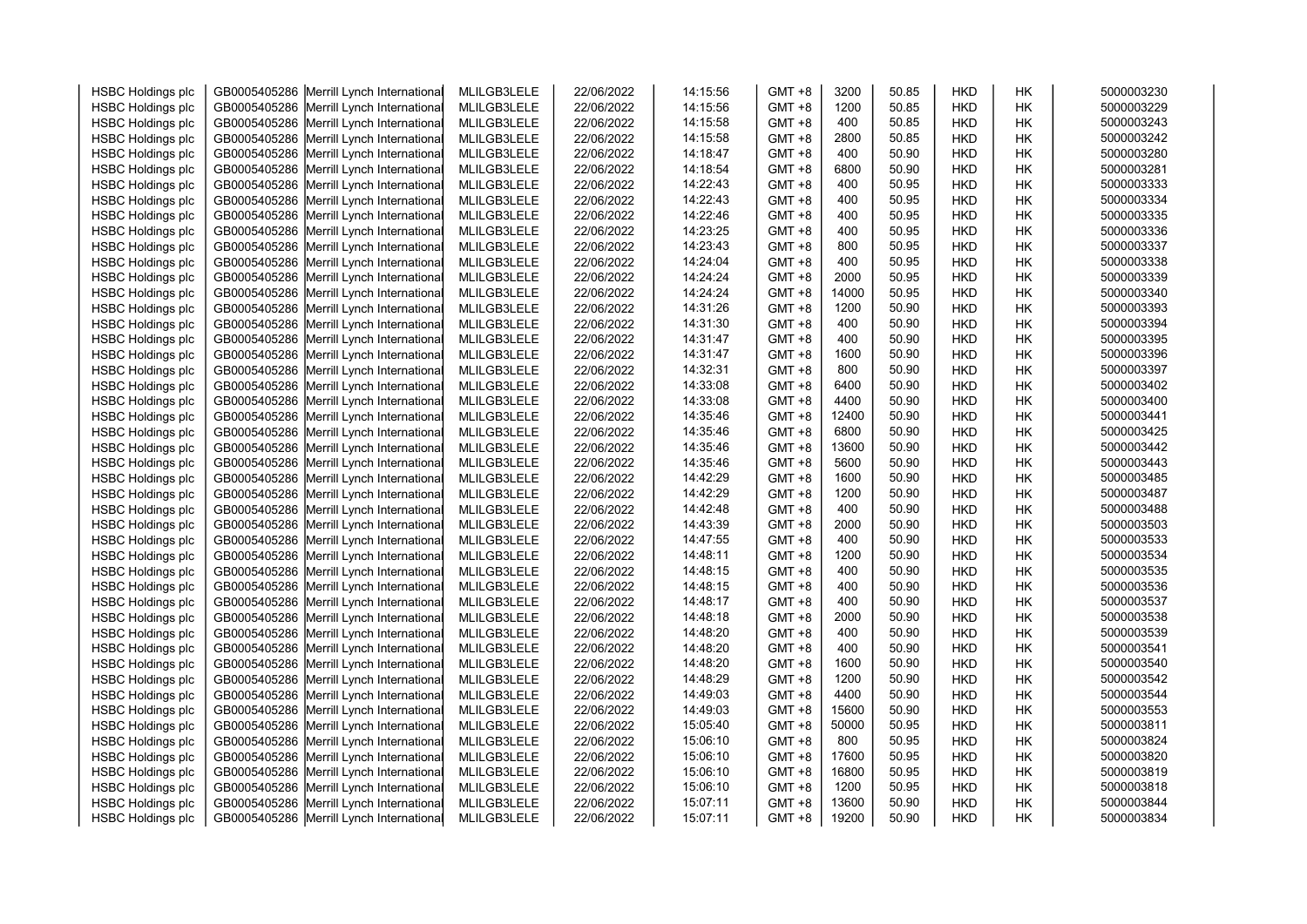| <b>HSBC Holdings plc</b> | GB0005405286 | Merrill Lynch International              | MLILGB3LELE | 22/06/2022 | 14:15:56 | $GMT + 8$ | 3200  | 50.85 | <b>HKD</b> | HК        | 5000003230 |
|--------------------------|--------------|------------------------------------------|-------------|------------|----------|-----------|-------|-------|------------|-----------|------------|
| <b>HSBC Holdings plc</b> | GB0005405286 | Merrill Lynch International              | MLILGB3LELE | 22/06/2022 | 14:15:56 | $GMT + 8$ | 1200  | 50.85 | <b>HKD</b> | HK        | 5000003229 |
| <b>HSBC Holdings plc</b> | GB0005405286 | Merrill Lynch International              | MLILGB3LELE | 22/06/2022 | 14:15:58 | $GMT + 8$ | 400   | 50.85 | <b>HKD</b> | HK        | 5000003243 |
| <b>HSBC Holdings plc</b> | GB0005405286 | Merrill Lynch International              | MLILGB3LELE | 22/06/2022 | 14:15:58 | $GMT + 8$ | 2800  | 50.85 | <b>HKD</b> | HK        | 5000003242 |
| <b>HSBC Holdings plc</b> | GB0005405286 | Merrill Lynch International              | MLILGB3LELE | 22/06/2022 | 14:18:47 | $GMT + 8$ | 400   | 50.90 | <b>HKD</b> | HK        | 5000003280 |
| <b>HSBC Holdings plc</b> | GB0005405286 | Merrill Lynch International              | MLILGB3LELE | 22/06/2022 | 14:18:54 | $GMT + 8$ | 6800  | 50.90 | <b>HKD</b> | HK        | 5000003281 |
| <b>HSBC Holdings plc</b> | GB0005405286 | Merrill Lynch International              | MLILGB3LELE | 22/06/2022 | 14:22:43 | $GMT + 8$ | 400   | 50.95 | <b>HKD</b> | HK        | 5000003333 |
| <b>HSBC Holdings plc</b> | GB0005405286 | Merrill Lynch International              | MLILGB3LELE | 22/06/2022 | 14:22:43 | $GMT + 8$ | 400   | 50.95 | <b>HKD</b> | HK        | 5000003334 |
| <b>HSBC Holdings plc</b> | GB0005405286 | Merrill Lynch International              | MLILGB3LELE | 22/06/2022 | 14:22:46 | $GMT + 8$ | 400   | 50.95 | <b>HKD</b> | HK        | 5000003335 |
| <b>HSBC Holdings plc</b> | GB0005405286 | Merrill Lynch International              | MLILGB3LELE | 22/06/2022 | 14:23:25 | $GMT + 8$ | 400   | 50.95 | <b>HKD</b> | HК        | 5000003336 |
| <b>HSBC Holdings plc</b> | GB0005405286 | Merrill Lynch International              | MLILGB3LELE | 22/06/2022 | 14:23:43 | $GMT + 8$ | 800   | 50.95 | <b>HKD</b> | <b>HK</b> | 5000003337 |
| <b>HSBC Holdings plc</b> | GB0005405286 | Merrill Lynch International              | MLILGB3LELE | 22/06/2022 | 14:24:04 | $GMT + 8$ | 400   | 50.95 | <b>HKD</b> | HK        | 5000003338 |
| <b>HSBC Holdings plc</b> | GB0005405286 | Merrill Lynch International              | MLILGB3LELE | 22/06/2022 | 14:24:24 | $GMT + 8$ | 2000  | 50.95 | <b>HKD</b> | HK        | 5000003339 |
| <b>HSBC Holdings plc</b> | GB0005405286 | Merrill Lynch International              | MLILGB3LELE | 22/06/2022 | 14:24:24 | $GMT + 8$ | 14000 | 50.95 | <b>HKD</b> | HK        | 5000003340 |
| <b>HSBC Holdings plc</b> | GB0005405286 | Merrill Lynch International              | MLILGB3LELE | 22/06/2022 | 14:31:26 | $GMT + 8$ | 1200  | 50.90 | <b>HKD</b> | HK        | 5000003393 |
| <b>HSBC Holdings plc</b> | GB0005405286 | Merrill Lynch International              | MLILGB3LELE | 22/06/2022 | 14:31:30 | $GMT + 8$ | 400   | 50.90 | <b>HKD</b> | HK        | 5000003394 |
| <b>HSBC Holdings plc</b> | GB0005405286 | Merrill Lynch International              | MLILGB3LELE | 22/06/2022 | 14:31:47 | $GMT + 8$ | 400   | 50.90 | <b>HKD</b> | HK        | 5000003395 |
| <b>HSBC Holdings plc</b> | GB0005405286 | Merrill Lynch International              | MLILGB3LELE | 22/06/2022 | 14:31:47 | $GMT + 8$ | 1600  | 50.90 | <b>HKD</b> | HК        | 5000003396 |
| <b>HSBC Holdings plc</b> | GB0005405286 | Merrill Lynch International              | MLILGB3LELE | 22/06/2022 | 14:32:31 | $GMT + 8$ | 800   | 50.90 | <b>HKD</b> | HК        | 5000003397 |
| <b>HSBC Holdings plc</b> | GB0005405286 | Merrill Lynch International              | MLILGB3LELE | 22/06/2022 | 14:33:08 | $GMT + 8$ | 6400  | 50.90 | <b>HKD</b> | HK        | 5000003402 |
| <b>HSBC Holdings plc</b> | GB0005405286 | Merrill Lynch International              | MLILGB3LELE | 22/06/2022 | 14:33:08 | $GMT + 8$ | 4400  | 50.90 | <b>HKD</b> | HK        | 5000003400 |
| <b>HSBC Holdings plc</b> | GB0005405286 | Merrill Lynch International              | MLILGB3LELE | 22/06/2022 | 14:35:46 | $GMT + 8$ | 12400 | 50.90 | <b>HKD</b> | HK        | 5000003441 |
| <b>HSBC Holdings plc</b> | GB0005405286 | Merrill Lynch International              | MLILGB3LELE | 22/06/2022 | 14:35:46 | $GMT + 8$ | 6800  | 50.90 | <b>HKD</b> | HK        | 5000003425 |
| <b>HSBC Holdings plc</b> | GB0005405286 | Merrill Lynch International              | MLILGB3LELE | 22/06/2022 | 14:35:46 | GMT +8    | 13600 | 50.90 | <b>HKD</b> | HK        | 5000003442 |
| <b>HSBC Holdings plc</b> | GB0005405286 | Merrill Lynch International              | MLILGB3LELE | 22/06/2022 | 14:35:46 | $GMT + 8$ | 5600  | 50.90 | <b>HKD</b> | <b>HK</b> | 5000003443 |
| <b>HSBC Holdings plc</b> | GB0005405286 | Merrill Lynch International              | MLILGB3LELE | 22/06/2022 | 14:42:29 | $GMT + 8$ | 1600  | 50.90 | <b>HKD</b> | HK        | 5000003485 |
| <b>HSBC Holdings plc</b> | GB0005405286 | Merrill Lynch International              | MLILGB3LELE | 22/06/2022 | 14:42:29 | $GMT + 8$ | 1200  | 50.90 | <b>HKD</b> | HК        | 5000003487 |
| <b>HSBC Holdings plc</b> | GB0005405286 | Merrill Lynch International              | MLILGB3LELE | 22/06/2022 | 14:42:48 | $GMT + 8$ | 400   | 50.90 | <b>HKD</b> | HK        | 5000003488 |
| <b>HSBC Holdings plc</b> | GB0005405286 | Merrill Lynch International              | MLILGB3LELE | 22/06/2022 | 14:43:39 | $GMT + 8$ | 2000  | 50.90 | <b>HKD</b> | HK        | 5000003503 |
| <b>HSBC Holdings plc</b> | GB0005405286 | Merrill Lynch International              | MLILGB3LELE | 22/06/2022 | 14:47:55 | $GMT + 8$ | 400   | 50.90 | <b>HKD</b> | HK        | 5000003533 |
| <b>HSBC Holdings plc</b> | GB0005405286 | Merrill Lynch International              | MLILGB3LELE | 22/06/2022 | 14:48:11 | $GMT + 8$ | 1200  | 50.90 | <b>HKD</b> | HK        | 5000003534 |
| <b>HSBC Holdings plc</b> | GB0005405286 | Merrill Lynch International              | MLILGB3LELE | 22/06/2022 | 14:48:15 | $GMT + 8$ | 400   | 50.90 | <b>HKD</b> | HK        | 5000003535 |
| <b>HSBC Holdings plc</b> | GB0005405286 | Merrill Lynch International              | MLILGB3LELE | 22/06/2022 | 14:48:15 | GMT +8    | 400   | 50.90 | HKD        | HK        | 5000003536 |
| <b>HSBC Holdings plc</b> | GB0005405286 | Merrill Lynch International              | MLILGB3LELE | 22/06/2022 | 14:48:17 | $GMT + 8$ | 400   | 50.90 | <b>HKD</b> | HK        | 5000003537 |
| <b>HSBC Holdings plc</b> | GB0005405286 | Merrill Lynch International              | MLILGB3LELE | 22/06/2022 | 14:48:18 | $GMT + 8$ | 2000  | 50.90 | <b>HKD</b> | HK        | 5000003538 |
| <b>HSBC Holdings plc</b> | GB0005405286 | Merrill Lynch International              | MLILGB3LELE | 22/06/2022 | 14:48:20 | $GMT + 8$ | 400   | 50.90 | <b>HKD</b> | HК        | 5000003539 |
| <b>HSBC Holdings plc</b> | GB0005405286 | Merrill Lynch International              | MLILGB3LELE | 22/06/2022 | 14:48:20 | $GMT + 8$ | 400   | 50.90 | <b>HKD</b> | HK        | 5000003541 |
| <b>HSBC Holdings plc</b> | GB0005405286 | Merrill Lynch International              | MLILGB3LELE | 22/06/2022 | 14:48:20 | $GMT + 8$ | 1600  | 50.90 | <b>HKD</b> | HK        | 5000003540 |
| <b>HSBC Holdings plc</b> | GB0005405286 | Merrill Lynch International              | MLILGB3LELE | 22/06/2022 | 14:48:29 | $GMT + 8$ | 1200  | 50.90 | <b>HKD</b> | <b>HK</b> | 5000003542 |
| <b>HSBC Holdings plc</b> | GB0005405286 | Merrill Lynch International              | MLILGB3LELE | 22/06/2022 | 14:49:03 | $GMT + 8$ | 4400  | 50.90 | <b>HKD</b> | HK        | 5000003544 |
| <b>HSBC Holdings plc</b> | GB0005405286 | Merrill Lynch International              | MLILGB3LELE | 22/06/2022 | 14:49:03 | GMT +8    | 15600 | 50.90 | <b>HKD</b> | HK        | 5000003553 |
| <b>HSBC Holdings plc</b> | GB0005405286 | Merrill Lynch International              | MLILGB3LELE | 22/06/2022 | 15:05:40 | $GMT + 8$ | 50000 | 50.95 | <b>HKD</b> | HK        | 5000003811 |
| <b>HSBC Holdings plc</b> | GB0005405286 | Merrill Lynch International              | MLILGB3LELE | 22/06/2022 | 15:06:10 | $GMT + 8$ | 800   | 50.95 | <b>HKD</b> | HK        | 5000003824 |
| <b>HSBC Holdings plc</b> | GB0005405286 | Merrill Lynch International              | MLILGB3LELE | 22/06/2022 | 15:06:10 | $GMT + 8$ | 17600 | 50.95 | <b>HKD</b> | HК        | 5000003820 |
| <b>HSBC Holdings plc</b> | GB0005405286 | Merrill Lynch International              | MLILGB3LELE | 22/06/2022 | 15:06:10 | $GMT + 8$ | 16800 | 50.95 | <b>HKD</b> | HК        | 5000003819 |
| <b>HSBC Holdings plc</b> | GB0005405286 | Merrill Lynch International              | MLILGB3LELE | 22/06/2022 | 15:06:10 | $GMT + 8$ | 1200  | 50.95 | <b>HKD</b> | HK        | 5000003818 |
| <b>HSBC Holdings plc</b> | GB0005405286 | Merrill Lynch International              | MLILGB3LELE | 22/06/2022 | 15:07:11 | $GMT + 8$ | 13600 | 50.90 | <b>HKD</b> | HK        | 5000003844 |
| <b>HSBC Holdings plc</b> |              | GB0005405286 Merrill Lynch International | MLILGB3LELE | 22/06/2022 | 15:07:11 | $GMT + 8$ | 19200 | 50.90 | <b>HKD</b> | <b>HK</b> | 5000003834 |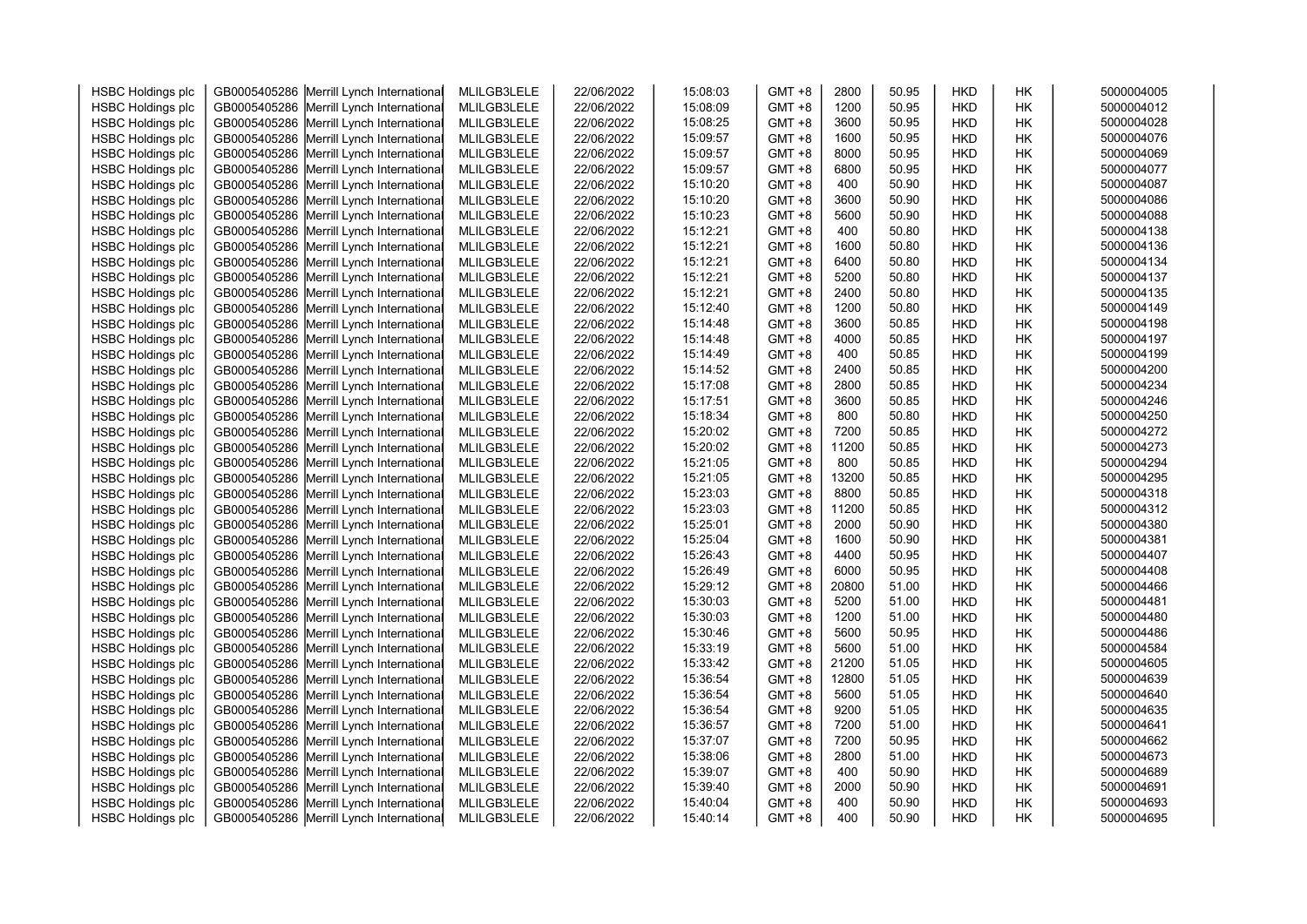| <b>HSBC Holdings plc</b> | GB0005405286 | Merrill Lynch International              | MLILGB3LELE | 22/06/2022 | 15:08:03 | $GMT + 8$ | 2800  | 50.95 | <b>HKD</b> | HК | 5000004005 |
|--------------------------|--------------|------------------------------------------|-------------|------------|----------|-----------|-------|-------|------------|----|------------|
| <b>HSBC Holdings plc</b> | GB0005405286 | Merrill Lynch International              | MLILGB3LELE | 22/06/2022 | 15:08:09 | $GMT + 8$ | 1200  | 50.95 | HKD        | HК | 5000004012 |
| <b>HSBC Holdings plc</b> | GB0005405286 | Merrill Lynch International              | MLILGB3LELE | 22/06/2022 | 15:08:25 | $GMT + 8$ | 3600  | 50.95 | HKD        | HК | 5000004028 |
| <b>HSBC Holdings plc</b> | GB0005405286 | Merrill Lynch International              | MLILGB3LELE | 22/06/2022 | 15:09:57 | $GMT + 8$ | 1600  | 50.95 | HKD        | HK | 5000004076 |
| <b>HSBC Holdings plc</b> | GB0005405286 | Merrill Lynch International              | MLILGB3LELE | 22/06/2022 | 15:09:57 | $GMT + 8$ | 8000  | 50.95 | HKD        | HК | 5000004069 |
| <b>HSBC Holdings plc</b> | GB0005405286 | Merrill Lynch International              | MLILGB3LELE | 22/06/2022 | 15:09:57 | $GMT + 8$ | 6800  | 50.95 | HKD        | HК | 5000004077 |
| <b>HSBC Holdings plc</b> | GB0005405286 | Merrill Lynch International              | MLILGB3LELE | 22/06/2022 | 15:10:20 | $GMT + 8$ | 400   | 50.90 | HKD        | HK | 5000004087 |
| <b>HSBC Holdings plc</b> | GB0005405286 | Merrill Lynch International              | MLILGB3LELE | 22/06/2022 | 15:10:20 | $GMT + 8$ | 3600  | 50.90 | HKD        | HΚ | 5000004086 |
| <b>HSBC Holdings plc</b> | GB0005405286 | Merrill Lynch International              | MLILGB3LELE | 22/06/2022 | 15:10:23 | $GMT + 8$ | 5600  | 50.90 | HKD        | HК | 5000004088 |
| <b>HSBC Holdings plc</b> | GB0005405286 | Merrill Lynch International              | MLILGB3LELE | 22/06/2022 | 15:12:21 | $GMT + 8$ | 400   | 50.80 | HKD        | HК | 5000004138 |
| <b>HSBC Holdings plc</b> | GB0005405286 | Merrill Lynch International              | MLILGB3LELE | 22/06/2022 | 15:12:21 | $GMT + 8$ | 1600  | 50.80 | HKD        | НK | 5000004136 |
| <b>HSBC Holdings plc</b> | GB0005405286 | Merrill Lynch International              | MLILGB3LELE | 22/06/2022 | 15:12:21 | $GMT + 8$ | 6400  | 50.80 | HKD        | HК | 5000004134 |
| <b>HSBC Holdings plc</b> | GB0005405286 | Merrill Lynch International              | MLILGB3LELE | 22/06/2022 | 15:12:21 | $GMT + 8$ | 5200  | 50.80 | HKD        | HK | 5000004137 |
| <b>HSBC Holdings plc</b> | GB0005405286 | Merrill Lynch International              | MLILGB3LELE | 22/06/2022 | 15:12:21 | $GMT + 8$ | 2400  | 50.80 | HKD        | HК | 5000004135 |
| <b>HSBC Holdings plc</b> | GB0005405286 | Merrill Lynch International              | MLILGB3LELE | 22/06/2022 | 15:12:40 | $GMT + 8$ | 1200  | 50.80 | HKD        | HК | 5000004149 |
| <b>HSBC Holdings plc</b> | GB0005405286 | Merrill Lynch International              | MLILGB3LELE | 22/06/2022 | 15:14:48 | $GMT + 8$ | 3600  | 50.85 | HKD        | HK | 5000004198 |
| <b>HSBC Holdings plc</b> | GB0005405286 | Merrill Lynch International              | MLILGB3LELE | 22/06/2022 | 15:14:48 | $GMT + 8$ | 4000  | 50.85 | HKD        | HΚ | 5000004197 |
| <b>HSBC Holdings plc</b> | GB0005405286 | Merrill Lynch International              | MLILGB3LELE | 22/06/2022 | 15:14:49 | $GMT + 8$ | 400   | 50.85 | HKD        | HК | 5000004199 |
| <b>HSBC Holdings plc</b> | GB0005405286 | Merrill Lynch International              | MLILGB3LELE | 22/06/2022 | 15:14:52 | $GMT + 8$ | 2400  | 50.85 | HKD        | НK | 5000004200 |
| <b>HSBC Holdings plc</b> | GB0005405286 | Merrill Lynch International              | MLILGB3LELE | 22/06/2022 | 15:17:08 | $GMT + 8$ | 2800  | 50.85 | HKD        | HК | 5000004234 |
| <b>HSBC Holdings plc</b> | GB0005405286 | Merrill Lynch International              | MLILGB3LELE | 22/06/2022 | 15:17:51 | $GMT + 8$ | 3600  | 50.85 | HKD        | HK | 5000004246 |
| <b>HSBC Holdings plc</b> | GB0005405286 | Merrill Lynch International              | MLILGB3LELE | 22/06/2022 | 15:18:34 | $GMT + 8$ | 800   | 50.80 | HKD        | HК | 5000004250 |
| <b>HSBC Holdings plc</b> | GB0005405286 | Merrill Lynch International              | MLILGB3LELE | 22/06/2022 | 15:20:02 | GMT +8    | 7200  | 50.85 | HKD        | HК | 5000004272 |
| <b>HSBC Holdings plc</b> | GB0005405286 | Merrill Lynch International              | MLILGB3LELE | 22/06/2022 | 15:20:02 | GMT +8    | 11200 | 50.85 | HKD        | HК | 5000004273 |
| <b>HSBC Holdings plc</b> | GB0005405286 | Merrill Lynch International              | MLILGB3LELE | 22/06/2022 | 15:21:05 | $GMT + 8$ | 800   | 50.85 | <b>HKD</b> | HК | 5000004294 |
| <b>HSBC Holdings plc</b> | GB0005405286 | Merrill Lynch International              | MLILGB3LELE | 22/06/2022 | 15:21:05 | $GMT + 8$ | 13200 | 50.85 | HKD        | HК | 5000004295 |
| <b>HSBC Holdings plc</b> | GB0005405286 | Merrill Lynch International              | MLILGB3LELE | 22/06/2022 | 15:23:03 | $GMT + 8$ | 8800  | 50.85 | HKD        | HК | 5000004318 |
| <b>HSBC Holdings plc</b> | GB0005405286 | Merrill Lynch International              | MLILGB3LELE | 22/06/2022 | 15:23:03 | $GMT + 8$ | 11200 | 50.85 | <b>HKD</b> | HК | 5000004312 |
| <b>HSBC Holdings plc</b> | GB0005405286 | Merrill Lynch International              | MLILGB3LELE | 22/06/2022 | 15:25:01 | $GMT + 8$ | 2000  | 50.90 | HKD        | HK | 5000004380 |
| <b>HSBC Holdings plc</b> | GB0005405286 | Merrill Lynch International              | MLILGB3LELE | 22/06/2022 | 15:25:04 | $GMT + 8$ | 1600  | 50.90 | HKD        | HК | 5000004381 |
| <b>HSBC Holdings plc</b> | GB0005405286 | Merrill Lynch International              | MLILGB3LELE | 22/06/2022 | 15:26:43 | $GMT + 8$ | 4400  | 50.95 | HKD        | HК | 5000004407 |
| <b>HSBC Holdings plc</b> | GB0005405286 | Merrill Lynch International              | MLILGB3LELE | 22/06/2022 | 15:26:49 | $GMT + 8$ | 6000  | 50.95 | HKD        | HК | 5000004408 |
| <b>HSBC Holdings plc</b> | GB0005405286 | Merrill Lynch International              | MLILGB3LELE | 22/06/2022 | 15:29:12 | GMT +8    | 20800 | 51.00 | HKD        | HK | 5000004466 |
| <b>HSBC Holdings plc</b> | GB0005405286 | Merrill Lynch International              | MLILGB3LELE | 22/06/2022 | 15:30:03 | $GMT + 8$ | 5200  | 51.00 | HKD        | HК | 5000004481 |
| <b>HSBC Holdings plc</b> | GB0005405286 | Merrill Lynch International              | MLILGB3LELE | 22/06/2022 | 15:30:03 | $GMT + 8$ | 1200  | 51.00 | HKD        | HК | 5000004480 |
| <b>HSBC Holdings plc</b> | GB0005405286 | Merrill Lynch International              | MLILGB3LELE | 22/06/2022 | 15:30:46 | $GMT + 8$ | 5600  | 50.95 | <b>HKD</b> | HК | 5000004486 |
| <b>HSBC Holdings plc</b> | GB0005405286 | Merrill Lynch International              | MLILGB3LELE | 22/06/2022 | 15:33:19 | $GMT + 8$ | 5600  | 51.00 | HKD        | HК | 5000004584 |
| <b>HSBC Holdings plc</b> | GB0005405286 | Merrill Lynch International              | MLILGB3LELE | 22/06/2022 | 15:33:42 | $GMT + 8$ | 21200 | 51.05 | HKD        | HK | 5000004605 |
| <b>HSBC Holdings plc</b> | GB0005405286 | Merrill Lynch International              | MLILGB3LELE | 22/06/2022 | 15:36:54 | $GMT + 8$ | 12800 | 51.05 | <b>HKD</b> | HK | 5000004639 |
| <b>HSBC Holdings plc</b> | GB0005405286 | Merrill Lynch International              | MLILGB3LELE | 22/06/2022 | 15:36:54 | $GMT + 8$ | 5600  | 51.05 | HKD        | HК | 5000004640 |
| <b>HSBC Holdings plc</b> | GB0005405286 | Merrill Lynch International              | MLILGB3LELE | 22/06/2022 | 15:36:54 | $GMT + 8$ | 9200  | 51.05 | HKD        | HК | 5000004635 |
| <b>HSBC Holdings plc</b> | GB0005405286 | Merrill Lynch International              | MLILGB3LELE | 22/06/2022 | 15:36:57 | $GMT + 8$ | 7200  | 51.00 | HKD        | HK | 5000004641 |
| <b>HSBC Holdings plc</b> | GB0005405286 | Merrill Lynch International              | MLILGB3LELE | 22/06/2022 | 15:37:07 | $GMT + 8$ | 7200  | 50.95 | HKD        | HК | 5000004662 |
| <b>HSBC Holdings plc</b> | GB0005405286 | Merrill Lynch International              | MLILGB3LELE | 22/06/2022 | 15:38:06 | $GMT + 8$ | 2800  | 51.00 | HKD        | HК | 5000004673 |
| <b>HSBC Holdings plc</b> | GB0005405286 | Merrill Lynch International              | MLILGB3LELE | 22/06/2022 | 15:39:07 | $GMT + 8$ | 400   | 50.90 | HKD        | HК | 5000004689 |
| <b>HSBC Holdings plc</b> | GB0005405286 | Merrill Lynch International              | MLILGB3LELE | 22/06/2022 | 15:39:40 | $GMT + 8$ | 2000  | 50.90 | HKD        | HK | 5000004691 |
| <b>HSBC Holdings plc</b> | GB0005405286 | Merrill Lynch International              | MLILGB3LELE | 22/06/2022 | 15:40:04 | $GMT + 8$ | 400   | 50.90 | HKD        | HK | 5000004693 |
| <b>HSBC Holdings plc</b> |              | GB0005405286 Merrill Lynch International | MLILGB3LELE | 22/06/2022 | 15:40:14 | $GMT + 8$ | 400   | 50.90 | <b>HKD</b> | HК | 5000004695 |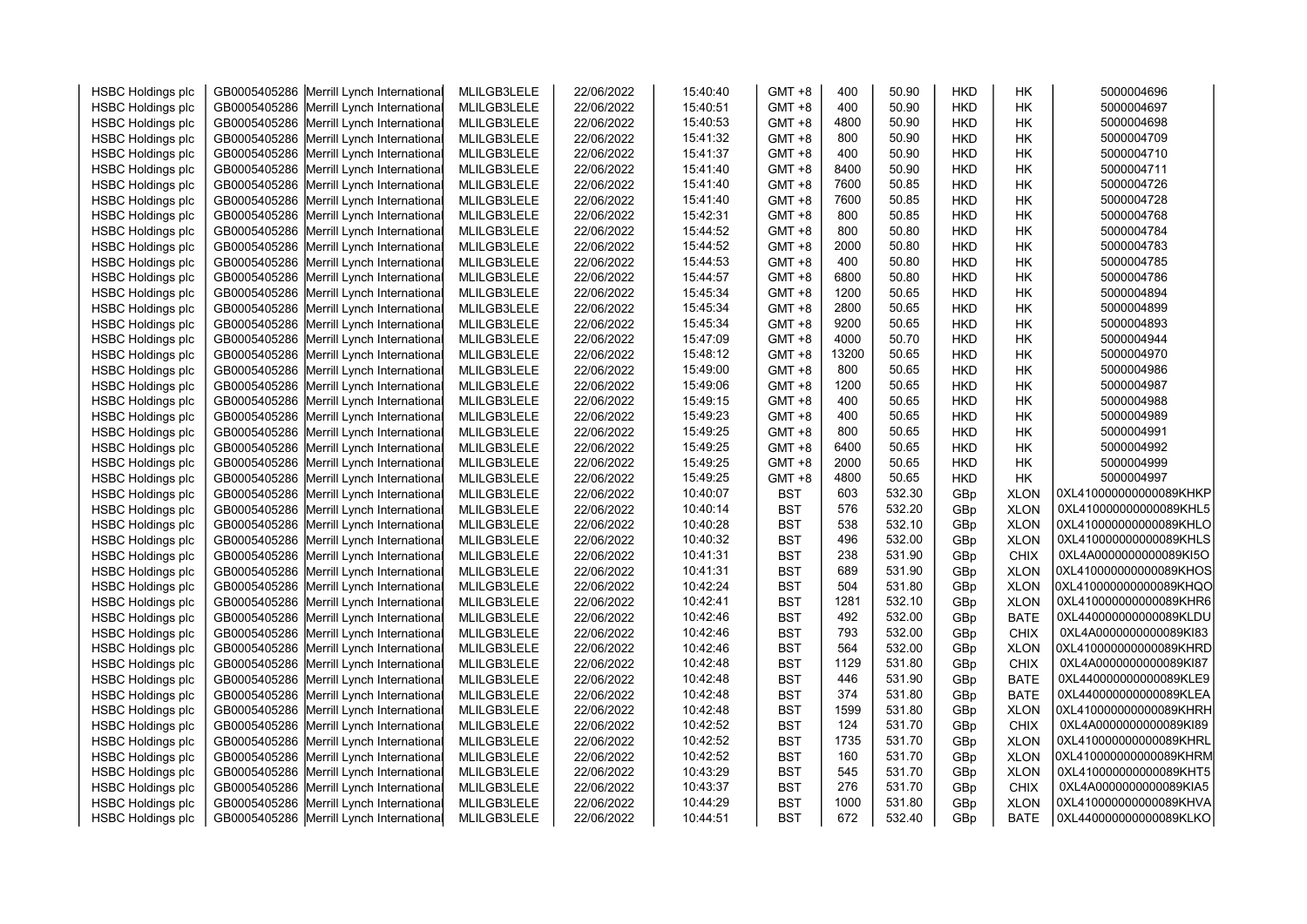| <b>HSBC Holdings plc</b> | GB0005405286 Merrill Lynch International | MLILGB3LELE | 22/06/2022 | 15:40:40 | $GMT + 8$  | 400   | 50.90  | <b>HKD</b> | НK          | 5000004696             |  |
|--------------------------|------------------------------------------|-------------|------------|----------|------------|-------|--------|------------|-------------|------------------------|--|
| <b>HSBC Holdings plc</b> | GB0005405286 Merrill Lynch International | MLILGB3LELE | 22/06/2022 | 15:40:51 | $GMT + 8$  | 400   | 50.90  | <b>HKD</b> | НK          | 5000004697             |  |
| <b>HSBC Holdings plc</b> | GB0005405286 Merrill Lynch International | MLILGB3LELE | 22/06/2022 | 15:40:53 | $GMT + 8$  | 4800  | 50.90  | <b>HKD</b> | НK          | 5000004698             |  |
| <b>HSBC Holdings plc</b> | GB0005405286 Merrill Lynch International | MLILGB3LELE | 22/06/2022 | 15:41:32 | $GMT + 8$  | 800   | 50.90  | <b>HKD</b> | НK          | 5000004709             |  |
| <b>HSBC Holdings plc</b> | GB0005405286 Merrill Lynch International | MLILGB3LELE | 22/06/2022 | 15:41:37 | $GMT + 8$  | 400   | 50.90  | <b>HKD</b> | НK          | 5000004710             |  |
| <b>HSBC Holdings plc</b> | GB0005405286 Merrill Lynch International | MLILGB3LELE | 22/06/2022 | 15:41:40 | $GMT + 8$  | 8400  | 50.90  | <b>HKD</b> | НK          | 5000004711             |  |
| <b>HSBC Holdings plc</b> | GB0005405286 Merrill Lynch International | MLILGB3LELE | 22/06/2022 | 15:41:40 | $GMT + 8$  | 7600  | 50.85  | <b>HKD</b> | НK          | 5000004726             |  |
| <b>HSBC Holdings plc</b> | GB0005405286 Merrill Lynch International | MLILGB3LELE | 22/06/2022 | 15:41:40 | $GMT + 8$  | 7600  | 50.85  | <b>HKD</b> | НK          | 5000004728             |  |
| <b>HSBC Holdings plc</b> | GB0005405286 Merrill Lynch International | MLILGB3LELE | 22/06/2022 | 15:42:31 | $GMT + 8$  | 800   | 50.85  | <b>HKD</b> | НK          | 5000004768             |  |
| <b>HSBC Holdings plc</b> | GB0005405286 Merrill Lynch International | MLILGB3LELE | 22/06/2022 | 15:44:52 | $GMT + 8$  | 800   | 50.80  | <b>HKD</b> | HΚ          | 5000004784             |  |
|                          | GB0005405286 Merrill Lynch International |             |            | 15:44:52 | $GMT + 8$  | 2000  | 50.80  | <b>HKD</b> | НK          | 5000004783             |  |
| <b>HSBC Holdings plc</b> |                                          | MLILGB3LELE | 22/06/2022 | 15:44:53 | $GMT + 8$  | 400   | 50.80  | <b>HKD</b> |             | 5000004785             |  |
| <b>HSBC Holdings plc</b> | GB0005405286 Merrill Lynch International | MLILGB3LELE | 22/06/2022 |          |            |       |        |            | HΚ          |                        |  |
| <b>HSBC Holdings plc</b> | GB0005405286 Merrill Lynch International | MLILGB3LELE | 22/06/2022 | 15:44:57 | $GMT + 8$  | 6800  | 50.80  | <b>HKD</b> | НK          | 5000004786             |  |
| <b>HSBC Holdings plc</b> | GB0005405286 Merrill Lynch International | MLILGB3LELE | 22/06/2022 | 15:45:34 | $GMT + 8$  | 1200  | 50.65  | <b>HKD</b> | НK          | 5000004894             |  |
| <b>HSBC Holdings plc</b> | GB0005405286 Merrill Lynch International | MLILGB3LELE | 22/06/2022 | 15:45:34 | $GMT + 8$  | 2800  | 50.65  | <b>HKD</b> | НK          | 5000004899             |  |
| <b>HSBC Holdings plc</b> | GB0005405286 Merrill Lynch International | MLILGB3LELE | 22/06/2022 | 15:45:34 | $GMT + 8$  | 9200  | 50.65  | <b>HKD</b> | НK          | 5000004893             |  |
| <b>HSBC Holdings plc</b> | GB0005405286 Merrill Lynch International | MLILGB3LELE | 22/06/2022 | 15:47:09 | $GMT + 8$  | 4000  | 50.70  | <b>HKD</b> | HΚ          | 5000004944             |  |
| <b>HSBC Holdings plc</b> | GB0005405286 Merrill Lynch International | MLILGB3LELE | 22/06/2022 | 15:48:12 | $GMT + 8$  | 13200 | 50.65  | <b>HKD</b> | HΚ          | 5000004970             |  |
| <b>HSBC Holdings plc</b> | GB0005405286 Merrill Lynch International | MLILGB3LELE | 22/06/2022 | 15:49:00 | $GMT + 8$  | 800   | 50.65  | <b>HKD</b> | HΚ          | 5000004986             |  |
| <b>HSBC Holdings plc</b> | GB0005405286 Merrill Lynch International | MLILGB3LELE | 22/06/2022 | 15:49:06 | $GMT + 8$  | 1200  | 50.65  | <b>HKD</b> | НK          | 5000004987             |  |
| <b>HSBC Holdings plc</b> | GB0005405286 Merrill Lynch International | MLILGB3LELE | 22/06/2022 | 15:49:15 | $GMT + 8$  | 400   | 50.65  | <b>HKD</b> | НK          | 5000004988             |  |
| <b>HSBC Holdings plc</b> | GB0005405286 Merrill Lynch International | MLILGB3LELE | 22/06/2022 | 15:49:23 | $GMT + 8$  | 400   | 50.65  | <b>HKD</b> | HK          | 5000004989             |  |
| <b>HSBC Holdings plc</b> | GB0005405286 Merrill Lynch International | MLILGB3LELE | 22/06/2022 | 15:49:25 | $GMT + 8$  | 800   | 50.65  | <b>HKD</b> | НK          | 5000004991             |  |
| <b>HSBC Holdings plc</b> | GB0005405286 Merrill Lynch International | MLILGB3LELE | 22/06/2022 | 15:49:25 | $GMT + 8$  | 6400  | 50.65  | <b>HKD</b> | HΚ          | 5000004992             |  |
| <b>HSBC Holdings plc</b> | GB0005405286 Merrill Lynch International | MLILGB3LELE | 22/06/2022 | 15:49:25 | $GMT + 8$  | 2000  | 50.65  | <b>HKD</b> | НK          | 5000004999             |  |
| <b>HSBC Holdings plc</b> | GB0005405286 Merrill Lynch International | MLILGB3LELE | 22/06/2022 | 15:49:25 | $GMT + 8$  | 4800  | 50.65  | <b>HKD</b> | НK          | 5000004997             |  |
| <b>HSBC Holdings plc</b> | GB0005405286 Merrill Lynch International | MLILGB3LELE | 22/06/2022 | 10:40:07 | <b>BST</b> | 603   | 532.30 | GBp        | <b>XLON</b> | 0XL410000000000089KHKP |  |
| <b>HSBC Holdings plc</b> | GB0005405286 Merrill Lynch International | MLILGB3LELE | 22/06/2022 | 10:40:14 | <b>BST</b> | 576   | 532.20 | GBp        | <b>XLON</b> | 0XL410000000000089KHL5 |  |
| <b>HSBC Holdings plc</b> | GB0005405286 Merrill Lynch International | MLILGB3LELE | 22/06/2022 | 10:40:28 | <b>BST</b> | 538   | 532.10 | GBp        | <b>XLON</b> | 0XL410000000000089KHLO |  |
| <b>HSBC Holdings plc</b> | GB0005405286 Merrill Lynch International | MLILGB3LELE | 22/06/2022 | 10:40:32 | <b>BST</b> | 496   | 532.00 | GBp        | <b>XLON</b> | 0XL410000000000089KHLS |  |
| <b>HSBC Holdings plc</b> | GB0005405286 Merrill Lynch International | MLILGB3LELE | 22/06/2022 | 10:41:31 | <b>BST</b> | 238   | 531.90 | GBp        | CHIX        | 0XL4A0000000000089KI5O |  |
| <b>HSBC Holdings plc</b> | GB0005405286 Merrill Lynch International | MLILGB3LELE | 22/06/2022 | 10:41:31 | <b>BST</b> | 689   | 531.90 | GBp        | <b>XLON</b> | 0XL410000000000089KHOS |  |
| <b>HSBC Holdings plc</b> | GB0005405286 Merrill Lynch International | MLILGB3LELE | 22/06/2022 | 10:42:24 | <b>BST</b> | 504   | 531.80 | GBp        | <b>XLON</b> | 0XL410000000000089KHQO |  |
| <b>HSBC Holdings plc</b> | GB0005405286 Merrill Lynch International | MLILGB3LELE | 22/06/2022 | 10:42:41 | <b>BST</b> | 1281  | 532.10 | GBp        | <b>XLON</b> | 0XL410000000000089KHR6 |  |
| <b>HSBC Holdings plc</b> | GB0005405286 Merrill Lynch International | MLILGB3LELE | 22/06/2022 | 10:42:46 | <b>BST</b> | 492   | 532.00 | GBp        | <b>BATE</b> | 0XL440000000000089KLDU |  |
| <b>HSBC Holdings plc</b> | GB0005405286 Merrill Lynch International | MLILGB3LELE | 22/06/2022 | 10:42:46 | <b>BST</b> | 793   | 532.00 | GBp        | <b>CHIX</b> | 0XL4A0000000000089KI83 |  |
| <b>HSBC Holdings plc</b> | GB0005405286 Merrill Lynch International | MLILGB3LELE | 22/06/2022 | 10:42:46 | <b>BST</b> | 564   | 532.00 | GBp        | <b>XLON</b> | 0XL410000000000089KHRD |  |
| <b>HSBC Holdings plc</b> | GB0005405286 Merrill Lynch International | MLILGB3LELE | 22/06/2022 | 10:42:48 | <b>BST</b> | 1129  | 531.80 | GBp        | <b>CHIX</b> | 0XL4A0000000000089KI87 |  |
| <b>HSBC Holdings plc</b> | GB0005405286 Merrill Lynch International | MLILGB3LELE | 22/06/2022 | 10:42:48 | <b>BST</b> | 446   | 531.90 | GBp        | <b>BATE</b> | 0XL440000000000089KLE9 |  |
| <b>HSBC Holdings plc</b> | GB0005405286 Merrill Lynch International | MLILGB3LELE | 22/06/2022 | 10:42:48 | <b>BST</b> | 374   | 531.80 | GBp        | <b>BATE</b> | 0XL440000000000089KLEA |  |
| <b>HSBC Holdings plc</b> | GB0005405286 Merrill Lynch International | MLILGB3LELE | 22/06/2022 | 10:42:48 | <b>BST</b> | 1599  | 531.80 | GBp        | <b>XLON</b> | 0XL410000000000089KHRH |  |
| <b>HSBC Holdings plc</b> | GB0005405286 Merrill Lynch International | MLILGB3LELE | 22/06/2022 | 10:42:52 | <b>BST</b> | 124   | 531.70 | GBp        | <b>CHIX</b> | 0XL4A0000000000089KI89 |  |
| <b>HSBC Holdings plc</b> | GB0005405286 Merrill Lynch International | MLILGB3LELE | 22/06/2022 | 10:42:52 | <b>BST</b> | 1735  | 531.70 | GBp        | <b>XLON</b> | 0XL410000000000089KHRL |  |
| <b>HSBC Holdings plc</b> | GB0005405286 Merrill Lynch International | MLILGB3LELE | 22/06/2022 | 10:42:52 | <b>BST</b> | 160   | 531.70 | GBp        | <b>XLON</b> | 0XL410000000000089KHRM |  |
| <b>HSBC Holdings plc</b> | GB0005405286 Merrill Lynch International | MLILGB3LELE | 22/06/2022 | 10:43:29 | <b>BST</b> | 545   | 531.70 | GBp        | <b>XLON</b> | 0XL410000000000089KHT5 |  |
| <b>HSBC Holdings plc</b> | GB0005405286 Merrill Lynch International | MLILGB3LELE | 22/06/2022 | 10:43:37 | <b>BST</b> | 276   | 531.70 | GBp        | <b>CHIX</b> | 0XL4A0000000000089KIA5 |  |
| <b>HSBC Holdings plc</b> | GB0005405286 Merrill Lynch International | MLILGB3LELE | 22/06/2022 | 10:44:29 | <b>BST</b> | 1000  | 531.80 | GBp        | <b>XLON</b> | 0XL410000000000089KHVA |  |
| <b>HSBC Holdings plc</b> | GB0005405286 Merrill Lynch International | MLILGB3LELE | 22/06/2022 | 10:44:51 | <b>BST</b> | 672   | 532.40 | GBp        | <b>BATE</b> | 0XL440000000000089KLKO |  |
|                          |                                          |             |            |          |            |       |        |            |             |                        |  |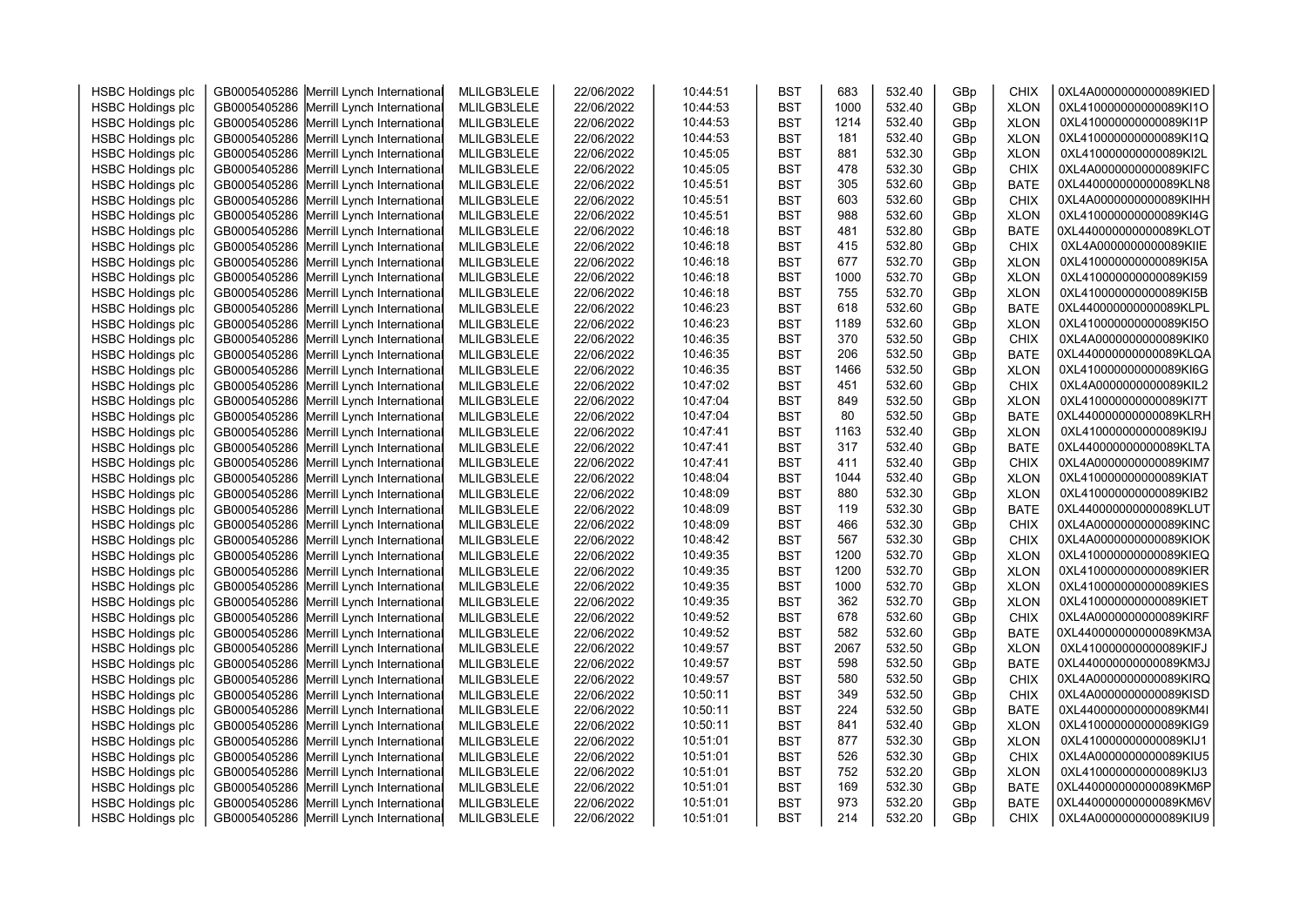| <b>HSBC Holdings plc</b>                             | GB0005405286 Merrill Lynch International                                             | MLILGB3LELE                | 22/06/2022               | 10:44:51             | <b>BST</b>               | 683        | 532.40           | GBp        | CHIX                       | 0XL4A0000000000089KIED                           |  |
|------------------------------------------------------|--------------------------------------------------------------------------------------|----------------------------|--------------------------|----------------------|--------------------------|------------|------------------|------------|----------------------------|--------------------------------------------------|--|
| <b>HSBC Holdings plc</b>                             | GB0005405286 Merrill Lynch International                                             | MLILGB3LELE                | 22/06/2022               | 10:44:53             | <b>BST</b>               | 1000       | 532.40           | GBp        | <b>XLON</b>                | 0XL410000000000089KI1O                           |  |
| <b>HSBC Holdings plc</b>                             | GB0005405286 Merrill Lynch International                                             | MLILGB3LELE                | 22/06/2022               | 10:44:53             | <b>BST</b>               | 1214       | 532.40           | GBp        | <b>XLON</b>                | 0XL410000000000089KI1P                           |  |
| <b>HSBC Holdings plc</b>                             | GB0005405286 Merrill Lynch International                                             | MLILGB3LELE                | 22/06/2022               | 10:44:53             | <b>BST</b>               | 181        | 532.40           | GBp        | <b>XLON</b>                | 0XL410000000000089KI1Q                           |  |
| <b>HSBC Holdings plc</b>                             | GB0005405286 Merrill Lynch International                                             | MLILGB3LELE                | 22/06/2022               | 10:45:05             | <b>BST</b>               | 881        | 532.30           | GBp        | <b>XLON</b>                | 0XL410000000000089KI2L                           |  |
| <b>HSBC Holdings plc</b>                             | GB0005405286 Merrill Lynch International                                             | MLILGB3LELE                | 22/06/2022               | 10:45:05             | <b>BST</b>               | 478        | 532.30           | GBp        | <b>CHIX</b>                | 0XL4A0000000000089KIFC                           |  |
| <b>HSBC Holdings plc</b>                             | GB0005405286 Merrill Lynch International                                             | MLILGB3LELE                | 22/06/2022               | 10:45:51             | <b>BST</b>               | 305        | 532.60           | GBp        | <b>BATE</b>                | 0XL440000000000089KLN8                           |  |
| <b>HSBC Holdings plc</b>                             | GB0005405286 Merrill Lynch International                                             | MLILGB3LELE                | 22/06/2022               | 10:45:51             | <b>BST</b>               | 603        | 532.60           | GBp        | <b>CHIX</b>                | 0XL4A0000000000089KIHH                           |  |
| <b>HSBC Holdings plc</b>                             | GB0005405286 Merrill Lynch International                                             | MLILGB3LELE                | 22/06/2022               | 10:45:51             | <b>BST</b>               | 988        | 532.60           | GBp        | <b>XLON</b>                | 0XL410000000000089KI4G                           |  |
| <b>HSBC Holdings plc</b>                             | GB0005405286 Merrill Lynch International                                             | MLILGB3LELE                | 22/06/2022               | 10:46:18             | <b>BST</b>               | 481        | 532.80           | GBp        | <b>BATE</b>                | 0XL440000000000089KLOT                           |  |
| <b>HSBC Holdings plc</b>                             | GB0005405286 Merrill Lynch International                                             | MLILGB3LELE                | 22/06/2022               | 10:46:18             | <b>BST</b>               | 415        | 532.80           | GBp        | <b>CHIX</b>                | 0XL4A0000000000089KIIE                           |  |
| <b>HSBC Holdings plc</b>                             | GB0005405286 Merrill Lynch International                                             | MLILGB3LELE                | 22/06/2022               | 10:46:18             | <b>BST</b>               | 677        | 532.70           | GBp        | <b>XLON</b>                | 0XL410000000000089KI5A                           |  |
| <b>HSBC Holdings plc</b>                             | GB0005405286 Merrill Lynch International                                             | MLILGB3LELE                | 22/06/2022               | 10:46:18             | <b>BST</b>               | 1000       | 532.70           | GBp        | <b>XLON</b>                | 0XL410000000000089KI59                           |  |
| <b>HSBC Holdings plc</b>                             | GB0005405286 Merrill Lynch International                                             | MLILGB3LELE                | 22/06/2022               | 10:46:18             | <b>BST</b>               | 755        | 532.70           | GBp        | <b>XLON</b>                | 0XL410000000000089KI5B                           |  |
| <b>HSBC Holdings plc</b>                             | GB0005405286 Merrill Lynch International                                             | MLILGB3LELE                | 22/06/2022               | 10:46:23             | <b>BST</b>               | 618        | 532.60           | GBp        | <b>BATE</b>                | 0XL440000000000089KLPL                           |  |
| <b>HSBC Holdings plc</b>                             | GB0005405286 Merrill Lynch International                                             | MLILGB3LELE                | 22/06/2022               | 10:46:23             | <b>BST</b>               | 1189       | 532.60           | GBp        | <b>XLON</b>                | 0XL410000000000089KI5O                           |  |
| <b>HSBC Holdings plc</b>                             | GB0005405286 Merrill Lynch International                                             | MLILGB3LELE                | 22/06/2022               | 10:46:35             | <b>BST</b>               | 370        | 532.50           | GBp        | <b>CHIX</b>                | 0XL4A0000000000089KIK0                           |  |
| <b>HSBC Holdings plc</b>                             | GB0005405286 Merrill Lynch International                                             | MLILGB3LELE                | 22/06/2022               | 10:46:35             | <b>BST</b>               | 206        | 532.50           | GBp        | <b>BATE</b>                | 0XL440000000000089KLQA                           |  |
| <b>HSBC Holdings plc</b>                             | GB0005405286 Merrill Lynch International                                             | MLILGB3LELE                | 22/06/2022               | 10:46:35             | <b>BST</b>               | 1466       | 532.50           | GBp        | <b>XLON</b>                | 0XL410000000000089KI6G                           |  |
| <b>HSBC Holdings plc</b>                             | GB0005405286 Merrill Lynch International                                             | MLILGB3LELE                | 22/06/2022               | 10:47:02             | <b>BST</b>               | 451        | 532.60           | GBp        | <b>CHIX</b>                | 0XL4A0000000000089KIL2                           |  |
| <b>HSBC Holdings plc</b>                             | GB0005405286 Merrill Lynch International                                             | MLILGB3LELE                | 22/06/2022               | 10:47:04             | <b>BST</b>               | 849        | 532.50           | GBp        | <b>XLON</b>                | 0XL410000000000089KI7T                           |  |
| <b>HSBC Holdings plc</b>                             | GB0005405286 Merrill Lynch International                                             | MLILGB3LELE                | 22/06/2022               | 10:47:04             | <b>BST</b>               | 80         | 532.50           | GBp        | <b>BATE</b>                | 0XL440000000000089KLRH                           |  |
| <b>HSBC Holdings plc</b>                             | GB0005405286 Merrill Lynch International                                             | MLILGB3LELE                | 22/06/2022               | 10:47:41             | <b>BST</b>               | 1163       | 532.40           | GBp        | <b>XLON</b>                | 0XL410000000000089KI9J                           |  |
| <b>HSBC Holdings plc</b>                             | GB0005405286 Merrill Lynch International                                             | MLILGB3LELE                | 22/06/2022               | 10:47:41             | <b>BST</b>               | 317        | 532.40           | GBp        | <b>BATE</b>                | 0XL440000000000089KLTA                           |  |
| <b>HSBC Holdings plc</b>                             | GB0005405286 Merrill Lynch International                                             | MLILGB3LELE                | 22/06/2022               | 10:47:41             | <b>BST</b>               | 411        | 532.40           | GBp        | <b>CHIX</b>                | 0XL4A0000000000089KIM7                           |  |
| <b>HSBC Holdings plc</b>                             | GB0005405286 Merrill Lynch International                                             | MLILGB3LELE                | 22/06/2022               | 10:48:04             | <b>BST</b>               | 1044       | 532.40           | GBp        | <b>XLON</b>                | 0XL410000000000089KIAT                           |  |
| <b>HSBC Holdings plc</b>                             | GB0005405286 Merrill Lynch International                                             | MLILGB3LELE                | 22/06/2022               | 10:48:09             | <b>BST</b>               | 880        | 532.30           | GBp        | <b>XLON</b>                | 0XL410000000000089KIB2                           |  |
| <b>HSBC Holdings plc</b>                             | GB0005405286 Merrill Lynch International                                             | MLILGB3LELE                | 22/06/2022               | 10:48:09             | <b>BST</b>               | 119        | 532.30           | GBp        | <b>BATE</b>                | 0XL440000000000089KLUT                           |  |
| <b>HSBC Holdings plc</b>                             | GB0005405286 Merrill Lynch International                                             | MLILGB3LELE                | 22/06/2022               | 10:48:09             | <b>BST</b>               | 466        | 532.30           | GBp        | CHIX                       | 0XL4A0000000000089KINC                           |  |
| <b>HSBC Holdings plc</b>                             | GB0005405286 Merrill Lynch International                                             | MLILGB3LELE                | 22/06/2022               | 10:48:42             | <b>BST</b>               | 567        | 532.30           | GBp        | <b>CHIX</b>                | 0XL4A0000000000089KIOK                           |  |
| <b>HSBC Holdings plc</b>                             | GB0005405286 Merrill Lynch International                                             | MLILGB3LELE                | 22/06/2022               | 10:49:35             | <b>BST</b>               | 1200       | 532.70           | GBp        | <b>XLON</b>                | 0XL410000000000089KIEQ                           |  |
| <b>HSBC Holdings plc</b>                             | GB0005405286 Merrill Lynch International                                             | MLILGB3LELE                | 22/06/2022               | 10:49:35             | <b>BST</b>               | 1200       | 532.70           | GBp        | <b>XLON</b>                | 0XL410000000000089KIER                           |  |
| <b>HSBC Holdings plc</b>                             | GB0005405286 Merrill Lynch International                                             | MLILGB3LELE                | 22/06/2022               | 10:49:35             | <b>BST</b>               | 1000       | 532.70           | GBp        | <b>XLON</b>                | 0XL410000000000089KIES                           |  |
| <b>HSBC Holdings plc</b>                             | GB0005405286 Merrill Lynch International                                             | MLILGB3LELE                | 22/06/2022               | 10:49:35             | <b>BST</b>               | 362        | 532.70           | GBp        | <b>XLON</b>                | 0XL410000000000089KIET                           |  |
| <b>HSBC Holdings plc</b>                             | GB0005405286 Merrill Lynch International                                             | MLILGB3LELE                | 22/06/2022               | 10:49:52             | <b>BST</b>               | 678        | 532.60           | GBp        | <b>CHIX</b>                | 0XL4A0000000000089KIRF                           |  |
| <b>HSBC Holdings plc</b>                             | GB0005405286 Merrill Lynch International                                             | MLILGB3LELE                | 22/06/2022               | 10:49:52             | <b>BST</b>               | 582        | 532.60           | GBp        | <b>BATE</b>                | 0XL440000000000089KM3A                           |  |
| <b>HSBC Holdings plc</b>                             | GB0005405286 Merrill Lynch International                                             | MLILGB3LELE                | 22/06/2022               | 10:49:57             | <b>BST</b>               | 2067       | 532.50           | GBp        | <b>XLON</b>                | 0XL410000000000089KIFJ                           |  |
| <b>HSBC Holdings plc</b>                             | GB0005405286 Merrill Lynch International                                             | MLILGB3LELE                | 22/06/2022               | 10:49:57             | <b>BST</b>               | 598        | 532.50           | GBp        | <b>BATE</b>                | 0XL440000000000089KM3J                           |  |
| <b>HSBC Holdings plc</b>                             | GB0005405286 Merrill Lynch International                                             | MLILGB3LELE                | 22/06/2022               | 10:49:57             | <b>BST</b>               | 580        | 532.50           | GBp        | <b>CHIX</b>                | 0XL4A0000000000089KIRQ                           |  |
| <b>HSBC Holdings plc</b>                             | GB0005405286 Merrill Lynch International                                             | MLILGB3LELE                | 22/06/2022               | 10:50:11             | <b>BST</b>               | 349        | 532.50           | GBp        | <b>CHIX</b>                | 0XL4A0000000000089KISD                           |  |
| <b>HSBC Holdings plc</b>                             | GB0005405286 Merrill Lynch International                                             | MLILGB3LELE                | 22/06/2022               | 10:50:11             | <b>BST</b><br><b>BST</b> | 224        | 532.50           | GBp        | <b>BATE</b>                | 0XL440000000000089KM4I                           |  |
| <b>HSBC Holdings plc</b>                             | GB0005405286 Merrill Lynch International                                             | MLILGB3LELE                | 22/06/2022               | 10:50:11<br>10:51:01 | <b>BST</b>               | 841<br>877 | 532.40<br>532.30 | GBp        | <b>XLON</b><br><b>XLON</b> | 0XL410000000000089KIG9<br>0XL410000000000089KIJ1 |  |
| <b>HSBC Holdings plc</b>                             | GB0005405286 Merrill Lynch International                                             | MLILGB3LELE                | 22/06/2022               | 10:51:01             |                          | 526        | 532.30           | GBp        |                            | 0XL4A0000000000089KIU5                           |  |
| <b>HSBC Holdings plc</b><br><b>HSBC Holdings plc</b> | GB0005405286 Merrill Lynch International<br>GB0005405286 Merrill Lynch International | MLILGB3LELE<br>MLILGB3LELE | 22/06/2022<br>22/06/2022 | 10:51:01             | <b>BST</b><br><b>BST</b> | 752        | 532.20           | GBp<br>GBp | <b>CHIX</b><br><b>XLON</b> | 0XL410000000000089KIJ3                           |  |
| <b>HSBC Holdings plc</b>                             | GB0005405286 Merrill Lynch International                                             | MLILGB3LELE                | 22/06/2022               | 10:51:01             | <b>BST</b>               | 169        | 532.30           | GBp        | <b>BATE</b>                | 0XL440000000000089KM6P                           |  |
| <b>HSBC Holdings plc</b>                             | GB0005405286 Merrill Lynch International                                             | MLILGB3LELE                | 22/06/2022               | 10:51:01             | <b>BST</b>               | 973        | 532.20           | GBp        | <b>BATE</b>                | 0XL440000000000089KM6V                           |  |
| <b>HSBC Holdings plc</b>                             | GB0005405286 Merrill Lynch International                                             | MLILGB3LELE                | 22/06/2022               | 10:51:01             | <b>BST</b>               | 214        | 532.20           | GBp        | <b>CHIX</b>                | 0XL4A0000000000089KIU9                           |  |
|                                                      |                                                                                      |                            |                          |                      |                          |            |                  |            |                            |                                                  |  |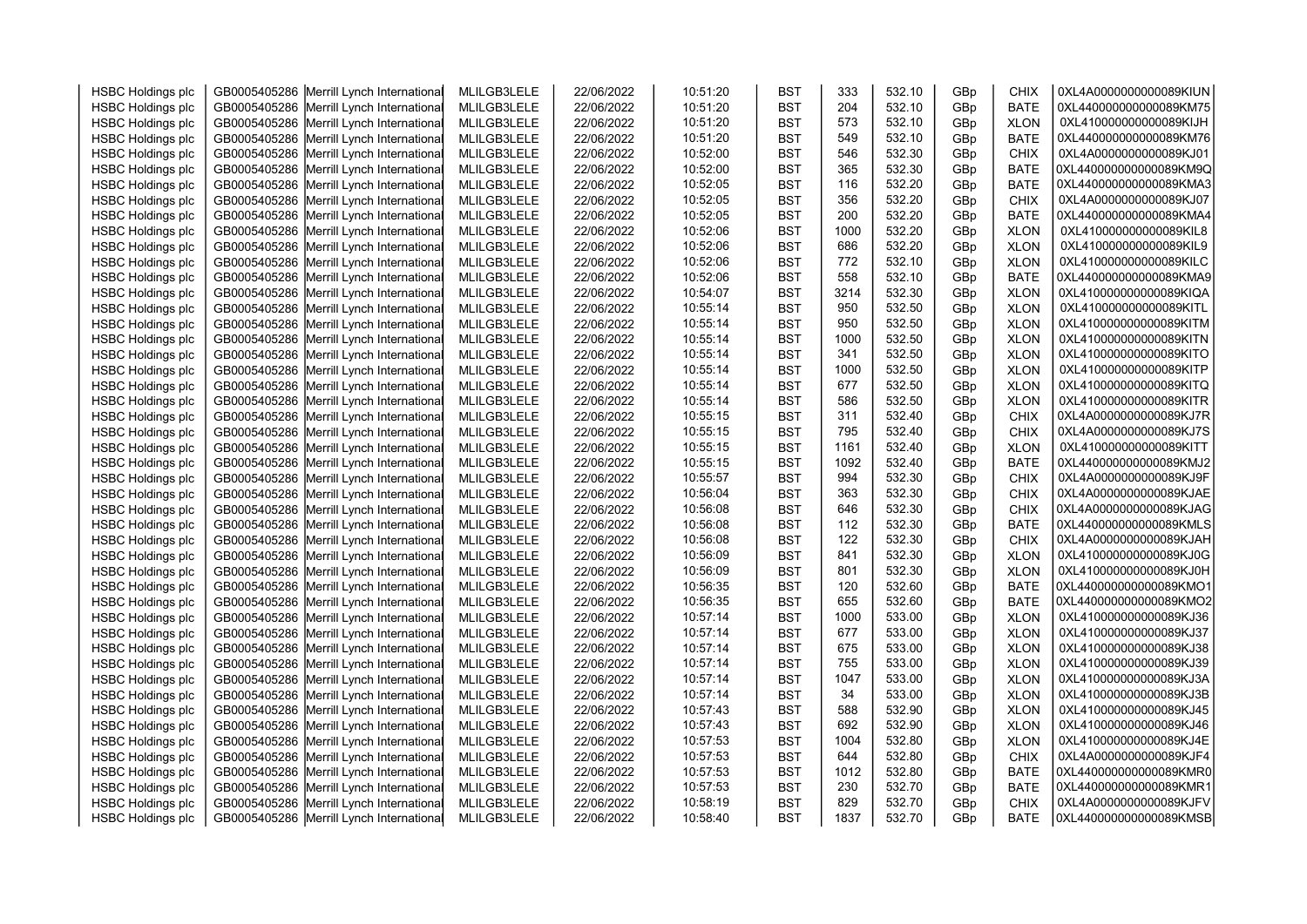| <b>HSBC Holdings plc</b> | GB0005405286 Merrill Lynch International                                             | MLILGB3LELE | 22/06/2022               | 10:51:20             | <b>BST</b> | 333        | 532.10           | GBp | <b>CHIX</b>                | 0XL4A0000000000089KIUN |  |
|--------------------------|--------------------------------------------------------------------------------------|-------------|--------------------------|----------------------|------------|------------|------------------|-----|----------------------------|------------------------|--|
| <b>HSBC Holdings plc</b> | GB0005405286 Merrill Lynch International                                             | MLILGB3LELE | 22/06/2022               | 10:51:20             | <b>BST</b> | 204        | 532.10           | GBp | <b>BATE</b>                | 0XL440000000000089KM75 |  |
| <b>HSBC Holdings plc</b> | GB0005405286 Merrill Lynch International                                             | MLILGB3LELE | 22/06/2022               | 10:51:20             | <b>BST</b> | 573        | 532.10           | GBp | <b>XLON</b>                | 0XL410000000000089KIJH |  |
| <b>HSBC Holdings plc</b> | GB0005405286 Merrill Lynch International                                             | MLILGB3LELE | 22/06/2022               | 10:51:20             | <b>BST</b> | 549        | 532.10           | GBp | <b>BATE</b>                | 0XL440000000000089KM76 |  |
| <b>HSBC Holdings plc</b> | GB0005405286 Merrill Lynch International                                             | MLILGB3LELE | 22/06/2022               | 10:52:00             | <b>BST</b> | 546        | 532.30           | GBp | <b>CHIX</b>                | 0XL4A0000000000089KJ01 |  |
| <b>HSBC Holdings plc</b> | GB0005405286 Merrill Lynch International                                             | MLILGB3LELE | 22/06/2022               | 10:52:00             | <b>BST</b> | 365        | 532.30           | GBp | <b>BATE</b>                | 0XL440000000000089KM9Q |  |
| <b>HSBC Holdings plc</b> | GB0005405286 Merrill Lynch International                                             | MLILGB3LELE | 22/06/2022               | 10:52:05             | <b>BST</b> | 116        | 532.20           | GBp | <b>BATE</b>                | 0XL440000000000089KMA3 |  |
| <b>HSBC Holdings plc</b> | GB0005405286 Merrill Lynch International                                             | MLILGB3LELE | 22/06/2022               | 10:52:05             | <b>BST</b> | 356        | 532.20           | GBp | <b>CHIX</b>                | 0XL4A0000000000089KJ07 |  |
| <b>HSBC Holdings plc</b> | GB0005405286 Merrill Lynch International                                             | MLILGB3LELE | 22/06/2022               | 10:52:05             | <b>BST</b> | 200        | 532.20           | GBp | <b>BATE</b>                | 0XL440000000000089KMA4 |  |
| <b>HSBC Holdings plc</b> | GB0005405286 Merrill Lynch International                                             | MLILGB3LELE | 22/06/2022               | 10:52:06             | <b>BST</b> | 1000       | 532.20           | GBp | <b>XLON</b>                | 0XL410000000000089KIL8 |  |
| <b>HSBC Holdings plc</b> | GB0005405286 Merrill Lynch International                                             | MLILGB3LELE | 22/06/2022               | 10:52:06             | <b>BST</b> | 686        | 532.20           | GBp | <b>XLON</b>                | 0XL410000000000089KIL9 |  |
| <b>HSBC Holdings plc</b> | GB0005405286 Merrill Lynch International                                             | MLILGB3LELE | 22/06/2022               | 10:52:06             | <b>BST</b> | 772        | 532.10           | GBp | <b>XLON</b>                | 0XL410000000000089KILC |  |
| <b>HSBC Holdings plc</b> | GB0005405286 Merrill Lynch International                                             | MLILGB3LELE | 22/06/2022               | 10:52:06             | <b>BST</b> | 558        | 532.10           | GBp | <b>BATE</b>                | 0XL440000000000089KMA9 |  |
| <b>HSBC Holdings plc</b> | GB0005405286 Merrill Lynch International                                             | MLILGB3LELE | 22/06/2022               | 10:54:07             | <b>BST</b> | 3214       | 532.30           | GBp | <b>XLON</b>                | 0XL410000000000089KIQA |  |
| <b>HSBC Holdings plc</b> | GB0005405286 Merrill Lynch International                                             | MLILGB3LELE | 22/06/2022               | 10:55:14             | <b>BST</b> | 950        | 532.50           | GBp | <b>XLON</b>                | 0XL410000000000089KITL |  |
| <b>HSBC Holdings plc</b> | GB0005405286 Merrill Lynch International                                             | MLILGB3LELE | 22/06/2022               | 10:55:14             | <b>BST</b> | 950        | 532.50           | GBp | <b>XLON</b>                | 0XL410000000000089KITM |  |
| <b>HSBC Holdings plc</b> | GB0005405286 Merrill Lynch International                                             | MLILGB3LELE | 22/06/2022               | 10:55:14             | <b>BST</b> | 1000       | 532.50           | GBp | <b>XLON</b>                | 0XL410000000000089KITN |  |
| <b>HSBC Holdings plc</b> | GB0005405286 Merrill Lynch International                                             | MLILGB3LELE | 22/06/2022               | 10:55:14             | <b>BST</b> | 341        | 532.50           | GBp | <b>XLON</b>                | 0XL410000000000089KITO |  |
| <b>HSBC Holdings plc</b> | GB0005405286 Merrill Lynch International                                             | MLILGB3LELE | 22/06/2022               | 10:55:14             | <b>BST</b> | 1000       | 532.50           | GBp | <b>XLON</b>                | 0XL410000000000089KITP |  |
| <b>HSBC Holdings plc</b> | GB0005405286 Merrill Lynch International                                             | MLILGB3LELE | 22/06/2022               | 10:55:14             | <b>BST</b> | 677        | 532.50           | GBp | <b>XLON</b>                | 0XL410000000000089KITQ |  |
| <b>HSBC Holdings plc</b> | GB0005405286 Merrill Lynch International                                             | MLILGB3LELE | 22/06/2022               | 10:55:14             | <b>BST</b> | 586        | 532.50           | GBp | <b>XLON</b>                | 0XL410000000000089KITR |  |
| <b>HSBC Holdings plc</b> | GB0005405286 Merrill Lynch International                                             | MLILGB3LELE | 22/06/2022               | 10:55:15             | <b>BST</b> | 311        | 532.40           | GBp | <b>CHIX</b>                | 0XL4A0000000000089KJ7R |  |
| <b>HSBC Holdings plc</b> | GB0005405286 Merrill Lynch International                                             | MLILGB3LELE | 22/06/2022               | 10:55:15             | <b>BST</b> | 795        | 532.40           | GBp | <b>CHIX</b>                | 0XL4A0000000000089KJ7S |  |
| <b>HSBC Holdings plc</b> | GB0005405286 Merrill Lynch International                                             | MLILGB3LELE | 22/06/2022               | 10:55:15             | <b>BST</b> | 1161       | 532.40           | GBp | <b>XLON</b>                | 0XL410000000000089KITT |  |
| <b>HSBC Holdings plc</b> | GB0005405286 Merrill Lynch International                                             | MLILGB3LELE | 22/06/2022               | 10:55:15             | <b>BST</b> | 1092       | 532.40           | GBp | <b>BATE</b>                | 0XL440000000000089KMJ2 |  |
| <b>HSBC Holdings plc</b> | GB0005405286 Merrill Lynch International                                             | MLILGB3LELE | 22/06/2022               | 10:55:57             | <b>BST</b> | 994        | 532.30           | GBp | <b>CHIX</b>                | 0XL4A0000000000089KJ9F |  |
| <b>HSBC Holdings plc</b> | GB0005405286 Merrill Lynch International                                             | MLILGB3LELE | 22/06/2022               | 10:56:04             | <b>BST</b> | 363        | 532.30           | GBp | <b>CHIX</b>                | 0XL4A0000000000089KJAE |  |
| <b>HSBC Holdings plc</b> | GB0005405286 Merrill Lynch International                                             | MLILGB3LELE | 22/06/2022               | 10:56:08             | <b>BST</b> | 646        | 532.30           | GBp | <b>CHIX</b>                | 0XL4A0000000000089KJAG |  |
| <b>HSBC Holdings plc</b> | GB0005405286 Merrill Lynch International                                             | MLILGB3LELE | 22/06/2022               | 10:56:08             | <b>BST</b> | 112        | 532.30           | GBp | <b>BATE</b>                | 0XL440000000000089KMLS |  |
| <b>HSBC Holdings plc</b> | GB0005405286 Merrill Lynch International                                             | MLILGB3LELE | 22/06/2022               | 10:56:08             | <b>BST</b> | 122        | 532.30           | GBp | <b>CHIX</b>                | 0XL4A0000000000089KJAH |  |
| <b>HSBC Holdings plc</b> | GB0005405286 Merrill Lynch International                                             | MLILGB3LELE | 22/06/2022               | 10:56:09             | <b>BST</b> | 841        | 532.30           | GBp | <b>XLON</b>                | 0XL410000000000089KJ0G |  |
| <b>HSBC Holdings plc</b> | GB0005405286 Merrill Lynch International                                             | MLILGB3LELE | 22/06/2022               | 10:56:09             | <b>BST</b> | 801        | 532.30           | GBp | <b>XLON</b>                | 0XL410000000000089KJ0H |  |
| <b>HSBC Holdings plc</b> | GB0005405286 Merrill Lynch International                                             | MLILGB3LELE | 22/06/2022               | 10:56:35             | <b>BST</b> | 120        | 532.60           | GBp | <b>BATE</b>                | 0XL440000000000089KMO1 |  |
| <b>HSBC Holdings plc</b> | GB0005405286 Merrill Lynch International                                             | MLILGB3LELE | 22/06/2022               | 10:56:35             | <b>BST</b> | 655        | 532.60           | GBp | <b>BATE</b>                | 0XL440000000000089KMO2 |  |
| <b>HSBC Holdings plc</b> | GB0005405286 Merrill Lynch International                                             | MLILGB3LELE | 22/06/2022               | 10:57:14             | <b>BST</b> | 1000       | 533.00           | GBp | <b>XLON</b>                | 0XL410000000000089KJ36 |  |
| <b>HSBC Holdings plc</b> | GB0005405286 Merrill Lynch International                                             | MLILGB3LELE | 22/06/2022               | 10:57:14             | <b>BST</b> | 677        | 533.00           | GBp | <b>XLON</b>                | 0XL410000000000089KJ37 |  |
| <b>HSBC Holdings plc</b> | GB0005405286 Merrill Lynch International                                             | MLILGB3LELE | 22/06/2022               | 10:57:14             | <b>BST</b> | 675        | 533.00           | GBp | <b>XLON</b>                | 0XL410000000000089KJ38 |  |
| <b>HSBC Holdings plc</b> | GB0005405286 Merrill Lynch International                                             | MLILGB3LELE | 22/06/2022               | 10:57:14             | <b>BST</b> | 755        | 533.00           | GBp | <b>XLON</b>                | 0XL410000000000089KJ39 |  |
| <b>HSBC Holdings plc</b> | GB0005405286 Merrill Lynch International                                             | MLILGB3LELE | 22/06/2022               | 10:57:14             | <b>BST</b> | 1047       | 533.00           | GBp | <b>XLON</b>                | 0XL410000000000089KJ3A |  |
| <b>HSBC Holdings plc</b> | GB0005405286 Merrill Lynch International                                             | MLILGB3LELE | 22/06/2022               | 10:57:14             | <b>BST</b> | 34         | 533.00           | GBp | <b>XLON</b>                | 0XL410000000000089KJ3B |  |
| <b>HSBC Holdings plc</b> | GB0005405286 Merrill Lynch International                                             | MLILGB3LELE | 22/06/2022               | 10:57:43             | <b>BST</b> | 588        | 532.90           | GBp | <b>XLON</b>                | 0XL410000000000089KJ45 |  |
| <b>HSBC Holdings plc</b> | GB0005405286 Merrill Lynch International                                             | MLILGB3LELE | 22/06/2022               | 10:57:43             | <b>BST</b> | 692        | 532.90           | GBp | <b>XLON</b>                | 0XL410000000000089KJ46 |  |
| <b>HSBC Holdings plc</b> | GB0005405286 Merrill Lynch International                                             | MLILGB3LELE | 22/06/2022               | 10:57:53             | <b>BST</b> | 1004       | 532.80           | GBp | <b>XLON</b>                | 0XL410000000000089KJ4E |  |
|                          |                                                                                      |             |                          |                      | <b>BST</b> | 644        | 532.80           |     |                            | 0XL4A0000000000089KJF4 |  |
| <b>HSBC Holdings plc</b> | GB0005405286 Merrill Lynch International<br>GB0005405286 Merrill Lynch International | MLILGB3LELE | 22/06/2022<br>22/06/2022 | 10:57:53<br>10:57:53 | <b>BST</b> | 1012       | 532.80           | GBp | <b>CHIX</b><br><b>BATE</b> | 0XL440000000000089KMR0 |  |
| <b>HSBC Holdings plc</b> |                                                                                      | MLILGB3LELE |                          |                      |            |            |                  | GBp |                            | 0XL440000000000089KMR1 |  |
| <b>HSBC Holdings plc</b> | GB0005405286 Merrill Lynch International                                             | MLILGB3LELE | 22/06/2022               | 10:57:53<br>10:58:19 | <b>BST</b> | 230<br>829 | 532.70<br>532.70 | GBp | <b>BATE</b>                | 0XL4A0000000000089KJFV |  |
| <b>HSBC Holdings plc</b> | GB0005405286 Merrill Lynch International                                             | MLILGB3LELE | 22/06/2022               |                      | <b>BST</b> |            |                  | GBp | <b>CHIX</b>                | 0XL440000000000089KMSB |  |
| <b>HSBC Holdings plc</b> | GB0005405286 Merrill Lynch International                                             | MLILGB3LELE | 22/06/2022               | 10:58:40             | <b>BST</b> | 1837       | 532.70           | GBp | <b>BATE</b>                |                        |  |
|                          |                                                                                      |             |                          |                      |            |            |                  |     |                            |                        |  |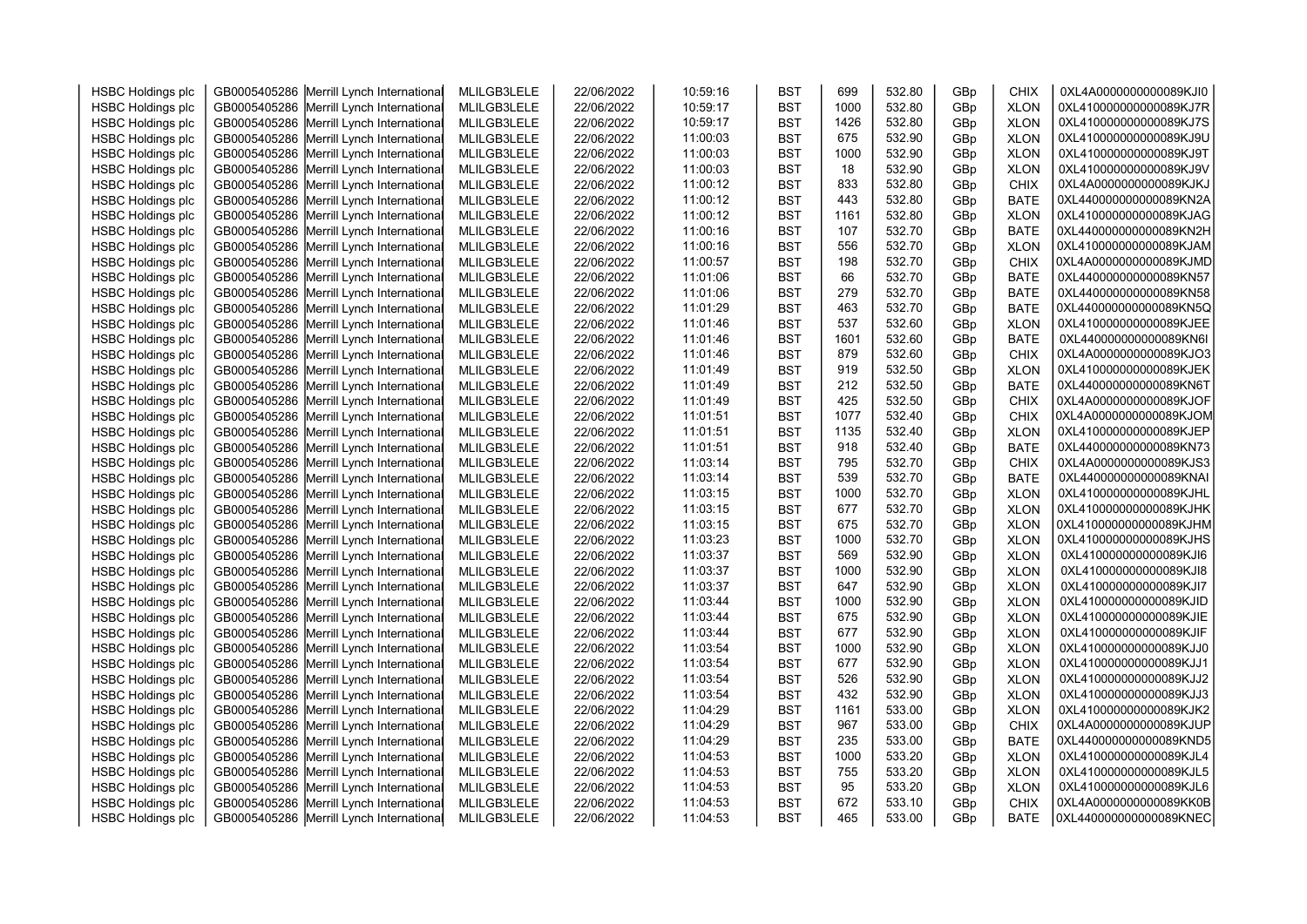|                          |                                          |             |            | 10:59:16 |            | 699  | 532.80 |     | <b>CHIX</b> | 0XL4A0000000000089KJI0                           |  |
|--------------------------|------------------------------------------|-------------|------------|----------|------------|------|--------|-----|-------------|--------------------------------------------------|--|
| <b>HSBC Holdings plc</b> | GB0005405286 Merrill Lynch International | MLILGB3LELE | 22/06/2022 |          | <b>BST</b> | 1000 |        | GBp |             |                                                  |  |
| <b>HSBC Holdings plc</b> | GB0005405286 Merrill Lynch International | MLILGB3LELE | 22/06/2022 | 10:59:17 | <b>BST</b> |      | 532.80 | GBp | <b>XLON</b> | 0XL410000000000089KJ7R                           |  |
| <b>HSBC Holdings plc</b> | GB0005405286 Merrill Lynch International | MLILGB3LELE | 22/06/2022 | 10:59:17 | <b>BST</b> | 1426 | 532.80 | GBp | <b>XLON</b> | 0XL410000000000089KJ7S                           |  |
| <b>HSBC Holdings plc</b> | GB0005405286 Merrill Lynch International | MLILGB3LELE | 22/06/2022 | 11:00:03 | <b>BST</b> | 675  | 532.90 | GBp | <b>XLON</b> | 0XL410000000000089KJ9U                           |  |
| <b>HSBC Holdings plc</b> | GB0005405286 Merrill Lynch International | MLILGB3LELE | 22/06/2022 | 11:00:03 | <b>BST</b> | 1000 | 532.90 | GBp | <b>XLON</b> | 0XL410000000000089KJ9T                           |  |
| <b>HSBC Holdings plc</b> | GB0005405286 Merrill Lynch International | MLILGB3LELE | 22/06/2022 | 11:00:03 | <b>BST</b> | 18   | 532.90 | GBp | <b>XLON</b> | 0XL410000000000089KJ9V                           |  |
| <b>HSBC Holdings plc</b> | GB0005405286 Merrill Lynch International | MLILGB3LELE | 22/06/2022 | 11:00:12 | <b>BST</b> | 833  | 532.80 | GBp | <b>CHIX</b> | 0XL4A0000000000089KJKJ                           |  |
| <b>HSBC Holdings plc</b> | GB0005405286 Merrill Lynch International | MLILGB3LELE | 22/06/2022 | 11:00:12 | <b>BST</b> | 443  | 532.80 | GBp | <b>BATE</b> | 0XL440000000000089KN2A                           |  |
| <b>HSBC Holdings plc</b> | GB0005405286 Merrill Lynch International | MLILGB3LELE | 22/06/2022 | 11:00:12 | <b>BST</b> | 1161 | 532.80 | GBp | <b>XLON</b> | 0XL410000000000089KJAG                           |  |
| <b>HSBC Holdings plc</b> | GB0005405286 Merrill Lynch International | MLILGB3LELE | 22/06/2022 | 11:00:16 | <b>BST</b> | 107  | 532.70 | GBp | <b>BATE</b> | 0XL440000000000089KN2H                           |  |
| <b>HSBC Holdings plc</b> | GB0005405286 Merrill Lynch International | MLILGB3LELE | 22/06/2022 | 11:00:16 | <b>BST</b> | 556  | 532.70 | GBp | <b>XLON</b> | 0XL410000000000089KJAM                           |  |
| <b>HSBC Holdings plc</b> | GB0005405286 Merrill Lynch International | MLILGB3LELE | 22/06/2022 | 11:00:57 | <b>BST</b> | 198  | 532.70 | GBp | <b>CHIX</b> | 0XL4A0000000000089KJMD                           |  |
| <b>HSBC Holdings plc</b> | GB0005405286 Merrill Lynch International | MLILGB3LELE | 22/06/2022 | 11:01:06 | <b>BST</b> | 66   | 532.70 | GBp | <b>BATE</b> | 0XL440000000000089KN57                           |  |
| <b>HSBC Holdings plc</b> | GB0005405286 Merrill Lynch International | MLILGB3LELE | 22/06/2022 | 11:01:06 | <b>BST</b> | 279  | 532.70 | GBp | <b>BATE</b> | 0XL440000000000089KN58                           |  |
| <b>HSBC Holdings plc</b> | GB0005405286 Merrill Lynch International | MLILGB3LELE | 22/06/2022 | 11:01:29 | <b>BST</b> | 463  | 532.70 | GBp | <b>BATE</b> | 0XL440000000000089KN5Q                           |  |
| <b>HSBC Holdings plc</b> | GB0005405286 Merrill Lynch International | MLILGB3LELE | 22/06/2022 | 11:01:46 | <b>BST</b> | 537  | 532.60 | GBp | <b>XLON</b> | 0XL410000000000089KJEE                           |  |
| <b>HSBC Holdings plc</b> | GB0005405286 Merrill Lynch International | MLILGB3LELE | 22/06/2022 | 11:01:46 | <b>BST</b> | 1601 | 532.60 | GBp | <b>BATE</b> | 0XL440000000000089KN6I                           |  |
| <b>HSBC Holdings plc</b> | GB0005405286 Merrill Lynch International | MLILGB3LELE | 22/06/2022 | 11:01:46 | <b>BST</b> | 879  | 532.60 | GBp | <b>CHIX</b> | 0XL4A0000000000089KJO3                           |  |
| <b>HSBC Holdings plc</b> | GB0005405286 Merrill Lynch International | MLILGB3LELE | 22/06/2022 | 11:01:49 | <b>BST</b> | 919  | 532.50 | GBp | <b>XLON</b> | 0XL410000000000089KJEK                           |  |
| <b>HSBC Holdings plc</b> | GB0005405286 Merrill Lynch International | MLILGB3LELE | 22/06/2022 | 11:01:49 | <b>BST</b> | 212  | 532.50 | GBp | <b>BATE</b> | 0XL440000000000089KN6T                           |  |
| <b>HSBC Holdings plc</b> | GB0005405286 Merrill Lynch International | MLILGB3LELE | 22/06/2022 | 11:01:49 | <b>BST</b> | 425  | 532.50 | GBp | <b>CHIX</b> | 0XL4A0000000000089KJOF                           |  |
| <b>HSBC Holdings plc</b> | GB0005405286 Merrill Lynch International | MLILGB3LELE | 22/06/2022 | 11:01:51 | <b>BST</b> | 1077 | 532.40 | GBp | <b>CHIX</b> | 0XL4A0000000000089KJOM                           |  |
| <b>HSBC Holdings plc</b> | GB0005405286 Merrill Lynch International | MLILGB3LELE | 22/06/2022 | 11:01:51 | <b>BST</b> | 1135 | 532.40 | GBp | <b>XLON</b> | 0XL410000000000089KJEP                           |  |
| <b>HSBC Holdings plc</b> | GB0005405286 Merrill Lynch International | MLILGB3LELE | 22/06/2022 | 11:01:51 | <b>BST</b> | 918  | 532.40 | GBp | <b>BATE</b> | 0XL440000000000089KN73                           |  |
| <b>HSBC Holdings plc</b> | GB0005405286 Merrill Lynch International | MLILGB3LELE | 22/06/2022 | 11:03:14 | <b>BST</b> | 795  | 532.70 | GBp | <b>CHIX</b> | 0XL4A0000000000089KJS3                           |  |
| <b>HSBC Holdings plc</b> | GB0005405286 Merrill Lynch International | MLILGB3LELE | 22/06/2022 | 11:03:14 | <b>BST</b> | 539  | 532.70 | GBp | <b>BATE</b> | 0XL440000000000089KNAI                           |  |
| <b>HSBC Holdings plc</b> | GB0005405286 Merrill Lynch International | MLILGB3LELE | 22/06/2022 | 11:03:15 | <b>BST</b> | 1000 | 532.70 | GBp | <b>XLON</b> | 0XL410000000000089KJHL                           |  |
| <b>HSBC Holdings plc</b> | GB0005405286 Merrill Lynch International | MLILGB3LELE | 22/06/2022 | 11:03:15 | <b>BST</b> | 677  | 532.70 | GBp | <b>XLON</b> | 0XL410000000000089KJHK                           |  |
| <b>HSBC Holdings plc</b> | GB0005405286 Merrill Lynch International | MLILGB3LELE | 22/06/2022 | 11:03:15 | <b>BST</b> | 675  | 532.70 | GBp | <b>XLON</b> | 0XL410000000000089KJHM                           |  |
| <b>HSBC Holdings plc</b> | GB0005405286 Merrill Lynch International | MLILGB3LELE | 22/06/2022 | 11:03:23 | <b>BST</b> | 1000 | 532.70 | GBp | <b>XLON</b> | 0XL410000000000089KJHS                           |  |
| <b>HSBC Holdings plc</b> | GB0005405286 Merrill Lynch International | MLILGB3LELE | 22/06/2022 | 11:03:37 | <b>BST</b> | 569  | 532.90 | GBp | <b>XLON</b> | 0XL410000000000089KJI6                           |  |
| <b>HSBC Holdings plc</b> | GB0005405286 Merrill Lynch International | MLILGB3LELE | 22/06/2022 | 11:03:37 | <b>BST</b> | 1000 | 532.90 | GBp | <b>XLON</b> | 0XL410000000000089KJI8                           |  |
| <b>HSBC Holdings plc</b> | GB0005405286 Merrill Lynch International | MLILGB3LELE | 22/06/2022 | 11:03:37 | <b>BST</b> | 647  | 532.90 | GBp | <b>XLON</b> | 0XL410000000000089KJI7                           |  |
| <b>HSBC Holdings plc</b> | GB0005405286 Merrill Lynch International | MLILGB3LELE | 22/06/2022 | 11:03:44 | <b>BST</b> | 1000 | 532.90 | GBp | <b>XLON</b> | 0XL410000000000089KJID                           |  |
| <b>HSBC Holdings plc</b> | GB0005405286 Merrill Lynch International | MLILGB3LELE | 22/06/2022 | 11:03:44 | <b>BST</b> | 675  | 532.90 | GBp | <b>XLON</b> | 0XL410000000000089KJIE                           |  |
| <b>HSBC Holdings plc</b> | GB0005405286 Merrill Lynch International | MLILGB3LELE | 22/06/2022 | 11:03:44 | <b>BST</b> | 677  | 532.90 | GBp | <b>XLON</b> | 0XL410000000000089KJIF                           |  |
| <b>HSBC Holdings plc</b> | GB0005405286 Merrill Lynch International | MLILGB3LELE | 22/06/2022 | 11:03:54 | <b>BST</b> | 1000 | 532.90 | GBp | <b>XLON</b> | 0XL410000000000089KJJ0                           |  |
| <b>HSBC Holdings plc</b> | GB0005405286 Merrill Lynch International | MLILGB3LELE | 22/06/2022 | 11:03:54 | <b>BST</b> | 677  | 532.90 | GBp | <b>XLON</b> | 0XL410000000000089KJJ1                           |  |
| <b>HSBC Holdings plc</b> | GB0005405286 Merrill Lynch International | MLILGB3LELE | 22/06/2022 | 11:03:54 | <b>BST</b> | 526  | 532.90 | GBp | <b>XLON</b> | 0XL410000000000089KJJ2                           |  |
| <b>HSBC Holdings plc</b> | GB0005405286 Merrill Lynch International | MLILGB3LELE | 22/06/2022 | 11:03:54 | <b>BST</b> | 432  | 532.90 | GBp | <b>XLON</b> | 0XL410000000000089KJJ3                           |  |
| <b>HSBC Holdings plc</b> | GB0005405286 Merrill Lynch International | MLILGB3LELE | 22/06/2022 | 11:04:29 | <b>BST</b> | 1161 | 533.00 | GBp | <b>XLON</b> | 0XL410000000000089KJK2                           |  |
| <b>HSBC Holdings plc</b> | GB0005405286 Merrill Lynch International | MLILGB3LELE | 22/06/2022 | 11:04:29 | <b>BST</b> | 967  | 533.00 | GBp | <b>CHIX</b> | 0XL4A0000000000089KJUP                           |  |
| <b>HSBC Holdings plc</b> | GB0005405286 Merrill Lynch International | MLILGB3LELE | 22/06/2022 | 11:04:29 | <b>BST</b> | 235  | 533.00 | GBp | <b>BATE</b> | 0XL440000000000089KND5                           |  |
|                          |                                          |             |            | 11:04:53 |            | 1000 | 533.20 |     |             | 0XL410000000000089KJL4                           |  |
| <b>HSBC Holdings plc</b> | GB0005405286 Merrill Lynch International | MLILGB3LELE | 22/06/2022 |          | <b>BST</b> | 755  | 533.20 | GBp | <b>XLON</b> |                                                  |  |
| <b>HSBC Holdings plc</b> | GB0005405286 Merrill Lynch International | MLILGB3LELE | 22/06/2022 | 11:04:53 | <b>BST</b> |      |        | GBp | <b>XLON</b> | 0XL410000000000089KJL5<br>0XL410000000000089KJL6 |  |
| <b>HSBC Holdings plc</b> | GB0005405286 Merrill Lynch International | MLILGB3LELE | 22/06/2022 | 11:04:53 | <b>BST</b> | 95   | 533.20 | GBp | <b>XLON</b> |                                                  |  |
| <b>HSBC Holdings plc</b> | GB0005405286 Merrill Lynch International | MLILGB3LELE | 22/06/2022 | 11:04:53 | <b>BST</b> | 672  | 533.10 | GBp | <b>CHIX</b> | 0XL4A0000000000089KK0B                           |  |
| <b>HSBC Holdings plc</b> | GB0005405286 Merrill Lynch International | MLILGB3LELE | 22/06/2022 | 11:04:53 | <b>BST</b> | 465  | 533.00 | GBp | <b>BATE</b> | 0XL440000000000089KNEC                           |  |
|                          |                                          |             |            |          |            |      |        |     |             |                                                  |  |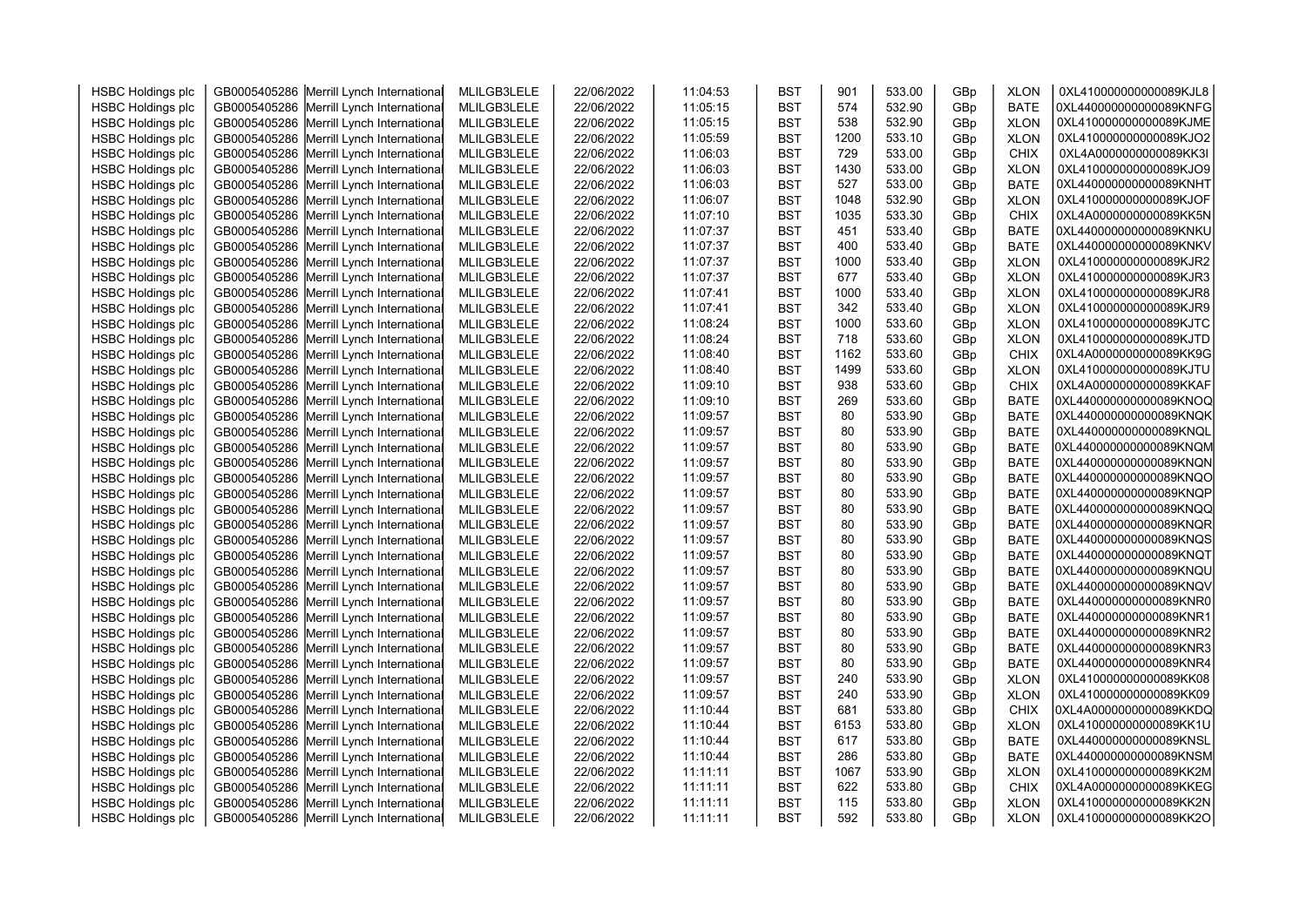| <b>HSBC Holdings plc</b> | GB0005405286 Merrill Lynch International | MLILGB3LELE | 22/06/2022 | 11:04:53 | <b>BST</b> | 901  | 533.00 | GBp | <b>XLON</b> | 0XL410000000000089KJL8 |  |
|--------------------------|------------------------------------------|-------------|------------|----------|------------|------|--------|-----|-------------|------------------------|--|
| <b>HSBC Holdings plc</b> | GB0005405286 Merrill Lynch International | MLILGB3LELE | 22/06/2022 | 11:05:15 | <b>BST</b> | 574  | 532.90 | GBp | <b>BATE</b> | 0XL440000000000089KNFG |  |
| <b>HSBC Holdings plc</b> | GB0005405286 Merrill Lynch International | MLILGB3LELE | 22/06/2022 | 11:05:15 | <b>BST</b> | 538  | 532.90 | GBp | <b>XLON</b> | 0XL410000000000089KJME |  |
| <b>HSBC Holdings plc</b> | GB0005405286 Merrill Lynch International | MLILGB3LELE | 22/06/2022 | 11:05:59 | <b>BST</b> | 1200 | 533.10 | GBp | <b>XLON</b> | 0XL410000000000089KJO2 |  |
| <b>HSBC Holdings plc</b> | GB0005405286 Merrill Lynch International | MLILGB3LELE | 22/06/2022 | 11:06:03 | <b>BST</b> | 729  | 533.00 | GBp | <b>CHIX</b> | 0XL4A0000000000089KK3I |  |
| <b>HSBC Holdings plc</b> | GB0005405286 Merrill Lynch International | MLILGB3LELE | 22/06/2022 | 11:06:03 | <b>BST</b> | 1430 | 533.00 | GBp | <b>XLON</b> | 0XL410000000000089KJO9 |  |
| <b>HSBC Holdings plc</b> | GB0005405286 Merrill Lynch International | MLILGB3LELE | 22/06/2022 | 11:06:03 | <b>BST</b> | 527  | 533.00 | GBp | <b>BATE</b> | 0XL440000000000089KNHT |  |
| <b>HSBC Holdings plc</b> | GB0005405286 Merrill Lynch International | MLILGB3LELE | 22/06/2022 | 11:06:07 | <b>BST</b> | 1048 | 532.90 | GBp | <b>XLON</b> | 0XL410000000000089KJOF |  |
| <b>HSBC Holdings plc</b> | GB0005405286 Merrill Lynch International | MLILGB3LELE | 22/06/2022 | 11:07:10 | <b>BST</b> | 1035 | 533.30 | GBp | <b>CHIX</b> | 0XL4A0000000000089KK5N |  |
| <b>HSBC Holdings plc</b> | GB0005405286 Merrill Lynch International | MLILGB3LELE | 22/06/2022 | 11:07:37 | <b>BST</b> | 451  | 533.40 | GBp | <b>BATE</b> | 0XL440000000000089KNKU |  |
| <b>HSBC Holdings plc</b> | GB0005405286 Merrill Lynch International | MLILGB3LELE | 22/06/2022 | 11:07:37 | <b>BST</b> | 400  | 533.40 | GBp | <b>BATE</b> | 0XL440000000000089KNKV |  |
| <b>HSBC Holdings plc</b> | GB0005405286 Merrill Lynch International | MLILGB3LELE | 22/06/2022 | 11:07:37 | <b>BST</b> | 1000 | 533.40 | GBp | <b>XLON</b> | 0XL410000000000089KJR2 |  |
| <b>HSBC Holdings plc</b> | GB0005405286 Merrill Lynch International | MLILGB3LELE | 22/06/2022 | 11:07:37 | <b>BST</b> | 677  | 533.40 | GBp | <b>XLON</b> | 0XL410000000000089KJR3 |  |
| <b>HSBC Holdings plc</b> | GB0005405286 Merrill Lynch International | MLILGB3LELE | 22/06/2022 | 11:07:41 | <b>BST</b> | 1000 | 533.40 | GBp | <b>XLON</b> | 0XL410000000000089KJR8 |  |
| <b>HSBC Holdings plc</b> | GB0005405286 Merrill Lynch International | MLILGB3LELE | 22/06/2022 | 11:07:41 | <b>BST</b> | 342  | 533.40 | GBp | <b>XLON</b> | 0XL410000000000089KJR9 |  |
| <b>HSBC Holdings plc</b> | GB0005405286 Merrill Lynch International | MLILGB3LELE | 22/06/2022 | 11:08:24 | <b>BST</b> | 1000 | 533.60 | GBp | <b>XLON</b> | 0XL410000000000089KJTC |  |
| <b>HSBC Holdings plc</b> | GB0005405286 Merrill Lynch International | MLILGB3LELE | 22/06/2022 | 11:08:24 | <b>BST</b> | 718  | 533.60 | GBp | <b>XLON</b> | 0XL410000000000089KJTD |  |
| <b>HSBC Holdings plc</b> | GB0005405286 Merrill Lynch International | MLILGB3LELE | 22/06/2022 | 11:08:40 | <b>BST</b> | 1162 | 533.60 | GBp | <b>CHIX</b> | 0XL4A0000000000089KK9G |  |
| <b>HSBC Holdings plc</b> | GB0005405286 Merrill Lynch International | MLILGB3LELE | 22/06/2022 | 11:08:40 | <b>BST</b> | 1499 | 533.60 | GBp | <b>XLON</b> | 0XL410000000000089KJTU |  |
| <b>HSBC Holdings plc</b> | GB0005405286 Merrill Lynch International | MLILGB3LELE | 22/06/2022 | 11:09:10 | <b>BST</b> | 938  | 533.60 | GBp | <b>CHIX</b> | 0XL4A0000000000089KKAF |  |
| <b>HSBC Holdings plc</b> | GB0005405286 Merrill Lynch International | MLILGB3LELE | 22/06/2022 | 11:09:10 | <b>BST</b> | 269  | 533.60 | GBp | <b>BATE</b> | 0XL440000000000089KNOQ |  |
| <b>HSBC Holdings plc</b> | GB0005405286 Merrill Lynch International | MLILGB3LELE | 22/06/2022 | 11:09:57 | <b>BST</b> | 80   | 533.90 | GBp | <b>BATE</b> | 0XL440000000000089KNQK |  |
| <b>HSBC Holdings plc</b> | GB0005405286 Merrill Lynch International | MLILGB3LELE | 22/06/2022 | 11:09:57 | <b>BST</b> | 80   | 533.90 | GBp | <b>BATE</b> | 0XL440000000000089KNQL |  |
| <b>HSBC Holdings plc</b> | GB0005405286 Merrill Lynch International | MLILGB3LELE | 22/06/2022 | 11:09:57 | <b>BST</b> | 80   | 533.90 | GBp | <b>BATE</b> | 0XL440000000000089KNQM |  |
| <b>HSBC Holdings plc</b> | GB0005405286 Merrill Lynch International | MLILGB3LELE | 22/06/2022 | 11:09:57 | <b>BST</b> | 80   | 533.90 | GBp | <b>BATE</b> | 0XL440000000000089KNQN |  |
| <b>HSBC Holdings plc</b> | GB0005405286 Merrill Lynch International | MLILGB3LELE | 22/06/2022 | 11:09:57 | <b>BST</b> | 80   | 533.90 | GBp | <b>BATE</b> | 0XL440000000000089KNQO |  |
| <b>HSBC Holdings plc</b> | GB0005405286 Merrill Lynch International | MLILGB3LELE | 22/06/2022 | 11:09:57 | <b>BST</b> | 80   | 533.90 | GBp | <b>BATE</b> | 0XL440000000000089KNQP |  |
| <b>HSBC Holdings plc</b> | GB0005405286 Merrill Lynch International | MLILGB3LELE | 22/06/2022 | 11:09:57 | <b>BST</b> | 80   | 533.90 | GBp | <b>BATE</b> | 0XL440000000000089KNQQ |  |
| <b>HSBC Holdings plc</b> | GB0005405286 Merrill Lynch International | MLILGB3LELE | 22/06/2022 | 11:09:57 | <b>BST</b> | 80   | 533.90 | GBp | <b>BATE</b> | 0XL440000000000089KNQR |  |
| <b>HSBC Holdings plc</b> | GB0005405286 Merrill Lynch International | MLILGB3LELE | 22/06/2022 | 11:09:57 | <b>BST</b> | 80   | 533.90 | GBp | <b>BATE</b> | 0XL440000000000089KNQS |  |
| <b>HSBC Holdings plc</b> | GB0005405286 Merrill Lynch International | MLILGB3LELE | 22/06/2022 | 11:09:57 | <b>BST</b> | 80   | 533.90 | GBp | <b>BATE</b> | 0XL440000000000089KNQT |  |
| <b>HSBC Holdings plc</b> | GB0005405286 Merrill Lynch International | MLILGB3LELE | 22/06/2022 | 11:09:57 | <b>BST</b> | 80   | 533.90 | GBp | <b>BATE</b> | 0XL440000000000089KNQU |  |
| <b>HSBC Holdings plc</b> | GB0005405286 Merrill Lynch International | MLILGB3LELE | 22/06/2022 | 11:09:57 | <b>BST</b> | 80   | 533.90 | GBp | <b>BATE</b> | 0XL440000000000089KNQV |  |
| <b>HSBC Holdings plc</b> | GB0005405286 Merrill Lynch International | MLILGB3LELE | 22/06/2022 | 11:09:57 | <b>BST</b> | 80   | 533.90 | GBp | <b>BATE</b> | 0XL440000000000089KNR0 |  |
| <b>HSBC Holdings plc</b> | GB0005405286 Merrill Lynch International | MLILGB3LELE | 22/06/2022 | 11:09:57 | <b>BST</b> | 80   | 533.90 | GBp | <b>BATE</b> | 0XL440000000000089KNR1 |  |
| <b>HSBC Holdings plc</b> | GB0005405286 Merrill Lynch International | MLILGB3LELE | 22/06/2022 | 11:09:57 | <b>BST</b> | 80   | 533.90 | GBp | <b>BATE</b> | 0XL440000000000089KNR2 |  |
| <b>HSBC Holdings plc</b> | GB0005405286 Merrill Lynch International | MLILGB3LELE | 22/06/2022 | 11:09:57 | <b>BST</b> | 80   | 533.90 | GBp | <b>BATE</b> | 0XL440000000000089KNR3 |  |
| <b>HSBC Holdings plc</b> | GB0005405286 Merrill Lynch International | MLILGB3LELE | 22/06/2022 | 11:09:57 | <b>BST</b> | 80   | 533.90 | GBp | <b>BATE</b> | 0XL440000000000089KNR4 |  |
| <b>HSBC Holdings plc</b> | GB0005405286 Merrill Lynch International | MLILGB3LELE | 22/06/2022 | 11:09:57 | <b>BST</b> | 240  | 533.90 | GBp | <b>XLON</b> | 0XL410000000000089KK08 |  |
| <b>HSBC Holdings plc</b> | GB0005405286 Merrill Lynch International | MLILGB3LELE | 22/06/2022 | 11:09:57 | <b>BST</b> | 240  | 533.90 | GBp | <b>XLON</b> | 0XL410000000000089KK09 |  |
| <b>HSBC Holdings plc</b> | GB0005405286 Merrill Lynch International | MLILGB3LELE | 22/06/2022 | 11:10:44 | <b>BST</b> | 681  | 533.80 | GBp | <b>CHIX</b> | 0XL4A0000000000089KKDQ |  |
| <b>HSBC Holdings plc</b> | GB0005405286 Merrill Lynch International | MLILGB3LELE | 22/06/2022 | 11:10:44 | <b>BST</b> | 6153 | 533.80 | GBp | <b>XLON</b> | 0XL410000000000089KK1U |  |
| <b>HSBC Holdings plc</b> | GB0005405286 Merrill Lynch International | MLILGB3LELE | 22/06/2022 | 11:10:44 | <b>BST</b> | 617  | 533.80 | GBp | <b>BATE</b> | 0XL440000000000089KNSL |  |
| <b>HSBC Holdings plc</b> | GB0005405286 Merrill Lynch International | MLILGB3LELE | 22/06/2022 | 11:10:44 | <b>BST</b> | 286  | 533.80 | GBp | <b>BATE</b> | 0XL440000000000089KNSM |  |
| <b>HSBC Holdings plc</b> | GB0005405286 Merrill Lynch International | MLILGB3LELE | 22/06/2022 | 11:11:11 | <b>BST</b> | 1067 | 533.90 | GBp | <b>XLON</b> | 0XL410000000000089KK2M |  |
| <b>HSBC Holdings plc</b> | GB0005405286 Merrill Lynch International | MLILGB3LELE | 22/06/2022 | 11:11:11 | <b>BST</b> | 622  | 533.80 | GBp | <b>CHIX</b> | 0XL4A0000000000089KKEG |  |
| <b>HSBC Holdings plc</b> | GB0005405286 Merrill Lynch International | MLILGB3LELE | 22/06/2022 | 11:11:11 | <b>BST</b> | 115  | 533.80 | GBp | <b>XLON</b> | 0XL410000000000089KK2N |  |
| <b>HSBC Holdings plc</b> | GB0005405286 Merrill Lynch International | MLILGB3LELE | 22/06/2022 | 11:11:11 | <b>BST</b> | 592  | 533.80 | GBp | <b>XLON</b> | 0XL410000000000089KK2O |  |
|                          |                                          |             |            |          |            |      |        |     |             |                        |  |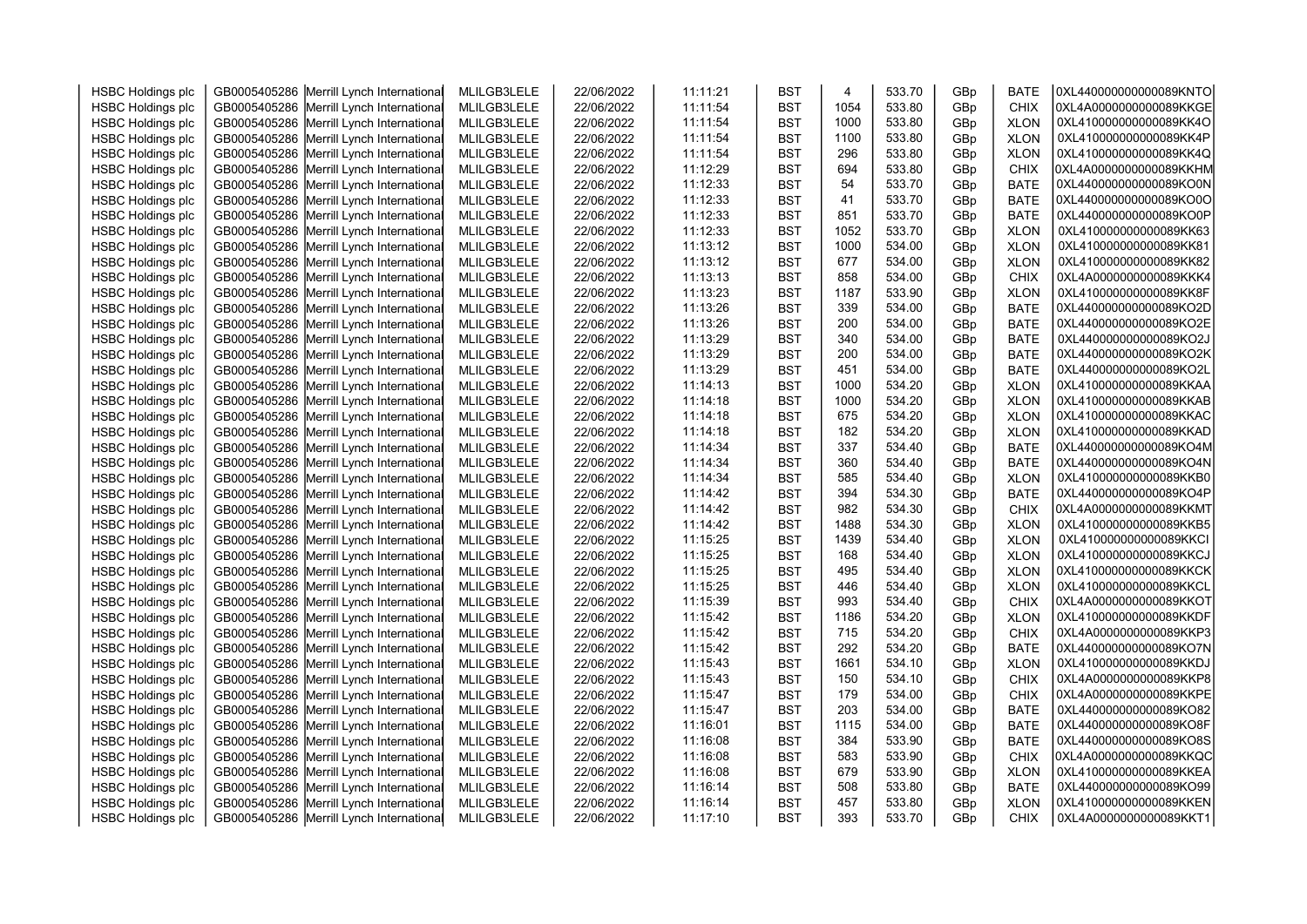| <b>HSBC Holdings plc</b> | GB0005405286 Merrill Lynch International | MLILGB3LELE | 22/06/2022 | 11:11:21 | <b>BST</b> | $\overline{4}$ | 533.70 | GBp | <b>BATE</b> | 0XL440000000000089KNTO |  |
|--------------------------|------------------------------------------|-------------|------------|----------|------------|----------------|--------|-----|-------------|------------------------|--|
| <b>HSBC Holdings plc</b> | GB0005405286 Merrill Lynch International | MLILGB3LELE | 22/06/2022 | 11:11:54 | <b>BST</b> | 1054           | 533.80 | GBp | <b>CHIX</b> | 0XL4A0000000000089KKGE |  |
| <b>HSBC Holdings plc</b> | GB0005405286 Merrill Lynch International | MLILGB3LELE | 22/06/2022 | 11:11:54 | <b>BST</b> | 1000           | 533.80 | GBp | <b>XLON</b> | 0XL410000000000089KK4O |  |
| <b>HSBC Holdings plc</b> | GB0005405286 Merrill Lynch International | MLILGB3LELE | 22/06/2022 | 11:11:54 | <b>BST</b> | 1100           | 533.80 | GBp | <b>XLON</b> | 0XL410000000000089KK4P |  |
| <b>HSBC Holdings plc</b> | GB0005405286 Merrill Lynch International | MLILGB3LELE | 22/06/2022 | 11:11:54 | <b>BST</b> | 296            | 533.80 | GBp | <b>XLON</b> | 0XL410000000000089KK4Q |  |
| <b>HSBC Holdings plc</b> | GB0005405286 Merrill Lynch International | MLILGB3LELE | 22/06/2022 | 11:12:29 | <b>BST</b> | 694            | 533.80 | GBp | <b>CHIX</b> | 0XL4A0000000000089KKHM |  |
| <b>HSBC Holdings plc</b> | GB0005405286 Merrill Lynch International | MLILGB3LELE | 22/06/2022 | 11:12:33 | <b>BST</b> | 54             | 533.70 | GBp | <b>BATE</b> | 0XL440000000000089KO0N |  |
| <b>HSBC Holdings plc</b> | GB0005405286 Merrill Lynch International | MLILGB3LELE | 22/06/2022 | 11:12:33 | <b>BST</b> | 41             | 533.70 | GBp | <b>BATE</b> | 0XL440000000000089KO0O |  |
| <b>HSBC Holdings plc</b> | GB0005405286 Merrill Lynch International | MLILGB3LELE | 22/06/2022 | 11:12:33 | <b>BST</b> | 851            | 533.70 | GBp | <b>BATE</b> | 0XL440000000000089KO0P |  |
| <b>HSBC Holdings plc</b> | GB0005405286 Merrill Lynch International | MLILGB3LELE | 22/06/2022 | 11:12:33 | <b>BST</b> | 1052           | 533.70 | GBp | <b>XLON</b> | 0XL410000000000089KK63 |  |
| <b>HSBC Holdings plc</b> | GB0005405286 Merrill Lynch International | MLILGB3LELE | 22/06/2022 | 11:13:12 | <b>BST</b> | 1000           | 534.00 | GBp | <b>XLON</b> | 0XL410000000000089KK81 |  |
| <b>HSBC Holdings plc</b> | GB0005405286 Merrill Lynch International | MLILGB3LELE | 22/06/2022 | 11:13:12 | <b>BST</b> | 677            | 534.00 | GBp | <b>XLON</b> | 0XL410000000000089KK82 |  |
| <b>HSBC Holdings plc</b> | GB0005405286 Merrill Lynch International | MLILGB3LELE | 22/06/2022 | 11:13:13 | <b>BST</b> | 858            | 534.00 | GBp | <b>CHIX</b> | 0XL4A0000000000089KKK4 |  |
| <b>HSBC Holdings plc</b> | GB0005405286 Merrill Lynch International | MLILGB3LELE | 22/06/2022 | 11:13:23 | <b>BST</b> | 1187           | 533.90 | GBp | <b>XLON</b> | 0XL410000000000089KK8F |  |
| <b>HSBC Holdings plc</b> | GB0005405286 Merrill Lynch International | MLILGB3LELE | 22/06/2022 | 11:13:26 | <b>BST</b> | 339            | 534.00 | GBp | <b>BATE</b> | 0XL440000000000089KO2D |  |
| <b>HSBC Holdings plc</b> | GB0005405286 Merrill Lynch International | MLILGB3LELE | 22/06/2022 | 11:13:26 | <b>BST</b> | 200            | 534.00 | GBp | <b>BATE</b> | 0XL440000000000089KO2E |  |
| <b>HSBC Holdings plc</b> | GB0005405286 Merrill Lynch International | MLILGB3LELE | 22/06/2022 | 11:13:29 | <b>BST</b> | 340            | 534.00 | GBp | <b>BATE</b> | 0XL440000000000089KO2J |  |
| <b>HSBC Holdings plc</b> | GB0005405286 Merrill Lynch International | MLILGB3LELE | 22/06/2022 | 11:13:29 | <b>BST</b> | 200            | 534.00 | GBp | <b>BATE</b> | 0XL440000000000089KO2K |  |
| <b>HSBC Holdings plc</b> | GB0005405286 Merrill Lynch International | MLILGB3LELE | 22/06/2022 | 11:13:29 | <b>BST</b> | 451            | 534.00 | GBp | <b>BATE</b> | 0XL440000000000089KO2L |  |
| <b>HSBC Holdings plc</b> | GB0005405286 Merrill Lynch International | MLILGB3LELE | 22/06/2022 | 11:14:13 | <b>BST</b> | 1000           | 534.20 | GBp | <b>XLON</b> | 0XL410000000000089KKAA |  |
| <b>HSBC Holdings plc</b> | GB0005405286 Merrill Lynch International | MLILGB3LELE | 22/06/2022 | 11:14:18 | <b>BST</b> | 1000           | 534.20 | GBp | <b>XLON</b> | 0XL410000000000089KKAB |  |
| <b>HSBC Holdings plc</b> | GB0005405286 Merrill Lynch International | MLILGB3LELE | 22/06/2022 | 11:14:18 | <b>BST</b> | 675            | 534.20 | GBp | <b>XLON</b> | 0XL410000000000089KKAC |  |
| <b>HSBC Holdings plc</b> | GB0005405286 Merrill Lynch International | MLILGB3LELE | 22/06/2022 | 11:14:18 | <b>BST</b> | 182            | 534.20 | GBp | <b>XLON</b> | 0XL410000000000089KKAD |  |
| <b>HSBC Holdings plc</b> | GB0005405286 Merrill Lynch International | MLILGB3LELE | 22/06/2022 | 11:14:34 | <b>BST</b> | 337            | 534.40 | GBp | <b>BATE</b> | 0XL440000000000089KO4M |  |
| <b>HSBC Holdings plc</b> | GB0005405286 Merrill Lynch International | MLILGB3LELE | 22/06/2022 | 11:14:34 | <b>BST</b> | 360            | 534.40 | GBp | <b>BATE</b> | 0XL440000000000089KO4N |  |
| <b>HSBC Holdings plc</b> | GB0005405286 Merrill Lynch International | MLILGB3LELE | 22/06/2022 | 11:14:34 | <b>BST</b> | 585            | 534.40 | GBp | <b>XLON</b> | 0XL410000000000089KKB0 |  |
| <b>HSBC Holdings plc</b> | GB0005405286 Merrill Lynch International | MLILGB3LELE | 22/06/2022 | 11:14:42 | <b>BST</b> | 394            | 534.30 | GBp | <b>BATE</b> | 0XL440000000000089KO4P |  |
| <b>HSBC Holdings plc</b> | GB0005405286 Merrill Lynch International | MLILGB3LELE | 22/06/2022 | 11:14:42 | <b>BST</b> | 982            | 534.30 | GBp | <b>CHIX</b> | 0XL4A0000000000089KKMT |  |
| <b>HSBC Holdings plc</b> | GB0005405286 Merrill Lynch International | MLILGB3LELE | 22/06/2022 | 11:14:42 | <b>BST</b> | 1488           | 534.30 | GBp | <b>XLON</b> | 0XL410000000000089KKB5 |  |
| <b>HSBC Holdings plc</b> | GB0005405286 Merrill Lynch International | MLILGB3LELE | 22/06/2022 | 11:15:25 | <b>BST</b> | 1439           | 534.40 | GBp | <b>XLON</b> | 0XL410000000000089KKCI |  |
| <b>HSBC Holdings plc</b> | GB0005405286 Merrill Lynch International | MLILGB3LELE | 22/06/2022 | 11:15:25 | <b>BST</b> | 168            | 534.40 | GBp | <b>XLON</b> | 0XL410000000000089KKCJ |  |
| <b>HSBC Holdings plc</b> | GB0005405286 Merrill Lynch International | MLILGB3LELE | 22/06/2022 | 11:15:25 | <b>BST</b> | 495            | 534.40 | GBp | <b>XLON</b> | 0XL410000000000089KKCK |  |
| <b>HSBC Holdings plc</b> | GB0005405286 Merrill Lynch International | MLILGB3LELE | 22/06/2022 | 11:15:25 | <b>BST</b> | 446            | 534.40 | GBp | <b>XLON</b> | 0XL410000000000089KKCL |  |
| <b>HSBC Holdings plc</b> | GB0005405286 Merrill Lynch International | MLILGB3LELE | 22/06/2022 | 11:15:39 | <b>BST</b> | 993            | 534.40 | GBp | <b>CHIX</b> | 0XL4A0000000000089KKOT |  |
| <b>HSBC Holdings plc</b> | GB0005405286 Merrill Lynch International | MLILGB3LELE | 22/06/2022 | 11:15:42 | <b>BST</b> | 1186           | 534.20 | GBp | <b>XLON</b> | 0XL410000000000089KKDF |  |
| <b>HSBC Holdings plc</b> | GB0005405286 Merrill Lynch International | MLILGB3LELE | 22/06/2022 | 11:15:42 | <b>BST</b> | 715            | 534.20 | GBp | <b>CHIX</b> | 0XL4A0000000000089KKP3 |  |
| <b>HSBC Holdings plc</b> | GB0005405286 Merrill Lynch International | MLILGB3LELE | 22/06/2022 | 11:15:42 | <b>BST</b> | 292            | 534.20 | GBp | <b>BATE</b> | 0XL440000000000089KO7N |  |
| <b>HSBC Holdings plc</b> | GB0005405286 Merrill Lynch International | MLILGB3LELE | 22/06/2022 | 11:15:43 | <b>BST</b> | 1661           | 534.10 | GBp | <b>XLON</b> | 0XL410000000000089KKDJ |  |
| <b>HSBC Holdings plc</b> | GB0005405286 Merrill Lynch International | MLILGB3LELE | 22/06/2022 | 11:15:43 | <b>BST</b> | 150            | 534.10 | GBp | <b>CHIX</b> | 0XL4A0000000000089KKP8 |  |
| <b>HSBC Holdings plc</b> | GB0005405286 Merrill Lynch International | MLILGB3LELE | 22/06/2022 | 11:15:47 | <b>BST</b> | 179            | 534.00 | GBp | <b>CHIX</b> | 0XL4A0000000000089KKPE |  |
| <b>HSBC Holdings plc</b> | GB0005405286 Merrill Lynch International | MLILGB3LELE | 22/06/2022 | 11:15:47 | <b>BST</b> | 203            | 534.00 | GBp | <b>BATE</b> | 0XL440000000000089KO82 |  |
| <b>HSBC Holdings plc</b> | GB0005405286 Merrill Lynch International | MLILGB3LELE | 22/06/2022 | 11:16:01 | <b>BST</b> | 1115           | 534.00 | GBp | <b>BATE</b> | 0XL440000000000089KO8F |  |
| <b>HSBC Holdings plc</b> | GB0005405286 Merrill Lynch International | MLILGB3LELE | 22/06/2022 | 11:16:08 | <b>BST</b> | 384            | 533.90 | GBp | <b>BATE</b> | 0XL440000000000089KO8S |  |
| <b>HSBC Holdings plc</b> | GB0005405286 Merrill Lynch International | MLILGB3LELE | 22/06/2022 | 11:16:08 | <b>BST</b> | 583            | 533.90 | GBp | <b>CHIX</b> | 0XL4A0000000000089KKQC |  |
| <b>HSBC Holdings plc</b> | GB0005405286 Merrill Lynch International | MLILGB3LELE | 22/06/2022 | 11:16:08 | <b>BST</b> | 679            | 533.90 | GBp | <b>XLON</b> | 0XL410000000000089KKEA |  |
| <b>HSBC Holdings plc</b> | GB0005405286 Merrill Lynch International | MLILGB3LELE | 22/06/2022 | 11:16:14 | <b>BST</b> | 508            | 533.80 | GBp | <b>BATE</b> | 0XL440000000000089KO99 |  |
| <b>HSBC Holdings plc</b> | GB0005405286 Merrill Lynch International | MLILGB3LELE | 22/06/2022 | 11:16:14 | <b>BST</b> | 457            | 533.80 | GBp | <b>XLON</b> | 0XL410000000000089KKEN |  |
| <b>HSBC Holdings plc</b> | GB0005405286 Merrill Lynch International | MLILGB3LELE | 22/06/2022 | 11:17:10 | <b>BST</b> | 393            | 533.70 | GBp | <b>CHIX</b> | 0XL4A0000000000089KKT1 |  |
|                          |                                          |             |            |          |            |                |        |     |             |                        |  |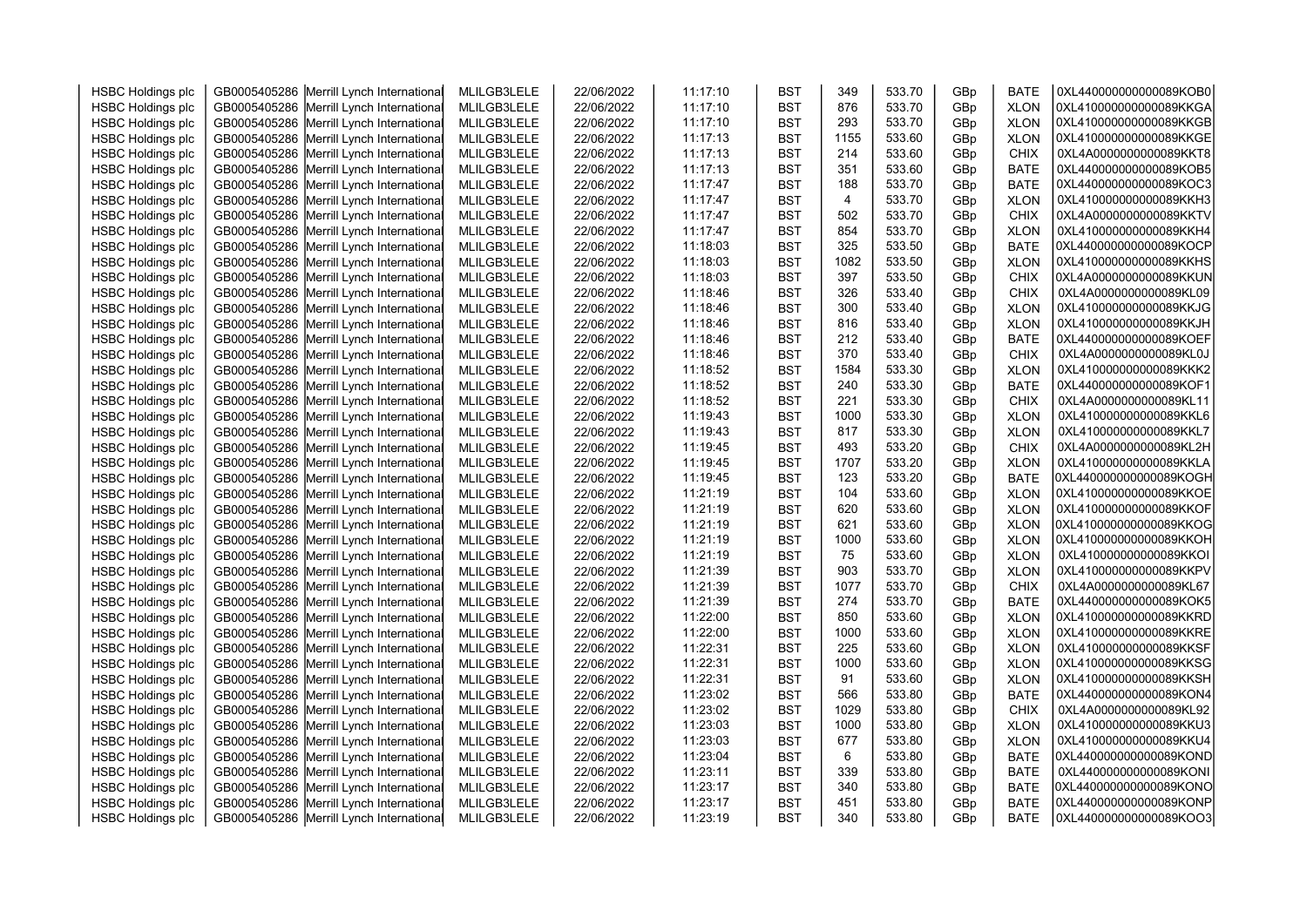| <b>HSBC Holdings plc</b> | GB0005405286 Merrill Lynch International | MLILGB3LELE | 22/06/2022 | 11:17:10 | <b>BST</b> | 349  | 533.70 | GBp | <b>BATE</b> | 0XL440000000000089KOB0 |  |
|--------------------------|------------------------------------------|-------------|------------|----------|------------|------|--------|-----|-------------|------------------------|--|
|                          | GB0005405286 Merrill Lynch International | MLILGB3LELE | 22/06/2022 | 11:17:10 | <b>BST</b> | 876  | 533.70 | GBp | <b>XLON</b> | 0XL410000000000089KKGA |  |
| <b>HSBC Holdings plc</b> | GB0005405286 Merrill Lynch International | MLILGB3LELE | 22/06/2022 | 11:17:10 | <b>BST</b> | 293  | 533.70 |     | <b>XLON</b> | 0XL410000000000089KKGB |  |
| <b>HSBC Holdings plc</b> |                                          |             |            |          | <b>BST</b> |      | 533.60 | GBp |             | 0XL410000000000089KKGE |  |
| <b>HSBC Holdings plc</b> | GB0005405286 Merrill Lynch International | MLILGB3LELE | 22/06/2022 | 11:17:13 |            | 1155 | 533.60 | GBp | <b>XLON</b> | 0XL4A0000000000089KKT8 |  |
| <b>HSBC Holdings plc</b> | GB0005405286 Merrill Lynch International | MLILGB3LELE | 22/06/2022 | 11:17:13 | <b>BST</b> | 214  |        | GBp | <b>CHIX</b> |                        |  |
| <b>HSBC Holdings plc</b> | GB0005405286 Merrill Lynch International | MLILGB3LELE | 22/06/2022 | 11:17:13 | <b>BST</b> | 351  | 533.60 | GBp | <b>BATE</b> | 0XL440000000000089KOB5 |  |
| <b>HSBC Holdings plc</b> | GB0005405286 Merrill Lynch International | MLILGB3LELE | 22/06/2022 | 11:17:47 | <b>BST</b> | 188  | 533.70 | GBp | <b>BATE</b> | 0XL440000000000089KOC3 |  |
| <b>HSBC Holdings plc</b> | GB0005405286 Merrill Lynch International | MLILGB3LELE | 22/06/2022 | 11:17:47 | <b>BST</b> | 4    | 533.70 | GBp | <b>XLON</b> | 0XL410000000000089KKH3 |  |
| <b>HSBC Holdings plc</b> | GB0005405286 Merrill Lynch International | MLILGB3LELE | 22/06/2022 | 11:17:47 | <b>BST</b> | 502  | 533.70 | GBp | <b>CHIX</b> | 0XL4A0000000000089KKTV |  |
| <b>HSBC Holdings plc</b> | GB0005405286 Merrill Lynch International | MLILGB3LELE | 22/06/2022 | 11:17:47 | <b>BST</b> | 854  | 533.70 | GBp | <b>XLON</b> | 0XL410000000000089KKH4 |  |
| <b>HSBC Holdings plc</b> | GB0005405286 Merrill Lynch International | MLILGB3LELE | 22/06/2022 | 11:18:03 | <b>BST</b> | 325  | 533.50 | GBp | <b>BATE</b> | 0XL440000000000089KOCP |  |
| <b>HSBC Holdings plc</b> | GB0005405286 Merrill Lynch International | MLILGB3LELE | 22/06/2022 | 11:18:03 | <b>BST</b> | 1082 | 533.50 | GBp | <b>XLON</b> | 0XL410000000000089KKHS |  |
| <b>HSBC Holdings plc</b> | GB0005405286 Merrill Lynch International | MLILGB3LELE | 22/06/2022 | 11:18:03 | <b>BST</b> | 397  | 533.50 | GBp | <b>CHIX</b> | 0XL4A0000000000089KKUN |  |
| <b>HSBC Holdings plc</b> | GB0005405286 Merrill Lynch International | MLILGB3LELE | 22/06/2022 | 11:18:46 | <b>BST</b> | 326  | 533.40 | GBp | <b>CHIX</b> | 0XL4A0000000000089KL09 |  |
| <b>HSBC Holdings plc</b> | GB0005405286 Merrill Lynch International | MLILGB3LELE | 22/06/2022 | 11:18:46 | <b>BST</b> | 300  | 533.40 | GBp | <b>XLON</b> | 0XL410000000000089KKJG |  |
| <b>HSBC Holdings plc</b> | GB0005405286 Merrill Lynch International | MLILGB3LELE | 22/06/2022 | 11:18:46 | <b>BST</b> | 816  | 533.40 | GBp | <b>XLON</b> | 0XL410000000000089KKJH |  |
| <b>HSBC Holdings plc</b> | GB0005405286 Merrill Lynch International | MLILGB3LELE | 22/06/2022 | 11:18:46 | <b>BST</b> | 212  | 533.40 | GBp | <b>BATE</b> | 0XL440000000000089KOEF |  |
| <b>HSBC Holdings plc</b> | GB0005405286 Merrill Lynch International | MLILGB3LELE | 22/06/2022 | 11:18:46 | <b>BST</b> | 370  | 533.40 | GBp | <b>CHIX</b> | 0XL4A0000000000089KL0J |  |
| <b>HSBC Holdings plc</b> | GB0005405286 Merrill Lynch International | MLILGB3LELE | 22/06/2022 | 11:18:52 | <b>BST</b> | 1584 | 533.30 | GBp | <b>XLON</b> | 0XL410000000000089KKK2 |  |
| <b>HSBC Holdings plc</b> | GB0005405286 Merrill Lynch International | MLILGB3LELE | 22/06/2022 | 11:18:52 | <b>BST</b> | 240  | 533.30 | GBp | <b>BATE</b> | 0XL440000000000089KOF1 |  |
| <b>HSBC Holdings plc</b> | GB0005405286 Merrill Lynch International | MLILGB3LELE | 22/06/2022 | 11:18:52 | <b>BST</b> | 221  | 533.30 | GBp | <b>CHIX</b> | 0XL4A0000000000089KL11 |  |
| <b>HSBC Holdings plc</b> | GB0005405286 Merrill Lynch International | MLILGB3LELE | 22/06/2022 | 11:19:43 | <b>BST</b> | 1000 | 533.30 | GBp | <b>XLON</b> | 0XL410000000000089KKL6 |  |
| <b>HSBC Holdings plc</b> | GB0005405286 Merrill Lynch International | MLILGB3LELE | 22/06/2022 | 11:19:43 | <b>BST</b> | 817  | 533.30 | GBp | <b>XLON</b> | 0XL410000000000089KKL7 |  |
| <b>HSBC Holdings plc</b> | GB0005405286 Merrill Lynch International | MLILGB3LELE | 22/06/2022 | 11:19:45 | <b>BST</b> | 493  | 533.20 | GBp | <b>CHIX</b> | 0XL4A0000000000089KL2H |  |
| <b>HSBC Holdings plc</b> | GB0005405286 Merrill Lynch International | MLILGB3LELE | 22/06/2022 | 11:19:45 | <b>BST</b> | 1707 | 533.20 | GBp | <b>XLON</b> | 0XL410000000000089KKLA |  |
| <b>HSBC Holdings plc</b> | GB0005405286 Merrill Lynch International | MLILGB3LELE | 22/06/2022 | 11:19:45 | <b>BST</b> | 123  | 533.20 | GBp | <b>BATE</b> | 0XL440000000000089KOGH |  |
| <b>HSBC Holdings plc</b> | GB0005405286 Merrill Lynch International | MLILGB3LELE | 22/06/2022 | 11:21:19 | <b>BST</b> | 104  | 533.60 | GBp | <b>XLON</b> | 0XL410000000000089KKOE |  |
| <b>HSBC Holdings plc</b> | GB0005405286 Merrill Lynch International | MLILGB3LELE | 22/06/2022 | 11:21:19 | <b>BST</b> | 620  | 533.60 | GBp | <b>XLON</b> | 0XL410000000000089KKOF |  |
| <b>HSBC Holdings plc</b> | GB0005405286 Merrill Lynch International | MLILGB3LELE | 22/06/2022 | 11:21:19 | <b>BST</b> | 621  | 533.60 | GBp | <b>XLON</b> | 0XL410000000000089KKOG |  |
| <b>HSBC Holdings plc</b> | GB0005405286 Merrill Lynch International | MLILGB3LELE | 22/06/2022 | 11:21:19 | <b>BST</b> | 1000 | 533.60 | GBp | <b>XLON</b> | 0XL410000000000089KKOH |  |
| <b>HSBC Holdings plc</b> | GB0005405286 Merrill Lynch International | MLILGB3LELE | 22/06/2022 | 11:21:19 | <b>BST</b> | 75   | 533.60 | GBp | <b>XLON</b> | 0XL410000000000089KKOI |  |
| <b>HSBC Holdings plc</b> | GB0005405286 Merrill Lynch International | MLILGB3LELE | 22/06/2022 | 11:21:39 | <b>BST</b> | 903  | 533.70 | GBp | <b>XLON</b> | 0XL410000000000089KKPV |  |
| <b>HSBC Holdings plc</b> | GB0005405286 Merrill Lynch International | MLILGB3LELE | 22/06/2022 | 11:21:39 | <b>BST</b> | 1077 | 533.70 | GBp | <b>CHIX</b> | 0XL4A0000000000089KL67 |  |
| <b>HSBC Holdings plc</b> | GB0005405286 Merrill Lynch International | MLILGB3LELE | 22/06/2022 | 11:21:39 | <b>BST</b> | 274  | 533.70 | GBp | <b>BATE</b> | 0XL440000000000089KOK5 |  |
| <b>HSBC Holdings plc</b> | GB0005405286 Merrill Lynch International | MLILGB3LELE | 22/06/2022 | 11:22:00 | <b>BST</b> | 850  | 533.60 | GBp | <b>XLON</b> | 0XL410000000000089KKRD |  |
| <b>HSBC Holdings plc</b> | GB0005405286 Merrill Lynch International | MLILGB3LELE | 22/06/2022 | 11:22:00 | <b>BST</b> | 1000 | 533.60 | GBp | <b>XLON</b> | 0XL410000000000089KKRE |  |
| <b>HSBC Holdings plc</b> | GB0005405286 Merrill Lynch International | MLILGB3LELE | 22/06/2022 | 11:22:31 | <b>BST</b> | 225  | 533.60 | GBp | <b>XLON</b> | 0XL410000000000089KKSF |  |
| <b>HSBC Holdings plc</b> | GB0005405286 Merrill Lynch International | MLILGB3LELE | 22/06/2022 | 11:22:31 | <b>BST</b> | 1000 | 533.60 | GBp | <b>XLON</b> | 0XL410000000000089KKSG |  |
| <b>HSBC Holdings plc</b> | GB0005405286 Merrill Lynch International | MLILGB3LELE | 22/06/2022 | 11:22:31 | <b>BST</b> | 91   | 533.60 | GBp | <b>XLON</b> | 0XL410000000000089KKSH |  |
| <b>HSBC Holdings plc</b> | GB0005405286 Merrill Lynch International | MLILGB3LELE | 22/06/2022 | 11:23:02 | <b>BST</b> | 566  | 533.80 | GBp | <b>BATE</b> | 0XL440000000000089KON4 |  |
| <b>HSBC Holdings plc</b> | GB0005405286 Merrill Lynch International | MLILGB3LELE | 22/06/2022 | 11:23:02 | <b>BST</b> | 1029 | 533.80 | GBp | <b>CHIX</b> | 0XL4A0000000000089KL92 |  |
| <b>HSBC Holdings plc</b> | GB0005405286 Merrill Lynch International | MLILGB3LELE | 22/06/2022 | 11:23:03 | <b>BST</b> | 1000 | 533.80 | GBp | <b>XLON</b> | 0XL410000000000089KKU3 |  |
| <b>HSBC Holdings plc</b> | GB0005405286 Merrill Lynch International | MLILGB3LELE | 22/06/2022 | 11:23:03 | <b>BST</b> | 677  | 533.80 | GBp | <b>XLON</b> | 0XL410000000000089KKU4 |  |
| <b>HSBC Holdings plc</b> | GB0005405286 Merrill Lynch International | MLILGB3LELE | 22/06/2022 | 11:23:04 | <b>BST</b> | 6    | 533.80 | GBp | <b>BATE</b> | 0XL440000000000089KOND |  |
| <b>HSBC Holdings plc</b> | GB0005405286 Merrill Lynch International | MLILGB3LELE | 22/06/2022 | 11:23:11 | <b>BST</b> | 339  | 533.80 | GBp | BATE        | 0XL440000000000089KONI |  |
| <b>HSBC Holdings plc</b> | GB0005405286 Merrill Lynch International | MLILGB3LELE | 22/06/2022 | 11:23:17 | <b>BST</b> | 340  | 533.80 | GBp | <b>BATE</b> | 0XL440000000000089KONO |  |
| <b>HSBC Holdings plc</b> | GB0005405286 Merrill Lynch International | MLILGB3LELE | 22/06/2022 | 11:23:17 | <b>BST</b> | 451  | 533.80 | GBp | BATE        | 0XL440000000000089KONP |  |
| <b>HSBC Holdings plc</b> | GB0005405286 Merrill Lynch International | MLILGB3LELE | 22/06/2022 | 11:23:19 | <b>BST</b> | 340  | 533.80 | GBp | <b>BATE</b> | 0XL440000000000089KOO3 |  |
|                          |                                          |             |            |          |            |      |        |     |             |                        |  |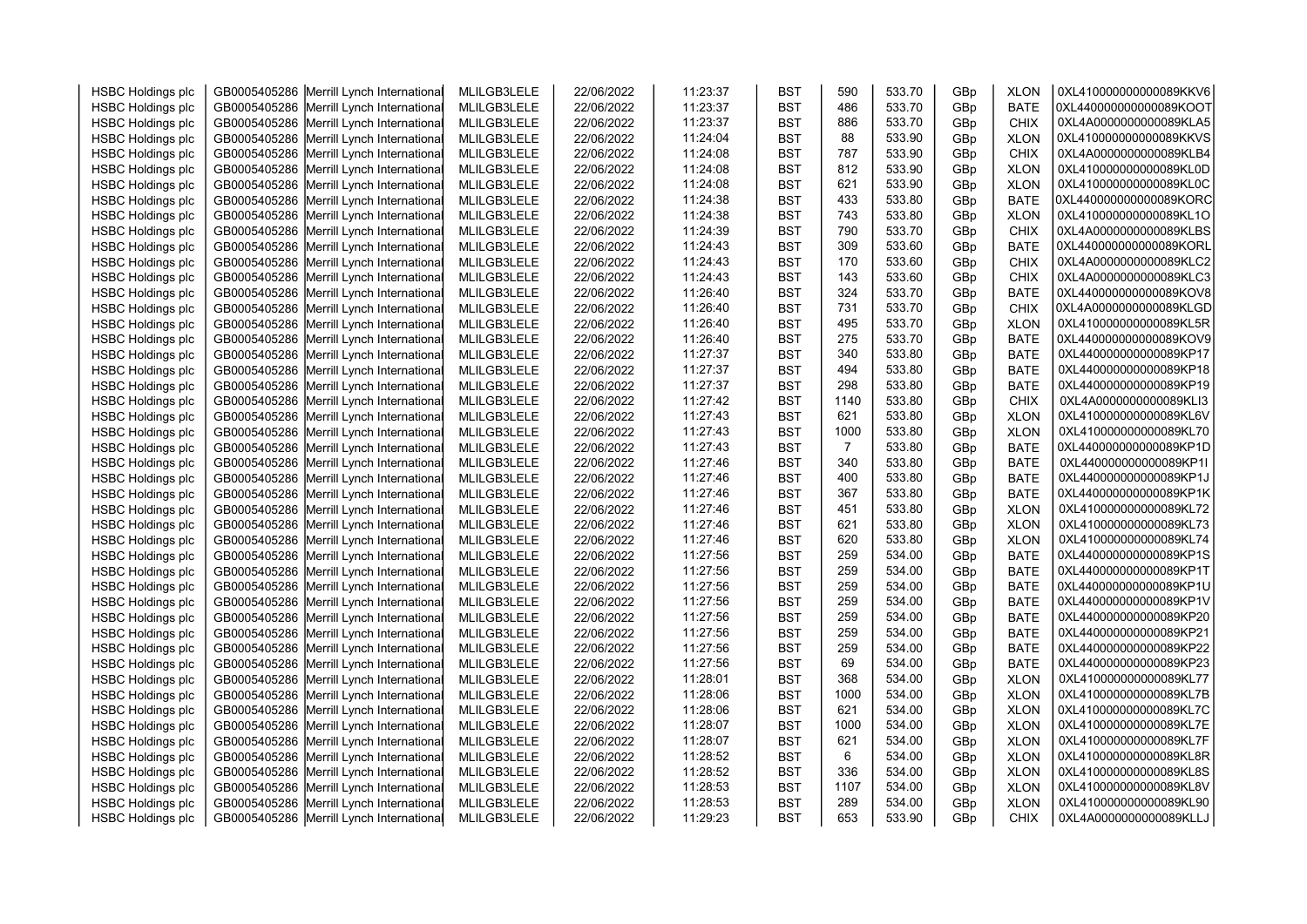| <b>HSBC Holdings plc</b> | GB0005405286 Merrill Lynch International | MLILGB3LELE | 22/06/2022 | 11:23:37 | <b>BST</b> | 590  | 533.70 | GBp | <b>XLON</b> | 0XL410000000000089KKV6 |  |
|--------------------------|------------------------------------------|-------------|------------|----------|------------|------|--------|-----|-------------|------------------------|--|
| <b>HSBC Holdings plc</b> | GB0005405286 Merrill Lynch International | MLILGB3LELE | 22/06/2022 | 11:23:37 | <b>BST</b> | 486  | 533.70 | GBp | <b>BATE</b> | 0XL440000000000089KOOT |  |
| <b>HSBC Holdings plc</b> | GB0005405286 Merrill Lynch International | MLILGB3LELE | 22/06/2022 | 11:23:37 | <b>BST</b> | 886  | 533.70 | GBp | <b>CHIX</b> | 0XL4A0000000000089KLA5 |  |
| <b>HSBC Holdings plc</b> | GB0005405286 Merrill Lynch International | MLILGB3LELE | 22/06/2022 | 11:24:04 | <b>BST</b> | 88   | 533.90 | GBp | <b>XLON</b> | 0XL410000000000089KKVS |  |
| <b>HSBC Holdings plc</b> | GB0005405286 Merrill Lynch International | MLILGB3LELE | 22/06/2022 | 11:24:08 | <b>BST</b> | 787  | 533.90 | GBp | <b>CHIX</b> | 0XL4A0000000000089KLB4 |  |
| <b>HSBC Holdings plc</b> | GB0005405286 Merrill Lynch International | MLILGB3LELE | 22/06/2022 | 11:24:08 | <b>BST</b> | 812  | 533.90 | GBp | <b>XLON</b> | 0XL410000000000089KL0D |  |
| <b>HSBC Holdings plc</b> | GB0005405286 Merrill Lynch International | MLILGB3LELE | 22/06/2022 | 11:24:08 | <b>BST</b> | 621  | 533.90 | GBp | <b>XLON</b> | 0XL410000000000089KL0C |  |
| <b>HSBC Holdings plc</b> | GB0005405286 Merrill Lynch International | MLILGB3LELE | 22/06/2022 | 11:24:38 | <b>BST</b> | 433  | 533.80 | GBp | <b>BATE</b> | 0XL440000000000089KORC |  |
| <b>HSBC Holdings plc</b> | GB0005405286 Merrill Lynch International | MLILGB3LELE | 22/06/2022 | 11:24:38 | <b>BST</b> | 743  | 533.80 | GBp | <b>XLON</b> | 0XL410000000000089KL1O |  |
| <b>HSBC Holdings plc</b> | GB0005405286 Merrill Lynch International | MLILGB3LELE | 22/06/2022 | 11:24:39 | <b>BST</b> | 790  | 533.70 | GBp | <b>CHIX</b> | 0XL4A0000000000089KLBS |  |
| <b>HSBC Holdings plc</b> | GB0005405286 Merrill Lynch International | MLILGB3LELE | 22/06/2022 | 11:24:43 | <b>BST</b> | 309  | 533.60 | GBp | <b>BATE</b> | 0XL440000000000089KORL |  |
| <b>HSBC Holdings plc</b> | GB0005405286 Merrill Lynch International | MLILGB3LELE | 22/06/2022 | 11:24:43 | <b>BST</b> | 170  | 533.60 | GBp | <b>CHIX</b> | 0XL4A0000000000089KLC2 |  |
| <b>HSBC Holdings plc</b> | GB0005405286 Merrill Lynch International | MLILGB3LELE | 22/06/2022 | 11:24:43 | <b>BST</b> | 143  | 533.60 | GBp | <b>CHIX</b> | 0XL4A0000000000089KLC3 |  |
| <b>HSBC Holdings plc</b> | GB0005405286 Merrill Lynch International | MLILGB3LELE | 22/06/2022 | 11:26:40 | <b>BST</b> | 324  | 533.70 | GBp | <b>BATE</b> | 0XL440000000000089KOV8 |  |
| <b>HSBC Holdings plc</b> | GB0005405286 Merrill Lynch International | MLILGB3LELE | 22/06/2022 | 11:26:40 | <b>BST</b> | 731  | 533.70 | GBp | <b>CHIX</b> | 0XL4A0000000000089KLGD |  |
| <b>HSBC Holdings plc</b> | GB0005405286 Merrill Lynch International | MLILGB3LELE | 22/06/2022 | 11:26:40 | <b>BST</b> | 495  | 533.70 | GBp | <b>XLON</b> | 0XL410000000000089KL5R |  |
| <b>HSBC Holdings plc</b> | GB0005405286 Merrill Lynch International | MLILGB3LELE | 22/06/2022 | 11:26:40 | <b>BST</b> | 275  | 533.70 | GBp | <b>BATE</b> | 0XL440000000000089KOV9 |  |
| <b>HSBC Holdings plc</b> | GB0005405286 Merrill Lynch International | MLILGB3LELE | 22/06/2022 | 11:27:37 | <b>BST</b> | 340  | 533.80 | GBp | <b>BATE</b> | 0XL440000000000089KP17 |  |
| <b>HSBC Holdings plc</b> | GB0005405286 Merrill Lynch International | MLILGB3LELE | 22/06/2022 | 11:27:37 | <b>BST</b> | 494  | 533.80 | GBp | <b>BATE</b> | 0XL440000000000089KP18 |  |
| <b>HSBC Holdings plc</b> | GB0005405286 Merrill Lynch International | MLILGB3LELE | 22/06/2022 | 11:27:37 | <b>BST</b> | 298  | 533.80 | GBp | <b>BATE</b> | 0XL440000000000089KP19 |  |
| <b>HSBC Holdings plc</b> | GB0005405286 Merrill Lynch International | MLILGB3LELE | 22/06/2022 | 11:27:42 | <b>BST</b> | 1140 | 533.80 | GBp | <b>CHIX</b> | 0XL4A0000000000089KLI3 |  |
| <b>HSBC Holdings plc</b> | GB0005405286 Merrill Lynch International | MLILGB3LELE | 22/06/2022 | 11:27:43 | <b>BST</b> | 621  | 533.80 | GBp | <b>XLON</b> | 0XL410000000000089KL6V |  |
| <b>HSBC Holdings plc</b> | GB0005405286 Merrill Lynch International | MLILGB3LELE | 22/06/2022 | 11:27:43 | <b>BST</b> | 1000 | 533.80 | GBp | <b>XLON</b> | 0XL410000000000089KL70 |  |
| <b>HSBC Holdings plc</b> | GB0005405286 Merrill Lynch International | MLILGB3LELE | 22/06/2022 | 11:27:43 | <b>BST</b> | 7    | 533.80 | GBp | <b>BATE</b> | 0XL440000000000089KP1D |  |
| <b>HSBC Holdings plc</b> | GB0005405286 Merrill Lynch International | MLILGB3LELE | 22/06/2022 | 11:27:46 | <b>BST</b> | 340  | 533.80 | GBp | <b>BATE</b> | 0XL440000000000089KP1I |  |
| <b>HSBC Holdings plc</b> | GB0005405286 Merrill Lynch International | MLILGB3LELE | 22/06/2022 | 11:27:46 | <b>BST</b> | 400  | 533.80 | GBp | <b>BATE</b> | 0XL440000000000089KP1J |  |
| <b>HSBC Holdings plc</b> | GB0005405286 Merrill Lynch International | MLILGB3LELE | 22/06/2022 | 11:27:46 | <b>BST</b> | 367  | 533.80 | GBp | <b>BATE</b> | 0XL440000000000089KP1K |  |
| <b>HSBC Holdings plc</b> | GB0005405286 Merrill Lynch International | MLILGB3LELE | 22/06/2022 | 11:27:46 | <b>BST</b> | 451  | 533.80 | GBp | <b>XLON</b> | 0XL410000000000089KL72 |  |
| <b>HSBC Holdings plc</b> | GB0005405286 Merrill Lynch International | MLILGB3LELE | 22/06/2022 | 11:27:46 | <b>BST</b> | 621  | 533.80 | GBp | <b>XLON</b> | 0XL410000000000089KL73 |  |
| <b>HSBC Holdings plc</b> | GB0005405286 Merrill Lynch International | MLILGB3LELE | 22/06/2022 | 11:27:46 | <b>BST</b> | 620  | 533.80 | GBp | <b>XLON</b> | 0XL410000000000089KL74 |  |
| <b>HSBC Holdings plc</b> | GB0005405286 Merrill Lynch International | MLILGB3LELE | 22/06/2022 | 11:27:56 | <b>BST</b> | 259  | 534.00 | GBp | <b>BATE</b> | 0XL440000000000089KP1S |  |
| <b>HSBC Holdings plc</b> | GB0005405286 Merrill Lynch International | MLILGB3LELE | 22/06/2022 | 11:27:56 | <b>BST</b> | 259  | 534.00 | GBp | <b>BATE</b> | 0XL440000000000089KP1T |  |
| <b>HSBC Holdings plc</b> | GB0005405286 Merrill Lynch International | MLILGB3LELE | 22/06/2022 | 11:27:56 | <b>BST</b> | 259  | 534.00 | GBp | <b>BATE</b> | 0XL440000000000089KP1U |  |
| <b>HSBC Holdings plc</b> | GB0005405286 Merrill Lynch International | MLILGB3LELE | 22/06/2022 | 11:27:56 | <b>BST</b> | 259  | 534.00 | GBp | <b>BATE</b> | 0XL440000000000089KP1V |  |
| <b>HSBC Holdings plc</b> | GB0005405286 Merrill Lynch International | MLILGB3LELE | 22/06/2022 | 11:27:56 | <b>BST</b> | 259  | 534.00 | GBp | <b>BATE</b> | 0XL440000000000089KP20 |  |
| <b>HSBC Holdings plc</b> | GB0005405286 Merrill Lynch International | MLILGB3LELE | 22/06/2022 | 11:27:56 | <b>BST</b> | 259  | 534.00 | GBp | <b>BATE</b> | 0XL440000000000089KP21 |  |
| <b>HSBC Holdings plc</b> | GB0005405286 Merrill Lynch International | MLILGB3LELE | 22/06/2022 | 11:27:56 | <b>BST</b> | 259  | 534.00 | GBp | <b>BATE</b> | 0XL440000000000089KP22 |  |
| <b>HSBC Holdings plc</b> | GB0005405286 Merrill Lynch International | MLILGB3LELE | 22/06/2022 | 11:27:56 | <b>BST</b> | 69   | 534.00 | GBp | <b>BATE</b> | 0XL440000000000089KP23 |  |
| <b>HSBC Holdings plc</b> | GB0005405286 Merrill Lynch International | MLILGB3LELE | 22/06/2022 | 11:28:01 | <b>BST</b> | 368  | 534.00 | GBp | <b>XLON</b> | 0XL410000000000089KL77 |  |
| <b>HSBC Holdings plc</b> | GB0005405286 Merrill Lynch International | MLILGB3LELE | 22/06/2022 | 11:28:06 | <b>BST</b> | 1000 | 534.00 | GBp | <b>XLON</b> | 0XL410000000000089KL7B |  |
| <b>HSBC Holdings plc</b> | GB0005405286 Merrill Lynch International | MLILGB3LELE | 22/06/2022 | 11:28:06 | <b>BST</b> | 621  | 534.00 | GBp | <b>XLON</b> | 0XL410000000000089KL7C |  |
| <b>HSBC Holdings plc</b> | GB0005405286 Merrill Lynch International | MLILGB3LELE | 22/06/2022 | 11:28:07 | <b>BST</b> | 1000 | 534.00 | GBp | <b>XLON</b> | 0XL410000000000089KL7E |  |
| <b>HSBC Holdings plc</b> | GB0005405286 Merrill Lynch International | MLILGB3LELE | 22/06/2022 | 11:28:07 | <b>BST</b> | 621  | 534.00 | GBp | <b>XLON</b> | 0XL410000000000089KL7F |  |
| <b>HSBC Holdings plc</b> | GB0005405286 Merrill Lynch International | MLILGB3LELE | 22/06/2022 | 11:28:52 | <b>BST</b> | 6    | 534.00 | GBp | <b>XLON</b> | 0XL410000000000089KL8R |  |
| <b>HSBC Holdings plc</b> | GB0005405286 Merrill Lynch International | MLILGB3LELE | 22/06/2022 | 11:28:52 | <b>BST</b> | 336  | 534.00 | GBp | <b>XLON</b> | 0XL410000000000089KL8S |  |
| <b>HSBC Holdings plc</b> | GB0005405286 Merrill Lynch International | MLILGB3LELE | 22/06/2022 | 11:28:53 | <b>BST</b> | 1107 | 534.00 | GBp | <b>XLON</b> | 0XL410000000000089KL8V |  |
| <b>HSBC Holdings plc</b> | GB0005405286 Merrill Lynch International | MLILGB3LELE | 22/06/2022 | 11:28:53 | <b>BST</b> | 289  | 534.00 | GBp | <b>XLON</b> | 0XL410000000000089KL90 |  |
| <b>HSBC Holdings plc</b> | GB0005405286 Merrill Lynch International | MLILGB3LELE | 22/06/2022 | 11:29:23 | <b>BST</b> | 653  | 533.90 | GBp | <b>CHIX</b> | 0XL4A0000000000089KLLJ |  |
|                          |                                          |             |            |          |            |      |        |     |             |                        |  |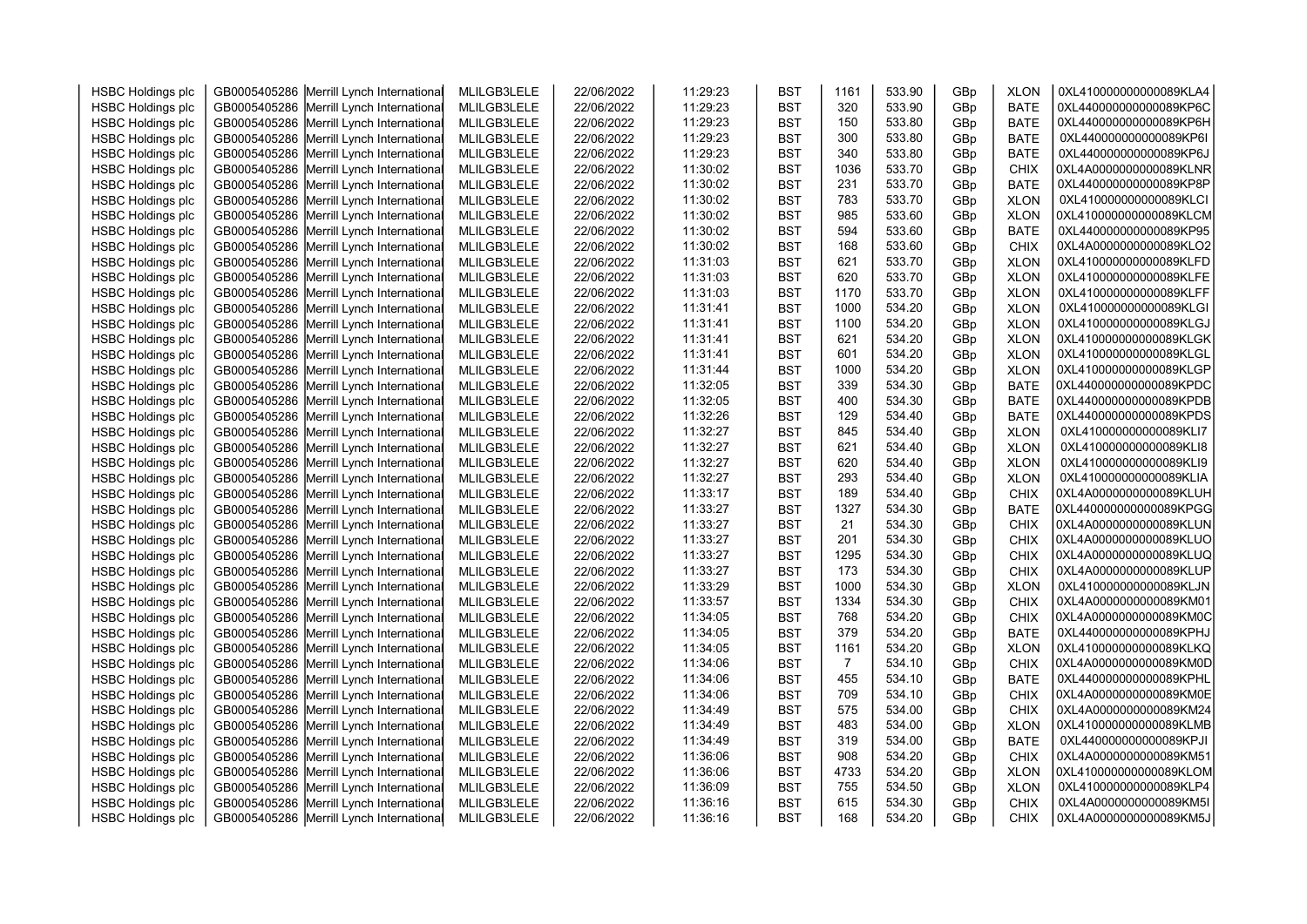| <b>HSBC Holdings plc</b> | GB0005405286 Merrill Lynch International | MLILGB3LELE | 22/06/2022 | 11:29:23 | <b>BST</b> | 1161 | 533.90 | GBp | <b>XLON</b> | 0XL410000000000089KLA4 |  |
|--------------------------|------------------------------------------|-------------|------------|----------|------------|------|--------|-----|-------------|------------------------|--|
| <b>HSBC Holdings plc</b> | GB0005405286 Merrill Lynch International | MLILGB3LELE | 22/06/2022 | 11:29:23 | <b>BST</b> | 320  | 533.90 | GBp | <b>BATE</b> | 0XL440000000000089KP6C |  |
| <b>HSBC Holdings plc</b> | GB0005405286 Merrill Lynch International | MLILGB3LELE | 22/06/2022 | 11:29:23 | <b>BST</b> | 150  | 533.80 | GBp | <b>BATE</b> | 0XL440000000000089KP6H |  |
| <b>HSBC Holdings plc</b> | GB0005405286 Merrill Lynch International | MLILGB3LELE | 22/06/2022 | 11:29:23 | <b>BST</b> | 300  | 533.80 | GBp | <b>BATE</b> | 0XL440000000000089KP6I |  |
| <b>HSBC Holdings plc</b> | GB0005405286 Merrill Lynch International | MLILGB3LELE | 22/06/2022 | 11:29:23 | <b>BST</b> | 340  | 533.80 | GBp | <b>BATE</b> | 0XL440000000000089KP6J |  |
| <b>HSBC Holdings plc</b> | GB0005405286 Merrill Lynch International | MLILGB3LELE | 22/06/2022 | 11:30:02 | <b>BST</b> | 1036 | 533.70 | GBp | <b>CHIX</b> | 0XL4A0000000000089KLNR |  |
| <b>HSBC Holdings plc</b> | GB0005405286 Merrill Lynch International | MLILGB3LELE | 22/06/2022 | 11:30:02 | <b>BST</b> | 231  | 533.70 | GBp | <b>BATE</b> | 0XL440000000000089KP8P |  |
| <b>HSBC Holdings plc</b> | GB0005405286 Merrill Lynch International | MLILGB3LELE | 22/06/2022 | 11:30:02 | <b>BST</b> | 783  | 533.70 | GBp | <b>XLON</b> | 0XL410000000000089KLCI |  |
| <b>HSBC Holdings plc</b> | GB0005405286 Merrill Lynch International | MLILGB3LELE | 22/06/2022 | 11:30:02 | <b>BST</b> | 985  | 533.60 | GBp | <b>XLON</b> | 0XL410000000000089KLCM |  |
| <b>HSBC Holdings plc</b> | GB0005405286 Merrill Lynch International | MLILGB3LELE | 22/06/2022 | 11:30:02 | <b>BST</b> | 594  | 533.60 | GBp | <b>BATE</b> | 0XL440000000000089KP95 |  |
| <b>HSBC Holdings plc</b> | GB0005405286 Merrill Lynch International | MLILGB3LELE | 22/06/2022 | 11:30:02 | <b>BST</b> | 168  | 533.60 | GBp | <b>CHIX</b> | 0XL4A0000000000089KLO2 |  |
| <b>HSBC Holdings plc</b> | GB0005405286 Merrill Lynch International | MLILGB3LELE | 22/06/2022 | 11:31:03 | <b>BST</b> | 621  | 533.70 | GBp | <b>XLON</b> | 0XL410000000000089KLFD |  |
| <b>HSBC Holdings plc</b> | GB0005405286 Merrill Lynch International | MLILGB3LELE | 22/06/2022 | 11:31:03 | <b>BST</b> | 620  | 533.70 | GBp | <b>XLON</b> | 0XL410000000000089KLFE |  |
| <b>HSBC Holdings plc</b> | GB0005405286 Merrill Lynch International | MLILGB3LELE | 22/06/2022 | 11:31:03 | <b>BST</b> | 1170 | 533.70 | GBp | <b>XLON</b> | 0XL410000000000089KLFF |  |
| <b>HSBC Holdings plc</b> | GB0005405286 Merrill Lynch International | MLILGB3LELE | 22/06/2022 | 11:31:41 | <b>BST</b> | 1000 | 534.20 | GBp | <b>XLON</b> | 0XL410000000000089KLGI |  |
| <b>HSBC Holdings plc</b> | GB0005405286 Merrill Lynch International | MLILGB3LELE | 22/06/2022 | 11:31:41 | <b>BST</b> | 1100 | 534.20 | GBp | <b>XLON</b> | 0XL410000000000089KLGJ |  |
| <b>HSBC Holdings plc</b> | GB0005405286 Merrill Lynch International | MLILGB3LELE | 22/06/2022 | 11:31:41 | <b>BST</b> | 621  | 534.20 | GBp | <b>XLON</b> | 0XL410000000000089KLGK |  |
| <b>HSBC Holdings plc</b> | GB0005405286 Merrill Lynch International | MLILGB3LELE | 22/06/2022 | 11:31:41 | <b>BST</b> | 601  | 534.20 | GBp | <b>XLON</b> | 0XL410000000000089KLGL |  |
| <b>HSBC Holdings plc</b> | GB0005405286 Merrill Lynch International | MLILGB3LELE | 22/06/2022 | 11:31:44 | <b>BST</b> | 1000 | 534.20 | GBp | <b>XLON</b> | 0XL410000000000089KLGP |  |
| <b>HSBC Holdings plc</b> | GB0005405286 Merrill Lynch International | MLILGB3LELE | 22/06/2022 | 11:32:05 | <b>BST</b> | 339  | 534.30 | GBp | <b>BATE</b> | 0XL440000000000089KPDC |  |
| <b>HSBC Holdings plc</b> | GB0005405286 Merrill Lynch International | MLILGB3LELE | 22/06/2022 | 11:32:05 | <b>BST</b> | 400  | 534.30 | GBp | <b>BATE</b> | 0XL440000000000089KPDB |  |
| <b>HSBC Holdings plc</b> | GB0005405286 Merrill Lynch International | MLILGB3LELE | 22/06/2022 | 11:32:26 | <b>BST</b> | 129  | 534.40 | GBp | <b>BATE</b> | 0XL440000000000089KPDS |  |
| <b>HSBC Holdings plc</b> | GB0005405286 Merrill Lynch International | MLILGB3LELE | 22/06/2022 | 11:32:27 | <b>BST</b> | 845  | 534.40 | GBp | <b>XLON</b> | 0XL410000000000089KLI7 |  |
| <b>HSBC Holdings plc</b> | GB0005405286 Merrill Lynch International | MLILGB3LELE | 22/06/2022 | 11:32:27 | <b>BST</b> | 621  | 534.40 | GBp | <b>XLON</b> | 0XL410000000000089KLI8 |  |
| <b>HSBC Holdings plc</b> | GB0005405286 Merrill Lynch International | MLILGB3LELE | 22/06/2022 | 11:32:27 | <b>BST</b> | 620  | 534.40 | GBp | <b>XLON</b> | 0XL410000000000089KLI9 |  |
| <b>HSBC Holdings plc</b> | GB0005405286 Merrill Lynch International | MLILGB3LELE | 22/06/2022 | 11:32:27 | <b>BST</b> | 293  | 534.40 | GBp | <b>XLON</b> | 0XL410000000000089KLIA |  |
| <b>HSBC Holdings plc</b> | GB0005405286 Merrill Lynch International | MLILGB3LELE | 22/06/2022 | 11:33:17 | <b>BST</b> | 189  | 534.40 | GBp | <b>CHIX</b> | 0XL4A0000000000089KLUH |  |
| <b>HSBC Holdings plc</b> | GB0005405286 Merrill Lynch International | MLILGB3LELE | 22/06/2022 | 11:33:27 | <b>BST</b> | 1327 | 534.30 | GBp | <b>BATE</b> | 0XL440000000000089KPGG |  |
| <b>HSBC Holdings plc</b> | GB0005405286 Merrill Lynch International | MLILGB3LELE | 22/06/2022 | 11:33:27 | <b>BST</b> | 21   | 534.30 | GBp | <b>CHIX</b> | 0XL4A0000000000089KLUN |  |
| <b>HSBC Holdings plc</b> | GB0005405286 Merrill Lynch International | MLILGB3LELE | 22/06/2022 | 11:33:27 | <b>BST</b> | 201  | 534.30 | GBp | <b>CHIX</b> | 0XL4A0000000000089KLUO |  |
| <b>HSBC Holdings plc</b> | GB0005405286 Merrill Lynch International | MLILGB3LELE | 22/06/2022 | 11:33:27 | <b>BST</b> | 1295 | 534.30 | GBp | CHIX        | 0XL4A0000000000089KLUQ |  |
| <b>HSBC Holdings plc</b> | GB0005405286 Merrill Lynch International | MLILGB3LELE | 22/06/2022 | 11:33:27 | <b>BST</b> | 173  | 534.30 | GBp | <b>CHIX</b> | 0XL4A0000000000089KLUP |  |
| <b>HSBC Holdings plc</b> | GB0005405286 Merrill Lynch International | MLILGB3LELE | 22/06/2022 | 11:33:29 | <b>BST</b> | 1000 | 534.30 | GBp | <b>XLON</b> | 0XL410000000000089KLJN |  |
| <b>HSBC Holdings plc</b> | GB0005405286 Merrill Lynch International | MLILGB3LELE | 22/06/2022 | 11:33:57 | <b>BST</b> | 1334 | 534.30 | GBp | <b>CHIX</b> | 0XL4A0000000000089KM01 |  |
| <b>HSBC Holdings plc</b> | GB0005405286 Merrill Lynch International | MLILGB3LELE | 22/06/2022 | 11:34:05 | <b>BST</b> | 768  | 534.20 | GBp | <b>CHIX</b> | 0XL4A0000000000089KM0C |  |
| <b>HSBC Holdings plc</b> | GB0005405286 Merrill Lynch International | MLILGB3LELE | 22/06/2022 | 11:34:05 | <b>BST</b> | 379  | 534.20 | GBp | <b>BATE</b> | 0XL440000000000089KPHJ |  |
| <b>HSBC Holdings plc</b> | GB0005405286 Merrill Lynch International | MLILGB3LELE | 22/06/2022 | 11:34:05 | <b>BST</b> | 1161 | 534.20 | GBp | <b>XLON</b> | 0XL410000000000089KLKQ |  |
| <b>HSBC Holdings plc</b> | GB0005405286 Merrill Lynch International | MLILGB3LELE | 22/06/2022 | 11:34:06 | <b>BST</b> | 7    | 534.10 | GBp | <b>CHIX</b> | 0XL4A0000000000089KM0D |  |
| <b>HSBC Holdings plc</b> | GB0005405286 Merrill Lynch International | MLILGB3LELE | 22/06/2022 | 11:34:06 | <b>BST</b> | 455  | 534.10 | GBp | <b>BATE</b> | 0XL440000000000089KPHL |  |
| <b>HSBC Holdings plc</b> | GB0005405286 Merrill Lynch International | MLILGB3LELE | 22/06/2022 | 11:34:06 | <b>BST</b> | 709  | 534.10 | GBp | <b>CHIX</b> | 0XL4A0000000000089KM0E |  |
|                          |                                          | MLILGB3LELE | 22/06/2022 | 11:34:49 | <b>BST</b> | 575  | 534.00 |     | <b>CHIX</b> | 0XL4A0000000000089KM24 |  |
| <b>HSBC Holdings plc</b> | GB0005405286 Merrill Lynch International |             |            | 11:34:49 | <b>BST</b> | 483  | 534.00 | GBp |             | 0XL410000000000089KLMB |  |
| <b>HSBC Holdings plc</b> | GB0005405286 Merrill Lynch International | MLILGB3LELE | 22/06/2022 | 11:34:49 | <b>BST</b> | 319  | 534.00 | GBp | <b>XLON</b> | 0XL440000000000089KPJI |  |
| <b>HSBC Holdings plc</b> | GB0005405286 Merrill Lynch International | MLILGB3LELE | 22/06/2022 |          |            |      |        | GBp | <b>BATE</b> |                        |  |
| <b>HSBC Holdings plc</b> | GB0005405286 Merrill Lynch International | MLILGB3LELE | 22/06/2022 | 11:36:06 | <b>BST</b> | 908  | 534.20 | GBp | <b>CHIX</b> | 0XL4A0000000000089KM51 |  |
| <b>HSBC Holdings plc</b> | GB0005405286 Merrill Lynch International | MLILGB3LELE | 22/06/2022 | 11:36:06 | <b>BST</b> | 4733 | 534.20 | GBp | <b>XLON</b> | 0XL410000000000089KLOM |  |
| <b>HSBC Holdings plc</b> | GB0005405286 Merrill Lynch International | MLILGB3LELE | 22/06/2022 | 11:36:09 | <b>BST</b> | 755  | 534.50 | GBp | <b>XLON</b> | 0XL410000000000089KLP4 |  |
| <b>HSBC Holdings plc</b> | GB0005405286 Merrill Lynch International | MLILGB3LELE | 22/06/2022 | 11:36:16 | <b>BST</b> | 615  | 534.30 | GBp | <b>CHIX</b> | 0XL4A0000000000089KM5I |  |
| <b>HSBC Holdings plc</b> | GB0005405286 Merrill Lynch International | MLILGB3LELE | 22/06/2022 | 11:36:16 | <b>BST</b> | 168  | 534.20 | GBp | <b>CHIX</b> | 0XL4A0000000000089KM5J |  |
|                          |                                          |             |            |          |            |      |        |     |             |                        |  |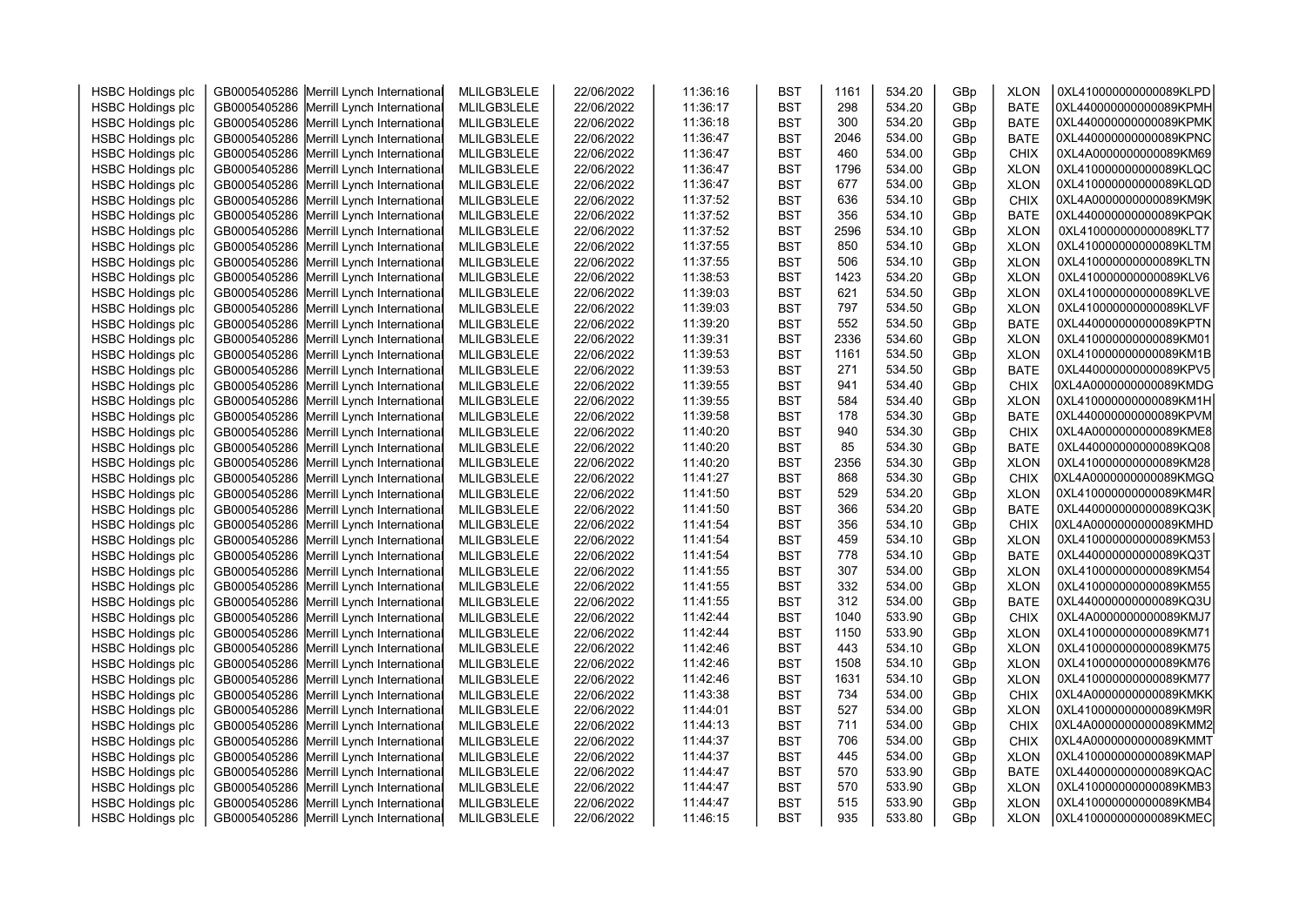|                          |                                                                                      |             |                          |          |            | 1161       | 534.20           |     | <b>XLON</b>                | 0XL410000000000089KLPD |  |
|--------------------------|--------------------------------------------------------------------------------------|-------------|--------------------------|----------|------------|------------|------------------|-----|----------------------------|------------------------|--|
| <b>HSBC Holdings plc</b> | GB0005405286 Merrill Lynch International                                             | MLILGB3LELE | 22/06/2022               | 11:36:16 | <b>BST</b> | 298        |                  | GBp |                            |                        |  |
| <b>HSBC Holdings plc</b> | GB0005405286 Merrill Lynch International                                             | MLILGB3LELE | 22/06/2022               | 11:36:17 | <b>BST</b> |            | 534.20           | GBp | <b>BATE</b>                | 0XL440000000000089KPMH |  |
| <b>HSBC Holdings plc</b> | GB0005405286 Merrill Lynch International                                             | MLILGB3LELE | 22/06/2022               | 11:36:18 | <b>BST</b> | 300        | 534.20           | GBp | <b>BATE</b>                | 0XL440000000000089KPMK |  |
| <b>HSBC Holdings plc</b> | GB0005405286 Merrill Lynch International                                             | MLILGB3LELE | 22/06/2022               | 11:36:47 | <b>BST</b> | 2046       | 534.00           | GBp | <b>BATE</b>                | 0XL440000000000089KPNC |  |
| <b>HSBC Holdings plc</b> | GB0005405286 Merrill Lynch International                                             | MLILGB3LELE | 22/06/2022               | 11:36:47 | <b>BST</b> | 460        | 534.00           | GBp | <b>CHIX</b>                | 0XL4A0000000000089KM69 |  |
| <b>HSBC Holdings plc</b> | GB0005405286 Merrill Lynch International                                             | MLILGB3LELE | 22/06/2022               | 11:36:47 | <b>BST</b> | 1796       | 534.00           | GBp | <b>XLON</b>                | 0XL410000000000089KLQC |  |
| <b>HSBC Holdings plc</b> | GB0005405286 Merrill Lynch International                                             | MLILGB3LELE | 22/06/2022               | 11:36:47 | <b>BST</b> | 677        | 534.00           | GBp | <b>XLON</b>                | 0XL410000000000089KLQD |  |
| <b>HSBC Holdings plc</b> | GB0005405286 Merrill Lynch International                                             | MLILGB3LELE | 22/06/2022               | 11:37:52 | <b>BST</b> | 636        | 534.10           | GBp | <b>CHIX</b>                | 0XL4A0000000000089KM9K |  |
| <b>HSBC Holdings plc</b> | GB0005405286 Merrill Lynch International                                             | MLILGB3LELE | 22/06/2022               | 11:37:52 | <b>BST</b> | 356        | 534.10           | GBp | <b>BATE</b>                | 0XL440000000000089KPQK |  |
| <b>HSBC Holdings plc</b> | GB0005405286 Merrill Lynch International                                             | MLILGB3LELE | 22/06/2022               | 11:37:52 | <b>BST</b> | 2596       | 534.10           | GBp | <b>XLON</b>                | 0XL410000000000089KLT7 |  |
| <b>HSBC Holdings plc</b> | GB0005405286 Merrill Lynch International                                             | MLILGB3LELE | 22/06/2022               | 11:37:55 | <b>BST</b> | 850        | 534.10           | GBp | <b>XLON</b>                | 0XL410000000000089KLTM |  |
| <b>HSBC Holdings plc</b> | GB0005405286 Merrill Lynch International                                             | MLILGB3LELE | 22/06/2022               | 11:37:55 | <b>BST</b> | 506        | 534.10           | GBp | <b>XLON</b>                | 0XL410000000000089KLTN |  |
| <b>HSBC Holdings plc</b> | GB0005405286 Merrill Lynch International                                             | MLILGB3LELE | 22/06/2022               | 11:38:53 | <b>BST</b> | 1423       | 534.20           | GBp | <b>XLON</b>                | 0XL410000000000089KLV6 |  |
| <b>HSBC Holdings plc</b> | GB0005405286 Merrill Lynch International                                             | MLILGB3LELE | 22/06/2022               | 11:39:03 | <b>BST</b> | 621        | 534.50           | GBp | <b>XLON</b>                | 0XL410000000000089KLVE |  |
| <b>HSBC Holdings plc</b> | GB0005405286 Merrill Lynch International                                             | MLILGB3LELE | 22/06/2022               | 11:39:03 | <b>BST</b> | 797        | 534.50           | GBp | <b>XLON</b>                | 0XL410000000000089KLVF |  |
| <b>HSBC Holdings plc</b> | GB0005405286 Merrill Lynch International                                             | MLILGB3LELE | 22/06/2022               | 11:39:20 | <b>BST</b> | 552        | 534.50           | GBp | <b>BATE</b>                | 0XL440000000000089KPTN |  |
| <b>HSBC Holdings plc</b> | GB0005405286 Merrill Lynch International                                             | MLILGB3LELE | 22/06/2022               | 11:39:31 | <b>BST</b> | 2336       | 534.60           | GBp | <b>XLON</b>                | 0XL410000000000089KM01 |  |
| <b>HSBC Holdings plc</b> | GB0005405286 Merrill Lynch International                                             | MLILGB3LELE | 22/06/2022               | 11:39:53 | <b>BST</b> | 1161       | 534.50           | GBp | <b>XLON</b>                | 0XL410000000000089KM1B |  |
| <b>HSBC Holdings plc</b> | GB0005405286 Merrill Lynch International                                             | MLILGB3LELE | 22/06/2022               | 11:39:53 | <b>BST</b> | 271        | 534.50           | GBp | <b>BATE</b>                | 0XL440000000000089KPV5 |  |
| <b>HSBC Holdings plc</b> | GB0005405286 Merrill Lynch International                                             | MLILGB3LELE | 22/06/2022               | 11:39:55 | <b>BST</b> | 941        | 534.40           | GBp | <b>CHIX</b>                | 0XL4A0000000000089KMDG |  |
| <b>HSBC Holdings plc</b> | GB0005405286 Merrill Lynch International                                             | MLILGB3LELE | 22/06/2022               | 11:39:55 | <b>BST</b> | 584        | 534.40           | GBp | <b>XLON</b>                | 0XL410000000000089KM1H |  |
| <b>HSBC Holdings plc</b> | GB0005405286 Merrill Lynch International                                             | MLILGB3LELE | 22/06/2022               | 11:39:58 | <b>BST</b> | 178        | 534.30           | GBp | <b>BATE</b>                | 0XL440000000000089KPVM |  |
| <b>HSBC Holdings plc</b> | GB0005405286 Merrill Lynch International                                             | MLILGB3LELE | 22/06/2022               | 11:40:20 | <b>BST</b> | 940        | 534.30           | GBp | <b>CHIX</b>                | 0XL4A0000000000089KME8 |  |
| <b>HSBC Holdings plc</b> | GB0005405286 Merrill Lynch International                                             | MLILGB3LELE | 22/06/2022               | 11:40:20 | <b>BST</b> | 85         | 534.30           | GBp | <b>BATE</b>                | 0XL440000000000089KQ08 |  |
| <b>HSBC Holdings plc</b> | GB0005405286 Merrill Lynch International                                             | MLILGB3LELE | 22/06/2022               | 11:40:20 | <b>BST</b> | 2356       | 534.30           | GBp | <b>XLON</b>                | 0XL410000000000089KM28 |  |
| <b>HSBC Holdings plc</b> | GB0005405286 Merrill Lynch International                                             | MLILGB3LELE | 22/06/2022               | 11:41:27 | <b>BST</b> | 868        | 534.30           | GBp | <b>CHIX</b>                | 0XL4A0000000000089KMGQ |  |
| <b>HSBC Holdings plc</b> | GB0005405286 Merrill Lynch International                                             | MLILGB3LELE | 22/06/2022               | 11:41:50 | <b>BST</b> | 529        | 534.20           | GBp | <b>XLON</b>                | 0XL410000000000089KM4R |  |
| <b>HSBC Holdings plc</b> | GB0005405286 Merrill Lynch International                                             | MLILGB3LELE | 22/06/2022               | 11:41:50 | <b>BST</b> | 366        | 534.20           | GBp | <b>BATE</b>                | 0XL440000000000089KQ3K |  |
| <b>HSBC Holdings plc</b> | GB0005405286 Merrill Lynch International                                             | MLILGB3LELE | 22/06/2022               | 11:41:54 | <b>BST</b> | 356        | 534.10           | GBp | <b>CHIX</b>                | 0XL4A0000000000089KMHD |  |
| <b>HSBC Holdings plc</b> | GB0005405286 Merrill Lynch International                                             | MLILGB3LELE | 22/06/2022               | 11:41:54 | <b>BST</b> | 459        | 534.10           | GBp | <b>XLON</b>                | 0XL410000000000089KM53 |  |
| <b>HSBC Holdings plc</b> | GB0005405286 Merrill Lynch International                                             | MLILGB3LELE | 22/06/2022               | 11:41:54 | <b>BST</b> | 778        | 534.10           | GBp | <b>BATE</b>                | 0XL440000000000089KQ3T |  |
| <b>HSBC Holdings plc</b> | GB0005405286 Merrill Lynch International                                             | MLILGB3LELE | 22/06/2022               | 11:41:55 | <b>BST</b> | 307        | 534.00           | GBp | <b>XLON</b>                | 0XL410000000000089KM54 |  |
| <b>HSBC Holdings plc</b> | GB0005405286 Merrill Lynch International                                             | MLILGB3LELE | 22/06/2022               | 11:41:55 | <b>BST</b> | 332        | 534.00           | GBp | <b>XLON</b>                | 0XL410000000000089KM55 |  |
| <b>HSBC Holdings plc</b> | GB0005405286 Merrill Lynch International                                             | MLILGB3LELE | 22/06/2022               | 11:41:55 | <b>BST</b> | 312        | 534.00           | GBp | <b>BATE</b>                | 0XL440000000000089KQ3U |  |
| <b>HSBC Holdings plc</b> | GB0005405286 Merrill Lynch International                                             | MLILGB3LELE | 22/06/2022               | 11:42:44 | <b>BST</b> | 1040       | 533.90           | GBp | <b>CHIX</b>                | 0XL4A0000000000089KMJ7 |  |
| <b>HSBC Holdings plc</b> | GB0005405286 Merrill Lynch International                                             | MLILGB3LELE | 22/06/2022               | 11:42:44 | <b>BST</b> | 1150       | 533.90           | GBp | <b>XLON</b>                | 0XL410000000000089KM71 |  |
| <b>HSBC Holdings plc</b> | GB0005405286 Merrill Lynch International                                             | MLILGB3LELE | 22/06/2022               | 11:42:46 | <b>BST</b> | 443        | 534.10           | GBp | <b>XLON</b>                | 0XL410000000000089KM75 |  |
| <b>HSBC Holdings plc</b> | GB0005405286 Merrill Lynch International                                             | MLILGB3LELE | 22/06/2022               | 11:42:46 | <b>BST</b> | 1508       | 534.10           | GBp | <b>XLON</b>                | 0XL410000000000089KM76 |  |
| <b>HSBC Holdings plc</b> | GB0005405286 Merrill Lynch International                                             | MLILGB3LELE | 22/06/2022               | 11:42:46 | <b>BST</b> | 1631       | 534.10           | GBp | <b>XLON</b>                | 0XL410000000000089KM77 |  |
| <b>HSBC Holdings plc</b> | GB0005405286 Merrill Lynch International                                             | MLILGB3LELE | 22/06/2022               | 11:43:38 | <b>BST</b> | 734        | 534.00           | GBp | <b>CHIX</b>                | 0XL4A0000000000089KMKK |  |
| <b>HSBC Holdings plc</b> | GB0005405286 Merrill Lynch International                                             | MLILGB3LELE | 22/06/2022               | 11:44:01 | <b>BST</b> | 527        | 534.00           | GBp | <b>XLON</b>                | 0XL410000000000089KM9R |  |
| <b>HSBC Holdings plc</b> | GB0005405286 Merrill Lynch International                                             | MLILGB3LELE | 22/06/2022               | 11:44:13 | <b>BST</b> | 711        | 534.00           | GBp | <b>CHIX</b>                | 0XL4A0000000000089KMM2 |  |
| <b>HSBC Holdings plc</b> | GB0005405286 Merrill Lynch International                                             | MLILGB3LELE | 22/06/2022               | 11:44:37 | <b>BST</b> | 706        | 534.00           | GBp | <b>CHIX</b>                | 0XL4A0000000000089KMMT |  |
|                          |                                                                                      |             |                          | 11:44:37 | <b>BST</b> | 445        | 534.00           |     |                            | 0XL410000000000089KMAP |  |
| <b>HSBC Holdings plc</b> | GB0005405286 Merrill Lynch International<br>GB0005405286 Merrill Lynch International | MLILGB3LELE | 22/06/2022<br>22/06/2022 | 11:44:47 | <b>BST</b> | 570        | 533.90           | GBp | <b>XLON</b><br><b>BATE</b> | 0XL440000000000089KQAC |  |
| <b>HSBC Holdings plc</b> |                                                                                      | MLILGB3LELE |                          |          |            |            |                  | GBp |                            | OXL410000000000089KMB3 |  |
| <b>HSBC Holdings plc</b> | GB0005405286 Merrill Lynch International                                             | MLILGB3LELE | 22/06/2022               | 11:44:47 | <b>BST</b> | 570<br>515 | 533.90<br>533.90 | GBp | <b>XLON</b>                | OXL410000000000089KMB4 |  |
| <b>HSBC Holdings plc</b> | GB0005405286 Merrill Lynch International                                             | MLILGB3LELE | 22/06/2022               | 11:44:47 | <b>BST</b> |            |                  | GBp | <b>XLON</b>                | 0XL410000000000089KMEC |  |
| <b>HSBC Holdings plc</b> | GB0005405286 Merrill Lynch International                                             | MLILGB3LELE | 22/06/2022               | 11:46:15 | <b>BST</b> | 935        | 533.80           | GBp | <b>XLON</b>                |                        |  |
|                          |                                                                                      |             |                          |          |            |            |                  |     |                            |                        |  |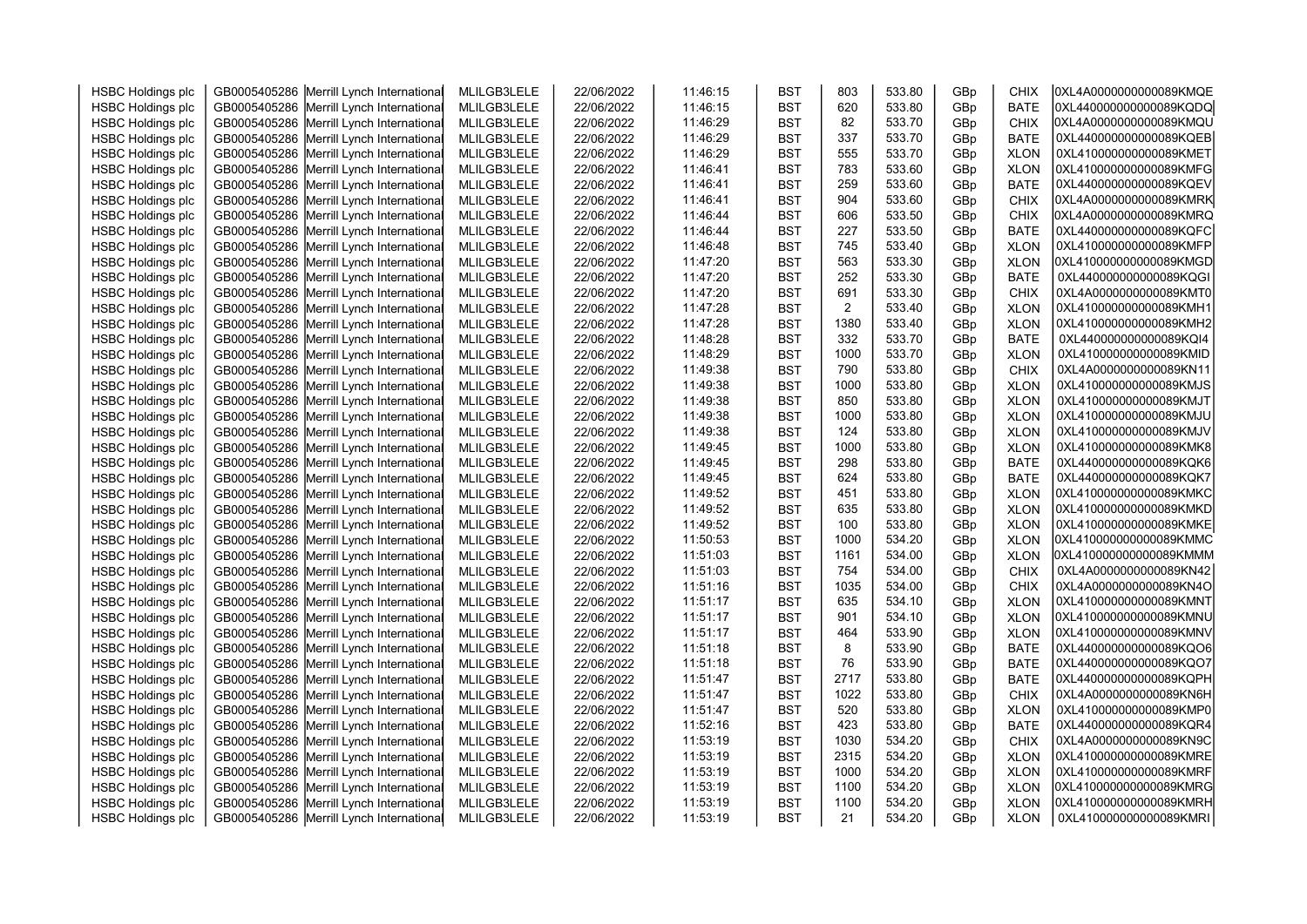|                          |                                          |             |            |          |            | 803            | 533.80 |     | <b>CHIX</b> | 0XL4A0000000000089KMQE |
|--------------------------|------------------------------------------|-------------|------------|----------|------------|----------------|--------|-----|-------------|------------------------|
| <b>HSBC Holdings plc</b> | GB0005405286 Merrill Lynch International | MLILGB3LELE | 22/06/2022 | 11:46:15 | <b>BST</b> | 620            |        | GBp |             |                        |
| <b>HSBC Holdings plc</b> | GB0005405286 Merrill Lynch International | MLILGB3LELE | 22/06/2022 | 11:46:15 | <b>BST</b> |                | 533.80 | GBp | <b>BATE</b> | 0XL440000000000089KQDQ |
| <b>HSBC Holdings plc</b> | GB0005405286 Merrill Lynch International | MLILGB3LELE | 22/06/2022 | 11:46:29 | <b>BST</b> | 82             | 533.70 | GBp | <b>CHIX</b> | 0XL4A0000000000089KMQU |
| <b>HSBC Holdings plc</b> | GB0005405286 Merrill Lynch International | MLILGB3LELE | 22/06/2022 | 11:46:29 | <b>BST</b> | 337            | 533.70 | GBp | <b>BATE</b> | 0XL440000000000089KQEB |
| <b>HSBC Holdings plc</b> | GB0005405286 Merrill Lynch International | MLILGB3LELE | 22/06/2022 | 11:46:29 | <b>BST</b> | 555            | 533.70 | GBp | <b>XLON</b> | 0XL410000000000089KMET |
| <b>HSBC Holdings plc</b> | GB0005405286 Merrill Lynch International | MLILGB3LELE | 22/06/2022 | 11:46:41 | <b>BST</b> | 783            | 533.60 | GBp | <b>XLON</b> | 0XL410000000000089KMFG |
| <b>HSBC Holdings plc</b> | GB0005405286 Merrill Lynch International | MLILGB3LELE | 22/06/2022 | 11:46:41 | <b>BST</b> | 259            | 533.60 | GBp | <b>BATE</b> | 0XL440000000000089KQEV |
| <b>HSBC Holdings plc</b> | GB0005405286 Merrill Lynch International | MLILGB3LELE | 22/06/2022 | 11:46:41 | <b>BST</b> | 904            | 533.60 | GBp | <b>CHIX</b> | 0XL4A0000000000089KMRK |
| <b>HSBC Holdings plc</b> | GB0005405286 Merrill Lynch International | MLILGB3LELE | 22/06/2022 | 11:46:44 | <b>BST</b> | 606            | 533.50 | GBp | <b>CHIX</b> | 0XL4A0000000000089KMRQ |
| <b>HSBC Holdings plc</b> | GB0005405286 Merrill Lynch International | MLILGB3LELE | 22/06/2022 | 11:46:44 | <b>BST</b> | 227            | 533.50 | GBp | <b>BATE</b> | 0XL440000000000089KQFC |
| <b>HSBC Holdings plc</b> | GB0005405286 Merrill Lynch International | MLILGB3LELE | 22/06/2022 | 11:46:48 | <b>BST</b> | 745            | 533.40 | GBp | <b>XLON</b> | 0XL410000000000089KMFP |
| <b>HSBC Holdings plc</b> | GB0005405286 Merrill Lynch International | MLILGB3LELE | 22/06/2022 | 11:47:20 | <b>BST</b> | 563            | 533.30 | GBp | <b>XLON</b> | 0XL410000000000089KMGD |
| <b>HSBC Holdings plc</b> | GB0005405286 Merrill Lynch International | MLILGB3LELE | 22/06/2022 | 11:47:20 | <b>BST</b> | 252            | 533.30 | GBp | <b>BATE</b> | 0XL440000000000089KQGI |
| <b>HSBC Holdings plc</b> | GB0005405286 Merrill Lynch International | MLILGB3LELE | 22/06/2022 | 11:47:20 | <b>BST</b> | 691            | 533.30 | GBp | <b>CHIX</b> | 0XL4A0000000000089KMT0 |
| <b>HSBC Holdings plc</b> | GB0005405286 Merrill Lynch International | MLILGB3LELE | 22/06/2022 | 11:47:28 | <b>BST</b> | $\overline{2}$ | 533.40 | GBp | <b>XLON</b> | 0XL410000000000089KMH1 |
| <b>HSBC Holdings plc</b> | GB0005405286 Merrill Lynch International | MLILGB3LELE | 22/06/2022 | 11:47:28 | <b>BST</b> | 1380           | 533.40 | GBp | <b>XLON</b> | 0XL410000000000089KMH2 |
| <b>HSBC Holdings plc</b> | GB0005405286 Merrill Lynch International | MLILGB3LELE | 22/06/2022 | 11:48:28 | <b>BST</b> | 332            | 533.70 | GBp | <b>BATE</b> | 0XL440000000000089KQI4 |
| <b>HSBC Holdings plc</b> | GB0005405286 Merrill Lynch International | MLILGB3LELE | 22/06/2022 | 11:48:29 | <b>BST</b> | 1000           | 533.70 | GBp | <b>XLON</b> | 0XL410000000000089KMID |
| <b>HSBC Holdings plc</b> | GB0005405286 Merrill Lynch International | MLILGB3LELE | 22/06/2022 | 11:49:38 | <b>BST</b> | 790            | 533.80 | GBp | <b>CHIX</b> | 0XL4A0000000000089KN11 |
| <b>HSBC Holdings plc</b> | GB0005405286 Merrill Lynch International | MLILGB3LELE | 22/06/2022 | 11:49:38 | <b>BST</b> | 1000           | 533.80 | GBp | <b>XLON</b> | 0XL410000000000089KMJS |
| <b>HSBC Holdings plc</b> | GB0005405286 Merrill Lynch International | MLILGB3LELE | 22/06/2022 | 11:49:38 | <b>BST</b> | 850            | 533.80 | GBp | <b>XLON</b> | 0XL410000000000089KMJT |
| <b>HSBC Holdings plc</b> | GB0005405286 Merrill Lynch International | MLILGB3LELE | 22/06/2022 | 11:49:38 | <b>BST</b> | 1000           | 533.80 | GBp | <b>XLON</b> | 0XL410000000000089KMJU |
| <b>HSBC Holdings plc</b> | GB0005405286 Merrill Lynch International | MLILGB3LELE | 22/06/2022 | 11:49:38 | <b>BST</b> | 124            | 533.80 | GBp | <b>XLON</b> | 0XL410000000000089KMJV |
| <b>HSBC Holdings plc</b> | GB0005405286 Merrill Lynch International | MLILGB3LELE | 22/06/2022 | 11:49:45 | <b>BST</b> | 1000           | 533.80 | GBp | <b>XLON</b> | 0XL410000000000089KMK8 |
| <b>HSBC Holdings plc</b> | GB0005405286 Merrill Lynch International | MLILGB3LELE | 22/06/2022 | 11:49:45 | <b>BST</b> | 298            | 533.80 | GBp | <b>BATE</b> | 0XL440000000000089KQK6 |
| <b>HSBC Holdings plc</b> | GB0005405286 Merrill Lynch International | MLILGB3LELE | 22/06/2022 | 11:49:45 | <b>BST</b> | 624            | 533.80 | GBp | <b>BATE</b> | 0XL440000000000089KQK7 |
| <b>HSBC Holdings plc</b> | GB0005405286 Merrill Lynch International | MLILGB3LELE | 22/06/2022 | 11:49:52 | <b>BST</b> | 451            | 533.80 | GBp | <b>XLON</b> | 0XL410000000000089KMKC |
| <b>HSBC Holdings plc</b> | GB0005405286 Merrill Lynch International | MLILGB3LELE | 22/06/2022 | 11:49:52 | <b>BST</b> | 635            | 533.80 | GBp | <b>XLON</b> | 0XL410000000000089KMKD |
| <b>HSBC Holdings plc</b> | GB0005405286 Merrill Lynch International | MLILGB3LELE | 22/06/2022 | 11:49:52 | <b>BST</b> | 100            | 533.80 | GBp | <b>XLON</b> | OXL410000000000089KMKE |
| <b>HSBC Holdings plc</b> | GB0005405286 Merrill Lynch International | MLILGB3LELE | 22/06/2022 | 11:50:53 | <b>BST</b> | 1000           | 534.20 | GBp | <b>XLON</b> | 0XL410000000000089KMMC |
| <b>HSBC Holdings plc</b> | GB0005405286 Merrill Lynch International | MLILGB3LELE | 22/06/2022 | 11:51:03 | <b>BST</b> | 1161           | 534.00 | GBp | <b>XLON</b> | 0XL410000000000089KMMM |
| <b>HSBC Holdings plc</b> | GB0005405286 Merrill Lynch International | MLILGB3LELE | 22/06/2022 | 11:51:03 | <b>BST</b> | 754            | 534.00 | GBp | <b>CHIX</b> | 0XL4A0000000000089KN42 |
| <b>HSBC Holdings plc</b> | GB0005405286 Merrill Lynch International | MLILGB3LELE | 22/06/2022 | 11:51:16 | <b>BST</b> | 1035           | 534.00 | GBp | <b>CHIX</b> | 0XL4A0000000000089KN4O |
| <b>HSBC Holdings plc</b> | GB0005405286 Merrill Lynch International | MLILGB3LELE | 22/06/2022 | 11:51:17 | <b>BST</b> | 635            | 534.10 | GBp | <b>XLON</b> | 0XL410000000000089KMNT |
| <b>HSBC Holdings plc</b> | GB0005405286 Merrill Lynch International | MLILGB3LELE | 22/06/2022 | 11:51:17 | <b>BST</b> | 901            | 534.10 | GBp | <b>XLON</b> | 0XL410000000000089KMNU |
| <b>HSBC Holdings plc</b> | GB0005405286 Merrill Lynch International | MLILGB3LELE | 22/06/2022 | 11:51:17 | <b>BST</b> | 464            | 533.90 | GBp | <b>XLON</b> | 0XL410000000000089KMNV |
| <b>HSBC Holdings plc</b> | GB0005405286 Merrill Lynch International | MLILGB3LELE | 22/06/2022 | 11:51:18 | <b>BST</b> | 8              | 533.90 | GBp | <b>BATE</b> | 0XL440000000000089KQO6 |
| <b>HSBC Holdings plc</b> | GB0005405286 Merrill Lynch International | MLILGB3LELE | 22/06/2022 | 11:51:18 | <b>BST</b> | 76             | 533.90 | GBp | <b>BATE</b> | 0XL440000000000089KQO7 |
| <b>HSBC Holdings plc</b> | GB0005405286 Merrill Lynch International | MLILGB3LELE | 22/06/2022 | 11:51:47 | <b>BST</b> | 2717           | 533.80 | GBp | <b>BATE</b> | 0XL440000000000089KQPH |
| <b>HSBC Holdings plc</b> | GB0005405286 Merrill Lynch International | MLILGB3LELE | 22/06/2022 | 11:51:47 | <b>BST</b> | 1022           | 533.80 | GBp | <b>CHIX</b> | 0XL4A0000000000089KN6H |
| <b>HSBC Holdings plc</b> | GB0005405286 Merrill Lynch International | MLILGB3LELE | 22/06/2022 | 11:51:47 | <b>BST</b> | 520            | 533.80 | GBp | <b>XLON</b> | 0XL410000000000089KMP0 |
| <b>HSBC Holdings plc</b> | GB0005405286 Merrill Lynch International | MLILGB3LELE | 22/06/2022 | 11:52:16 | <b>BST</b> | 423            | 533.80 | GBp | <b>BATE</b> | 0XL440000000000089KQR4 |
| <b>HSBC Holdings plc</b> | GB0005405286 Merrill Lynch International | MLILGB3LELE | 22/06/2022 | 11:53:19 | <b>BST</b> | 1030           | 534.20 | GBp | <b>CHIX</b> | 0XL4A0000000000089KN9C |
| <b>HSBC Holdings plc</b> | GB0005405286 Merrill Lynch International | MLILGB3LELE | 22/06/2022 | 11:53:19 | <b>BST</b> | 2315           | 534.20 | GBp | <b>XLON</b> | 0XL410000000000089KMRE |
| <b>HSBC Holdings plc</b> | GB0005405286 Merrill Lynch International | MLILGB3LELE | 22/06/2022 | 11:53:19 | <b>BST</b> | 1000           | 534.20 | GBp | <b>XLON</b> | 0XL410000000000089KMRF |
| <b>HSBC Holdings plc</b> | GB0005405286 Merrill Lynch International | MLILGB3LELE | 22/06/2022 | 11:53:19 | <b>BST</b> | 1100           | 534.20 | GBp | <b>XLON</b> | 0XL410000000000089KMRG |
| <b>HSBC Holdings plc</b> | GB0005405286 Merrill Lynch International | MLILGB3LELE | 22/06/2022 | 11:53:19 | <b>BST</b> | 1100           | 534.20 | GBp | <b>XLON</b> | 0XL410000000000089KMRH |
| <b>HSBC Holdings plc</b> | GB0005405286 Merrill Lynch International | MLILGB3LELE | 22/06/2022 | 11:53:19 | <b>BST</b> | 21             | 534.20 | GBp | <b>XLON</b> | 0XL410000000000089KMRI |
|                          |                                          |             |            |          |            |                |        |     |             |                        |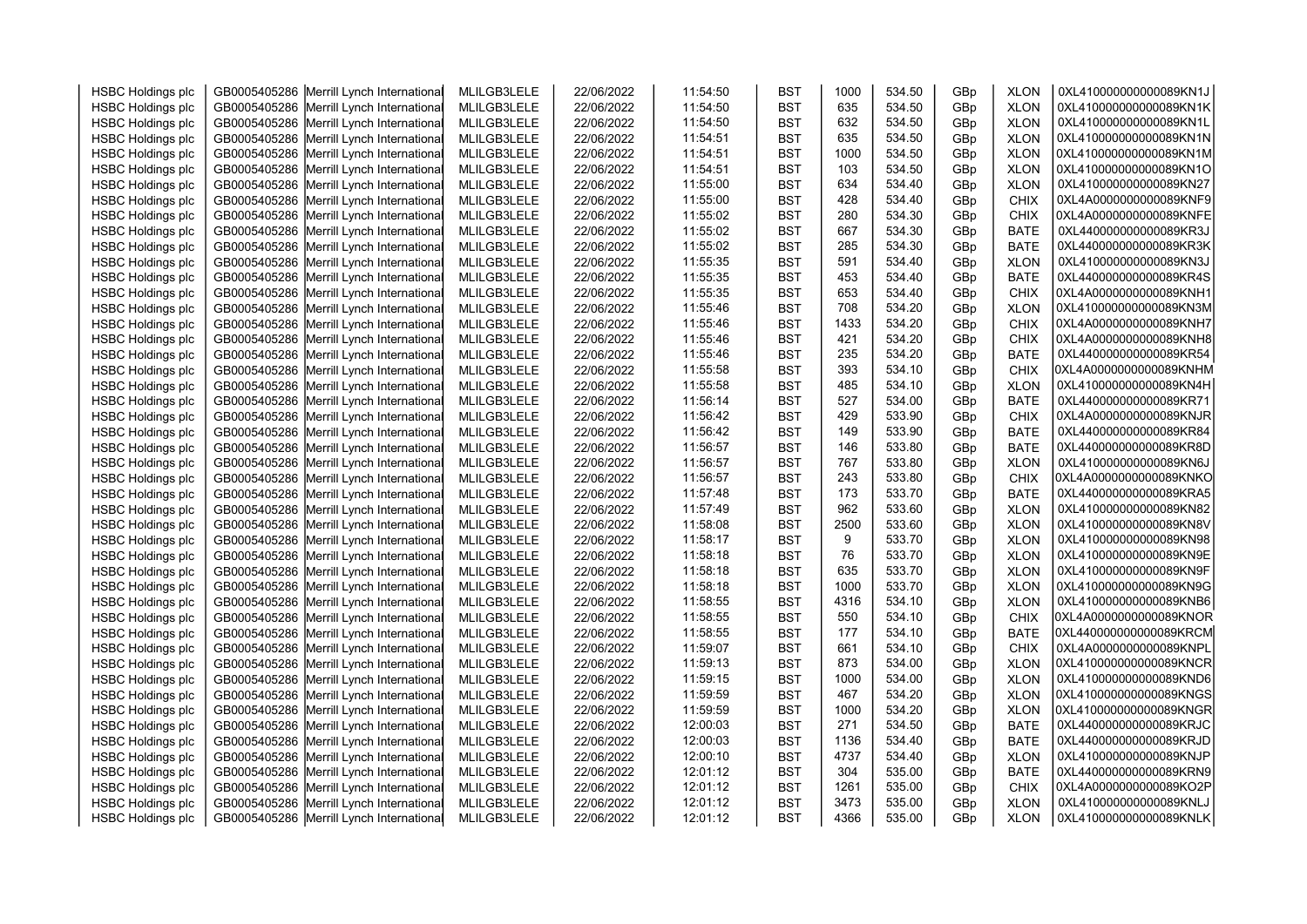|                          | GB0005405286 Merrill Lynch International | MLILGB3LELE |            | 11:54:50 | <b>BST</b> | 1000 | 534.50 |     | <b>XLON</b> | 0XL410000000000089KN1J |  |
|--------------------------|------------------------------------------|-------------|------------|----------|------------|------|--------|-----|-------------|------------------------|--|
| <b>HSBC Holdings plc</b> |                                          |             | 22/06/2022 |          |            | 635  | 534.50 | GBp |             |                        |  |
| <b>HSBC Holdings plc</b> | GB0005405286 Merrill Lynch International | MLILGB3LELE | 22/06/2022 | 11:54:50 | <b>BST</b> |      |        | GBp | <b>XLON</b> | 0XL410000000000089KN1K |  |
| <b>HSBC Holdings plc</b> | GB0005405286 Merrill Lynch International | MLILGB3LELE | 22/06/2022 | 11:54:50 | <b>BST</b> | 632  | 534.50 | GBp | <b>XLON</b> | 0XL410000000000089KN1L |  |
| <b>HSBC Holdings plc</b> | GB0005405286 Merrill Lynch International | MLILGB3LELE | 22/06/2022 | 11:54:51 | <b>BST</b> | 635  | 534.50 | GBp | <b>XLON</b> | 0XL410000000000089KN1N |  |
| <b>HSBC Holdings plc</b> | GB0005405286 Merrill Lynch International | MLILGB3LELE | 22/06/2022 | 11:54:51 | <b>BST</b> | 1000 | 534.50 | GBp | <b>XLON</b> | 0XL410000000000089KN1M |  |
| <b>HSBC Holdings plc</b> | GB0005405286 Merrill Lynch International | MLILGB3LELE | 22/06/2022 | 11:54:51 | <b>BST</b> | 103  | 534.50 | GBp | <b>XLON</b> | 0XL410000000000089KN1O |  |
| <b>HSBC Holdings plc</b> | GB0005405286 Merrill Lynch International | MLILGB3LELE | 22/06/2022 | 11:55:00 | <b>BST</b> | 634  | 534.40 | GBp | <b>XLON</b> | 0XL410000000000089KN27 |  |
| <b>HSBC Holdings plc</b> | GB0005405286 Merrill Lynch International | MLILGB3LELE | 22/06/2022 | 11:55:00 | <b>BST</b> | 428  | 534.40 | GBp | <b>CHIX</b> | 0XL4A0000000000089KNF9 |  |
| <b>HSBC Holdings plc</b> | GB0005405286 Merrill Lynch International | MLILGB3LELE | 22/06/2022 | 11:55:02 | <b>BST</b> | 280  | 534.30 | GBp | <b>CHIX</b> | 0XL4A0000000000089KNFE |  |
| <b>HSBC Holdings plc</b> | GB0005405286 Merrill Lynch International | MLILGB3LELE | 22/06/2022 | 11:55:02 | <b>BST</b> | 667  | 534.30 | GBp | <b>BATE</b> | 0XL440000000000089KR3J |  |
| <b>HSBC Holdings plc</b> | GB0005405286 Merrill Lynch International | MLILGB3LELE | 22/06/2022 | 11:55:02 | <b>BST</b> | 285  | 534.30 | GBp | <b>BATE</b> | 0XL440000000000089KR3K |  |
| <b>HSBC Holdings plc</b> | GB0005405286 Merrill Lynch International | MLILGB3LELE | 22/06/2022 | 11:55:35 | <b>BST</b> | 591  | 534.40 | GBp | <b>XLON</b> | 0XL410000000000089KN3J |  |
| <b>HSBC Holdings plc</b> | GB0005405286 Merrill Lynch International | MLILGB3LELE | 22/06/2022 | 11:55:35 | <b>BST</b> | 453  | 534.40 | GBp | <b>BATE</b> | 0XL440000000000089KR4S |  |
| <b>HSBC Holdings plc</b> | GB0005405286 Merrill Lynch International | MLILGB3LELE | 22/06/2022 | 11:55:35 | <b>BST</b> | 653  | 534.40 | GBp | CHIX        | 0XL4A0000000000089KNH1 |  |
| <b>HSBC Holdings plc</b> | GB0005405286 Merrill Lynch International | MLILGB3LELE | 22/06/2022 | 11:55:46 | <b>BST</b> | 708  | 534.20 | GBp | <b>XLON</b> | 0XL410000000000089KN3M |  |
| <b>HSBC Holdings plc</b> | GB0005405286 Merrill Lynch International | MLILGB3LELE | 22/06/2022 | 11:55:46 | <b>BST</b> | 1433 | 534.20 | GBp | CHIX        | 0XL4A0000000000089KNH7 |  |
| <b>HSBC Holdings plc</b> | GB0005405286 Merrill Lynch International | MLILGB3LELE | 22/06/2022 | 11:55:46 | <b>BST</b> | 421  | 534.20 | GBp | <b>CHIX</b> | 0XL4A0000000000089KNH8 |  |
| <b>HSBC Holdings plc</b> | GB0005405286 Merrill Lynch International | MLILGB3LELE | 22/06/2022 | 11:55:46 | <b>BST</b> | 235  | 534.20 | GBp | <b>BATE</b> | 0XL440000000000089KR54 |  |
| <b>HSBC Holdings plc</b> | GB0005405286 Merrill Lynch International | MLILGB3LELE | 22/06/2022 | 11:55:58 | <b>BST</b> | 393  | 534.10 | GBp | <b>CHIX</b> | 0XL4A0000000000089KNHM |  |
| <b>HSBC Holdings plc</b> | GB0005405286 Merrill Lynch International | MLILGB3LELE | 22/06/2022 | 11:55:58 | <b>BST</b> | 485  | 534.10 | GBp | <b>XLON</b> | 0XL410000000000089KN4H |  |
| <b>HSBC Holdings plc</b> | GB0005405286 Merrill Lynch International | MLILGB3LELE | 22/06/2022 | 11:56:14 | <b>BST</b> | 527  | 534.00 | GBp | <b>BATE</b> | 0XL440000000000089KR71 |  |
| <b>HSBC Holdings plc</b> | GB0005405286 Merrill Lynch International | MLILGB3LELE | 22/06/2022 | 11:56:42 | <b>BST</b> | 429  | 533.90 | GBp | <b>CHIX</b> | 0XL4A0000000000089KNJR |  |
| <b>HSBC Holdings plc</b> | GB0005405286 Merrill Lynch International | MLILGB3LELE | 22/06/2022 | 11:56:42 | <b>BST</b> | 149  | 533.90 | GBp | <b>BATE</b> | 0XL440000000000089KR84 |  |
| <b>HSBC Holdings plc</b> | GB0005405286 Merrill Lynch International | MLILGB3LELE | 22/06/2022 | 11:56:57 | <b>BST</b> | 146  | 533.80 | GBp | <b>BATE</b> | 0XL440000000000089KR8D |  |
| <b>HSBC Holdings plc</b> | GB0005405286 Merrill Lynch International | MLILGB3LELE | 22/06/2022 | 11:56:57 | <b>BST</b> | 767  | 533.80 | GBp | <b>XLON</b> | 0XL410000000000089KN6J |  |
| <b>HSBC Holdings plc</b> | GB0005405286 Merrill Lynch International | MLILGB3LELE | 22/06/2022 | 11:56:57 | <b>BST</b> | 243  | 533.80 | GBp | <b>CHIX</b> | 0XL4A0000000000089KNKO |  |
| <b>HSBC Holdings plc</b> | GB0005405286 Merrill Lynch International | MLILGB3LELE | 22/06/2022 | 11:57:48 | <b>BST</b> | 173  | 533.70 | GBp | <b>BATE</b> | 0XL440000000000089KRA5 |  |
| <b>HSBC Holdings plc</b> | GB0005405286 Merrill Lynch International | MLILGB3LELE | 22/06/2022 | 11:57:49 | <b>BST</b> | 962  | 533.60 | GBp | <b>XLON</b> | 0XL410000000000089KN82 |  |
| <b>HSBC Holdings plc</b> | GB0005405286 Merrill Lynch International | MLILGB3LELE | 22/06/2022 | 11:58:08 | <b>BST</b> | 2500 | 533.60 | GBp | <b>XLON</b> | 0XL410000000000089KN8V |  |
| <b>HSBC Holdings plc</b> | GB0005405286 Merrill Lynch International | MLILGB3LELE | 22/06/2022 | 11:58:17 | <b>BST</b> | 9    | 533.70 | GBp | <b>XLON</b> | 0XL410000000000089KN98 |  |
| <b>HSBC Holdings plc</b> | GB0005405286 Merrill Lynch International | MLILGB3LELE | 22/06/2022 | 11:58:18 | <b>BST</b> | 76   | 533.70 | GBp | <b>XLON</b> | 0XL410000000000089KN9E |  |
| <b>HSBC Holdings plc</b> | GB0005405286 Merrill Lynch International | MLILGB3LELE | 22/06/2022 | 11:58:18 | <b>BST</b> | 635  | 533.70 | GBp | <b>XLON</b> | 0XL410000000000089KN9F |  |
| <b>HSBC Holdings plc</b> | GB0005405286 Merrill Lynch International | MLILGB3LELE | 22/06/2022 | 11:58:18 | <b>BST</b> | 1000 | 533.70 | GBp | <b>XLON</b> | 0XL410000000000089KN9G |  |
| <b>HSBC Holdings plc</b> | GB0005405286 Merrill Lynch International | MLILGB3LELE | 22/06/2022 | 11:58:55 | <b>BST</b> | 4316 | 534.10 | GBp | <b>XLON</b> | 0XL410000000000089KNB6 |  |
| <b>HSBC Holdings plc</b> | GB0005405286 Merrill Lynch International | MLILGB3LELE | 22/06/2022 | 11:58:55 | <b>BST</b> | 550  | 534.10 | GBp | <b>CHIX</b> | 0XL4A0000000000089KNOR |  |
| <b>HSBC Holdings plc</b> | GB0005405286 Merrill Lynch International | MLILGB3LELE | 22/06/2022 | 11:58:55 | <b>BST</b> | 177  | 534.10 | GBp | <b>BATE</b> | 0XL440000000000089KRCM |  |
| <b>HSBC Holdings plc</b> | GB0005405286 Merrill Lynch International | MLILGB3LELE | 22/06/2022 | 11:59:07 | <b>BST</b> | 661  | 534.10 | GBp | <b>CHIX</b> | 0XL4A0000000000089KNPL |  |
| <b>HSBC Holdings plc</b> | GB0005405286 Merrill Lynch International | MLILGB3LELE | 22/06/2022 | 11:59:13 | <b>BST</b> | 873  | 534.00 | GBp | <b>XLON</b> | 0XL410000000000089KNCR |  |
| <b>HSBC Holdings plc</b> | GB0005405286 Merrill Lynch International | MLILGB3LELE | 22/06/2022 | 11:59:15 | <b>BST</b> | 1000 | 534.00 | GBp | <b>XLON</b> | 0XL410000000000089KND6 |  |
| <b>HSBC Holdings plc</b> | GB0005405286 Merrill Lynch International | MLILGB3LELE | 22/06/2022 | 11:59:59 | <b>BST</b> | 467  | 534.20 | GBp | <b>XLON</b> | 0XL410000000000089KNGS |  |
| <b>HSBC Holdings plc</b> | GB0005405286 Merrill Lynch International | MLILGB3LELE | 22/06/2022 | 11:59:59 | <b>BST</b> | 1000 | 534.20 | GBp | <b>XLON</b> | 0XL410000000000089KNGR |  |
|                          |                                          | MLILGB3LELE | 22/06/2022 | 12:00:03 | <b>BST</b> | 271  | 534.50 |     | <b>BATE</b> | 0XL440000000000089KRJC |  |
| <b>HSBC Holdings plc</b> | GB0005405286 Merrill Lynch International | MLILGB3LELE |            | 12:00:03 | <b>BST</b> | 1136 | 534.40 | GBp | <b>BATE</b> | 0XL440000000000089KRJD |  |
| <b>HSBC Holdings plc</b> | GB0005405286 Merrill Lynch International |             | 22/06/2022 |          |            |      |        | GBp |             |                        |  |
| <b>HSBC Holdings plc</b> | GB0005405286 Merrill Lynch International | MLILGB3LELE | 22/06/2022 | 12:00:10 | <b>BST</b> | 4737 | 534.40 | GBp | <b>XLON</b> | 0XL410000000000089KNJP |  |
| <b>HSBC Holdings plc</b> | GB0005405286 Merrill Lynch International | MLILGB3LELE | 22/06/2022 | 12:01:12 | <b>BST</b> | 304  | 535.00 | GBp | <b>BATE</b> | 0XL440000000000089KRN9 |  |
| <b>HSBC Holdings plc</b> | GB0005405286 Merrill Lynch International | MLILGB3LELE | 22/06/2022 | 12:01:12 | <b>BST</b> | 1261 | 535.00 | GBp | <b>CHIX</b> | 0XL4A0000000000089KO2P |  |
| <b>HSBC Holdings plc</b> | GB0005405286 Merrill Lynch International | MLILGB3LELE | 22/06/2022 | 12:01:12 | <b>BST</b> | 3473 | 535.00 | GBp | <b>XLON</b> | 0XL410000000000089KNLJ |  |
| <b>HSBC Holdings plc</b> | GB0005405286 Merrill Lynch International | MLILGB3LELE | 22/06/2022 | 12:01:12 | <b>BST</b> | 4366 | 535.00 | GBp | <b>XLON</b> | 0XL410000000000089KNLK |  |
|                          |                                          |             |            |          |            |      |        |     |             |                        |  |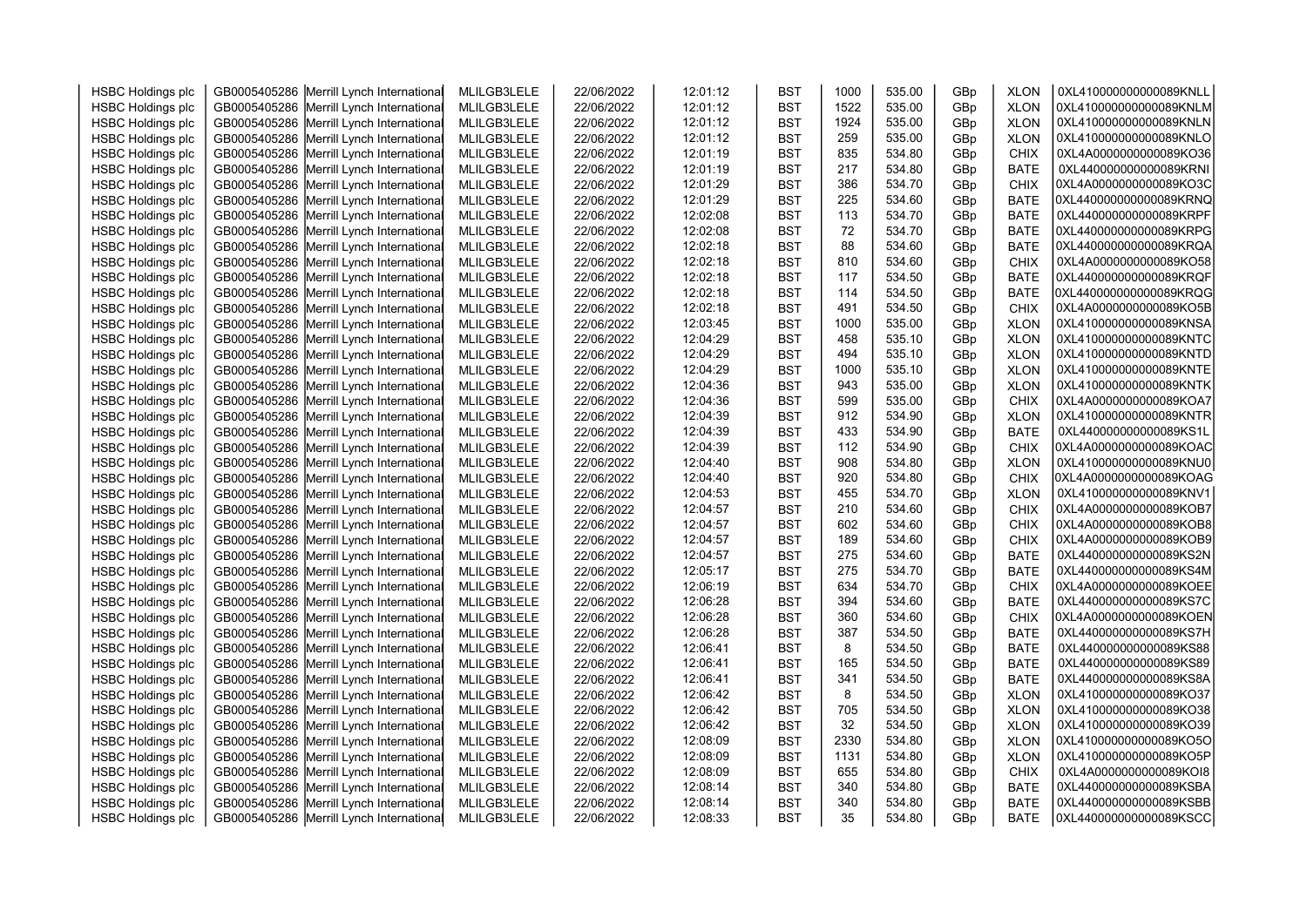| <b>HSBC Holdings plc</b> | GB0005405286 Merrill Lynch International | MLILGB3LELE | 22/06/2022 | 12:01:12 | <b>BST</b> | 1000 | 535.00 | GBp | <b>XLON</b>                | 0XL410000000000089KNLL |  |
|--------------------------|------------------------------------------|-------------|------------|----------|------------|------|--------|-----|----------------------------|------------------------|--|
| <b>HSBC Holdings plc</b> | GB0005405286 Merrill Lynch International | MLILGB3LELE | 22/06/2022 | 12:01:12 | <b>BST</b> | 1522 | 535.00 | GBp | <b>XLON</b>                | 0XL410000000000089KNLM |  |
| <b>HSBC Holdings plc</b> | GB0005405286 Merrill Lynch International | MLILGB3LELE | 22/06/2022 | 12:01:12 | <b>BST</b> | 1924 | 535.00 | GBp | <b>XLON</b>                | 0XL410000000000089KNLN |  |
| <b>HSBC Holdings plc</b> | GB0005405286 Merrill Lynch International | MLILGB3LELE | 22/06/2022 | 12:01:12 | <b>BST</b> | 259  | 535.00 | GBp | <b>XLON</b>                | 0XL410000000000089KNLO |  |
| <b>HSBC Holdings plc</b> | GB0005405286 Merrill Lynch International | MLILGB3LELE | 22/06/2022 | 12:01:19 | <b>BST</b> | 835  | 534.80 | GBp | <b>CHIX</b>                | 0XL4A0000000000089KO36 |  |
| <b>HSBC Holdings plc</b> | GB0005405286 Merrill Lynch International | MLILGB3LELE | 22/06/2022 | 12:01:19 | <b>BST</b> | 217  | 534.80 | GBp | <b>BATE</b>                | 0XL440000000000089KRNI |  |
|                          |                                          |             |            | 12:01:29 | <b>BST</b> | 386  | 534.70 |     |                            | 0XL4A0000000000089KO3C |  |
| <b>HSBC Holdings plc</b> | GB0005405286 Merrill Lynch International | MLILGB3LELE | 22/06/2022 | 12:01:29 | <b>BST</b> | 225  | 534.60 | GBp | <b>CHIX</b><br><b>BATE</b> | 0XL440000000000089KRNQ |  |
| <b>HSBC Holdings plc</b> | GB0005405286 Merrill Lynch International | MLILGB3LELE | 22/06/2022 |          |            |      | 534.70 | GBp |                            |                        |  |
| <b>HSBC Holdings plc</b> | GB0005405286 Merrill Lynch International | MLILGB3LELE | 22/06/2022 | 12:02:08 | <b>BST</b> | 113  |        | GBp | <b>BATE</b>                | 0XL440000000000089KRPF |  |
| <b>HSBC Holdings plc</b> | GB0005405286 Merrill Lynch International | MLILGB3LELE | 22/06/2022 | 12:02:08 | <b>BST</b> | 72   | 534.70 | GBp | <b>BATE</b>                | 0XL440000000000089KRPG |  |
| <b>HSBC Holdings plc</b> | GB0005405286 Merrill Lynch International | MLILGB3LELE | 22/06/2022 | 12:02:18 | <b>BST</b> | 88   | 534.60 | GBp | <b>BATE</b>                | 0XL440000000000089KRQA |  |
| <b>HSBC Holdings plc</b> | GB0005405286 Merrill Lynch International | MLILGB3LELE | 22/06/2022 | 12:02:18 | <b>BST</b> | 810  | 534.60 | GBp | <b>CHIX</b>                | 0XL4A0000000000089KO58 |  |
| <b>HSBC Holdings plc</b> | GB0005405286 Merrill Lynch International | MLILGB3LELE | 22/06/2022 | 12:02:18 | <b>BST</b> | 117  | 534.50 | GBp | <b>BATE</b>                | 0XL440000000000089KRQF |  |
| <b>HSBC Holdings plc</b> | GB0005405286 Merrill Lynch International | MLILGB3LELE | 22/06/2022 | 12:02:18 | <b>BST</b> | 114  | 534.50 | GBp | <b>BATE</b>                | 0XL440000000000089KRQG |  |
| <b>HSBC Holdings plc</b> | GB0005405286 Merrill Lynch International | MLILGB3LELE | 22/06/2022 | 12:02:18 | <b>BST</b> | 491  | 534.50 | GBp | <b>CHIX</b>                | 0XL4A0000000000089KO5B |  |
| <b>HSBC Holdings plc</b> | GB0005405286 Merrill Lynch International | MLILGB3LELE | 22/06/2022 | 12:03:45 | <b>BST</b> | 1000 | 535.00 | GBp | <b>XLON</b>                | 0XL410000000000089KNSA |  |
| <b>HSBC Holdings plc</b> | GB0005405286 Merrill Lynch International | MLILGB3LELE | 22/06/2022 | 12:04:29 | <b>BST</b> | 458  | 535.10 | GBp | <b>XLON</b>                | 0XL410000000000089KNTC |  |
| <b>HSBC Holdings plc</b> | GB0005405286 Merrill Lynch International | MLILGB3LELE | 22/06/2022 | 12:04:29 | <b>BST</b> | 494  | 535.10 | GBp | <b>XLON</b>                | 0XL410000000000089KNTD |  |
| <b>HSBC Holdings plc</b> | GB0005405286 Merrill Lynch International | MLILGB3LELE | 22/06/2022 | 12:04:29 | <b>BST</b> | 1000 | 535.10 | GBp | <b>XLON</b>                | 0XL410000000000089KNTE |  |
| <b>HSBC Holdings plc</b> | GB0005405286 Merrill Lynch International | MLILGB3LELE | 22/06/2022 | 12:04:36 | <b>BST</b> | 943  | 535.00 | GBp | <b>XLON</b>                | 0XL410000000000089KNTK |  |
| <b>HSBC Holdings plc</b> | GB0005405286 Merrill Lynch International | MLILGB3LELE | 22/06/2022 | 12:04:36 | <b>BST</b> | 599  | 535.00 | GBp | <b>CHIX</b>                | 0XL4A0000000000089KOA7 |  |
| <b>HSBC Holdings plc</b> | GB0005405286 Merrill Lynch International | MLILGB3LELE | 22/06/2022 | 12:04:39 | <b>BST</b> | 912  | 534.90 | GBp | <b>XLON</b>                | 0XL410000000000089KNTR |  |
| <b>HSBC Holdings plc</b> | GB0005405286 Merrill Lynch International | MLILGB3LELE | 22/06/2022 | 12:04:39 | <b>BST</b> | 433  | 534.90 | GBp | <b>BATE</b>                | 0XL440000000000089KS1L |  |
| <b>HSBC Holdings plc</b> | GB0005405286 Merrill Lynch International | MLILGB3LELE | 22/06/2022 | 12:04:39 | <b>BST</b> | 112  | 534.90 | GBp | <b>CHIX</b>                | 0XL4A0000000000089KOAC |  |
| <b>HSBC Holdings plc</b> | GB0005405286 Merrill Lynch International | MLILGB3LELE | 22/06/2022 | 12:04:40 | <b>BST</b> | 908  | 534.80 | GBp | <b>XLON</b>                | 0XL410000000000089KNU0 |  |
| <b>HSBC Holdings plc</b> | GB0005405286 Merrill Lynch International | MLILGB3LELE | 22/06/2022 | 12:04:40 | <b>BST</b> | 920  | 534.80 | GBp | <b>CHIX</b>                | 0XL4A0000000000089KOAG |  |
| <b>HSBC Holdings plc</b> | GB0005405286 Merrill Lynch International | MLILGB3LELE | 22/06/2022 | 12:04:53 | <b>BST</b> | 455  | 534.70 | GBp | <b>XLON</b>                | 0XL410000000000089KNV1 |  |
| <b>HSBC Holdings plc</b> | GB0005405286 Merrill Lynch International | MLILGB3LELE | 22/06/2022 | 12:04:57 | <b>BST</b> | 210  | 534.60 | GBp | <b>CHIX</b>                | 0XL4A0000000000089KOB7 |  |
| <b>HSBC Holdings plc</b> | GB0005405286 Merrill Lynch International | MLILGB3LELE | 22/06/2022 | 12:04:57 | <b>BST</b> | 602  | 534.60 | GBp | CHIX                       | 0XL4A0000000000089KOB8 |  |
| <b>HSBC Holdings plc</b> | GB0005405286 Merrill Lynch International | MLILGB3LELE | 22/06/2022 | 12:04:57 | <b>BST</b> | 189  | 534.60 | GBp | <b>CHIX</b>                | 0XL4A0000000000089KOB9 |  |
| <b>HSBC Holdings plc</b> | GB0005405286 Merrill Lynch International | MLILGB3LELE | 22/06/2022 | 12:04:57 | <b>BST</b> | 275  | 534.60 | GBp | <b>BATE</b>                | 0XL440000000000089KS2N |  |
| <b>HSBC Holdings plc</b> | GB0005405286 Merrill Lynch International | MLILGB3LELE | 22/06/2022 | 12:05:17 | <b>BST</b> | 275  | 534.70 | GBp | <b>BATE</b>                | 0XL440000000000089KS4M |  |
| <b>HSBC Holdings plc</b> | GB0005405286 Merrill Lynch International | MLILGB3LELE | 22/06/2022 | 12:06:19 | <b>BST</b> | 634  | 534.70 | GBp | <b>CHIX</b>                | 0XL4A0000000000089KOEE |  |
| <b>HSBC Holdings plc</b> | GB0005405286 Merrill Lynch International | MLILGB3LELE | 22/06/2022 | 12:06:28 | <b>BST</b> | 394  | 534.60 | GBp | <b>BATE</b>                | 0XL440000000000089KS7C |  |
| <b>HSBC Holdings plc</b> | GB0005405286 Merrill Lynch International | MLILGB3LELE | 22/06/2022 | 12:06:28 | <b>BST</b> | 360  | 534.60 | GBp | <b>CHIX</b>                | 0XL4A0000000000089KOEN |  |
| <b>HSBC Holdings plc</b> | GB0005405286 Merrill Lynch International | MLILGB3LELE | 22/06/2022 | 12:06:28 | <b>BST</b> | 387  | 534.50 | GBp | <b>BATE</b>                | 0XL440000000000089KS7H |  |
| <b>HSBC Holdings plc</b> | GB0005405286 Merrill Lynch International | MLILGB3LELE | 22/06/2022 | 12:06:41 | <b>BST</b> | 8    | 534.50 | GBp | <b>BATE</b>                | 0XL440000000000089KS88 |  |
| <b>HSBC Holdings plc</b> | GB0005405286 Merrill Lynch International | MLILGB3LELE | 22/06/2022 | 12:06:41 | <b>BST</b> | 165  | 534.50 | GBp | <b>BATE</b>                | 0XL440000000000089KS89 |  |
| <b>HSBC Holdings plc</b> | GB0005405286 Merrill Lynch International | MLILGB3LELE | 22/06/2022 | 12:06:41 | <b>BST</b> | 341  | 534.50 | GBp | <b>BATE</b>                | 0XL440000000000089KS8A |  |
| <b>HSBC Holdings plc</b> | GB0005405286 Merrill Lynch International | MLILGB3LELE | 22/06/2022 | 12:06:42 | <b>BST</b> | 8    | 534.50 | GBp | <b>XLON</b>                | 0XL410000000000089KO37 |  |
| <b>HSBC Holdings plc</b> | GB0005405286 Merrill Lynch International | MLILGB3LELE | 22/06/2022 | 12:06:42 | <b>BST</b> | 705  | 534.50 | GBp | <b>XLON</b>                | 0XL410000000000089KO38 |  |
| <b>HSBC Holdings plc</b> | GB0005405286 Merrill Lynch International | MLILGB3LELE | 22/06/2022 | 12:06:42 | <b>BST</b> | 32   | 534.50 | GBp | <b>XLON</b>                | 0XL410000000000089KO39 |  |
| <b>HSBC Holdings plc</b> | GB0005405286 Merrill Lynch International | MLILGB3LELE | 22/06/2022 | 12:08:09 | <b>BST</b> | 2330 | 534.80 | GBp | <b>XLON</b>                | 0XL410000000000089KO5O |  |
| <b>HSBC Holdings plc</b> | GB0005405286 Merrill Lynch International | MLILGB3LELE | 22/06/2022 | 12:08:09 | <b>BST</b> | 1131 | 534.80 | GBp | <b>XLON</b>                | 0XL410000000000089KO5P |  |
| <b>HSBC Holdings plc</b> | GB0005405286 Merrill Lynch International | MLILGB3LELE | 22/06/2022 | 12:08:09 | <b>BST</b> | 655  | 534.80 | GBp | <b>CHIX</b>                | 0XL4A0000000000089KOI8 |  |
| <b>HSBC Holdings plc</b> | GB0005405286 Merrill Lynch International | MLILGB3LELE | 22/06/2022 | 12:08:14 | <b>BST</b> | 340  | 534.80 | GBp | <b>BATE</b>                | 0XL440000000000089KSBA |  |
| <b>HSBC Holdings plc</b> | GB0005405286 Merrill Lynch International | MLILGB3LELE | 22/06/2022 | 12:08:14 | <b>BST</b> | 340  | 534.80 | GBp | <b>BATE</b>                | 0XL440000000000089KSBB |  |
| <b>HSBC Holdings plc</b> | GB0005405286 Merrill Lynch International | MLILGB3LELE | 22/06/2022 | 12:08:33 | <b>BST</b> | 35   | 534.80 | GBp | <b>BATE</b>                | 0XL440000000000089KSCC |  |
|                          |                                          |             |            |          |            |      |        |     |                            |                        |  |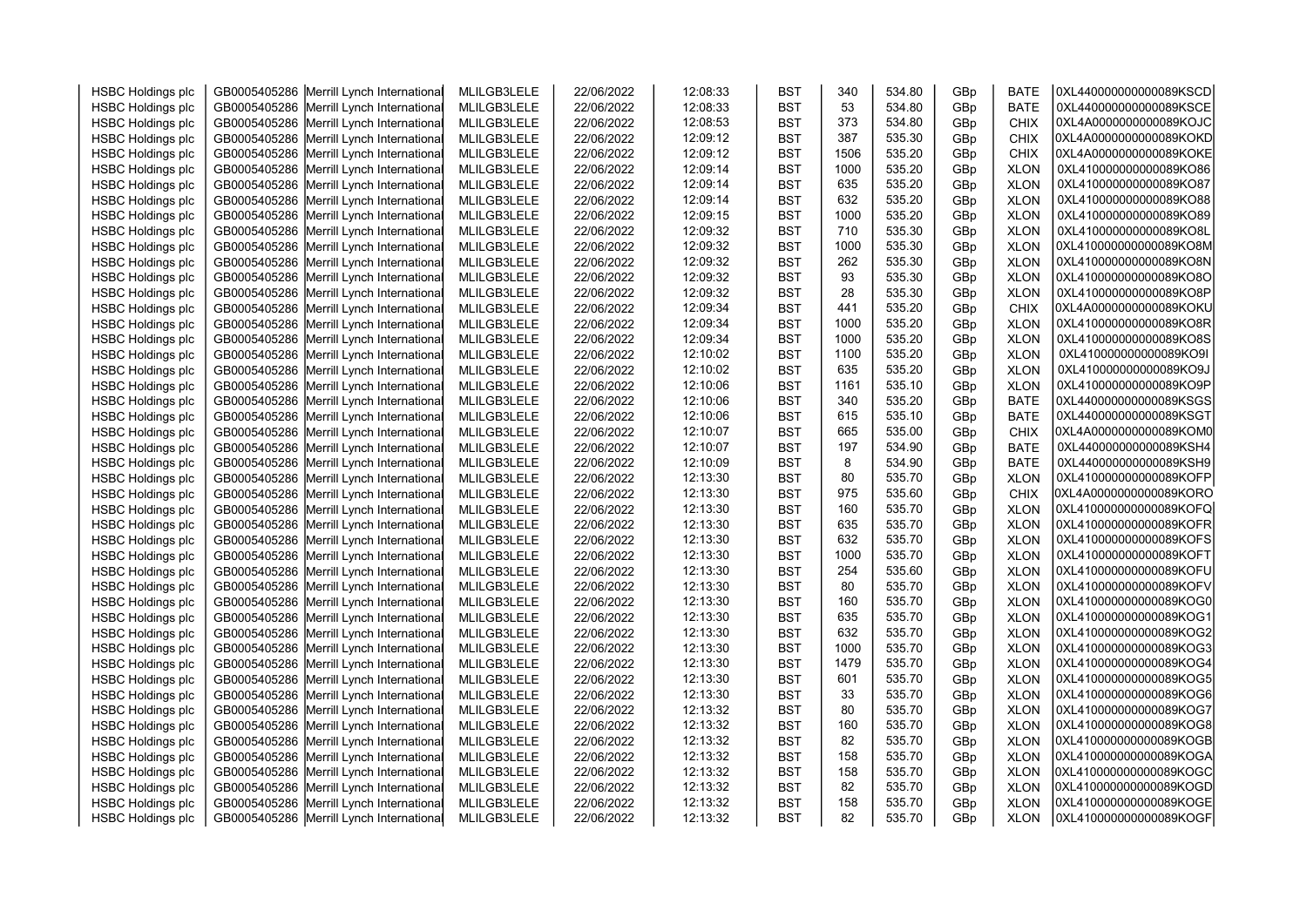| <b>HSBC Holdings plc</b> | GB0005405286 Merrill Lynch International | MLILGB3LELE | 22/06/2022 | 12:08:33 | <b>BST</b> | 340  | 534.80 | GBp | <b>BATE</b> | 0XL440000000000089KSCD |  |
|--------------------------|------------------------------------------|-------------|------------|----------|------------|------|--------|-----|-------------|------------------------|--|
| <b>HSBC Holdings plc</b> | GB0005405286 Merrill Lynch International | MLILGB3LELE | 22/06/2022 | 12:08:33 | <b>BST</b> | 53   | 534.80 | GBp | <b>BATE</b> | 0XL440000000000089KSCE |  |
| <b>HSBC Holdings plc</b> | GB0005405286 Merrill Lynch International | MLILGB3LELE | 22/06/2022 | 12:08:53 | <b>BST</b> | 373  | 534.80 | GBp | <b>CHIX</b> | 0XL4A0000000000089KOJC |  |
| <b>HSBC Holdings plc</b> | GB0005405286 Merrill Lynch International | MLILGB3LELE | 22/06/2022 | 12:09:12 | <b>BST</b> | 387  | 535.30 | GBp | <b>CHIX</b> | 0XL4A0000000000089KOKD |  |
| <b>HSBC Holdings plc</b> | GB0005405286 Merrill Lynch International | MLILGB3LELE | 22/06/2022 | 12:09:12 | <b>BST</b> | 1506 | 535.20 | GBp | <b>CHIX</b> | 0XL4A0000000000089KOKE |  |
| <b>HSBC Holdings plc</b> | GB0005405286 Merrill Lynch International | MLILGB3LELE | 22/06/2022 | 12:09:14 | <b>BST</b> | 1000 | 535.20 | GBp | <b>XLON</b> | 0XL410000000000089KO86 |  |
| <b>HSBC Holdings plc</b> | GB0005405286 Merrill Lynch International | MLILGB3LELE | 22/06/2022 | 12:09:14 | <b>BST</b> | 635  | 535.20 | GBp | <b>XLON</b> | 0XL410000000000089KO87 |  |
| <b>HSBC Holdings plc</b> | GB0005405286 Merrill Lynch International | MLILGB3LELE | 22/06/2022 | 12:09:14 | <b>BST</b> | 632  | 535.20 | GBp | <b>XLON</b> | 0XL410000000000089KO88 |  |
| <b>HSBC Holdings plc</b> | GB0005405286 Merrill Lynch International | MLILGB3LELE | 22/06/2022 | 12:09:15 | <b>BST</b> | 1000 | 535.20 | GBp | <b>XLON</b> | 0XL410000000000089KO89 |  |
| <b>HSBC Holdings plc</b> | GB0005405286 Merrill Lynch International | MLILGB3LELE | 22/06/2022 | 12:09:32 | <b>BST</b> | 710  | 535.30 | GBp | <b>XLON</b> | 0XL410000000000089KO8L |  |
| <b>HSBC Holdings plc</b> | GB0005405286 Merrill Lynch International | MLILGB3LELE | 22/06/2022 | 12:09:32 | <b>BST</b> | 1000 | 535.30 | GBp | <b>XLON</b> | 0XL410000000000089KO8M |  |
| <b>HSBC Holdings plc</b> | GB0005405286 Merrill Lynch International | MLILGB3LELE | 22/06/2022 | 12:09:32 | <b>BST</b> | 262  | 535.30 | GBp | <b>XLON</b> | 0XL410000000000089KO8N |  |
| <b>HSBC Holdings plc</b> | GB0005405286 Merrill Lynch International | MLILGB3LELE | 22/06/2022 | 12:09:32 | <b>BST</b> | 93   | 535.30 | GBp | <b>XLON</b> | 0XL410000000000089KO8O |  |
| <b>HSBC Holdings plc</b> | GB0005405286 Merrill Lynch International | MLILGB3LELE | 22/06/2022 | 12:09:32 | <b>BST</b> | 28   | 535.30 | GBp | <b>XLON</b> | 0XL410000000000089KO8P |  |
| <b>HSBC Holdings plc</b> | GB0005405286 Merrill Lynch International | MLILGB3LELE | 22/06/2022 | 12:09:34 | <b>BST</b> | 441  | 535.20 | GBp | <b>CHIX</b> | 0XL4A0000000000089KOKU |  |
| <b>HSBC Holdings plc</b> | GB0005405286 Merrill Lynch International | MLILGB3LELE | 22/06/2022 | 12:09:34 | <b>BST</b> | 1000 | 535.20 | GBp | <b>XLON</b> | 0XL410000000000089KO8R |  |
| <b>HSBC Holdings plc</b> | GB0005405286 Merrill Lynch International | MLILGB3LELE | 22/06/2022 | 12:09:34 | <b>BST</b> | 1000 | 535.20 | GBp | <b>XLON</b> | 0XL410000000000089KO8S |  |
| <b>HSBC Holdings plc</b> | GB0005405286 Merrill Lynch International | MLILGB3LELE | 22/06/2022 | 12:10:02 | <b>BST</b> | 1100 | 535.20 | GBp | <b>XLON</b> | 0XL410000000000089KO9I |  |
| <b>HSBC Holdings plc</b> | GB0005405286 Merrill Lynch International | MLILGB3LELE | 22/06/2022 | 12:10:02 | <b>BST</b> | 635  | 535.20 | GBp | <b>XLON</b> | 0XL410000000000089KO9J |  |
| <b>HSBC Holdings plc</b> | GB0005405286 Merrill Lynch International | MLILGB3LELE | 22/06/2022 | 12:10:06 | <b>BST</b> | 1161 | 535.10 | GBp | <b>XLON</b> | 0XL410000000000089KO9P |  |
| <b>HSBC Holdings plc</b> | GB0005405286 Merrill Lynch International | MLILGB3LELE | 22/06/2022 | 12:10:06 | <b>BST</b> | 340  | 535.20 | GBp | <b>BATE</b> | 0XL440000000000089KSGS |  |
| <b>HSBC Holdings plc</b> | GB0005405286 Merrill Lynch International | MLILGB3LELE | 22/06/2022 | 12:10:06 | <b>BST</b> | 615  | 535.10 | GBp | <b>BATE</b> | 0XL440000000000089KSGT |  |
| <b>HSBC Holdings plc</b> | GB0005405286 Merrill Lynch International | MLILGB3LELE | 22/06/2022 | 12:10:07 | <b>BST</b> | 665  | 535.00 | GBp | <b>CHIX</b> | 0XL4A0000000000089KOM0 |  |
| <b>HSBC Holdings plc</b> | GB0005405286 Merrill Lynch International | MLILGB3LELE | 22/06/2022 | 12:10:07 | <b>BST</b> | 197  | 534.90 | GBp | <b>BATE</b> | 0XL440000000000089KSH4 |  |
| <b>HSBC Holdings plc</b> | GB0005405286 Merrill Lynch International | MLILGB3LELE | 22/06/2022 | 12:10:09 | <b>BST</b> | 8    | 534.90 | GBp | <b>BATE</b> | 0XL440000000000089KSH9 |  |
| <b>HSBC Holdings plc</b> | GB0005405286 Merrill Lynch International | MLILGB3LELE | 22/06/2022 | 12:13:30 | <b>BST</b> | 80   | 535.70 | GBp | <b>XLON</b> | 0XL410000000000089KOFP |  |
| <b>HSBC Holdings plc</b> | GB0005405286 Merrill Lynch International | MLILGB3LELE | 22/06/2022 | 12:13:30 | <b>BST</b> | 975  | 535.60 | GBp | <b>CHIX</b> | 0XL4A0000000000089KORO |  |
| <b>HSBC Holdings plc</b> | GB0005405286 Merrill Lynch International | MLILGB3LELE | 22/06/2022 | 12:13:30 | <b>BST</b> | 160  | 535.70 | GBp | <b>XLON</b> | 0XL410000000000089KOFQ |  |
| <b>HSBC Holdings plc</b> | GB0005405286 Merrill Lynch International | MLILGB3LELE | 22/06/2022 | 12:13:30 | <b>BST</b> | 635  | 535.70 | GBp | <b>XLON</b> | 0XL410000000000089KOFR |  |
| <b>HSBC Holdings plc</b> | GB0005405286 Merrill Lynch International | MLILGB3LELE | 22/06/2022 | 12:13:30 | <b>BST</b> | 632  | 535.70 | GBp | <b>XLON</b> | 0XL410000000000089KOFS |  |
| <b>HSBC Holdings plc</b> | GB0005405286 Merrill Lynch International | MLILGB3LELE | 22/06/2022 | 12:13:30 | <b>BST</b> | 1000 | 535.70 | GBp | <b>XLON</b> | 0XL410000000000089KOFT |  |
| <b>HSBC Holdings plc</b> | GB0005405286 Merrill Lynch International | MLILGB3LELE | 22/06/2022 | 12:13:30 | <b>BST</b> | 254  | 535.60 | GBp | <b>XLON</b> | 0XL410000000000089KOFU |  |
| <b>HSBC Holdings plc</b> | GB0005405286 Merrill Lynch International | MLILGB3LELE | 22/06/2022 | 12:13:30 | <b>BST</b> | 80   | 535.70 | GBp | <b>XLON</b> | 0XL410000000000089KOFV |  |
| <b>HSBC Holdings plc</b> | GB0005405286 Merrill Lynch International | MLILGB3LELE | 22/06/2022 | 12:13:30 | <b>BST</b> | 160  | 535.70 | GBp | <b>XLON</b> | 0XL410000000000089KOG0 |  |
| <b>HSBC Holdings plc</b> | GB0005405286 Merrill Lynch International | MLILGB3LELE | 22/06/2022 | 12:13:30 | <b>BST</b> | 635  | 535.70 | GBp | <b>XLON</b> | 0XL410000000000089KOG1 |  |
| <b>HSBC Holdings plc</b> | GB0005405286 Merrill Lynch International | MLILGB3LELE | 22/06/2022 | 12:13:30 | <b>BST</b> | 632  | 535.70 | GBp | <b>XLON</b> | 0XL410000000000089KOG2 |  |
| <b>HSBC Holdings plc</b> | GB0005405286 Merrill Lynch International | MLILGB3LELE | 22/06/2022 | 12:13:30 | <b>BST</b> | 1000 | 535.70 | GBp | <b>XLON</b> | 0XL410000000000089KOG3 |  |
| <b>HSBC Holdings plc</b> | GB0005405286 Merrill Lynch International | MLILGB3LELE | 22/06/2022 | 12:13:30 | <b>BST</b> | 1479 | 535.70 | GBp | <b>XLON</b> | 0XL410000000000089KOG4 |  |
| <b>HSBC Holdings plc</b> | GB0005405286 Merrill Lynch International | MLILGB3LELE | 22/06/2022 | 12:13:30 | <b>BST</b> | 601  | 535.70 | GBp | <b>XLON</b> | 0XL410000000000089KOG5 |  |
| <b>HSBC Holdings plc</b> | GB0005405286 Merrill Lynch International | MLILGB3LELE | 22/06/2022 | 12:13:30 | <b>BST</b> | 33   | 535.70 | GBp | <b>XLON</b> | 0XL410000000000089KOG6 |  |
| <b>HSBC Holdings plc</b> | GB0005405286 Merrill Lynch International | MLILGB3LELE | 22/06/2022 | 12:13:32 | <b>BST</b> | 80   | 535.70 | GBp | <b>XLON</b> | 0XL410000000000089KOG7 |  |
| <b>HSBC Holdings plc</b> | GB0005405286 Merrill Lynch International | MLILGB3LELE | 22/06/2022 | 12:13:32 | <b>BST</b> | 160  | 535.70 | GBp | <b>XLON</b> | 0XL410000000000089KOG8 |  |
| <b>HSBC Holdings plc</b> | GB0005405286 Merrill Lynch International | MLILGB3LELE | 22/06/2022 | 12:13:32 | <b>BST</b> | 82   | 535.70 | GBp | <b>XLON</b> | 0XL410000000000089KOGB |  |
| <b>HSBC Holdings plc</b> | GB0005405286 Merrill Lynch International | MLILGB3LELE | 22/06/2022 | 12:13:32 | <b>BST</b> | 158  | 535.70 | GBp | <b>XLON</b> | 0XL410000000000089KOGA |  |
| <b>HSBC Holdings plc</b> | GB0005405286 Merrill Lynch International | MLILGB3LELE | 22/06/2022 | 12:13:32 | <b>BST</b> | 158  | 535.70 | GBp | <b>XLON</b> | 0XL410000000000089KOGC |  |
| <b>HSBC Holdings plc</b> | GB0005405286 Merrill Lynch International | MLILGB3LELE | 22/06/2022 | 12:13:32 | <b>BST</b> | 82   | 535.70 | GBp | <b>XLON</b> | 0XL410000000000089KOGD |  |
| <b>HSBC Holdings plc</b> | GB0005405286 Merrill Lynch International | MLILGB3LELE | 22/06/2022 | 12:13:32 | <b>BST</b> | 158  | 535.70 | GBp | <b>XLON</b> | 0XL410000000000089KOGE |  |
| <b>HSBC Holdings plc</b> | GB0005405286 Merrill Lynch International | MLILGB3LELE | 22/06/2022 | 12:13:32 | <b>BST</b> | 82   | 535.70 | GBp | <b>XLON</b> | 0XL410000000000089KOGF |  |
|                          |                                          |             |            |          |            |      |        |     |             |                        |  |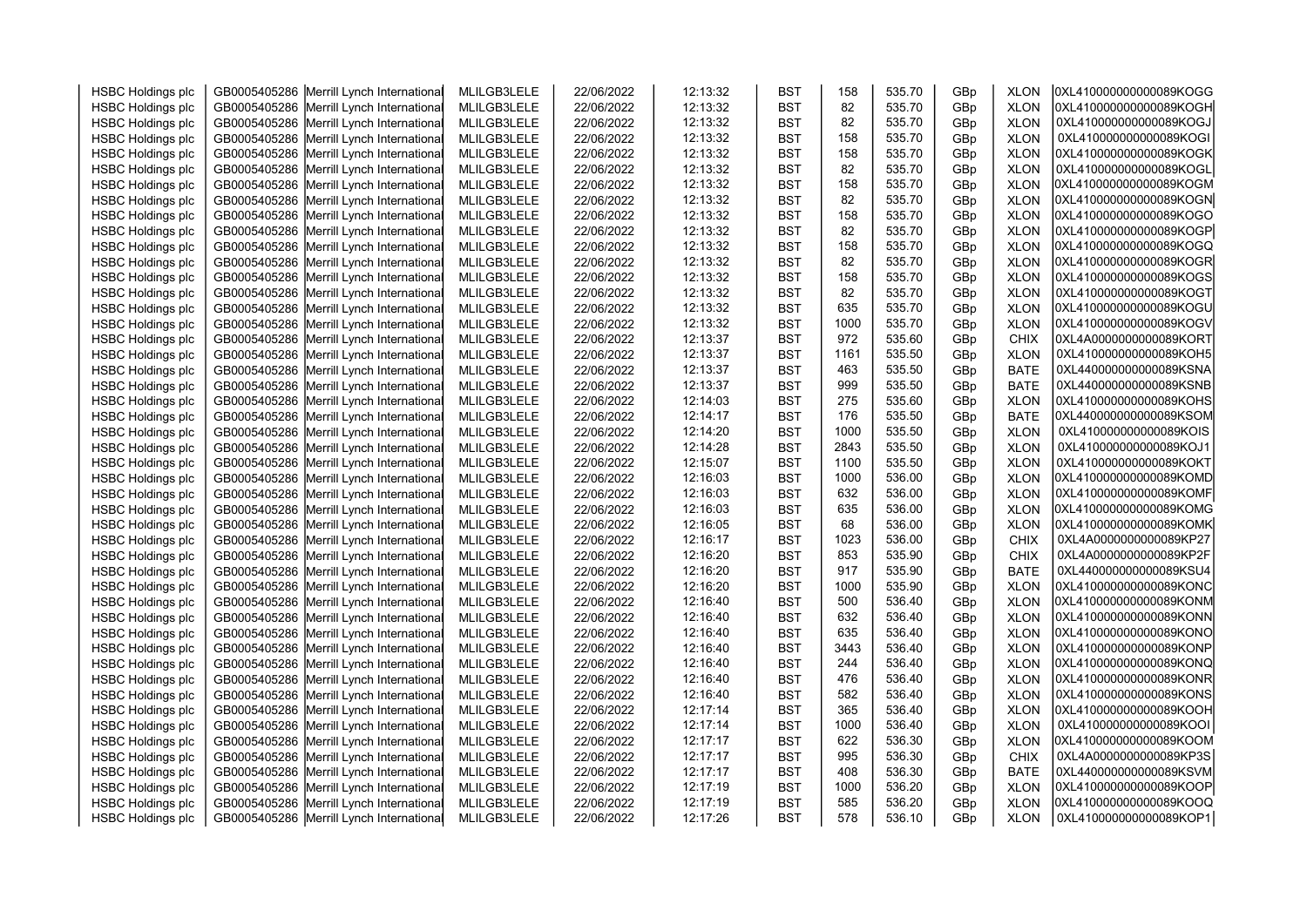| <b>HSBC Holdings plc</b> | GB0005405286 Merrill Lynch International | MLILGB3LELE | 22/06/2022 | 12:13:32 | <b>BST</b> | 158  | 535.70 | GBp | <b>XLON</b> | 0XL410000000000089KOGG |
|--------------------------|------------------------------------------|-------------|------------|----------|------------|------|--------|-----|-------------|------------------------|
| <b>HSBC Holdings plc</b> | GB0005405286 Merrill Lynch International | MLILGB3LELE | 22/06/2022 | 12:13:32 | <b>BST</b> | 82   | 535.70 | GBp | <b>XLON</b> | 0XL410000000000089KOGH |
| <b>HSBC Holdings plc</b> | GB0005405286 Merrill Lynch International | MLILGB3LELE | 22/06/2022 | 12:13:32 | <b>BST</b> | 82   | 535.70 | GBp | <b>XLON</b> | 0XL410000000000089KOGJ |
| <b>HSBC Holdings plc</b> | GB0005405286 Merrill Lynch International | MLILGB3LELE | 22/06/2022 | 12:13:32 | <b>BST</b> | 158  | 535.70 | GBp | <b>XLON</b> | 0XL410000000000089KOGI |
| <b>HSBC Holdings plc</b> | GB0005405286 Merrill Lynch International | MLILGB3LELE | 22/06/2022 | 12:13:32 | <b>BST</b> | 158  | 535.70 | GBp | <b>XLON</b> | 0XL410000000000089KOGK |
| <b>HSBC Holdings plc</b> | GB0005405286 Merrill Lynch International | MLILGB3LELE | 22/06/2022 | 12:13:32 | <b>BST</b> | 82   | 535.70 | GBp | <b>XLON</b> | 0XL410000000000089KOGL |
| <b>HSBC Holdings plc</b> | GB0005405286 Merrill Lynch International | MLILGB3LELE | 22/06/2022 | 12:13:32 | <b>BST</b> | 158  | 535.70 | GBp | <b>XLON</b> | 0XL410000000000089KOGM |
| <b>HSBC Holdings plc</b> | GB0005405286 Merrill Lynch International | MLILGB3LELE | 22/06/2022 | 12:13:32 | <b>BST</b> | 82   | 535.70 | GBp | <b>XLON</b> | 0XL410000000000089KOGN |
| <b>HSBC Holdings plc</b> | GB0005405286 Merrill Lynch International | MLILGB3LELE | 22/06/2022 | 12:13:32 | <b>BST</b> | 158  | 535.70 | GBp | <b>XLON</b> | 0XL410000000000089KOGO |
| <b>HSBC Holdings plc</b> | GB0005405286 Merrill Lynch International | MLILGB3LELE | 22/06/2022 | 12:13:32 | <b>BST</b> | 82   | 535.70 | GBp | <b>XLON</b> | 0XL410000000000089KOGP |
| <b>HSBC Holdings plc</b> | GB0005405286 Merrill Lynch International | MLILGB3LELE | 22/06/2022 | 12:13:32 | <b>BST</b> | 158  | 535.70 | GBp | <b>XLON</b> | 0XL410000000000089KOGQ |
| <b>HSBC Holdings plc</b> | GB0005405286 Merrill Lynch International | MLILGB3LELE | 22/06/2022 | 12:13:32 | <b>BST</b> | 82   | 535.70 | GBp | <b>XLON</b> | 0XL410000000000089KOGR |
| <b>HSBC Holdings plc</b> | GB0005405286 Merrill Lynch International | MLILGB3LELE | 22/06/2022 | 12:13:32 | <b>BST</b> | 158  | 535.70 | GBp | <b>XLON</b> | 0XL410000000000089KOGS |
| <b>HSBC Holdings plc</b> | GB0005405286 Merrill Lynch International | MLILGB3LELE | 22/06/2022 | 12:13:32 | <b>BST</b> | 82   | 535.70 | GBp | <b>XLON</b> | 0XL410000000000089KOGT |
| <b>HSBC Holdings plc</b> | GB0005405286 Merrill Lynch International | MLILGB3LELE | 22/06/2022 | 12:13:32 | <b>BST</b> | 635  | 535.70 | GBp | <b>XLON</b> | 0XL410000000000089KOGU |
| <b>HSBC Holdings plc</b> | GB0005405286 Merrill Lynch International | MLILGB3LELE | 22/06/2022 | 12:13:32 | <b>BST</b> | 1000 | 535.70 | GBp | <b>XLON</b> | 0XL410000000000089KOGV |
| <b>HSBC Holdings plc</b> | GB0005405286 Merrill Lynch International | MLILGB3LELE | 22/06/2022 | 12:13:37 | <b>BST</b> | 972  | 535.60 | GBp | <b>CHIX</b> | 0XL4A0000000000089KORT |
| <b>HSBC Holdings plc</b> | GB0005405286 Merrill Lynch International | MLILGB3LELE | 22/06/2022 | 12:13:37 | <b>BST</b> | 1161 | 535.50 | GBp | <b>XLON</b> | 0XL410000000000089KOH5 |
| <b>HSBC Holdings plc</b> | GB0005405286 Merrill Lynch International | MLILGB3LELE | 22/06/2022 | 12:13:37 | <b>BST</b> | 463  | 535.50 | GBp | <b>BATE</b> | 0XL440000000000089KSNA |
| <b>HSBC Holdings plc</b> | GB0005405286 Merrill Lynch International | MLILGB3LELE | 22/06/2022 | 12:13:37 | <b>BST</b> | 999  | 535.50 | GBp | <b>BATE</b> | 0XL440000000000089KSNB |
| <b>HSBC Holdings plc</b> | GB0005405286 Merrill Lynch International | MLILGB3LELE | 22/06/2022 | 12:14:03 | <b>BST</b> | 275  | 535.60 | GBp | <b>XLON</b> | 0XL410000000000089KOHS |
| <b>HSBC Holdings plc</b> | GB0005405286 Merrill Lynch International | MLILGB3LELE | 22/06/2022 | 12:14:17 | <b>BST</b> | 176  | 535.50 | GBp | <b>BATE</b> | 0XL440000000000089KSOM |
| <b>HSBC Holdings plc</b> | GB0005405286 Merrill Lynch International | MLILGB3LELE | 22/06/2022 | 12:14:20 | <b>BST</b> | 1000 | 535.50 | GBp | <b>XLON</b> | 0XL410000000000089KOIS |
| <b>HSBC Holdings plc</b> | GB0005405286 Merrill Lynch International | MLILGB3LELE | 22/06/2022 | 12:14:28 | <b>BST</b> | 2843 | 535.50 | GBp | <b>XLON</b> | 0XL410000000000089KOJ1 |
| <b>HSBC Holdings plc</b> | GB0005405286 Merrill Lynch International | MLILGB3LELE | 22/06/2022 | 12:15:07 | <b>BST</b> | 1100 | 535.50 | GBp | <b>XLON</b> | 0XL410000000000089KOKT |
| <b>HSBC Holdings plc</b> | GB0005405286 Merrill Lynch International | MLILGB3LELE | 22/06/2022 | 12:16:03 | <b>BST</b> | 1000 | 536.00 | GBp | <b>XLON</b> | 0XL410000000000089KOMD |
| <b>HSBC Holdings plc</b> | GB0005405286 Merrill Lynch International | MLILGB3LELE | 22/06/2022 | 12:16:03 | <b>BST</b> | 632  | 536.00 | GBp | <b>XLON</b> | 0XL410000000000089KOMF |
| <b>HSBC Holdings plc</b> | GB0005405286 Merrill Lynch International | MLILGB3LELE | 22/06/2022 | 12:16:03 | <b>BST</b> | 635  | 536.00 | GBp | <b>XLON</b> | 0XL410000000000089KOMG |
| <b>HSBC Holdings plc</b> | GB0005405286 Merrill Lynch International | MLILGB3LELE | 22/06/2022 | 12:16:05 | <b>BST</b> | 68   | 536.00 | GBp | <b>XLON</b> | 0XL410000000000089KOMK |
| <b>HSBC Holdings plc</b> | GB0005405286 Merrill Lynch International | MLILGB3LELE | 22/06/2022 | 12:16:17 | <b>BST</b> | 1023 | 536.00 | GBp | <b>CHIX</b> | 0XL4A0000000000089KP27 |
| <b>HSBC Holdings plc</b> | GB0005405286 Merrill Lynch International | MLILGB3LELE | 22/06/2022 | 12:16:20 | <b>BST</b> | 853  | 535.90 | GBp | <b>CHIX</b> | 0XL4A0000000000089KP2F |
| <b>HSBC Holdings plc</b> | GB0005405286 Merrill Lynch International | MLILGB3LELE | 22/06/2022 | 12:16:20 | <b>BST</b> | 917  | 535.90 | GBp | <b>BATE</b> | 0XL440000000000089KSU4 |
| <b>HSBC Holdings plc</b> | GB0005405286 Merrill Lynch International | MLILGB3LELE | 22/06/2022 | 12:16:20 | <b>BST</b> | 1000 | 535.90 | GBp | <b>XLON</b> | 0XL410000000000089KONC |
| <b>HSBC Holdings plc</b> | GB0005405286 Merrill Lynch International | MLILGB3LELE | 22/06/2022 | 12:16:40 | <b>BST</b> | 500  | 536.40 | GBp | <b>XLON</b> | 0XL410000000000089KONM |
| <b>HSBC Holdings plc</b> | GB0005405286 Merrill Lynch International | MLILGB3LELE | 22/06/2022 | 12:16:40 | <b>BST</b> | 632  | 536.40 | GBp | <b>XLON</b> | 0XL410000000000089KONN |
| <b>HSBC Holdings plc</b> | GB0005405286 Merrill Lynch International | MLILGB3LELE | 22/06/2022 | 12:16:40 | <b>BST</b> | 635  | 536.40 | GBp | <b>XLON</b> | 0XL410000000000089KONO |
| <b>HSBC Holdings plc</b> | GB0005405286 Merrill Lynch International | MLILGB3LELE | 22/06/2022 | 12:16:40 | <b>BST</b> | 3443 | 536.40 | GBp | <b>XLON</b> | 0XL410000000000089KONP |
| <b>HSBC Holdings plc</b> | GB0005405286 Merrill Lynch International | MLILGB3LELE | 22/06/2022 | 12:16:40 | <b>BST</b> | 244  | 536.40 | GBp | <b>XLON</b> | 0XL410000000000089KONQ |
| <b>HSBC Holdings plc</b> | GB0005405286 Merrill Lynch International | MLILGB3LELE | 22/06/2022 | 12:16:40 | <b>BST</b> | 476  | 536.40 | GBp | <b>XLON</b> | 0XL410000000000089KONR |
| <b>HSBC Holdings plc</b> | GB0005405286 Merrill Lynch International | MLILGB3LELE | 22/06/2022 | 12:16:40 | <b>BST</b> | 582  | 536.40 | GBp | <b>XLON</b> | 0XL410000000000089KONS |
| <b>HSBC Holdings plc</b> | GB0005405286 Merrill Lynch International | MLILGB3LELE | 22/06/2022 | 12:17:14 | <b>BST</b> | 365  | 536.40 | GBp | <b>XLON</b> | 0XL410000000000089KOOH |
| <b>HSBC Holdings plc</b> | GB0005405286 Merrill Lynch International | MLILGB3LELE | 22/06/2022 | 12:17:14 | <b>BST</b> | 1000 | 536.40 | GBp | <b>XLON</b> | 0XL410000000000089KOOI |
| <b>HSBC Holdings plc</b> | GB0005405286 Merrill Lynch International | MLILGB3LELE | 22/06/2022 | 12:17:17 | <b>BST</b> | 622  | 536.30 | GBp | <b>XLON</b> | 0XL410000000000089KOOM |
| <b>HSBC Holdings plc</b> | GB0005405286 Merrill Lynch International | MLILGB3LELE | 22/06/2022 | 12:17:17 | <b>BST</b> | 995  | 536.30 | GBp | <b>CHIX</b> | 0XL4A0000000000089KP3S |
| <b>HSBC Holdings plc</b> | GB0005405286 Merrill Lynch International | MLILGB3LELE | 22/06/2022 | 12:17:17 | <b>BST</b> | 408  | 536.30 | GBp | <b>BATE</b> | 0XL440000000000089KSVM |
| <b>HSBC Holdings plc</b> | GB0005405286 Merrill Lynch International | MLILGB3LELE | 22/06/2022 | 12:17:19 | <b>BST</b> | 1000 | 536.20 | GBp | <b>XLON</b> | 0XL410000000000089KOOP |
| <b>HSBC Holdings plc</b> | GB0005405286 Merrill Lynch International | MLILGB3LELE | 22/06/2022 | 12:17:19 | <b>BST</b> | 585  | 536.20 | GBp | <b>XLON</b> | 0XL410000000000089KOOQ |
| <b>HSBC Holdings plc</b> | GB0005405286 Merrill Lynch International | MLILGB3LELE | 22/06/2022 | 12:17:26 | <b>BST</b> | 578  | 536.10 | GBp | <b>XLON</b> | 0XL410000000000089KOP1 |
|                          |                                          |             |            |          |            |      |        |     |             |                        |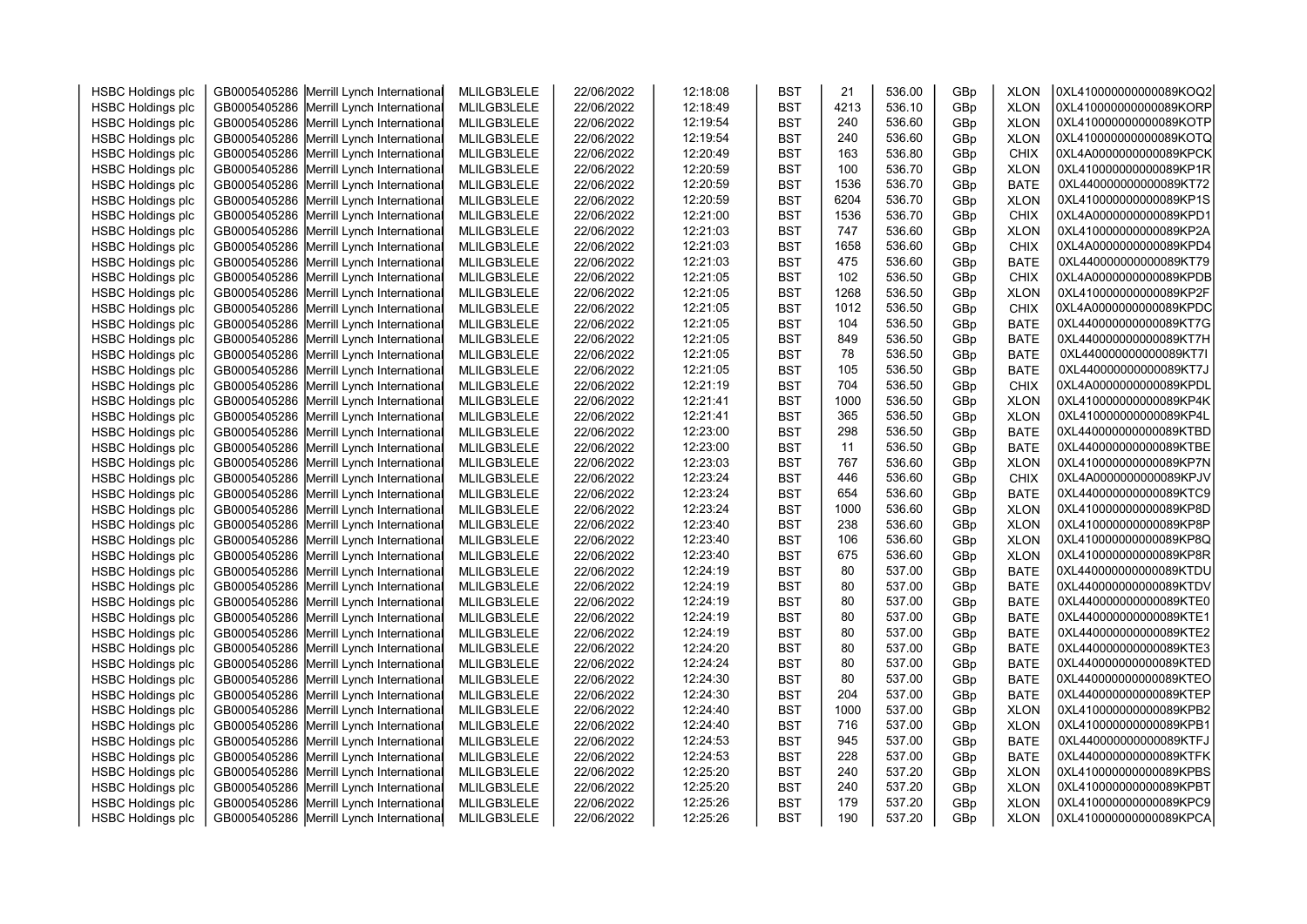| <b>HSBC Holdings plc</b> | GB0005405286 Merrill Lynch International | MLILGB3LELE | 22/06/2022 | 12:18:08 | <b>BST</b> | 21   | 536.00 | GBp | <b>XLON</b> | 0XL410000000000089KOQ2 |  |
|--------------------------|------------------------------------------|-------------|------------|----------|------------|------|--------|-----|-------------|------------------------|--|
| <b>HSBC Holdings plc</b> | GB0005405286 Merrill Lynch International | MLILGB3LELE | 22/06/2022 | 12:18:49 | <b>BST</b> | 4213 | 536.10 | GBp | <b>XLON</b> | 0XL410000000000089KORP |  |
| <b>HSBC Holdings plc</b> | GB0005405286 Merrill Lynch International | MLILGB3LELE | 22/06/2022 | 12:19:54 | <b>BST</b> | 240  | 536.60 | GBp | <b>XLON</b> | 0XL410000000000089KOTP |  |
| <b>HSBC Holdings plc</b> | GB0005405286 Merrill Lynch International | MLILGB3LELE | 22/06/2022 | 12:19:54 | <b>BST</b> | 240  | 536.60 | GBp | <b>XLON</b> | 0XL410000000000089KOTQ |  |
| <b>HSBC Holdings plc</b> | GB0005405286 Merrill Lynch International | MLILGB3LELE | 22/06/2022 | 12:20:49 | <b>BST</b> | 163  | 536.80 | GBp | <b>CHIX</b> | 0XL4A0000000000089KPCK |  |
| <b>HSBC Holdings plc</b> | GB0005405286 Merrill Lynch International | MLILGB3LELE | 22/06/2022 | 12:20:59 | <b>BST</b> | 100  | 536.70 | GBp | <b>XLON</b> | 0XL410000000000089KP1R |  |
|                          |                                          |             |            | 12:20:59 | <b>BST</b> | 1536 | 536.70 |     |             | 0XL440000000000089KT72 |  |
| <b>HSBC Holdings plc</b> | GB0005405286 Merrill Lynch International | MLILGB3LELE | 22/06/2022 | 12:20:59 | <b>BST</b> | 6204 | 536.70 | GBp | <b>BATE</b> | 0XL410000000000089KP1S |  |
| <b>HSBC Holdings plc</b> | GB0005405286 Merrill Lynch International | MLILGB3LELE | 22/06/2022 |          |            | 1536 | 536.70 | GBp | <b>XLON</b> |                        |  |
| <b>HSBC Holdings plc</b> | GB0005405286 Merrill Lynch International | MLILGB3LELE | 22/06/2022 | 12:21:00 | <b>BST</b> |      |        | GBp | <b>CHIX</b> | 0XL4A0000000000089KPD1 |  |
| <b>HSBC Holdings plc</b> | GB0005405286 Merrill Lynch International | MLILGB3LELE | 22/06/2022 | 12:21:03 | <b>BST</b> | 747  | 536.60 | GBp | <b>XLON</b> | 0XL410000000000089KP2A |  |
| <b>HSBC Holdings plc</b> | GB0005405286 Merrill Lynch International | MLILGB3LELE | 22/06/2022 | 12:21:03 | <b>BST</b> | 1658 | 536.60 | GBp | <b>CHIX</b> | 0XL4A0000000000089KPD4 |  |
| <b>HSBC Holdings plc</b> | GB0005405286 Merrill Lynch International | MLILGB3LELE | 22/06/2022 | 12:21:03 | <b>BST</b> | 475  | 536.60 | GBp | <b>BATE</b> | 0XL440000000000089KT79 |  |
| <b>HSBC Holdings plc</b> | GB0005405286 Merrill Lynch International | MLILGB3LELE | 22/06/2022 | 12:21:05 | <b>BST</b> | 102  | 536.50 | GBp | <b>CHIX</b> | 0XL4A0000000000089KPDB |  |
| <b>HSBC Holdings plc</b> | GB0005405286 Merrill Lynch International | MLILGB3LELE | 22/06/2022 | 12:21:05 | <b>BST</b> | 1268 | 536.50 | GBp | <b>XLON</b> | 0XL410000000000089KP2F |  |
| <b>HSBC Holdings plc</b> | GB0005405286 Merrill Lynch International | MLILGB3LELE | 22/06/2022 | 12:21:05 | <b>BST</b> | 1012 | 536.50 | GBp | <b>CHIX</b> | 0XL4A0000000000089KPDC |  |
| <b>HSBC Holdings plc</b> | GB0005405286 Merrill Lynch International | MLILGB3LELE | 22/06/2022 | 12:21:05 | <b>BST</b> | 104  | 536.50 | GBp | <b>BATE</b> | 0XL440000000000089KT7G |  |
| <b>HSBC Holdings plc</b> | GB0005405286 Merrill Lynch International | MLILGB3LELE | 22/06/2022 | 12:21:05 | <b>BST</b> | 849  | 536.50 | GBp | <b>BATE</b> | 0XL440000000000089KT7H |  |
| <b>HSBC Holdings plc</b> | GB0005405286 Merrill Lynch International | MLILGB3LELE | 22/06/2022 | 12:21:05 | <b>BST</b> | 78   | 536.50 | GBp | <b>BATE</b> | 0XL440000000000089KT7I |  |
| <b>HSBC Holdings plc</b> | GB0005405286 Merrill Lynch International | MLILGB3LELE | 22/06/2022 | 12:21:05 | <b>BST</b> | 105  | 536.50 | GBp | <b>BATE</b> | 0XL440000000000089KT7J |  |
| <b>HSBC Holdings plc</b> | GB0005405286 Merrill Lynch International | MLILGB3LELE | 22/06/2022 | 12:21:19 | <b>BST</b> | 704  | 536.50 | GBp | <b>CHIX</b> | 0XL4A0000000000089KPDL |  |
| <b>HSBC Holdings plc</b> | GB0005405286 Merrill Lynch International | MLILGB3LELE | 22/06/2022 | 12:21:41 | <b>BST</b> | 1000 | 536.50 | GBp | <b>XLON</b> | 0XL410000000000089KP4K |  |
| <b>HSBC Holdings plc</b> | GB0005405286 Merrill Lynch International | MLILGB3LELE | 22/06/2022 | 12:21:41 | <b>BST</b> | 365  | 536.50 | GBp | <b>XLON</b> | 0XL410000000000089KP4L |  |
| <b>HSBC Holdings plc</b> | GB0005405286 Merrill Lynch International | MLILGB3LELE | 22/06/2022 | 12:23:00 | <b>BST</b> | 298  | 536.50 | GBp | <b>BATE</b> | 0XL440000000000089KTBD |  |
| <b>HSBC Holdings plc</b> | GB0005405286 Merrill Lynch International | MLILGB3LELE | 22/06/2022 | 12:23:00 | <b>BST</b> | 11   | 536.50 | GBp | <b>BATE</b> | 0XL440000000000089KTBE |  |
| <b>HSBC Holdings plc</b> | GB0005405286 Merrill Lynch International | MLILGB3LELE | 22/06/2022 | 12:23:03 | <b>BST</b> | 767  | 536.60 | GBp | <b>XLON</b> | 0XL410000000000089KP7N |  |
| <b>HSBC Holdings plc</b> | GB0005405286 Merrill Lynch International | MLILGB3LELE | 22/06/2022 | 12:23:24 | <b>BST</b> | 446  | 536.60 | GBp | <b>CHIX</b> | 0XL4A0000000000089KPJV |  |
| <b>HSBC Holdings plc</b> | GB0005405286 Merrill Lynch International | MLILGB3LELE | 22/06/2022 | 12:23:24 | <b>BST</b> | 654  | 536.60 | GBp | <b>BATE</b> | 0XL440000000000089KTC9 |  |
| <b>HSBC Holdings plc</b> | GB0005405286 Merrill Lynch International | MLILGB3LELE | 22/06/2022 | 12:23:24 | <b>BST</b> | 1000 | 536.60 | GBp | <b>XLON</b> | 0XL410000000000089KP8D |  |
| <b>HSBC Holdings plc</b> | GB0005405286 Merrill Lynch International | MLILGB3LELE | 22/06/2022 | 12:23:40 | <b>BST</b> | 238  | 536.60 | GBp | <b>XLON</b> | 0XL410000000000089KP8P |  |
| <b>HSBC Holdings plc</b> | GB0005405286 Merrill Lynch International | MLILGB3LELE | 22/06/2022 | 12:23:40 | <b>BST</b> | 106  | 536.60 | GBp | <b>XLON</b> | 0XL410000000000089KP8Q |  |
| <b>HSBC Holdings plc</b> | GB0005405286 Merrill Lynch International | MLILGB3LELE | 22/06/2022 | 12:23:40 | <b>BST</b> | 675  | 536.60 | GBp | <b>XLON</b> | 0XL410000000000089KP8R |  |
| <b>HSBC Holdings plc</b> | GB0005405286 Merrill Lynch International | MLILGB3LELE | 22/06/2022 | 12:24:19 | <b>BST</b> | 80   | 537.00 | GBp | <b>BATE</b> | 0XL440000000000089KTDU |  |
| <b>HSBC Holdings plc</b> | GB0005405286 Merrill Lynch International | MLILGB3LELE | 22/06/2022 | 12:24:19 | <b>BST</b> | 80   | 537.00 | GBp | <b>BATE</b> | 0XL440000000000089KTDV |  |
| <b>HSBC Holdings plc</b> | GB0005405286 Merrill Lynch International | MLILGB3LELE | 22/06/2022 | 12:24:19 | <b>BST</b> | 80   | 537.00 | GBp | <b>BATE</b> | 0XL440000000000089KTE0 |  |
| <b>HSBC Holdings plc</b> | GB0005405286 Merrill Lynch International | MLILGB3LELE | 22/06/2022 | 12:24:19 | <b>BST</b> | 80   | 537.00 | GBp | <b>BATE</b> | 0XL440000000000089KTE1 |  |
| <b>HSBC Holdings plc</b> | GB0005405286 Merrill Lynch International | MLILGB3LELE | 22/06/2022 | 12:24:19 | <b>BST</b> | 80   | 537.00 | GBp | <b>BATE</b> | 0XL440000000000089KTE2 |  |
| <b>HSBC Holdings plc</b> | GB0005405286 Merrill Lynch International | MLILGB3LELE | 22/06/2022 | 12:24:20 | <b>BST</b> | 80   | 537.00 | GBp | <b>BATE</b> | 0XL440000000000089KTE3 |  |
| <b>HSBC Holdings plc</b> | GB0005405286 Merrill Lynch International | MLILGB3LELE | 22/06/2022 | 12:24:24 | <b>BST</b> | 80   | 537.00 | GBp | <b>BATE</b> | 0XL440000000000089KTED |  |
| <b>HSBC Holdings plc</b> | GB0005405286 Merrill Lynch International | MLILGB3LELE | 22/06/2022 | 12:24:30 | <b>BST</b> | 80   | 537.00 | GBp | <b>BATE</b> | 0XL440000000000089KTEO |  |
| <b>HSBC Holdings plc</b> | GB0005405286 Merrill Lynch International | MLILGB3LELE | 22/06/2022 | 12:24:30 | <b>BST</b> | 204  | 537.00 | GBp | <b>BATE</b> | 0XL440000000000089KTEP |  |
| <b>HSBC Holdings plc</b> | GB0005405286 Merrill Lynch International | MLILGB3LELE | 22/06/2022 | 12:24:40 | <b>BST</b> | 1000 | 537.00 | GBp | <b>XLON</b> | 0XL410000000000089KPB2 |  |
| <b>HSBC Holdings plc</b> | GB0005405286 Merrill Lynch International | MLILGB3LELE | 22/06/2022 | 12:24:40 | <b>BST</b> | 716  | 537.00 | GBp | <b>XLON</b> | 0XL410000000000089KPB1 |  |
| <b>HSBC Holdings plc</b> | GB0005405286 Merrill Lynch International | MLILGB3LELE | 22/06/2022 | 12:24:53 | <b>BST</b> | 945  | 537.00 | GBp | <b>BATE</b> | 0XL440000000000089KTFJ |  |
| <b>HSBC Holdings plc</b> | GB0005405286 Merrill Lynch International | MLILGB3LELE | 22/06/2022 | 12:24:53 | <b>BST</b> | 228  | 537.00 | GBp | <b>BATE</b> | 0XL440000000000089KTFK |  |
| <b>HSBC Holdings plc</b> | GB0005405286 Merrill Lynch International | MLILGB3LELE | 22/06/2022 | 12:25:20 | <b>BST</b> | 240  | 537.20 | GBp | <b>XLON</b> | 0XL410000000000089KPBS |  |
| <b>HSBC Holdings plc</b> | GB0005405286 Merrill Lynch International | MLILGB3LELE | 22/06/2022 | 12:25:20 | <b>BST</b> | 240  | 537.20 | GBp | <b>XLON</b> | 0XL410000000000089KPBT |  |
| <b>HSBC Holdings plc</b> | GB0005405286 Merrill Lynch International | MLILGB3LELE | 22/06/2022 | 12:25:26 | <b>BST</b> | 179  | 537.20 | GBp | <b>XLON</b> | 0XL410000000000089KPC9 |  |
| <b>HSBC Holdings plc</b> | GB0005405286 Merrill Lynch International | MLILGB3LELE | 22/06/2022 | 12:25:26 | <b>BST</b> | 190  | 537.20 | GBp | <b>XLON</b> | 0XL410000000000089KPCA |  |
|                          |                                          |             |            |          |            |      |        |     |             |                        |  |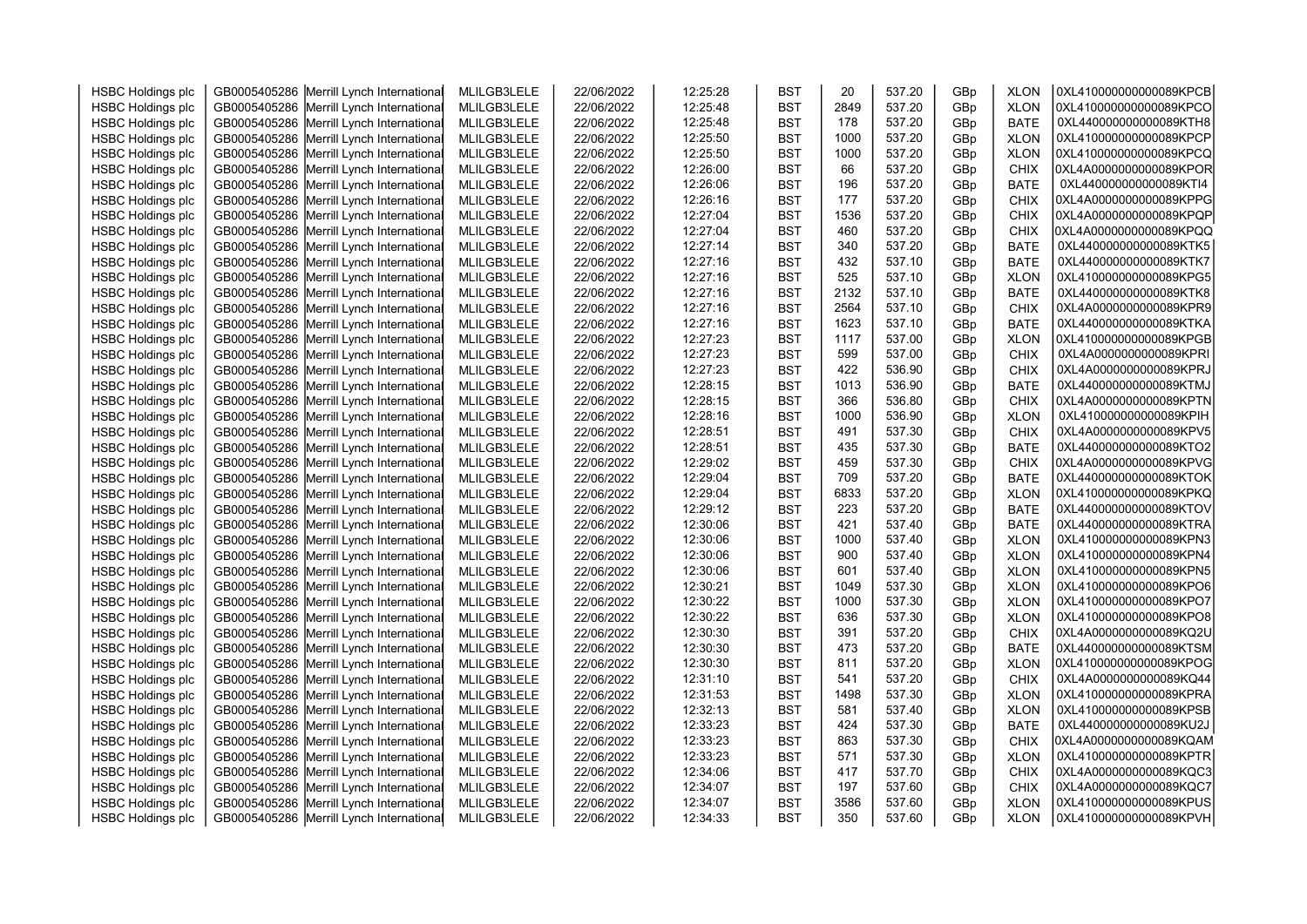| <b>HSBC Holdings plc</b>                             | GB0005405286 Merrill Lynch International                                             | MLILGB3LELE | 22/06/2022 | 12:25:28 | <b>BST</b> | 20          | 537.20 | GBp | <b>XLON</b> | 0XL410000000000089KPCB                           |  |
|------------------------------------------------------|--------------------------------------------------------------------------------------|-------------|------------|----------|------------|-------------|--------|-----|-------------|--------------------------------------------------|--|
| <b>HSBC Holdings plc</b>                             | GB0005405286 Merrill Lynch International                                             | MLILGB3LELE | 22/06/2022 | 12:25:48 | <b>BST</b> | 2849        | 537.20 | GBp | <b>XLON</b> | 0XL410000000000089KPCO                           |  |
| <b>HSBC Holdings plc</b>                             | GB0005405286 Merrill Lynch International                                             | MLILGB3LELE | 22/06/2022 | 12:25:48 | <b>BST</b> | 178         | 537.20 | GBp | <b>BATE</b> | 0XL440000000000089KTH8                           |  |
| <b>HSBC Holdings plc</b>                             | GB0005405286 Merrill Lynch International                                             | MLILGB3LELE | 22/06/2022 | 12:25:50 | <b>BST</b> | 1000        | 537.20 | GBp | <b>XLON</b> | 0XL410000000000089KPCP                           |  |
| <b>HSBC Holdings plc</b>                             | GB0005405286 Merrill Lynch International                                             | MLILGB3LELE | 22/06/2022 | 12:25:50 | <b>BST</b> | 1000        | 537.20 | GBp | <b>XLON</b> | 0XL410000000000089KPCQ                           |  |
| <b>HSBC Holdings plc</b>                             | GB0005405286 Merrill Lynch International                                             | MLILGB3LELE | 22/06/2022 | 12:26:00 | <b>BST</b> | 66          | 537.20 | GBp | <b>CHIX</b> | 0XL4A0000000000089KPOR                           |  |
| <b>HSBC Holdings plc</b>                             | GB0005405286 Merrill Lynch International                                             | MLILGB3LELE | 22/06/2022 | 12:26:06 | <b>BST</b> | 196         | 537.20 | GBp | <b>BATE</b> | 0XL440000000000089KTI4                           |  |
| <b>HSBC Holdings plc</b>                             | GB0005405286 Merrill Lynch International                                             | MLILGB3LELE | 22/06/2022 | 12:26:16 | <b>BST</b> | 177         | 537.20 | GBp | <b>CHIX</b> | 0XL4A0000000000089KPPG                           |  |
| <b>HSBC Holdings plc</b>                             | GB0005405286 Merrill Lynch International                                             | MLILGB3LELE | 22/06/2022 | 12:27:04 | <b>BST</b> | 1536        | 537.20 | GBp | <b>CHIX</b> | 0XL4A0000000000089KPQP                           |  |
| <b>HSBC Holdings plc</b>                             | GB0005405286 Merrill Lynch International                                             | MLILGB3LELE | 22/06/2022 | 12:27:04 | <b>BST</b> | 460         | 537.20 | GBp | <b>CHIX</b> | 0XL4A0000000000089KPQQ                           |  |
| <b>HSBC Holdings plc</b>                             | GB0005405286 Merrill Lynch International                                             | MLILGB3LELE | 22/06/2022 | 12:27:14 | <b>BST</b> | 340         | 537.20 | GBp | <b>BATE</b> | 0XL440000000000089KTK5                           |  |
| <b>HSBC Holdings plc</b>                             | GB0005405286 Merrill Lynch International                                             | MLILGB3LELE | 22/06/2022 | 12:27:16 | <b>BST</b> | 432         | 537.10 | GBp | <b>BATE</b> | 0XL440000000000089KTK7                           |  |
| <b>HSBC Holdings plc</b>                             | GB0005405286 Merrill Lynch International                                             | MLILGB3LELE | 22/06/2022 | 12:27:16 | <b>BST</b> | 525         | 537.10 | GBp | <b>XLON</b> | 0XL410000000000089KPG5                           |  |
| <b>HSBC Holdings plc</b>                             | GB0005405286 Merrill Lynch International                                             | MLILGB3LELE | 22/06/2022 | 12:27:16 | <b>BST</b> | 2132        | 537.10 | GBp | <b>BATE</b> | 0XL440000000000089KTK8                           |  |
| <b>HSBC Holdings plc</b>                             | GB0005405286 Merrill Lynch International                                             | MLILGB3LELE | 22/06/2022 | 12:27:16 | <b>BST</b> | 2564        | 537.10 | GBp | <b>CHIX</b> | 0XL4A0000000000089KPR9                           |  |
| <b>HSBC Holdings plc</b>                             | GB0005405286 Merrill Lynch International                                             | MLILGB3LELE | 22/06/2022 | 12:27:16 | <b>BST</b> | 1623        | 537.10 | GBp | <b>BATE</b> | 0XL440000000000089KTKA                           |  |
| <b>HSBC Holdings plc</b>                             | GB0005405286 Merrill Lynch International                                             | MLILGB3LELE | 22/06/2022 | 12:27:23 | <b>BST</b> | 1117        | 537.00 | GBp | <b>XLON</b> | 0XL410000000000089KPGB                           |  |
| <b>HSBC Holdings plc</b>                             | GB0005405286 Merrill Lynch International                                             | MLILGB3LELE | 22/06/2022 | 12:27:23 | <b>BST</b> | 599         | 537.00 | GBp | <b>CHIX</b> | 0XL4A0000000000089KPRI                           |  |
| <b>HSBC Holdings plc</b>                             | GB0005405286 Merrill Lynch International                                             | MLILGB3LELE | 22/06/2022 | 12:27:23 | <b>BST</b> | 422         | 536.90 | GBp | <b>CHIX</b> | 0XL4A0000000000089KPRJ                           |  |
| <b>HSBC Holdings plc</b>                             | GB0005405286 Merrill Lynch International                                             | MLILGB3LELE | 22/06/2022 | 12:28:15 | <b>BST</b> | 1013        | 536.90 | GBp | <b>BATE</b> | 0XL440000000000089KTMJ                           |  |
| <b>HSBC Holdings plc</b>                             | GB0005405286 Merrill Lynch International                                             | MLILGB3LELE | 22/06/2022 | 12:28:15 | <b>BST</b> | 366         | 536.80 | GBp | <b>CHIX</b> | 0XL4A0000000000089KPTN                           |  |
| <b>HSBC Holdings plc</b>                             | GB0005405286 Merrill Lynch International                                             | MLILGB3LELE | 22/06/2022 | 12:28:16 | <b>BST</b> | 1000        | 536.90 | GBp | <b>XLON</b> | 0XL410000000000089KPIH                           |  |
| <b>HSBC Holdings plc</b>                             | GB0005405286 Merrill Lynch International                                             | MLILGB3LELE | 22/06/2022 | 12:28:51 | <b>BST</b> | 491         | 537.30 | GBp | CHIX        | 0XL4A0000000000089KPV5                           |  |
| <b>HSBC Holdings plc</b>                             | GB0005405286 Merrill Lynch International                                             | MLILGB3LELE | 22/06/2022 | 12:28:51 | <b>BST</b> | 435         | 537.30 | GBp | <b>BATE</b> | 0XL440000000000089KTO2                           |  |
| <b>HSBC Holdings plc</b>                             | GB0005405286 Merrill Lynch International                                             | MLILGB3LELE | 22/06/2022 | 12:29:02 | <b>BST</b> | 459         | 537.30 | GBp | <b>CHIX</b> | 0XL4A0000000000089KPVG                           |  |
| <b>HSBC Holdings plc</b>                             | GB0005405286 Merrill Lynch International                                             | MLILGB3LELE | 22/06/2022 | 12:29:04 | <b>BST</b> | 709         | 537.20 | GBp | <b>BATE</b> | 0XL440000000000089KTOK                           |  |
| <b>HSBC Holdings plc</b>                             | GB0005405286 Merrill Lynch International                                             | MLILGB3LELE | 22/06/2022 | 12:29:04 | <b>BST</b> | 6833        | 537.20 | GBp | <b>XLON</b> | 0XL410000000000089KPKQ                           |  |
| <b>HSBC Holdings plc</b>                             | GB0005405286 Merrill Lynch International                                             | MLILGB3LELE | 22/06/2022 | 12:29:12 | <b>BST</b> | 223         | 537.20 | GBp | <b>BATE</b> | 0XL440000000000089KTOV                           |  |
| <b>HSBC Holdings plc</b>                             | GB0005405286 Merrill Lynch International                                             | MLILGB3LELE | 22/06/2022 | 12:30:06 | <b>BST</b> | 421         | 537.40 | GBp | <b>BATE</b> | 0XL440000000000089KTRA                           |  |
| <b>HSBC Holdings plc</b>                             | GB0005405286 Merrill Lynch International                                             | MLILGB3LELE | 22/06/2022 | 12:30:06 | <b>BST</b> | 1000        | 537.40 | GBp | <b>XLON</b> | 0XL410000000000089KPN3                           |  |
| <b>HSBC Holdings plc</b>                             | GB0005405286 Merrill Lynch International                                             | MLILGB3LELE | 22/06/2022 | 12:30:06 | <b>BST</b> | 900         | 537.40 | GBp | <b>XLON</b> | 0XL410000000000089KPN4                           |  |
| <b>HSBC Holdings plc</b>                             | GB0005405286 Merrill Lynch International                                             | MLILGB3LELE | 22/06/2022 | 12:30:06 | <b>BST</b> | 601         | 537.40 | GBp | <b>XLON</b> | 0XL410000000000089KPN5                           |  |
| <b>HSBC Holdings plc</b>                             | GB0005405286 Merrill Lynch International                                             | MLILGB3LELE | 22/06/2022 | 12:30:21 | <b>BST</b> | 1049        | 537.30 | GBp | <b>XLON</b> | 0XL410000000000089KPO6                           |  |
| <b>HSBC Holdings plc</b>                             | GB0005405286 Merrill Lynch International                                             | MLILGB3LELE | 22/06/2022 | 12:30:22 | <b>BST</b> | 1000        | 537.30 | GBp | <b>XLON</b> | 0XL410000000000089KPO7                           |  |
| <b>HSBC Holdings plc</b>                             | GB0005405286 Merrill Lynch International                                             | MLILGB3LELE | 22/06/2022 | 12:30:22 | <b>BST</b> | 636         | 537.30 | GBp | <b>XLON</b> | 0XL410000000000089KPO8                           |  |
| <b>HSBC Holdings plc</b>                             | GB0005405286 Merrill Lynch International                                             | MLILGB3LELE | 22/06/2022 | 12:30:30 | <b>BST</b> | 391         | 537.20 | GBp | <b>CHIX</b> | 0XL4A0000000000089KQ2U                           |  |
| <b>HSBC Holdings plc</b>                             | GB0005405286 Merrill Lynch International                                             | MLILGB3LELE | 22/06/2022 | 12:30:30 | <b>BST</b> | 473         | 537.20 | GBp | <b>BATE</b> | 0XL440000000000089KTSM                           |  |
| <b>HSBC Holdings plc</b>                             | GB0005405286 Merrill Lynch International                                             | MLILGB3LELE | 22/06/2022 | 12:30:30 | <b>BST</b> | 811         | 537.20 | GBp | <b>XLON</b> | 0XL410000000000089KPOG                           |  |
| <b>HSBC Holdings plc</b>                             | GB0005405286 Merrill Lynch International                                             | MLILGB3LELE | 22/06/2022 | 12:31:10 | <b>BST</b> | 541         | 537.20 | GBp | <b>CHIX</b> | 0XL4A0000000000089KQ44                           |  |
| <b>HSBC Holdings plc</b>                             | GB0005405286 Merrill Lynch International                                             | MLILGB3LELE | 22/06/2022 | 12:31:53 | <b>BST</b> | 1498        | 537.30 | GBp | <b>XLON</b> | 0XL410000000000089KPRA                           |  |
| <b>HSBC Holdings plc</b>                             | GB0005405286 Merrill Lynch International                                             | MLILGB3LELE | 22/06/2022 | 12:32:13 | <b>BST</b> | 581         | 537.40 | GBp | <b>XLON</b> | 0XL410000000000089KPSB                           |  |
| <b>HSBC Holdings plc</b>                             | GB0005405286 Merrill Lynch International                                             | MLILGB3LELE | 22/06/2022 | 12:33:23 | <b>BST</b> | 424         | 537.30 | GBp | <b>BATE</b> | 0XL440000000000089KU2J                           |  |
| <b>HSBC Holdings plc</b>                             | GB0005405286 Merrill Lynch International                                             | MLILGB3LELE | 22/06/2022 | 12:33:23 | <b>BST</b> | 863         | 537.30 | GBp | <b>CHIX</b> | 0XL4A0000000000089KQAM                           |  |
| <b>HSBC Holdings plc</b>                             | GB0005405286 Merrill Lynch International                                             | MLILGB3LELE | 22/06/2022 | 12:33:23 | <b>BST</b> | 571         | 537.30 | GBp | <b>XLON</b> | 0XL410000000000089KPTR                           |  |
| <b>HSBC Holdings plc</b>                             | GB0005405286 Merrill Lynch International                                             | MLILGB3LELE | 22/06/2022 | 12:34:06 | <b>BST</b> | 417         | 537.70 | GBp | <b>CHIX</b> | 0XL4A0000000000089KQC3                           |  |
| <b>HSBC Holdings plc</b>                             | GB0005405286 Merrill Lynch International                                             | MLILGB3LELE | 22/06/2022 | 12:34:07 | <b>BST</b> | 197         | 537.60 | GBp | <b>CHIX</b> | 0XL4A0000000000089KQC7<br>0XL410000000000089KPUS |  |
| <b>HSBC Holdings plc</b><br><b>HSBC Holdings plc</b> | GB0005405286 Merrill Lynch International<br>GB0005405286 Merrill Lynch International | MLILGB3LELE | 22/06/2022 | 12:34:07 | <b>BST</b> | 3586<br>350 | 537.60 | GBp | <b>XLON</b> | 0XL410000000000089KPVH                           |  |
|                                                      |                                                                                      | MLILGB3LELE | 22/06/2022 | 12:34:33 | <b>BST</b> |             | 537.60 | GBp | <b>XLON</b> |                                                  |  |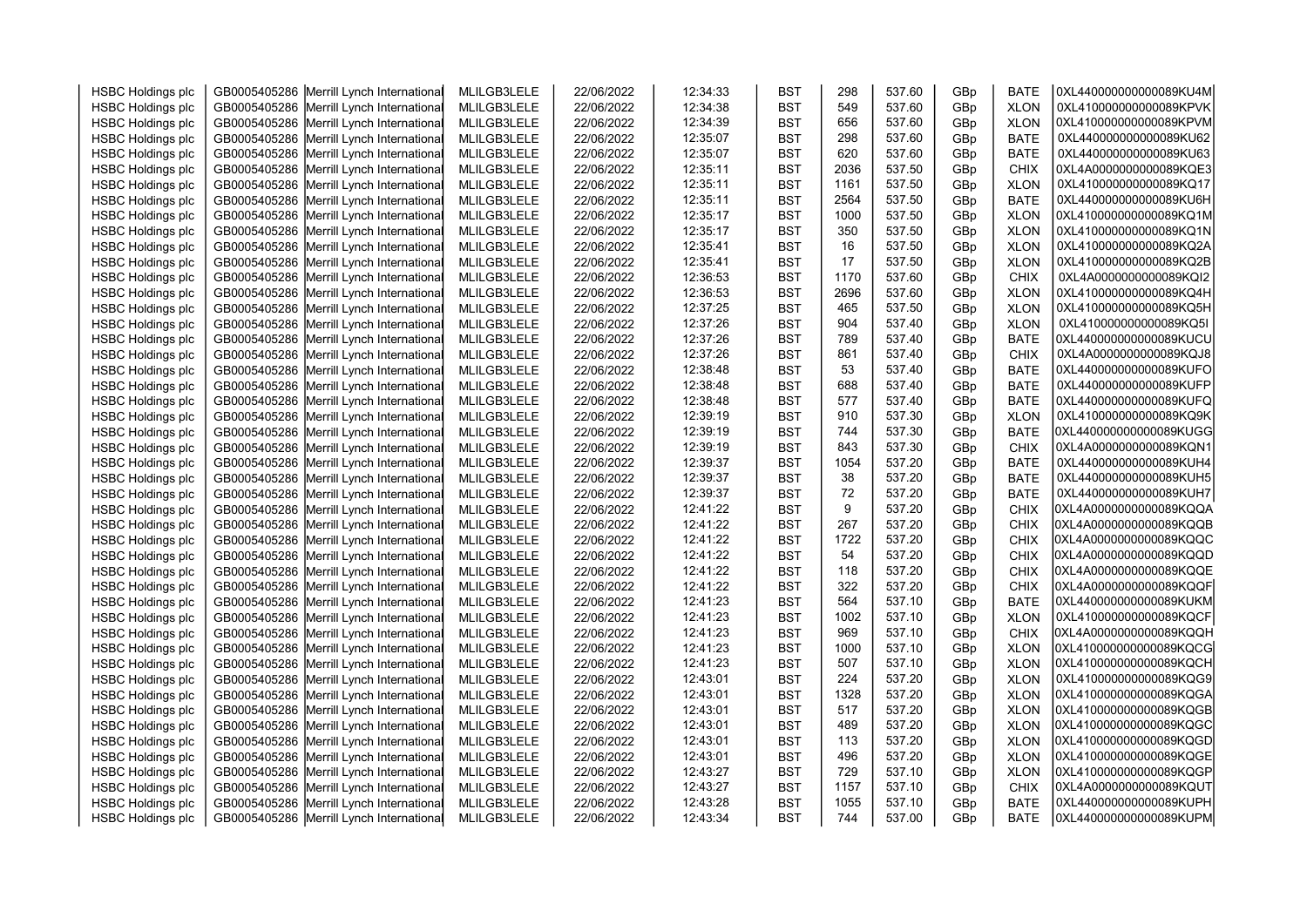| <b>HSBC Holdings plc</b> | GB0005405286 Merrill Lynch International | MLILGB3LELE | 22/06/2022 | 12:34:33 | <b>BST</b> | 298  | 537.60 | GBp | <b>BATE</b> | 0XL440000000000089KU4M |  |
|--------------------------|------------------------------------------|-------------|------------|----------|------------|------|--------|-----|-------------|------------------------|--|
| <b>HSBC Holdings plc</b> | GB0005405286 Merrill Lynch International | MLILGB3LELE | 22/06/2022 | 12:34:38 | <b>BST</b> | 549  | 537.60 | GBp | <b>XLON</b> | 0XL410000000000089KPVK |  |
| <b>HSBC Holdings plc</b> | GB0005405286 Merrill Lynch International | MLILGB3LELE | 22/06/2022 | 12:34:39 | <b>BST</b> | 656  | 537.60 | GBp | <b>XLON</b> | 0XL410000000000089KPVM |  |
| <b>HSBC Holdings plc</b> | GB0005405286 Merrill Lynch International | MLILGB3LELE | 22/06/2022 | 12:35:07 | <b>BST</b> | 298  | 537.60 | GBp | <b>BATE</b> | 0XL440000000000089KU62 |  |
| <b>HSBC Holdings plc</b> | GB0005405286 Merrill Lynch International | MLILGB3LELE | 22/06/2022 | 12:35:07 | <b>BST</b> | 620  | 537.60 | GBp | <b>BATE</b> | 0XL440000000000089KU63 |  |
| <b>HSBC Holdings plc</b> | GB0005405286 Merrill Lynch International | MLILGB3LELE | 22/06/2022 | 12:35:11 | <b>BST</b> | 2036 | 537.50 | GBp | <b>CHIX</b> | 0XL4A0000000000089KQE3 |  |
| <b>HSBC Holdings plc</b> | GB0005405286 Merrill Lynch International | MLILGB3LELE | 22/06/2022 | 12:35:11 | <b>BST</b> | 1161 | 537.50 | GBp | <b>XLON</b> | 0XL410000000000089KQ17 |  |
| <b>HSBC Holdings plc</b> | GB0005405286 Merrill Lynch International | MLILGB3LELE | 22/06/2022 | 12:35:11 | <b>BST</b> | 2564 | 537.50 | GBp | <b>BATE</b> | 0XL440000000000089KU6H |  |
|                          | GB0005405286 Merrill Lynch International |             |            | 12:35:17 | <b>BST</b> | 1000 | 537.50 | GBp | <b>XLON</b> | 0XL410000000000089KQ1M |  |
| <b>HSBC Holdings plc</b> |                                          | MLILGB3LELE | 22/06/2022 | 12:35:17 | <b>BST</b> | 350  | 537.50 |     | <b>XLON</b> | 0XL410000000000089KQ1N |  |
| <b>HSBC Holdings plc</b> | GB0005405286 Merrill Lynch International | MLILGB3LELE | 22/06/2022 |          |            |      |        | GBp |             |                        |  |
| <b>HSBC Holdings plc</b> | GB0005405286 Merrill Lynch International | MLILGB3LELE | 22/06/2022 | 12:35:41 | <b>BST</b> | 16   | 537.50 | GBp | <b>XLON</b> | 0XL410000000000089KQ2A |  |
| <b>HSBC Holdings plc</b> | GB0005405286 Merrill Lynch International | MLILGB3LELE | 22/06/2022 | 12:35:41 | <b>BST</b> | 17   | 537.50 | GBp | <b>XLON</b> | 0XL410000000000089KQ2B |  |
| <b>HSBC Holdings plc</b> | GB0005405286 Merrill Lynch International | MLILGB3LELE | 22/06/2022 | 12:36:53 | <b>BST</b> | 1170 | 537.60 | GBp | <b>CHIX</b> | 0XL4A0000000000089KQI2 |  |
| <b>HSBC Holdings plc</b> | GB0005405286 Merrill Lynch International | MLILGB3LELE | 22/06/2022 | 12:36:53 | <b>BST</b> | 2696 | 537.60 | GBp | <b>XLON</b> | 0XL410000000000089KQ4H |  |
| <b>HSBC Holdings plc</b> | GB0005405286 Merrill Lynch International | MLILGB3LELE | 22/06/2022 | 12:37:25 | <b>BST</b> | 465  | 537.50 | GBp | <b>XLON</b> | 0XL410000000000089KQ5H |  |
| <b>HSBC Holdings plc</b> | GB0005405286 Merrill Lynch International | MLILGB3LELE | 22/06/2022 | 12:37:26 | <b>BST</b> | 904  | 537.40 | GBp | <b>XLON</b> | 0XL410000000000089KQ5I |  |
| <b>HSBC Holdings plc</b> | GB0005405286 Merrill Lynch International | MLILGB3LELE | 22/06/2022 | 12:37:26 | <b>BST</b> | 789  | 537.40 | GBp | <b>BATE</b> | 0XL440000000000089KUCU |  |
| <b>HSBC Holdings plc</b> | GB0005405286 Merrill Lynch International | MLILGB3LELE | 22/06/2022 | 12:37:26 | <b>BST</b> | 861  | 537.40 | GBp | <b>CHIX</b> | 0XL4A0000000000089KQJ8 |  |
| <b>HSBC Holdings plc</b> | GB0005405286 Merrill Lynch International | MLILGB3LELE | 22/06/2022 | 12:38:48 | <b>BST</b> | 53   | 537.40 | GBp | <b>BATE</b> | 0XL440000000000089KUFO |  |
| <b>HSBC Holdings plc</b> | GB0005405286 Merrill Lynch International | MLILGB3LELE | 22/06/2022 | 12:38:48 | <b>BST</b> | 688  | 537.40 | GBp | <b>BATE</b> | 0XL440000000000089KUFP |  |
| <b>HSBC Holdings plc</b> | GB0005405286 Merrill Lynch International | MLILGB3LELE | 22/06/2022 | 12:38:48 | <b>BST</b> | 577  | 537.40 | GBp | <b>BATE</b> | 0XL440000000000089KUFQ |  |
| <b>HSBC Holdings plc</b> | GB0005405286 Merrill Lynch International | MLILGB3LELE | 22/06/2022 | 12:39:19 | <b>BST</b> | 910  | 537.30 | GBp | <b>XLON</b> | 0XL410000000000089KQ9K |  |
| <b>HSBC Holdings plc</b> | GB0005405286 Merrill Lynch International | MLILGB3LELE | 22/06/2022 | 12:39:19 | <b>BST</b> | 744  | 537.30 | GBp | <b>BATE</b> | 0XL440000000000089KUGG |  |
| <b>HSBC Holdings plc</b> | GB0005405286 Merrill Lynch International | MLILGB3LELE | 22/06/2022 | 12:39:19 | <b>BST</b> | 843  | 537.30 | GBp | <b>CHIX</b> | 0XL4A0000000000089KQN1 |  |
| <b>HSBC Holdings plc</b> | GB0005405286 Merrill Lynch International | MLILGB3LELE | 22/06/2022 | 12:39:37 | <b>BST</b> | 1054 | 537.20 | GBp | <b>BATE</b> | 0XL440000000000089KUH4 |  |
| <b>HSBC Holdings plc</b> | GB0005405286 Merrill Lynch International | MLILGB3LELE | 22/06/2022 | 12:39:37 | <b>BST</b> | 38   | 537.20 | GBp | <b>BATE</b> | 0XL440000000000089KUH5 |  |
| <b>HSBC Holdings plc</b> | GB0005405286 Merrill Lynch International | MLILGB3LELE | 22/06/2022 | 12:39:37 | <b>BST</b> | 72   | 537.20 | GBp | <b>BATE</b> | 0XL440000000000089KUH7 |  |
| <b>HSBC Holdings plc</b> | GB0005405286 Merrill Lynch International | MLILGB3LELE | 22/06/2022 | 12:41:22 | <b>BST</b> | 9    | 537.20 | GBp | <b>CHIX</b> | 0XL4A0000000000089KQQA |  |
| <b>HSBC Holdings plc</b> | GB0005405286 Merrill Lynch International | MLILGB3LELE | 22/06/2022 | 12:41:22 | <b>BST</b> | 267  | 537.20 | GBp | CHIX        | 0XL4A0000000000089KQQB |  |
| <b>HSBC Holdings plc</b> | GB0005405286 Merrill Lynch International | MLILGB3LELE | 22/06/2022 | 12:41:22 | <b>BST</b> | 1722 | 537.20 | GBp | <b>CHIX</b> | 0XL4A0000000000089KQQC |  |
| <b>HSBC Holdings plc</b> | GB0005405286 Merrill Lynch International | MLILGB3LELE | 22/06/2022 | 12:41:22 | <b>BST</b> | 54   | 537.20 | GBp | <b>CHIX</b> | 0XL4A0000000000089KQQD |  |
| <b>HSBC Holdings plc</b> | GB0005405286 Merrill Lynch International | MLILGB3LELE | 22/06/2022 | 12:41:22 | <b>BST</b> | 118  | 537.20 | GBp | <b>CHIX</b> | 0XL4A0000000000089KQQE |  |
| <b>HSBC Holdings plc</b> | GB0005405286 Merrill Lynch International | MLILGB3LELE | 22/06/2022 | 12:41:22 | <b>BST</b> | 322  | 537.20 | GBp | <b>CHIX</b> | 0XL4A0000000000089KQQF |  |
| <b>HSBC Holdings plc</b> | GB0005405286 Merrill Lynch International | MLILGB3LELE | 22/06/2022 | 12:41:23 | <b>BST</b> | 564  | 537.10 | GBp | <b>BATE</b> | 0XL440000000000089KUKM |  |
| <b>HSBC Holdings plc</b> | GB0005405286 Merrill Lynch International | MLILGB3LELE | 22/06/2022 | 12:41:23 | <b>BST</b> | 1002 | 537.10 | GBp | <b>XLON</b> | 0XL410000000000089KQCF |  |
| <b>HSBC Holdings plc</b> | GB0005405286 Merrill Lynch International | MLILGB3LELE | 22/06/2022 | 12:41:23 | <b>BST</b> | 969  | 537.10 | GBp | <b>CHIX</b> | 0XL4A0000000000089KQQH |  |
| <b>HSBC Holdings plc</b> | GB0005405286 Merrill Lynch International | MLILGB3LELE | 22/06/2022 | 12:41:23 | <b>BST</b> | 1000 | 537.10 | GBp | <b>XLON</b> | 0XL410000000000089KQCG |  |
| <b>HSBC Holdings plc</b> | GB0005405286 Merrill Lynch International | MLILGB3LELE | 22/06/2022 | 12:41:23 | <b>BST</b> | 507  | 537.10 | GBp | <b>XLON</b> | 0XL410000000000089KQCH |  |
| <b>HSBC Holdings plc</b> | GB0005405286 Merrill Lynch International | MLILGB3LELE | 22/06/2022 | 12:43:01 | <b>BST</b> | 224  | 537.20 | GBp | <b>XLON</b> | 0XL410000000000089KQG9 |  |
| <b>HSBC Holdings plc</b> | GB0005405286 Merrill Lynch International | MLILGB3LELE | 22/06/2022 | 12:43:01 | <b>BST</b> | 1328 | 537.20 | GBp | <b>XLON</b> | 0XL410000000000089KQGA |  |
| <b>HSBC Holdings plc</b> | GB0005405286 Merrill Lynch International | MLILGB3LELE | 22/06/2022 | 12:43:01 | <b>BST</b> | 517  | 537.20 | GBp | <b>XLON</b> | 0XL410000000000089KQGB |  |
| <b>HSBC Holdings plc</b> | GB0005405286 Merrill Lynch International | MLILGB3LELE | 22/06/2022 | 12:43:01 | <b>BST</b> | 489  | 537.20 | GBp | <b>XLON</b> | 0XL410000000000089KQGC |  |
| <b>HSBC Holdings plc</b> | GB0005405286 Merrill Lynch International | MLILGB3LELE | 22/06/2022 | 12:43:01 | <b>BST</b> | 113  | 537.20 | GBp | <b>XLON</b> | 0XL410000000000089KQGD |  |
| <b>HSBC Holdings plc</b> | GB0005405286 Merrill Lynch International | MLILGB3LELE | 22/06/2022 | 12:43:01 | <b>BST</b> | 496  | 537.20 | GBp | <b>XLON</b> | 0XL410000000000089KQGE |  |
| <b>HSBC Holdings plc</b> | GB0005405286 Merrill Lynch International | MLILGB3LELE | 22/06/2022 | 12:43:27 | <b>BST</b> | 729  | 537.10 | GBp | <b>XLON</b> | 0XL410000000000089KQGP |  |
| <b>HSBC Holdings plc</b> | GB0005405286 Merrill Lynch International | MLILGB3LELE | 22/06/2022 | 12:43:27 | <b>BST</b> | 1157 | 537.10 | GBp | <b>CHIX</b> | 0XL4A0000000000089KQUT |  |
| <b>HSBC Holdings plc</b> | GB0005405286 Merrill Lynch International | MLILGB3LELE | 22/06/2022 | 12:43:28 | <b>BST</b> | 1055 | 537.10 | GBp | <b>BATE</b> | 0XL440000000000089KUPH |  |
| <b>HSBC Holdings plc</b> | GB0005405286 Merrill Lynch International | MLILGB3LELE | 22/06/2022 | 12:43:34 | <b>BST</b> | 744  | 537.00 | GBp | <b>BATE</b> | 0XL440000000000089KUPM |  |
|                          |                                          |             |            |          |            |      |        |     |             |                        |  |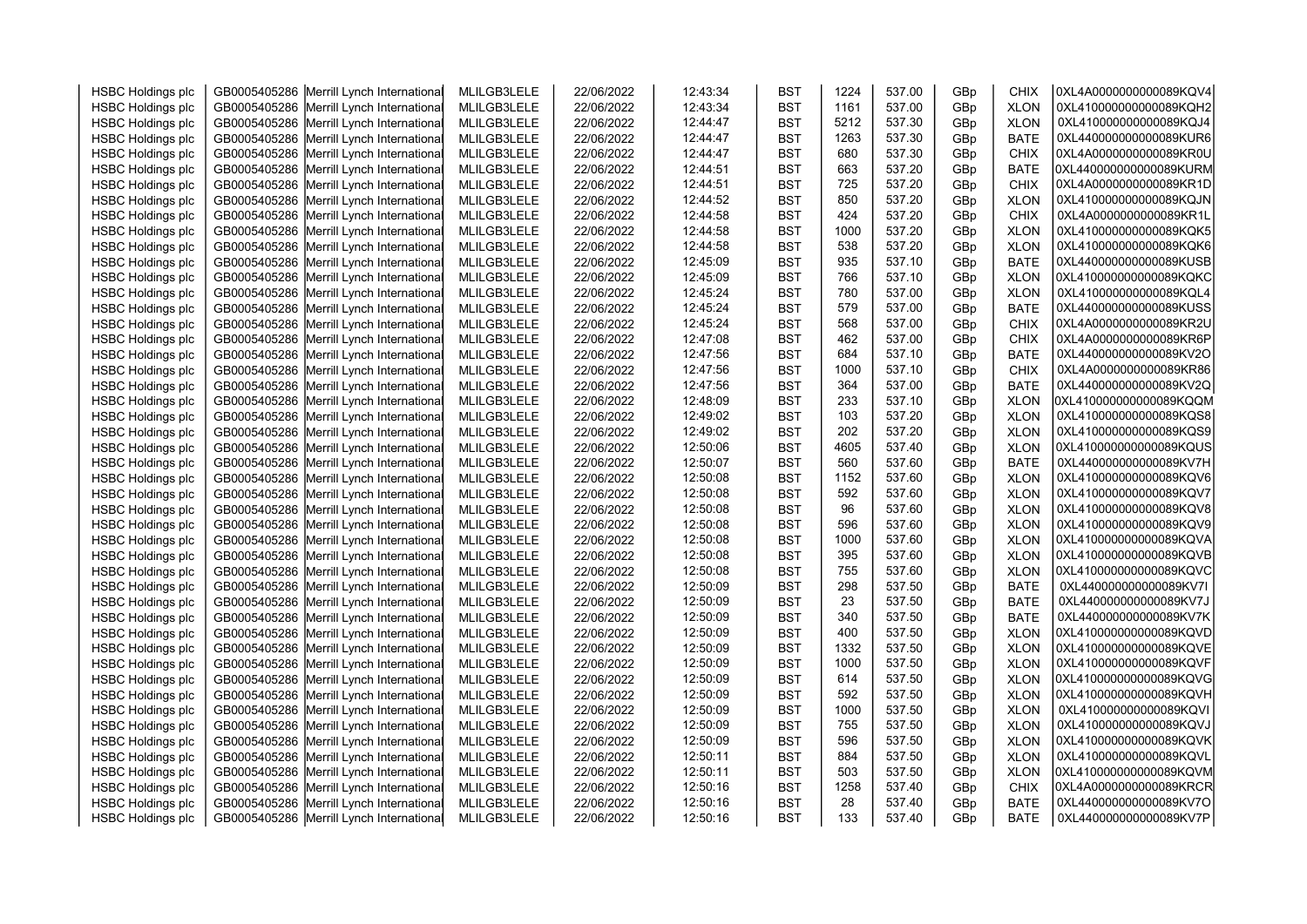| <b>HSBC Holdings plc</b> |                                          |             |            |          |            | 1224 | 537.00 |     | <b>CHIX</b> | 0XL4A0000000000089KQV4 |  |
|--------------------------|------------------------------------------|-------------|------------|----------|------------|------|--------|-----|-------------|------------------------|--|
|                          | GB0005405286 Merrill Lynch International | MLILGB3LELE | 22/06/2022 | 12:43:34 | <b>BST</b> |      |        | GBp |             |                        |  |
| <b>HSBC Holdings plc</b> | GB0005405286 Merrill Lynch International | MLILGB3LELE | 22/06/2022 | 12:43:34 | <b>BST</b> | 1161 | 537.00 | GBp | <b>XLON</b> | 0XL410000000000089KQH2 |  |
| <b>HSBC Holdings plc</b> | GB0005405286 Merrill Lynch International | MLILGB3LELE | 22/06/2022 | 12:44:47 | <b>BST</b> | 5212 | 537.30 | GBp | <b>XLON</b> | 0XL410000000000089KQJ4 |  |
| <b>HSBC Holdings plc</b> | GB0005405286 Merrill Lynch International | MLILGB3LELE | 22/06/2022 | 12:44:47 | <b>BST</b> | 1263 | 537.30 | GBp | <b>BATE</b> | 0XL440000000000089KUR6 |  |
| <b>HSBC Holdings plc</b> | GB0005405286 Merrill Lynch International | MLILGB3LELE | 22/06/2022 | 12:44:47 | <b>BST</b> | 680  | 537.30 | GBp | <b>CHIX</b> | 0XL4A0000000000089KR0U |  |
| <b>HSBC Holdings plc</b> | GB0005405286 Merrill Lynch International | MLILGB3LELE | 22/06/2022 | 12:44:51 | <b>BST</b> | 663  | 537.20 | GBp | <b>BATE</b> | 0XL440000000000089KURM |  |
| <b>HSBC Holdings plc</b> | GB0005405286 Merrill Lynch International | MLILGB3LELE | 22/06/2022 | 12:44:51 | <b>BST</b> | 725  | 537.20 | GBp | <b>CHIX</b> | 0XL4A0000000000089KR1D |  |
| <b>HSBC Holdings plc</b> | GB0005405286 Merrill Lynch International | MLILGB3LELE | 22/06/2022 | 12:44:52 | <b>BST</b> | 850  | 537.20 | GBp | <b>XLON</b> | 0XL410000000000089KQJN |  |
| <b>HSBC Holdings plc</b> | GB0005405286 Merrill Lynch International | MLILGB3LELE | 22/06/2022 | 12:44:58 | <b>BST</b> | 424  | 537.20 | GBp | <b>CHIX</b> | 0XL4A0000000000089KR1L |  |
| <b>HSBC Holdings plc</b> | GB0005405286 Merrill Lynch International | MLILGB3LELE | 22/06/2022 | 12:44:58 | <b>BST</b> | 1000 | 537.20 | GBp | <b>XLON</b> | 0XL410000000000089KQK5 |  |
| <b>HSBC Holdings plc</b> | GB0005405286 Merrill Lynch International | MLILGB3LELE | 22/06/2022 | 12:44:58 | <b>BST</b> | 538  | 537.20 | GBp | <b>XLON</b> | 0XL410000000000089KQK6 |  |
| <b>HSBC Holdings plc</b> | GB0005405286 Merrill Lynch International | MLILGB3LELE | 22/06/2022 | 12:45:09 | <b>BST</b> | 935  | 537.10 | GBp | <b>BATE</b> | 0XL440000000000089KUSB |  |
| <b>HSBC Holdings plc</b> | GB0005405286 Merrill Lynch International | MLILGB3LELE | 22/06/2022 | 12:45:09 | <b>BST</b> | 766  | 537.10 | GBp | <b>XLON</b> | 0XL410000000000089KQKC |  |
| <b>HSBC Holdings plc</b> | GB0005405286 Merrill Lynch International | MLILGB3LELE | 22/06/2022 | 12:45:24 | <b>BST</b> | 780  | 537.00 | GBp | <b>XLON</b> | 0XL410000000000089KQL4 |  |
| <b>HSBC Holdings plc</b> | GB0005405286 Merrill Lynch International | MLILGB3LELE | 22/06/2022 | 12:45:24 | <b>BST</b> | 579  | 537.00 | GBp | <b>BATE</b> | 0XL440000000000089KUSS |  |
| <b>HSBC Holdings plc</b> | GB0005405286 Merrill Lynch International | MLILGB3LELE | 22/06/2022 | 12:45:24 | <b>BST</b> | 568  | 537.00 | GBp | CHIX        | 0XL4A0000000000089KR2U |  |
| <b>HSBC Holdings plc</b> | GB0005405286 Merrill Lynch International | MLILGB3LELE | 22/06/2022 | 12:47:08 | <b>BST</b> | 462  | 537.00 | GBp | <b>CHIX</b> | 0XL4A0000000000089KR6P |  |
| <b>HSBC Holdings plc</b> | GB0005405286 Merrill Lynch International | MLILGB3LELE | 22/06/2022 | 12:47:56 | <b>BST</b> | 684  | 537.10 | GBp | <b>BATE</b> | 0XL440000000000089KV2O |  |
| <b>HSBC Holdings plc</b> | GB0005405286 Merrill Lynch International | MLILGB3LELE | 22/06/2022 | 12:47:56 | <b>BST</b> | 1000 | 537.10 | GBp | <b>CHIX</b> | 0XL4A0000000000089KR86 |  |
| <b>HSBC Holdings plc</b> | GB0005405286 Merrill Lynch International | MLILGB3LELE | 22/06/2022 | 12:47:56 | <b>BST</b> | 364  | 537.00 | GBp | <b>BATE</b> | 0XL440000000000089KV2Q |  |
| <b>HSBC Holdings plc</b> | GB0005405286 Merrill Lynch International | MLILGB3LELE | 22/06/2022 | 12:48:09 | <b>BST</b> | 233  | 537.10 | GBp | <b>XLON</b> | 0XL410000000000089KQQM |  |
| <b>HSBC Holdings plc</b> | GB0005405286 Merrill Lynch International | MLILGB3LELE | 22/06/2022 | 12:49:02 | <b>BST</b> | 103  | 537.20 | GBp | <b>XLON</b> | 0XL410000000000089KQS8 |  |
| <b>HSBC Holdings plc</b> | GB0005405286 Merrill Lynch International | MLILGB3LELE | 22/06/2022 | 12:49:02 | <b>BST</b> | 202  | 537.20 | GBp | <b>XLON</b> | 0XL410000000000089KQS9 |  |
| <b>HSBC Holdings plc</b> | GB0005405286 Merrill Lynch International | MLILGB3LELE | 22/06/2022 | 12:50:06 | <b>BST</b> | 4605 | 537.40 | GBp | <b>XLON</b> | 0XL410000000000089KQUS |  |
| <b>HSBC Holdings plc</b> | GB0005405286 Merrill Lynch International | MLILGB3LELE | 22/06/2022 | 12:50:07 | <b>BST</b> | 560  | 537.60 | GBp | <b>BATE</b> | 0XL440000000000089KV7H |  |
| <b>HSBC Holdings plc</b> | GB0005405286 Merrill Lynch International | MLILGB3LELE | 22/06/2022 | 12:50:08 | <b>BST</b> | 1152 | 537.60 | GBp | <b>XLON</b> | 0XL410000000000089KQV6 |  |
| <b>HSBC Holdings plc</b> | GB0005405286 Merrill Lynch International | MLILGB3LELE | 22/06/2022 | 12:50:08 | <b>BST</b> | 592  | 537.60 | GBp | <b>XLON</b> | 0XL410000000000089KQV7 |  |
| <b>HSBC Holdings plc</b> | GB0005405286 Merrill Lynch International | MLILGB3LELE | 22/06/2022 | 12:50:08 | <b>BST</b> | 96   | 537.60 | GBp | <b>XLON</b> | 0XL410000000000089KQV8 |  |
| <b>HSBC Holdings plc</b> | GB0005405286 Merrill Lynch International | MLILGB3LELE | 22/06/2022 | 12:50:08 | <b>BST</b> | 596  | 537.60 | GBp | <b>XLON</b> | 0XL410000000000089KQV9 |  |
| <b>HSBC Holdings plc</b> | GB0005405286 Merrill Lynch International | MLILGB3LELE | 22/06/2022 | 12:50:08 | <b>BST</b> | 1000 | 537.60 | GBp | <b>XLON</b> | 0XL410000000000089KQVA |  |
| <b>HSBC Holdings plc</b> | GB0005405286 Merrill Lynch International | MLILGB3LELE | 22/06/2022 | 12:50:08 | <b>BST</b> | 395  | 537.60 | GBp | <b>XLON</b> | 0XL410000000000089KQVB |  |
| <b>HSBC Holdings plc</b> | GB0005405286 Merrill Lynch International | MLILGB3LELE | 22/06/2022 | 12:50:08 | <b>BST</b> | 755  | 537.60 | GBp | <b>XLON</b> | 0XL410000000000089KQVC |  |
| <b>HSBC Holdings plc</b> | GB0005405286 Merrill Lynch International | MLILGB3LELE | 22/06/2022 | 12:50:09 | <b>BST</b> | 298  | 537.50 | GBp | <b>BATE</b> | 0XL440000000000089KV7I |  |
| <b>HSBC Holdings plc</b> | GB0005405286 Merrill Lynch International | MLILGB3LELE | 22/06/2022 | 12:50:09 | <b>BST</b> | 23   | 537.50 | GBp | <b>BATE</b> | 0XL440000000000089KV7J |  |
| <b>HSBC Holdings plc</b> | GB0005405286 Merrill Lynch International | MLILGB3LELE | 22/06/2022 | 12:50:09 | <b>BST</b> | 340  | 537.50 | GBp | <b>BATE</b> | 0XL440000000000089KV7K |  |
| <b>HSBC Holdings plc</b> | GB0005405286 Merrill Lynch International | MLILGB3LELE | 22/06/2022 | 12:50:09 | <b>BST</b> | 400  | 537.50 | GBp | <b>XLON</b> | 0XL410000000000089KQVD |  |
| <b>HSBC Holdings plc</b> | GB0005405286 Merrill Lynch International | MLILGB3LELE | 22/06/2022 | 12:50:09 | <b>BST</b> | 1332 | 537.50 | GBp | <b>XLON</b> | 0XL410000000000089KQVE |  |
| <b>HSBC Holdings plc</b> | GB0005405286 Merrill Lynch International | MLILGB3LELE | 22/06/2022 | 12:50:09 | <b>BST</b> | 1000 | 537.50 | GBp | <b>XLON</b> | 0XL410000000000089KQVF |  |
| <b>HSBC Holdings plc</b> | GB0005405286 Merrill Lynch International | MLILGB3LELE | 22/06/2022 | 12:50:09 | <b>BST</b> | 614  | 537.50 | GBp | <b>XLON</b> | 0XL410000000000089KQVG |  |
| <b>HSBC Holdings plc</b> | GB0005405286 Merrill Lynch International | MLILGB3LELE | 22/06/2022 | 12:50:09 | <b>BST</b> | 592  | 537.50 | GBp | <b>XLON</b> | 0XL410000000000089KQVH |  |
| <b>HSBC Holdings plc</b> | GB0005405286 Merrill Lynch International | MLILGB3LELE | 22/06/2022 | 12:50:09 | <b>BST</b> | 1000 | 537.50 | GBp | <b>XLON</b> | 0XL410000000000089KQVI |  |
| <b>HSBC Holdings plc</b> | GB0005405286 Merrill Lynch International | MLILGB3LELE | 22/06/2022 | 12:50:09 | <b>BST</b> | 755  | 537.50 | GBp | <b>XLON</b> | 0XL410000000000089KQVJ |  |
| <b>HSBC Holdings plc</b> |                                          | MLILGB3LELE |            | 12:50:09 | <b>BST</b> | 596  | 537.50 |     | <b>XLON</b> | 0XL410000000000089KQVK |  |
|                          | GB0005405286 Merrill Lynch International |             | 22/06/2022 |          |            |      | 537.50 | GBp |             | 0XL410000000000089KQVL |  |
| <b>HSBC Holdings plc</b> | GB0005405286 Merrill Lynch International | MLILGB3LELE | 22/06/2022 | 12:50:11 | <b>BST</b> | 884  |        | GBp | <b>XLON</b> | 0XL410000000000089KQVM |  |
| <b>HSBC Holdings plc</b> | GB0005405286 Merrill Lynch International | MLILGB3LELE | 22/06/2022 | 12:50:11 | <b>BST</b> | 503  | 537.50 | GBp | <b>XLON</b> |                        |  |
| <b>HSBC Holdings plc</b> | GB0005405286 Merrill Lynch International | MLILGB3LELE | 22/06/2022 | 12:50:16 | <b>BST</b> | 1258 | 537.40 | GBp | <b>CHIX</b> | 0XL4A0000000000089KRCR |  |
| <b>HSBC Holdings plc</b> | GB0005405286 Merrill Lynch International | MLILGB3LELE | 22/06/2022 | 12:50:16 | <b>BST</b> | 28   | 537.40 | GBp | <b>BATE</b> | 0XL440000000000089KV7O |  |
| <b>HSBC Holdings plc</b> | GB0005405286 Merrill Lynch International | MLILGB3LELE | 22/06/2022 | 12:50:16 | <b>BST</b> | 133  | 537.40 | GBp | <b>BATE</b> | 0XL440000000000089KV7P |  |
|                          |                                          |             |            |          |            |      |        |     |             |                        |  |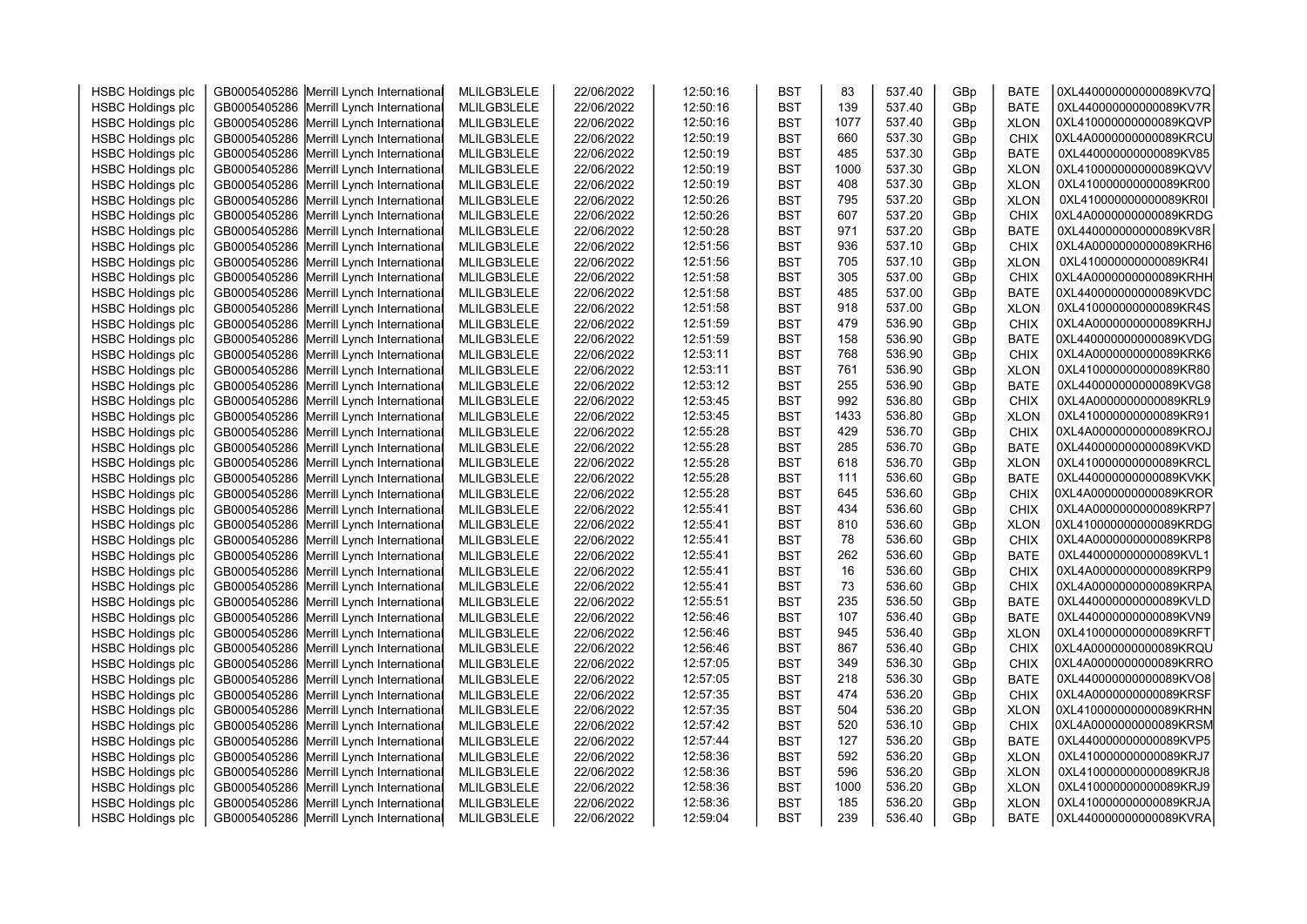| <b>HSBC Holdings plc</b> | GB0005405286 Merrill Lynch International | MLILGB3LELE | 22/06/2022 | 12:50:16 | <b>BST</b> | 83   | 537.40 | GBp | <b>BATE</b> | 0XL440000000000089KV7Q |  |
|--------------------------|------------------------------------------|-------------|------------|----------|------------|------|--------|-----|-------------|------------------------|--|
| <b>HSBC Holdings plc</b> | GB0005405286 Merrill Lynch International | MLILGB3LELE | 22/06/2022 | 12:50:16 | <b>BST</b> | 139  | 537.40 | GBp | <b>BATE</b> | 0XL440000000000089KV7R |  |
| <b>HSBC Holdings plc</b> | GB0005405286 Merrill Lynch International | MLILGB3LELE | 22/06/2022 | 12:50:16 | <b>BST</b> | 1077 | 537.40 | GBp | <b>XLON</b> | 0XL410000000000089KQVP |  |
| <b>HSBC Holdings plc</b> | GB0005405286 Merrill Lynch International | MLILGB3LELE | 22/06/2022 | 12:50:19 | <b>BST</b> | 660  | 537.30 | GBp | <b>CHIX</b> | 0XL4A0000000000089KRCU |  |
| <b>HSBC Holdings plc</b> | GB0005405286 Merrill Lynch International | MLILGB3LELE | 22/06/2022 | 12:50:19 | <b>BST</b> | 485  | 537.30 | GBp | <b>BATE</b> | 0XL440000000000089KV85 |  |
| <b>HSBC Holdings plc</b> | GB0005405286 Merrill Lynch International | MLILGB3LELE | 22/06/2022 | 12:50:19 | <b>BST</b> | 1000 | 537.30 | GBp | <b>XLON</b> | 0XL410000000000089KQVV |  |
| <b>HSBC Holdings plc</b> | GB0005405286 Merrill Lynch International | MLILGB3LELE | 22/06/2022 | 12:50:19 | <b>BST</b> | 408  | 537.30 | GBp | <b>XLON</b> | 0XL410000000000089KR00 |  |
| <b>HSBC Holdings plc</b> | GB0005405286 Merrill Lynch International | MLILGB3LELE | 22/06/2022 | 12:50:26 | <b>BST</b> | 795  | 537.20 | GBp | <b>XLON</b> | 0XL410000000000089KR0I |  |
| <b>HSBC Holdings plc</b> | GB0005405286 Merrill Lynch International | MLILGB3LELE | 22/06/2022 | 12:50:26 | <b>BST</b> | 607  | 537.20 | GBp | <b>CHIX</b> | 0XL4A0000000000089KRDG |  |
| <b>HSBC Holdings plc</b> | GB0005405286 Merrill Lynch International | MLILGB3LELE | 22/06/2022 | 12:50:28 | <b>BST</b> | 971  | 537.20 | GBp | <b>BATE</b> | 0XL440000000000089KV8R |  |
| <b>HSBC Holdings plc</b> | GB0005405286 Merrill Lynch International | MLILGB3LELE | 22/06/2022 | 12:51:56 | <b>BST</b> | 936  | 537.10 | GBp | <b>CHIX</b> | 0XL4A0000000000089KRH6 |  |
| <b>HSBC Holdings plc</b> | GB0005405286 Merrill Lynch International | MLILGB3LELE | 22/06/2022 | 12:51:56 | <b>BST</b> | 705  | 537.10 | GBp | <b>XLON</b> | 0XL410000000000089KR4I |  |
| <b>HSBC Holdings plc</b> | GB0005405286 Merrill Lynch International | MLILGB3LELE | 22/06/2022 | 12:51:58 | <b>BST</b> | 305  | 537.00 | GBp | <b>CHIX</b> | 0XL4A0000000000089KRHH |  |
| <b>HSBC Holdings plc</b> | GB0005405286 Merrill Lynch International | MLILGB3LELE | 22/06/2022 | 12:51:58 | <b>BST</b> | 485  | 537.00 | GBp | <b>BATE</b> | 0XL440000000000089KVDC |  |
| <b>HSBC Holdings plc</b> | GB0005405286 Merrill Lynch International | MLILGB3LELE | 22/06/2022 | 12:51:58 | <b>BST</b> | 918  | 537.00 | GBp | <b>XLON</b> | 0XL410000000000089KR4S |  |
| <b>HSBC Holdings plc</b> | GB0005405286 Merrill Lynch International | MLILGB3LELE | 22/06/2022 | 12:51:59 | <b>BST</b> | 479  | 536.90 | GBp | <b>CHIX</b> | 0XL4A0000000000089KRHJ |  |
| <b>HSBC Holdings plc</b> | GB0005405286 Merrill Lynch International | MLILGB3LELE | 22/06/2022 | 12:51:59 | <b>BST</b> | 158  | 536.90 | GBp | <b>BATE</b> | 0XL440000000000089KVDG |  |
| <b>HSBC Holdings plc</b> | GB0005405286 Merrill Lynch International | MLILGB3LELE | 22/06/2022 | 12:53:11 | <b>BST</b> | 768  | 536.90 | GBp | <b>CHIX</b> | 0XL4A0000000000089KRK6 |  |
| <b>HSBC Holdings plc</b> | GB0005405286 Merrill Lynch International | MLILGB3LELE | 22/06/2022 | 12:53:11 | <b>BST</b> | 761  | 536.90 | GBp | <b>XLON</b> | 0XL410000000000089KR80 |  |
| <b>HSBC Holdings plc</b> | GB0005405286 Merrill Lynch International | MLILGB3LELE | 22/06/2022 | 12:53:12 | <b>BST</b> | 255  | 536.90 | GBp | <b>BATE</b> | 0XL440000000000089KVG8 |  |
| <b>HSBC Holdings plc</b> | GB0005405286 Merrill Lynch International | MLILGB3LELE | 22/06/2022 | 12:53:45 | <b>BST</b> | 992  | 536.80 | GBp | <b>CHIX</b> | 0XL4A0000000000089KRL9 |  |
| <b>HSBC Holdings plc</b> | GB0005405286 Merrill Lynch International | MLILGB3LELE | 22/06/2022 | 12:53:45 | <b>BST</b> | 1433 | 536.80 | GBp | <b>XLON</b> | 0XL410000000000089KR91 |  |
| <b>HSBC Holdings plc</b> | GB0005405286 Merrill Lynch International | MLILGB3LELE | 22/06/2022 | 12:55:28 | <b>BST</b> | 429  | 536.70 | GBp | CHIX        | 0XL4A0000000000089KROJ |  |
| <b>HSBC Holdings plc</b> | GB0005405286 Merrill Lynch International | MLILGB3LELE | 22/06/2022 | 12:55:28 | <b>BST</b> | 285  | 536.70 | GBp | <b>BATE</b> | 0XL440000000000089KVKD |  |
| <b>HSBC Holdings plc</b> | GB0005405286 Merrill Lynch International | MLILGB3LELE | 22/06/2022 | 12:55:28 | <b>BST</b> | 618  | 536.70 | GBp | <b>XLON</b> | 0XL410000000000089KRCL |  |
| <b>HSBC Holdings plc</b> | GB0005405286 Merrill Lynch International | MLILGB3LELE | 22/06/2022 | 12:55:28 | <b>BST</b> | 111  | 536.60 | GBp | <b>BATE</b> | 0XL440000000000089KVKK |  |
| <b>HSBC Holdings plc</b> | GB0005405286 Merrill Lynch International | MLILGB3LELE | 22/06/2022 | 12:55:28 | <b>BST</b> | 645  | 536.60 | GBp | CHIX        | 0XL4A0000000000089KROR |  |
| <b>HSBC Holdings plc</b> | GB0005405286 Merrill Lynch International | MLILGB3LELE | 22/06/2022 | 12:55:41 | <b>BST</b> | 434  | 536.60 | GBp | <b>CHIX</b> | 0XL4A0000000000089KRP7 |  |
| <b>HSBC Holdings plc</b> | GB0005405286 Merrill Lynch International | MLILGB3LELE | 22/06/2022 | 12:55:41 | <b>BST</b> | 810  | 536.60 | GBp | <b>XLON</b> | 0XL410000000000089KRDG |  |
| <b>HSBC Holdings plc</b> | GB0005405286 Merrill Lynch International | MLILGB3LELE | 22/06/2022 | 12:55:41 | <b>BST</b> | 78   | 536.60 | GBp | <b>CHIX</b> | 0XL4A0000000000089KRP8 |  |
| <b>HSBC Holdings plc</b> | GB0005405286 Merrill Lynch International | MLILGB3LELE | 22/06/2022 | 12:55:41 | <b>BST</b> | 262  | 536.60 | GBp | <b>BATE</b> | 0XL440000000000089KVL1 |  |
| <b>HSBC Holdings plc</b> | GB0005405286 Merrill Lynch International | MLILGB3LELE | 22/06/2022 | 12:55:41 | <b>BST</b> | 16   | 536.60 | GBp | <b>CHIX</b> | 0XL4A0000000000089KRP9 |  |
| <b>HSBC Holdings plc</b> | GB0005405286 Merrill Lynch International | MLILGB3LELE | 22/06/2022 | 12:55:41 | <b>BST</b> | 73   | 536.60 | GBp | <b>CHIX</b> | 0XL4A0000000000089KRPA |  |
| <b>HSBC Holdings plc</b> | GB0005405286 Merrill Lynch International | MLILGB3LELE | 22/06/2022 | 12:55:51 | <b>BST</b> | 235  | 536.50 | GBp | <b>BATE</b> | 0XL440000000000089KVLD |  |
| <b>HSBC Holdings plc</b> | GB0005405286 Merrill Lynch International | MLILGB3LELE | 22/06/2022 | 12:56:46 | <b>BST</b> | 107  | 536.40 | GBp | <b>BATE</b> | 0XL440000000000089KVN9 |  |
| <b>HSBC Holdings plc</b> | GB0005405286 Merrill Lynch International | MLILGB3LELE | 22/06/2022 | 12:56:46 | <b>BST</b> | 945  | 536.40 | GBp | <b>XLON</b> | 0XL410000000000089KRFT |  |
| <b>HSBC Holdings plc</b> | GB0005405286 Merrill Lynch International | MLILGB3LELE | 22/06/2022 | 12:56:46 | <b>BST</b> | 867  | 536.40 | GBp | <b>CHIX</b> | 0XL4A0000000000089KRQU |  |
| <b>HSBC Holdings plc</b> | GB0005405286 Merrill Lynch International | MLILGB3LELE | 22/06/2022 | 12:57:05 | <b>BST</b> | 349  | 536.30 | GBp | <b>CHIX</b> | 0XL4A0000000000089KRRO |  |
| <b>HSBC Holdings plc</b> | GB0005405286 Merrill Lynch International | MLILGB3LELE | 22/06/2022 | 12:57:05 | <b>BST</b> | 218  | 536.30 | GBp | <b>BATE</b> | 0XL440000000000089KVO8 |  |
| <b>HSBC Holdings plc</b> | GB0005405286 Merrill Lynch International | MLILGB3LELE | 22/06/2022 | 12:57:35 | <b>BST</b> | 474  | 536.20 | GBp | <b>CHIX</b> | 0XL4A0000000000089KRSF |  |
| <b>HSBC Holdings plc</b> | GB0005405286 Merrill Lynch International | MLILGB3LELE | 22/06/2022 | 12:57:35 | <b>BST</b> | 504  | 536.20 | GBp | <b>XLON</b> | 0XL410000000000089KRHN |  |
| <b>HSBC Holdings plc</b> | GB0005405286 Merrill Lynch International | MLILGB3LELE | 22/06/2022 | 12:57:42 | <b>BST</b> | 520  | 536.10 | GBp | <b>CHIX</b> | 0XL4A0000000000089KRSM |  |
| <b>HSBC Holdings plc</b> | GB0005405286 Merrill Lynch International | MLILGB3LELE | 22/06/2022 | 12:57:44 | <b>BST</b> | 127  | 536.20 | GBp | <b>BATE</b> | 0XL440000000000089KVP5 |  |
| <b>HSBC Holdings plc</b> | GB0005405286 Merrill Lynch International | MLILGB3LELE | 22/06/2022 | 12:58:36 | <b>BST</b> | 592  | 536.20 | GBp | <b>XLON</b> | 0XL410000000000089KRJ7 |  |
| <b>HSBC Holdings plc</b> | GB0005405286 Merrill Lynch International | MLILGB3LELE | 22/06/2022 | 12:58:36 | <b>BST</b> | 596  | 536.20 | GBp | <b>XLON</b> | 0XL410000000000089KRJ8 |  |
| <b>HSBC Holdings plc</b> | GB0005405286 Merrill Lynch International | MLILGB3LELE | 22/06/2022 | 12:58:36 | <b>BST</b> | 1000 | 536.20 | GBp | <b>XLON</b> | 0XL410000000000089KRJ9 |  |
| <b>HSBC Holdings plc</b> | GB0005405286 Merrill Lynch International | MLILGB3LELE | 22/06/2022 | 12:58:36 | <b>BST</b> | 185  | 536.20 | GBp | <b>XLON</b> | 0XL410000000000089KRJA |  |
| <b>HSBC Holdings plc</b> | GB0005405286 Merrill Lynch International | MLILGB3LELE | 22/06/2022 | 12:59:04 | <b>BST</b> | 239  | 536.40 | GBp | <b>BATE</b> | 0XL440000000000089KVRA |  |
|                          |                                          |             |            |          |            |      |        |     |             |                        |  |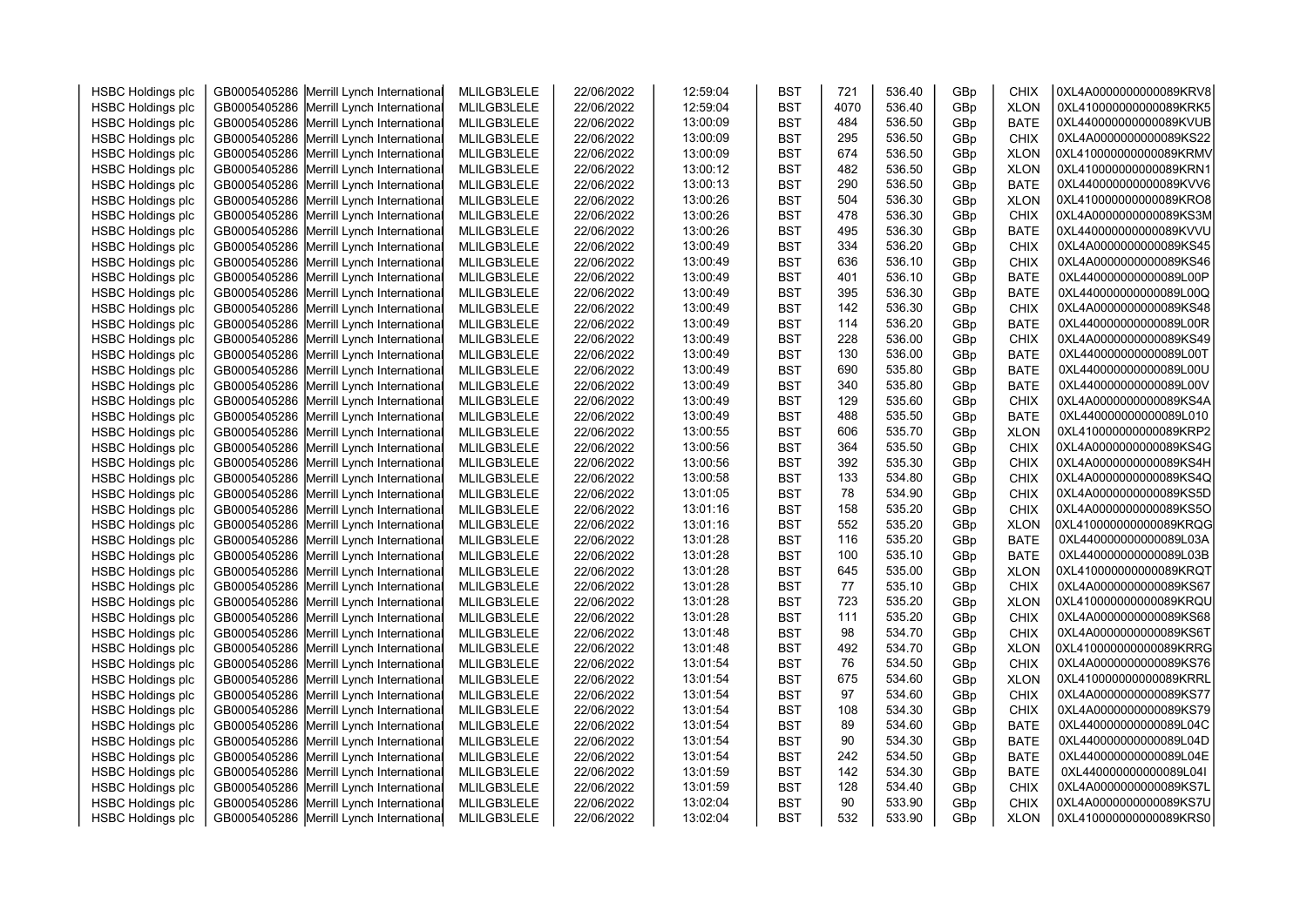| <b>HSBC Holdings plc</b> | GB0005405286 Merrill Lynch International | MLILGB3LELE | 22/06/2022 | 12:59:04 | <b>BST</b> | 721  | 536.40           | GBp | <b>CHIX</b>                | 0XL4A0000000000089KRV8                           |  |
|--------------------------|------------------------------------------|-------------|------------|----------|------------|------|------------------|-----|----------------------------|--------------------------------------------------|--|
| <b>HSBC Holdings plc</b> | GB0005405286 Merrill Lynch International | MLILGB3LELE | 22/06/2022 | 12:59:04 | <b>BST</b> | 4070 | 536.40           | GBp | <b>XLON</b>                | 0XL410000000000089KRK5                           |  |
| <b>HSBC Holdings plc</b> | GB0005405286 Merrill Lynch International | MLILGB3LELE | 22/06/2022 | 13:00:09 | <b>BST</b> | 484  | 536.50           | GBp | <b>BATE</b>                | 0XL440000000000089KVUB                           |  |
| <b>HSBC Holdings plc</b> | GB0005405286 Merrill Lynch International | MLILGB3LELE | 22/06/2022 | 13:00:09 | <b>BST</b> | 295  | 536.50           | GBp | <b>CHIX</b>                | 0XL4A0000000000089KS22                           |  |
| <b>HSBC Holdings plc</b> | GB0005405286 Merrill Lynch International | MLILGB3LELE | 22/06/2022 | 13:00:09 | <b>BST</b> | 674  | 536.50           | GBp | <b>XLON</b>                | 0XL410000000000089KRMV                           |  |
| <b>HSBC Holdings plc</b> | GB0005405286 Merrill Lynch International | MLILGB3LELE | 22/06/2022 | 13:00:12 | <b>BST</b> | 482  | 536.50           | GBp | <b>XLON</b>                | 0XL410000000000089KRN1                           |  |
| <b>HSBC Holdings plc</b> | GB0005405286 Merrill Lynch International | MLILGB3LELE | 22/06/2022 | 13:00:13 | <b>BST</b> | 290  | 536.50           | GBp | <b>BATE</b>                | 0XL440000000000089KVV6                           |  |
| <b>HSBC Holdings plc</b> | GB0005405286 Merrill Lynch International | MLILGB3LELE | 22/06/2022 | 13:00:26 | <b>BST</b> | 504  | 536.30           | GBp | <b>XLON</b>                | 0XL410000000000089KRO8                           |  |
| <b>HSBC Holdings plc</b> | GB0005405286 Merrill Lynch International | MLILGB3LELE | 22/06/2022 | 13:00:26 | <b>BST</b> | 478  | 536.30           | GBp | <b>CHIX</b>                | 0XL4A0000000000089KS3M                           |  |
| <b>HSBC Holdings plc</b> | GB0005405286 Merrill Lynch International | MLILGB3LELE | 22/06/2022 | 13:00:26 | <b>BST</b> | 495  | 536.30           | GBp | <b>BATE</b>                | 0XL440000000000089KVVU                           |  |
| <b>HSBC Holdings plc</b> | GB0005405286 Merrill Lynch International | MLILGB3LELE | 22/06/2022 | 13:00:49 | <b>BST</b> | 334  | 536.20           | GBp | CHIX                       | 0XL4A0000000000089KS45                           |  |
| <b>HSBC Holdings plc</b> | GB0005405286 Merrill Lynch International | MLILGB3LELE | 22/06/2022 | 13:00:49 | <b>BST</b> | 636  | 536.10           | GBp | <b>CHIX</b>                | 0XL4A0000000000089KS46                           |  |
| <b>HSBC Holdings plc</b> | GB0005405286 Merrill Lynch International | MLILGB3LELE | 22/06/2022 | 13:00:49 | <b>BST</b> | 401  | 536.10           | GBp | <b>BATE</b>                | 0XL440000000000089L00P                           |  |
| <b>HSBC Holdings plc</b> | GB0005405286 Merrill Lynch International | MLILGB3LELE | 22/06/2022 | 13:00:49 | <b>BST</b> | 395  | 536.30           | GBp | <b>BATE</b>                | 0XL440000000000089L00Q                           |  |
| <b>HSBC Holdings plc</b> | GB0005405286 Merrill Lynch International | MLILGB3LELE | 22/06/2022 | 13:00:49 | <b>BST</b> | 142  | 536.30           | GBp | <b>CHIX</b>                | 0XL4A0000000000089KS48                           |  |
| <b>HSBC Holdings plc</b> | GB0005405286 Merrill Lynch International | MLILGB3LELE | 22/06/2022 | 13:00:49 | <b>BST</b> | 114  | 536.20           | GBp | <b>BATE</b>                | 0XL440000000000089L00R                           |  |
| <b>HSBC Holdings plc</b> | GB0005405286 Merrill Lynch International | MLILGB3LELE | 22/06/2022 | 13:00:49 | <b>BST</b> | 228  | 536.00           | GBp | <b>CHIX</b>                | 0XL4A0000000000089KS49                           |  |
| <b>HSBC Holdings plc</b> | GB0005405286 Merrill Lynch International | MLILGB3LELE | 22/06/2022 | 13:00:49 | <b>BST</b> | 130  | 536.00           | GBp | <b>BATE</b>                | 0XL440000000000089L00T                           |  |
| <b>HSBC Holdings plc</b> | GB0005405286 Merrill Lynch International | MLILGB3LELE | 22/06/2022 | 13:00:49 | <b>BST</b> | 690  | 535.80           | GBp | <b>BATE</b>                | 0XL440000000000089L00U                           |  |
| <b>HSBC Holdings plc</b> | GB0005405286 Merrill Lynch International | MLILGB3LELE | 22/06/2022 | 13:00:49 | <b>BST</b> | 340  | 535.80           | GBp | <b>BATE</b>                | 0XL440000000000089L00V                           |  |
| <b>HSBC Holdings plc</b> | GB0005405286 Merrill Lynch International | MLILGB3LELE | 22/06/2022 | 13:00:49 | <b>BST</b> | 129  | 535.60           | GBp | <b>CHIX</b>                | 0XL4A0000000000089KS4A                           |  |
| <b>HSBC Holdings plc</b> | GB0005405286 Merrill Lynch International | MLILGB3LELE | 22/06/2022 | 13:00:49 | <b>BST</b> | 488  | 535.50           | GBp | <b>BATE</b>                | 0XL440000000000089L010                           |  |
| <b>HSBC Holdings plc</b> | GB0005405286 Merrill Lynch International | MLILGB3LELE | 22/06/2022 | 13:00:55 | <b>BST</b> | 606  | 535.70           | GBp | <b>XLON</b>                | 0XL410000000000089KRP2                           |  |
| <b>HSBC Holdings plc</b> | GB0005405286 Merrill Lynch International | MLILGB3LELE | 22/06/2022 | 13:00:56 | <b>BST</b> | 364  | 535.50           | GBp | <b>CHIX</b>                | 0XL4A0000000000089KS4G                           |  |
| <b>HSBC Holdings plc</b> | GB0005405286 Merrill Lynch International | MLILGB3LELE | 22/06/2022 | 13:00:56 | <b>BST</b> | 392  | 535.30           | GBp | <b>CHIX</b>                | 0XL4A0000000000089KS4H                           |  |
| <b>HSBC Holdings plc</b> | GB0005405286 Merrill Lynch International | MLILGB3LELE | 22/06/2022 | 13:00:58 | <b>BST</b> | 133  | 534.80           | GBp | <b>CHIX</b>                | 0XL4A0000000000089KS4Q                           |  |
| <b>HSBC Holdings plc</b> | GB0005405286 Merrill Lynch International | MLILGB3LELE | 22/06/2022 | 13:01:05 | <b>BST</b> | 78   | 534.90           | GBp | <b>CHIX</b>                | 0XL4A0000000000089KS5D                           |  |
| <b>HSBC Holdings plc</b> | GB0005405286 Merrill Lynch International | MLILGB3LELE | 22/06/2022 | 13:01:16 | <b>BST</b> | 158  | 535.20           | GBp | <b>CHIX</b>                | 0XL4A0000000000089KS5O                           |  |
| <b>HSBC Holdings plc</b> | GB0005405286 Merrill Lynch International | MLILGB3LELE | 22/06/2022 | 13:01:16 | <b>BST</b> | 552  | 535.20           | GBp | <b>XLON</b>                | 0XL410000000000089KRQG                           |  |
| <b>HSBC Holdings plc</b> | GB0005405286 Merrill Lynch International | MLILGB3LELE | 22/06/2022 | 13:01:28 | <b>BST</b> | 116  | 535.20           | GBp | <b>BATE</b>                | 0XL440000000000089L03A                           |  |
| <b>HSBC Holdings plc</b> | GB0005405286 Merrill Lynch International | MLILGB3LELE | 22/06/2022 | 13:01:28 | <b>BST</b> | 100  | 535.10           | GBp | <b>BATE</b>                | 0XL440000000000089L03B                           |  |
| <b>HSBC Holdings plc</b> | GB0005405286 Merrill Lynch International | MLILGB3LELE | 22/06/2022 | 13:01:28 | <b>BST</b> | 645  | 535.00           | GBp | <b>XLON</b>                | 0XL410000000000089KRQT                           |  |
| <b>HSBC Holdings plc</b> | GB0005405286 Merrill Lynch International | MLILGB3LELE | 22/06/2022 | 13:01:28 | <b>BST</b> | 77   | 535.10           | GBp | <b>CHIX</b>                | 0XL4A0000000000089KS67                           |  |
| <b>HSBC Holdings plc</b> | GB0005405286 Merrill Lynch International | MLILGB3LELE | 22/06/2022 | 13:01:28 | <b>BST</b> | 723  | 535.20           | GBp | <b>XLON</b>                | 0XL410000000000089KRQU                           |  |
| <b>HSBC Holdings plc</b> | GB0005405286 Merrill Lynch International | MLILGB3LELE | 22/06/2022 | 13:01:28 | <b>BST</b> | 111  | 535.20           | GBp | <b>CHIX</b>                | 0XL4A0000000000089KS68                           |  |
| <b>HSBC Holdings plc</b> | GB0005405286 Merrill Lynch International | MLILGB3LELE | 22/06/2022 | 13:01:48 | <b>BST</b> | 98   | 534.70           | GBp | <b>CHIX</b>                | 0XL4A0000000000089KS6T                           |  |
| <b>HSBC Holdings plc</b> | GB0005405286 Merrill Lynch International | MLILGB3LELE | 22/06/2022 | 13:01:48 | <b>BST</b> | 492  | 534.70           | GBp | <b>XLON</b>                | 0XL410000000000089KRRG                           |  |
| <b>HSBC Holdings plc</b> | GB0005405286 Merrill Lynch International | MLILGB3LELE | 22/06/2022 | 13:01:54 | <b>BST</b> | 76   | 534.50           | GBp | <b>CHIX</b>                | 0XL4A0000000000089KS76                           |  |
| <b>HSBC Holdings plc</b> | GB0005405286 Merrill Lynch International | MLILGB3LELE | 22/06/2022 | 13:01:54 | <b>BST</b> | 675  | 534.60           | GBp | <b>XLON</b>                | 0XL410000000000089KRRL                           |  |
| <b>HSBC Holdings plc</b> | GB0005405286 Merrill Lynch International | MLILGB3LELE | 22/06/2022 | 13:01:54 | <b>BST</b> | 97   | 534.60           | GBp | <b>CHIX</b>                | 0XL4A0000000000089KS77                           |  |
| <b>HSBC Holdings plc</b> | GB0005405286 Merrill Lynch International | MLILGB3LELE | 22/06/2022 | 13:01:54 | <b>BST</b> | 108  | 534.30           | GBp | <b>CHIX</b>                | 0XL4A0000000000089KS79                           |  |
| <b>HSBC Holdings plc</b> | GB0005405286 Merrill Lynch International | MLILGB3LELE | 22/06/2022 | 13:01:54 | <b>BST</b> | 89   | 534.60           | GBp | <b>BATE</b>                | 0XL440000000000089L04C                           |  |
| <b>HSBC Holdings plc</b> | GB0005405286 Merrill Lynch International | MLILGB3LELE | 22/06/2022 | 13:01:54 | <b>BST</b> | 90   | 534.30           | GBp | <b>BATE</b>                | 0XL440000000000089L04D                           |  |
|                          |                                          |             |            |          |            | 242  | 534.50           |     |                            | 0XL440000000000089L04E                           |  |
| <b>HSBC Holdings plc</b> | GB0005405286 Merrill Lynch International | MLILGB3LELE | 22/06/2022 | 13:01:54 | <b>BST</b> | 142  | 534.30           | GBp | <b>BATE</b>                |                                                  |  |
| <b>HSBC Holdings plc</b> | GB0005405286 Merrill Lynch International | MLILGB3LELE | 22/06/2022 | 13:01:59 | <b>BST</b> | 128  |                  | GBp | <b>BATE</b>                | 0XL440000000000089L04I<br>0XL4A0000000000089KS7L |  |
| <b>HSBC Holdings plc</b> | GB0005405286 Merrill Lynch International | MLILGB3LELE | 22/06/2022 | 13:01:59 | <b>BST</b> | 90   | 534.40<br>533.90 | GBp | <b>CHIX</b><br><b>CHIX</b> | 0XL4A0000000000089KS7U                           |  |
| <b>HSBC Holdings plc</b> | GB0005405286 Merrill Lynch International | MLILGB3LELE | 22/06/2022 | 13:02:04 | <b>BST</b> |      |                  | GBp |                            | 0XL410000000000089KRS0                           |  |
| <b>HSBC Holdings plc</b> | GB0005405286 Merrill Lynch International | MLILGB3LELE | 22/06/2022 | 13:02:04 | <b>BST</b> | 532  | 533.90           | GBp | <b>XLON</b>                |                                                  |  |
|                          |                                          |             |            |          |            |      |                  |     |                            |                                                  |  |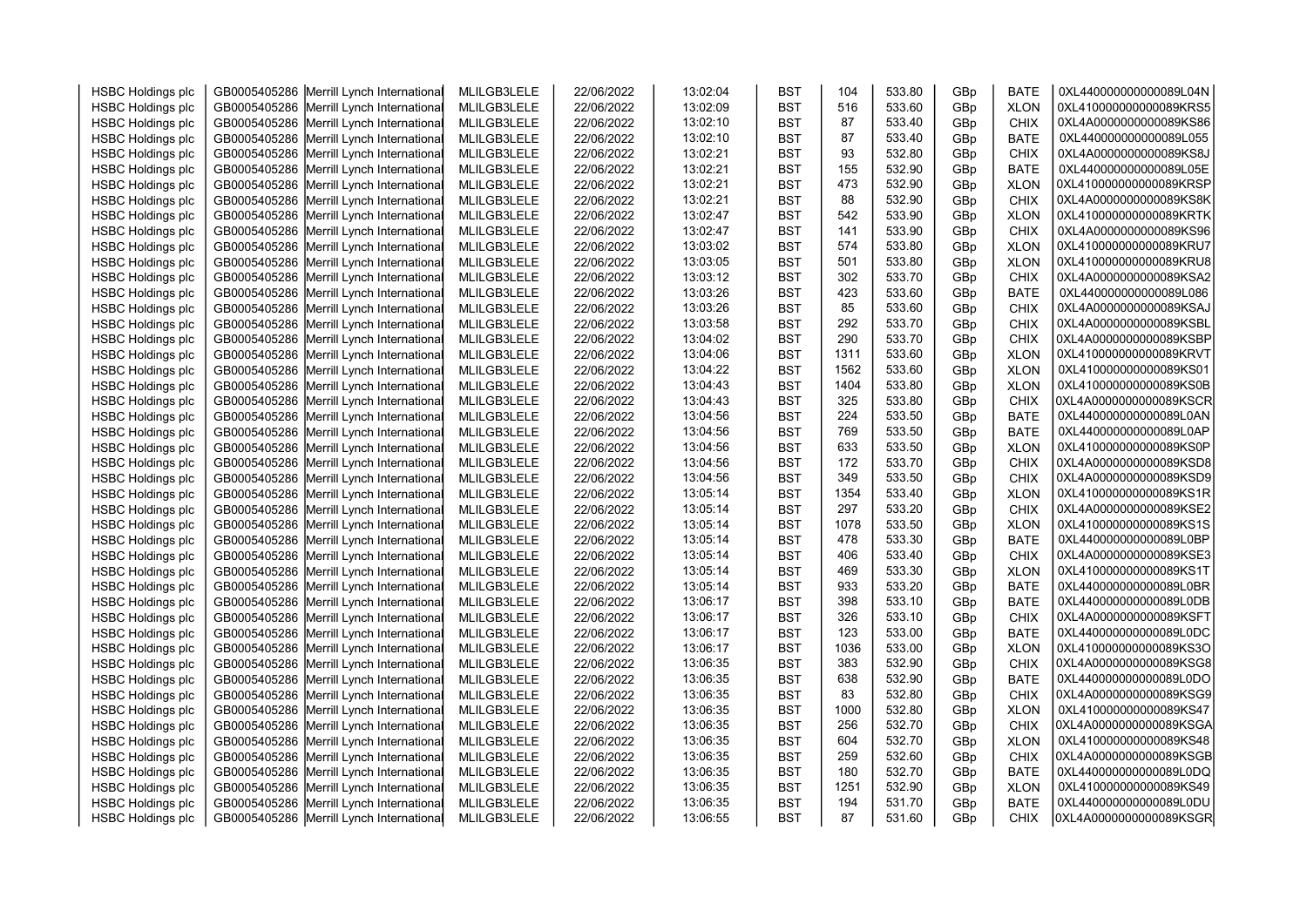| <b>HSBC Holdings plc</b> | GB0005405286 Merrill Lynch International | MLILGB3LELE | 22/06/2022 | 13:02:04 | <b>BST</b> | 104  | 533.80 | GBp | <b>BATE</b> | 0XL440000000000089L04N |  |
|--------------------------|------------------------------------------|-------------|------------|----------|------------|------|--------|-----|-------------|------------------------|--|
|                          | GB0005405286 Merrill Lynch International | MLILGB3LELE | 22/06/2022 | 13:02:09 | <b>BST</b> | 516  | 533.60 | GBp | <b>XLON</b> | 0XL410000000000089KRS5 |  |
| <b>HSBC Holdings plc</b> | GB0005405286 Merrill Lynch International | MLILGB3LELE | 22/06/2022 | 13:02:10 | <b>BST</b> | 87   | 533.40 |     | <b>CHIX</b> | 0XL4A0000000000089KS86 |  |
| <b>HSBC Holdings plc</b> |                                          |             |            |          |            | 87   | 533.40 | GBp |             | 0XL440000000000089L055 |  |
| <b>HSBC Holdings plc</b> | GB0005405286 Merrill Lynch International | MLILGB3LELE | 22/06/2022 | 13:02:10 | <b>BST</b> | 93   | 532.80 | GBp | <b>BATE</b> | 0XL4A0000000000089KS8J |  |
| <b>HSBC Holdings plc</b> | GB0005405286 Merrill Lynch International | MLILGB3LELE | 22/06/2022 | 13:02:21 | <b>BST</b> |      |        | GBp | <b>CHIX</b> |                        |  |
| <b>HSBC Holdings plc</b> | GB0005405286 Merrill Lynch International | MLILGB3LELE | 22/06/2022 | 13:02:21 | <b>BST</b> | 155  | 532.90 | GBp | <b>BATE</b> | 0XL440000000000089L05E |  |
| <b>HSBC Holdings plc</b> | GB0005405286 Merrill Lynch International | MLILGB3LELE | 22/06/2022 | 13:02:21 | <b>BST</b> | 473  | 532.90 | GBp | <b>XLON</b> | 0XL410000000000089KRSP |  |
| <b>HSBC Holdings plc</b> | GB0005405286 Merrill Lynch International | MLILGB3LELE | 22/06/2022 | 13:02:21 | <b>BST</b> | 88   | 532.90 | GBp | <b>CHIX</b> | 0XL4A0000000000089KS8K |  |
| <b>HSBC Holdings plc</b> | GB0005405286 Merrill Lynch International | MLILGB3LELE | 22/06/2022 | 13:02:47 | <b>BST</b> | 542  | 533.90 | GBp | <b>XLON</b> | 0XL410000000000089KRTK |  |
| <b>HSBC Holdings plc</b> | GB0005405286 Merrill Lynch International | MLILGB3LELE | 22/06/2022 | 13:02:47 | <b>BST</b> | 141  | 533.90 | GBp | <b>CHIX</b> | 0XL4A0000000000089KS96 |  |
| <b>HSBC Holdings plc</b> | GB0005405286 Merrill Lynch International | MLILGB3LELE | 22/06/2022 | 13:03:02 | <b>BST</b> | 574  | 533.80 | GBp | <b>XLON</b> | 0XL410000000000089KRU7 |  |
| <b>HSBC Holdings plc</b> | GB0005405286 Merrill Lynch International | MLILGB3LELE | 22/06/2022 | 13:03:05 | <b>BST</b> | 501  | 533.80 | GBp | <b>XLON</b> | 0XL410000000000089KRU8 |  |
| <b>HSBC Holdings plc</b> | GB0005405286 Merrill Lynch International | MLILGB3LELE | 22/06/2022 | 13:03:12 | <b>BST</b> | 302  | 533.70 | GBp | <b>CHIX</b> | 0XL4A0000000000089KSA2 |  |
| <b>HSBC Holdings plc</b> | GB0005405286 Merrill Lynch International | MLILGB3LELE | 22/06/2022 | 13:03:26 | <b>BST</b> | 423  | 533.60 | GBp | <b>BATE</b> | 0XL440000000000089L086 |  |
| <b>HSBC Holdings plc</b> | GB0005405286 Merrill Lynch International | MLILGB3LELE | 22/06/2022 | 13:03:26 | <b>BST</b> | 85   | 533.60 | GBp | <b>CHIX</b> | 0XL4A0000000000089KSAJ |  |
| <b>HSBC Holdings plc</b> | GB0005405286 Merrill Lynch International | MLILGB3LELE | 22/06/2022 | 13:03:58 | <b>BST</b> | 292  | 533.70 | GBp | <b>CHIX</b> | 0XL4A0000000000089KSBL |  |
| <b>HSBC Holdings plc</b> | GB0005405286 Merrill Lynch International | MLILGB3LELE | 22/06/2022 | 13:04:02 | <b>BST</b> | 290  | 533.70 | GBp | <b>CHIX</b> | 0XL4A0000000000089KSBP |  |
| <b>HSBC Holdings plc</b> | GB0005405286 Merrill Lynch International | MLILGB3LELE | 22/06/2022 | 13:04:06 | <b>BST</b> | 1311 | 533.60 | GBp | <b>XLON</b> | 0XL410000000000089KRVT |  |
| <b>HSBC Holdings plc</b> | GB0005405286 Merrill Lynch International | MLILGB3LELE | 22/06/2022 | 13:04:22 | <b>BST</b> | 1562 | 533.60 | GBp | <b>XLON</b> | 0XL410000000000089KS01 |  |
| <b>HSBC Holdings plc</b> | GB0005405286 Merrill Lynch International | MLILGB3LELE | 22/06/2022 | 13:04:43 | <b>BST</b> | 1404 | 533.80 | GBp | <b>XLON</b> | 0XL410000000000089KS0B |  |
| <b>HSBC Holdings plc</b> | GB0005405286 Merrill Lynch International | MLILGB3LELE | 22/06/2022 | 13:04:43 | <b>BST</b> | 325  | 533.80 | GBp | <b>CHIX</b> | 0XL4A0000000000089KSCR |  |
| <b>HSBC Holdings plc</b> | GB0005405286 Merrill Lynch International | MLILGB3LELE | 22/06/2022 | 13:04:56 | <b>BST</b> | 224  | 533.50 | GBp | <b>BATE</b> | 0XL440000000000089L0AN |  |
| <b>HSBC Holdings plc</b> | GB0005405286 Merrill Lynch International | MLILGB3LELE | 22/06/2022 | 13:04:56 | <b>BST</b> | 769  | 533.50 | GBp | <b>BATE</b> | 0XL440000000000089L0AP |  |
| <b>HSBC Holdings plc</b> | GB0005405286 Merrill Lynch International | MLILGB3LELE | 22/06/2022 | 13:04:56 | <b>BST</b> | 633  | 533.50 | GBp | <b>XLON</b> | 0XL410000000000089KS0P |  |
| <b>HSBC Holdings plc</b> | GB0005405286 Merrill Lynch International | MLILGB3LELE | 22/06/2022 | 13:04:56 | <b>BST</b> | 172  | 533.70 | GBp | CHIX        | 0XL4A0000000000089KSD8 |  |
| <b>HSBC Holdings plc</b> | GB0005405286 Merrill Lynch International | MLILGB3LELE | 22/06/2022 | 13:04:56 | <b>BST</b> | 349  | 533.50 | GBp | <b>CHIX</b> | 0XL4A0000000000089KSD9 |  |
| <b>HSBC Holdings plc</b> | GB0005405286 Merrill Lynch International | MLILGB3LELE | 22/06/2022 | 13:05:14 | <b>BST</b> | 1354 | 533.40 | GBp | <b>XLON</b> | 0XL410000000000089KS1R |  |
| <b>HSBC Holdings plc</b> | GB0005405286 Merrill Lynch International | MLILGB3LELE | 22/06/2022 | 13:05:14 | <b>BST</b> | 297  | 533.20 | GBp | <b>CHIX</b> | 0XL4A0000000000089KSE2 |  |
| <b>HSBC Holdings plc</b> | GB0005405286 Merrill Lynch International | MLILGB3LELE | 22/06/2022 | 13:05:14 | <b>BST</b> | 1078 | 533.50 | GBp | <b>XLON</b> | 0XL410000000000089KS1S |  |
| <b>HSBC Holdings plc</b> | GB0005405286 Merrill Lynch International | MLILGB3LELE | 22/06/2022 | 13:05:14 | <b>BST</b> | 478  | 533.30 | GBp | <b>BATE</b> | 0XL440000000000089L0BP |  |
| <b>HSBC Holdings plc</b> | GB0005405286 Merrill Lynch International | MLILGB3LELE | 22/06/2022 | 13:05:14 | <b>BST</b> | 406  | 533.40 | GBp | <b>CHIX</b> | 0XL4A0000000000089KSE3 |  |
| <b>HSBC Holdings plc</b> | GB0005405286 Merrill Lynch International | MLILGB3LELE | 22/06/2022 | 13:05:14 | <b>BST</b> | 469  | 533.30 | GBp | <b>XLON</b> | 0XL410000000000089KS1T |  |
| <b>HSBC Holdings plc</b> | GB0005405286 Merrill Lynch International | MLILGB3LELE | 22/06/2022 | 13:05:14 | <b>BST</b> | 933  | 533.20 | GBp | <b>BATE</b> | 0XL440000000000089L0BR |  |
| <b>HSBC Holdings plc</b> | GB0005405286 Merrill Lynch International | MLILGB3LELE | 22/06/2022 | 13:06:17 | <b>BST</b> | 398  | 533.10 | GBp | <b>BATE</b> | 0XL440000000000089L0DB |  |
| <b>HSBC Holdings plc</b> | GB0005405286 Merrill Lynch International | MLILGB3LELE | 22/06/2022 | 13:06:17 | <b>BST</b> | 326  | 533.10 | GBp | <b>CHIX</b> | 0XL4A0000000000089KSFT |  |
| <b>HSBC Holdings plc</b> | GB0005405286 Merrill Lynch International | MLILGB3LELE | 22/06/2022 | 13:06:17 | <b>BST</b> | 123  | 533.00 | GBp | <b>BATE</b> | 0XL440000000000089L0DC |  |
| <b>HSBC Holdings plc</b> | GB0005405286 Merrill Lynch International | MLILGB3LELE | 22/06/2022 | 13:06:17 | <b>BST</b> | 1036 | 533.00 | GBp | <b>XLON</b> | 0XL410000000000089KS3O |  |
| <b>HSBC Holdings plc</b> | GB0005405286 Merrill Lynch International | MLILGB3LELE | 22/06/2022 | 13:06:35 | <b>BST</b> | 383  | 532.90 | GBp | <b>CHIX</b> | 0XL4A0000000000089KSG8 |  |
| <b>HSBC Holdings plc</b> | GB0005405286 Merrill Lynch International | MLILGB3LELE | 22/06/2022 | 13:06:35 | <b>BST</b> | 638  | 532.90 | GBp | <b>BATE</b> | 0XL440000000000089L0DO |  |
| <b>HSBC Holdings plc</b> | GB0005405286 Merrill Lynch International | MLILGB3LELE | 22/06/2022 | 13:06:35 | <b>BST</b> | 83   | 532.80 | GBp | <b>CHIX</b> | 0XL4A0000000000089KSG9 |  |
| <b>HSBC Holdings plc</b> | GB0005405286 Merrill Lynch International | MLILGB3LELE | 22/06/2022 | 13:06:35 | <b>BST</b> | 1000 | 532.80 | GBp | <b>XLON</b> | 0XL410000000000089KS47 |  |
| <b>HSBC Holdings plc</b> | GB0005405286 Merrill Lynch International | MLILGB3LELE | 22/06/2022 | 13:06:35 | <b>BST</b> | 256  | 532.70 | GBp | <b>CHIX</b> | 0XL4A0000000000089KSGA |  |
| <b>HSBC Holdings plc</b> | GB0005405286 Merrill Lynch International | MLILGB3LELE | 22/06/2022 | 13:06:35 | <b>BST</b> | 604  | 532.70 | GBp | <b>XLON</b> | 0XL410000000000089KS48 |  |
| <b>HSBC Holdings plc</b> | GB0005405286 Merrill Lynch International | MLILGB3LELE | 22/06/2022 | 13:06:35 | <b>BST</b> | 259  | 532.60 | GBp | <b>CHIX</b> | 0XL4A0000000000089KSGB |  |
| <b>HSBC Holdings plc</b> | GB0005405286 Merrill Lynch International | MLILGB3LELE | 22/06/2022 | 13:06:35 | <b>BST</b> | 180  | 532.70 | GBp | <b>BATE</b> | 0XL440000000000089L0DQ |  |
| <b>HSBC Holdings plc</b> | GB0005405286 Merrill Lynch International | MLILGB3LELE | 22/06/2022 | 13:06:35 | <b>BST</b> | 1251 | 532.90 | GBp | <b>XLON</b> | 0XL410000000000089KS49 |  |
| <b>HSBC Holdings plc</b> | GB0005405286 Merrill Lynch International | MLILGB3LELE | 22/06/2022 | 13:06:35 | <b>BST</b> | 194  | 531.70 | GBp | <b>BATE</b> | 0XL440000000000089L0DU |  |
| <b>HSBC Holdings plc</b> | GB0005405286 Merrill Lynch International |             |            | 13:06:55 | <b>BST</b> | 87   | 531.60 | GBp | <b>CHIX</b> | 0XL4A0000000000089KSGR |  |
|                          |                                          | MLILGB3LELE | 22/06/2022 |          |            |      |        |     |             |                        |  |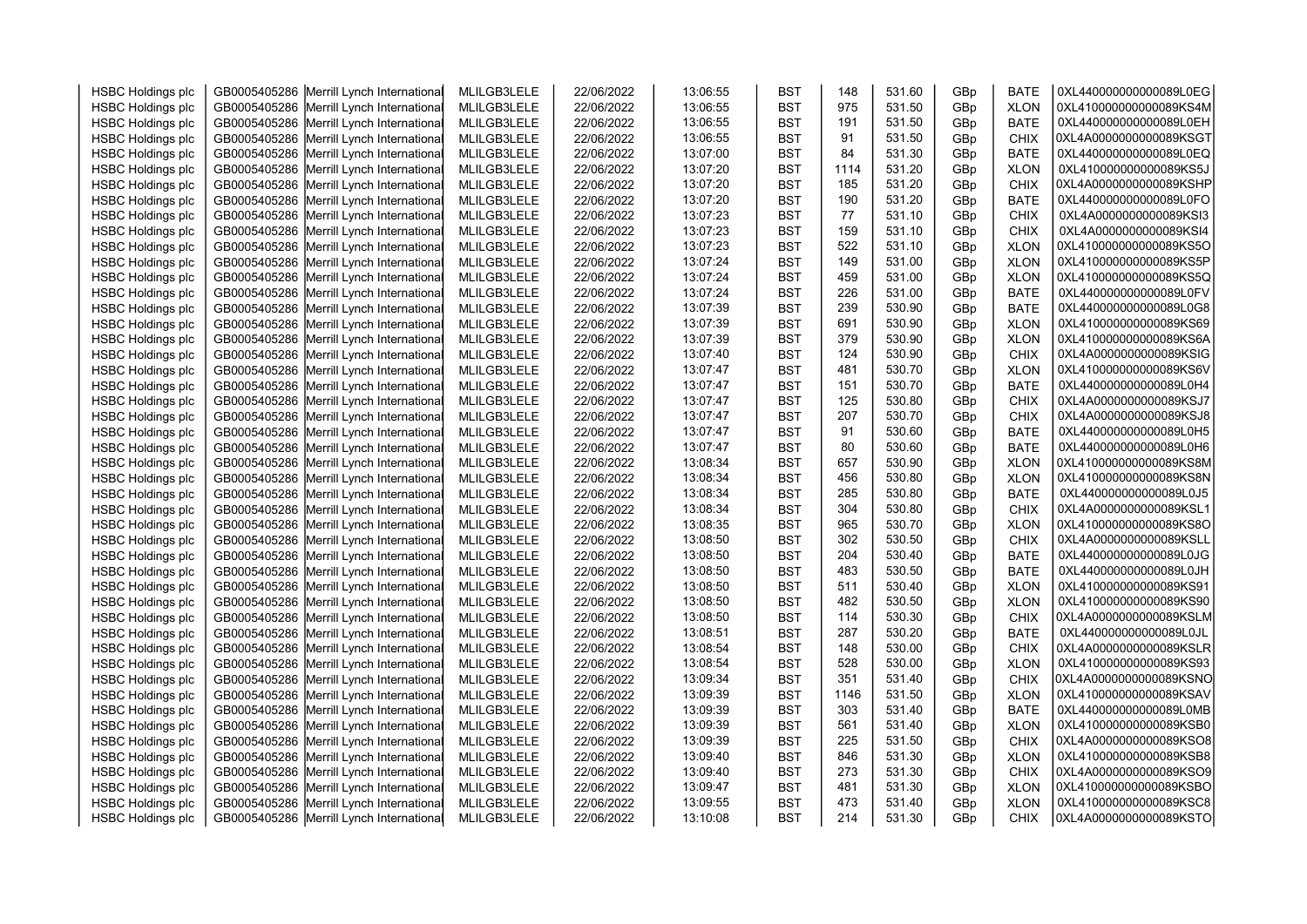| <b>HSBC Holdings plc</b> | GB0005405286 Merrill Lynch International | MLILGB3LELE | 22/06/2022 | 13:06:55 | <b>BST</b> | 148  | 531.60           | GBp | <b>BATE</b> | 0XL440000000000089L0EG |  |
|--------------------------|------------------------------------------|-------------|------------|----------|------------|------|------------------|-----|-------------|------------------------|--|
| <b>HSBC Holdings plc</b> | GB0005405286 Merrill Lynch International | MLILGB3LELE | 22/06/2022 | 13:06:55 | <b>BST</b> | 975  | 531.50           | GBp | <b>XLON</b> | 0XL410000000000089KS4M |  |
| <b>HSBC Holdings plc</b> | GB0005405286 Merrill Lynch International | MLILGB3LELE | 22/06/2022 | 13:06:55 | <b>BST</b> | 191  | 531.50           | GBp | <b>BATE</b> | 0XL440000000000089L0EH |  |
| <b>HSBC Holdings plc</b> | GB0005405286 Merrill Lynch International | MLILGB3LELE | 22/06/2022 | 13:06:55 | <b>BST</b> | 91   | 531.50           | GBp | <b>CHIX</b> | 0XL4A0000000000089KSGT |  |
| <b>HSBC Holdings plc</b> | GB0005405286 Merrill Lynch International | MLILGB3LELE | 22/06/2022 | 13:07:00 | <b>BST</b> | 84   | 531.30           | GBp | <b>BATE</b> | 0XL440000000000089L0EQ |  |
| <b>HSBC Holdings plc</b> | GB0005405286 Merrill Lynch International | MLILGB3LELE | 22/06/2022 | 13:07:20 | <b>BST</b> | 1114 | 531.20           | GBp | <b>XLON</b> | 0XL410000000000089KS5J |  |
| <b>HSBC Holdings plc</b> | GB0005405286 Merrill Lynch International | MLILGB3LELE | 22/06/2022 | 13:07:20 | <b>BST</b> | 185  | 531.20           | GBp | <b>CHIX</b> | 0XL4A0000000000089KSHP |  |
| <b>HSBC Holdings plc</b> | GB0005405286 Merrill Lynch International | MLILGB3LELE | 22/06/2022 | 13:07:20 | <b>BST</b> | 190  | 531.20           | GBp | <b>BATE</b> | 0XL440000000000089L0FO |  |
| <b>HSBC Holdings plc</b> | GB0005405286 Merrill Lynch International | MLILGB3LELE | 22/06/2022 | 13:07:23 | <b>BST</b> | 77   | 531.10           | GBp | <b>CHIX</b> | 0XL4A0000000000089KSI3 |  |
| <b>HSBC Holdings plc</b> | GB0005405286 Merrill Lynch International | MLILGB3LELE | 22/06/2022 | 13:07:23 | <b>BST</b> | 159  | 531.10           | GBp | CHIX        | 0XL4A0000000000089KSI4 |  |
| <b>HSBC Holdings plc</b> | GB0005405286 Merrill Lynch International | MLILGB3LELE | 22/06/2022 | 13:07:23 | <b>BST</b> | 522  | 531.10           | GBp | <b>XLON</b> | 0XL410000000000089KS5O |  |
| <b>HSBC Holdings plc</b> | GB0005405286 Merrill Lynch International | MLILGB3LELE | 22/06/2022 | 13:07:24 | <b>BST</b> | 149  | 531.00           | GBp | <b>XLON</b> | 0XL410000000000089KS5P |  |
| <b>HSBC Holdings plc</b> | GB0005405286 Merrill Lynch International | MLILGB3LELE | 22/06/2022 | 13:07:24 | <b>BST</b> | 459  | 531.00           | GBp | <b>XLON</b> | 0XL410000000000089KS5Q |  |
| <b>HSBC Holdings plc</b> | GB0005405286 Merrill Lynch International | MLILGB3LELE | 22/06/2022 | 13:07:24 | <b>BST</b> | 226  | 531.00           | GBp | <b>BATE</b> | 0XL440000000000089L0FV |  |
| <b>HSBC Holdings plc</b> | GB0005405286 Merrill Lynch International | MLILGB3LELE | 22/06/2022 | 13:07:39 | <b>BST</b> | 239  | 530.90           | GBp | <b>BATE</b> | 0XL440000000000089L0G8 |  |
| <b>HSBC Holdings plc</b> | GB0005405286 Merrill Lynch International | MLILGB3LELE | 22/06/2022 | 13:07:39 | <b>BST</b> | 691  | 530.90           | GBp | <b>XLON</b> | 0XL410000000000089KS69 |  |
| <b>HSBC Holdings plc</b> | GB0005405286 Merrill Lynch International | MLILGB3LELE | 22/06/2022 | 13:07:39 | <b>BST</b> | 379  | 530.90           | GBp | <b>XLON</b> | 0XL410000000000089KS6A |  |
| <b>HSBC Holdings plc</b> | GB0005405286 Merrill Lynch International | MLILGB3LELE | 22/06/2022 | 13:07:40 | <b>BST</b> | 124  | 530.90           | GBp | CHIX        | 0XL4A0000000000089KSIG |  |
| <b>HSBC Holdings plc</b> | GB0005405286 Merrill Lynch International | MLILGB3LELE | 22/06/2022 | 13:07:47 | <b>BST</b> | 481  | 530.70           | GBp | <b>XLON</b> | 0XL410000000000089KS6V |  |
| <b>HSBC Holdings plc</b> | GB0005405286 Merrill Lynch International | MLILGB3LELE | 22/06/2022 | 13:07:47 | <b>BST</b> | 151  | 530.70           | GBp | <b>BATE</b> | 0XL440000000000089L0H4 |  |
| <b>HSBC Holdings plc</b> | GB0005405286 Merrill Lynch International | MLILGB3LELE | 22/06/2022 | 13:07:47 | <b>BST</b> | 125  | 530.80           | GBp | <b>CHIX</b> | 0XL4A0000000000089KSJ7 |  |
| <b>HSBC Holdings plc</b> | GB0005405286 Merrill Lynch International | MLILGB3LELE | 22/06/2022 | 13:07:47 | <b>BST</b> | 207  | 530.70           | GBp | <b>CHIX</b> | 0XL4A0000000000089KSJ8 |  |
| <b>HSBC Holdings plc</b> | GB0005405286 Merrill Lynch International | MLILGB3LELE | 22/06/2022 | 13:07:47 | <b>BST</b> | 91   | 530.60           | GBp | <b>BATE</b> | 0XL440000000000089L0H5 |  |
| <b>HSBC Holdings plc</b> | GB0005405286 Merrill Lynch International | MLILGB3LELE | 22/06/2022 | 13:07:47 | <b>BST</b> | 80   | 530.60           | GBp | <b>BATE</b> | 0XL440000000000089L0H6 |  |
| <b>HSBC Holdings plc</b> | GB0005405286 Merrill Lynch International | MLILGB3LELE | 22/06/2022 | 13:08:34 | <b>BST</b> | 657  | 530.90           | GBp | <b>XLON</b> | 0XL410000000000089KS8M |  |
| <b>HSBC Holdings plc</b> | GB0005405286 Merrill Lynch International | MLILGB3LELE | 22/06/2022 | 13:08:34 | <b>BST</b> | 456  | 530.80           | GBp | <b>XLON</b> | 0XL410000000000089KS8N |  |
| <b>HSBC Holdings plc</b> | GB0005405286 Merrill Lynch International | MLILGB3LELE | 22/06/2022 | 13:08:34 | <b>BST</b> | 285  | 530.80           | GBp | <b>BATE</b> | 0XL440000000000089L0J5 |  |
| <b>HSBC Holdings plc</b> | GB0005405286 Merrill Lynch International | MLILGB3LELE | 22/06/2022 | 13:08:34 | <b>BST</b> | 304  | 530.80           | GBp | <b>CHIX</b> | 0XL4A0000000000089KSL1 |  |
| <b>HSBC Holdings plc</b> | GB0005405286 Merrill Lynch International | MLILGB3LELE | 22/06/2022 | 13:08:35 | <b>BST</b> | 965  | 530.70           | GBp | <b>XLON</b> | 0XL410000000000089KS8O |  |
| <b>HSBC Holdings plc</b> | GB0005405286 Merrill Lynch International | MLILGB3LELE | 22/06/2022 | 13:08:50 | <b>BST</b> | 302  | 530.50           | GBp | <b>CHIX</b> | 0XL4A0000000000089KSLL |  |
| <b>HSBC Holdings plc</b> | GB0005405286 Merrill Lynch International | MLILGB3LELE | 22/06/2022 | 13:08:50 | <b>BST</b> | 204  | 530.40           | GBp | <b>BATE</b> | 0XL440000000000089L0JG |  |
| <b>HSBC Holdings plc</b> | GB0005405286 Merrill Lynch International | MLILGB3LELE | 22/06/2022 | 13:08:50 | <b>BST</b> | 483  | 530.50           | GBp | <b>BATE</b> | 0XL440000000000089L0JH |  |
| <b>HSBC Holdings plc</b> | GB0005405286 Merrill Lynch International | MLILGB3LELE | 22/06/2022 | 13:08:50 | <b>BST</b> | 511  | 530.40           | GBp | <b>XLON</b> | 0XL410000000000089KS91 |  |
| <b>HSBC Holdings plc</b> | GB0005405286 Merrill Lynch International | MLILGB3LELE | 22/06/2022 | 13:08:50 | <b>BST</b> | 482  | 530.50           | GBp | <b>XLON</b> | 0XL410000000000089KS90 |  |
| <b>HSBC Holdings plc</b> | GB0005405286 Merrill Lynch International | MLILGB3LELE | 22/06/2022 | 13:08:50 | <b>BST</b> | 114  | 530.30           | GBp | <b>CHIX</b> | 0XL4A0000000000089KSLM |  |
| <b>HSBC Holdings plc</b> | GB0005405286 Merrill Lynch International | MLILGB3LELE | 22/06/2022 | 13:08:51 | <b>BST</b> | 287  | 530.20           | GBp | <b>BATE</b> | 0XL440000000000089L0JL |  |
| <b>HSBC Holdings plc</b> | GB0005405286 Merrill Lynch International | MLILGB3LELE | 22/06/2022 | 13:08:54 | <b>BST</b> | 148  | 530.00           | GBp | <b>CHIX</b> | 0XL4A0000000000089KSLR |  |
| <b>HSBC Holdings plc</b> | GB0005405286 Merrill Lynch International | MLILGB3LELE | 22/06/2022 | 13:08:54 | <b>BST</b> | 528  | 530.00           | GBp | <b>XLON</b> | 0XL410000000000089KS93 |  |
| <b>HSBC Holdings plc</b> | GB0005405286 Merrill Lynch International | MLILGB3LELE | 22/06/2022 | 13:09:34 | <b>BST</b> | 351  | 531.40           | GBp | <b>CHIX</b> | 0XL4A0000000000089KSNO |  |
| <b>HSBC Holdings plc</b> | GB0005405286 Merrill Lynch International | MLILGB3LELE | 22/06/2022 | 13:09:39 | <b>BST</b> | 1146 | 531.50           | GBp | <b>XLON</b> | 0XL410000000000089KSAV |  |
|                          |                                          |             |            | 13:09:39 | <b>BST</b> | 303  | 531.40           |     | <b>BATE</b> | 0XL440000000000089L0MB |  |
| <b>HSBC Holdings plc</b> | GB0005405286 Merrill Lynch International | MLILGB3LELE | 22/06/2022 |          |            |      |                  | GBp |             |                        |  |
| <b>HSBC Holdings plc</b> | GB0005405286 Merrill Lynch International | MLILGB3LELE | 22/06/2022 | 13:09:39 | <b>BST</b> | 561  | 531.40<br>531.50 | GBp | <b>XLON</b> | 0XL410000000000089KSB0 |  |
| <b>HSBC Holdings plc</b> | GB0005405286 Merrill Lynch International | MLILGB3LELE | 22/06/2022 | 13:09:39 | <b>BST</b> | 225  |                  | GBp | <b>CHIX</b> | 0XL4A0000000000089KSO8 |  |
| <b>HSBC Holdings plc</b> | GB0005405286 Merrill Lynch International | MLILGB3LELE | 22/06/2022 | 13:09:40 | <b>BST</b> | 846  | 531.30           | GBp | <b>XLON</b> | 0XL410000000000089KSB8 |  |
| <b>HSBC Holdings plc</b> | GB0005405286 Merrill Lynch International | MLILGB3LELE | 22/06/2022 | 13:09:40 | <b>BST</b> | 273  | 531.30           | GBp | <b>CHIX</b> | 0XL4A0000000000089KSO9 |  |
| <b>HSBC Holdings plc</b> | GB0005405286 Merrill Lynch International | MLILGB3LELE | 22/06/2022 | 13:09:47 | <b>BST</b> | 481  | 531.30           | GBp | <b>XLON</b> | 0XL410000000000089KSBO |  |
| <b>HSBC Holdings plc</b> | GB0005405286 Merrill Lynch International | MLILGB3LELE | 22/06/2022 | 13:09:55 | <b>BST</b> | 473  | 531.40           | GBp | <b>XLON</b> | 0XL410000000000089KSC8 |  |
| <b>HSBC Holdings plc</b> | GB0005405286 Merrill Lynch International | MLILGB3LELE | 22/06/2022 | 13:10:08 | <b>BST</b> | 214  | 531.30           | GBp | <b>CHIX</b> | 0XL4A0000000000089KSTO |  |
|                          |                                          |             |            |          |            |      |                  |     |             |                        |  |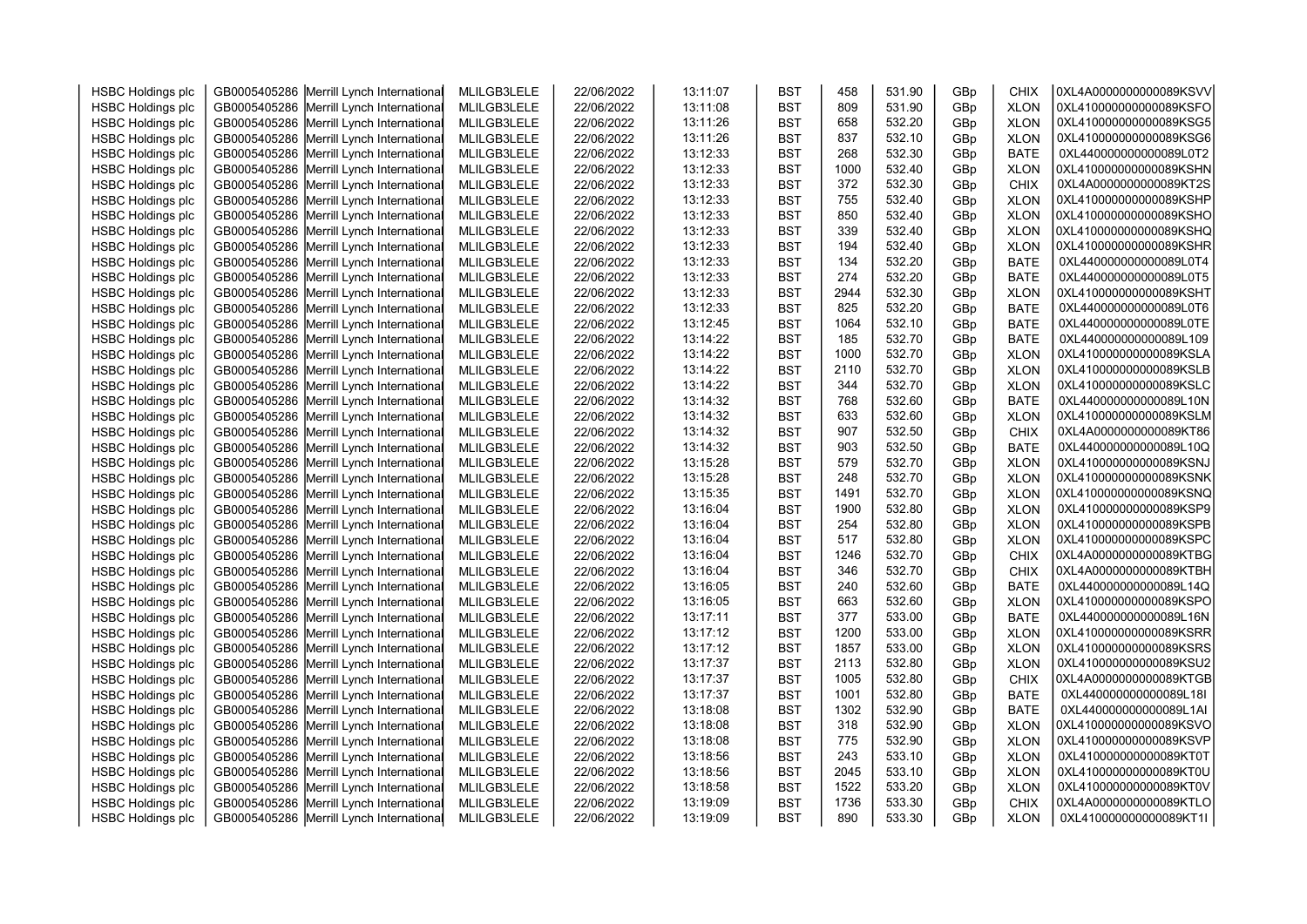| <b>HSBC Holdings plc</b>                             | GB0005405286 Merrill Lynch International                                             | MLILGB3LELE                | 22/06/2022               | 13:11:07             | <b>BST</b>               | 458         | 531.90           | GBp        | CHIX                       | 0XL4A0000000000089KSVV                           |  |
|------------------------------------------------------|--------------------------------------------------------------------------------------|----------------------------|--------------------------|----------------------|--------------------------|-------------|------------------|------------|----------------------------|--------------------------------------------------|--|
| <b>HSBC Holdings plc</b>                             | GB0005405286 Merrill Lynch International                                             | MLILGB3LELE                | 22/06/2022               | 13:11:08             | <b>BST</b>               | 809         | 531.90           | GBp        | <b>XLON</b>                | 0XL410000000000089KSFO                           |  |
| <b>HSBC Holdings plc</b>                             | GB0005405286 Merrill Lynch International                                             | MLILGB3LELE                | 22/06/2022               | 13:11:26             | <b>BST</b>               | 658         | 532.20           | GBp        | <b>XLON</b>                | 0XL410000000000089KSG5                           |  |
| <b>HSBC Holdings plc</b>                             | GB0005405286 Merrill Lynch International                                             | MLILGB3LELE                | 22/06/2022               | 13:11:26             | <b>BST</b>               | 837         | 532.10           | GBp        | <b>XLON</b>                | 0XL410000000000089KSG6                           |  |
| <b>HSBC Holdings plc</b>                             | GB0005405286 Merrill Lynch International                                             | MLILGB3LELE                | 22/06/2022               | 13:12:33             | <b>BST</b>               | 268         | 532.30           | GBp        | <b>BATE</b>                | 0XL440000000000089L0T2                           |  |
| <b>HSBC Holdings plc</b>                             | GB0005405286 Merrill Lynch International                                             | MLILGB3LELE                | 22/06/2022               | 13:12:33             | <b>BST</b>               | 1000        | 532.40           | GBp        | <b>XLON</b>                | 0XL410000000000089KSHN                           |  |
| <b>HSBC Holdings plc</b>                             | GB0005405286 Merrill Lynch International                                             | MLILGB3LELE                | 22/06/2022               | 13:12:33             | <b>BST</b>               | 372         | 532.30           | GBp        | <b>CHIX</b>                | 0XL4A0000000000089KT2S                           |  |
| <b>HSBC Holdings plc</b>                             | GB0005405286 Merrill Lynch International                                             | MLILGB3LELE                | 22/06/2022               | 13:12:33             | <b>BST</b>               | 755         | 532.40           | GBp        | <b>XLON</b>                | 0XL410000000000089KSHP                           |  |
| <b>HSBC Holdings plc</b>                             | GB0005405286 Merrill Lynch International                                             | MLILGB3LELE                | 22/06/2022               | 13:12:33             | <b>BST</b>               | 850         | 532.40           | GBp        | <b>XLON</b>                | 0XL410000000000089KSHO                           |  |
| <b>HSBC Holdings plc</b>                             | GB0005405286 Merrill Lynch International                                             | MLILGB3LELE                | 22/06/2022               | 13:12:33             | <b>BST</b>               | 339         | 532.40           | GBp        | <b>XLON</b>                | 0XL410000000000089KSHQ                           |  |
| <b>HSBC Holdings plc</b>                             | GB0005405286 Merrill Lynch International                                             | MLILGB3LELE                | 22/06/2022               | 13:12:33             | <b>BST</b>               | 194         | 532.40           | GBp        | <b>XLON</b>                | 0XL410000000000089KSHR                           |  |
| <b>HSBC Holdings plc</b>                             | GB0005405286 Merrill Lynch International                                             | MLILGB3LELE                | 22/06/2022               | 13:12:33             | <b>BST</b>               | 134         | 532.20           | GBp        | BATE                       | 0XL440000000000089L0T4                           |  |
| <b>HSBC Holdings plc</b>                             | GB0005405286 Merrill Lynch International                                             | MLILGB3LELE                | 22/06/2022               | 13:12:33             | <b>BST</b>               | 274         | 532.20           | GBp        | <b>BATE</b>                | 0XL440000000000089L0T5                           |  |
| <b>HSBC Holdings plc</b>                             | GB0005405286 Merrill Lynch International                                             | MLILGB3LELE                | 22/06/2022               | 13:12:33             | <b>BST</b>               | 2944        | 532.30           | GBp        | <b>XLON</b>                | 0XL410000000000089KSHT                           |  |
| <b>HSBC Holdings plc</b>                             | GB0005405286 Merrill Lynch International                                             | MLILGB3LELE                | 22/06/2022               | 13:12:33             | <b>BST</b>               | 825         | 532.20           | GBp        | <b>BATE</b>                | 0XL440000000000089L0T6                           |  |
| <b>HSBC Holdings plc</b>                             | GB0005405286 Merrill Lynch International                                             | MLILGB3LELE                | 22/06/2022               | 13:12:45             | <b>BST</b>               | 1064        | 532.10           | GBp        | <b>BATE</b>                | 0XL440000000000089L0TE                           |  |
| <b>HSBC Holdings plc</b>                             | GB0005405286 Merrill Lynch International                                             | MLILGB3LELE                | 22/06/2022               | 13:14:22             | <b>BST</b>               | 185         | 532.70           | GBp        | <b>BATE</b>                | 0XL440000000000089L109                           |  |
| <b>HSBC Holdings plc</b>                             | GB0005405286 Merrill Lynch International                                             | MLILGB3LELE                | 22/06/2022               | 13:14:22             | <b>BST</b>               | 1000        | 532.70           | GBp        | <b>XLON</b>                | 0XL410000000000089KSLA                           |  |
| <b>HSBC Holdings plc</b>                             | GB0005405286 Merrill Lynch International                                             | MLILGB3LELE                | 22/06/2022               | 13:14:22             | <b>BST</b>               | 2110        | 532.70           | GBp        | <b>XLON</b>                | 0XL410000000000089KSLB                           |  |
| <b>HSBC Holdings plc</b>                             | GB0005405286 Merrill Lynch International                                             | MLILGB3LELE                | 22/06/2022               | 13:14:22             | <b>BST</b>               | 344         | 532.70           | GBp        | <b>XLON</b>                | 0XL410000000000089KSLC                           |  |
| <b>HSBC Holdings plc</b>                             | GB0005405286 Merrill Lynch International                                             | MLILGB3LELE                | 22/06/2022               | 13:14:32             | <b>BST</b>               | 768         | 532.60           | GBp        | <b>BATE</b>                | 0XL440000000000089L10N                           |  |
| <b>HSBC Holdings plc</b>                             | GB0005405286 Merrill Lynch International                                             | MLILGB3LELE                | 22/06/2022               | 13:14:32             | <b>BST</b>               | 633         | 532.60           | GBp        | <b>XLON</b>                | 0XL410000000000089KSLM                           |  |
| <b>HSBC Holdings plc</b>                             | GB0005405286 Merrill Lynch International                                             | MLILGB3LELE                | 22/06/2022               | 13:14:32             | <b>BST</b>               | 907         | 532.50           | GBp        | CHIX                       | 0XL4A0000000000089KT86                           |  |
| <b>HSBC Holdings plc</b>                             | GB0005405286 Merrill Lynch International                                             | MLILGB3LELE                | 22/06/2022               | 13:14:32             | <b>BST</b>               | 903         | 532.50           | GBp        | <b>BATE</b>                | 0XL440000000000089L10Q                           |  |
| <b>HSBC Holdings plc</b>                             | GB0005405286 Merrill Lynch International                                             | MLILGB3LELE                | 22/06/2022               | 13:15:28             | <b>BST</b>               | 579         | 532.70           | GBp        | <b>XLON</b>                | 0XL410000000000089KSNJ                           |  |
| <b>HSBC Holdings plc</b>                             | GB0005405286 Merrill Lynch International                                             | MLILGB3LELE                | 22/06/2022               | 13:15:28             | <b>BST</b>               | 248         | 532.70           | GBp        | <b>XLON</b>                | 0XL410000000000089KSNK                           |  |
| <b>HSBC Holdings plc</b>                             | GB0005405286 Merrill Lynch International                                             | MLILGB3LELE                | 22/06/2022               | 13:15:35             | <b>BST</b>               | 1491        | 532.70           | GBp        | <b>XLON</b>                | 0XL410000000000089KSNQ                           |  |
| <b>HSBC Holdings plc</b>                             | GB0005405286 Merrill Lynch International                                             | MLILGB3LELE                | 22/06/2022               | 13:16:04             | <b>BST</b>               | 1900        | 532.80           | GBp        | <b>XLON</b>                | 0XL410000000000089KSP9                           |  |
| <b>HSBC Holdings plc</b>                             | GB0005405286 Merrill Lynch International                                             | MLILGB3LELE                | 22/06/2022               | 13:16:04             | <b>BST</b>               | 254         | 532.80           | GBp        | <b>XLON</b>                | 0XL410000000000089KSPB                           |  |
| <b>HSBC Holdings plc</b>                             | GB0005405286 Merrill Lynch International                                             | MLILGB3LELE                | 22/06/2022               | 13:16:04             | <b>BST</b>               | 517         | 532.80           | GBp        | <b>XLON</b>                | 0XL410000000000089KSPC                           |  |
| <b>HSBC Holdings plc</b>                             | GB0005405286 Merrill Lynch International                                             | MLILGB3LELE                | 22/06/2022               | 13:16:04             | <b>BST</b>               | 1246        | 532.70           | GBp        | CHIX                       | 0XL4A0000000000089KTBG                           |  |
| <b>HSBC Holdings plc</b>                             | GB0005405286 Merrill Lynch International                                             | MLILGB3LELE                | 22/06/2022               | 13:16:04             | <b>BST</b>               | 346         | 532.70           | GBp        | <b>CHIX</b>                | 0XL4A0000000000089KTBH                           |  |
| <b>HSBC Holdings plc</b>                             | GB0005405286 Merrill Lynch International                                             | MLILGB3LELE                | 22/06/2022               | 13:16:05             | <b>BST</b>               | 240         | 532.60           | GBp        | <b>BATE</b>                | 0XL440000000000089L14Q                           |  |
| <b>HSBC Holdings plc</b>                             | GB0005405286 Merrill Lynch International                                             | MLILGB3LELE                | 22/06/2022               | 13:16:05             | <b>BST</b>               | 663         | 532.60           | GBp        | <b>XLON</b>                | 0XL410000000000089KSPO                           |  |
| <b>HSBC Holdings plc</b>                             | GB0005405286 Merrill Lynch International                                             | MLILGB3LELE                | 22/06/2022               | 13:17:11             | <b>BST</b>               | 377         | 533.00           | GBp        | <b>BATE</b>                | 0XL440000000000089L16N                           |  |
| <b>HSBC Holdings plc</b>                             | GB0005405286 Merrill Lynch International                                             | MLILGB3LELE                | 22/06/2022               | 13:17:12             | <b>BST</b>               | 1200        | 533.00           | GBp        | <b>XLON</b>                | 0XL410000000000089KSRR                           |  |
| <b>HSBC Holdings plc</b>                             | GB0005405286 Merrill Lynch International                                             | MLILGB3LELE                | 22/06/2022               | 13:17:12             | <b>BST</b>               | 1857        | 533.00           | GBp        | <b>XLON</b>                | 0XL410000000000089KSRS                           |  |
| <b>HSBC Holdings plc</b>                             | GB0005405286 Merrill Lynch International                                             | MLILGB3LELE                | 22/06/2022               | 13:17:37             | <b>BST</b>               | 2113        | 532.80           | GBp        | <b>XLON</b>                | 0XL410000000000089KSU2                           |  |
| <b>HSBC Holdings plc</b>                             | GB0005405286 Merrill Lynch International                                             | MLILGB3LELE                | 22/06/2022               | 13:17:37             | <b>BST</b>               | 1005        | 532.80           | GBp        | <b>CHIX</b>                | 0XL4A0000000000089KTGB                           |  |
| <b>HSBC Holdings plc</b>                             | GB0005405286 Merrill Lynch International                                             | MLILGB3LELE                | 22/06/2022               | 13:17:37             | <b>BST</b>               | 1001        | 532.80           | GBp        | <b>BATE</b>                | 0XL440000000000089L18I                           |  |
| <b>HSBC Holdings plc</b><br><b>HSBC Holdings plc</b> | GB0005405286 Merrill Lynch International                                             | MLILGB3LELE<br>MLILGB3LELE | 22/06/2022               | 13:18:08<br>13:18:08 | <b>BST</b><br><b>BST</b> | 1302<br>318 | 532.90<br>532.90 | GBp        | <b>BATE</b><br><b>XLON</b> | 0XL440000000000089L1AI<br>0XL410000000000089KSVO |  |
|                                                      | GB0005405286 Merrill Lynch International                                             |                            | 22/06/2022               |                      |                          | 775         | 532.90           | GBp        |                            | 0XL410000000000089KSVP                           |  |
| <b>HSBC Holdings plc</b>                             | GB0005405286 Merrill Lynch International                                             | MLILGB3LELE                | 22/06/2022               | 13:18:08             | <b>BST</b>               |             |                  | GBp        | <b>XLON</b>                |                                                  |  |
| <b>HSBC Holdings plc</b>                             | GB0005405286 Merrill Lynch International                                             | MLILGB3LELE                | 22/06/2022               | 13:18:56             | <b>BST</b>               | 243<br>2045 | 533.10<br>533.10 | GBp        | <b>XLON</b>                | 0XL410000000000089KT0T<br>0XL410000000000089KT0U |  |
| <b>HSBC Holdings plc</b>                             | GB0005405286 Merrill Lynch International                                             | MLILGB3LELE                | 22/06/2022               | 13:18:56             | <b>BST</b><br><b>BST</b> | 1522        | 533.20           | GBp        | <b>XLON</b>                | 0XL410000000000089KT0V                           |  |
| <b>HSBC Holdings plc</b><br><b>HSBC Holdings plc</b> | GB0005405286 Merrill Lynch International<br>GB0005405286 Merrill Lynch International | MLILGB3LELE<br>MLILGB3LELE | 22/06/2022<br>22/06/2022 | 13:18:58<br>13:19:09 | <b>BST</b>               | 1736        | 533.30           | GBp<br>GBp | <b>XLON</b><br><b>CHIX</b> | 0XL4A0000000000089KTLO                           |  |
| <b>HSBC Holdings plc</b>                             | GB0005405286 Merrill Lynch International                                             | MLILGB3LELE                | 22/06/2022               | 13:19:09             | <b>BST</b>               | 890         | 533.30           | GBp        | <b>XLON</b>                | 0XL410000000000089KT1I                           |  |
|                                                      |                                                                                      |                            |                          |                      |                          |             |                  |            |                            |                                                  |  |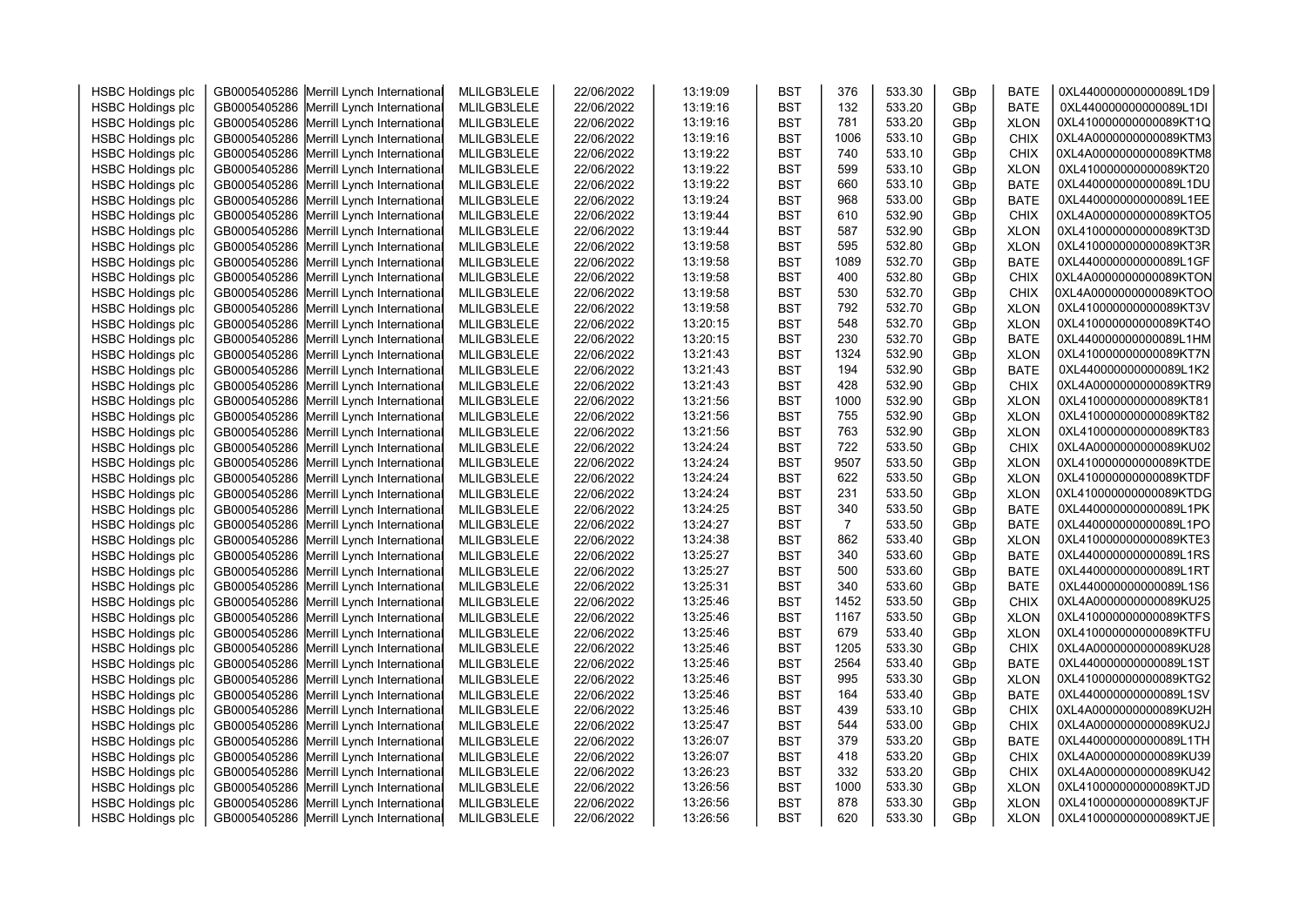|                          |                                                                                      |             |            |          |            | 376            |                  |            |             |                        |  |
|--------------------------|--------------------------------------------------------------------------------------|-------------|------------|----------|------------|----------------|------------------|------------|-------------|------------------------|--|
| <b>HSBC Holdings plc</b> | GB0005405286 Merrill Lynch International                                             | MLILGB3LELE | 22/06/2022 | 13:19:09 | <b>BST</b> |                | 533.30           | GBp        | <b>BATE</b> | 0XL440000000000089L1D9 |  |
| <b>HSBC Holdings plc</b> | GB0005405286 Merrill Lynch International                                             | MLILGB3LELE | 22/06/2022 | 13:19:16 | <b>BST</b> | 132            | 533.20           | GBp        | <b>BATE</b> | 0XL440000000000089L1DI |  |
| <b>HSBC Holdings plc</b> | GB0005405286 Merrill Lynch International                                             | MLILGB3LELE | 22/06/2022 | 13:19:16 | <b>BST</b> | 781            | 533.20           | GBp        | <b>XLON</b> | 0XL410000000000089KT1Q |  |
| <b>HSBC Holdings plc</b> | GB0005405286 Merrill Lynch International                                             | MLILGB3LELE | 22/06/2022 | 13:19:16 | <b>BST</b> | 1006           | 533.10           | GBp        | <b>CHIX</b> | 0XL4A0000000000089KTM3 |  |
| <b>HSBC Holdings plc</b> | GB0005405286 Merrill Lynch International                                             | MLILGB3LELE | 22/06/2022 | 13:19:22 | <b>BST</b> | 740            | 533.10           | GBp        | <b>CHIX</b> | 0XL4A0000000000089KTM8 |  |
| <b>HSBC Holdings plc</b> | GB0005405286 Merrill Lynch International                                             | MLILGB3LELE | 22/06/2022 | 13:19:22 | <b>BST</b> | 599            | 533.10           | GBp        | <b>XLON</b> | 0XL410000000000089KT20 |  |
| <b>HSBC Holdings plc</b> | GB0005405286 Merrill Lynch International                                             | MLILGB3LELE | 22/06/2022 | 13:19:22 | <b>BST</b> | 660            | 533.10           | GBp        | <b>BATE</b> | 0XL440000000000089L1DU |  |
| <b>HSBC Holdings plc</b> | GB0005405286 Merrill Lynch International                                             | MLILGB3LELE | 22/06/2022 | 13:19:24 | <b>BST</b> | 968            | 533.00           | GBp        | <b>BATE</b> | 0XL440000000000089L1EE |  |
| <b>HSBC Holdings plc</b> | GB0005405286 Merrill Lynch International                                             | MLILGB3LELE | 22/06/2022 | 13:19:44 | <b>BST</b> | 610            | 532.90           | GBp        | <b>CHIX</b> | 0XL4A0000000000089KTO5 |  |
| <b>HSBC Holdings plc</b> | GB0005405286 Merrill Lynch International                                             | MLILGB3LELE | 22/06/2022 | 13:19:44 | <b>BST</b> | 587            | 532.90           | GBp        | <b>XLON</b> | 0XL410000000000089KT3D |  |
| <b>HSBC Holdings plc</b> | GB0005405286 Merrill Lynch International                                             | MLILGB3LELE | 22/06/2022 | 13:19:58 | <b>BST</b> | 595            | 532.80           | GBp        | <b>XLON</b> | 0XL410000000000089KT3R |  |
| <b>HSBC Holdings plc</b> | GB0005405286 Merrill Lynch International                                             | MLILGB3LELE | 22/06/2022 | 13:19:58 | <b>BST</b> | 1089           | 532.70           | GBp        | <b>BATE</b> | 0XL440000000000089L1GF |  |
| <b>HSBC Holdings plc</b> | GB0005405286 Merrill Lynch International                                             | MLILGB3LELE | 22/06/2022 | 13:19:58 | <b>BST</b> | 400            | 532.80           | GBp        | <b>CHIX</b> | 0XL4A0000000000089KTON |  |
| <b>HSBC Holdings plc</b> | GB0005405286 Merrill Lynch International                                             | MLILGB3LELE | 22/06/2022 | 13:19:58 | <b>BST</b> | 530            | 532.70           | GBp        | <b>CHIX</b> | 0XL4A0000000000089KTOO |  |
| <b>HSBC Holdings plc</b> | GB0005405286 Merrill Lynch International                                             | MLILGB3LELE | 22/06/2022 | 13:19:58 | <b>BST</b> | 792            | 532.70           | GBp        | <b>XLON</b> | 0XL410000000000089KT3V |  |
| <b>HSBC Holdings plc</b> | GB0005405286 Merrill Lynch International                                             | MLILGB3LELE | 22/06/2022 | 13:20:15 | <b>BST</b> | 548            | 532.70           | GBp        | <b>XLON</b> | 0XL410000000000089KT4O |  |
| <b>HSBC Holdings plc</b> | GB0005405286 Merrill Lynch International                                             | MLILGB3LELE | 22/06/2022 | 13:20:15 | <b>BST</b> | 230            | 532.70           | GBp        | <b>BATE</b> | 0XL440000000000089L1HM |  |
| <b>HSBC Holdings plc</b> | GB0005405286 Merrill Lynch International                                             | MLILGB3LELE | 22/06/2022 | 13:21:43 | <b>BST</b> | 1324           | 532.90           | GBp        | <b>XLON</b> | 0XL410000000000089KT7N |  |
| <b>HSBC Holdings plc</b> | GB0005405286 Merrill Lynch International                                             | MLILGB3LELE | 22/06/2022 | 13:21:43 | <b>BST</b> | 194            | 532.90           | GBp        | <b>BATE</b> | 0XL440000000000089L1K2 |  |
| <b>HSBC Holdings plc</b> | GB0005405286 Merrill Lynch International                                             | MLILGB3LELE | 22/06/2022 | 13:21:43 | <b>BST</b> | 428            | 532.90           | GBp        | <b>CHIX</b> | 0XL4A0000000000089KTR9 |  |
| <b>HSBC Holdings plc</b> | GB0005405286 Merrill Lynch International                                             | MLILGB3LELE | 22/06/2022 | 13:21:56 | <b>BST</b> | 1000           | 532.90           | GBp        | <b>XLON</b> | 0XL410000000000089KT81 |  |
| <b>HSBC Holdings plc</b> | GB0005405286 Merrill Lynch International                                             | MLILGB3LELE | 22/06/2022 | 13:21:56 | <b>BST</b> | 755            | 532.90           | GBp        | <b>XLON</b> | 0XL410000000000089KT82 |  |
| <b>HSBC Holdings plc</b> | GB0005405286 Merrill Lynch International                                             | MLILGB3LELE | 22/06/2022 | 13:21:56 | <b>BST</b> | 763            | 532.90           | GBp        | <b>XLON</b> | 0XL410000000000089KT83 |  |
| <b>HSBC Holdings plc</b> | GB0005405286 Merrill Lynch International                                             | MLILGB3LELE | 22/06/2022 | 13:24:24 | <b>BST</b> | 722            | 533.50           | GBp        | <b>CHIX</b> | 0XL4A0000000000089KU02 |  |
| <b>HSBC Holdings plc</b> | GB0005405286 Merrill Lynch International                                             | MLILGB3LELE | 22/06/2022 | 13:24:24 | <b>BST</b> | 9507           | 533.50           | GBp        | <b>XLON</b> | 0XL410000000000089KTDE |  |
| <b>HSBC Holdings plc</b> | GB0005405286 Merrill Lynch International                                             | MLILGB3LELE | 22/06/2022 | 13:24:24 | <b>BST</b> | 622            | 533.50           | GBp        | <b>XLON</b> | 0XL410000000000089KTDF |  |
| <b>HSBC Holdings plc</b> | GB0005405286 Merrill Lynch International                                             | MLILGB3LELE | 22/06/2022 | 13:24:24 | <b>BST</b> | 231            | 533.50           | GBp        | <b>XLON</b> | 0XL410000000000089KTDG |  |
| <b>HSBC Holdings plc</b> | GB0005405286 Merrill Lynch International                                             | MLILGB3LELE | 22/06/2022 | 13:24:25 | <b>BST</b> | 340            | 533.50           | GBp        | <b>BATE</b> | 0XL440000000000089L1PK |  |
| <b>HSBC Holdings plc</b> | GB0005405286 Merrill Lynch International                                             | MLILGB3LELE | 22/06/2022 | 13:24:27 | <b>BST</b> | $\overline{7}$ | 533.50           | GBp        | <b>BATE</b> | 0XL440000000000089L1PO |  |
| <b>HSBC Holdings plc</b> | GB0005405286 Merrill Lynch International                                             | MLILGB3LELE | 22/06/2022 | 13:24:38 | <b>BST</b> | 862            | 533.40           | GBp        | <b>XLON</b> | 0XL410000000000089KTE3 |  |
| <b>HSBC Holdings plc</b> | GB0005405286 Merrill Lynch International                                             | MLILGB3LELE | 22/06/2022 | 13:25:27 | <b>BST</b> | 340            | 533.60           | GBp        | <b>BATE</b> | 0XL440000000000089L1RS |  |
| <b>HSBC Holdings plc</b> | GB0005405286 Merrill Lynch International                                             | MLILGB3LELE | 22/06/2022 | 13:25:27 | <b>BST</b> | 500            | 533.60           | GBp        | <b>BATE</b> | 0XL440000000000089L1RT |  |
| <b>HSBC Holdings plc</b> | GB0005405286 Merrill Lynch International                                             | MLILGB3LELE | 22/06/2022 | 13:25:31 | <b>BST</b> | 340            | 533.60           | GBp        | <b>BATE</b> | 0XL440000000000089L1S6 |  |
| <b>HSBC Holdings plc</b> | GB0005405286 Merrill Lynch International                                             | MLILGB3LELE | 22/06/2022 | 13:25:46 | <b>BST</b> | 1452           | 533.50           | GBp        | <b>CHIX</b> | 0XL4A0000000000089KU25 |  |
| <b>HSBC Holdings plc</b> | GB0005405286 Merrill Lynch International                                             | MLILGB3LELE | 22/06/2022 | 13:25:46 | <b>BST</b> | 1167           | 533.50           | GBp        | <b>XLON</b> | 0XL410000000000089KTFS |  |
| <b>HSBC Holdings plc</b> | GB0005405286 Merrill Lynch International                                             | MLILGB3LELE | 22/06/2022 | 13:25:46 | <b>BST</b> | 679            | 533.40           | GBp        | <b>XLON</b> | 0XL410000000000089KTFU |  |
| <b>HSBC Holdings plc</b> | GB0005405286 Merrill Lynch International                                             | MLILGB3LELE | 22/06/2022 | 13:25:46 | <b>BST</b> | 1205           | 533.30           | GBp        | <b>CHIX</b> | 0XL4A0000000000089KU28 |  |
| <b>HSBC Holdings plc</b> | GB0005405286 Merrill Lynch International                                             | MLILGB3LELE | 22/06/2022 | 13:25:46 | <b>BST</b> | 2564           | 533.40           | GBp        | <b>BATE</b> | 0XL440000000000089L1ST |  |
| <b>HSBC Holdings plc</b> | GB0005405286 Merrill Lynch International                                             | MLILGB3LELE | 22/06/2022 | 13:25:46 | <b>BST</b> | 995            | 533.30           | GBp        | <b>XLON</b> | 0XL410000000000089KTG2 |  |
| <b>HSBC Holdings plc</b> | GB0005405286 Merrill Lynch International                                             | MLILGB3LELE | 22/06/2022 | 13:25:46 | <b>BST</b> | 164            | 533.40           | GBp        | <b>BATE</b> | 0XL440000000000089L1SV |  |
| <b>HSBC Holdings plc</b> | GB0005405286 Merrill Lynch International                                             | MLILGB3LELE | 22/06/2022 | 13:25:46 | <b>BST</b> | 439            | 533.10           | GBp        | <b>CHIX</b> | 0XL4A0000000000089KU2H |  |
| <b>HSBC Holdings plc</b> | GB0005405286 Merrill Lynch International                                             | MLILGB3LELE | 22/06/2022 | 13:25:47 | <b>BST</b> | 544            | 533.00           | GBp        | <b>CHIX</b> | 0XL4A0000000000089KU2J |  |
| <b>HSBC Holdings plc</b> | GB0005405286 Merrill Lynch International                                             | MLILGB3LELE | 22/06/2022 | 13:26:07 | <b>BST</b> | 379            | 533.20           | GBp        | <b>BATE</b> | 0XL440000000000089L1TH |  |
|                          |                                                                                      |             |            | 13:26:07 |            | 418            | 533.20           |            |             | 0XL4A0000000000089KU39 |  |
| <b>HSBC Holdings plc</b> | GB0005405286 Merrill Lynch International                                             | MLILGB3LELE | 22/06/2022 | 13:26:23 | <b>BST</b> | 332            | 533.20           | GBp        | <b>CHIX</b> | 0XL4A0000000000089KU42 |  |
| <b>HSBC Holdings plc</b> | GB0005405286 Merrill Lynch International                                             | MLILGB3LELE | 22/06/2022 |          | <b>BST</b> |                |                  | GBp        | <b>CHIX</b> | 0XL410000000000089KTJD |  |
| <b>HSBC Holdings plc</b> | GB0005405286 Merrill Lynch International<br>GB0005405286 Merrill Lynch International | MLILGB3LELE | 22/06/2022 | 13:26:56 | <b>BST</b> | 1000<br>878    | 533.30<br>533.30 | GBp<br>GBp | <b>XLON</b> | 0XL410000000000089KTJF |  |
| <b>HSBC Holdings plc</b> |                                                                                      | MLILGB3LELE | 22/06/2022 | 13:26:56 | <b>BST</b> |                |                  |            | <b>XLON</b> | 0XL410000000000089KTJE |  |
| <b>HSBC Holdings plc</b> | GB0005405286 Merrill Lynch International                                             | MLILGB3LELE | 22/06/2022 | 13:26:56 | <b>BST</b> | 620            | 533.30           | GBp        | <b>XLON</b> |                        |  |
|                          |                                                                                      |             |            |          |            |                |                  |            |             |                        |  |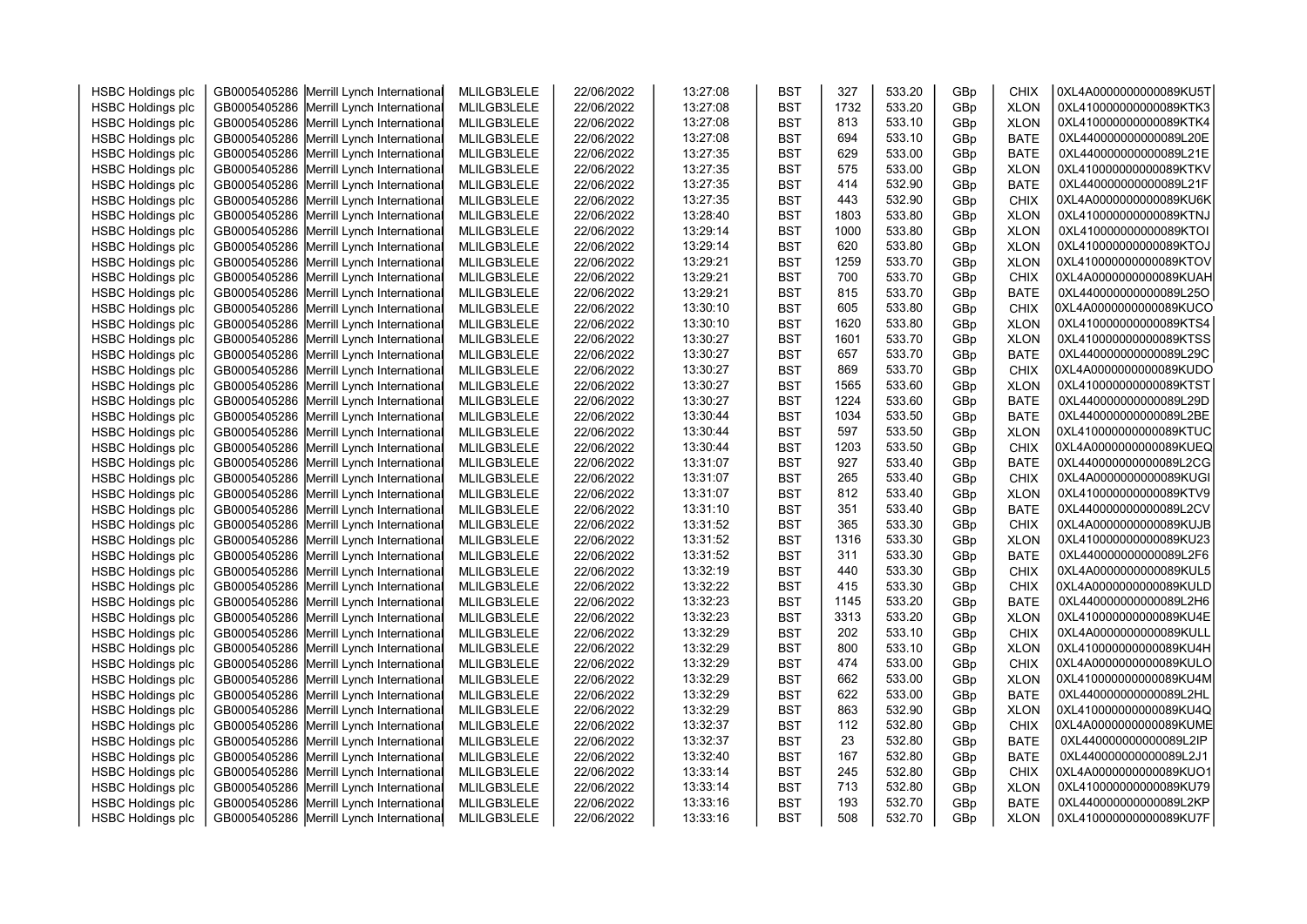| <b>HSBC Holdings plc</b> | GB0005405286 Merrill Lynch International | MLILGB3LELE | 22/06/2022 | 13:27:08 | <b>BST</b> | 327  | 533.20 | GBp | <b>CHIX</b> | 0XL4A0000000000089KU5T |  |
|--------------------------|------------------------------------------|-------------|------------|----------|------------|------|--------|-----|-------------|------------------------|--|
| <b>HSBC Holdings plc</b> | GB0005405286 Merrill Lynch International | MLILGB3LELE | 22/06/2022 | 13:27:08 | <b>BST</b> | 1732 | 533.20 | GBp | <b>XLON</b> | 0XL410000000000089KTK3 |  |
| <b>HSBC Holdings plc</b> | GB0005405286 Merrill Lynch International | MLILGB3LELE | 22/06/2022 | 13:27:08 | <b>BST</b> | 813  | 533.10 | GBp | <b>XLON</b> | 0XL410000000000089KTK4 |  |
| <b>HSBC Holdings plc</b> | GB0005405286 Merrill Lynch International | MLILGB3LELE | 22/06/2022 | 13:27:08 | <b>BST</b> | 694  | 533.10 | GBp | <b>BATE</b> | 0XL440000000000089L20E |  |
| <b>HSBC Holdings plc</b> | GB0005405286 Merrill Lynch International | MLILGB3LELE | 22/06/2022 | 13:27:35 | <b>BST</b> | 629  | 533.00 | GBp | <b>BATE</b> | 0XL440000000000089L21E |  |
| <b>HSBC Holdings plc</b> | GB0005405286 Merrill Lynch International | MLILGB3LELE | 22/06/2022 | 13:27:35 | <b>BST</b> | 575  | 533.00 | GBp | <b>XLON</b> | 0XL410000000000089KTKV |  |
| <b>HSBC Holdings plc</b> | GB0005405286 Merrill Lynch International | MLILGB3LELE | 22/06/2022 | 13:27:35 | <b>BST</b> | 414  | 532.90 | GBp | <b>BATE</b> | 0XL440000000000089L21F |  |
| <b>HSBC Holdings plc</b> | GB0005405286 Merrill Lynch International | MLILGB3LELE | 22/06/2022 | 13:27:35 | <b>BST</b> | 443  | 532.90 | GBp | <b>CHIX</b> | 0XL4A0000000000089KU6K |  |
| <b>HSBC Holdings plc</b> | GB0005405286 Merrill Lynch International | MLILGB3LELE | 22/06/2022 | 13:28:40 | <b>BST</b> | 1803 | 533.80 | GBp | <b>XLON</b> | 0XL410000000000089KTNJ |  |
| <b>HSBC Holdings plc</b> | GB0005405286 Merrill Lynch International | MLILGB3LELE | 22/06/2022 | 13:29:14 | <b>BST</b> | 1000 | 533.80 | GBp | <b>XLON</b> | 0XL410000000000089KTOI |  |
| <b>HSBC Holdings plc</b> | GB0005405286 Merrill Lynch International | MLILGB3LELE | 22/06/2022 | 13:29:14 | <b>BST</b> | 620  | 533.80 | GBp | <b>XLON</b> | 0XL410000000000089KTOJ |  |
| <b>HSBC Holdings plc</b> | GB0005405286 Merrill Lynch International | MLILGB3LELE | 22/06/2022 | 13:29:21 | <b>BST</b> | 1259 | 533.70 | GBp | <b>XLON</b> | 0XL410000000000089KTOV |  |
| <b>HSBC Holdings plc</b> | GB0005405286 Merrill Lynch International | MLILGB3LELE | 22/06/2022 | 13:29:21 | <b>BST</b> | 700  | 533.70 | GBp | <b>CHIX</b> | 0XL4A0000000000089KUAH |  |
| <b>HSBC Holdings plc</b> | GB0005405286 Merrill Lynch International | MLILGB3LELE | 22/06/2022 | 13:29:21 | <b>BST</b> | 815  | 533.70 | GBp | <b>BATE</b> | 0XL440000000000089L25O |  |
| <b>HSBC Holdings plc</b> | GB0005405286 Merrill Lynch International | MLILGB3LELE | 22/06/2022 | 13:30:10 | <b>BST</b> | 605  | 533.80 | GBp | <b>CHIX</b> | 0XL4A0000000000089KUCO |  |
| <b>HSBC Holdings plc</b> | GB0005405286 Merrill Lynch International | MLILGB3LELE | 22/06/2022 | 13:30:10 | <b>BST</b> | 1620 | 533.80 | GBp | <b>XLON</b> | 0XL410000000000089KTS4 |  |
| <b>HSBC Holdings plc</b> | GB0005405286 Merrill Lynch International | MLILGB3LELE | 22/06/2022 | 13:30:27 | <b>BST</b> | 1601 | 533.70 | GBp | <b>XLON</b> | 0XL410000000000089KTSS |  |
| <b>HSBC Holdings plc</b> | GB0005405286 Merrill Lynch International | MLILGB3LELE | 22/06/2022 | 13:30:27 | <b>BST</b> | 657  | 533.70 | GBp | <b>BATE</b> | 0XL440000000000089L29C |  |
| <b>HSBC Holdings plc</b> | GB0005405286 Merrill Lynch International | MLILGB3LELE | 22/06/2022 | 13:30:27 | <b>BST</b> | 869  | 533.70 | GBp | <b>CHIX</b> | 0XL4A0000000000089KUDO |  |
| <b>HSBC Holdings plc</b> | GB0005405286 Merrill Lynch International | MLILGB3LELE | 22/06/2022 | 13:30:27 | <b>BST</b> | 1565 | 533.60 | GBp | <b>XLON</b> | 0XL410000000000089KTST |  |
| <b>HSBC Holdings plc</b> | GB0005405286 Merrill Lynch International | MLILGB3LELE | 22/06/2022 | 13:30:27 | <b>BST</b> | 1224 | 533.60 | GBp | <b>BATE</b> | 0XL440000000000089L29D |  |
| <b>HSBC Holdings plc</b> | GB0005405286 Merrill Lynch International | MLILGB3LELE | 22/06/2022 | 13:30:44 | <b>BST</b> | 1034 | 533.50 | GBp | <b>BATE</b> | 0XL440000000000089L2BE |  |
| <b>HSBC Holdings plc</b> | GB0005405286 Merrill Lynch International | MLILGB3LELE | 22/06/2022 | 13:30:44 | <b>BST</b> | 597  | 533.50 | GBp | <b>XLON</b> | 0XL410000000000089KTUC |  |
| <b>HSBC Holdings plc</b> | GB0005405286 Merrill Lynch International | MLILGB3LELE | 22/06/2022 | 13:30:44 | <b>BST</b> | 1203 | 533.50 | GBp | <b>CHIX</b> | 0XL4A0000000000089KUEQ |  |
| <b>HSBC Holdings plc</b> | GB0005405286 Merrill Lynch International | MLILGB3LELE | 22/06/2022 | 13:31:07 | <b>BST</b> | 927  | 533.40 | GBp | <b>BATE</b> | 0XL440000000000089L2CG |  |
| <b>HSBC Holdings plc</b> | GB0005405286 Merrill Lynch International | MLILGB3LELE | 22/06/2022 | 13:31:07 | <b>BST</b> | 265  | 533.40 | GBp | <b>CHIX</b> | 0XL4A0000000000089KUGI |  |
| <b>HSBC Holdings plc</b> | GB0005405286 Merrill Lynch International | MLILGB3LELE | 22/06/2022 | 13:31:07 | <b>BST</b> | 812  | 533.40 | GBp | <b>XLON</b> | 0XL410000000000089KTV9 |  |
| <b>HSBC Holdings plc</b> | GB0005405286 Merrill Lynch International | MLILGB3LELE | 22/06/2022 | 13:31:10 | <b>BST</b> | 351  | 533.40 | GBp | <b>BATE</b> | 0XL440000000000089L2CV |  |
| <b>HSBC Holdings plc</b> | GB0005405286 Merrill Lynch International | MLILGB3LELE | 22/06/2022 | 13:31:52 | <b>BST</b> | 365  | 533.30 | GBp | <b>CHIX</b> | 0XL4A0000000000089KUJB |  |
|                          | GB0005405286 Merrill Lynch International |             |            |          |            | 1316 | 533.30 | GBp |             | 0XL410000000000089KU23 |  |
| <b>HSBC Holdings plc</b> |                                          | MLILGB3LELE | 22/06/2022 | 13:31:52 | <b>BST</b> | 311  | 533.30 |     | <b>XLON</b> | 0XL440000000000089L2F6 |  |
| <b>HSBC Holdings plc</b> | GB0005405286 Merrill Lynch International | MLILGB3LELE | 22/06/2022 | 13:31:52 | <b>BST</b> |      |        | GBp | <b>BATE</b> |                        |  |
| <b>HSBC Holdings plc</b> | GB0005405286 Merrill Lynch International | MLILGB3LELE | 22/06/2022 | 13:32:19 | <b>BST</b> | 440  | 533.30 | GBp | <b>CHIX</b> | 0XL4A0000000000089KUL5 |  |
| <b>HSBC Holdings plc</b> | GB0005405286 Merrill Lynch International | MLILGB3LELE | 22/06/2022 | 13:32:22 | <b>BST</b> | 415  | 533.30 | GBp | <b>CHIX</b> | 0XL4A0000000000089KULD |  |
| <b>HSBC Holdings plc</b> | GB0005405286 Merrill Lynch International | MLILGB3LELE | 22/06/2022 | 13:32:23 | <b>BST</b> | 1145 | 533.20 | GBp | <b>BATE</b> | 0XL440000000000089L2H6 |  |
| <b>HSBC Holdings plc</b> | GB0005405286 Merrill Lynch International | MLILGB3LELE | 22/06/2022 | 13:32:23 | <b>BST</b> | 3313 | 533.20 | GBp | <b>XLON</b> | 0XL410000000000089KU4E |  |
| <b>HSBC Holdings plc</b> | GB0005405286 Merrill Lynch International | MLILGB3LELE | 22/06/2022 | 13:32:29 | <b>BST</b> | 202  | 533.10 | GBp | <b>CHIX</b> | 0XL4A0000000000089KULL |  |
| <b>HSBC Holdings plc</b> | GB0005405286 Merrill Lynch International | MLILGB3LELE | 22/06/2022 | 13:32:29 | <b>BST</b> | 800  | 533.10 | GBp | <b>XLON</b> | 0XL410000000000089KU4H |  |
| <b>HSBC Holdings plc</b> | GB0005405286 Merrill Lynch International | MLILGB3LELE | 22/06/2022 | 13:32:29 | <b>BST</b> | 474  | 533.00 | GBp | <b>CHIX</b> | 0XL4A0000000000089KULO |  |
| <b>HSBC Holdings plc</b> | GB0005405286 Merrill Lynch International | MLILGB3LELE | 22/06/2022 | 13:32:29 | <b>BST</b> | 662  | 533.00 | GBp | <b>XLON</b> | 0XL410000000000089KU4M |  |
| <b>HSBC Holdings plc</b> | GB0005405286 Merrill Lynch International | MLILGB3LELE | 22/06/2022 | 13:32:29 | <b>BST</b> | 622  | 533.00 | GBp | <b>BATE</b> | 0XL440000000000089L2HL |  |
| <b>HSBC Holdings plc</b> | GB0005405286 Merrill Lynch International | MLILGB3LELE | 22/06/2022 | 13:32:29 | <b>BST</b> | 863  | 532.90 | GBp | <b>XLON</b> | 0XL410000000000089KU4Q |  |
| <b>HSBC Holdings plc</b> | GB0005405286 Merrill Lynch International | MLILGB3LELE | 22/06/2022 | 13:32:37 | <b>BST</b> | 112  | 532.80 | GBp | <b>CHIX</b> | 0XL4A0000000000089KUME |  |
| <b>HSBC Holdings plc</b> | GB0005405286 Merrill Lynch International | MLILGB3LELE | 22/06/2022 | 13:32:37 | <b>BST</b> | 23   | 532.80 | GBp | <b>BATE</b> | 0XL440000000000089L2IP |  |
| <b>HSBC Holdings plc</b> | GB0005405286 Merrill Lynch International | MLILGB3LELE | 22/06/2022 | 13:32:40 | <b>BST</b> | 167  | 532.80 | GBp | <b>BATE</b> | 0XL440000000000089L2J1 |  |
| <b>HSBC Holdings plc</b> | GB0005405286 Merrill Lynch International | MLILGB3LELE | 22/06/2022 | 13:33:14 | <b>BST</b> | 245  | 532.80 | GBp | <b>CHIX</b> | 0XL4A0000000000089KUO1 |  |
| <b>HSBC Holdings plc</b> | GB0005405286 Merrill Lynch International | MLILGB3LELE | 22/06/2022 | 13:33:14 | <b>BST</b> | 713  | 532.80 | GBp | <b>XLON</b> | 0XL410000000000089KU79 |  |
| <b>HSBC Holdings plc</b> | GB0005405286 Merrill Lynch International | MLILGB3LELE | 22/06/2022 | 13:33:16 | <b>BST</b> | 193  | 532.70 | GBp | <b>BATE</b> | 0XL440000000000089L2KP |  |
| <b>HSBC Holdings plc</b> | GB0005405286 Merrill Lynch International | MLILGB3LELE | 22/06/2022 | 13:33:16 | <b>BST</b> | 508  | 532.70 | GBp | <b>XLON</b> | 0XL410000000000089KU7F |  |
|                          |                                          |             |            |          |            |      |        |     |             |                        |  |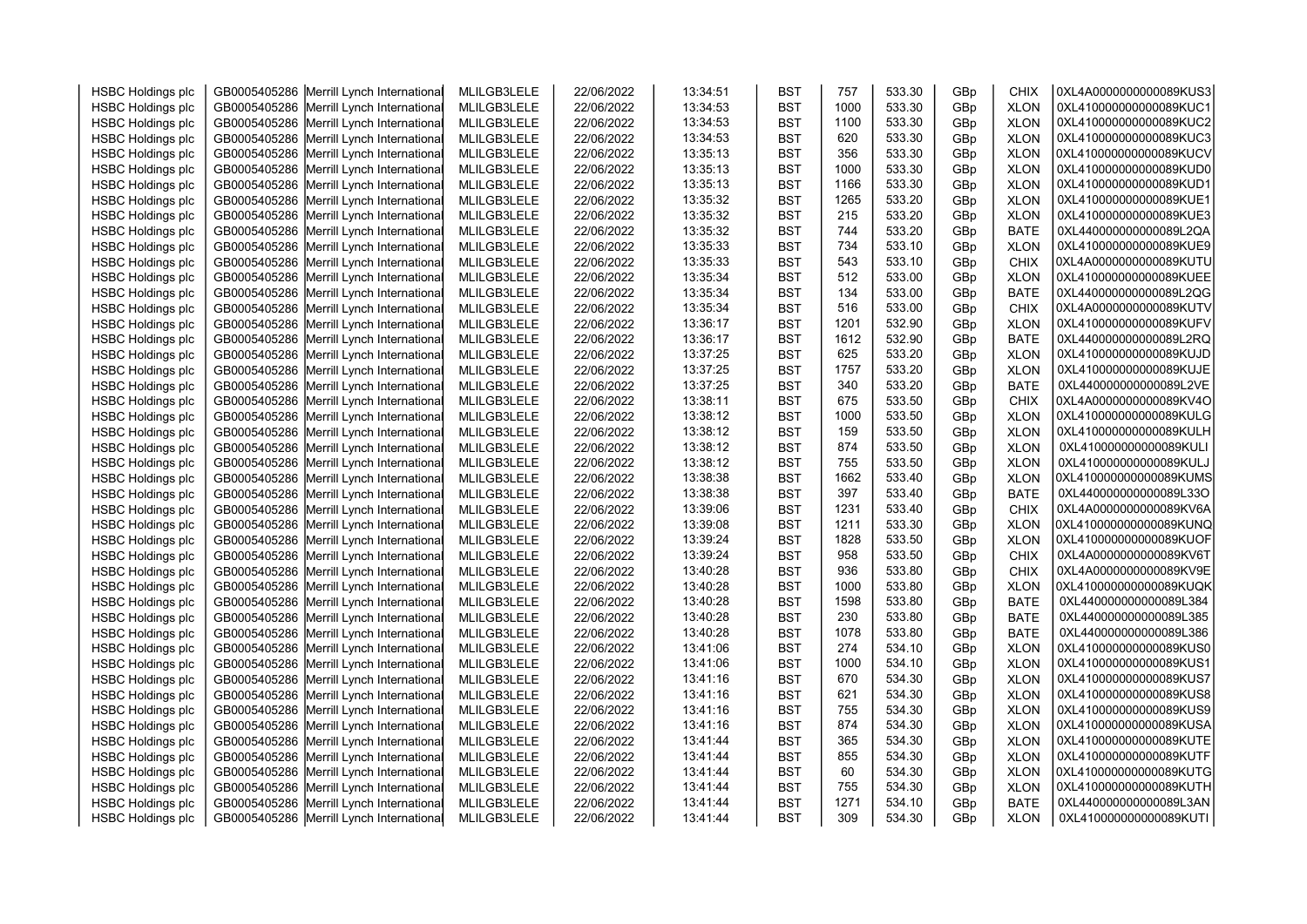| <b>HSBC Holdings plc</b> | GB0005405286 Merrill Lynch International | MLILGB3LELE | 22/06/2022 | 13:34:51 | <b>BST</b> | 757         | 533.30           | GBp | <b>CHIX</b>                | 0XL4A0000000000089KUS3 |  |
|--------------------------|------------------------------------------|-------------|------------|----------|------------|-------------|------------------|-----|----------------------------|------------------------|--|
| <b>HSBC Holdings plc</b> | GB0005405286 Merrill Lynch International | MLILGB3LELE | 22/06/2022 | 13:34:53 | <b>BST</b> | 1000        | 533.30           | GBp | <b>XLON</b>                | 0XL410000000000089KUC1 |  |
| <b>HSBC Holdings plc</b> | GB0005405286 Merrill Lynch International | MLILGB3LELE | 22/06/2022 | 13:34:53 | <b>BST</b> | 1100        | 533.30           | GBp | <b>XLON</b>                | 0XL410000000000089KUC2 |  |
| <b>HSBC Holdings plc</b> | GB0005405286 Merrill Lynch International | MLILGB3LELE | 22/06/2022 | 13:34:53 | <b>BST</b> | 620         | 533.30           | GBp | <b>XLON</b>                | 0XL410000000000089KUC3 |  |
| <b>HSBC Holdings plc</b> | GB0005405286 Merrill Lynch International | MLILGB3LELE | 22/06/2022 | 13:35:13 | <b>BST</b> | 356         | 533.30           | GBp | <b>XLON</b>                | 0XL410000000000089KUCV |  |
| <b>HSBC Holdings plc</b> | GB0005405286 Merrill Lynch International | MLILGB3LELE | 22/06/2022 | 13:35:13 | <b>BST</b> | 1000        | 533.30           | GBp | <b>XLON</b>                | 0XL410000000000089KUD0 |  |
| <b>HSBC Holdings plc</b> | GB0005405286 Merrill Lynch International | MLILGB3LELE | 22/06/2022 | 13:35:13 | <b>BST</b> | 1166        | 533.30           | GBp | <b>XLON</b>                | 0XL410000000000089KUD1 |  |
| <b>HSBC Holdings plc</b> | GB0005405286 Merrill Lynch International | MLILGB3LELE | 22/06/2022 | 13:35:32 | <b>BST</b> | 1265        | 533.20           | GBp | <b>XLON</b>                | 0XL410000000000089KUE1 |  |
| <b>HSBC Holdings plc</b> | GB0005405286 Merrill Lynch International | MLILGB3LELE | 22/06/2022 | 13:35:32 | <b>BST</b> | 215         | 533.20           | GBp | <b>XLON</b>                | 0XL410000000000089KUE3 |  |
| <b>HSBC Holdings plc</b> | GB0005405286 Merrill Lynch International | MLILGB3LELE | 22/06/2022 | 13:35:32 | <b>BST</b> | 744         | 533.20           | GBp | <b>BATE</b>                | 0XL440000000000089L2QA |  |
| <b>HSBC Holdings plc</b> | GB0005405286 Merrill Lynch International | MLILGB3LELE | 22/06/2022 | 13:35:33 | <b>BST</b> | 734         | 533.10           | GBp | <b>XLON</b>                | 0XL410000000000089KUE9 |  |
| <b>HSBC Holdings plc</b> | GB0005405286 Merrill Lynch International | MLILGB3LELE | 22/06/2022 | 13:35:33 | <b>BST</b> | 543         | 533.10           | GBp | CHIX                       | 0XL4A0000000000089KUTU |  |
| <b>HSBC Holdings plc</b> | GB0005405286 Merrill Lynch International | MLILGB3LELE | 22/06/2022 | 13:35:34 | <b>BST</b> | 512         | 533.00           | GBp | <b>XLON</b>                | 0XL410000000000089KUEE |  |
| <b>HSBC Holdings plc</b> | GB0005405286 Merrill Lynch International | MLILGB3LELE | 22/06/2022 | 13:35:34 | <b>BST</b> | 134         | 533.00           | GBp | <b>BATE</b>                | 0XL440000000000089L2QG |  |
| <b>HSBC Holdings plc</b> | GB0005405286 Merrill Lynch International | MLILGB3LELE | 22/06/2022 | 13:35:34 | <b>BST</b> | 516         | 533.00           | GBp | <b>CHIX</b>                | 0XL4A0000000000089KUTV |  |
| <b>HSBC Holdings plc</b> | GB0005405286 Merrill Lynch International | MLILGB3LELE | 22/06/2022 | 13:36:17 | <b>BST</b> | 1201        | 532.90           | GBp | <b>XLON</b>                | 0XL410000000000089KUFV |  |
| <b>HSBC Holdings plc</b> | GB0005405286 Merrill Lynch International | MLILGB3LELE | 22/06/2022 | 13:36:17 | <b>BST</b> | 1612        | 532.90           | GBp | <b>BATE</b>                | 0XL440000000000089L2RQ |  |
| <b>HSBC Holdings plc</b> | GB0005405286 Merrill Lynch International | MLILGB3LELE | 22/06/2022 | 13:37:25 | <b>BST</b> | 625         | 533.20           | GBp | <b>XLON</b>                | 0XL410000000000089KUJD |  |
| <b>HSBC Holdings plc</b> | GB0005405286 Merrill Lynch International | MLILGB3LELE | 22/06/2022 | 13:37:25 | <b>BST</b> | 1757        | 533.20           | GBp | <b>XLON</b>                | 0XL410000000000089KUJE |  |
| <b>HSBC Holdings plc</b> | GB0005405286 Merrill Lynch International | MLILGB3LELE | 22/06/2022 | 13:37:25 | <b>BST</b> | 340         | 533.20           | GBp | <b>BATE</b>                | 0XL440000000000089L2VE |  |
| <b>HSBC Holdings plc</b> | GB0005405286 Merrill Lynch International | MLILGB3LELE | 22/06/2022 | 13:38:11 | <b>BST</b> | 675         | 533.50           | GBp | <b>CHIX</b>                | 0XL4A0000000000089KV4O |  |
| <b>HSBC Holdings plc</b> | GB0005405286 Merrill Lynch International | MLILGB3LELE | 22/06/2022 | 13:38:12 | <b>BST</b> | 1000        | 533.50           | GBp | <b>XLON</b>                | 0XL410000000000089KULG |  |
| <b>HSBC Holdings plc</b> | GB0005405286 Merrill Lynch International | MLILGB3LELE | 22/06/2022 | 13:38:12 | <b>BST</b> | 159         | 533.50           | GBp | <b>XLON</b>                | 0XL410000000000089KULH |  |
| <b>HSBC Holdings plc</b> | GB0005405286 Merrill Lynch International | MLILGB3LELE | 22/06/2022 | 13:38:12 | <b>BST</b> | 874         | 533.50           | GBp | <b>XLON</b>                | 0XL410000000000089KULI |  |
| <b>HSBC Holdings plc</b> | GB0005405286 Merrill Lynch International | MLILGB3LELE | 22/06/2022 | 13:38:12 | <b>BST</b> | 755         | 533.50           | GBp | <b>XLON</b>                | 0XL410000000000089KULJ |  |
| <b>HSBC Holdings plc</b> | GB0005405286 Merrill Lynch International | MLILGB3LELE | 22/06/2022 | 13:38:38 | <b>BST</b> | 1662        | 533.40           | GBp | <b>XLON</b>                | 0XL410000000000089KUMS |  |
| <b>HSBC Holdings plc</b> | GB0005405286 Merrill Lynch International | MLILGB3LELE | 22/06/2022 | 13:38:38 | <b>BST</b> | 397         | 533.40           | GBp | <b>BATE</b>                | 0XL440000000000089L33O |  |
| <b>HSBC Holdings plc</b> | GB0005405286 Merrill Lynch International | MLILGB3LELE | 22/06/2022 | 13:39:06 | <b>BST</b> | 1231        | 533.40           | GBp | <b>CHIX</b>                | 0XL4A0000000000089KV6A |  |
| <b>HSBC Holdings plc</b> | GB0005405286 Merrill Lynch International | MLILGB3LELE | 22/06/2022 | 13:39:08 | <b>BST</b> | 1211        | 533.30           | GBp | <b>XLON</b>                | 0XL410000000000089KUNQ |  |
| <b>HSBC Holdings plc</b> | GB0005405286 Merrill Lynch International | MLILGB3LELE | 22/06/2022 | 13:39:24 | <b>BST</b> | 1828        | 533.50           | GBp | <b>XLON</b>                | 0XL410000000000089KUOF |  |
| <b>HSBC Holdings plc</b> | GB0005405286 Merrill Lynch International | MLILGB3LELE | 22/06/2022 | 13:39:24 | <b>BST</b> | 958         | 533.50           | GBp | <b>CHIX</b>                | 0XL4A0000000000089KV6T |  |
| <b>HSBC Holdings plc</b> | GB0005405286 Merrill Lynch International | MLILGB3LELE | 22/06/2022 | 13:40:28 | <b>BST</b> | 936         | 533.80           | GBp | <b>CHIX</b>                | 0XL4A0000000000089KV9E |  |
| <b>HSBC Holdings plc</b> | GB0005405286 Merrill Lynch International | MLILGB3LELE | 22/06/2022 | 13:40:28 | <b>BST</b> | 1000        | 533.80           | GBp | <b>XLON</b>                | 0XL410000000000089KUQK |  |
| <b>HSBC Holdings plc</b> | GB0005405286 Merrill Lynch International | MLILGB3LELE | 22/06/2022 | 13:40:28 | <b>BST</b> | 1598        | 533.80           | GBp | <b>BATE</b>                | 0XL440000000000089L384 |  |
| <b>HSBC Holdings plc</b> | GB0005405286 Merrill Lynch International | MLILGB3LELE | 22/06/2022 | 13:40:28 | <b>BST</b> | 230         | 533.80           | GBp | <b>BATE</b>                | 0XL440000000000089L385 |  |
| <b>HSBC Holdings plc</b> | GB0005405286 Merrill Lynch International | MLILGB3LELE | 22/06/2022 | 13:40:28 | <b>BST</b> | 1078        | 533.80           | GBp | <b>BATE</b>                | 0XL440000000000089L386 |  |
| <b>HSBC Holdings plc</b> | GB0005405286 Merrill Lynch International | MLILGB3LELE | 22/06/2022 | 13:41:06 | <b>BST</b> | 274         | 534.10           | GBp | <b>XLON</b>                | 0XL410000000000089KUS0 |  |
| <b>HSBC Holdings plc</b> | GB0005405286 Merrill Lynch International | MLILGB3LELE | 22/06/2022 | 13:41:06 | <b>BST</b> | 1000        | 534.10           | GBp | <b>XLON</b>                | 0XL410000000000089KUS1 |  |
| <b>HSBC Holdings plc</b> | GB0005405286 Merrill Lynch International | MLILGB3LELE | 22/06/2022 | 13:41:16 | <b>BST</b> | 670         | 534.30           | GBp | <b>XLON</b>                | 0XL410000000000089KUS7 |  |
| <b>HSBC Holdings plc</b> | GB0005405286 Merrill Lynch International | MLILGB3LELE | 22/06/2022 | 13:41:16 | <b>BST</b> | 621         | 534.30           | GBp | <b>XLON</b>                | 0XL410000000000089KUS8 |  |
| <b>HSBC Holdings plc</b> | GB0005405286 Merrill Lynch International | MLILGB3LELE | 22/06/2022 | 13:41:16 | <b>BST</b> | 755         | 534.30           | GBp | <b>XLON</b>                | 0XL410000000000089KUS9 |  |
| <b>HSBC Holdings plc</b> | GB0005405286 Merrill Lynch International | MLILGB3LELE | 22/06/2022 | 13:41:16 | <b>BST</b> | 874         | 534.30           | GBp | <b>XLON</b>                | 0XL410000000000089KUSA |  |
| <b>HSBC Holdings plc</b> | GB0005405286 Merrill Lynch International | MLILGB3LELE | 22/06/2022 | 13:41:44 | <b>BST</b> | 365         | 534.30           | GBp | <b>XLON</b>                | 0XL410000000000089KUTE |  |
|                          |                                          |             |            |          |            | 855         |                  |     |                            | 0XL410000000000089KUTF |  |
| <b>HSBC Holdings plc</b> | GB0005405286 Merrill Lynch International | MLILGB3LELE | 22/06/2022 | 13:41:44 | <b>BST</b> | 60          | 534.30<br>534.30 | GBp | <b>XLON</b>                | 0XL410000000000089KUTG |  |
| <b>HSBC Holdings plc</b> | GB0005405286 Merrill Lynch International | MLILGB3LELE | 22/06/2022 | 13:41:44 | <b>BST</b> |             |                  | GBp | <b>XLON</b>                | 0XL410000000000089KUTH |  |
| <b>HSBC Holdings plc</b> | GB0005405286 Merrill Lynch International | MLILGB3LELE | 22/06/2022 | 13:41:44 | <b>BST</b> | 755<br>1271 | 534.30<br>534.10 | GBp | <b>XLON</b><br><b>BATE</b> | 0XL440000000000089L3AN |  |
| <b>HSBC Holdings plc</b> | GB0005405286 Merrill Lynch International | MLILGB3LELE | 22/06/2022 | 13:41:44 | <b>BST</b> |             |                  | GBp |                            | 0XL410000000000089KUTI |  |
| <b>HSBC Holdings plc</b> | GB0005405286 Merrill Lynch International | MLILGB3LELE | 22/06/2022 | 13:41:44 | <b>BST</b> | 309         | 534.30           | GBp | <b>XLON</b>                |                        |  |
|                          |                                          |             |            |          |            |             |                  |     |                            |                        |  |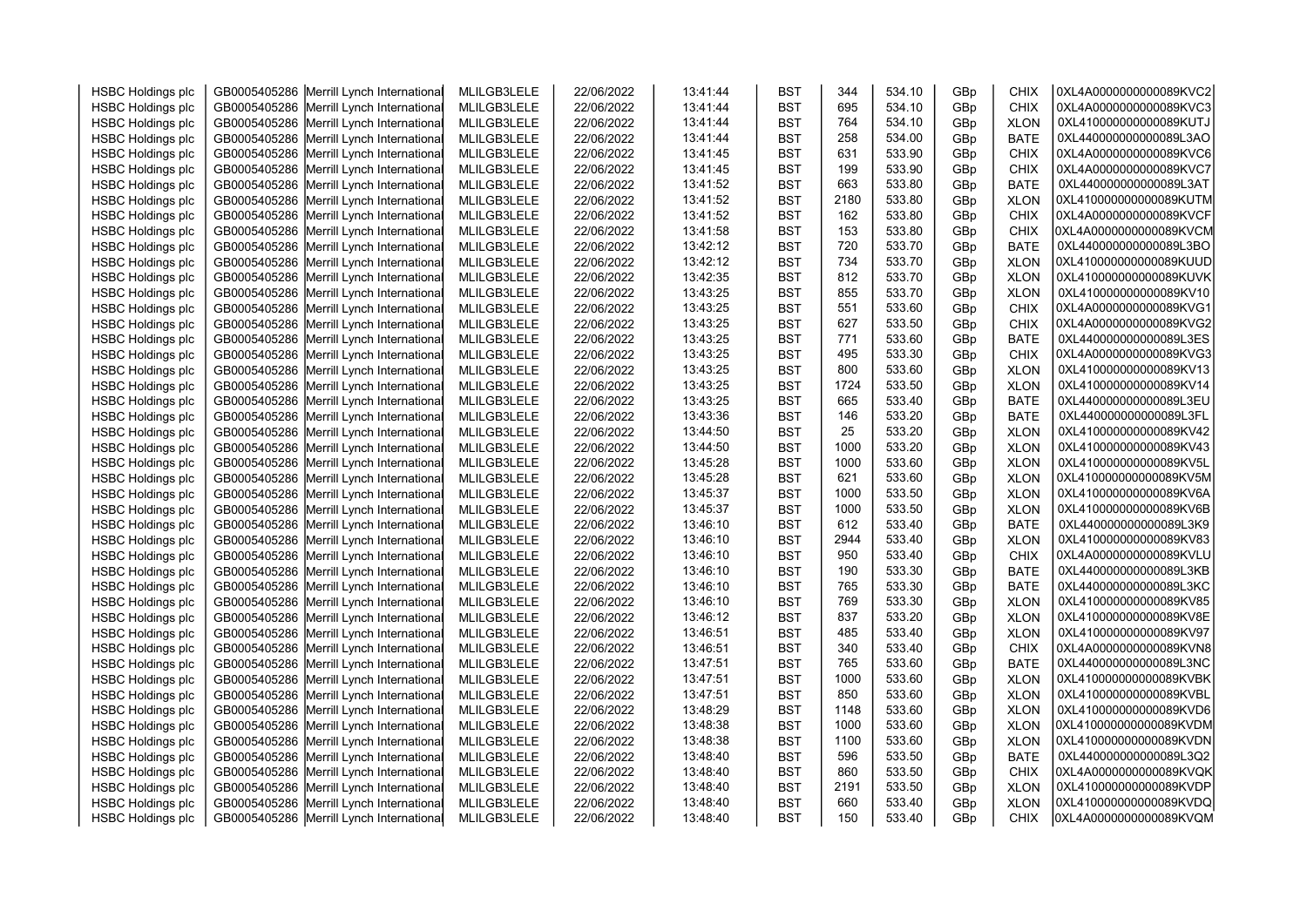| <b>HSBC Holdings plc</b> | GB0005405286 Merrill Lynch International   | MLILGB3LELE | 22/06/2022 | 13:41:44 | <b>BST</b> | 344  | 534.10 | GBp             | CHIX        | 0XL4A0000000000089KVC2 |
|--------------------------|--------------------------------------------|-------------|------------|----------|------------|------|--------|-----------------|-------------|------------------------|
| <b>HSBC Holdings plc</b> | GB0005405286<br>Merrill Lynch Internationa | MLILGB3LELE | 22/06/2022 | 13:41:44 | <b>BST</b> | 695  | 534.10 | GBp             | <b>CHIX</b> | 0XL4A0000000000089KVC3 |
| <b>HSBC Holdings plc</b> | GB0005405286<br>Merrill Lynch Internationa | MLILGB3LELE | 22/06/2022 | 13:41:44 | <b>BST</b> | 764  | 534.10 | GBp             | <b>XLON</b> | 0XL410000000000089KUTJ |
| <b>HSBC Holdings plc</b> | GB0005405286<br>Merrill Lynch Internationa | MLILGB3LELE | 22/06/2022 | 13:41:44 | <b>BST</b> | 258  | 534.00 | GBp             | <b>BATE</b> | 0XL440000000000089L3AO |
| <b>HSBC Holdings plc</b> | GB0005405286<br>Merrill Lynch Internationa | MLILGB3LELE | 22/06/2022 | 13:41:45 | <b>BST</b> | 631  | 533.90 | GBp             | <b>CHIX</b> | 0XL4A0000000000089KVC6 |
| <b>HSBC Holdings plc</b> | GB0005405286<br>Merrill Lynch Internationa | MLILGB3LELE | 22/06/2022 | 13:41:45 | <b>BST</b> | 199  | 533.90 | GBp             | <b>CHIX</b> | 0XL4A0000000000089KVC7 |
| <b>HSBC Holdings plc</b> | GB0005405286<br>Merrill Lynch Internationa | MLILGB3LELE | 22/06/2022 | 13:41:52 | <b>BST</b> | 663  | 533.80 | GB <sub>p</sub> | <b>BATE</b> | 0XL440000000000089L3AT |
| <b>HSBC Holdings plc</b> | GB0005405286<br>Merrill Lynch Internationa | MLILGB3LELE | 22/06/2022 | 13:41:52 | <b>BST</b> | 2180 | 533.80 | GBp             | <b>XLON</b> | 0XL410000000000089KUTM |
| <b>HSBC Holdings plc</b> | GB0005405286<br>Merrill Lynch Internationa | MLILGB3LELE | 22/06/2022 | 13:41:52 | <b>BST</b> | 162  | 533.80 | GBp             | <b>CHIX</b> | 0XL4A0000000000089KVCF |
| <b>HSBC Holdings plc</b> | GB0005405286<br>Merrill Lynch Internationa | MLILGB3LELE | 22/06/2022 | 13:41:58 | <b>BST</b> | 153  | 533.80 | GBp             | <b>CHIX</b> | 0XL4A0000000000089KVCM |
| <b>HSBC Holdings plc</b> | Merrill Lynch Internationa<br>GB0005405286 | MLILGB3LELE | 22/06/2022 | 13:42:12 | <b>BST</b> | 720  | 533.70 | GBp             | <b>BATE</b> | 0XL440000000000089L3BO |
| <b>HSBC Holdings plc</b> | GB0005405286<br>Merrill Lynch Internationa | MLILGB3LELE | 22/06/2022 | 13:42:12 | <b>BST</b> | 734  | 533.70 | GBp             | <b>XLON</b> | 0XL410000000000089KUUD |
| <b>HSBC Holdings plc</b> | GB0005405286<br>Merrill Lynch Internationa | MLILGB3LELE | 22/06/2022 | 13:42:35 | <b>BST</b> | 812  | 533.70 | GB <sub>p</sub> | <b>XLON</b> | 0XL410000000000089KUVK |
| <b>HSBC Holdings plc</b> | GB0005405286<br>Merrill Lynch Internationa | MLILGB3LELE | 22/06/2022 | 13:43:25 | <b>BST</b> | 855  | 533.70 | GBp             | <b>XLON</b> | 0XL410000000000089KV10 |
| <b>HSBC Holdings plc</b> | GB0005405286<br>Merrill Lynch Internationa | MLILGB3LELE | 22/06/2022 | 13:43:25 | <b>BST</b> | 551  | 533.60 | GBp             | <b>CHIX</b> | 0XL4A0000000000089KVG1 |
| <b>HSBC Holdings plc</b> | GB0005405286<br>Merrill Lynch Internationa | MLILGB3LELE | 22/06/2022 | 13:43:25 | <b>BST</b> | 627  | 533.50 | GBp             | <b>CHIX</b> | 0XL4A0000000000089KVG2 |
| <b>HSBC Holdings plc</b> | GB0005405286<br>Merrill Lynch Internationa | MLILGB3LELE | 22/06/2022 | 13:43:25 | <b>BST</b> | 771  | 533.60 | GBp             | <b>BATE</b> | 0XL440000000000089L3ES |
| <b>HSBC Holdings plc</b> | GB0005405286<br>Merrill Lynch Internationa | MLILGB3LELE | 22/06/2022 | 13:43:25 | <b>BST</b> | 495  | 533.30 | GBp             | <b>CHIX</b> | 0XL4A0000000000089KVG3 |
| <b>HSBC Holdings plc</b> | GB0005405286<br>Merrill Lynch Internationa | MLILGB3LELE | 22/06/2022 | 13:43:25 | <b>BST</b> | 800  | 533.60 | GBp             | <b>XLON</b> | 0XL410000000000089KV13 |
| <b>HSBC Holdings plc</b> | GB0005405286<br>Merrill Lynch Internationa | MLILGB3LELE | 22/06/2022 | 13:43:25 | <b>BST</b> | 1724 | 533.50 | GBp             | <b>XLON</b> | 0XL410000000000089KV14 |
| <b>HSBC Holdings plc</b> | GB0005405286<br>Merrill Lynch Internationa | MLILGB3LELE | 22/06/2022 | 13:43:25 | <b>BST</b> | 665  | 533.40 | GBp             | <b>BATE</b> | 0XL440000000000089L3EU |
| <b>HSBC Holdings plc</b> | GB0005405286<br>Merrill Lynch Internationa | MLILGB3LELE | 22/06/2022 | 13:43:36 | <b>BST</b> | 146  | 533.20 | GBp             | <b>BATE</b> | 0XL440000000000089L3FL |
| <b>HSBC Holdings plc</b> | GB0005405286<br>Merrill Lynch Internationa | MLILGB3LELE | 22/06/2022 | 13:44:50 | <b>BST</b> | 25   | 533.20 | GBp             | <b>XLON</b> | 0XL410000000000089KV42 |
| <b>HSBC Holdings plc</b> | GB0005405286<br>Merrill Lynch Internationa | MLILGB3LELE | 22/06/2022 | 13:44:50 | <b>BST</b> | 1000 | 533.20 | GBp             | <b>XLON</b> | 0XL410000000000089KV43 |
| <b>HSBC Holdings plc</b> | GB0005405286 Merrill Lynch Internationa    | MLILGB3LELE | 22/06/2022 | 13:45:28 | <b>BST</b> | 1000 | 533.60 | GBp             | <b>XLON</b> | 0XL410000000000089KV5L |
| <b>HSBC Holdings plc</b> | Merrill Lynch Internationa<br>GB0005405286 | MLILGB3LELE | 22/06/2022 | 13:45:28 | <b>BST</b> | 621  | 533.60 | GBp             | <b>XLON</b> | 0XL410000000000089KV5M |
| <b>HSBC Holdings plc</b> | GB0005405286<br>Merrill Lynch Internationa | MLILGB3LELE | 22/06/2022 | 13:45:37 | <b>BST</b> | 1000 | 533.50 | GBp             | <b>XLON</b> | 0XL410000000000089KV6A |
| <b>HSBC Holdings plc</b> | GB0005405286<br>Merrill Lynch Internationa | MLILGB3LELE | 22/06/2022 | 13:45:37 | <b>BST</b> | 1000 | 533.50 | GBp             | <b>XLON</b> | 0XL410000000000089KV6B |
| <b>HSBC Holdings plc</b> | GB0005405286<br>Merrill Lynch Internationa | MLILGB3LELE | 22/06/2022 | 13:46:10 | <b>BST</b> | 612  | 533.40 | GBp             | <b>BATE</b> | 0XL440000000000089L3K9 |
| <b>HSBC Holdings plc</b> | GB0005405286<br>Merrill Lynch Internationa | MLILGB3LELE | 22/06/2022 | 13:46:10 | <b>BST</b> | 2944 | 533.40 | GBp             | <b>XLON</b> | 0XL410000000000089KV83 |
| <b>HSBC Holdings plc</b> | GB0005405286<br>Merrill Lynch Internationa | MLILGB3LELE | 22/06/2022 | 13:46:10 | <b>BST</b> | 950  | 533.40 | GBp             | <b>CHIX</b> | 0XL4A0000000000089KVLU |
| <b>HSBC Holdings plc</b> | GB0005405286<br>Merrill Lynch Internationa | MLILGB3LELE | 22/06/2022 | 13:46:10 | <b>BST</b> | 190  | 533.30 | GBp             | <b>BATE</b> | 0XL440000000000089L3KB |
| <b>HSBC Holdings plc</b> | GB0005405286<br>Merrill Lynch Internationa | MLILGB3LELE | 22/06/2022 | 13:46:10 | <b>BST</b> | 765  | 533.30 | GBp             | <b>BATE</b> | 0XL440000000000089L3KC |
| <b>HSBC Holdings plc</b> | GB0005405286<br>Merrill Lynch Internationa | MLILGB3LELE | 22/06/2022 | 13:46:10 | <b>BST</b> | 769  | 533.30 | GBp             | <b>XLON</b> | 0XL410000000000089KV85 |
| <b>HSBC Holdings plc</b> | GB0005405286<br>Merrill Lynch Internationa | MLILGB3LELE | 22/06/2022 | 13:46:12 | <b>BST</b> | 837  | 533.20 | GBp             | <b>XLON</b> | 0XL410000000000089KV8E |
| <b>HSBC Holdings plc</b> | GB0005405286<br>Merrill Lynch Internationa | MLILGB3LELE | 22/06/2022 | 13:46:51 | <b>BST</b> | 485  | 533.40 | GBp             | <b>XLON</b> | 0XL410000000000089KV97 |
| <b>HSBC Holdings plc</b> | GB0005405286<br>Merrill Lynch Internationa | MLILGB3LELE | 22/06/2022 | 13:46:51 | <b>BST</b> | 340  | 533.40 | GBp             | <b>CHIX</b> | 0XL4A0000000000089KVN8 |
| <b>HSBC Holdings plc</b> | GB0005405286<br>Merrill Lynch Internationa | MLILGB3LELE | 22/06/2022 | 13:47:51 | <b>BST</b> | 765  | 533.60 | GBp             | <b>BATE</b> | 0XL440000000000089L3NC |
| <b>HSBC Holdings plc</b> | GB0005405286<br>Merrill Lynch Internationa | MLILGB3LELE | 22/06/2022 | 13:47:51 | <b>BST</b> | 1000 | 533.60 | GBp             | <b>XLON</b> | 0XL410000000000089KVBK |
| <b>HSBC Holdings plc</b> | GB0005405286<br>Merrill Lynch Internationa | MLILGB3LELE | 22/06/2022 | 13:47:51 | <b>BST</b> | 850  | 533.60 | GBp             | <b>XLON</b> | 0XL410000000000089KVBL |
| <b>HSBC Holdings plc</b> | GB0005405286<br>Merrill Lynch Internationa | MLILGB3LELE | 22/06/2022 | 13:48:29 | <b>BST</b> | 1148 | 533.60 | GBp             | <b>XLON</b> | 0XL410000000000089KVD6 |
| <b>HSBC Holdings plc</b> | GB0005405286<br>Merrill Lynch Internationa | MLILGB3LELE | 22/06/2022 | 13:48:38 | <b>BST</b> | 1000 | 533.60 | GBp             | <b>XLON</b> | 0XL410000000000089KVDM |
| <b>HSBC Holdings plc</b> | GB0005405286<br>Merrill Lynch Internationa | MLILGB3LELE | 22/06/2022 | 13:48:38 | <b>BST</b> | 1100 | 533.60 | GBp             | <b>XLON</b> | 0XL410000000000089KVDN |
| <b>HSBC Holdings plc</b> | GB0005405286<br>Merrill Lynch Internationa | MLILGB3LELE | 22/06/2022 | 13:48:40 | <b>BST</b> | 596  | 533.50 | GBp             | <b>BATE</b> | 0XL440000000000089L3Q2 |
| <b>HSBC Holdings plc</b> | GB0005405286<br>Merrill Lynch Internationa | MLILGB3LELE | 22/06/2022 | 13:48:40 | <b>BST</b> | 860  | 533.50 | GBp             | <b>CHIX</b> | 0XL4A0000000000089KVQK |
| <b>HSBC Holdings plc</b> | GB0005405286 Merrill Lynch Internationa    | MLILGB3LELE | 22/06/2022 | 13:48:40 | <b>BST</b> | 2191 | 533.50 | GBp             | <b>XLON</b> | 0XL410000000000089KVDP |
| <b>HSBC Holdings plc</b> | GB0005405286 Merrill Lynch Internationa    | MLILGB3LELE | 22/06/2022 | 13:48:40 | <b>BST</b> | 660  | 533.40 | GBp             | <b>XLON</b> | 0XL410000000000089KVDQ |
| <b>HSBC Holdings plc</b> | GB0005405286 Merrill Lynch International   | MLILGB3LELE | 22/06/2022 | 13:48:40 | <b>BST</b> | 150  | 533.40 | GBp             | <b>CHIX</b> | 0XL4A0000000000089KVQM |
|                          |                                            |             |            |          |            |      |        |                 |             |                        |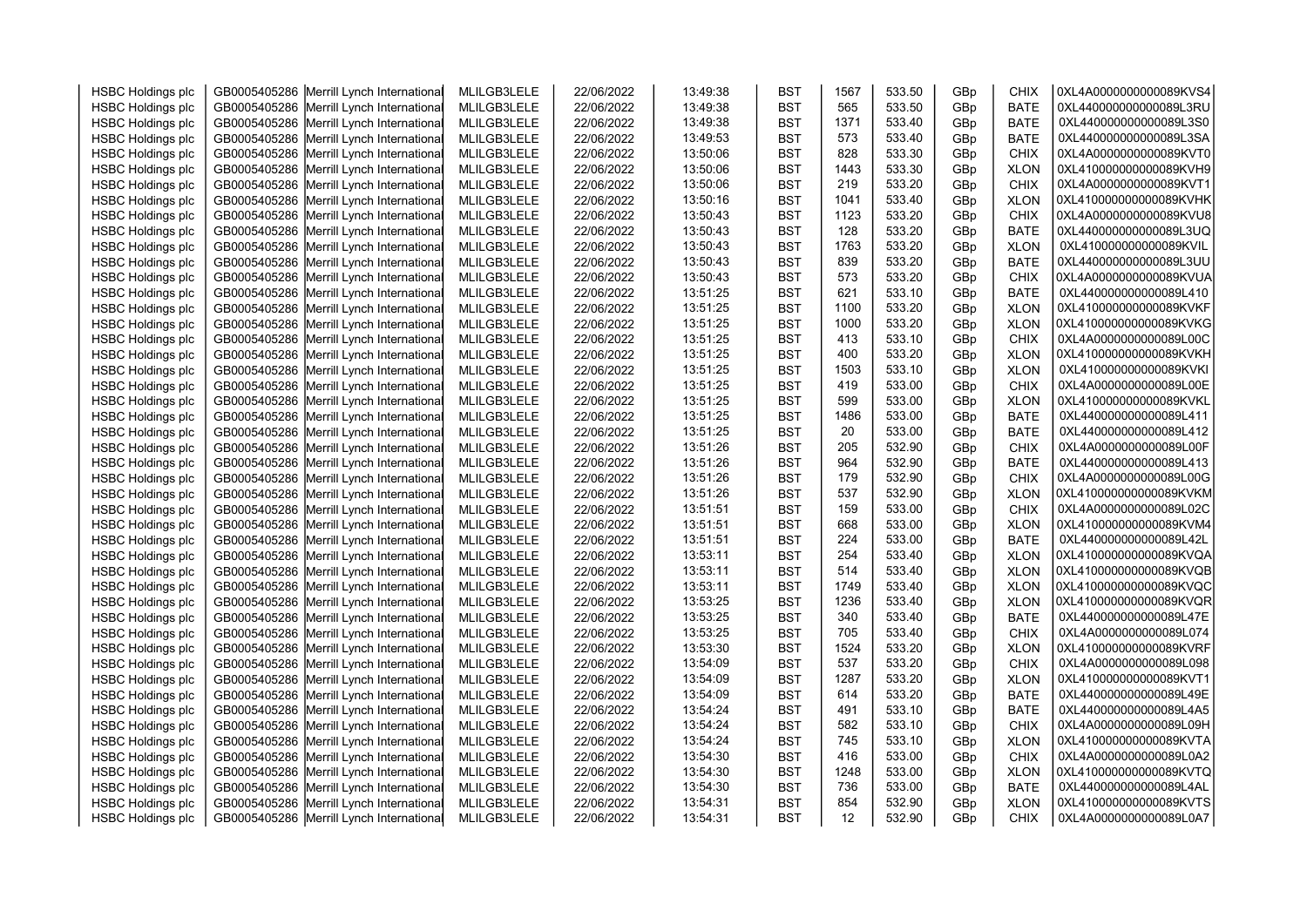| <b>HSBC Holdings plc</b> | GB0005405286 Merrill Lynch International | MLILGB3LELE | 22/06/2022 | 13:49:38 | <b>BST</b> | 1567 | 533.50 | GBp | <b>CHIX</b> | 0XL4A0000000000089KVS4 |  |
|--------------------------|------------------------------------------|-------------|------------|----------|------------|------|--------|-----|-------------|------------------------|--|
| <b>HSBC Holdings plc</b> | GB0005405286 Merrill Lynch International | MLILGB3LELE | 22/06/2022 | 13:49:38 | <b>BST</b> | 565  | 533.50 | GBp | <b>BATE</b> | 0XL440000000000089L3RU |  |
| <b>HSBC Holdings plc</b> | GB0005405286 Merrill Lynch International | MLILGB3LELE | 22/06/2022 | 13:49:38 | <b>BST</b> | 1371 | 533.40 | GBp | <b>BATE</b> | 0XL440000000000089L3S0 |  |
| <b>HSBC Holdings plc</b> | GB0005405286 Merrill Lynch International | MLILGB3LELE | 22/06/2022 | 13:49:53 | <b>BST</b> | 573  | 533.40 | GBp | <b>BATE</b> | 0XL440000000000089L3SA |  |
| <b>HSBC Holdings plc</b> | GB0005405286 Merrill Lynch International | MLILGB3LELE | 22/06/2022 | 13:50:06 | <b>BST</b> | 828  | 533.30 | GBp | <b>CHIX</b> | 0XL4A0000000000089KVT0 |  |
| <b>HSBC Holdings plc</b> | GB0005405286 Merrill Lynch International | MLILGB3LELE | 22/06/2022 | 13:50:06 | <b>BST</b> | 1443 | 533.30 | GBp | <b>XLON</b> | 0XL410000000000089KVH9 |  |
| <b>HSBC Holdings plc</b> | GB0005405286 Merrill Lynch International | MLILGB3LELE | 22/06/2022 | 13:50:06 | <b>BST</b> | 219  | 533.20 | GBp | <b>CHIX</b> | 0XL4A0000000000089KVT1 |  |
| <b>HSBC Holdings plc</b> | GB0005405286 Merrill Lynch International | MLILGB3LELE | 22/06/2022 | 13:50:16 | <b>BST</b> | 1041 | 533.40 | GBp | <b>XLON</b> | 0XL410000000000089KVHK |  |
| <b>HSBC Holdings plc</b> | GB0005405286 Merrill Lynch International | MLILGB3LELE | 22/06/2022 | 13:50:43 | <b>BST</b> | 1123 | 533.20 | GBp | <b>CHIX</b> | 0XL4A0000000000089KVU8 |  |
| <b>HSBC Holdings plc</b> | GB0005405286 Merrill Lynch International | MLILGB3LELE | 22/06/2022 | 13:50:43 | <b>BST</b> | 128  | 533.20 | GBp | <b>BATE</b> | 0XL440000000000089L3UQ |  |
| <b>HSBC Holdings plc</b> | GB0005405286 Merrill Lynch International | MLILGB3LELE | 22/06/2022 | 13:50:43 | <b>BST</b> | 1763 | 533.20 | GBp | <b>XLON</b> | 0XL410000000000089KVIL |  |
| <b>HSBC Holdings plc</b> | GB0005405286 Merrill Lynch International | MLILGB3LELE | 22/06/2022 | 13:50:43 | <b>BST</b> | 839  | 533.20 | GBp | <b>BATE</b> | 0XL440000000000089L3UU |  |
| <b>HSBC Holdings plc</b> | GB0005405286 Merrill Lynch International | MLILGB3LELE | 22/06/2022 | 13:50:43 | <b>BST</b> | 573  | 533.20 | GBp | <b>CHIX</b> | 0XL4A0000000000089KVUA |  |
| <b>HSBC Holdings plc</b> | GB0005405286 Merrill Lynch International | MLILGB3LELE | 22/06/2022 | 13:51:25 | <b>BST</b> | 621  | 533.10 | GBp | <b>BATE</b> | 0XL440000000000089L410 |  |
| <b>HSBC Holdings plc</b> | GB0005405286 Merrill Lynch International | MLILGB3LELE | 22/06/2022 | 13:51:25 | <b>BST</b> | 1100 | 533.20 | GBp | <b>XLON</b> | 0XL410000000000089KVKF |  |
| <b>HSBC Holdings plc</b> | GB0005405286 Merrill Lynch International | MLILGB3LELE | 22/06/2022 | 13:51:25 | <b>BST</b> | 1000 | 533.20 | GBp | <b>XLON</b> | 0XL410000000000089KVKG |  |
| <b>HSBC Holdings plc</b> | GB0005405286 Merrill Lynch International | MLILGB3LELE | 22/06/2022 | 13:51:25 | <b>BST</b> | 413  | 533.10 | GBp | <b>CHIX</b> | 0XL4A0000000000089L00C |  |
| <b>HSBC Holdings plc</b> | GB0005405286 Merrill Lynch International | MLILGB3LELE | 22/06/2022 | 13:51:25 | <b>BST</b> | 400  | 533.20 | GBp | <b>XLON</b> | 0XL410000000000089KVKH |  |
| <b>HSBC Holdings plc</b> | GB0005405286 Merrill Lynch International | MLILGB3LELE | 22/06/2022 | 13:51:25 | <b>BST</b> | 1503 | 533.10 | GBp | <b>XLON</b> | 0XL410000000000089KVKI |  |
| <b>HSBC Holdings plc</b> | GB0005405286 Merrill Lynch International | MLILGB3LELE | 22/06/2022 | 13:51:25 | <b>BST</b> | 419  | 533.00 | GBp | <b>CHIX</b> | 0XL4A0000000000089L00E |  |
| <b>HSBC Holdings plc</b> | GB0005405286 Merrill Lynch International | MLILGB3LELE | 22/06/2022 | 13:51:25 | <b>BST</b> | 599  | 533.00 | GBp | <b>XLON</b> | 0XL410000000000089KVKL |  |
| <b>HSBC Holdings plc</b> | GB0005405286 Merrill Lynch International | MLILGB3LELE | 22/06/2022 | 13:51:25 | <b>BST</b> | 1486 | 533.00 | GBp | <b>BATE</b> | 0XL440000000000089L411 |  |
| <b>HSBC Holdings plc</b> | GB0005405286 Merrill Lynch International | MLILGB3LELE | 22/06/2022 | 13:51:25 | <b>BST</b> | 20   | 533.00 | GBp | <b>BATE</b> | 0XL440000000000089L412 |  |
| <b>HSBC Holdings plc</b> | GB0005405286 Merrill Lynch International | MLILGB3LELE | 22/06/2022 | 13:51:26 | <b>BST</b> | 205  | 532.90 | GBp | <b>CHIX</b> | 0XL4A0000000000089L00F |  |
| <b>HSBC Holdings plc</b> | GB0005405286 Merrill Lynch International | MLILGB3LELE | 22/06/2022 | 13:51:26 | <b>BST</b> | 964  | 532.90 | GBp | <b>BATE</b> | 0XL440000000000089L413 |  |
| <b>HSBC Holdings plc</b> | GB0005405286 Merrill Lynch International | MLILGB3LELE | 22/06/2022 | 13:51:26 | <b>BST</b> | 179  | 532.90 | GBp | <b>CHIX</b> | 0XL4A0000000000089L00G |  |
| <b>HSBC Holdings plc</b> | GB0005405286 Merrill Lynch International | MLILGB3LELE | 22/06/2022 | 13:51:26 | <b>BST</b> | 537  | 532.90 | GBp | <b>XLON</b> | 0XL410000000000089KVKM |  |
| <b>HSBC Holdings plc</b> | GB0005405286 Merrill Lynch International | MLILGB3LELE | 22/06/2022 | 13:51:51 | <b>BST</b> | 159  | 533.00 | GBp | <b>CHIX</b> | 0XL4A0000000000089L02C |  |
| <b>HSBC Holdings plc</b> | GB0005405286 Merrill Lynch International | MLILGB3LELE | 22/06/2022 | 13:51:51 | <b>BST</b> | 668  | 533.00 | GBp | <b>XLON</b> | 0XL410000000000089KVM4 |  |
|                          | GB0005405286 Merrill Lynch International |             |            |          |            | 224  | 533.00 | GBp |             | 0XL440000000000089L42L |  |
| <b>HSBC Holdings plc</b> |                                          | MLILGB3LELE | 22/06/2022 | 13:51:51 | <b>BST</b> | 254  | 533.40 |     | <b>BATE</b> | 0XL410000000000089KVQA |  |
| <b>HSBC Holdings plc</b> | GB0005405286 Merrill Lynch International | MLILGB3LELE | 22/06/2022 | 13:53:11 | <b>BST</b> |      |        | GBp | <b>XLON</b> |                        |  |
| <b>HSBC Holdings plc</b> | GB0005405286 Merrill Lynch International | MLILGB3LELE | 22/06/2022 | 13:53:11 | <b>BST</b> | 514  | 533.40 | GBp | <b>XLON</b> | 0XL410000000000089KVQB |  |
| <b>HSBC Holdings plc</b> | GB0005405286 Merrill Lynch International | MLILGB3LELE | 22/06/2022 | 13:53:11 | <b>BST</b> | 1749 | 533.40 | GBp | <b>XLON</b> | 0XL410000000000089KVQC |  |
| <b>HSBC Holdings plc</b> | GB0005405286 Merrill Lynch International | MLILGB3LELE | 22/06/2022 | 13:53:25 | <b>BST</b> | 1236 | 533.40 | GBp | <b>XLON</b> | 0XL410000000000089KVQR |  |
| <b>HSBC Holdings plc</b> | GB0005405286 Merrill Lynch International | MLILGB3LELE | 22/06/2022 | 13:53:25 | <b>BST</b> | 340  | 533.40 | GBp | <b>BATE</b> | 0XL440000000000089L47E |  |
| <b>HSBC Holdings plc</b> | GB0005405286 Merrill Lynch International | MLILGB3LELE | 22/06/2022 | 13:53:25 | <b>BST</b> | 705  | 533.40 | GBp | <b>CHIX</b> | 0XL4A0000000000089L074 |  |
| <b>HSBC Holdings plc</b> | GB0005405286 Merrill Lynch International | MLILGB3LELE | 22/06/2022 | 13:53:30 | <b>BST</b> | 1524 | 533.20 | GBp | <b>XLON</b> | 0XL410000000000089KVRF |  |
| <b>HSBC Holdings plc</b> | GB0005405286 Merrill Lynch International | MLILGB3LELE | 22/06/2022 | 13:54:09 | <b>BST</b> | 537  | 533.20 | GBp | <b>CHIX</b> | 0XL4A0000000000089L098 |  |
| <b>HSBC Holdings plc</b> | GB0005405286 Merrill Lynch International | MLILGB3LELE | 22/06/2022 | 13:54:09 | <b>BST</b> | 1287 | 533.20 | GBp | <b>XLON</b> | 0XL410000000000089KVT1 |  |
| <b>HSBC Holdings plc</b> | GB0005405286 Merrill Lynch International | MLILGB3LELE | 22/06/2022 | 13:54:09 | <b>BST</b> | 614  | 533.20 | GBp | <b>BATE</b> | 0XL440000000000089L49E |  |
| <b>HSBC Holdings plc</b> | GB0005405286 Merrill Lynch International | MLILGB3LELE | 22/06/2022 | 13:54:24 | <b>BST</b> | 491  | 533.10 | GBp | <b>BATE</b> | 0XL440000000000089L4A5 |  |
| <b>HSBC Holdings plc</b> | GB0005405286 Merrill Lynch International | MLILGB3LELE | 22/06/2022 | 13:54:24 | <b>BST</b> | 582  | 533.10 | GBp | <b>CHIX</b> | 0XL4A0000000000089L09H |  |
| <b>HSBC Holdings plc</b> | GB0005405286 Merrill Lynch International | MLILGB3LELE | 22/06/2022 | 13:54:24 | <b>BST</b> | 745  | 533.10 | GBp | <b>XLON</b> | 0XL410000000000089KVTA |  |
| <b>HSBC Holdings plc</b> | GB0005405286 Merrill Lynch International | MLILGB3LELE | 22/06/2022 | 13:54:30 | <b>BST</b> | 416  | 533.00 | GBp | <b>CHIX</b> | 0XL4A0000000000089L0A2 |  |
| <b>HSBC Holdings plc</b> | GB0005405286 Merrill Lynch International | MLILGB3LELE | 22/06/2022 | 13:54:30 | <b>BST</b> | 1248 | 533.00 | GBp | <b>XLON</b> | 0XL410000000000089KVTQ |  |
| <b>HSBC Holdings plc</b> | GB0005405286 Merrill Lynch International | MLILGB3LELE | 22/06/2022 | 13:54:30 | <b>BST</b> | 736  | 533.00 | GBp | <b>BATE</b> | 0XL440000000000089L4AL |  |
| <b>HSBC Holdings plc</b> | GB0005405286 Merrill Lynch International | MLILGB3LELE | 22/06/2022 | 13:54:31 | <b>BST</b> | 854  | 532.90 | GBp | <b>XLON</b> | 0XL410000000000089KVTS |  |
| <b>HSBC Holdings plc</b> | GB0005405286 Merrill Lynch International | MLILGB3LELE | 22/06/2022 | 13:54:31 | <b>BST</b> | 12   | 532.90 | GBp | <b>CHIX</b> | 0XL4A0000000000089L0A7 |  |
|                          |                                          |             |            |          |            |      |        |     |             |                        |  |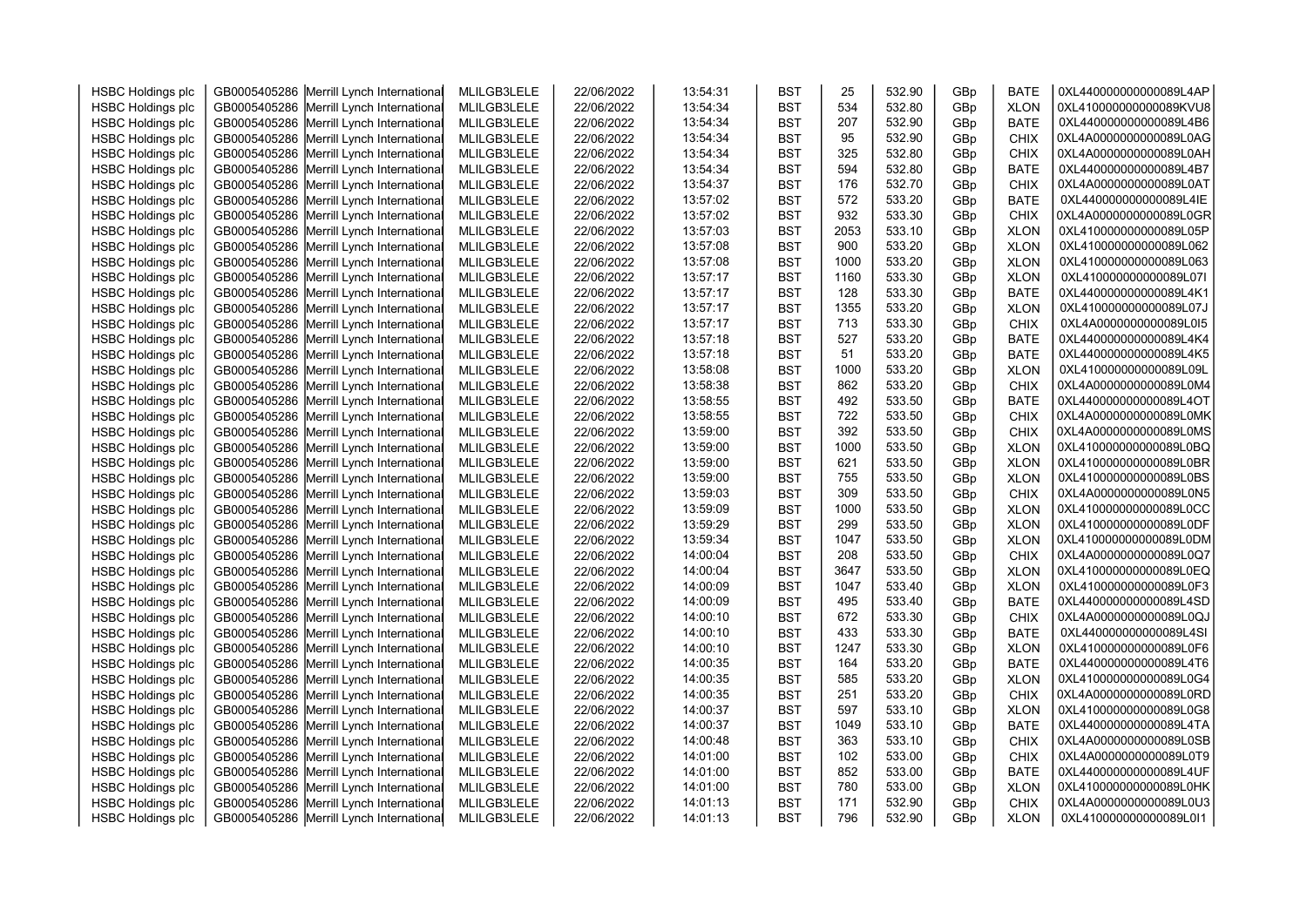| <b>HSBC Holdings plc</b> | GB0005405286 Merrill Lynch International | MLILGB3LELE | 22/06/2022 | 13:54:31 | <b>BST</b> | 25   | 532.90 | GBp | <b>BATE</b> | 0XL440000000000089L4AP |  |
|--------------------------|------------------------------------------|-------------|------------|----------|------------|------|--------|-----|-------------|------------------------|--|
| <b>HSBC Holdings plc</b> | GB0005405286 Merrill Lynch International | MLILGB3LELE | 22/06/2022 | 13:54:34 | <b>BST</b> | 534  | 532.80 | GBp | <b>XLON</b> | 0XL410000000000089KVU8 |  |
| <b>HSBC Holdings plc</b> | GB0005405286 Merrill Lynch International | MLILGB3LELE | 22/06/2022 | 13:54:34 | <b>BST</b> | 207  | 532.90 | GBp | <b>BATE</b> | 0XL440000000000089L4B6 |  |
| <b>HSBC Holdings plc</b> | GB0005405286 Merrill Lynch International | MLILGB3LELE | 22/06/2022 | 13:54:34 | <b>BST</b> | 95   | 532.90 | GBp | <b>CHIX</b> | 0XL4A0000000000089L0AG |  |
| <b>HSBC Holdings plc</b> | GB0005405286 Merrill Lynch International | MLILGB3LELE | 22/06/2022 | 13:54:34 | <b>BST</b> | 325  | 532.80 | GBp | <b>CHIX</b> | 0XL4A0000000000089L0AH |  |
| <b>HSBC Holdings plc</b> | GB0005405286 Merrill Lynch International | MLILGB3LELE | 22/06/2022 | 13:54:34 | <b>BST</b> | 594  | 532.80 | GBp | <b>BATE</b> | 0XL440000000000089L4B7 |  |
| <b>HSBC Holdings plc</b> | GB0005405286 Merrill Lynch International | MLILGB3LELE | 22/06/2022 | 13:54:37 | <b>BST</b> | 176  | 532.70 | GBp | <b>CHIX</b> | 0XL4A0000000000089L0AT |  |
| <b>HSBC Holdings plc</b> | GB0005405286 Merrill Lynch International | MLILGB3LELE | 22/06/2022 | 13:57:02 | <b>BST</b> | 572  | 533.20 | GBp | <b>BATE</b> | 0XL440000000000089L4IE |  |
| <b>HSBC Holdings plc</b> | GB0005405286 Merrill Lynch International | MLILGB3LELE | 22/06/2022 | 13:57:02 | <b>BST</b> | 932  | 533.30 | GBp | <b>CHIX</b> | 0XL4A0000000000089L0GR |  |
| <b>HSBC Holdings plc</b> | GB0005405286 Merrill Lynch International | MLILGB3LELE | 22/06/2022 | 13:57:03 | <b>BST</b> | 2053 | 533.10 | GBp | <b>XLON</b> | 0XL410000000000089L05P |  |
| <b>HSBC Holdings plc</b> | GB0005405286 Merrill Lynch International | MLILGB3LELE | 22/06/2022 | 13:57:08 | <b>BST</b> | 900  | 533.20 | GBp | <b>XLON</b> | 0XL410000000000089L062 |  |
| <b>HSBC Holdings plc</b> | GB0005405286 Merrill Lynch International | MLILGB3LELE | 22/06/2022 | 13:57:08 | <b>BST</b> | 1000 | 533.20 | GBp | <b>XLON</b> | 0XL410000000000089L063 |  |
| <b>HSBC Holdings plc</b> | GB0005405286 Merrill Lynch International | MLILGB3LELE | 22/06/2022 | 13:57:17 | <b>BST</b> | 1160 | 533.30 | GBp | <b>XLON</b> | 0XL410000000000089L07I |  |
| <b>HSBC Holdings plc</b> | GB0005405286 Merrill Lynch International | MLILGB3LELE | 22/06/2022 | 13:57:17 | <b>BST</b> | 128  | 533.30 | GBp | <b>BATE</b> | 0XL440000000000089L4K1 |  |
| <b>HSBC Holdings plc</b> | GB0005405286 Merrill Lynch International | MLILGB3LELE | 22/06/2022 | 13:57:17 | <b>BST</b> | 1355 | 533.20 | GBp | <b>XLON</b> | 0XL410000000000089L07J |  |
| <b>HSBC Holdings plc</b> | GB0005405286 Merrill Lynch International | MLILGB3LELE | 22/06/2022 | 13:57:17 | <b>BST</b> | 713  | 533.30 | GBp | <b>CHIX</b> | 0XL4A0000000000089L0I5 |  |
| <b>HSBC Holdings plc</b> | GB0005405286 Merrill Lynch International | MLILGB3LELE | 22/06/2022 | 13:57:18 | <b>BST</b> | 527  | 533.20 | GBp | <b>BATE</b> | 0XL440000000000089L4K4 |  |
| <b>HSBC Holdings plc</b> | GB0005405286 Merrill Lynch International | MLILGB3LELE | 22/06/2022 | 13:57:18 | <b>BST</b> | 51   | 533.20 | GBp | <b>BATE</b> | 0XL440000000000089L4K5 |  |
| <b>HSBC Holdings plc</b> | GB0005405286 Merrill Lynch International | MLILGB3LELE | 22/06/2022 | 13:58:08 | <b>BST</b> | 1000 | 533.20 | GBp | <b>XLON</b> | 0XL410000000000089L09L |  |
| <b>HSBC Holdings plc</b> | GB0005405286 Merrill Lynch International | MLILGB3LELE | 22/06/2022 | 13:58:38 | <b>BST</b> | 862  | 533.20 | GBp | <b>CHIX</b> | 0XL4A0000000000089L0M4 |  |
| <b>HSBC Holdings plc</b> | GB0005405286 Merrill Lynch International | MLILGB3LELE | 22/06/2022 | 13:58:55 | <b>BST</b> | 492  | 533.50 | GBp | <b>BATE</b> | 0XL440000000000089L4OT |  |
| <b>HSBC Holdings plc</b> | GB0005405286 Merrill Lynch International | MLILGB3LELE | 22/06/2022 | 13:58:55 | <b>BST</b> | 722  | 533.50 | GBp | <b>CHIX</b> | 0XL4A0000000000089L0MK |  |
| <b>HSBC Holdings plc</b> | GB0005405286 Merrill Lynch International | MLILGB3LELE | 22/06/2022 | 13:59:00 | <b>BST</b> | 392  | 533.50 | GBp | CHIX        | 0XL4A0000000000089L0MS |  |
| <b>HSBC Holdings plc</b> | GB0005405286 Merrill Lynch International | MLILGB3LELE | 22/06/2022 | 13:59:00 | <b>BST</b> | 1000 | 533.50 | GBp | <b>XLON</b> | 0XL410000000000089L0BQ |  |
| <b>HSBC Holdings plc</b> | GB0005405286 Merrill Lynch International | MLILGB3LELE | 22/06/2022 | 13:59:00 | <b>BST</b> | 621  | 533.50 | GBp | <b>XLON</b> | 0XL410000000000089L0BR |  |
| <b>HSBC Holdings plc</b> | GB0005405286 Merrill Lynch International | MLILGB3LELE | 22/06/2022 | 13:59:00 | <b>BST</b> | 755  | 533.50 | GBp | <b>XLON</b> | 0XL410000000000089L0BS |  |
| <b>HSBC Holdings plc</b> | GB0005405286 Merrill Lynch International | MLILGB3LELE | 22/06/2022 | 13:59:03 | <b>BST</b> | 309  | 533.50 | GBp | <b>CHIX</b> | 0XL4A0000000000089L0N5 |  |
| <b>HSBC Holdings plc</b> | GB0005405286 Merrill Lynch International | MLILGB3LELE | 22/06/2022 | 13:59:09 | <b>BST</b> | 1000 | 533.50 | GBp | <b>XLON</b> | 0XL410000000000089L0CC |  |
| <b>HSBC Holdings plc</b> | GB0005405286 Merrill Lynch International | MLILGB3LELE | 22/06/2022 | 13:59:29 | <b>BST</b> | 299  | 533.50 | GBp | <b>XLON</b> | 0XL410000000000089L0DF |  |
| <b>HSBC Holdings plc</b> | GB0005405286 Merrill Lynch International | MLILGB3LELE | 22/06/2022 | 13:59:34 | <b>BST</b> | 1047 | 533.50 | GBp | <b>XLON</b> | 0XL410000000000089L0DM |  |
| <b>HSBC Holdings plc</b> | GB0005405286 Merrill Lynch International | MLILGB3LELE | 22/06/2022 | 14:00:04 | <b>BST</b> | 208  | 533.50 | GBp | CHIX        | 0XL4A0000000000089L0Q7 |  |
| <b>HSBC Holdings plc</b> | GB0005405286 Merrill Lynch International | MLILGB3LELE | 22/06/2022 | 14:00:04 | <b>BST</b> | 3647 | 533.50 | GBp | <b>XLON</b> | 0XL410000000000089L0EQ |  |
| <b>HSBC Holdings plc</b> | GB0005405286 Merrill Lynch International | MLILGB3LELE | 22/06/2022 | 14:00:09 | <b>BST</b> | 1047 | 533.40 | GBp | <b>XLON</b> | 0XL410000000000089L0F3 |  |
| <b>HSBC Holdings plc</b> | GB0005405286 Merrill Lynch International | MLILGB3LELE | 22/06/2022 | 14:00:09 | <b>BST</b> | 495  | 533.40 | GBp | <b>BATE</b> | 0XL440000000000089L4SD |  |
| <b>HSBC Holdings plc</b> | GB0005405286 Merrill Lynch International | MLILGB3LELE | 22/06/2022 | 14:00:10 | <b>BST</b> | 672  | 533.30 | GBp | <b>CHIX</b> | 0XL4A0000000000089L0QJ |  |
| <b>HSBC Holdings plc</b> | GB0005405286 Merrill Lynch International | MLILGB3LELE | 22/06/2022 | 14:00:10 | <b>BST</b> | 433  | 533.30 | GBp | <b>BATE</b> | 0XL440000000000089L4SI |  |
| <b>HSBC Holdings plc</b> | GB0005405286 Merrill Lynch International | MLILGB3LELE | 22/06/2022 | 14:00:10 | <b>BST</b> | 1247 | 533.30 | GBp | <b>XLON</b> | 0XL410000000000089L0F6 |  |
| <b>HSBC Holdings plc</b> | GB0005405286 Merrill Lynch International | MLILGB3LELE | 22/06/2022 | 14:00:35 | <b>BST</b> | 164  | 533.20 | GBp | <b>BATE</b> | 0XL440000000000089L4T6 |  |
| <b>HSBC Holdings plc</b> | GB0005405286 Merrill Lynch International | MLILGB3LELE | 22/06/2022 | 14:00:35 | <b>BST</b> | 585  | 533.20 | GBp | <b>XLON</b> | 0XL410000000000089L0G4 |  |
| <b>HSBC Holdings plc</b> | GB0005405286 Merrill Lynch International | MLILGB3LELE | 22/06/2022 | 14:00:35 | <b>BST</b> | 251  | 533.20 | GBp | <b>CHIX</b> | 0XL4A0000000000089L0RD |  |
| <b>HSBC Holdings plc</b> | GB0005405286 Merrill Lynch International | MLILGB3LELE | 22/06/2022 | 14:00:37 | <b>BST</b> | 597  | 533.10 | GBp | <b>XLON</b> | 0XL410000000000089L0G8 |  |
| <b>HSBC Holdings plc</b> | GB0005405286 Merrill Lynch International | MLILGB3LELE | 22/06/2022 | 14:00:37 | <b>BST</b> | 1049 | 533.10 | GBp | <b>BATE</b> | 0XL440000000000089L4TA |  |
| <b>HSBC Holdings plc</b> | GB0005405286 Merrill Lynch International | MLILGB3LELE | 22/06/2022 | 14:00:48 | <b>BST</b> | 363  | 533.10 | GBp | <b>CHIX</b> | 0XL4A0000000000089L0SB |  |
| <b>HSBC Holdings plc</b> | GB0005405286 Merrill Lynch International | MLILGB3LELE | 22/06/2022 | 14:01:00 | <b>BST</b> | 102  | 533.00 | GBp | <b>CHIX</b> | 0XL4A0000000000089L0T9 |  |
| <b>HSBC Holdings plc</b> | GB0005405286 Merrill Lynch International | MLILGB3LELE | 22/06/2022 | 14:01:00 | <b>BST</b> | 852  | 533.00 | GBp | <b>BATE</b> | 0XL440000000000089L4UF |  |
| <b>HSBC Holdings plc</b> | GB0005405286 Merrill Lynch International | MLILGB3LELE | 22/06/2022 | 14:01:00 | <b>BST</b> | 780  | 533.00 | GBp | <b>XLON</b> | 0XL410000000000089L0HK |  |
| <b>HSBC Holdings plc</b> | GB0005405286 Merrill Lynch International | MLILGB3LELE | 22/06/2022 | 14:01:13 | <b>BST</b> | 171  | 532.90 | GBp | <b>CHIX</b> | 0XL4A0000000000089L0U3 |  |
| <b>HSBC Holdings plc</b> | GB0005405286 Merrill Lynch International | MLILGB3LELE | 22/06/2022 | 14:01:13 | <b>BST</b> | 796  | 532.90 | GBp | <b>XLON</b> | 0XL410000000000089L0I1 |  |
|                          |                                          |             |            |          |            |      |        |     |             |                        |  |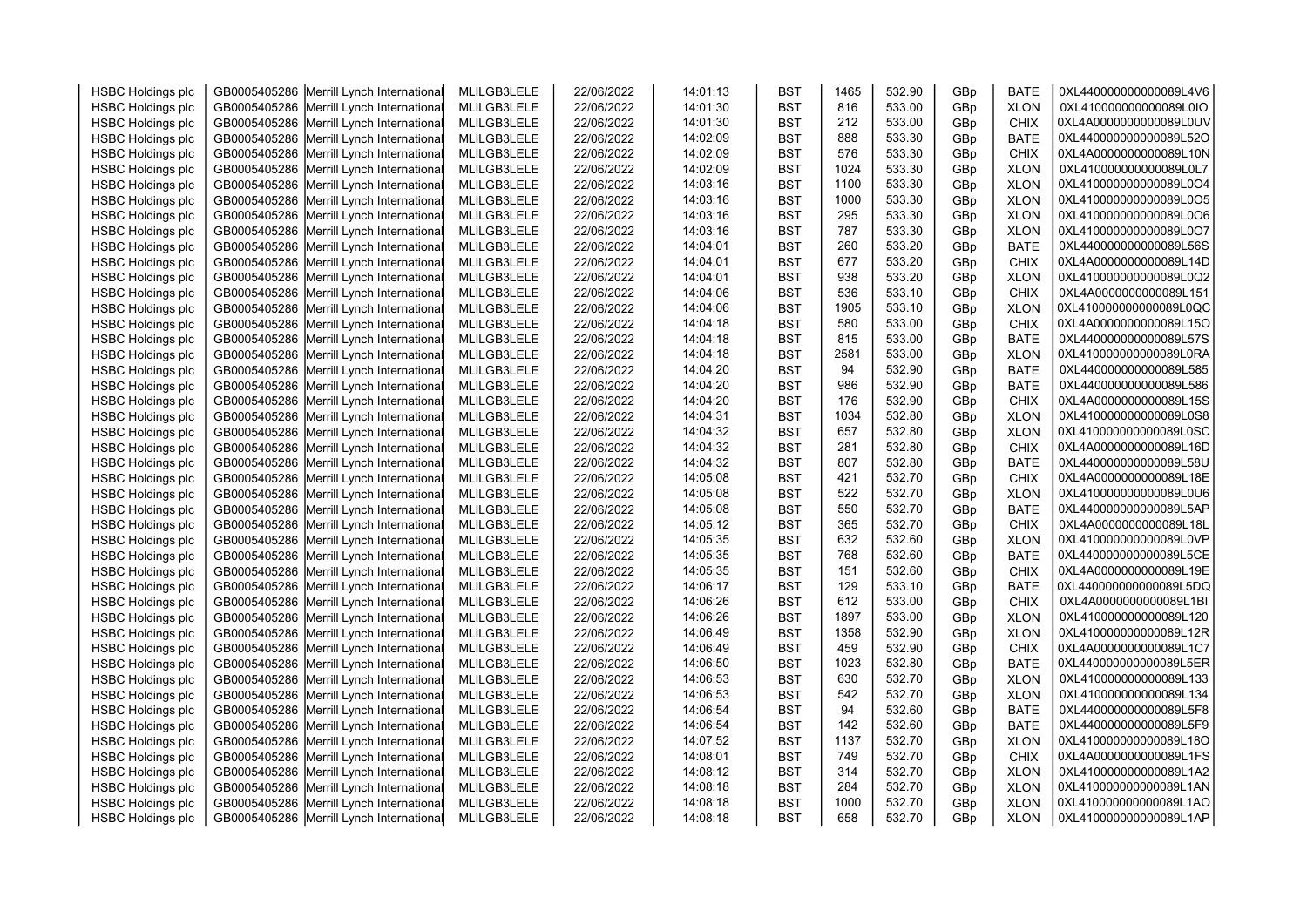|                          |                                          |             |            | 14:01:13 |            | 1465 | 532.90 |     | <b>BATE</b> | 0XL440000000000089L4V6                           |  |
|--------------------------|------------------------------------------|-------------|------------|----------|------------|------|--------|-----|-------------|--------------------------------------------------|--|
| <b>HSBC Holdings plc</b> | GB0005405286 Merrill Lynch International | MLILGB3LELE | 22/06/2022 |          | <b>BST</b> | 816  |        | GBp |             |                                                  |  |
| <b>HSBC Holdings plc</b> | GB0005405286 Merrill Lynch International | MLILGB3LELE | 22/06/2022 | 14:01:30 | <b>BST</b> |      | 533.00 | GBp | <b>XLON</b> | 0XL410000000000089L0IO                           |  |
| <b>HSBC Holdings plc</b> | GB0005405286 Merrill Lynch International | MLILGB3LELE | 22/06/2022 | 14:01:30 | <b>BST</b> | 212  | 533.00 | GBp | <b>CHIX</b> | 0XL4A0000000000089L0UV                           |  |
| <b>HSBC Holdings plc</b> | GB0005405286 Merrill Lynch International | MLILGB3LELE | 22/06/2022 | 14:02:09 | <b>BST</b> | 888  | 533.30 | GBp | <b>BATE</b> | 0XL440000000000089L52O                           |  |
| <b>HSBC Holdings plc</b> | GB0005405286 Merrill Lynch International | MLILGB3LELE | 22/06/2022 | 14:02:09 | <b>BST</b> | 576  | 533.30 | GBp | <b>CHIX</b> | 0XL4A0000000000089L10N                           |  |
| <b>HSBC Holdings plc</b> | GB0005405286 Merrill Lynch International | MLILGB3LELE | 22/06/2022 | 14:02:09 | <b>BST</b> | 1024 | 533.30 | GBp | <b>XLON</b> | 0XL410000000000089L0L7                           |  |
| <b>HSBC Holdings plc</b> | GB0005405286 Merrill Lynch International | MLILGB3LELE | 22/06/2022 | 14:03:16 | <b>BST</b> | 1100 | 533.30 | GBp | <b>XLON</b> | 0XL410000000000089L0O4                           |  |
| <b>HSBC Holdings plc</b> | GB0005405286 Merrill Lynch International | MLILGB3LELE | 22/06/2022 | 14:03:16 | <b>BST</b> | 1000 | 533.30 | GBp | <b>XLON</b> | 0XL410000000000089L0O5                           |  |
| <b>HSBC Holdings plc</b> | GB0005405286 Merrill Lynch International | MLILGB3LELE | 22/06/2022 | 14:03:16 | <b>BST</b> | 295  | 533.30 | GBp | <b>XLON</b> | 0XL410000000000089L0O6                           |  |
| <b>HSBC Holdings plc</b> | GB0005405286 Merrill Lynch International | MLILGB3LELE | 22/06/2022 | 14:03:16 | <b>BST</b> | 787  | 533.30 | GBp | <b>XLON</b> | 0XL410000000000089L0O7                           |  |
| <b>HSBC Holdings plc</b> | GB0005405286 Merrill Lynch International | MLILGB3LELE | 22/06/2022 | 14:04:01 | <b>BST</b> | 260  | 533.20 | GBp | <b>BATE</b> | 0XL440000000000089L56S                           |  |
| <b>HSBC Holdings plc</b> | GB0005405286 Merrill Lynch International | MLILGB3LELE | 22/06/2022 | 14:04:01 | <b>BST</b> | 677  | 533.20 | GBp | <b>CHIX</b> | 0XL4A0000000000089L14D                           |  |
| <b>HSBC Holdings plc</b> | GB0005405286 Merrill Lynch International | MLILGB3LELE | 22/06/2022 | 14:04:01 | <b>BST</b> | 938  | 533.20 | GBp | <b>XLON</b> | 0XL410000000000089L0Q2                           |  |
| <b>HSBC Holdings plc</b> | GB0005405286 Merrill Lynch International | MLILGB3LELE | 22/06/2022 | 14:04:06 | <b>BST</b> | 536  | 533.10 | GBp | <b>CHIX</b> | 0XL4A0000000000089L151                           |  |
| <b>HSBC Holdings plc</b> | GB0005405286 Merrill Lynch International | MLILGB3LELE | 22/06/2022 | 14:04:06 | <b>BST</b> | 1905 | 533.10 | GBp | <b>XLON</b> | 0XL410000000000089L0QC                           |  |
| <b>HSBC Holdings plc</b> | GB0005405286 Merrill Lynch International | MLILGB3LELE | 22/06/2022 | 14:04:18 | <b>BST</b> | 580  | 533.00 | GBp | CHIX        | 0XL4A0000000000089L15O                           |  |
| <b>HSBC Holdings plc</b> | GB0005405286 Merrill Lynch International | MLILGB3LELE | 22/06/2022 | 14:04:18 | <b>BST</b> | 815  | 533.00 | GBp | <b>BATE</b> | 0XL440000000000089L57S                           |  |
| <b>HSBC Holdings plc</b> | GB0005405286 Merrill Lynch International | MLILGB3LELE | 22/06/2022 | 14:04:18 | <b>BST</b> | 2581 | 533.00 | GBp | <b>XLON</b> | 0XL410000000000089L0RA                           |  |
| <b>HSBC Holdings plc</b> | GB0005405286 Merrill Lynch International | MLILGB3LELE | 22/06/2022 | 14:04:20 | <b>BST</b> | 94   | 532.90 | GBp | <b>BATE</b> | 0XL440000000000089L585                           |  |
| <b>HSBC Holdings plc</b> | GB0005405286 Merrill Lynch International | MLILGB3LELE | 22/06/2022 | 14:04:20 | <b>BST</b> | 986  | 532.90 | GBp | <b>BATE</b> | 0XL440000000000089L586                           |  |
| <b>HSBC Holdings plc</b> | GB0005405286 Merrill Lynch International | MLILGB3LELE | 22/06/2022 | 14:04:20 | <b>BST</b> | 176  | 532.90 | GBp | <b>CHIX</b> | 0XL4A0000000000089L15S                           |  |
| <b>HSBC Holdings plc</b> | GB0005405286 Merrill Lynch International | MLILGB3LELE | 22/06/2022 | 14:04:31 | <b>BST</b> | 1034 | 532.80 | GBp | <b>XLON</b> | 0XL410000000000089L0S8                           |  |
| <b>HSBC Holdings plc</b> | GB0005405286 Merrill Lynch International | MLILGB3LELE | 22/06/2022 | 14:04:32 | <b>BST</b> | 657  | 532.80 | GBp | <b>XLON</b> | 0XL410000000000089L0SC                           |  |
| <b>HSBC Holdings plc</b> | GB0005405286 Merrill Lynch International | MLILGB3LELE | 22/06/2022 | 14:04:32 | <b>BST</b> | 281  | 532.80 | GBp | <b>CHIX</b> | 0XL4A0000000000089L16D                           |  |
| <b>HSBC Holdings plc</b> | GB0005405286 Merrill Lynch International | MLILGB3LELE | 22/06/2022 | 14:04:32 | <b>BST</b> | 807  | 532.80 | GBp | <b>BATE</b> | 0XL440000000000089L58U                           |  |
| <b>HSBC Holdings plc</b> | GB0005405286 Merrill Lynch International | MLILGB3LELE | 22/06/2022 | 14:05:08 | <b>BST</b> | 421  | 532.70 | GBp | <b>CHIX</b> | 0XL4A0000000000089L18E                           |  |
| <b>HSBC Holdings plc</b> | GB0005405286 Merrill Lynch International | MLILGB3LELE | 22/06/2022 | 14:05:08 | <b>BST</b> | 522  | 532.70 | GBp | <b>XLON</b> | 0XL410000000000089L0U6                           |  |
| <b>HSBC Holdings plc</b> | GB0005405286 Merrill Lynch International | MLILGB3LELE | 22/06/2022 | 14:05:08 | <b>BST</b> | 550  | 532.70 | GBp | <b>BATE</b> | 0XL440000000000089L5AP                           |  |
| <b>HSBC Holdings plc</b> | GB0005405286 Merrill Lynch International | MLILGB3LELE | 22/06/2022 | 14:05:12 | <b>BST</b> | 365  | 532.70 | GBp | <b>CHIX</b> | 0XL4A0000000000089L18L                           |  |
| <b>HSBC Holdings plc</b> | GB0005405286 Merrill Lynch International | MLILGB3LELE | 22/06/2022 | 14:05:35 | <b>BST</b> | 632  | 532.60 | GBp | <b>XLON</b> | 0XL410000000000089L0VP                           |  |
| <b>HSBC Holdings plc</b> | GB0005405286 Merrill Lynch International | MLILGB3LELE | 22/06/2022 | 14:05:35 | <b>BST</b> | 768  | 532.60 | GBp | <b>BATE</b> | 0XL440000000000089L5CE                           |  |
| <b>HSBC Holdings plc</b> | GB0005405286 Merrill Lynch International | MLILGB3LELE | 22/06/2022 | 14:05:35 | <b>BST</b> | 151  | 532.60 | GBp | <b>CHIX</b> | 0XL4A0000000000089L19E                           |  |
| <b>HSBC Holdings plc</b> | GB0005405286 Merrill Lynch International | MLILGB3LELE | 22/06/2022 | 14:06:17 | <b>BST</b> | 129  | 533.10 | GBp | <b>BATE</b> | 0XL440000000000089L5DQ                           |  |
| <b>HSBC Holdings plc</b> | GB0005405286 Merrill Lynch International | MLILGB3LELE | 22/06/2022 | 14:06:26 | <b>BST</b> | 612  | 533.00 | GBp | <b>CHIX</b> | 0XL4A0000000000089L1BI                           |  |
| <b>HSBC Holdings plc</b> | GB0005405286 Merrill Lynch International | MLILGB3LELE | 22/06/2022 | 14:06:26 | <b>BST</b> | 1897 | 533.00 | GBp | <b>XLON</b> | 0XL410000000000089L120                           |  |
| <b>HSBC Holdings plc</b> | GB0005405286 Merrill Lynch International | MLILGB3LELE | 22/06/2022 | 14:06:49 | <b>BST</b> | 1358 | 532.90 | GBp | <b>XLON</b> | 0XL410000000000089L12R                           |  |
| <b>HSBC Holdings plc</b> | GB0005405286 Merrill Lynch International | MLILGB3LELE | 22/06/2022 | 14:06:49 | <b>BST</b> | 459  | 532.90 | GBp | <b>CHIX</b> | 0XL4A0000000000089L1C7                           |  |
| <b>HSBC Holdings plc</b> | GB0005405286 Merrill Lynch International | MLILGB3LELE | 22/06/2022 | 14:06:50 | <b>BST</b> | 1023 | 532.80 | GBp | <b>BATE</b> | 0XL440000000000089L5ER                           |  |
| <b>HSBC Holdings plc</b> | GB0005405286 Merrill Lynch International | MLILGB3LELE | 22/06/2022 | 14:06:53 | <b>BST</b> | 630  | 532.70 | GBp | <b>XLON</b> | 0XL410000000000089L133                           |  |
| <b>HSBC Holdings plc</b> | GB0005405286 Merrill Lynch International | MLILGB3LELE | 22/06/2022 | 14:06:53 | <b>BST</b> | 542  | 532.70 | GBp | <b>XLON</b> | 0XL410000000000089L134                           |  |
| <b>HSBC Holdings plc</b> | GB0005405286 Merrill Lynch International | MLILGB3LELE | 22/06/2022 | 14:06:54 | <b>BST</b> | 94   | 532.60 | GBp | <b>BATE</b> | 0XL440000000000089L5F8                           |  |
| <b>HSBC Holdings plc</b> | GB0005405286 Merrill Lynch International | MLILGB3LELE | 22/06/2022 | 14:06:54 | <b>BST</b> | 142  | 532.60 | GBp | <b>BATE</b> | 0XL440000000000089L5F9                           |  |
| <b>HSBC Holdings plc</b> | GB0005405286 Merrill Lynch International | MLILGB3LELE | 22/06/2022 | 14:07:52 | <b>BST</b> | 1137 | 532.70 | GBp | <b>XLON</b> | 0XL410000000000089L18O                           |  |
|                          |                                          |             |            |          |            | 749  | 532.70 |     |             | 0XL4A0000000000089L1FS                           |  |
| <b>HSBC Holdings plc</b> | GB0005405286 Merrill Lynch International | MLILGB3LELE | 22/06/2022 | 14:08:01 | <b>BST</b> | 314  | 532.70 | GBp | CHIX        |                                                  |  |
| <b>HSBC Holdings plc</b> | GB0005405286 Merrill Lynch International | MLILGB3LELE | 22/06/2022 | 14:08:12 | <b>BST</b> |      |        | GBp | <b>XLON</b> | 0XL410000000000089L1A2<br>0XL410000000000089L1AN |  |
| <b>HSBC Holdings plc</b> | GB0005405286 Merrill Lynch International | MLILGB3LELE | 22/06/2022 | 14:08:18 | <b>BST</b> | 284  | 532.70 | GBp | <b>XLON</b> |                                                  |  |
| <b>HSBC Holdings plc</b> | GB0005405286 Merrill Lynch International | MLILGB3LELE | 22/06/2022 | 14:08:18 | <b>BST</b> | 1000 | 532.70 | GBp | <b>XLON</b> | 0XL410000000000089L1AO                           |  |
| <b>HSBC Holdings plc</b> | GB0005405286 Merrill Lynch International | MLILGB3LELE | 22/06/2022 | 14:08:18 | <b>BST</b> | 658  | 532.70 | GBp | <b>XLON</b> | 0XL410000000000089L1AP                           |  |
|                          |                                          |             |            |          |            |      |        |     |             |                                                  |  |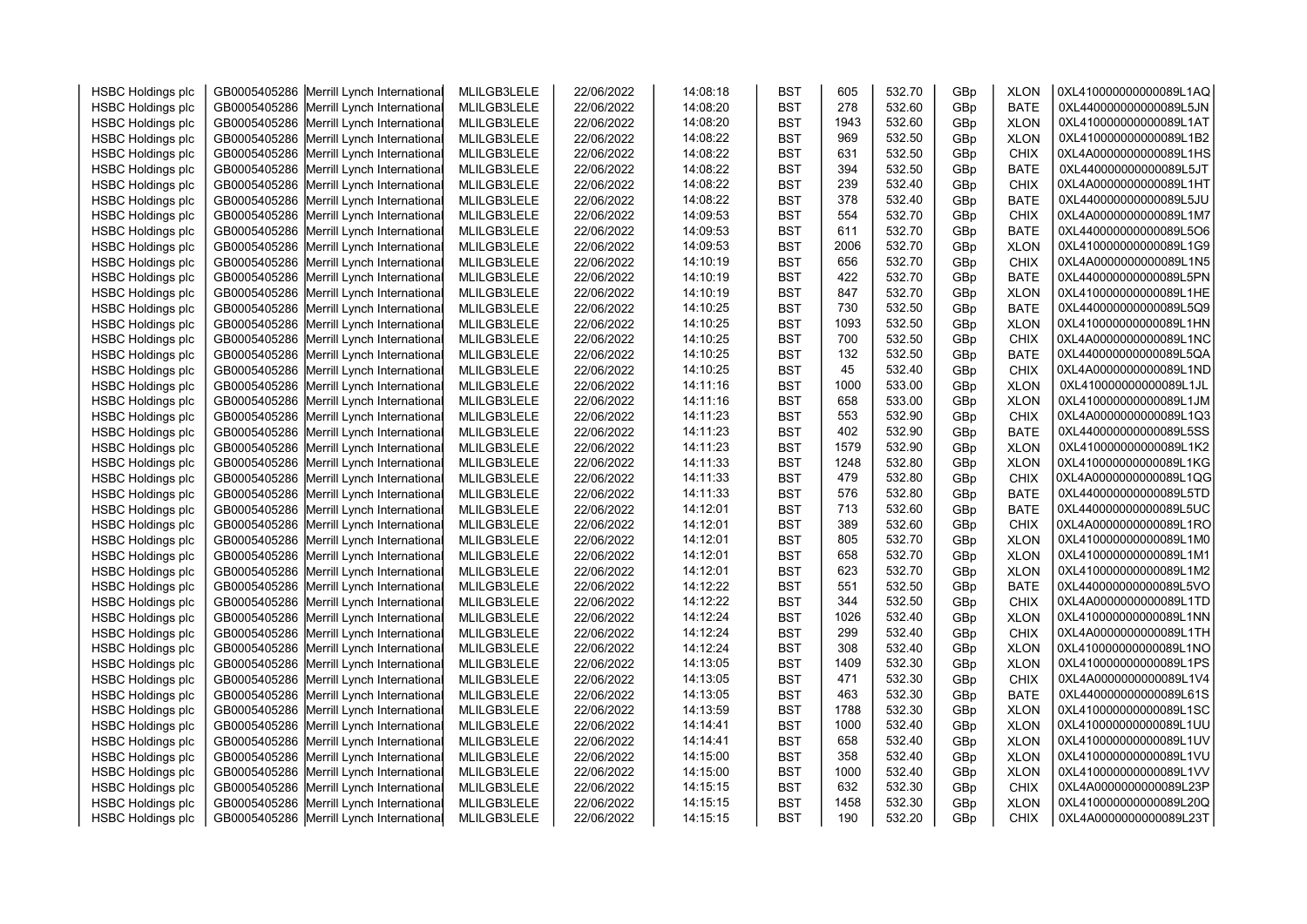| <b>HSBC Holdings plc</b> | GB0005405286 Merrill Lynch International | MLILGB3LELE | 22/06/2022 | 14:08:18 | <b>BST</b> | 605  | 532.70 | GBp | <b>XLON</b> | 0XL410000000000089L1AQ |  |
|--------------------------|------------------------------------------|-------------|------------|----------|------------|------|--------|-----|-------------|------------------------|--|
| <b>HSBC Holdings plc</b> | GB0005405286 Merrill Lynch International | MLILGB3LELE | 22/06/2022 | 14:08:20 | <b>BST</b> | 278  | 532.60 | GBp | <b>BATE</b> | 0XL440000000000089L5JN |  |
| <b>HSBC Holdings plc</b> | GB0005405286 Merrill Lynch International | MLILGB3LELE | 22/06/2022 | 14:08:20 | <b>BST</b> | 1943 | 532.60 | GBp | <b>XLON</b> | 0XL410000000000089L1AT |  |
| <b>HSBC Holdings plc</b> | GB0005405286 Merrill Lynch International | MLILGB3LELE | 22/06/2022 | 14:08:22 | <b>BST</b> | 969  | 532.50 | GBp | <b>XLON</b> | 0XL410000000000089L1B2 |  |
| <b>HSBC Holdings plc</b> | GB0005405286 Merrill Lynch International | MLILGB3LELE | 22/06/2022 | 14:08:22 | <b>BST</b> | 631  | 532.50 | GBp | <b>CHIX</b> | 0XL4A0000000000089L1HS |  |
| <b>HSBC Holdings plc</b> |                                          | MLILGB3LELE | 22/06/2022 | 14:08:22 | <b>BST</b> | 394  | 532.50 |     | <b>BATE</b> | 0XL440000000000089L5JT |  |
|                          | GB0005405286 Merrill Lynch International |             |            |          |            | 239  | 532.40 | GBp |             | 0XL4A0000000000089L1HT |  |
| <b>HSBC Holdings plc</b> | GB0005405286 Merrill Lynch International | MLILGB3LELE | 22/06/2022 | 14:08:22 | <b>BST</b> | 378  | 532.40 | GBp | <b>CHIX</b> | 0XL440000000000089L5JU |  |
| <b>HSBC Holdings plc</b> | GB0005405286 Merrill Lynch International | MLILGB3LELE | 22/06/2022 | 14:08:22 | <b>BST</b> |      |        | GBp | <b>BATE</b> |                        |  |
| <b>HSBC Holdings plc</b> | GB0005405286 Merrill Lynch International | MLILGB3LELE | 22/06/2022 | 14:09:53 | <b>BST</b> | 554  | 532.70 | GBp | <b>CHIX</b> | 0XL4A0000000000089L1M7 |  |
| <b>HSBC Holdings plc</b> | GB0005405286 Merrill Lynch International | MLILGB3LELE | 22/06/2022 | 14:09:53 | <b>BST</b> | 611  | 532.70 | GBp | <b>BATE</b> | 0XL440000000000089L5O6 |  |
| <b>HSBC Holdings plc</b> | GB0005405286 Merrill Lynch International | MLILGB3LELE | 22/06/2022 | 14:09:53 | <b>BST</b> | 2006 | 532.70 | GBp | <b>XLON</b> | 0XL410000000000089L1G9 |  |
| <b>HSBC Holdings plc</b> | GB0005405286 Merrill Lynch International | MLILGB3LELE | 22/06/2022 | 14:10:19 | <b>BST</b> | 656  | 532.70 | GBp | <b>CHIX</b> | 0XL4A0000000000089L1N5 |  |
| <b>HSBC Holdings plc</b> | GB0005405286 Merrill Lynch International | MLILGB3LELE | 22/06/2022 | 14:10:19 | <b>BST</b> | 422  | 532.70 | GBp | <b>BATE</b> | 0XL440000000000089L5PN |  |
| <b>HSBC Holdings plc</b> | GB0005405286 Merrill Lynch International | MLILGB3LELE | 22/06/2022 | 14:10:19 | <b>BST</b> | 847  | 532.70 | GBp | <b>XLON</b> | 0XL410000000000089L1HE |  |
| <b>HSBC Holdings plc</b> | GB0005405286 Merrill Lynch International | MLILGB3LELE | 22/06/2022 | 14:10:25 | <b>BST</b> | 730  | 532.50 | GBp | <b>BATE</b> | 0XL440000000000089L5Q9 |  |
| <b>HSBC Holdings plc</b> | GB0005405286 Merrill Lynch International | MLILGB3LELE | 22/06/2022 | 14:10:25 | <b>BST</b> | 1093 | 532.50 | GBp | <b>XLON</b> | 0XL410000000000089L1HN |  |
| <b>HSBC Holdings plc</b> | GB0005405286 Merrill Lynch International | MLILGB3LELE | 22/06/2022 | 14:10:25 | <b>BST</b> | 700  | 532.50 | GBp | <b>CHIX</b> | 0XL4A0000000000089L1NC |  |
| <b>HSBC Holdings plc</b> | GB0005405286 Merrill Lynch International | MLILGB3LELE | 22/06/2022 | 14:10:25 | <b>BST</b> | 132  | 532.50 | GBp | <b>BATE</b> | 0XL440000000000089L5QA |  |
| <b>HSBC Holdings plc</b> | GB0005405286 Merrill Lynch International | MLILGB3LELE | 22/06/2022 | 14:10:25 | <b>BST</b> | 45   | 532.40 | GBp | <b>CHIX</b> | 0XL4A0000000000089L1ND |  |
| <b>HSBC Holdings plc</b> | GB0005405286 Merrill Lynch International | MLILGB3LELE | 22/06/2022 | 14:11:16 | <b>BST</b> | 1000 | 533.00 | GBp | <b>XLON</b> | 0XL410000000000089L1JL |  |
| <b>HSBC Holdings plc</b> | GB0005405286 Merrill Lynch International | MLILGB3LELE | 22/06/2022 | 14:11:16 | <b>BST</b> | 658  | 533.00 | GBp | <b>XLON</b> | 0XL410000000000089L1JM |  |
| <b>HSBC Holdings plc</b> | GB0005405286 Merrill Lynch International | MLILGB3LELE | 22/06/2022 | 14:11:23 | <b>BST</b> | 553  | 532.90 | GBp | CHIX        | 0XL4A0000000000089L1Q3 |  |
| <b>HSBC Holdings plc</b> | GB0005405286 Merrill Lynch International | MLILGB3LELE | 22/06/2022 | 14:11:23 | <b>BST</b> | 402  | 532.90 | GBp | <b>BATE</b> | 0XL440000000000089L5SS |  |
| <b>HSBC Holdings plc</b> | GB0005405286 Merrill Lynch International | MLILGB3LELE | 22/06/2022 | 14:11:23 | <b>BST</b> | 1579 | 532.90 | GBp | <b>XLON</b> | 0XL410000000000089L1K2 |  |
| <b>HSBC Holdings plc</b> | GB0005405286 Merrill Lynch International | MLILGB3LELE | 22/06/2022 | 14:11:33 | <b>BST</b> | 1248 | 532.80 | GBp | <b>XLON</b> | 0XL410000000000089L1KG |  |
| <b>HSBC Holdings plc</b> | GB0005405286 Merrill Lynch International | MLILGB3LELE | 22/06/2022 | 14:11:33 | <b>BST</b> | 479  | 532.80 | GBp | <b>CHIX</b> | 0XL4A0000000000089L1QG |  |
| <b>HSBC Holdings plc</b> | GB0005405286 Merrill Lynch International | MLILGB3LELE | 22/06/2022 | 14:11:33 | <b>BST</b> | 576  | 532.80 | GBp | <b>BATE</b> | 0XL440000000000089L5TD |  |
| <b>HSBC Holdings plc</b> | GB0005405286 Merrill Lynch International | MLILGB3LELE | 22/06/2022 | 14:12:01 | <b>BST</b> | 713  | 532.60 | GBp | <b>BATE</b> | 0XL440000000000089L5UC |  |
| <b>HSBC Holdings plc</b> | GB0005405286 Merrill Lynch International | MLILGB3LELE | 22/06/2022 | 14:12:01 | <b>BST</b> | 389  | 532.60 | GBp | <b>CHIX</b> | 0XL4A0000000000089L1RO |  |
| <b>HSBC Holdings plc</b> | GB0005405286 Merrill Lynch International | MLILGB3LELE | 22/06/2022 | 14:12:01 | <b>BST</b> | 805  | 532.70 | GBp | <b>XLON</b> | 0XL410000000000089L1M0 |  |
| <b>HSBC Holdings plc</b> | GB0005405286 Merrill Lynch International | MLILGB3LELE | 22/06/2022 | 14:12:01 | <b>BST</b> | 658  | 532.70 | GBp | <b>XLON</b> | 0XL410000000000089L1M1 |  |
| <b>HSBC Holdings plc</b> | GB0005405286 Merrill Lynch International | MLILGB3LELE | 22/06/2022 | 14:12:01 | <b>BST</b> | 623  | 532.70 | GBp | <b>XLON</b> | 0XL410000000000089L1M2 |  |
| <b>HSBC Holdings plc</b> | GB0005405286 Merrill Lynch International | MLILGB3LELE | 22/06/2022 | 14:12:22 | <b>BST</b> | 551  | 532.50 | GBp | <b>BATE</b> | 0XL440000000000089L5VO |  |
| <b>HSBC Holdings plc</b> | GB0005405286 Merrill Lynch International | MLILGB3LELE | 22/06/2022 | 14:12:22 | <b>BST</b> | 344  | 532.50 | GBp | <b>CHIX</b> | 0XL4A0000000000089L1TD |  |
| <b>HSBC Holdings plc</b> | GB0005405286 Merrill Lynch International | MLILGB3LELE | 22/06/2022 | 14:12:24 | <b>BST</b> | 1026 | 532.40 | GBp | <b>XLON</b> | 0XL410000000000089L1NN |  |
| <b>HSBC Holdings plc</b> | GB0005405286 Merrill Lynch International | MLILGB3LELE | 22/06/2022 | 14:12:24 | <b>BST</b> | 299  | 532.40 | GBp | <b>CHIX</b> | 0XL4A0000000000089L1TH |  |
| <b>HSBC Holdings plc</b> | GB0005405286 Merrill Lynch International | MLILGB3LELE | 22/06/2022 | 14:12:24 | <b>BST</b> | 308  | 532.40 | GBp | <b>XLON</b> | 0XL410000000000089L1NO |  |
| <b>HSBC Holdings plc</b> | GB0005405286 Merrill Lynch International | MLILGB3LELE | 22/06/2022 | 14:13:05 | <b>BST</b> | 1409 | 532.30 | GBp | <b>XLON</b> | 0XL410000000000089L1PS |  |
| <b>HSBC Holdings plc</b> | GB0005405286 Merrill Lynch International | MLILGB3LELE | 22/06/2022 | 14:13:05 | <b>BST</b> | 471  | 532.30 | GBp | <b>CHIX</b> | 0XL4A0000000000089L1V4 |  |
| <b>HSBC Holdings plc</b> | GB0005405286 Merrill Lynch International | MLILGB3LELE | 22/06/2022 | 14:13:05 | <b>BST</b> | 463  | 532.30 | GBp | <b>BATE</b> | 0XL440000000000089L61S |  |
| <b>HSBC Holdings plc</b> | GB0005405286 Merrill Lynch International | MLILGB3LELE | 22/06/2022 | 14:13:59 | <b>BST</b> | 1788 | 532.30 | GBp | <b>XLON</b> | 0XL410000000000089L1SC |  |
| <b>HSBC Holdings plc</b> | GB0005405286 Merrill Lynch International | MLILGB3LELE | 22/06/2022 | 14:14:41 | <b>BST</b> | 1000 | 532.40 | GBp | <b>XLON</b> | 0XL410000000000089L1UU |  |
| <b>HSBC Holdings plc</b> | GB0005405286 Merrill Lynch International | MLILGB3LELE | 22/06/2022 | 14:14:41 | <b>BST</b> | 658  | 532.40 | GBp | <b>XLON</b> | 0XL410000000000089L1UV |  |
| <b>HSBC Holdings plc</b> | GB0005405286 Merrill Lynch International | MLILGB3LELE | 22/06/2022 | 14:15:00 | <b>BST</b> | 358  | 532.40 | GBp | <b>XLON</b> | 0XL410000000000089L1VU |  |
| <b>HSBC Holdings plc</b> | GB0005405286 Merrill Lynch International | MLILGB3LELE | 22/06/2022 | 14:15:00 | <b>BST</b> | 1000 | 532.40 | GBp | <b>XLON</b> | 0XL410000000000089L1VV |  |
| <b>HSBC Holdings plc</b> | GB0005405286 Merrill Lynch International | MLILGB3LELE | 22/06/2022 | 14:15:15 | <b>BST</b> | 632  | 532.30 | GBp | <b>CHIX</b> | 0XL4A0000000000089L23P |  |
| <b>HSBC Holdings plc</b> | GB0005405286 Merrill Lynch International | MLILGB3LELE | 22/06/2022 | 14:15:15 | <b>BST</b> | 1458 | 532.30 | GBp | <b>XLON</b> | 0XL410000000000089L20Q |  |
| <b>HSBC Holdings plc</b> | GB0005405286 Merrill Lynch International | MLILGB3LELE | 22/06/2022 | 14:15:15 | <b>BST</b> | 190  | 532.20 | GBp | <b>CHIX</b> | 0XL4A0000000000089L23T |  |
|                          |                                          |             |            |          |            |      |        |     |             |                        |  |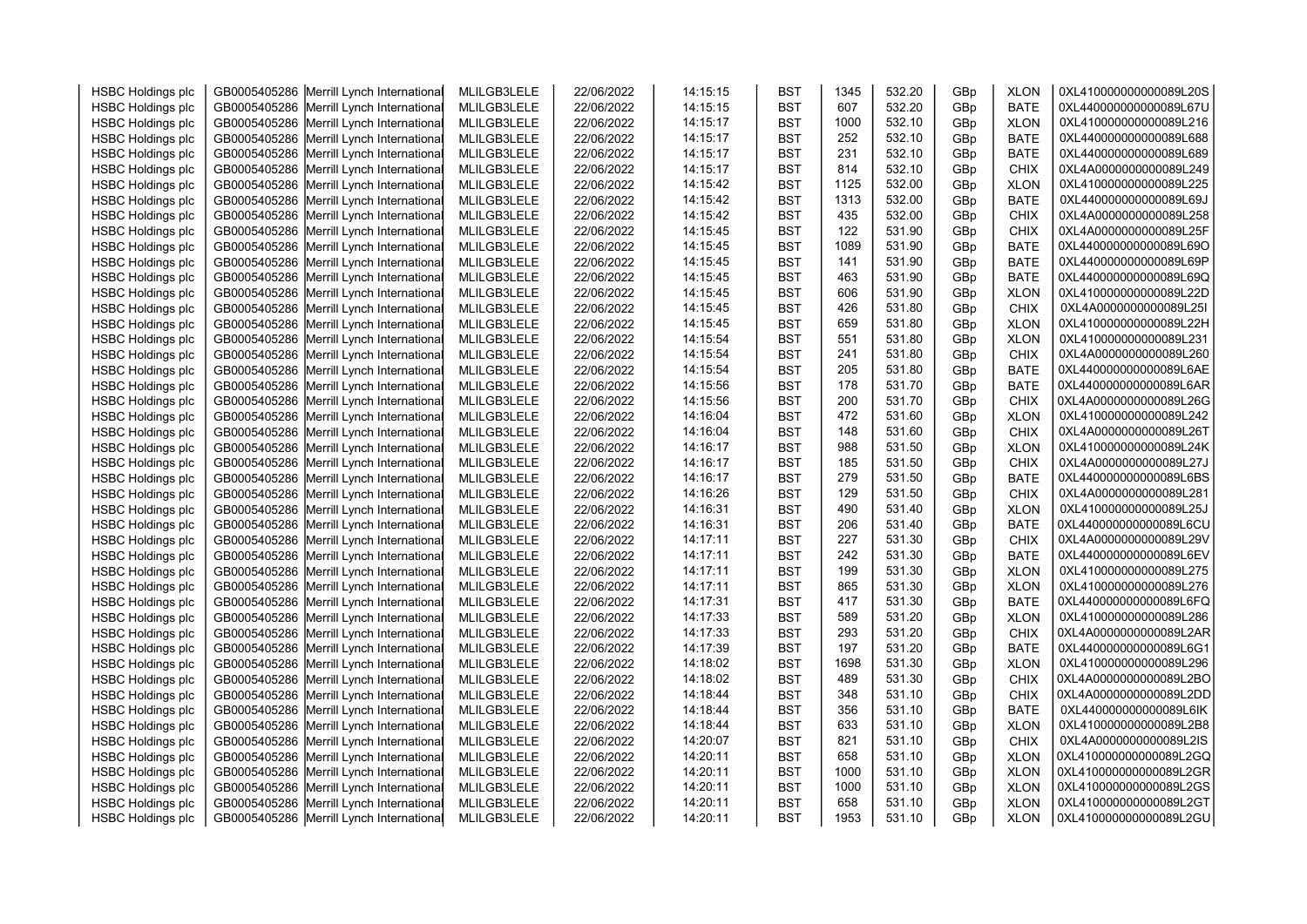| <b>HSBC Holdings plc</b> | GB0005405286 Merrill Lynch International | MLILGB3LELE | 22/06/2022 | 14:15:15 | <b>BST</b> | 1345 | 532.20 | GBp | <b>XLON</b> | 0XL410000000000089L20S |  |
|--------------------------|------------------------------------------|-------------|------------|----------|------------|------|--------|-----|-------------|------------------------|--|
| <b>HSBC Holdings plc</b> | GB0005405286 Merrill Lynch International | MLILGB3LELE | 22/06/2022 | 14:15:15 | <b>BST</b> | 607  | 532.20 | GBp | <b>BATE</b> | 0XL440000000000089L67U |  |
| <b>HSBC Holdings plc</b> | GB0005405286 Merrill Lynch International | MLILGB3LELE | 22/06/2022 | 14:15:17 | <b>BST</b> | 1000 | 532.10 | GBp | <b>XLON</b> | 0XL410000000000089L216 |  |
| <b>HSBC Holdings plc</b> | GB0005405286 Merrill Lynch International | MLILGB3LELE | 22/06/2022 | 14:15:17 | <b>BST</b> | 252  | 532.10 | GBp | <b>BATE</b> | 0XL440000000000089L688 |  |
| <b>HSBC Holdings plc</b> | GB0005405286 Merrill Lynch International | MLILGB3LELE | 22/06/2022 | 14:15:17 | <b>BST</b> | 231  | 532.10 | GBp | <b>BATE</b> | 0XL440000000000089L689 |  |
| <b>HSBC Holdings plc</b> | GB0005405286 Merrill Lynch International | MLILGB3LELE | 22/06/2022 | 14:15:17 | <b>BST</b> | 814  | 532.10 | GBp | <b>CHIX</b> | 0XL4A0000000000089L249 |  |
| <b>HSBC Holdings plc</b> | GB0005405286 Merrill Lynch International | MLILGB3LELE | 22/06/2022 | 14:15:42 | <b>BST</b> | 1125 | 532.00 | GBp | <b>XLON</b> | 0XL410000000000089L225 |  |
| <b>HSBC Holdings plc</b> | GB0005405286 Merrill Lynch International | MLILGB3LELE | 22/06/2022 | 14:15:42 | <b>BST</b> | 1313 | 532.00 | GBp | <b>BATE</b> | 0XL440000000000089L69J |  |
| <b>HSBC Holdings plc</b> | GB0005405286 Merrill Lynch International | MLILGB3LELE | 22/06/2022 | 14:15:42 | <b>BST</b> | 435  | 532.00 | GBp | <b>CHIX</b> | 0XL4A0000000000089L258 |  |
| <b>HSBC Holdings plc</b> | GB0005405286 Merrill Lynch International | MLILGB3LELE | 22/06/2022 | 14:15:45 | <b>BST</b> | 122  | 531.90 | GBp | CHIX        | 0XL4A0000000000089L25F |  |
| <b>HSBC Holdings plc</b> | GB0005405286 Merrill Lynch International | MLILGB3LELE | 22/06/2022 | 14:15:45 | <b>BST</b> | 1089 | 531.90 | GBp | <b>BATE</b> | 0XL440000000000089L69O |  |
| <b>HSBC Holdings plc</b> | GB0005405286 Merrill Lynch International | MLILGB3LELE | 22/06/2022 | 14:15:45 | <b>BST</b> | 141  | 531.90 | GBp | <b>BATE</b> | 0XL440000000000089L69P |  |
| <b>HSBC Holdings plc</b> | GB0005405286 Merrill Lynch International | MLILGB3LELE | 22/06/2022 | 14:15:45 | <b>BST</b> | 463  | 531.90 | GBp | <b>BATE</b> | 0XL440000000000089L69Q |  |
| <b>HSBC Holdings plc</b> | GB0005405286 Merrill Lynch International | MLILGB3LELE | 22/06/2022 | 14:15:45 | <b>BST</b> | 606  | 531.90 | GBp | <b>XLON</b> | 0XL410000000000089L22D |  |
| <b>HSBC Holdings plc</b> | GB0005405286 Merrill Lynch International | MLILGB3LELE | 22/06/2022 | 14:15:45 | <b>BST</b> | 426  | 531.80 | GBp | CHIX        | 0XL4A0000000000089L25I |  |
| <b>HSBC Holdings plc</b> | GB0005405286 Merrill Lynch International | MLILGB3LELE | 22/06/2022 | 14:15:45 | <b>BST</b> | 659  | 531.80 | GBp | <b>XLON</b> | 0XL410000000000089L22H |  |
| <b>HSBC Holdings plc</b> | GB0005405286 Merrill Lynch International | MLILGB3LELE | 22/06/2022 | 14:15:54 | <b>BST</b> | 551  | 531.80 | GBp | <b>XLON</b> | 0XL410000000000089L231 |  |
| <b>HSBC Holdings plc</b> | GB0005405286 Merrill Lynch International | MLILGB3LELE | 22/06/2022 | 14:15:54 | <b>BST</b> | 241  | 531.80 | GBp | <b>CHIX</b> | 0XL4A0000000000089L260 |  |
| <b>HSBC Holdings plc</b> | GB0005405286 Merrill Lynch International | MLILGB3LELE | 22/06/2022 | 14:15:54 | <b>BST</b> | 205  | 531.80 | GBp | <b>BATE</b> | 0XL440000000000089L6AE |  |
| <b>HSBC Holdings plc</b> | GB0005405286 Merrill Lynch International | MLILGB3LELE | 22/06/2022 | 14:15:56 | <b>BST</b> | 178  | 531.70 | GBp | <b>BATE</b> | 0XL440000000000089L6AR |  |
| <b>HSBC Holdings plc</b> | GB0005405286 Merrill Lynch International | MLILGB3LELE | 22/06/2022 | 14:15:56 | <b>BST</b> | 200  | 531.70 | GBp | <b>CHIX</b> | 0XL4A0000000000089L26G |  |
| <b>HSBC Holdings plc</b> | GB0005405286 Merrill Lynch International | MLILGB3LELE | 22/06/2022 | 14:16:04 | <b>BST</b> | 472  | 531.60 | GBp | <b>XLON</b> | 0XL410000000000089L242 |  |
| <b>HSBC Holdings plc</b> | GB0005405286 Merrill Lynch International | MLILGB3LELE | 22/06/2022 | 14:16:04 | <b>BST</b> | 148  | 531.60 | GBp | <b>CHIX</b> | 0XL4A0000000000089L26T |  |
| <b>HSBC Holdings plc</b> | GB0005405286 Merrill Lynch International | MLILGB3LELE | 22/06/2022 | 14:16:17 | <b>BST</b> | 988  | 531.50 | GBp | <b>XLON</b> | 0XL410000000000089L24K |  |
| <b>HSBC Holdings plc</b> | GB0005405286 Merrill Lynch International | MLILGB3LELE | 22/06/2022 | 14:16:17 | <b>BST</b> | 185  | 531.50 | GBp | <b>CHIX</b> | 0XL4A0000000000089L27J |  |
| <b>HSBC Holdings plc</b> | GB0005405286 Merrill Lynch International | MLILGB3LELE | 22/06/2022 | 14:16:17 | <b>BST</b> | 279  | 531.50 | GBp | <b>BATE</b> | 0XL440000000000089L6BS |  |
| <b>HSBC Holdings plc</b> | GB0005405286 Merrill Lynch International | MLILGB3LELE | 22/06/2022 | 14:16:26 | <b>BST</b> | 129  | 531.50 | GBp | <b>CHIX</b> | 0XL4A0000000000089L281 |  |
| <b>HSBC Holdings plc</b> | GB0005405286 Merrill Lynch International | MLILGB3LELE | 22/06/2022 | 14:16:31 | <b>BST</b> | 490  | 531.40 | GBp | <b>XLON</b> | 0XL410000000000089L25J |  |
| <b>HSBC Holdings plc</b> | GB0005405286 Merrill Lynch International | MLILGB3LELE | 22/06/2022 | 14:16:31 | <b>BST</b> | 206  | 531.40 | GBp | <b>BATE</b> | 0XL440000000000089L6CU |  |
| <b>HSBC Holdings plc</b> | GB0005405286 Merrill Lynch International | MLILGB3LELE | 22/06/2022 | 14:17:11 | <b>BST</b> | 227  | 531.30 | GBp | <b>CHIX</b> | 0XL4A0000000000089L29V |  |
| <b>HSBC Holdings plc</b> | GB0005405286 Merrill Lynch International | MLILGB3LELE | 22/06/2022 | 14:17:11 | <b>BST</b> | 242  | 531.30 | GBp | <b>BATE</b> | 0XL440000000000089L6EV |  |
| <b>HSBC Holdings plc</b> | GB0005405286 Merrill Lynch International | MLILGB3LELE | 22/06/2022 | 14:17:11 | <b>BST</b> | 199  | 531.30 | GBp | <b>XLON</b> | 0XL410000000000089L275 |  |
| <b>HSBC Holdings plc</b> | GB0005405286 Merrill Lynch International | MLILGB3LELE | 22/06/2022 | 14:17:11 | <b>BST</b> | 865  | 531.30 | GBp | <b>XLON</b> | 0XL410000000000089L276 |  |
| <b>HSBC Holdings plc</b> | GB0005405286 Merrill Lynch International | MLILGB3LELE | 22/06/2022 | 14:17:31 | <b>BST</b> | 417  | 531.30 | GBp | <b>BATE</b> | 0XL440000000000089L6FQ |  |
| <b>HSBC Holdings plc</b> | GB0005405286 Merrill Lynch International | MLILGB3LELE | 22/06/2022 | 14:17:33 | <b>BST</b> | 589  | 531.20 | GBp | <b>XLON</b> | 0XL410000000000089L286 |  |
| <b>HSBC Holdings plc</b> | GB0005405286 Merrill Lynch International | MLILGB3LELE | 22/06/2022 | 14:17:33 | <b>BST</b> | 293  | 531.20 | GBp | <b>CHIX</b> | 0XL4A0000000000089L2AR |  |
| <b>HSBC Holdings plc</b> | GB0005405286 Merrill Lynch International | MLILGB3LELE | 22/06/2022 | 14:17:39 | <b>BST</b> | 197  | 531.20 | GBp | <b>BATE</b> | 0XL440000000000089L6G1 |  |
| <b>HSBC Holdings plc</b> | GB0005405286 Merrill Lynch International | MLILGB3LELE | 22/06/2022 | 14:18:02 | <b>BST</b> | 1698 | 531.30 | GBp | <b>XLON</b> | 0XL410000000000089L296 |  |
| <b>HSBC Holdings plc</b> | GB0005405286 Merrill Lynch International | MLILGB3LELE | 22/06/2022 | 14:18:02 | <b>BST</b> | 489  | 531.30 | GBp | <b>CHIX</b> | 0XL4A0000000000089L2BO |  |
| <b>HSBC Holdings plc</b> | GB0005405286 Merrill Lynch International | MLILGB3LELE | 22/06/2022 | 14:18:44 | <b>BST</b> | 348  | 531.10 | GBp | <b>CHIX</b> | 0XL4A0000000000089L2DD |  |
| <b>HSBC Holdings plc</b> | GB0005405286 Merrill Lynch International | MLILGB3LELE | 22/06/2022 | 14:18:44 | <b>BST</b> | 356  | 531.10 | GBp | <b>BATE</b> | 0XL440000000000089L6IK |  |
| <b>HSBC Holdings plc</b> | GB0005405286 Merrill Lynch International | MLILGB3LELE | 22/06/2022 | 14:18:44 | <b>BST</b> | 633  | 531.10 | GBp | <b>XLON</b> | 0XL410000000000089L2B8 |  |
| <b>HSBC Holdings plc</b> | GB0005405286 Merrill Lynch International | MLILGB3LELE | 22/06/2022 | 14:20:07 | <b>BST</b> | 821  | 531.10 | GBp | <b>CHIX</b> | 0XL4A0000000000089L2IS |  |
| <b>HSBC Holdings plc</b> | GB0005405286 Merrill Lynch International | MLILGB3LELE | 22/06/2022 | 14:20:11 | <b>BST</b> | 658  | 531.10 | GBp | <b>XLON</b> | 0XL410000000000089L2GQ |  |
| <b>HSBC Holdings plc</b> | GB0005405286 Merrill Lynch International | MLILGB3LELE | 22/06/2022 | 14:20:11 | <b>BST</b> | 1000 | 531.10 | GBp | <b>XLON</b> | 0XL410000000000089L2GR |  |
| <b>HSBC Holdings plc</b> | GB0005405286 Merrill Lynch International | MLILGB3LELE | 22/06/2022 | 14:20:11 | <b>BST</b> | 1000 | 531.10 | GBp | <b>XLON</b> | 0XL410000000000089L2GS |  |
| <b>HSBC Holdings plc</b> | GB0005405286 Merrill Lynch International | MLILGB3LELE | 22/06/2022 | 14:20:11 | <b>BST</b> | 658  | 531.10 | GBp | <b>XLON</b> | 0XL410000000000089L2GT |  |
| <b>HSBC Holdings plc</b> | GB0005405286 Merrill Lynch International | MLILGB3LELE | 22/06/2022 | 14:20:11 | <b>BST</b> | 1953 | 531.10 | GBp | <b>XLON</b> | 0XL410000000000089L2GU |  |
|                          |                                          |             |            |          |            |      |        |     |             |                        |  |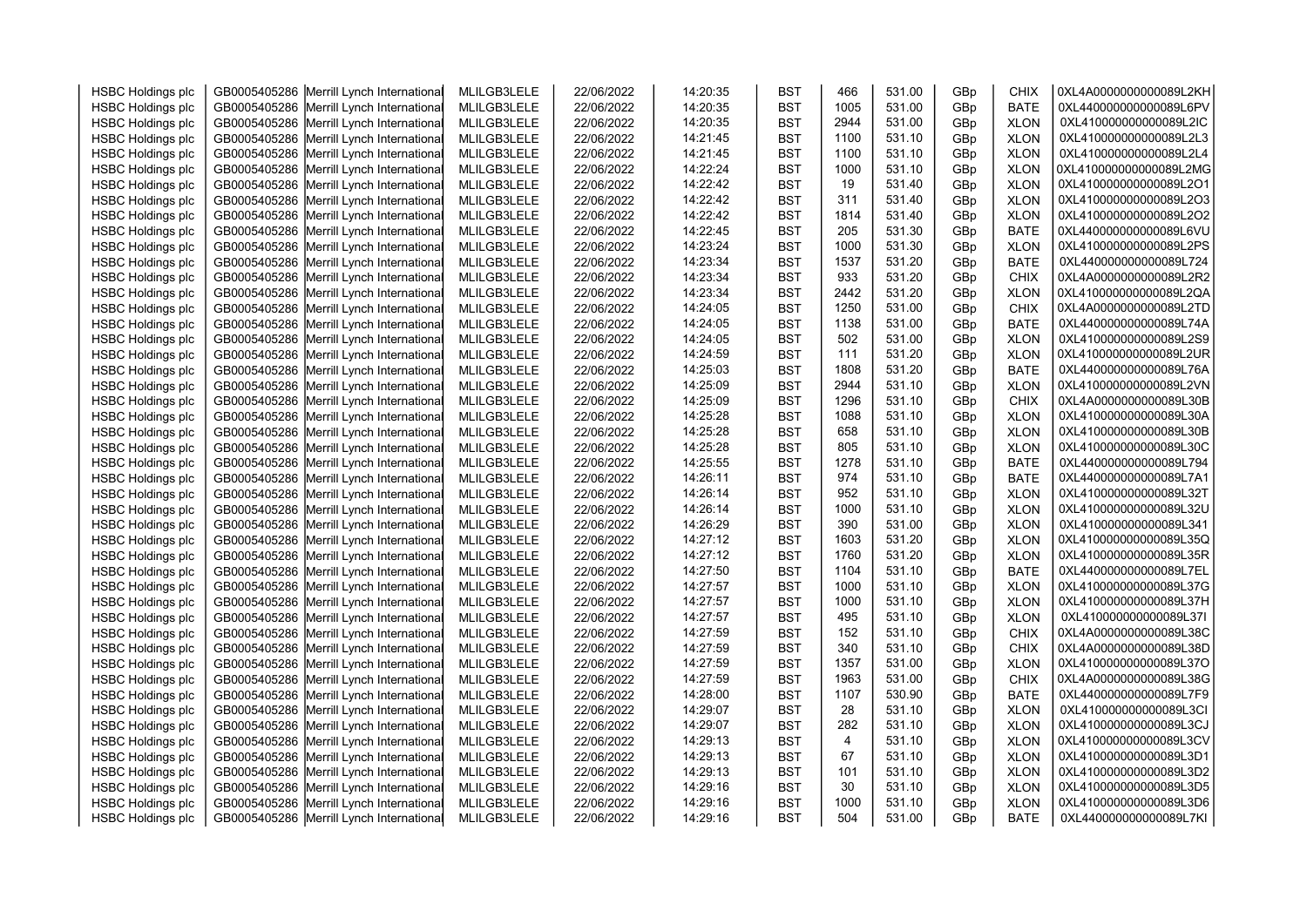| <b>HSBC Holdings plc</b> | GB0005405286 Merrill Lynch International | MLILGB3LELE | 22/06/2022               | 14:20:35 | <b>BST</b> | 466            | 531.00 | GBp | <b>CHIX</b> | 0XL4A0000000000089L2KH |  |
|--------------------------|------------------------------------------|-------------|--------------------------|----------|------------|----------------|--------|-----|-------------|------------------------|--|
|                          |                                          | MLILGB3LELE |                          | 14:20:35 | <b>BST</b> | 1005           | 531.00 |     | <b>BATE</b> | 0XL440000000000089L6PV |  |
| <b>HSBC Holdings plc</b> | GB0005405286 Merrill Lynch International | MLILGB3LELE | 22/06/2022<br>22/06/2022 | 14:20:35 | <b>BST</b> | 2944           | 531.00 | GBp | <b>XLON</b> | 0XL410000000000089L2IC |  |
| <b>HSBC Holdings plc</b> | GB0005405286 Merrill Lynch International |             |                          |          |            | 1100           | 531.10 | GBp |             | 0XL410000000000089L2L3 |  |
| <b>HSBC Holdings plc</b> | GB0005405286 Merrill Lynch International | MLILGB3LELE | 22/06/2022               | 14:21:45 | <b>BST</b> |                |        | GBp | <b>XLON</b> |                        |  |
| <b>HSBC Holdings plc</b> | GB0005405286 Merrill Lynch International | MLILGB3LELE | 22/06/2022               | 14:21:45 | <b>BST</b> | 1100           | 531.10 | GBp | <b>XLON</b> | 0XL410000000000089L2L4 |  |
| <b>HSBC Holdings plc</b> | GB0005405286 Merrill Lynch International | MLILGB3LELE | 22/06/2022               | 14:22:24 | <b>BST</b> | 1000           | 531.10 | GBp | <b>XLON</b> | 0XL410000000000089L2MG |  |
| <b>HSBC Holdings plc</b> | GB0005405286 Merrill Lynch International | MLILGB3LELE | 22/06/2022               | 14:22:42 | <b>BST</b> | 19             | 531.40 | GBp | <b>XLON</b> | 0XL410000000000089L2O1 |  |
| <b>HSBC Holdings plc</b> | GB0005405286 Merrill Lynch International | MLILGB3LELE | 22/06/2022               | 14:22:42 | <b>BST</b> | 311            | 531.40 | GBp | <b>XLON</b> | 0XL410000000000089L2O3 |  |
| <b>HSBC Holdings plc</b> | GB0005405286 Merrill Lynch International | MLILGB3LELE | 22/06/2022               | 14:22:42 | <b>BST</b> | 1814           | 531.40 | GBp | <b>XLON</b> | 0XL410000000000089L2O2 |  |
| <b>HSBC Holdings plc</b> | GB0005405286 Merrill Lynch International | MLILGB3LELE | 22/06/2022               | 14:22:45 | <b>BST</b> | 205            | 531.30 | GBp | <b>BATE</b> | 0XL440000000000089L6VU |  |
| <b>HSBC Holdings plc</b> | GB0005405286 Merrill Lynch International | MLILGB3LELE | 22/06/2022               | 14:23:24 | <b>BST</b> | 1000           | 531.30 | GBp | <b>XLON</b> | 0XL410000000000089L2PS |  |
| <b>HSBC Holdings plc</b> | GB0005405286 Merrill Lynch International | MLILGB3LELE | 22/06/2022               | 14:23:34 | <b>BST</b> | 1537           | 531.20 | GBp | <b>BATE</b> | 0XL440000000000089L724 |  |
| <b>HSBC Holdings plc</b> | GB0005405286 Merrill Lynch International | MLILGB3LELE | 22/06/2022               | 14:23:34 | <b>BST</b> | 933            | 531.20 | GBp | <b>CHIX</b> | 0XL4A0000000000089L2R2 |  |
| <b>HSBC Holdings plc</b> | GB0005405286 Merrill Lynch International | MLILGB3LELE | 22/06/2022               | 14:23:34 | <b>BST</b> | 2442           | 531.20 | GBp | <b>XLON</b> | 0XL410000000000089L2QA |  |
| <b>HSBC Holdings plc</b> | GB0005405286 Merrill Lynch International | MLILGB3LELE | 22/06/2022               | 14:24:05 | <b>BST</b> | 1250           | 531.00 | GBp | <b>CHIX</b> | 0XL4A0000000000089L2TD |  |
| <b>HSBC Holdings plc</b> | GB0005405286 Merrill Lynch International | MLILGB3LELE | 22/06/2022               | 14:24:05 | <b>BST</b> | 1138           | 531.00 | GBp | <b>BATE</b> | 0XL440000000000089L74A |  |
| <b>HSBC Holdings plc</b> | GB0005405286 Merrill Lynch International | MLILGB3LELE | 22/06/2022               | 14:24:05 | <b>BST</b> | 502            | 531.00 | GBp | <b>XLON</b> | 0XL410000000000089L2S9 |  |
| <b>HSBC Holdings plc</b> | GB0005405286 Merrill Lynch International | MLILGB3LELE | 22/06/2022               | 14:24:59 | <b>BST</b> | 111            | 531.20 | GBp | <b>XLON</b> | 0XL410000000000089L2UR |  |
| <b>HSBC Holdings plc</b> | GB0005405286 Merrill Lynch International | MLILGB3LELE | 22/06/2022               | 14:25:03 | <b>BST</b> | 1808           | 531.20 | GBp | <b>BATE</b> | 0XL440000000000089L76A |  |
| <b>HSBC Holdings plc</b> | GB0005405286 Merrill Lynch International | MLILGB3LELE | 22/06/2022               | 14:25:09 | <b>BST</b> | 2944           | 531.10 | GBp | <b>XLON</b> | 0XL410000000000089L2VN |  |
| <b>HSBC Holdings plc</b> | GB0005405286 Merrill Lynch International | MLILGB3LELE | 22/06/2022               | 14:25:09 | <b>BST</b> | 1296           | 531.10 | GBp | <b>CHIX</b> | 0XL4A0000000000089L30B |  |
| <b>HSBC Holdings plc</b> | GB0005405286 Merrill Lynch International | MLILGB3LELE | 22/06/2022               | 14:25:28 | <b>BST</b> | 1088           | 531.10 | GBp | <b>XLON</b> | 0XL410000000000089L30A |  |
| <b>HSBC Holdings plc</b> | GB0005405286 Merrill Lynch International | MLILGB3LELE | 22/06/2022               | 14:25:28 | <b>BST</b> | 658            | 531.10 | GBp | <b>XLON</b> | 0XL410000000000089L30B |  |
| <b>HSBC Holdings plc</b> | GB0005405286 Merrill Lynch International | MLILGB3LELE | 22/06/2022               | 14:25:28 | <b>BST</b> | 805            | 531.10 | GBp | <b>XLON</b> | 0XL410000000000089L30C |  |
| <b>HSBC Holdings plc</b> | GB0005405286 Merrill Lynch International | MLILGB3LELE | 22/06/2022               | 14:25:55 | <b>BST</b> | 1278           | 531.10 | GBp | <b>BATE</b> | 0XL440000000000089L794 |  |
| <b>HSBC Holdings plc</b> | GB0005405286 Merrill Lynch International | MLILGB3LELE | 22/06/2022               | 14:26:11 | <b>BST</b> | 974            | 531.10 | GBp | <b>BATE</b> | 0XL440000000000089L7A1 |  |
| <b>HSBC Holdings plc</b> | GB0005405286 Merrill Lynch International | MLILGB3LELE | 22/06/2022               | 14:26:14 | <b>BST</b> | 952            | 531.10 | GBp | <b>XLON</b> | 0XL410000000000089L32T |  |
| <b>HSBC Holdings plc</b> | GB0005405286 Merrill Lynch International | MLILGB3LELE | 22/06/2022               | 14:26:14 | <b>BST</b> | 1000           | 531.10 | GBp | <b>XLON</b> | 0XL410000000000089L32U |  |
| <b>HSBC Holdings plc</b> | GB0005405286 Merrill Lynch International | MLILGB3LELE | 22/06/2022               | 14:26:29 | <b>BST</b> | 390            | 531.00 | GBp | <b>XLON</b> | 0XL410000000000089L341 |  |
| <b>HSBC Holdings plc</b> | GB0005405286 Merrill Lynch International | MLILGB3LELE | 22/06/2022               | 14:27:12 | <b>BST</b> | 1603           | 531.20 | GBp | <b>XLON</b> | 0XL410000000000089L35Q |  |
| <b>HSBC Holdings plc</b> | GB0005405286 Merrill Lynch International | MLILGB3LELE | 22/06/2022               | 14:27:12 | <b>BST</b> | 1760           | 531.20 | GBp | <b>XLON</b> | 0XL410000000000089L35R |  |
| <b>HSBC Holdings plc</b> | GB0005405286 Merrill Lynch International | MLILGB3LELE | 22/06/2022               | 14:27:50 | <b>BST</b> | 1104           | 531.10 | GBp | <b>BATE</b> | 0XL440000000000089L7EL |  |
| <b>HSBC Holdings plc</b> | GB0005405286 Merrill Lynch International | MLILGB3LELE | 22/06/2022               | 14:27:57 | <b>BST</b> | 1000           | 531.10 | GBp | <b>XLON</b> | 0XL410000000000089L37G |  |
| <b>HSBC Holdings plc</b> | GB0005405286 Merrill Lynch International | MLILGB3LELE | 22/06/2022               | 14:27:57 | <b>BST</b> | 1000           | 531.10 | GBp | <b>XLON</b> | 0XL410000000000089L37H |  |
| <b>HSBC Holdings plc</b> | GB0005405286 Merrill Lynch International | MLILGB3LELE | 22/06/2022               | 14:27:57 | <b>BST</b> | 495            | 531.10 | GBp | <b>XLON</b> | 0XL410000000000089L37I |  |
| <b>HSBC Holdings plc</b> | GB0005405286 Merrill Lynch International | MLILGB3LELE | 22/06/2022               | 14:27:59 | <b>BST</b> | 152            | 531.10 | GBp | <b>CHIX</b> | 0XL4A0000000000089L38C |  |
| <b>HSBC Holdings plc</b> | GB0005405286 Merrill Lynch International | MLILGB3LELE | 22/06/2022               | 14:27:59 | <b>BST</b> | 340            | 531.10 | GBp | <b>CHIX</b> | 0XL4A0000000000089L38D |  |
| <b>HSBC Holdings plc</b> | GB0005405286 Merrill Lynch International | MLILGB3LELE | 22/06/2022               | 14:27:59 | <b>BST</b> | 1357           | 531.00 | GBp | <b>XLON</b> | 0XL410000000000089L37O |  |
| <b>HSBC Holdings plc</b> | GB0005405286 Merrill Lynch International | MLILGB3LELE | 22/06/2022               | 14:27:59 | <b>BST</b> | 1963           | 531.00 | GBp | <b>CHIX</b> | 0XL4A0000000000089L38G |  |
| <b>HSBC Holdings plc</b> | GB0005405286 Merrill Lynch International | MLILGB3LELE | 22/06/2022               | 14:28:00 | <b>BST</b> | 1107           | 530.90 | GBp | <b>BATE</b> | 0XL440000000000089L7F9 |  |
| <b>HSBC Holdings plc</b> | GB0005405286 Merrill Lynch International | MLILGB3LELE | 22/06/2022               | 14:29:07 | <b>BST</b> | 28             | 531.10 | GBp | <b>XLON</b> | 0XL410000000000089L3CI |  |
| <b>HSBC Holdings plc</b> | GB0005405286 Merrill Lynch International | MLILGB3LELE | 22/06/2022               | 14:29:07 | <b>BST</b> | 282            | 531.10 | GBp | <b>XLON</b> | 0XL410000000000089L3CJ |  |
| <b>HSBC Holdings plc</b> | GB0005405286 Merrill Lynch International | MLILGB3LELE | 22/06/2022               | 14:29:13 | <b>BST</b> | $\overline{4}$ | 531.10 | GBp | <b>XLON</b> | 0XL410000000000089L3CV |  |
| <b>HSBC Holdings plc</b> | GB0005405286 Merrill Lynch International | MLILGB3LELE | 22/06/2022               | 14:29:13 | <b>BST</b> | 67             | 531.10 | GBp | <b>XLON</b> | 0XL410000000000089L3D1 |  |
| <b>HSBC Holdings plc</b> | GB0005405286 Merrill Lynch International | MLILGB3LELE | 22/06/2022               | 14:29:13 | <b>BST</b> | 101            | 531.10 | GBp | <b>XLON</b> | 0XL410000000000089L3D2 |  |
| <b>HSBC Holdings plc</b> | GB0005405286 Merrill Lynch International | MLILGB3LELE | 22/06/2022               | 14:29:16 | <b>BST</b> | 30             | 531.10 | GBp | <b>XLON</b> | 0XL410000000000089L3D5 |  |
| <b>HSBC Holdings plc</b> | GB0005405286 Merrill Lynch International | MLILGB3LELE | 22/06/2022               | 14:29:16 | <b>BST</b> | 1000           | 531.10 | GBp | <b>XLON</b> | 0XL410000000000089L3D6 |  |
| <b>HSBC Holdings plc</b> | GB0005405286 Merrill Lynch International | MLILGB3LELE | 22/06/2022               | 14:29:16 | <b>BST</b> | 504            | 531.00 | GBp | <b>BATE</b> | 0XL440000000000089L7KI |  |
|                          |                                          |             |                          |          |            |                |        |     |             |                        |  |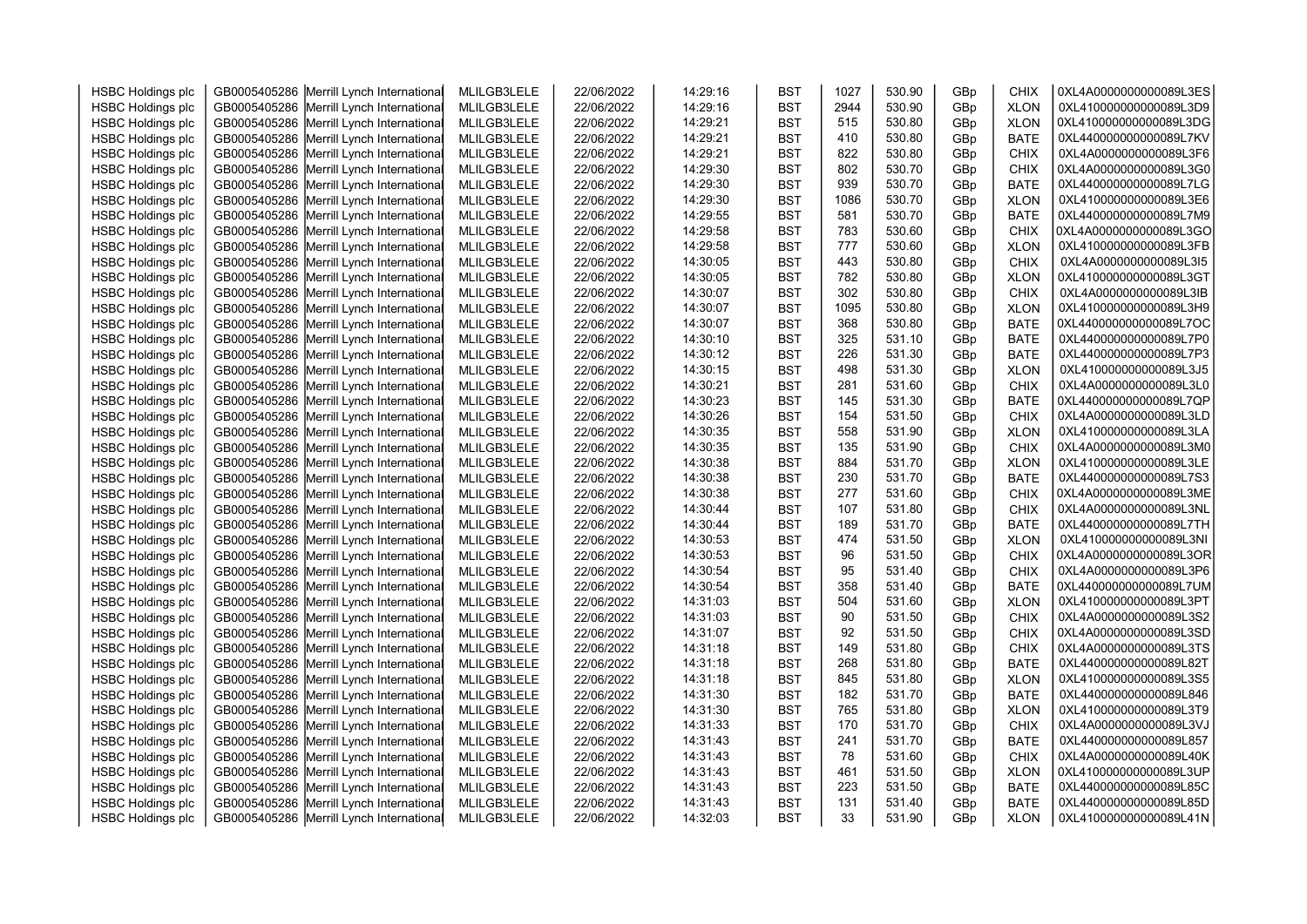| <b>HSBC Holdings plc</b> | GB0005405286 Merrill Lynch International | MLILGB3LELE | 22/06/2022 | 14:29:16 | <b>BST</b> | 1027 | 530.90 | GBp | CHIX        | 0XL4A0000000000089L3ES |  |
|--------------------------|------------------------------------------|-------------|------------|----------|------------|------|--------|-----|-------------|------------------------|--|
| <b>HSBC Holdings plc</b> | GB0005405286 Merrill Lynch International | MLILGB3LELE | 22/06/2022 | 14:29:16 | <b>BST</b> | 2944 | 530.90 | GBp | <b>XLON</b> | 0XL410000000000089L3D9 |  |
| <b>HSBC Holdings plc</b> | GB0005405286 Merrill Lynch International | MLILGB3LELE | 22/06/2022 | 14:29:21 | <b>BST</b> | 515  | 530.80 | GBp | <b>XLON</b> | 0XL410000000000089L3DG |  |
| <b>HSBC Holdings plc</b> | GB0005405286 Merrill Lynch International | MLILGB3LELE | 22/06/2022 | 14:29:21 | <b>BST</b> | 410  | 530.80 | GBp | <b>BATE</b> | 0XL440000000000089L7KV |  |
| <b>HSBC Holdings plc</b> | GB0005405286 Merrill Lynch International | MLILGB3LELE | 22/06/2022 | 14:29:21 | <b>BST</b> | 822  | 530.80 | GBp | <b>CHIX</b> | 0XL4A0000000000089L3F6 |  |
| <b>HSBC Holdings plc</b> | GB0005405286 Merrill Lynch International | MLILGB3LELE | 22/06/2022 | 14:29:30 | <b>BST</b> | 802  | 530.70 | GBp | <b>CHIX</b> | 0XL4A0000000000089L3G0 |  |
| <b>HSBC Holdings plc</b> | GB0005405286 Merrill Lynch International | MLILGB3LELE | 22/06/2022 | 14:29:30 | <b>BST</b> | 939  | 530.70 | GBp | <b>BATE</b> | 0XL440000000000089L7LG |  |
| <b>HSBC Holdings plc</b> | GB0005405286 Merrill Lynch International | MLILGB3LELE | 22/06/2022 | 14:29:30 | <b>BST</b> | 1086 | 530.70 | GBp | <b>XLON</b> | 0XL410000000000089L3E6 |  |
| <b>HSBC Holdings plc</b> | GB0005405286 Merrill Lynch International | MLILGB3LELE | 22/06/2022 | 14:29:55 | <b>BST</b> | 581  | 530.70 | GBp | <b>BATE</b> | 0XL440000000000089L7M9 |  |
| <b>HSBC Holdings plc</b> | GB0005405286 Merrill Lynch International | MLILGB3LELE | 22/06/2022 | 14:29:58 | <b>BST</b> | 783  | 530.60 | GBp | <b>CHIX</b> | 0XL4A0000000000089L3GO |  |
| <b>HSBC Holdings plc</b> | GB0005405286 Merrill Lynch International | MLILGB3LELE | 22/06/2022 | 14:29:58 | <b>BST</b> | 777  | 530.60 | GBp | <b>XLON</b> | 0XL410000000000089L3FB |  |
| <b>HSBC Holdings plc</b> | GB0005405286 Merrill Lynch International | MLILGB3LELE | 22/06/2022 | 14:30:05 | <b>BST</b> | 443  | 530.80 | GBp | <b>CHIX</b> | 0XL4A0000000000089L3I5 |  |
| <b>HSBC Holdings plc</b> | GB0005405286 Merrill Lynch International | MLILGB3LELE | 22/06/2022 | 14:30:05 | <b>BST</b> | 782  | 530.80 | GBp | <b>XLON</b> | 0XL410000000000089L3GT |  |
| <b>HSBC Holdings plc</b> | GB0005405286 Merrill Lynch International | MLILGB3LELE | 22/06/2022 | 14:30:07 | <b>BST</b> | 302  | 530.80 | GBp | <b>CHIX</b> | 0XL4A0000000000089L3IB |  |
| <b>HSBC Holdings plc</b> | GB0005405286 Merrill Lynch International | MLILGB3LELE | 22/06/2022 | 14:30:07 | <b>BST</b> | 1095 | 530.80 | GBp | <b>XLON</b> | 0XL410000000000089L3H9 |  |
| <b>HSBC Holdings plc</b> | GB0005405286 Merrill Lynch International | MLILGB3LELE | 22/06/2022 | 14:30:07 | <b>BST</b> | 368  | 530.80 | GBp | <b>BATE</b> | 0XL440000000000089L7OC |  |
| <b>HSBC Holdings plc</b> | GB0005405286 Merrill Lynch International | MLILGB3LELE | 22/06/2022 | 14:30:10 | <b>BST</b> | 325  | 531.10 | GBp | <b>BATE</b> | 0XL440000000000089L7P0 |  |
| <b>HSBC Holdings plc</b> | GB0005405286 Merrill Lynch International | MLILGB3LELE | 22/06/2022 | 14:30:12 | <b>BST</b> | 226  | 531.30 | GBp | <b>BATE</b> | 0XL440000000000089L7P3 |  |
| <b>HSBC Holdings plc</b> | GB0005405286 Merrill Lynch International | MLILGB3LELE | 22/06/2022 | 14:30:15 | <b>BST</b> | 498  | 531.30 | GBp | <b>XLON</b> | 0XL410000000000089L3J5 |  |
| <b>HSBC Holdings plc</b> | GB0005405286 Merrill Lynch International | MLILGB3LELE | 22/06/2022 | 14:30:21 | <b>BST</b> | 281  | 531.60 | GBp | <b>CHIX</b> | 0XL4A0000000000089L3L0 |  |
| <b>HSBC Holdings plc</b> | GB0005405286 Merrill Lynch International | MLILGB3LELE | 22/06/2022 | 14:30:23 | <b>BST</b> | 145  | 531.30 | GBp | <b>BATE</b> | 0XL440000000000089L7QP |  |
| <b>HSBC Holdings plc</b> | GB0005405286 Merrill Lynch International | MLILGB3LELE | 22/06/2022 | 14:30:26 | <b>BST</b> | 154  | 531.50 | GBp | <b>CHIX</b> | 0XL4A0000000000089L3LD |  |
| <b>HSBC Holdings plc</b> | GB0005405286 Merrill Lynch International | MLILGB3LELE | 22/06/2022 | 14:30:35 | <b>BST</b> | 558  | 531.90 | GBp | <b>XLON</b> | 0XL410000000000089L3LA |  |
| <b>HSBC Holdings plc</b> | GB0005405286 Merrill Lynch International | MLILGB3LELE | 22/06/2022 | 14:30:35 | <b>BST</b> | 135  | 531.90 | GBp | <b>CHIX</b> | 0XL4A0000000000089L3M0 |  |
| <b>HSBC Holdings plc</b> | GB0005405286 Merrill Lynch International | MLILGB3LELE | 22/06/2022 | 14:30:38 | <b>BST</b> | 884  | 531.70 | GBp | <b>XLON</b> | 0XL410000000000089L3LE |  |
| <b>HSBC Holdings plc</b> | GB0005405286 Merrill Lynch International | MLILGB3LELE | 22/06/2022 | 14:30:38 | <b>BST</b> | 230  | 531.70 | GBp | <b>BATE</b> | 0XL440000000000089L7S3 |  |
| <b>HSBC Holdings plc</b> | GB0005405286 Merrill Lynch International | MLILGB3LELE | 22/06/2022 | 14:30:38 | <b>BST</b> | 277  | 531.60 | GBp | CHIX        | 0XL4A0000000000089L3ME |  |
| <b>HSBC Holdings plc</b> | GB0005405286 Merrill Lynch International | MLILGB3LELE | 22/06/2022 | 14:30:44 | <b>BST</b> | 107  | 531.80 | GBp | <b>CHIX</b> | 0XL4A0000000000089L3NL |  |
| <b>HSBC Holdings plc</b> | GB0005405286 Merrill Lynch International | MLILGB3LELE | 22/06/2022 | 14:30:44 | <b>BST</b> | 189  | 531.70 | GBp | <b>BATE</b> | 0XL440000000000089L7TH |  |
| <b>HSBC Holdings plc</b> | GB0005405286 Merrill Lynch International | MLILGB3LELE | 22/06/2022 | 14:30:53 | <b>BST</b> | 474  | 531.50 | GBp | <b>XLON</b> | 0XL410000000000089L3NI |  |
| <b>HSBC Holdings plc</b> | GB0005405286 Merrill Lynch International | MLILGB3LELE | 22/06/2022 | 14:30:53 | <b>BST</b> | 96   | 531.50 | GBp | CHIX        | 0XL4A0000000000089L3OR |  |
| <b>HSBC Holdings plc</b> | GB0005405286 Merrill Lynch International | MLILGB3LELE | 22/06/2022 | 14:30:54 | <b>BST</b> | 95   | 531.40 | GBp | <b>CHIX</b> | 0XL4A0000000000089L3P6 |  |
| <b>HSBC Holdings plc</b> | GB0005405286 Merrill Lynch International | MLILGB3LELE | 22/06/2022 | 14:30:54 | <b>BST</b> | 358  | 531.40 | GBp | <b>BATE</b> | 0XL440000000000089L7UM |  |
| <b>HSBC Holdings plc</b> | GB0005405286 Merrill Lynch International | MLILGB3LELE | 22/06/2022 | 14:31:03 | <b>BST</b> | 504  | 531.60 | GBp | <b>XLON</b> | 0XL410000000000089L3PT |  |
| <b>HSBC Holdings plc</b> | GB0005405286 Merrill Lynch International | MLILGB3LELE | 22/06/2022 | 14:31:03 | <b>BST</b> | 90   | 531.50 | GBp | <b>CHIX</b> | 0XL4A0000000000089L3S2 |  |
| <b>HSBC Holdings plc</b> | GB0005405286 Merrill Lynch International | MLILGB3LELE | 22/06/2022 | 14:31:07 | <b>BST</b> | 92   | 531.50 | GBp | <b>CHIX</b> | 0XL4A0000000000089L3SD |  |
| <b>HSBC Holdings plc</b> | GB0005405286 Merrill Lynch International | MLILGB3LELE | 22/06/2022 | 14:31:18 | <b>BST</b> | 149  | 531.80 | GBp | <b>CHIX</b> | 0XL4A0000000000089L3TS |  |
| <b>HSBC Holdings plc</b> | GB0005405286 Merrill Lynch International | MLILGB3LELE | 22/06/2022 | 14:31:18 | <b>BST</b> | 268  | 531.80 | GBp | <b>BATE</b> | 0XL440000000000089L82T |  |
| <b>HSBC Holdings plc</b> | GB0005405286 Merrill Lynch International | MLILGB3LELE | 22/06/2022 | 14:31:18 | <b>BST</b> | 845  | 531.80 | GBp | <b>XLON</b> | 0XL410000000000089L3S5 |  |
| <b>HSBC Holdings plc</b> | GB0005405286 Merrill Lynch International | MLILGB3LELE | 22/06/2022 | 14:31:30 | <b>BST</b> | 182  | 531.70 | GBp | <b>BATE</b> | 0XL440000000000089L846 |  |
| <b>HSBC Holdings plc</b> | GB0005405286 Merrill Lynch International | MLILGB3LELE | 22/06/2022 | 14:31:30 | <b>BST</b> | 765  | 531.80 | GBp | <b>XLON</b> | 0XL410000000000089L3T9 |  |
| <b>HSBC Holdings plc</b> | GB0005405286 Merrill Lynch International | MLILGB3LELE | 22/06/2022 | 14:31:33 | <b>BST</b> | 170  | 531.70 | GBp | <b>CHIX</b> | 0XL4A0000000000089L3VJ |  |
| <b>HSBC Holdings plc</b> | GB0005405286 Merrill Lynch International | MLILGB3LELE | 22/06/2022 | 14:31:43 | <b>BST</b> | 241  | 531.70 | GBp | <b>BATE</b> | 0XL440000000000089L857 |  |
| <b>HSBC Holdings plc</b> | GB0005405286 Merrill Lynch International | MLILGB3LELE | 22/06/2022 | 14:31:43 | <b>BST</b> | 78   | 531.60 | GBp | <b>CHIX</b> | 0XL4A0000000000089L40K |  |
| <b>HSBC Holdings plc</b> | GB0005405286 Merrill Lynch International | MLILGB3LELE | 22/06/2022 | 14:31:43 | <b>BST</b> | 461  | 531.50 | GBp | <b>XLON</b> | 0XL410000000000089L3UP |  |
| <b>HSBC Holdings plc</b> | GB0005405286 Merrill Lynch International | MLILGB3LELE | 22/06/2022 | 14:31:43 | <b>BST</b> | 223  | 531.50 | GBp | <b>BATE</b> | 0XL440000000000089L85C |  |
| <b>HSBC Holdings plc</b> | GB0005405286 Merrill Lynch International | MLILGB3LELE | 22/06/2022 | 14:31:43 | <b>BST</b> | 131  | 531.40 | GBp | <b>BATE</b> | 0XL440000000000089L85D |  |
| <b>HSBC Holdings plc</b> | GB0005405286 Merrill Lynch International | MLILGB3LELE | 22/06/2022 | 14:32:03 | <b>BST</b> | 33   | 531.90 | GBp | <b>XLON</b> | 0XL410000000000089L41N |  |
|                          |                                          |             |            |          |            |      |        |     |             |                        |  |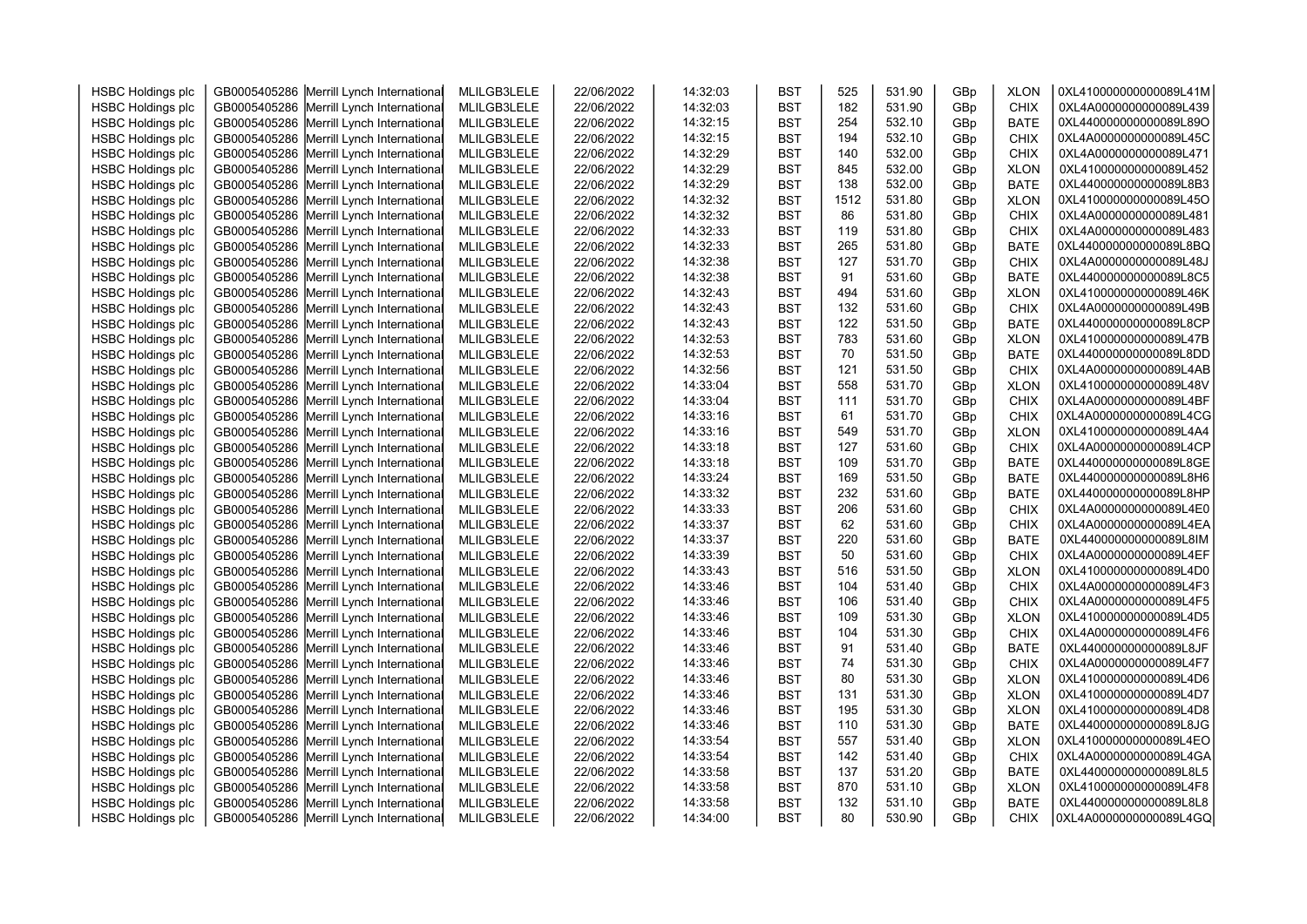| <b>HSBC Holdings plc</b> | GB0005405286 Merrill Lynch International | MLILGB3LELE | 22/06/2022 | 14:32:03 | <b>BST</b> | 525  | 531.90 | GBp | <b>XLON</b> | 0XL410000000000089L41M |  |
|--------------------------|------------------------------------------|-------------|------------|----------|------------|------|--------|-----|-------------|------------------------|--|
| <b>HSBC Holdings plc</b> | GB0005405286 Merrill Lynch International | MLILGB3LELE | 22/06/2022 | 14:32:03 | <b>BST</b> | 182  | 531.90 | GBp | <b>CHIX</b> | 0XL4A0000000000089L439 |  |
| <b>HSBC Holdings plc</b> | GB0005405286 Merrill Lynch International | MLILGB3LELE | 22/06/2022 | 14:32:15 | <b>BST</b> | 254  | 532.10 | GBp | <b>BATE</b> | 0XL440000000000089L89O |  |
| <b>HSBC Holdings plc</b> | GB0005405286 Merrill Lynch International | MLILGB3LELE | 22/06/2022 | 14:32:15 | <b>BST</b> | 194  | 532.10 | GBp | <b>CHIX</b> | 0XL4A0000000000089L45C |  |
| <b>HSBC Holdings plc</b> | GB0005405286 Merrill Lynch International | MLILGB3LELE | 22/06/2022 | 14:32:29 | <b>BST</b> | 140  | 532.00 | GBp | <b>CHIX</b> | 0XL4A0000000000089L471 |  |
| <b>HSBC Holdings plc</b> | GB0005405286 Merrill Lynch International | MLILGB3LELE | 22/06/2022 | 14:32:29 | <b>BST</b> | 845  | 532.00 | GBp | <b>XLON</b> | 0XL410000000000089L452 |  |
| <b>HSBC Holdings plc</b> | GB0005405286 Merrill Lynch International | MLILGB3LELE | 22/06/2022 | 14:32:29 | <b>BST</b> | 138  | 532.00 | GBp | <b>BATE</b> | 0XL440000000000089L8B3 |  |
| <b>HSBC Holdings plc</b> | GB0005405286 Merrill Lynch International | MLILGB3LELE | 22/06/2022 | 14:32:32 | <b>BST</b> | 1512 | 531.80 | GBp | <b>XLON</b> | 0XL410000000000089L45O |  |
| <b>HSBC Holdings plc</b> | GB0005405286 Merrill Lynch International | MLILGB3LELE | 22/06/2022 | 14:32:32 | <b>BST</b> | 86   | 531.80 | GBp | <b>CHIX</b> | 0XL4A0000000000089L481 |  |
| <b>HSBC Holdings plc</b> | GB0005405286 Merrill Lynch International | MLILGB3LELE | 22/06/2022 | 14:32:33 | <b>BST</b> | 119  | 531.80 | GBp | CHIX        | 0XL4A0000000000089L483 |  |
| <b>HSBC Holdings plc</b> | GB0005405286 Merrill Lynch International | MLILGB3LELE | 22/06/2022 | 14:32:33 | <b>BST</b> | 265  | 531.80 | GBp | <b>BATE</b> | 0XL440000000000089L8BQ |  |
| <b>HSBC Holdings plc</b> | GB0005405286 Merrill Lynch International | MLILGB3LELE | 22/06/2022 | 14:32:38 | <b>BST</b> | 127  | 531.70 | GBp | <b>CHIX</b> | 0XL4A0000000000089L48J |  |
| <b>HSBC Holdings plc</b> | GB0005405286 Merrill Lynch International | MLILGB3LELE | 22/06/2022 | 14:32:38 | <b>BST</b> | 91   | 531.60 | GBp | <b>BATE</b> | 0XL440000000000089L8C5 |  |
| <b>HSBC Holdings plc</b> | GB0005405286 Merrill Lynch International | MLILGB3LELE | 22/06/2022 | 14:32:43 | <b>BST</b> | 494  | 531.60 | GBp | <b>XLON</b> | 0XL410000000000089L46K |  |
| <b>HSBC Holdings plc</b> | GB0005405286 Merrill Lynch International | MLILGB3LELE | 22/06/2022 | 14:32:43 | <b>BST</b> | 132  | 531.60 | GBp | <b>CHIX</b> | 0XL4A0000000000089L49B |  |
| <b>HSBC Holdings plc</b> | GB0005405286 Merrill Lynch International | MLILGB3LELE | 22/06/2022 | 14:32:43 | <b>BST</b> | 122  | 531.50 | GBp | <b>BATE</b> | 0XL440000000000089L8CP |  |
| <b>HSBC Holdings plc</b> | GB0005405286 Merrill Lynch International | MLILGB3LELE | 22/06/2022 | 14:32:53 | <b>BST</b> | 783  | 531.60 | GBp | <b>XLON</b> | 0XL410000000000089L47B |  |
| <b>HSBC Holdings plc</b> | GB0005405286 Merrill Lynch International | MLILGB3LELE | 22/06/2022 | 14:32:53 | <b>BST</b> | 70   | 531.50 | GBp | <b>BATE</b> | 0XL440000000000089L8DD |  |
| <b>HSBC Holdings plc</b> | GB0005405286 Merrill Lynch International | MLILGB3LELE | 22/06/2022 | 14:32:56 | <b>BST</b> | 121  | 531.50 | GBp | <b>CHIX</b> | 0XL4A0000000000089L4AB |  |
| <b>HSBC Holdings plc</b> | GB0005405286 Merrill Lynch International | MLILGB3LELE | 22/06/2022 | 14:33:04 | <b>BST</b> | 558  | 531.70 | GBp | <b>XLON</b> | 0XL410000000000089L48V |  |
| <b>HSBC Holdings plc</b> | GB0005405286 Merrill Lynch International | MLILGB3LELE | 22/06/2022 | 14:33:04 | <b>BST</b> | 111  | 531.70 | GBp | <b>CHIX</b> | 0XL4A0000000000089L4BF |  |
| <b>HSBC Holdings plc</b> | GB0005405286 Merrill Lynch International | MLILGB3LELE | 22/06/2022 | 14:33:16 | <b>BST</b> | 61   | 531.70 | GBp | <b>CHIX</b> | 0XL4A0000000000089L4CG |  |
| <b>HSBC Holdings plc</b> | GB0005405286 Merrill Lynch International | MLILGB3LELE | 22/06/2022 | 14:33:16 | <b>BST</b> | 549  | 531.70 | GBp | <b>XLON</b> | 0XL410000000000089L4A4 |  |
| <b>HSBC Holdings plc</b> | GB0005405286 Merrill Lynch International | MLILGB3LELE | 22/06/2022 | 14:33:18 | <b>BST</b> | 127  | 531.60 | GBp | <b>CHIX</b> | 0XL4A0000000000089L4CP |  |
| <b>HSBC Holdings plc</b> | GB0005405286 Merrill Lynch International | MLILGB3LELE | 22/06/2022 | 14:33:18 | <b>BST</b> | 109  | 531.70 | GBp | <b>BATE</b> | 0XL440000000000089L8GE |  |
| <b>HSBC Holdings plc</b> | GB0005405286 Merrill Lynch International | MLILGB3LELE | 22/06/2022 | 14:33:24 | <b>BST</b> | 169  | 531.50 | GBp | <b>BATE</b> | 0XL440000000000089L8H6 |  |
| <b>HSBC Holdings plc</b> | GB0005405286 Merrill Lynch International | MLILGB3LELE | 22/06/2022 | 14:33:32 | <b>BST</b> | 232  | 531.60 | GBp | <b>BATE</b> | 0XL440000000000089L8HP |  |
| <b>HSBC Holdings plc</b> | GB0005405286 Merrill Lynch International | MLILGB3LELE | 22/06/2022 | 14:33:33 | <b>BST</b> | 206  | 531.60 | GBp | <b>CHIX</b> | 0XL4A0000000000089L4E0 |  |
| <b>HSBC Holdings plc</b> | GB0005405286 Merrill Lynch International | MLILGB3LELE | 22/06/2022 | 14:33:37 | <b>BST</b> | 62   | 531.60 | GBp | <b>CHIX</b> | 0XL4A0000000000089L4EA |  |
| <b>HSBC Holdings plc</b> | GB0005405286 Merrill Lynch International | MLILGB3LELE | 22/06/2022 | 14:33:37 | <b>BST</b> | 220  | 531.60 | GBp | <b>BATE</b> | 0XL440000000000089L8IM |  |
| <b>HSBC Holdings plc</b> | GB0005405286 Merrill Lynch International | MLILGB3LELE | 22/06/2022 | 14:33:39 | <b>BST</b> | 50   | 531.60 | GBp | CHIX        | 0XL4A0000000000089L4EF |  |
| <b>HSBC Holdings plc</b> | GB0005405286 Merrill Lynch International | MLILGB3LELE | 22/06/2022 | 14:33:43 | <b>BST</b> | 516  | 531.50 | GBp | <b>XLON</b> | 0XL410000000000089L4D0 |  |
| <b>HSBC Holdings plc</b> | GB0005405286 Merrill Lynch International | MLILGB3LELE | 22/06/2022 | 14:33:46 | <b>BST</b> | 104  | 531.40 | GBp | <b>CHIX</b> | 0XL4A0000000000089L4F3 |  |
| <b>HSBC Holdings plc</b> | GB0005405286 Merrill Lynch International | MLILGB3LELE | 22/06/2022 | 14:33:46 | <b>BST</b> | 106  | 531.40 | GBp | <b>CHIX</b> | 0XL4A0000000000089L4F5 |  |
| <b>HSBC Holdings plc</b> | GB0005405286 Merrill Lynch International | MLILGB3LELE | 22/06/2022 | 14:33:46 | <b>BST</b> | 109  | 531.30 | GBp | <b>XLON</b> | 0XL410000000000089L4D5 |  |
| <b>HSBC Holdings plc</b> | GB0005405286 Merrill Lynch International | MLILGB3LELE | 22/06/2022 | 14:33:46 | <b>BST</b> | 104  | 531.30 | GBp | <b>CHIX</b> | 0XL4A0000000000089L4F6 |  |
| <b>HSBC Holdings plc</b> | GB0005405286 Merrill Lynch International | MLILGB3LELE | 22/06/2022 | 14:33:46 | <b>BST</b> | 91   | 531.40 | GBp | <b>BATE</b> | 0XL440000000000089L8JF |  |
| <b>HSBC Holdings plc</b> | GB0005405286 Merrill Lynch International | MLILGB3LELE | 22/06/2022 | 14:33:46 | <b>BST</b> | 74   | 531.30 | GBp | <b>CHIX</b> | 0XL4A0000000000089L4F7 |  |
| <b>HSBC Holdings plc</b> | GB0005405286 Merrill Lynch International | MLILGB3LELE | 22/06/2022 | 14:33:46 | <b>BST</b> | 80   | 531.30 | GBp | <b>XLON</b> | 0XL410000000000089L4D6 |  |
| <b>HSBC Holdings plc</b> | GB0005405286 Merrill Lynch International | MLILGB3LELE | 22/06/2022 | 14:33:46 | <b>BST</b> | 131  | 531.30 | GBp | <b>XLON</b> | 0XL410000000000089L4D7 |  |
| <b>HSBC Holdings plc</b> | GB0005405286 Merrill Lynch International | MLILGB3LELE | 22/06/2022 | 14:33:46 | <b>BST</b> | 195  | 531.30 | GBp | <b>XLON</b> | 0XL410000000000089L4D8 |  |
| <b>HSBC Holdings plc</b> | GB0005405286 Merrill Lynch International | MLILGB3LELE | 22/06/2022 | 14:33:46 | <b>BST</b> | 110  | 531.30 | GBp | <b>BATE</b> | 0XL440000000000089L8JG |  |
| <b>HSBC Holdings plc</b> | GB0005405286 Merrill Lynch International | MLILGB3LELE | 22/06/2022 | 14:33:54 | <b>BST</b> | 557  | 531.40 | GBp | <b>XLON</b> | 0XL410000000000089L4EO |  |
| <b>HSBC Holdings plc</b> | GB0005405286 Merrill Lynch International | MLILGB3LELE | 22/06/2022 | 14:33:54 | <b>BST</b> | 142  | 531.40 | GBp | CHIX        | 0XL4A0000000000089L4GA |  |
| <b>HSBC Holdings plc</b> | GB0005405286 Merrill Lynch International | MLILGB3LELE | 22/06/2022 | 14:33:58 | <b>BST</b> | 137  | 531.20 | GBp | <b>BATE</b> | 0XL440000000000089L8L5 |  |
| <b>HSBC Holdings plc</b> | GB0005405286 Merrill Lynch International | MLILGB3LELE | 22/06/2022 | 14:33:58 | <b>BST</b> | 870  | 531.10 | GBp | <b>XLON</b> | 0XL410000000000089L4F8 |  |
| <b>HSBC Holdings plc</b> | GB0005405286 Merrill Lynch International | MLILGB3LELE | 22/06/2022 | 14:33:58 | <b>BST</b> | 132  | 531.10 | GBp | <b>BATE</b> | 0XL440000000000089L8L8 |  |
| <b>HSBC Holdings plc</b> | GB0005405286 Merrill Lynch International | MLILGB3LELE | 22/06/2022 | 14:34:00 | <b>BST</b> | 80   | 530.90 | GBp | <b>CHIX</b> | 0XL4A0000000000089L4GQ |  |
|                          |                                          |             |            |          |            |      |        |     |             |                        |  |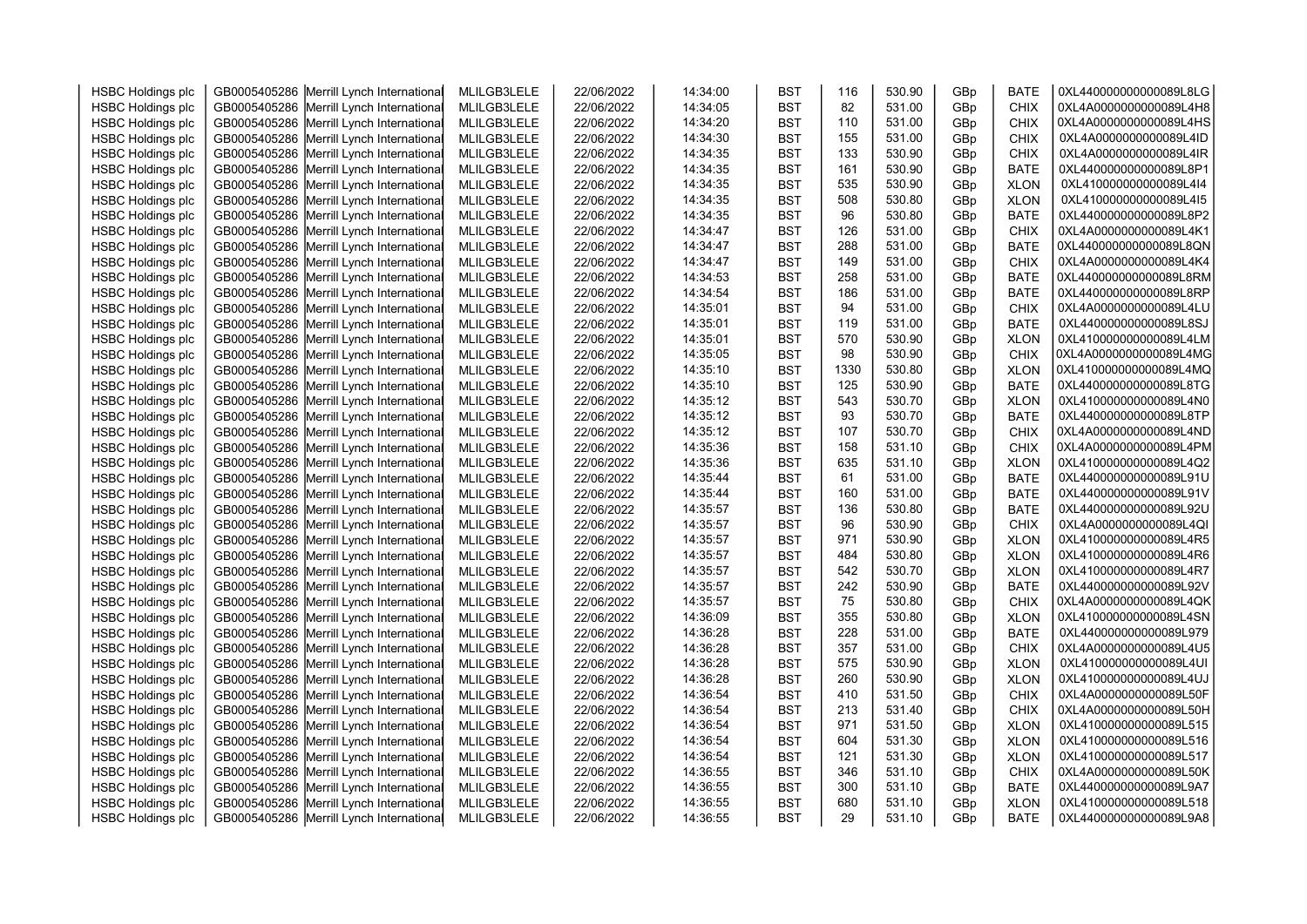| <b>HSBC Holdings plc</b> | GB0005405286 Merrill Lynch International | MLILGB3LELE | 22/06/2022 | 14:34:00 | <b>BST</b> | 116  | 530.90 | GBp | <b>BATE</b> | 0XL440000000000089L8LG |  |
|--------------------------|------------------------------------------|-------------|------------|----------|------------|------|--------|-----|-------------|------------------------|--|
|                          | GB0005405286 Merrill Lynch International | MLILGB3LELE | 22/06/2022 | 14:34:05 | <b>BST</b> | 82   | 531.00 | GBp | <b>CHIX</b> | 0XL4A0000000000089L4H8 |  |
| <b>HSBC Holdings plc</b> | GB0005405286 Merrill Lynch International | MLILGB3LELE | 22/06/2022 | 14:34:20 | <b>BST</b> | 110  | 531.00 |     | <b>CHIX</b> | 0XL4A0000000000089L4HS |  |
| <b>HSBC Holdings plc</b> |                                          |             |            |          | <b>BST</b> | 155  | 531.00 | GBp |             | 0XL4A0000000000089L4ID |  |
| <b>HSBC Holdings plc</b> | GB0005405286 Merrill Lynch International | MLILGB3LELE | 22/06/2022 | 14:34:30 |            | 133  | 530.90 | GBp | <b>CHIX</b> | 0XL4A0000000000089L4IR |  |
| <b>HSBC Holdings plc</b> | GB0005405286 Merrill Lynch International | MLILGB3LELE | 22/06/2022 | 14:34:35 | <b>BST</b> |      |        | GBp | <b>CHIX</b> |                        |  |
| <b>HSBC Holdings plc</b> | GB0005405286 Merrill Lynch International | MLILGB3LELE | 22/06/2022 | 14:34:35 | <b>BST</b> | 161  | 530.90 | GBp | <b>BATE</b> | 0XL440000000000089L8P1 |  |
| <b>HSBC Holdings plc</b> | GB0005405286 Merrill Lynch International | MLILGB3LELE | 22/06/2022 | 14:34:35 | <b>BST</b> | 535  | 530.90 | GBp | <b>XLON</b> | 0XL410000000000089L4I4 |  |
| <b>HSBC Holdings plc</b> | GB0005405286 Merrill Lynch International | MLILGB3LELE | 22/06/2022 | 14:34:35 | <b>BST</b> | 508  | 530.80 | GBp | <b>XLON</b> | 0XL410000000000089L4I5 |  |
| <b>HSBC Holdings plc</b> | GB0005405286 Merrill Lynch International | MLILGB3LELE | 22/06/2022 | 14:34:35 | <b>BST</b> | 96   | 530.80 | GBp | <b>BATE</b> | 0XL440000000000089L8P2 |  |
| <b>HSBC Holdings plc</b> | GB0005405286 Merrill Lynch International | MLILGB3LELE | 22/06/2022 | 14:34:47 | <b>BST</b> | 126  | 531.00 | GBp | <b>CHIX</b> | 0XL4A0000000000089L4K1 |  |
| <b>HSBC Holdings plc</b> | GB0005405286 Merrill Lynch International | MLILGB3LELE | 22/06/2022 | 14:34:47 | <b>BST</b> | 288  | 531.00 | GBp | <b>BATE</b> | 0XL440000000000089L8QN |  |
| <b>HSBC Holdings plc</b> | GB0005405286 Merrill Lynch International | MLILGB3LELE | 22/06/2022 | 14:34:47 | <b>BST</b> | 149  | 531.00 | GBp | <b>CHIX</b> | 0XL4A0000000000089L4K4 |  |
| <b>HSBC Holdings plc</b> | GB0005405286 Merrill Lynch International | MLILGB3LELE | 22/06/2022 | 14:34:53 | <b>BST</b> | 258  | 531.00 | GBp | <b>BATE</b> | 0XL440000000000089L8RM |  |
| <b>HSBC Holdings plc</b> | GB0005405286 Merrill Lynch International | MLILGB3LELE | 22/06/2022 | 14:34:54 | <b>BST</b> | 186  | 531.00 | GBp | <b>BATE</b> | 0XL440000000000089L8RP |  |
| <b>HSBC Holdings plc</b> | GB0005405286 Merrill Lynch International | MLILGB3LELE | 22/06/2022 | 14:35:01 | <b>BST</b> | 94   | 531.00 | GBp | <b>CHIX</b> | 0XL4A0000000000089L4LU |  |
| <b>HSBC Holdings plc</b> | GB0005405286 Merrill Lynch International | MLILGB3LELE | 22/06/2022 | 14:35:01 | <b>BST</b> | 119  | 531.00 | GBp | <b>BATE</b> | 0XL440000000000089L8SJ |  |
| <b>HSBC Holdings plc</b> | GB0005405286 Merrill Lynch International | MLILGB3LELE | 22/06/2022 | 14:35:01 | <b>BST</b> | 570  | 530.90 | GBp | <b>XLON</b> | 0XL410000000000089L4LM |  |
| <b>HSBC Holdings plc</b> | GB0005405286 Merrill Lynch International | MLILGB3LELE | 22/06/2022 | 14:35:05 | <b>BST</b> | 98   | 530.90 | GBp | <b>CHIX</b> | 0XL4A0000000000089L4MG |  |
| <b>HSBC Holdings plc</b> | GB0005405286 Merrill Lynch International | MLILGB3LELE | 22/06/2022 | 14:35:10 | <b>BST</b> | 1330 | 530.80 | GBp | <b>XLON</b> | 0XL410000000000089L4MQ |  |
| <b>HSBC Holdings plc</b> | GB0005405286 Merrill Lynch International | MLILGB3LELE | 22/06/2022 | 14:35:10 | <b>BST</b> | 125  | 530.90 | GBp | <b>BATE</b> | 0XL440000000000089L8TG |  |
| <b>HSBC Holdings plc</b> | GB0005405286 Merrill Lynch International | MLILGB3LELE | 22/06/2022 | 14:35:12 | <b>BST</b> | 543  | 530.70 | GBp | <b>XLON</b> | 0XL410000000000089L4N0 |  |
| <b>HSBC Holdings plc</b> | GB0005405286 Merrill Lynch International | MLILGB3LELE | 22/06/2022 | 14:35:12 | <b>BST</b> | 93   | 530.70 | GBp | <b>BATE</b> | 0XL440000000000089L8TP |  |
| <b>HSBC Holdings plc</b> | GB0005405286 Merrill Lynch International | MLILGB3LELE | 22/06/2022 | 14:35:12 | <b>BST</b> | 107  | 530.70 | GBp | CHIX        | 0XL4A0000000000089L4ND |  |
| <b>HSBC Holdings plc</b> | GB0005405286 Merrill Lynch International | MLILGB3LELE | 22/06/2022 | 14:35:36 | <b>BST</b> | 158  | 531.10 | GBp | <b>CHIX</b> | 0XL4A0000000000089L4PM |  |
| <b>HSBC Holdings plc</b> | GB0005405286 Merrill Lynch International | MLILGB3LELE | 22/06/2022 | 14:35:36 | <b>BST</b> | 635  | 531.10 | GBp | <b>XLON</b> | 0XL410000000000089L4Q2 |  |
| <b>HSBC Holdings plc</b> | GB0005405286 Merrill Lynch International | MLILGB3LELE | 22/06/2022 | 14:35:44 | <b>BST</b> | 61   | 531.00 | GBp | <b>BATE</b> | 0XL440000000000089L91U |  |
| <b>HSBC Holdings plc</b> | GB0005405286 Merrill Lynch International | MLILGB3LELE | 22/06/2022 | 14:35:44 | <b>BST</b> | 160  | 531.00 | GBp | <b>BATE</b> | 0XL440000000000089L91V |  |
| <b>HSBC Holdings plc</b> | GB0005405286 Merrill Lynch International | MLILGB3LELE | 22/06/2022 | 14:35:57 | <b>BST</b> | 136  | 530.80 | GBp | <b>BATE</b> | 0XL440000000000089L92U |  |
| <b>HSBC Holdings plc</b> | GB0005405286 Merrill Lynch International | MLILGB3LELE | 22/06/2022 | 14:35:57 | <b>BST</b> | 96   | 530.90 | GBp | <b>CHIX</b> | 0XL4A0000000000089L4QI |  |
| <b>HSBC Holdings plc</b> | GB0005405286 Merrill Lynch International | MLILGB3LELE | 22/06/2022 | 14:35:57 | <b>BST</b> | 971  | 530.90 | GBp | <b>XLON</b> | 0XL410000000000089L4R5 |  |
| <b>HSBC Holdings plc</b> | GB0005405286 Merrill Lynch International | MLILGB3LELE | 22/06/2022 | 14:35:57 | <b>BST</b> | 484  | 530.80 | GBp | <b>XLON</b> | 0XL410000000000089L4R6 |  |
| <b>HSBC Holdings plc</b> | GB0005405286 Merrill Lynch International | MLILGB3LELE | 22/06/2022 | 14:35:57 | <b>BST</b> | 542  | 530.70 | GBp | <b>XLON</b> | 0XL410000000000089L4R7 |  |
| <b>HSBC Holdings plc</b> | GB0005405286 Merrill Lynch International | MLILGB3LELE | 22/06/2022 | 14:35:57 | <b>BST</b> | 242  | 530.90 | GBp | <b>BATE</b> | 0XL440000000000089L92V |  |
| <b>HSBC Holdings plc</b> | GB0005405286 Merrill Lynch International | MLILGB3LELE | 22/06/2022 | 14:35:57 | <b>BST</b> | 75   | 530.80 | GBp | <b>CHIX</b> | 0XL4A0000000000089L4QK |  |
| <b>HSBC Holdings plc</b> | GB0005405286 Merrill Lynch International | MLILGB3LELE | 22/06/2022 | 14:36:09 | <b>BST</b> | 355  | 530.80 | GBp | <b>XLON</b> | 0XL410000000000089L4SN |  |
| <b>HSBC Holdings plc</b> | GB0005405286 Merrill Lynch International | MLILGB3LELE | 22/06/2022 | 14:36:28 | <b>BST</b> | 228  | 531.00 | GBp | <b>BATE</b> | 0XL440000000000089L979 |  |
| <b>HSBC Holdings plc</b> | GB0005405286 Merrill Lynch International | MLILGB3LELE | 22/06/2022 | 14:36:28 | <b>BST</b> | 357  | 531.00 | GBp | <b>CHIX</b> | 0XL4A0000000000089L4U5 |  |
| <b>HSBC Holdings plc</b> | GB0005405286 Merrill Lynch International | MLILGB3LELE | 22/06/2022 | 14:36:28 | <b>BST</b> | 575  | 530.90 | GBp | <b>XLON</b> | 0XL410000000000089L4UI |  |
| <b>HSBC Holdings plc</b> | GB0005405286 Merrill Lynch International | MLILGB3LELE | 22/06/2022 | 14:36:28 | <b>BST</b> | 260  | 530.90 | GBp | <b>XLON</b> | 0XL410000000000089L4UJ |  |
| <b>HSBC Holdings plc</b> | GB0005405286 Merrill Lynch International | MLILGB3LELE | 22/06/2022 | 14:36:54 | <b>BST</b> | 410  | 531.50 | GBp | <b>CHIX</b> | 0XL4A0000000000089L50F |  |
| <b>HSBC Holdings plc</b> | GB0005405286 Merrill Lynch International | MLILGB3LELE | 22/06/2022 | 14:36:54 | <b>BST</b> | 213  | 531.40 | GBp | <b>CHIX</b> | 0XL4A0000000000089L50H |  |
| <b>HSBC Holdings plc</b> | GB0005405286 Merrill Lynch International | MLILGB3LELE | 22/06/2022 | 14:36:54 | <b>BST</b> | 971  | 531.50 | GBp | <b>XLON</b> | 0XL410000000000089L515 |  |
| <b>HSBC Holdings plc</b> | GB0005405286 Merrill Lynch International | MLILGB3LELE | 22/06/2022 | 14:36:54 | <b>BST</b> | 604  | 531.30 | GBp | <b>XLON</b> | 0XL410000000000089L516 |  |
| <b>HSBC Holdings plc</b> | GB0005405286 Merrill Lynch International | MLILGB3LELE | 22/06/2022 | 14:36:54 | <b>BST</b> | 121  | 531.30 | GBp | <b>XLON</b> | 0XL410000000000089L517 |  |
| <b>HSBC Holdings plc</b> | GB0005405286 Merrill Lynch International | MLILGB3LELE | 22/06/2022 | 14:36:55 | <b>BST</b> | 346  | 531.10 | GBp | <b>CHIX</b> | 0XL4A0000000000089L50K |  |
| <b>HSBC Holdings plc</b> | GB0005405286 Merrill Lynch International | MLILGB3LELE | 22/06/2022 | 14:36:55 | <b>BST</b> | 300  | 531.10 | GBp | <b>BATE</b> | 0XL440000000000089L9A7 |  |
| <b>HSBC Holdings plc</b> | GB0005405286 Merrill Lynch International | MLILGB3LELE | 22/06/2022 | 14:36:55 | <b>BST</b> | 680  | 531.10 | GBp | <b>XLON</b> | 0XL410000000000089L518 |  |
| <b>HSBC Holdings plc</b> | GB0005405286 Merrill Lynch International | MLILGB3LELE | 22/06/2022 | 14:36:55 | <b>BST</b> | 29   | 531.10 | GBp | <b>BATE</b> | 0XL440000000000089L9A8 |  |
|                          |                                          |             |            |          |            |      |        |     |             |                        |  |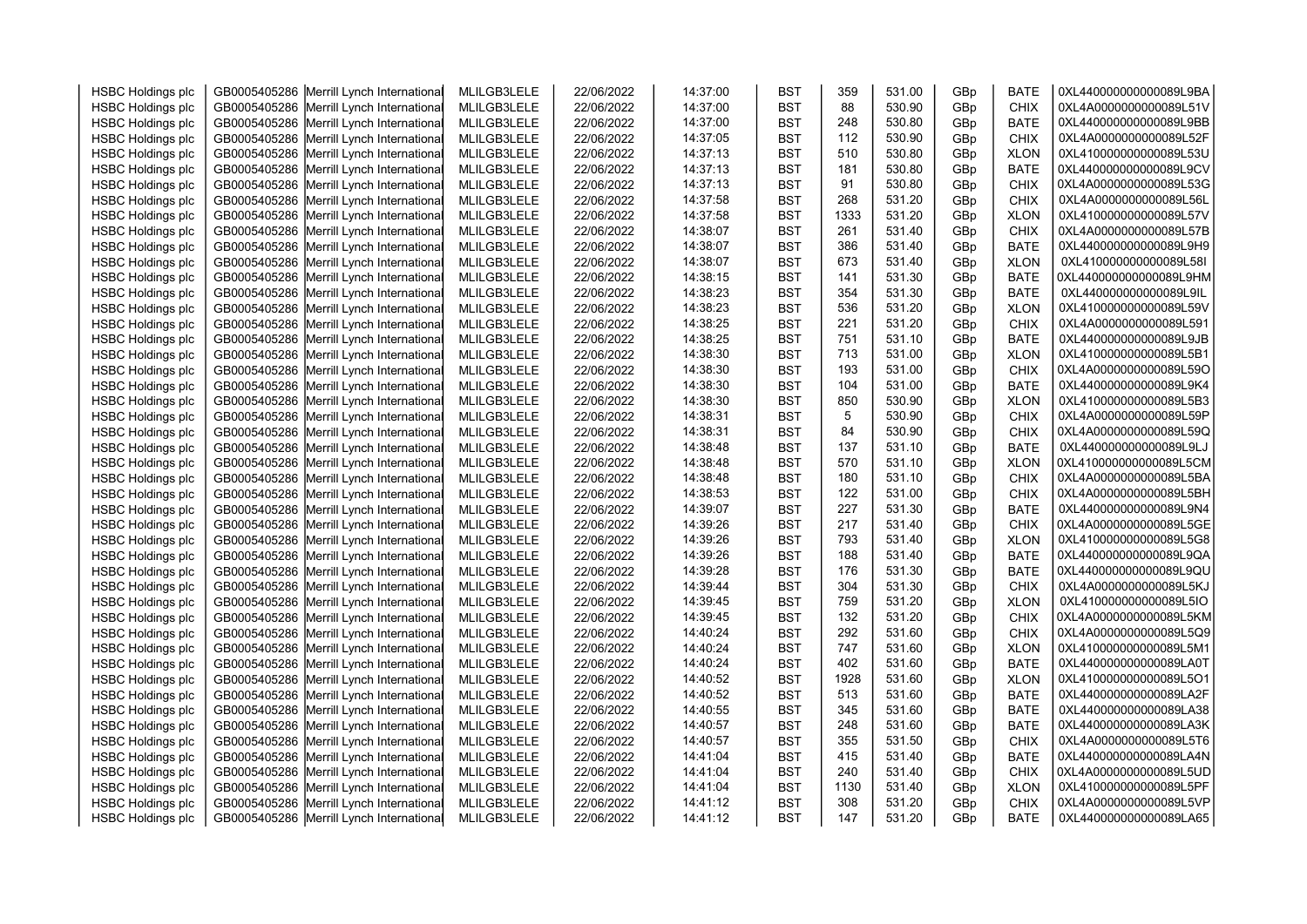| <b>HSBC Holdings plc</b> | GB0005405286 Merrill Lynch International | MLILGB3LELE | 22/06/2022 | 14:37:00 | <b>BST</b> | 359  | 531.00 | GBp | <b>BATE</b> | 0XL440000000000089L9BA |  |
|--------------------------|------------------------------------------|-------------|------------|----------|------------|------|--------|-----|-------------|------------------------|--|
| <b>HSBC Holdings plc</b> | GB0005405286 Merrill Lynch International | MLILGB3LELE | 22/06/2022 | 14:37:00 | <b>BST</b> | 88   | 530.90 | GBp | <b>CHIX</b> | 0XL4A0000000000089L51V |  |
| <b>HSBC Holdings plc</b> | GB0005405286 Merrill Lynch International | MLILGB3LELE | 22/06/2022 | 14:37:00 | <b>BST</b> | 248  | 530.80 | GBp | <b>BATE</b> | 0XL440000000000089L9BB |  |
| <b>HSBC Holdings plc</b> | GB0005405286 Merrill Lynch International | MLILGB3LELE | 22/06/2022 | 14:37:05 | <b>BST</b> | 112  | 530.90 | GBp | <b>CHIX</b> | 0XL4A0000000000089L52F |  |
| <b>HSBC Holdings plc</b> | GB0005405286 Merrill Lynch International | MLILGB3LELE | 22/06/2022 | 14:37:13 | <b>BST</b> | 510  | 530.80 | GBp | <b>XLON</b> | 0XL410000000000089L53U |  |
| <b>HSBC Holdings plc</b> | GB0005405286 Merrill Lynch International | MLILGB3LELE | 22/06/2022 | 14:37:13 | <b>BST</b> | 181  | 530.80 | GBp | <b>BATE</b> | 0XL440000000000089L9CV |  |
| <b>HSBC Holdings plc</b> | GB0005405286 Merrill Lynch International | MLILGB3LELE | 22/06/2022 | 14:37:13 | <b>BST</b> | 91   | 530.80 | GBp | <b>CHIX</b> | 0XL4A0000000000089L53G |  |
| <b>HSBC Holdings plc</b> | GB0005405286 Merrill Lynch International | MLILGB3LELE | 22/06/2022 | 14:37:58 | <b>BST</b> | 268  | 531.20 | GBp | <b>CHIX</b> | 0XL4A0000000000089L56L |  |
| <b>HSBC Holdings plc</b> | GB0005405286 Merrill Lynch International | MLILGB3LELE | 22/06/2022 | 14:37:58 | <b>BST</b> | 1333 | 531.20 | GBp | <b>XLON</b> | 0XL410000000000089L57V |  |
| <b>HSBC Holdings plc</b> | GB0005405286 Merrill Lynch International | MLILGB3LELE | 22/06/2022 | 14:38:07 | <b>BST</b> | 261  | 531.40 | GBp | <b>CHIX</b> | 0XL4A0000000000089L57B |  |
| <b>HSBC Holdings plc</b> | GB0005405286 Merrill Lynch International | MLILGB3LELE | 22/06/2022 | 14:38:07 | <b>BST</b> | 386  | 531.40 | GBp | <b>BATE</b> | 0XL440000000000089L9H9 |  |
| <b>HSBC Holdings plc</b> | GB0005405286 Merrill Lynch International | MLILGB3LELE | 22/06/2022 | 14:38:07 | <b>BST</b> | 673  | 531.40 | GBp | <b>XLON</b> | 0XL410000000000089L58I |  |
| <b>HSBC Holdings plc</b> | GB0005405286 Merrill Lynch International | MLILGB3LELE | 22/06/2022 | 14:38:15 | <b>BST</b> | 141  | 531.30 | GBp | <b>BATE</b> | 0XL440000000000089L9HM |  |
| <b>HSBC Holdings plc</b> | GB0005405286 Merrill Lynch International | MLILGB3LELE | 22/06/2022 | 14:38:23 | <b>BST</b> | 354  | 531.30 | GBp | <b>BATE</b> | 0XL440000000000089L9IL |  |
| <b>HSBC Holdings plc</b> | GB0005405286 Merrill Lynch International | MLILGB3LELE | 22/06/2022 | 14:38:23 | <b>BST</b> | 536  | 531.20 | GBp | <b>XLON</b> | 0XL410000000000089L59V |  |
| <b>HSBC Holdings plc</b> | GB0005405286 Merrill Lynch International | MLILGB3LELE | 22/06/2022 | 14:38:25 | <b>BST</b> | 221  | 531.20 | GBp | CHIX        | 0XL4A0000000000089L591 |  |
| <b>HSBC Holdings plc</b> | GB0005405286 Merrill Lynch International | MLILGB3LELE | 22/06/2022 | 14:38:25 | <b>BST</b> | 751  | 531.10 | GBp | <b>BATE</b> | 0XL440000000000089L9JB |  |
| <b>HSBC Holdings plc</b> | GB0005405286 Merrill Lynch International | MLILGB3LELE | 22/06/2022 | 14:38:30 | <b>BST</b> | 713  | 531.00 | GBp | <b>XLON</b> | 0XL410000000000089L5B1 |  |
| <b>HSBC Holdings plc</b> | GB0005405286 Merrill Lynch International | MLILGB3LELE | 22/06/2022 | 14:38:30 | <b>BST</b> | 193  | 531.00 | GBp | <b>CHIX</b> | 0XL4A0000000000089L59O |  |
| <b>HSBC Holdings plc</b> | GB0005405286 Merrill Lynch International | MLILGB3LELE | 22/06/2022 | 14:38:30 | <b>BST</b> | 104  | 531.00 | GBp | <b>BATE</b> | 0XL440000000000089L9K4 |  |
| <b>HSBC Holdings plc</b> | GB0005405286 Merrill Lynch International | MLILGB3LELE | 22/06/2022 | 14:38:30 | <b>BST</b> | 850  | 530.90 | GBp | <b>XLON</b> | 0XL410000000000089L5B3 |  |
| <b>HSBC Holdings plc</b> | GB0005405286 Merrill Lynch International | MLILGB3LELE | 22/06/2022 | 14:38:31 | <b>BST</b> | 5    | 530.90 | GBp | <b>CHIX</b> | 0XL4A0000000000089L59P |  |
| <b>HSBC Holdings plc</b> | GB0005405286 Merrill Lynch International | MLILGB3LELE | 22/06/2022 | 14:38:31 | <b>BST</b> | 84   | 530.90 | GBp | <b>CHIX</b> | 0XL4A0000000000089L59Q |  |
| <b>HSBC Holdings plc</b> | GB0005405286 Merrill Lynch International | MLILGB3LELE | 22/06/2022 | 14:38:48 | <b>BST</b> | 137  | 531.10 | GBp | <b>BATE</b> | 0XL440000000000089L9LJ |  |
| <b>HSBC Holdings plc</b> | GB0005405286 Merrill Lynch International | MLILGB3LELE | 22/06/2022 | 14:38:48 | <b>BST</b> | 570  | 531.10 | GBp | <b>XLON</b> | 0XL410000000000089L5CM |  |
| <b>HSBC Holdings plc</b> | GB0005405286 Merrill Lynch International | MLILGB3LELE | 22/06/2022 | 14:38:48 | <b>BST</b> | 180  | 531.10 | GBp | <b>CHIX</b> | 0XL4A0000000000089L5BA |  |
| <b>HSBC Holdings plc</b> | GB0005405286 Merrill Lynch International | MLILGB3LELE | 22/06/2022 | 14:38:53 | <b>BST</b> | 122  | 531.00 | GBp | <b>CHIX</b> | 0XL4A0000000000089L5BH |  |
| <b>HSBC Holdings plc</b> | GB0005405286 Merrill Lynch International | MLILGB3LELE | 22/06/2022 | 14:39:07 | <b>BST</b> | 227  | 531.30 | GBp | <b>BATE</b> | 0XL440000000000089L9N4 |  |
| <b>HSBC Holdings plc</b> | GB0005405286 Merrill Lynch International | MLILGB3LELE | 22/06/2022 | 14:39:26 | <b>BST</b> | 217  | 531.40 | GBp | <b>CHIX</b> | 0XL4A0000000000089L5GE |  |
| <b>HSBC Holdings plc</b> | GB0005405286 Merrill Lynch International | MLILGB3LELE | 22/06/2022 | 14:39:26 | <b>BST</b> | 793  | 531.40 | GBp | <b>XLON</b> | 0XL410000000000089L5G8 |  |
| <b>HSBC Holdings plc</b> | GB0005405286 Merrill Lynch International | MLILGB3LELE | 22/06/2022 | 14:39:26 | <b>BST</b> | 188  | 531.40 | GBp | <b>BATE</b> | 0XL440000000000089L9QA |  |
| <b>HSBC Holdings plc</b> | GB0005405286 Merrill Lynch International | MLILGB3LELE | 22/06/2022 | 14:39:28 | <b>BST</b> | 176  | 531.30 | GBp | <b>BATE</b> | 0XL440000000000089L9QU |  |
| <b>HSBC Holdings plc</b> | GB0005405286 Merrill Lynch International | MLILGB3LELE | 22/06/2022 | 14:39:44 | <b>BST</b> | 304  | 531.30 | GBp | <b>CHIX</b> | 0XL4A0000000000089L5KJ |  |
| <b>HSBC Holdings plc</b> | GB0005405286 Merrill Lynch International | MLILGB3LELE | 22/06/2022 | 14:39:45 | <b>BST</b> | 759  | 531.20 | GBp | <b>XLON</b> | 0XL410000000000089L5IO |  |
| <b>HSBC Holdings plc</b> | GB0005405286 Merrill Lynch International | MLILGB3LELE | 22/06/2022 | 14:39:45 | <b>BST</b> | 132  | 531.20 | GBp | <b>CHIX</b> | 0XL4A0000000000089L5KM |  |
| <b>HSBC Holdings plc</b> | GB0005405286 Merrill Lynch International | MLILGB3LELE | 22/06/2022 | 14:40:24 | <b>BST</b> | 292  | 531.60 | GBp | <b>CHIX</b> | 0XL4A0000000000089L5Q9 |  |
| <b>HSBC Holdings plc</b> | GB0005405286 Merrill Lynch International | MLILGB3LELE | 22/06/2022 | 14:40:24 | <b>BST</b> | 747  | 531.60 | GBp | <b>XLON</b> | 0XL410000000000089L5M1 |  |
| <b>HSBC Holdings plc</b> | GB0005405286 Merrill Lynch International | MLILGB3LELE | 22/06/2022 | 14:40:24 | <b>BST</b> | 402  | 531.60 | GBp | <b>BATE</b> | 0XL440000000000089LA0T |  |
| <b>HSBC Holdings plc</b> | GB0005405286 Merrill Lynch International | MLILGB3LELE | 22/06/2022 | 14:40:52 | <b>BST</b> | 1928 | 531.60 | GBp | <b>XLON</b> | 0XL410000000000089L5O1 |  |
| <b>HSBC Holdings plc</b> | GB0005405286 Merrill Lynch International | MLILGB3LELE | 22/06/2022 | 14:40:52 | <b>BST</b> | 513  | 531.60 | GBp | <b>BATE</b> | 0XL440000000000089LA2F |  |
| <b>HSBC Holdings plc</b> | GB0005405286 Merrill Lynch International | MLILGB3LELE | 22/06/2022 | 14:40:55 | <b>BST</b> | 345  | 531.60 | GBp | <b>BATE</b> | 0XL440000000000089LA38 |  |
| <b>HSBC Holdings plc</b> | GB0005405286 Merrill Lynch International | MLILGB3LELE | 22/06/2022 | 14:40:57 | <b>BST</b> | 248  | 531.60 | GBp | <b>BATE</b> | 0XL440000000000089LA3K |  |
| <b>HSBC Holdings plc</b> | GB0005405286 Merrill Lynch International | MLILGB3LELE | 22/06/2022 | 14:40:57 | <b>BST</b> | 355  | 531.50 | GBp | <b>CHIX</b> | 0XL4A0000000000089L5T6 |  |
| <b>HSBC Holdings plc</b> | GB0005405286 Merrill Lynch International | MLILGB3LELE | 22/06/2022 | 14:41:04 | <b>BST</b> | 415  | 531.40 | GBp | <b>BATE</b> | 0XL440000000000089LA4N |  |
| <b>HSBC Holdings plc</b> | GB0005405286 Merrill Lynch International | MLILGB3LELE | 22/06/2022 | 14:41:04 | <b>BST</b> | 240  | 531.40 | GBp | <b>CHIX</b> | 0XL4A0000000000089L5UD |  |
| <b>HSBC Holdings plc</b> | GB0005405286 Merrill Lynch International | MLILGB3LELE | 22/06/2022 | 14:41:04 | <b>BST</b> | 1130 | 531.40 | GBp | <b>XLON</b> | 0XL410000000000089L5PF |  |
| <b>HSBC Holdings plc</b> | GB0005405286 Merrill Lynch International | MLILGB3LELE | 22/06/2022 | 14:41:12 | <b>BST</b> | 308  | 531.20 | GBp | <b>CHIX</b> | 0XL4A0000000000089L5VP |  |
| <b>HSBC Holdings plc</b> | GB0005405286 Merrill Lynch International | MLILGB3LELE | 22/06/2022 | 14:41:12 | <b>BST</b> | 147  | 531.20 | GBp | <b>BATE</b> | 0XL440000000000089LA65 |  |
|                          |                                          |             |            |          |            |      |        |     |             |                        |  |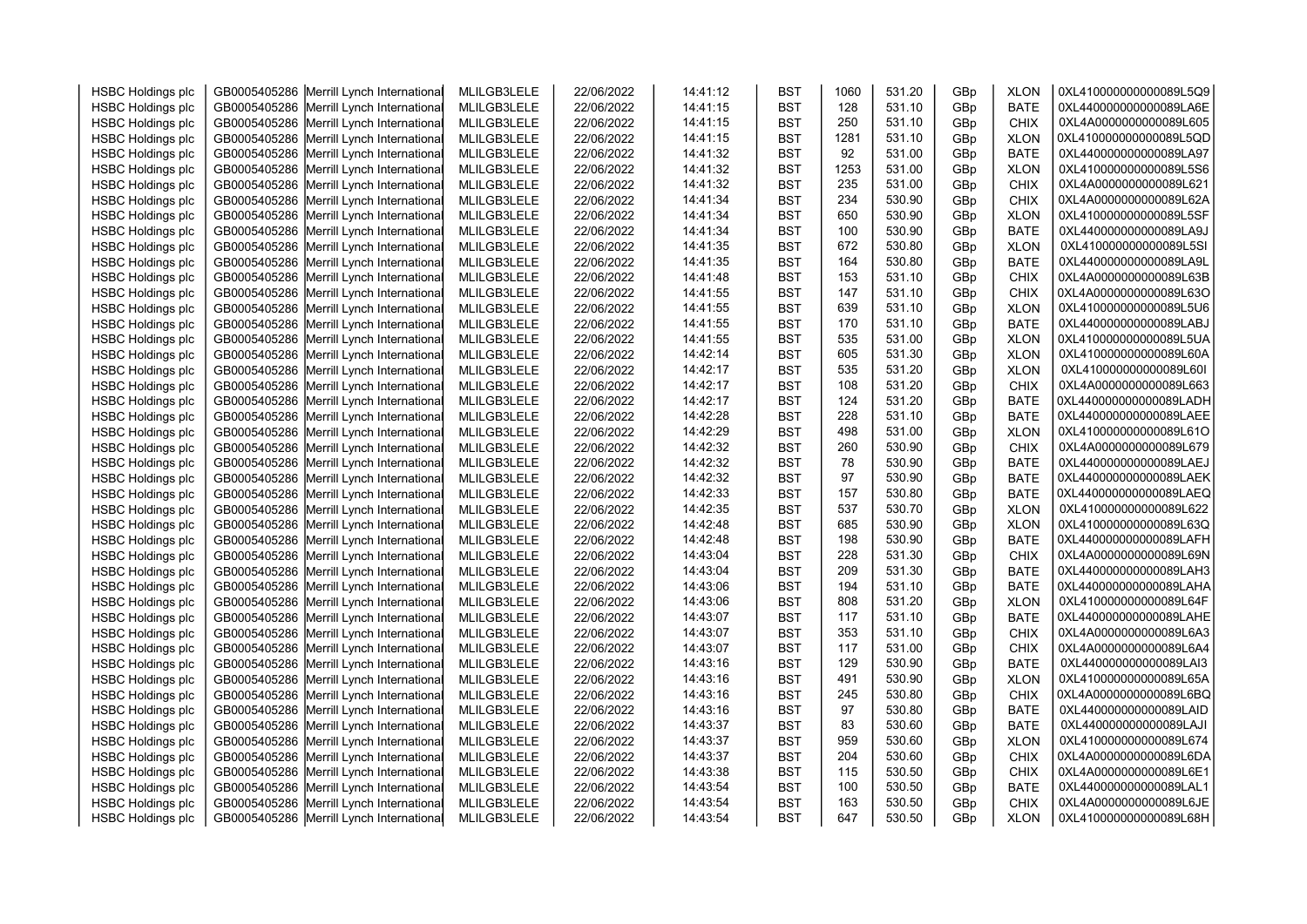| <b>HSBC Holdings plc</b> | GB0005405286 Merrill Lynch International                                             | MLILGB3LELE | 22/06/2022 | 14:41:12 | <b>BST</b> | 1060 | 531.20 | GBp | <b>XLON</b> | 0XL410000000000089L5Q9 |  |
|--------------------------|--------------------------------------------------------------------------------------|-------------|------------|----------|------------|------|--------|-----|-------------|------------------------|--|
| <b>HSBC Holdings plc</b> | GB0005405286 Merrill Lynch International                                             | MLILGB3LELE | 22/06/2022 | 14:41:15 | <b>BST</b> | 128  | 531.10 | GBp | <b>BATE</b> | 0XL440000000000089LA6E |  |
| <b>HSBC Holdings plc</b> | GB0005405286 Merrill Lynch International                                             | MLILGB3LELE | 22/06/2022 | 14:41:15 | <b>BST</b> | 250  | 531.10 | GBp | <b>CHIX</b> | 0XL4A0000000000089L605 |  |
| <b>HSBC Holdings plc</b> | GB0005405286 Merrill Lynch International                                             | MLILGB3LELE | 22/06/2022 | 14:41:15 | <b>BST</b> | 1281 | 531.10 | GBp | <b>XLON</b> | 0XL410000000000089L5QD |  |
| <b>HSBC Holdings plc</b> | GB0005405286 Merrill Lynch International                                             | MLILGB3LELE | 22/06/2022 | 14:41:32 | <b>BST</b> | 92   | 531.00 | GBp | <b>BATE</b> | 0XL440000000000089LA97 |  |
| <b>HSBC Holdings plc</b> | GB0005405286 Merrill Lynch International                                             | MLILGB3LELE | 22/06/2022 | 14:41:32 | <b>BST</b> | 1253 | 531.00 | GBp | <b>XLON</b> | 0XL410000000000089L5S6 |  |
| <b>HSBC Holdings plc</b> | GB0005405286 Merrill Lynch International                                             | MLILGB3LELE | 22/06/2022 | 14:41:32 | <b>BST</b> | 235  | 531.00 | GBp | <b>CHIX</b> | 0XL4A0000000000089L621 |  |
| <b>HSBC Holdings plc</b> | GB0005405286 Merrill Lynch International                                             | MLILGB3LELE | 22/06/2022 | 14:41:34 | <b>BST</b> | 234  | 530.90 | GBp | <b>CHIX</b> | 0XL4A0000000000089L62A |  |
| <b>HSBC Holdings plc</b> | GB0005405286 Merrill Lynch International                                             | MLILGB3LELE | 22/06/2022 | 14:41:34 | <b>BST</b> | 650  | 530.90 | GBp | <b>XLON</b> | 0XL410000000000089L5SF |  |
| <b>HSBC Holdings plc</b> | GB0005405286 Merrill Lynch International                                             | MLILGB3LELE | 22/06/2022 | 14:41:34 | <b>BST</b> | 100  | 530.90 | GBp | <b>BATE</b> | 0XL440000000000089LA9J |  |
| <b>HSBC Holdings plc</b> | GB0005405286 Merrill Lynch International                                             | MLILGB3LELE | 22/06/2022 | 14:41:35 | <b>BST</b> | 672  | 530.80 | GBp | <b>XLON</b> | 0XL410000000000089L5SI |  |
| <b>HSBC Holdings plc</b> | GB0005405286 Merrill Lynch International                                             | MLILGB3LELE | 22/06/2022 | 14:41:35 | <b>BST</b> | 164  | 530.80 | GBp | <b>BATE</b> | 0XL440000000000089LA9L |  |
| <b>HSBC Holdings plc</b> | GB0005405286 Merrill Lynch International                                             | MLILGB3LELE | 22/06/2022 | 14:41:48 | <b>BST</b> | 153  | 531.10 | GBp | <b>CHIX</b> | 0XL4A0000000000089L63B |  |
| <b>HSBC Holdings plc</b> | GB0005405286 Merrill Lynch International                                             | MLILGB3LELE | 22/06/2022 | 14:41:55 | <b>BST</b> | 147  | 531.10 | GBp | CHIX        | 0XL4A0000000000089L63O |  |
| <b>HSBC Holdings plc</b> | GB0005405286 Merrill Lynch International                                             | MLILGB3LELE | 22/06/2022 | 14:41:55 | <b>BST</b> | 639  | 531.10 | GBp | <b>XLON</b> | 0XL410000000000089L5U6 |  |
| <b>HSBC Holdings plc</b> | GB0005405286 Merrill Lynch International                                             | MLILGB3LELE | 22/06/2022 | 14:41:55 | <b>BST</b> | 170  | 531.10 | GBp | <b>BATE</b> | 0XL440000000000089LABJ |  |
| <b>HSBC Holdings plc</b> | GB0005405286 Merrill Lynch International                                             | MLILGB3LELE | 22/06/2022 | 14:41:55 | <b>BST</b> | 535  | 531.00 | GBp | <b>XLON</b> | 0XL410000000000089L5UA |  |
| <b>HSBC Holdings plc</b> | GB0005405286 Merrill Lynch International                                             | MLILGB3LELE | 22/06/2022 | 14:42:14 | <b>BST</b> | 605  | 531.30 | GBp | <b>XLON</b> | 0XL410000000000089L60A |  |
| <b>HSBC Holdings plc</b> | GB0005405286 Merrill Lynch International                                             | MLILGB3LELE | 22/06/2022 | 14:42:17 | <b>BST</b> | 535  | 531.20 | GBp | <b>XLON</b> | 0XL410000000000089L60I |  |
| <b>HSBC Holdings plc</b> | GB0005405286 Merrill Lynch International                                             | MLILGB3LELE | 22/06/2022 | 14:42:17 | <b>BST</b> | 108  | 531.20 | GBp | <b>CHIX</b> | 0XL4A0000000000089L663 |  |
| <b>HSBC Holdings plc</b> | GB0005405286 Merrill Lynch International                                             | MLILGB3LELE | 22/06/2022 | 14:42:17 | <b>BST</b> | 124  | 531.20 | GBp | <b>BATE</b> | 0XL440000000000089LADH |  |
| <b>HSBC Holdings plc</b> | GB0005405286 Merrill Lynch International                                             | MLILGB3LELE | 22/06/2022 | 14:42:28 | <b>BST</b> | 228  | 531.10 | GBp | <b>BATE</b> | 0XL440000000000089LAEE |  |
| <b>HSBC Holdings plc</b> | GB0005405286 Merrill Lynch International                                             | MLILGB3LELE | 22/06/2022 | 14:42:29 | <b>BST</b> | 498  | 531.00 | GBp | <b>XLON</b> | 0XL410000000000089L61O |  |
| <b>HSBC Holdings plc</b> | GB0005405286 Merrill Lynch International                                             | MLILGB3LELE | 22/06/2022 | 14:42:32 | <b>BST</b> | 260  | 530.90 | GBp | <b>CHIX</b> | 0XL4A0000000000089L679 |  |
| <b>HSBC Holdings plc</b> | GB0005405286 Merrill Lynch International                                             | MLILGB3LELE | 22/06/2022 | 14:42:32 | <b>BST</b> | 78   | 530.90 | GBp | <b>BATE</b> | 0XL440000000000089LAEJ |  |
| <b>HSBC Holdings plc</b> | GB0005405286 Merrill Lynch International                                             | MLILGB3LELE | 22/06/2022 | 14:42:32 | <b>BST</b> | 97   | 530.90 | GBp | <b>BATE</b> | 0XL440000000000089LAEK |  |
| <b>HSBC Holdings plc</b> | GB0005405286 Merrill Lynch International                                             | MLILGB3LELE | 22/06/2022 | 14:42:33 | <b>BST</b> | 157  | 530.80 | GBp | <b>BATE</b> | 0XL440000000000089LAEQ |  |
| <b>HSBC Holdings plc</b> | GB0005405286 Merrill Lynch International                                             | MLILGB3LELE | 22/06/2022 | 14:42:35 | <b>BST</b> | 537  | 530.70 | GBp | <b>XLON</b> | 0XL410000000000089L622 |  |
| <b>HSBC Holdings plc</b> | GB0005405286 Merrill Lynch International                                             | MLILGB3LELE | 22/06/2022 | 14:42:48 | <b>BST</b> | 685  | 530.90 | GBp | <b>XLON</b> | 0XL410000000000089L63Q |  |
| <b>HSBC Holdings plc</b> | GB0005405286 Merrill Lynch International                                             | MLILGB3LELE | 22/06/2022 | 14:42:48 | <b>BST</b> | 198  | 530.90 | GBp | <b>BATE</b> | 0XL440000000000089LAFH |  |
| <b>HSBC Holdings plc</b> | GB0005405286 Merrill Lynch International                                             | MLILGB3LELE | 22/06/2022 | 14:43:04 | <b>BST</b> | 228  | 531.30 | GBp | CHIX        | 0XL4A0000000000089L69N |  |
| <b>HSBC Holdings plc</b> | GB0005405286 Merrill Lynch International                                             | MLILGB3LELE | 22/06/2022 | 14:43:04 | <b>BST</b> | 209  | 531.30 | GBp | <b>BATE</b> | 0XL440000000000089LAH3 |  |
| <b>HSBC Holdings plc</b> | GB0005405286 Merrill Lynch International                                             | MLILGB3LELE | 22/06/2022 | 14:43:06 | <b>BST</b> | 194  | 531.10 | GBp | <b>BATE</b> | 0XL440000000000089LAHA |  |
| <b>HSBC Holdings plc</b> | GB0005405286 Merrill Lynch International                                             | MLILGB3LELE | 22/06/2022 | 14:43:06 | <b>BST</b> | 808  | 531.20 | GBp | <b>XLON</b> | 0XL410000000000089L64F |  |
| <b>HSBC Holdings plc</b> | GB0005405286 Merrill Lynch International                                             | MLILGB3LELE | 22/06/2022 | 14:43:07 | <b>BST</b> | 117  | 531.10 | GBp | <b>BATE</b> | 0XL440000000000089LAHE |  |
| <b>HSBC Holdings plc</b> | GB0005405286 Merrill Lynch International                                             | MLILGB3LELE | 22/06/2022 | 14:43:07 | <b>BST</b> | 353  | 531.10 | GBp | <b>CHIX</b> | 0XL4A0000000000089L6A3 |  |
| <b>HSBC Holdings plc</b> | GB0005405286 Merrill Lynch International                                             | MLILGB3LELE | 22/06/2022 | 14:43:07 | <b>BST</b> | 117  | 531.00 | GBp | <b>CHIX</b> | 0XL4A0000000000089L6A4 |  |
| <b>HSBC Holdings plc</b> | GB0005405286 Merrill Lynch International                                             | MLILGB3LELE | 22/06/2022 | 14:43:16 | <b>BST</b> | 129  | 530.90 | GBp | <b>BATE</b> | 0XL440000000000089LAI3 |  |
| <b>HSBC Holdings plc</b> | GB0005405286 Merrill Lynch International                                             | MLILGB3LELE | 22/06/2022 | 14:43:16 | <b>BST</b> | 491  | 530.90 | GBp | <b>XLON</b> | 0XL410000000000089L65A |  |
| <b>HSBC Holdings plc</b> | GB0005405286 Merrill Lynch International                                             | MLILGB3LELE | 22/06/2022 | 14:43:16 | <b>BST</b> | 245  | 530.80 | GBp | <b>CHIX</b> | 0XL4A0000000000089L6BQ |  |
| <b>HSBC Holdings plc</b> | GB0005405286 Merrill Lynch International                                             | MLILGB3LELE | 22/06/2022 | 14:43:16 | <b>BST</b> | 97   | 530.80 | GBp | <b>BATE</b> | 0XL440000000000089LAID |  |
| <b>HSBC Holdings plc</b> | GB0005405286 Merrill Lynch International                                             | MLILGB3LELE | 22/06/2022 | 14:43:37 | <b>BST</b> | 83   | 530.60 | GBp | <b>BATE</b> | 0XL440000000000089LAJI |  |
| <b>HSBC Holdings plc</b> | GB0005405286 Merrill Lynch International                                             | MLILGB3LELE | 22/06/2022 | 14:43:37 | <b>BST</b> | 959  | 530.60 | GBp | <b>XLON</b> | 0XL410000000000089L674 |  |
| <b>HSBC Holdings plc</b> | GB0005405286 Merrill Lynch International                                             | MLILGB3LELE | 22/06/2022 | 14:43:37 | <b>BST</b> | 204  | 530.60 | GBp | <b>CHIX</b> | 0XL4A0000000000089L6DA |  |
| <b>HSBC Holdings plc</b> | GB0005405286 Merrill Lynch International                                             | MLILGB3LELE | 22/06/2022 | 14:43:38 | <b>BST</b> | 115  | 530.50 | GBp | <b>CHIX</b> | 0XL4A0000000000089L6E1 |  |
| <b>HSBC Holdings plc</b> |                                                                                      | MLILGB3LELE | 22/06/2022 | 14:43:54 | <b>BST</b> | 100  | 530.50 | GBp | <b>BATE</b> | 0XL440000000000089LAL1 |  |
| <b>HSBC Holdings plc</b> | GB0005405286 Merrill Lynch International<br>GB0005405286 Merrill Lynch International | MLILGB3LELE | 22/06/2022 | 14:43:54 | <b>BST</b> | 163  | 530.50 | GBp | <b>CHIX</b> | 0XL4A0000000000089L6JE |  |
| <b>HSBC Holdings plc</b> | GB0005405286 Merrill Lynch International                                             |             | 22/06/2022 | 14:43:54 | <b>BST</b> | 647  | 530.50 | GBp | <b>XLON</b> | 0XL410000000000089L68H |  |
|                          |                                                                                      | MLILGB3LELE |            |          |            |      |        |     |             |                        |  |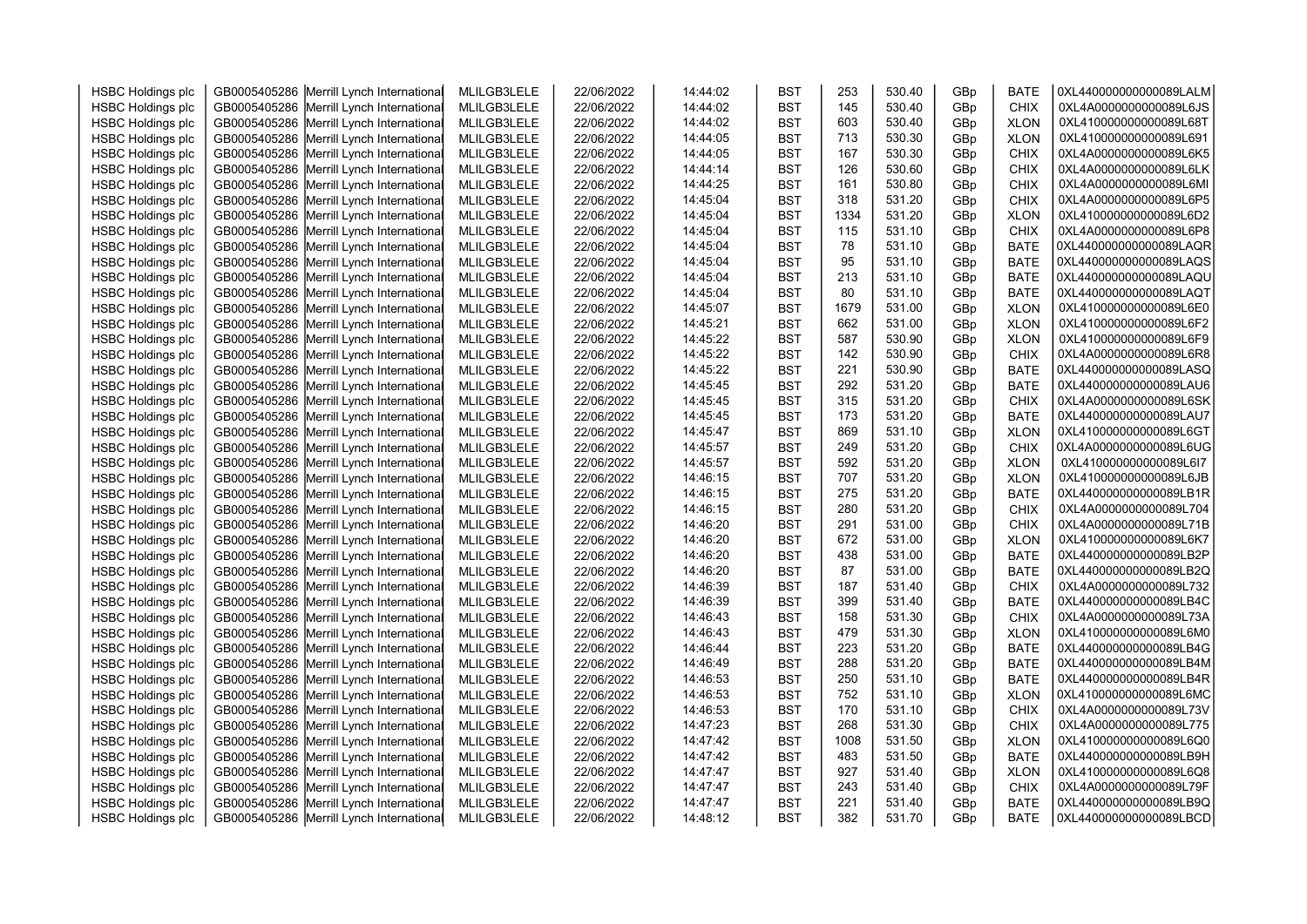| <b>HSBC Holdings plc</b>                             | GB0005405286 Merrill Lynch International                                             | MLILGB3LELE                | 22/06/2022               | 14:44:02             | <b>BST</b>               | 253        | 530.40           | GBp        | <b>BATE</b>                | 0XL440000000000089LALM                           |  |
|------------------------------------------------------|--------------------------------------------------------------------------------------|----------------------------|--------------------------|----------------------|--------------------------|------------|------------------|------------|----------------------------|--------------------------------------------------|--|
| <b>HSBC Holdings plc</b>                             | GB0005405286 Merrill Lynch International                                             | MLILGB3LELE                | 22/06/2022               | 14:44:02             | <b>BST</b>               | 145        | 530.40           | GBp        | <b>CHIX</b>                | 0XL4A0000000000089L6JS                           |  |
| <b>HSBC Holdings plc</b>                             | GB0005405286 Merrill Lynch International                                             | MLILGB3LELE                | 22/06/2022               | 14:44:02             | <b>BST</b>               | 603        | 530.40           | GBp        | <b>XLON</b>                | 0XL410000000000089L68T                           |  |
| <b>HSBC Holdings plc</b>                             | GB0005405286 Merrill Lynch International                                             | MLILGB3LELE                | 22/06/2022               | 14:44:05             | <b>BST</b>               | 713        | 530.30           | GBp        | <b>XLON</b>                | 0XL410000000000089L691                           |  |
| <b>HSBC Holdings plc</b>                             | GB0005405286 Merrill Lynch International                                             | MLILGB3LELE                | 22/06/2022               | 14:44:05             | <b>BST</b>               | 167        | 530.30           | GBp        | <b>CHIX</b>                | 0XL4A0000000000089L6K5                           |  |
| <b>HSBC Holdings plc</b>                             | GB0005405286 Merrill Lynch International                                             | MLILGB3LELE                | 22/06/2022               | 14:44:14             | <b>BST</b>               | 126        | 530.60           | GBp        | <b>CHIX</b>                | 0XL4A0000000000089L6LK                           |  |
| <b>HSBC Holdings plc</b>                             | GB0005405286 Merrill Lynch International                                             | MLILGB3LELE                | 22/06/2022               | 14:44:25             | <b>BST</b>               | 161        | 530.80           | GBp        | <b>CHIX</b>                | 0XL4A0000000000089L6MI                           |  |
| <b>HSBC Holdings plc</b>                             | GB0005405286 Merrill Lynch International                                             | MLILGB3LELE                | 22/06/2022               | 14:45:04             | <b>BST</b>               | 318        | 531.20           | GBp        | <b>CHIX</b>                | 0XL4A0000000000089L6P5                           |  |
| <b>HSBC Holdings plc</b>                             | GB0005405286 Merrill Lynch International                                             | MLILGB3LELE                | 22/06/2022               | 14:45:04             | <b>BST</b>               | 1334       | 531.20           | GBp        | <b>XLON</b>                | 0XL410000000000089L6D2                           |  |
| <b>HSBC Holdings plc</b>                             | GB0005405286 Merrill Lynch International                                             | MLILGB3LELE                | 22/06/2022               | 14:45:04             | <b>BST</b>               | 115        | 531.10           | GBp        | <b>CHIX</b>                | 0XL4A0000000000089L6P8                           |  |
| <b>HSBC Holdings plc</b>                             | GB0005405286 Merrill Lynch International                                             | MLILGB3LELE                | 22/06/2022               | 14:45:04             | <b>BST</b>               | 78         | 531.10           | GBp        | <b>BATE</b>                | 0XL440000000000089LAQR                           |  |
| <b>HSBC Holdings plc</b>                             | GB0005405286 Merrill Lynch International                                             | MLILGB3LELE                | 22/06/2022               | 14:45:04             | <b>BST</b>               | 95         | 531.10           | GBp        | <b>BATE</b>                | 0XL440000000000089LAQS                           |  |
| <b>HSBC Holdings plc</b>                             | GB0005405286 Merrill Lynch International                                             | MLILGB3LELE                | 22/06/2022               | 14:45:04             | <b>BST</b>               | 213        | 531.10           | GBp        | <b>BATE</b>                | 0XL440000000000089LAQU                           |  |
| <b>HSBC Holdings plc</b>                             | GB0005405286 Merrill Lynch International                                             | MLILGB3LELE                | 22/06/2022               | 14:45:04             | <b>BST</b>               | 80         | 531.10           | GBp        | <b>BATE</b>                | 0XL440000000000089LAQT                           |  |
| <b>HSBC Holdings plc</b>                             | GB0005405286 Merrill Lynch International                                             | MLILGB3LELE                | 22/06/2022               | 14:45:07             | <b>BST</b>               | 1679       | 531.00           | GBp        | <b>XLON</b>                | 0XL410000000000089L6E0                           |  |
| <b>HSBC Holdings plc</b>                             | GB0005405286 Merrill Lynch International                                             | MLILGB3LELE                | 22/06/2022               | 14:45:21             | <b>BST</b>               | 662        | 531.00           | GBp        | <b>XLON</b>                | 0XL410000000000089L6F2                           |  |
| <b>HSBC Holdings plc</b>                             | GB0005405286 Merrill Lynch International                                             | MLILGB3LELE                | 22/06/2022               | 14:45:22             | <b>BST</b>               | 587        | 530.90           | GBp        | <b>XLON</b>                | 0XL410000000000089L6F9                           |  |
| <b>HSBC Holdings plc</b>                             | GB0005405286 Merrill Lynch International                                             | MLILGB3LELE                | 22/06/2022               | 14:45:22             | <b>BST</b>               | 142        | 530.90           | GBp        | <b>CHIX</b>                | 0XL4A0000000000089L6R8                           |  |
| <b>HSBC Holdings plc</b>                             | GB0005405286 Merrill Lynch International                                             | MLILGB3LELE                | 22/06/2022               | 14:45:22             | <b>BST</b>               | 221        | 530.90           | GBp        | <b>BATE</b>                | 0XL440000000000089LASQ                           |  |
| <b>HSBC Holdings plc</b>                             | GB0005405286 Merrill Lynch International                                             | MLILGB3LELE                | 22/06/2022               | 14:45:45             | <b>BST</b>               | 292        | 531.20           | GBp        | <b>BATE</b>                | 0XL440000000000089LAU6                           |  |
| <b>HSBC Holdings plc</b>                             | GB0005405286 Merrill Lynch International                                             | MLILGB3LELE                | 22/06/2022               | 14:45:45             | <b>BST</b>               | 315        | 531.20           | GBp        | <b>CHIX</b>                | 0XL4A0000000000089L6SK                           |  |
| <b>HSBC Holdings plc</b>                             | GB0005405286 Merrill Lynch International                                             | MLILGB3LELE                | 22/06/2022               | 14:45:45             | <b>BST</b>               | 173        | 531.20           | GBp        | <b>BATE</b>                | 0XL440000000000089LAU7                           |  |
| <b>HSBC Holdings plc</b>                             | GB0005405286 Merrill Lynch International                                             | MLILGB3LELE                | 22/06/2022               | 14:45:47             | <b>BST</b>               | 869        | 531.10           | GBp        | <b>XLON</b>                | 0XL410000000000089L6GT                           |  |
| <b>HSBC Holdings plc</b>                             | GB0005405286 Merrill Lynch International                                             | MLILGB3LELE                | 22/06/2022               | 14:45:57             | <b>BST</b>               | 249        | 531.20           | GBp        | CHIX                       | 0XL4A0000000000089L6UG                           |  |
| <b>HSBC Holdings plc</b>                             | GB0005405286 Merrill Lynch International                                             | MLILGB3LELE                | 22/06/2022               | 14:45:57             | <b>BST</b>               | 592        | 531.20           | GBp        | <b>XLON</b>                | 0XL410000000000089L6I7                           |  |
| <b>HSBC Holdings plc</b>                             | GB0005405286 Merrill Lynch International                                             | MLILGB3LELE                | 22/06/2022               | 14:46:15             | <b>BST</b>               | 707        | 531.20           | GBp        | <b>XLON</b>                | 0XL410000000000089L6JB                           |  |
| <b>HSBC Holdings plc</b>                             | GB0005405286 Merrill Lynch International                                             | MLILGB3LELE                | 22/06/2022               | 14:46:15             | <b>BST</b>               | 275        | 531.20           | GBp        | <b>BATE</b>                | 0XL440000000000089LB1R                           |  |
| <b>HSBC Holdings plc</b>                             | GB0005405286 Merrill Lynch International                                             | MLILGB3LELE                | 22/06/2022               | 14:46:15             | <b>BST</b>               | 280        | 531.20           | GBp        | <b>CHIX</b>                | 0XL4A0000000000089L704                           |  |
| <b>HSBC Holdings plc</b>                             | GB0005405286 Merrill Lynch International                                             | MLILGB3LELE                | 22/06/2022               | 14:46:20             | <b>BST</b>               | 291        | 531.00           | GBp        | <b>CHIX</b>                | 0XL4A0000000000089L71B                           |  |
| <b>HSBC Holdings plc</b>                             | GB0005405286 Merrill Lynch International                                             | MLILGB3LELE                | 22/06/2022               | 14:46:20             | <b>BST</b>               | 672        | 531.00           | GBp        | <b>XLON</b>                | 0XL410000000000089L6K7                           |  |
| <b>HSBC Holdings plc</b>                             | GB0005405286 Merrill Lynch International                                             | MLILGB3LELE                | 22/06/2022               | 14:46:20             | <b>BST</b>               | 438        | 531.00           | GBp        | <b>BATE</b>                | 0XL440000000000089LB2P                           |  |
| <b>HSBC Holdings plc</b>                             | GB0005405286 Merrill Lynch International                                             | MLILGB3LELE                | 22/06/2022               | 14:46:20             | <b>BST</b>               | 87         | 531.00           | GBp        | <b>BATE</b>                | 0XL440000000000089LB2Q                           |  |
| <b>HSBC Holdings plc</b>                             | GB0005405286 Merrill Lynch International                                             | MLILGB3LELE                | 22/06/2022               | 14:46:39             | <b>BST</b>               | 187        | 531.40           | GBp        | <b>CHIX</b>                | 0XL4A0000000000089L732                           |  |
| <b>HSBC Holdings plc</b>                             | GB0005405286 Merrill Lynch International                                             | MLILGB3LELE                | 22/06/2022               | 14:46:39             | <b>BST</b>               | 399        | 531.40           | GBp        | <b>BATE</b>                | 0XL440000000000089LB4C                           |  |
| <b>HSBC Holdings plc</b>                             | GB0005405286 Merrill Lynch International                                             | MLILGB3LELE                | 22/06/2022               | 14:46:43             | <b>BST</b>               | 158        | 531.30           | GBp        | <b>CHIX</b>                | 0XL4A0000000000089L73A                           |  |
| <b>HSBC Holdings plc</b>                             | GB0005405286 Merrill Lynch International                                             | MLILGB3LELE                | 22/06/2022               | 14:46:43             | <b>BST</b>               | 479        | 531.30           | GBp        | <b>XLON</b>                | 0XL410000000000089L6M0                           |  |
| <b>HSBC Holdings plc</b>                             | GB0005405286 Merrill Lynch International                                             | MLILGB3LELE                | 22/06/2022               | 14:46:44             | <b>BST</b>               | 223        | 531.20           | GBp        | <b>BATE</b>                | 0XL440000000000089LB4G                           |  |
| <b>HSBC Holdings plc</b>                             | GB0005405286 Merrill Lynch International                                             | MLILGB3LELE                | 22/06/2022               | 14:46:49             | <b>BST</b>               | 288        | 531.20           | GBp        | <b>BATE</b>                | 0XL440000000000089LB4M                           |  |
| <b>HSBC Holdings plc</b>                             | GB0005405286 Merrill Lynch International                                             | MLILGB3LELE                | 22/06/2022               | 14:46:53             | <b>BST</b>               | 250        | 531.10           | GBp        | <b>BATE</b>                | 0XL440000000000089LB4R                           |  |
| <b>HSBC Holdings plc</b>                             | GB0005405286 Merrill Lynch International                                             | MLILGB3LELE                | 22/06/2022               | 14:46:53             | <b>BST</b>               | 752        | 531.10           | GBp        | <b>XLON</b>                | 0XL410000000000089L6MC                           |  |
| <b>HSBC Holdings plc</b>                             | GB0005405286 Merrill Lynch International                                             | MLILGB3LELE                | 22/06/2022               | 14:46:53             | <b>BST</b>               | 170        | 531.10           | GBp        | <b>CHIX</b>                | 0XL4A0000000000089L73V                           |  |
| <b>HSBC Holdings plc</b>                             | GB0005405286 Merrill Lynch International                                             | MLILGB3LELE                | 22/06/2022               | 14:47:23             | <b>BST</b>               | 268        | 531.30           | GBp        | <b>CHIX</b>                | 0XL4A0000000000089L775                           |  |
| <b>HSBC Holdings plc</b>                             | GB0005405286 Merrill Lynch International                                             | MLILGB3LELE                | 22/06/2022               | 14:47:42             | <b>BST</b>               | 1008       | 531.50           | GBp        | <b>XLON</b>                | 0XL410000000000089L6Q0                           |  |
| <b>HSBC Holdings plc</b>                             | GB0005405286 Merrill Lynch International                                             | MLILGB3LELE                | 22/06/2022               | 14:47:42             | <b>BST</b>               | 483<br>927 | 531.50           | GBp        | <b>BATE</b>                | 0XL440000000000089LB9H                           |  |
| <b>HSBC Holdings plc</b>                             | GB0005405286 Merrill Lynch International                                             | MLILGB3LELE                | 22/06/2022               | 14:47:47             | <b>BST</b>               |            | 531.40           | GBp        | <b>XLON</b>                | 0XL410000000000089L6Q8<br>0XL4A0000000000089L79F |  |
| <b>HSBC Holdings plc</b>                             | GB0005405286 Merrill Lynch International<br>GB0005405286 Merrill Lynch International | MLILGB3LELE<br>MLILGB3LELE | 22/06/2022<br>22/06/2022 | 14:47:47<br>14:47:47 | <b>BST</b><br><b>BST</b> | 243<br>221 | 531.40<br>531.40 | GBp<br>GBp | <b>CHIX</b><br><b>BATE</b> | 0XL440000000000089LB9Q                           |  |
| <b>HSBC Holdings plc</b><br><b>HSBC Holdings plc</b> | GB0005405286 Merrill Lynch International                                             |                            |                          | 14:48:12             | <b>BST</b>               | 382        | 531.70           | GBp        | <b>BATE</b>                | 0XL440000000000089LBCD                           |  |
|                                                      |                                                                                      | MLILGB3LELE                | 22/06/2022               |                      |                          |            |                  |            |                            |                                                  |  |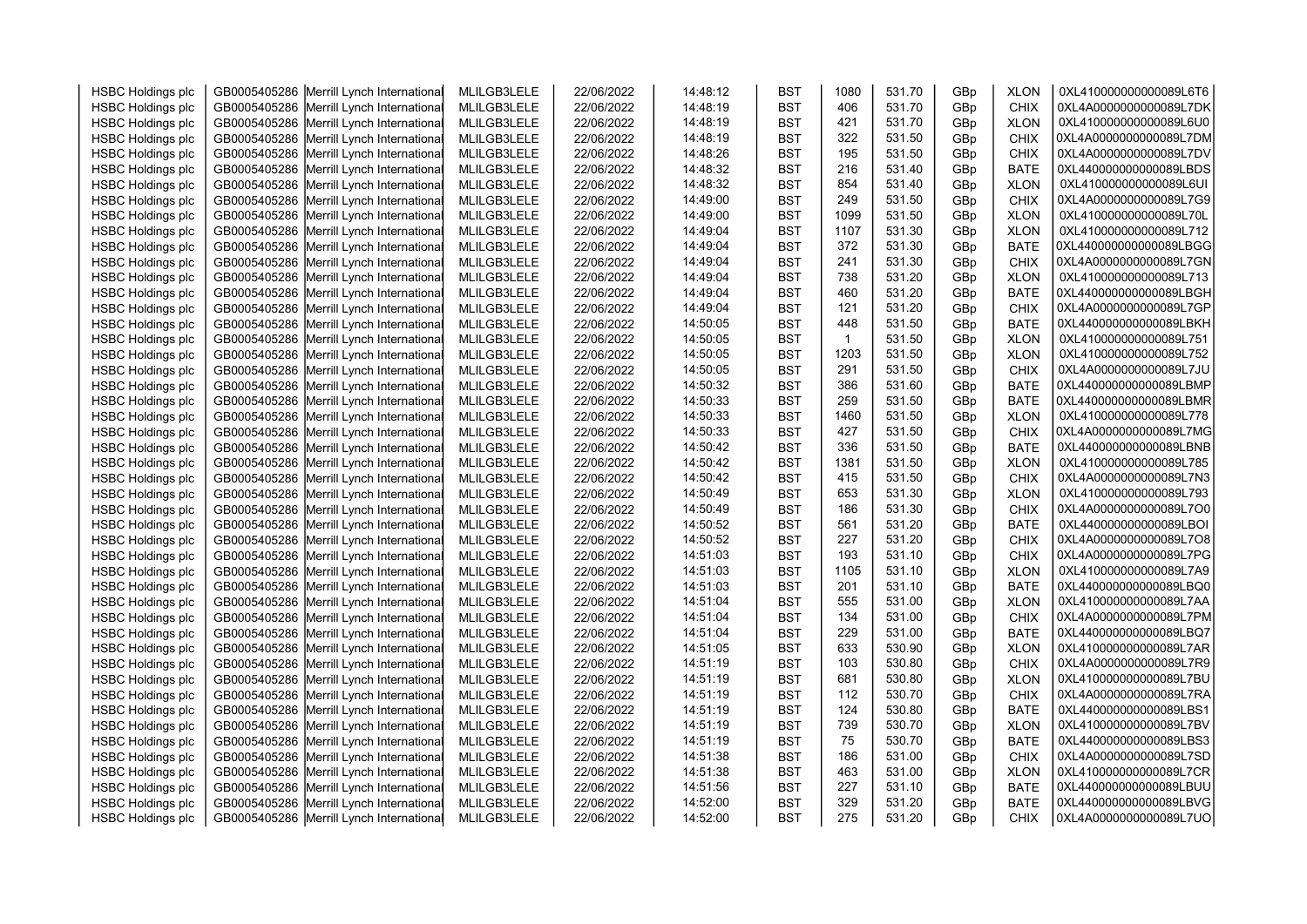| <b>HSBC Holdings plc</b> | GB0005405286 Merrill Lynch International | MLILGB3LELE | 22/06/2022 | 14:48:12 | <b>BST</b> | 1080           | 531.70           | GBp | <b>XLON</b> | 0XL410000000000089L6T6 |  |
|--------------------------|------------------------------------------|-------------|------------|----------|------------|----------------|------------------|-----|-------------|------------------------|--|
| <b>HSBC Holdings plc</b> | GB0005405286 Merrill Lynch International | MLILGB3LELE | 22/06/2022 | 14:48:19 | <b>BST</b> | 406            | 531.70           | GBp | <b>CHIX</b> | 0XL4A0000000000089L7DK |  |
| <b>HSBC Holdings plc</b> | GB0005405286 Merrill Lynch International | MLILGB3LELE | 22/06/2022 | 14:48:19 | <b>BST</b> | 421            | 531.70           | GBp | <b>XLON</b> | 0XL410000000000089L6U0 |  |
| <b>HSBC Holdings plc</b> | GB0005405286 Merrill Lynch International | MLILGB3LELE | 22/06/2022 | 14:48:19 | <b>BST</b> | 322            | 531.50           | GBp | <b>CHIX</b> | 0XL4A0000000000089L7DM |  |
| <b>HSBC Holdings plc</b> | GB0005405286 Merrill Lynch International | MLILGB3LELE | 22/06/2022 | 14:48:26 | <b>BST</b> | 195            | 531.50           | GBp | <b>CHIX</b> | 0XL4A0000000000089L7DV |  |
| <b>HSBC Holdings plc</b> | GB0005405286 Merrill Lynch International | MLILGB3LELE | 22/06/2022 | 14:48:32 | <b>BST</b> | 216            | 531.40           | GBp | <b>BATE</b> | 0XL440000000000089LBDS |  |
| <b>HSBC Holdings plc</b> | GB0005405286 Merrill Lynch International | MLILGB3LELE | 22/06/2022 | 14:48:32 | <b>BST</b> | 854            | 531.40           | GBp | <b>XLON</b> | 0XL410000000000089L6UI |  |
| <b>HSBC Holdings plc</b> | GB0005405286 Merrill Lynch International | MLILGB3LELE | 22/06/2022 | 14:49:00 | <b>BST</b> | 249            | 531.50           | GBp | <b>CHIX</b> | 0XL4A0000000000089L7G9 |  |
| <b>HSBC Holdings plc</b> | GB0005405286 Merrill Lynch International | MLILGB3LELE | 22/06/2022 | 14:49:00 | <b>BST</b> | 1099           | 531.50           | GBp | <b>XLON</b> | 0XL410000000000089L70L |  |
| <b>HSBC Holdings plc</b> | GB0005405286 Merrill Lynch International | MLILGB3LELE | 22/06/2022 | 14:49:04 | <b>BST</b> | 1107           | 531.30           | GBp | <b>XLON</b> | 0XL410000000000089L712 |  |
| <b>HSBC Holdings plc</b> | GB0005405286 Merrill Lynch International | MLILGB3LELE | 22/06/2022 | 14:49:04 | <b>BST</b> | 372            | 531.30           | GBp | <b>BATE</b> | 0XL440000000000089LBGG |  |
| <b>HSBC Holdings plc</b> | GB0005405286 Merrill Lynch International | MLILGB3LELE | 22/06/2022 | 14:49:04 | <b>BST</b> | 241            | 531.30           | GBp | <b>CHIX</b> | 0XL4A0000000000089L7GN |  |
| <b>HSBC Holdings plc</b> | GB0005405286 Merrill Lynch International | MLILGB3LELE | 22/06/2022 | 14:49:04 | <b>BST</b> | 738            | 531.20           | GBp | <b>XLON</b> | 0XL410000000000089L713 |  |
| <b>HSBC Holdings plc</b> | GB0005405286 Merrill Lynch International | MLILGB3LELE | 22/06/2022 | 14:49:04 | <b>BST</b> | 460            | 531.20           | GBp | <b>BATE</b> | 0XL440000000000089LBGH |  |
| <b>HSBC Holdings plc</b> | GB0005405286 Merrill Lynch International | MLILGB3LELE | 22/06/2022 | 14:49:04 | <b>BST</b> | 121            | 531.20           | GBp | <b>CHIX</b> | 0XL4A0000000000089L7GP |  |
| <b>HSBC Holdings plc</b> | GB0005405286 Merrill Lynch International | MLILGB3LELE | 22/06/2022 | 14:50:05 | <b>BST</b> | 448            | 531.50           | GBp | <b>BATE</b> | 0XL440000000000089LBKH |  |
| <b>HSBC Holdings plc</b> | GB0005405286 Merrill Lynch International | MLILGB3LELE | 22/06/2022 | 14:50:05 | <b>BST</b> | $\overline{1}$ | 531.50           | GBp | <b>XLON</b> | 0XL410000000000089L751 |  |
| <b>HSBC Holdings plc</b> | GB0005405286 Merrill Lynch International | MLILGB3LELE | 22/06/2022 | 14:50:05 | <b>BST</b> | 1203           | 531.50           | GBp | <b>XLON</b> | 0XL410000000000089L752 |  |
| <b>HSBC Holdings plc</b> | GB0005405286 Merrill Lynch International | MLILGB3LELE | 22/06/2022 | 14:50:05 | <b>BST</b> | 291            | 531.50           | GBp | <b>CHIX</b> | 0XL4A0000000000089L7JU |  |
| <b>HSBC Holdings plc</b> | GB0005405286 Merrill Lynch International | MLILGB3LELE | 22/06/2022 | 14:50:32 | <b>BST</b> | 386            | 531.60           | GBp | <b>BATE</b> | 0XL440000000000089LBMP |  |
| <b>HSBC Holdings plc</b> | GB0005405286 Merrill Lynch International | MLILGB3LELE | 22/06/2022 | 14:50:33 | <b>BST</b> | 259            | 531.50           | GBp | <b>BATE</b> | 0XL440000000000089LBMR |  |
| <b>HSBC Holdings plc</b> | GB0005405286 Merrill Lynch International | MLILGB3LELE | 22/06/2022 | 14:50:33 | <b>BST</b> | 1460           | 531.50           | GBp | <b>XLON</b> | 0XL410000000000089L778 |  |
| <b>HSBC Holdings plc</b> | GB0005405286 Merrill Lynch International | MLILGB3LELE | 22/06/2022 | 14:50:33 | <b>BST</b> | 427            | 531.50           | GBp | <b>CHIX</b> | 0XL4A0000000000089L7MG |  |
| <b>HSBC Holdings plc</b> | GB0005405286 Merrill Lynch International | MLILGB3LELE | 22/06/2022 | 14:50:42 | <b>BST</b> | 336            | 531.50           | GBp | <b>BATE</b> | 0XL440000000000089LBNB |  |
| <b>HSBC Holdings plc</b> | GB0005405286 Merrill Lynch International | MLILGB3LELE | 22/06/2022 | 14:50:42 | <b>BST</b> | 1381           | 531.50           | GBp | <b>XLON</b> | 0XL410000000000089L785 |  |
| <b>HSBC Holdings plc</b> | GB0005405286 Merrill Lynch International | MLILGB3LELE | 22/06/2022 | 14:50:42 | <b>BST</b> | 415            | 531.50           | GBp | <b>CHIX</b> | 0XL4A0000000000089L7N3 |  |
| <b>HSBC Holdings plc</b> | GB0005405286 Merrill Lynch International | MLILGB3LELE | 22/06/2022 | 14:50:49 | <b>BST</b> | 653            | 531.30           | GBp | <b>XLON</b> | 0XL410000000000089L793 |  |
| <b>HSBC Holdings plc</b> | GB0005405286 Merrill Lynch International | MLILGB3LELE | 22/06/2022 | 14:50:49 | <b>BST</b> | 186            | 531.30           | GBp | <b>CHIX</b> | 0XL4A0000000000089L7O0 |  |
| <b>HSBC Holdings plc</b> | GB0005405286 Merrill Lynch International | MLILGB3LELE | 22/06/2022 | 14:50:52 | <b>BST</b> | 561            | 531.20           | GBp | <b>BATE</b> | 0XL440000000000089LBOI |  |
| <b>HSBC Holdings plc</b> | GB0005405286 Merrill Lynch International | MLILGB3LELE | 22/06/2022 | 14:50:52 | <b>BST</b> | 227            | 531.20           | GBp | <b>CHIX</b> | 0XL4A0000000000089L7O8 |  |
| <b>HSBC Holdings plc</b> | GB0005405286 Merrill Lynch International | MLILGB3LELE | 22/06/2022 | 14:51:03 | <b>BST</b> | 193            | 531.10           | GBp | CHIX        | 0XL4A0000000000089L7PG |  |
| <b>HSBC Holdings plc</b> | GB0005405286 Merrill Lynch International | MLILGB3LELE | 22/06/2022 | 14:51:03 | <b>BST</b> | 1105           | 531.10           | GBp | <b>XLON</b> | 0XL410000000000089L7A9 |  |
| <b>HSBC Holdings plc</b> | GB0005405286 Merrill Lynch International | MLILGB3LELE | 22/06/2022 | 14:51:03 | <b>BST</b> | 201            | 531.10           | GBp | <b>BATE</b> | 0XL440000000000089LBQ0 |  |
| <b>HSBC Holdings plc</b> | GB0005405286 Merrill Lynch International | MLILGB3LELE | 22/06/2022 | 14:51:04 | <b>BST</b> | 555            | 531.00           | GBp | <b>XLON</b> | 0XL410000000000089L7AA |  |
| <b>HSBC Holdings plc</b> | GB0005405286 Merrill Lynch International | MLILGB3LELE | 22/06/2022 | 14:51:04 | <b>BST</b> | 134            | 531.00           | GBp | <b>CHIX</b> | 0XL4A0000000000089L7PM |  |
| <b>HSBC Holdings plc</b> | GB0005405286 Merrill Lynch International | MLILGB3LELE | 22/06/2022 | 14:51:04 | <b>BST</b> | 229            | 531.00           | GBp | <b>BATE</b> | 0XL440000000000089LBQ7 |  |
| <b>HSBC Holdings plc</b> | GB0005405286 Merrill Lynch International | MLILGB3LELE | 22/06/2022 | 14:51:05 | <b>BST</b> | 633            | 530.90           | GBp | <b>XLON</b> | 0XL410000000000089L7AR |  |
| <b>HSBC Holdings plc</b> | GB0005405286 Merrill Lynch International | MLILGB3LELE | 22/06/2022 | 14:51:19 | <b>BST</b> | 103            | 530.80           | GBp | <b>CHIX</b> | 0XL4A0000000000089L7R9 |  |
| <b>HSBC Holdings plc</b> | GB0005405286 Merrill Lynch International | MLILGB3LELE | 22/06/2022 | 14:51:19 | <b>BST</b> | 681            | 530.80           | GBp | <b>XLON</b> | 0XL410000000000089L7BU |  |
| <b>HSBC Holdings plc</b> | GB0005405286 Merrill Lynch International | MLILGB3LELE | 22/06/2022 | 14:51:19 | <b>BST</b> | 112            | 530.70           | GBp | <b>CHIX</b> | 0XL4A0000000000089L7RA |  |
|                          |                                          |             |            | 14:51:19 | <b>BST</b> | 124            | 530.80           |     | <b>BATE</b> | 0XL440000000000089LBS1 |  |
| <b>HSBC Holdings plc</b> | GB0005405286 Merrill Lynch International | MLILGB3LELE | 22/06/2022 |          |            |                |                  | GBp |             |                        |  |
| <b>HSBC Holdings plc</b> | GB0005405286 Merrill Lynch International | MLILGB3LELE | 22/06/2022 | 14:51:19 | <b>BST</b> | 739<br>75      | 530.70<br>530.70 | GBp | <b>XLON</b> | 0XL410000000000089L7BV |  |
| <b>HSBC Holdings plc</b> | GB0005405286 Merrill Lynch International | MLILGB3LELE | 22/06/2022 | 14:51:19 | <b>BST</b> |                |                  | GBp | <b>BATE</b> | 0XL440000000000089LBS3 |  |
| <b>HSBC Holdings plc</b> | GB0005405286 Merrill Lynch International | MLILGB3LELE | 22/06/2022 | 14:51:38 | <b>BST</b> | 186            | 531.00           | GBp | <b>CHIX</b> | 0XL4A0000000000089L7SD |  |
| <b>HSBC Holdings plc</b> | GB0005405286 Merrill Lynch International | MLILGB3LELE | 22/06/2022 | 14:51:38 | <b>BST</b> | 463            | 531.00           | GBp | <b>XLON</b> | 0XL410000000000089L7CR |  |
| <b>HSBC Holdings plc</b> | GB0005405286 Merrill Lynch International | MLILGB3LELE | 22/06/2022 | 14:51:56 | <b>BST</b> | 227            | 531.10           | GBp | <b>BATE</b> | 0XL440000000000089LBUU |  |
| <b>HSBC Holdings plc</b> | GB0005405286 Merrill Lynch International | MLILGB3LELE | 22/06/2022 | 14:52:00 | <b>BST</b> | 329            | 531.20           | GBp | <b>BATE</b> | 0XL440000000000089LBVG |  |
| <b>HSBC Holdings plc</b> | GB0005405286 Merrill Lynch International | MLILGB3LELE | 22/06/2022 | 14:52:00 | <b>BST</b> | 275            | 531.20           | GBp | <b>CHIX</b> | 0XL4A0000000000089L7UO |  |
|                          |                                          |             |            |          |            |                |                  |     |             |                        |  |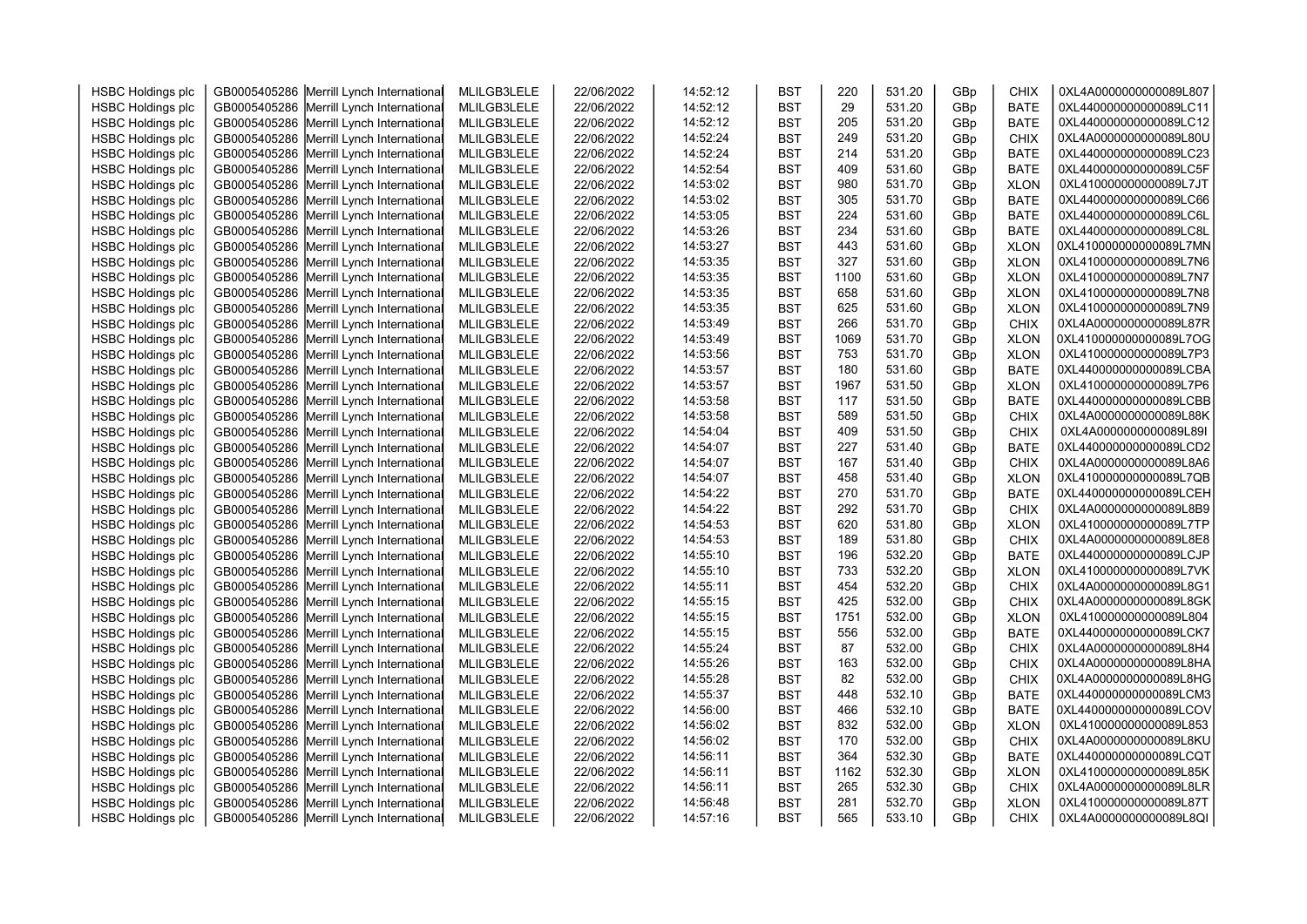| <b>HSBC Holdings plc</b> | GB0005405286 Merrill Lynch International | MLILGB3LELE | 22/06/2022 | 14:52:12 | <b>BST</b> | 220  | 531.20 | GBp | CHIX        | 0XL4A0000000000089L807 |  |
|--------------------------|------------------------------------------|-------------|------------|----------|------------|------|--------|-----|-------------|------------------------|--|
| <b>HSBC Holdings plc</b> | GB0005405286 Merrill Lynch International | MLILGB3LELE | 22/06/2022 | 14:52:12 | <b>BST</b> | 29   | 531.20 | GBp | <b>BATE</b> | 0XL440000000000089LC11 |  |
| <b>HSBC Holdings plc</b> | GB0005405286 Merrill Lynch International | MLILGB3LELE | 22/06/2022 | 14:52:12 | <b>BST</b> | 205  | 531.20 | GBp | <b>BATE</b> | 0XL440000000000089LC12 |  |
| <b>HSBC Holdings plc</b> | GB0005405286 Merrill Lynch International | MLILGB3LELE | 22/06/2022 | 14:52:24 | <b>BST</b> | 249  | 531.20 | GBp | <b>CHIX</b> | 0XL4A0000000000089L80U |  |
| <b>HSBC Holdings plc</b> | GB0005405286 Merrill Lynch International | MLILGB3LELE | 22/06/2022 | 14:52:24 | <b>BST</b> | 214  | 531.20 | GBp | <b>BATE</b> | 0XL440000000000089LC23 |  |
|                          |                                          |             |            |          |            |      |        |     |             | 0XL440000000000089LC5F |  |
| <b>HSBC Holdings plc</b> | GB0005405286 Merrill Lynch International | MLILGB3LELE | 22/06/2022 | 14:52:54 | <b>BST</b> | 409  | 531.60 | GBp | <b>BATE</b> |                        |  |
| <b>HSBC Holdings plc</b> | GB0005405286 Merrill Lynch International | MLILGB3LELE | 22/06/2022 | 14:53:02 | <b>BST</b> | 980  | 531.70 | GBp | <b>XLON</b> | 0XL410000000000089L7JT |  |
| <b>HSBC Holdings plc</b> | GB0005405286 Merrill Lynch International | MLILGB3LELE | 22/06/2022 | 14:53:02 | <b>BST</b> | 305  | 531.70 | GBp | <b>BATE</b> | 0XL440000000000089LC66 |  |
| <b>HSBC Holdings plc</b> | GB0005405286 Merrill Lynch International | MLILGB3LELE | 22/06/2022 | 14:53:05 | <b>BST</b> | 224  | 531.60 | GBp | <b>BATE</b> | 0XL440000000000089LC6L |  |
| <b>HSBC Holdings plc</b> | GB0005405286 Merrill Lynch International | MLILGB3LELE | 22/06/2022 | 14:53:26 | <b>BST</b> | 234  | 531.60 | GBp | <b>BATE</b> | 0XL440000000000089LC8L |  |
| <b>HSBC Holdings plc</b> | GB0005405286 Merrill Lynch International | MLILGB3LELE | 22/06/2022 | 14:53:27 | <b>BST</b> | 443  | 531.60 | GBp | <b>XLON</b> | 0XL410000000000089L7MN |  |
| <b>HSBC Holdings plc</b> | GB0005405286 Merrill Lynch International | MLILGB3LELE | 22/06/2022 | 14:53:35 | <b>BST</b> | 327  | 531.60 | GBp | <b>XLON</b> | 0XL410000000000089L7N6 |  |
| <b>HSBC Holdings plc</b> | GB0005405286 Merrill Lynch International | MLILGB3LELE | 22/06/2022 | 14:53:35 | <b>BST</b> | 1100 | 531.60 | GBp | <b>XLON</b> | 0XL410000000000089L7N7 |  |
| <b>HSBC Holdings plc</b> | GB0005405286 Merrill Lynch International | MLILGB3LELE | 22/06/2022 | 14:53:35 | <b>BST</b> | 658  | 531.60 | GBp | <b>XLON</b> | 0XL410000000000089L7N8 |  |
| <b>HSBC Holdings plc</b> | GB0005405286 Merrill Lynch International | MLILGB3LELE | 22/06/2022 | 14:53:35 | <b>BST</b> | 625  | 531.60 | GBp | <b>XLON</b> | 0XL410000000000089L7N9 |  |
| <b>HSBC Holdings plc</b> | GB0005405286 Merrill Lynch International | MLILGB3LELE | 22/06/2022 | 14:53:49 | <b>BST</b> | 266  | 531.70 | GBp | <b>CHIX</b> | 0XL4A0000000000089L87R |  |
| <b>HSBC Holdings plc</b> | GB0005405286 Merrill Lynch International | MLILGB3LELE | 22/06/2022 | 14:53:49 | <b>BST</b> | 1069 | 531.70 | GBp | <b>XLON</b> | 0XL410000000000089L7OG |  |
| <b>HSBC Holdings plc</b> | GB0005405286 Merrill Lynch International | MLILGB3LELE | 22/06/2022 | 14:53:56 | <b>BST</b> | 753  | 531.70 | GBp | <b>XLON</b> | 0XL410000000000089L7P3 |  |
| <b>HSBC Holdings plc</b> | GB0005405286 Merrill Lynch International | MLILGB3LELE | 22/06/2022 | 14:53:57 | <b>BST</b> | 180  | 531.60 | GBp | <b>BATE</b> | 0XL440000000000089LCBA |  |
| <b>HSBC Holdings plc</b> | GB0005405286 Merrill Lynch International | MLILGB3LELE | 22/06/2022 | 14:53:57 | <b>BST</b> | 1967 | 531.50 | GBp | <b>XLON</b> | 0XL410000000000089L7P6 |  |
| <b>HSBC Holdings plc</b> | GB0005405286 Merrill Lynch International | MLILGB3LELE | 22/06/2022 | 14:53:58 | <b>BST</b> | 117  | 531.50 | GBp | <b>BATE</b> | 0XL440000000000089LCBB |  |
| <b>HSBC Holdings plc</b> | GB0005405286 Merrill Lynch International | MLILGB3LELE | 22/06/2022 | 14:53:58 | <b>BST</b> | 589  | 531.50 | GBp | <b>CHIX</b> | 0XL4A0000000000089L88K |  |
| <b>HSBC Holdings plc</b> | GB0005405286 Merrill Lynch International | MLILGB3LELE | 22/06/2022 | 14:54:04 | <b>BST</b> | 409  | 531.50 | GBp | CHIX        | 0XL4A0000000000089L89I |  |
| <b>HSBC Holdings plc</b> | GB0005405286 Merrill Lynch International | MLILGB3LELE | 22/06/2022 | 14:54:07 | <b>BST</b> | 227  | 531.40 | GBp | <b>BATE</b> | 0XL440000000000089LCD2 |  |
| <b>HSBC Holdings plc</b> | GB0005405286 Merrill Lynch International | MLILGB3LELE | 22/06/2022 | 14:54:07 | <b>BST</b> | 167  | 531.40 | GBp | <b>CHIX</b> | 0XL4A0000000000089L8A6 |  |
| <b>HSBC Holdings plc</b> | GB0005405286 Merrill Lynch International | MLILGB3LELE | 22/06/2022 | 14:54:07 | <b>BST</b> | 458  | 531.40 | GBp | <b>XLON</b> | 0XL410000000000089L7QB |  |
| <b>HSBC Holdings plc</b> | GB0005405286 Merrill Lynch International | MLILGB3LELE | 22/06/2022 | 14:54:22 | <b>BST</b> | 270  | 531.70 | GBp | <b>BATE</b> | 0XL440000000000089LCEH |  |
| <b>HSBC Holdings plc</b> | GB0005405286 Merrill Lynch International | MLILGB3LELE | 22/06/2022 | 14:54:22 | <b>BST</b> | 292  | 531.70 | GBp | <b>CHIX</b> | 0XL4A0000000000089L8B9 |  |
| <b>HSBC Holdings plc</b> | GB0005405286 Merrill Lynch International | MLILGB3LELE | 22/06/2022 | 14:54:53 | <b>BST</b> | 620  | 531.80 | GBp | <b>XLON</b> | 0XL410000000000089L7TP |  |
| <b>HSBC Holdings plc</b> | GB0005405286 Merrill Lynch International | MLILGB3LELE | 22/06/2022 | 14:54:53 | <b>BST</b> | 189  | 531.80 | GBp | <b>CHIX</b> | 0XL4A0000000000089L8E8 |  |
| <b>HSBC Holdings plc</b> | GB0005405286 Merrill Lynch International | MLILGB3LELE | 22/06/2022 | 14:55:10 | <b>BST</b> | 196  | 532.20 | GBp | <b>BATE</b> | 0XL440000000000089LCJP |  |
| <b>HSBC Holdings plc</b> | GB0005405286 Merrill Lynch International | MLILGB3LELE | 22/06/2022 | 14:55:10 | <b>BST</b> | 733  | 532.20 | GBp | <b>XLON</b> | 0XL410000000000089L7VK |  |
| <b>HSBC Holdings plc</b> | GB0005405286 Merrill Lynch International | MLILGB3LELE | 22/06/2022 | 14:55:11 | <b>BST</b> | 454  | 532.20 | GBp | <b>CHIX</b> | 0XL4A0000000000089L8G1 |  |
| <b>HSBC Holdings plc</b> | GB0005405286 Merrill Lynch International | MLILGB3LELE | 22/06/2022 | 14:55:15 | <b>BST</b> | 425  | 532.00 | GBp | <b>CHIX</b> | 0XL4A0000000000089L8GK |  |
| <b>HSBC Holdings plc</b> | GB0005405286 Merrill Lynch International | MLILGB3LELE | 22/06/2022 | 14:55:15 | <b>BST</b> | 1751 | 532.00 | GBp | <b>XLON</b> | 0XL410000000000089L804 |  |
| <b>HSBC Holdings plc</b> | GB0005405286 Merrill Lynch International | MLILGB3LELE | 22/06/2022 | 14:55:15 | <b>BST</b> | 556  | 532.00 | GBp | <b>BATE</b> | 0XL440000000000089LCK7 |  |
| <b>HSBC Holdings plc</b> | GB0005405286 Merrill Lynch International | MLILGB3LELE | 22/06/2022 | 14:55:24 | <b>BST</b> | 87   | 532.00 | GBp | <b>CHIX</b> | 0XL4A0000000000089L8H4 |  |
| <b>HSBC Holdings plc</b> | GB0005405286 Merrill Lynch International | MLILGB3LELE | 22/06/2022 | 14:55:26 | <b>BST</b> | 163  | 532.00 | GBp | <b>CHIX</b> | 0XL4A0000000000089L8HA |  |
| <b>HSBC Holdings plc</b> | GB0005405286 Merrill Lynch International | MLILGB3LELE | 22/06/2022 | 14:55:28 | <b>BST</b> | 82   | 532.00 | GBp | <b>CHIX</b> | 0XL4A0000000000089L8HG |  |
| <b>HSBC Holdings plc</b> | GB0005405286 Merrill Lynch International | MLILGB3LELE | 22/06/2022 | 14:55:37 | <b>BST</b> | 448  | 532.10 | GBp | <b>BATE</b> | 0XL440000000000089LCM3 |  |
| <b>HSBC Holdings plc</b> | GB0005405286 Merrill Lynch International | MLILGB3LELE | 22/06/2022 | 14:56:00 | <b>BST</b> | 466  | 532.10 | GBp | <b>BATE</b> | 0XL440000000000089LCOV |  |
| <b>HSBC Holdings plc</b> | GB0005405286 Merrill Lynch International | MLILGB3LELE | 22/06/2022 | 14:56:02 | <b>BST</b> | 832  | 532.00 | GBp | <b>XLON</b> | 0XL410000000000089L853 |  |
| <b>HSBC Holdings plc</b> | GB0005405286 Merrill Lynch International | MLILGB3LELE | 22/06/2022 | 14:56:02 | <b>BST</b> | 170  | 532.00 | GBp | <b>CHIX</b> | 0XL4A0000000000089L8KU |  |
| <b>HSBC Holdings plc</b> | GB0005405286 Merrill Lynch International | MLILGB3LELE | 22/06/2022 | 14:56:11 | <b>BST</b> | 364  | 532.30 | GBp | <b>BATE</b> | 0XL440000000000089LCQT |  |
| <b>HSBC Holdings plc</b> | GB0005405286 Merrill Lynch International | MLILGB3LELE | 22/06/2022 | 14:56:11 | <b>BST</b> | 1162 | 532.30 | GBp | <b>XLON</b> | 0XL410000000000089L85K |  |
| <b>HSBC Holdings plc</b> | GB0005405286 Merrill Lynch International | MLILGB3LELE | 22/06/2022 | 14:56:11 | <b>BST</b> | 265  | 532.30 | GBp | <b>CHIX</b> | 0XL4A0000000000089L8LR |  |
| <b>HSBC Holdings plc</b> | GB0005405286 Merrill Lynch International | MLILGB3LELE | 22/06/2022 | 14:56:48 | <b>BST</b> | 281  | 532.70 | GBp | <b>XLON</b> | 0XL410000000000089L87T |  |
| <b>HSBC Holdings plc</b> | GB0005405286 Merrill Lynch International | MLILGB3LELE | 22/06/2022 | 14:57:16 | <b>BST</b> | 565  | 533.10 | GBp | <b>CHIX</b> | 0XL4A0000000000089L8QI |  |
|                          |                                          |             |            |          |            |      |        |     |             |                        |  |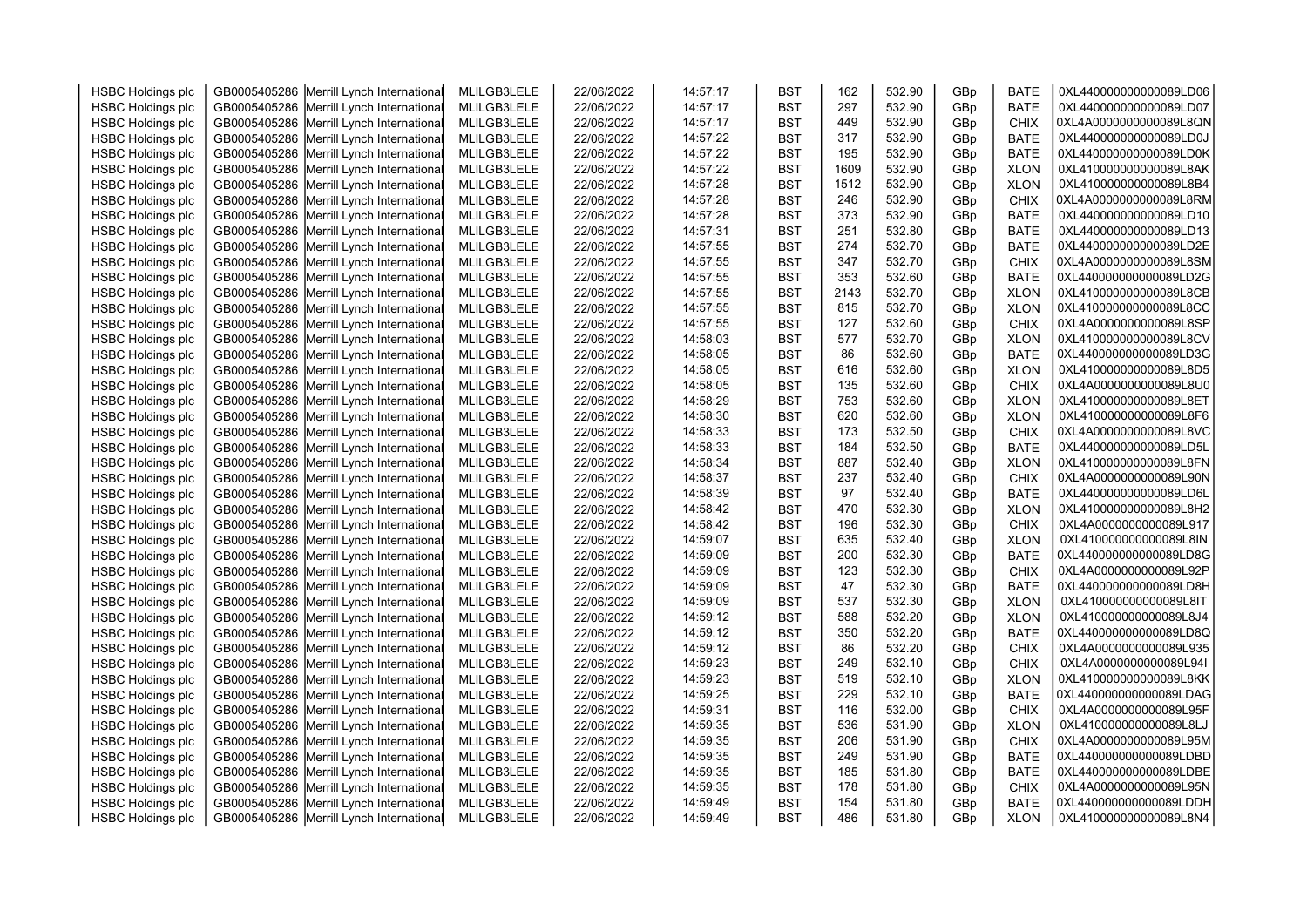| <b>HSBC Holdings plc</b> | GB0005405286 Merrill Lynch International | MLILGB3LELE | 22/06/2022 | 14:57:17 | <b>BST</b> | 162  | 532.90 | GBp | <b>BATE</b> | 0XL440000000000089LD06 |  |
|--------------------------|------------------------------------------|-------------|------------|----------|------------|------|--------|-----|-------------|------------------------|--|
| <b>HSBC Holdings plc</b> | GB0005405286 Merrill Lynch International | MLILGB3LELE | 22/06/2022 | 14:57:17 | <b>BST</b> | 297  | 532.90 | GBp | <b>BATE</b> | 0XL440000000000089LD07 |  |
| <b>HSBC Holdings plc</b> | GB0005405286 Merrill Lynch International | MLILGB3LELE | 22/06/2022 | 14:57:17 | <b>BST</b> | 449  | 532.90 | GBp | <b>CHIX</b> | 0XL4A0000000000089L8QN |  |
| <b>HSBC Holdings plc</b> | GB0005405286 Merrill Lynch International | MLILGB3LELE | 22/06/2022 | 14:57:22 | <b>BST</b> | 317  | 532.90 | GBp | <b>BATE</b> | 0XL440000000000089LD0J |  |
| <b>HSBC Holdings plc</b> | GB0005405286 Merrill Lynch International | MLILGB3LELE | 22/06/2022 | 14:57:22 | <b>BST</b> | 195  | 532.90 | GBp | <b>BATE</b> | 0XL440000000000089LD0K |  |
| <b>HSBC Holdings plc</b> | GB0005405286 Merrill Lynch International | MLILGB3LELE | 22/06/2022 | 14:57:22 | <b>BST</b> | 1609 | 532.90 | GBp | <b>XLON</b> | 0XL410000000000089L8AK |  |
| <b>HSBC Holdings plc</b> | GB0005405286 Merrill Lynch International | MLILGB3LELE | 22/06/2022 | 14:57:28 | <b>BST</b> | 1512 | 532.90 | GBp | <b>XLON</b> | 0XL410000000000089L8B4 |  |
| <b>HSBC Holdings plc</b> | GB0005405286 Merrill Lynch International | MLILGB3LELE | 22/06/2022 | 14:57:28 | <b>BST</b> | 246  | 532.90 | GBp | <b>CHIX</b> | 0XL4A0000000000089L8RM |  |
| <b>HSBC Holdings plc</b> | GB0005405286 Merrill Lynch International | MLILGB3LELE | 22/06/2022 | 14:57:28 | <b>BST</b> | 373  | 532.90 | GBp | <b>BATE</b> | 0XL440000000000089LD10 |  |
| <b>HSBC Holdings plc</b> | GB0005405286 Merrill Lynch International | MLILGB3LELE | 22/06/2022 | 14:57:31 | <b>BST</b> | 251  | 532.80 | GBp | <b>BATE</b> | 0XL440000000000089LD13 |  |
| <b>HSBC Holdings plc</b> | GB0005405286 Merrill Lynch International | MLILGB3LELE | 22/06/2022 | 14:57:55 | <b>BST</b> | 274  | 532.70 | GBp | <b>BATE</b> | 0XL440000000000089LD2E |  |
| <b>HSBC Holdings plc</b> | GB0005405286 Merrill Lynch International | MLILGB3LELE | 22/06/2022 | 14:57:55 | <b>BST</b> | 347  | 532.70 | GBp | <b>CHIX</b> | 0XL4A0000000000089L8SM |  |
| <b>HSBC Holdings plc</b> | GB0005405286 Merrill Lynch International | MLILGB3LELE | 22/06/2022 | 14:57:55 | <b>BST</b> | 353  | 532.60 | GBp | <b>BATE</b> | 0XL440000000000089LD2G |  |
| <b>HSBC Holdings plc</b> | GB0005405286 Merrill Lynch International | MLILGB3LELE | 22/06/2022 | 14:57:55 | <b>BST</b> | 2143 | 532.70 | GBp | <b>XLON</b> | 0XL410000000000089L8CB |  |
| <b>HSBC Holdings plc</b> | GB0005405286 Merrill Lynch International | MLILGB3LELE | 22/06/2022 | 14:57:55 | <b>BST</b> | 815  | 532.70 | GBp | <b>XLON</b> | 0XL410000000000089L8CC |  |
| <b>HSBC Holdings plc</b> | GB0005405286 Merrill Lynch International | MLILGB3LELE | 22/06/2022 | 14:57:55 | <b>BST</b> | 127  | 532.60 | GBp | CHIX        | 0XL4A0000000000089L8SP |  |
| <b>HSBC Holdings plc</b> | GB0005405286 Merrill Lynch International | MLILGB3LELE | 22/06/2022 | 14:58:03 | <b>BST</b> | 577  | 532.70 | GBp | <b>XLON</b> | 0XL410000000000089L8CV |  |
| <b>HSBC Holdings plc</b> | GB0005405286 Merrill Lynch International | MLILGB3LELE | 22/06/2022 | 14:58:05 | <b>BST</b> | 86   | 532.60 | GBp | <b>BATE</b> | 0XL440000000000089LD3G |  |
| <b>HSBC Holdings plc</b> | GB0005405286 Merrill Lynch International | MLILGB3LELE | 22/06/2022 | 14:58:05 | <b>BST</b> | 616  | 532.60 | GBp | <b>XLON</b> | 0XL410000000000089L8D5 |  |
| <b>HSBC Holdings plc</b> | GB0005405286 Merrill Lynch International | MLILGB3LELE | 22/06/2022 | 14:58:05 | <b>BST</b> | 135  | 532.60 | GBp | <b>CHIX</b> | 0XL4A0000000000089L8U0 |  |
| <b>HSBC Holdings plc</b> | GB0005405286 Merrill Lynch International | MLILGB3LELE | 22/06/2022 | 14:58:29 | <b>BST</b> | 753  | 532.60 | GBp | <b>XLON</b> | 0XL410000000000089L8ET |  |
| <b>HSBC Holdings plc</b> | GB0005405286 Merrill Lynch International | MLILGB3LELE | 22/06/2022 | 14:58:30 | <b>BST</b> | 620  | 532.60 | GBp | <b>XLON</b> | 0XL410000000000089L8F6 |  |
| <b>HSBC Holdings plc</b> | GB0005405286 Merrill Lynch International | MLILGB3LELE | 22/06/2022 | 14:58:33 | <b>BST</b> | 173  | 532.50 | GBp | <b>CHIX</b> | 0XL4A0000000000089L8VC |  |
| <b>HSBC Holdings plc</b> | GB0005405286 Merrill Lynch International | MLILGB3LELE | 22/06/2022 | 14:58:33 | <b>BST</b> | 184  | 532.50 | GBp | <b>BATE</b> | 0XL440000000000089LD5L |  |
| <b>HSBC Holdings plc</b> | GB0005405286 Merrill Lynch International | MLILGB3LELE | 22/06/2022 | 14:58:34 | <b>BST</b> | 887  | 532.40 | GBp | <b>XLON</b> | 0XL410000000000089L8FN |  |
| <b>HSBC Holdings plc</b> | GB0005405286 Merrill Lynch International | MLILGB3LELE | 22/06/2022 | 14:58:37 | <b>BST</b> | 237  | 532.40 | GBp | <b>CHIX</b> | 0XL4A0000000000089L90N |  |
| <b>HSBC Holdings plc</b> | GB0005405286 Merrill Lynch International | MLILGB3LELE | 22/06/2022 | 14:58:39 | <b>BST</b> | 97   | 532.40 | GBp | <b>BATE</b> | 0XL440000000000089LD6L |  |
| <b>HSBC Holdings plc</b> | GB0005405286 Merrill Lynch International | MLILGB3LELE | 22/06/2022 | 14:58:42 | <b>BST</b> | 470  | 532.30 | GBp | <b>XLON</b> | 0XL410000000000089L8H2 |  |
| <b>HSBC Holdings plc</b> | GB0005405286 Merrill Lynch International | MLILGB3LELE | 22/06/2022 | 14:58:42 | <b>BST</b> | 196  | 532.30 | GBp | <b>CHIX</b> | 0XL4A0000000000089L917 |  |
| <b>HSBC Holdings plc</b> | GB0005405286 Merrill Lynch International | MLILGB3LELE | 22/06/2022 | 14:59:07 | <b>BST</b> | 635  | 532.40 | GBp | <b>XLON</b> | 0XL410000000000089L8IN |  |
| <b>HSBC Holdings plc</b> | GB0005405286 Merrill Lynch International | MLILGB3LELE | 22/06/2022 | 14:59:09 | <b>BST</b> | 200  | 532.30 | GBp | <b>BATE</b> | 0XL440000000000089LD8G |  |
| <b>HSBC Holdings plc</b> | GB0005405286 Merrill Lynch International | MLILGB3LELE | 22/06/2022 | 14:59:09 | <b>BST</b> | 123  | 532.30 | GBp | <b>CHIX</b> | 0XL4A0000000000089L92P |  |
| <b>HSBC Holdings plc</b> | GB0005405286 Merrill Lynch International | MLILGB3LELE | 22/06/2022 | 14:59:09 | <b>BST</b> | 47   | 532.30 | GBp | <b>BATE</b> | 0XL440000000000089LD8H |  |
| <b>HSBC Holdings plc</b> | GB0005405286 Merrill Lynch International | MLILGB3LELE | 22/06/2022 | 14:59:09 | <b>BST</b> | 537  | 532.30 | GBp | <b>XLON</b> | 0XL410000000000089L8IT |  |
| <b>HSBC Holdings plc</b> | GB0005405286 Merrill Lynch International | MLILGB3LELE | 22/06/2022 | 14:59:12 | <b>BST</b> | 588  | 532.20 | GBp | <b>XLON</b> | 0XL410000000000089L8J4 |  |
| <b>HSBC Holdings plc</b> | GB0005405286 Merrill Lynch International | MLILGB3LELE | 22/06/2022 | 14:59:12 | <b>BST</b> | 350  | 532.20 | GBp | <b>BATE</b> | 0XL440000000000089LD8Q |  |
| <b>HSBC Holdings plc</b> | GB0005405286 Merrill Lynch International | MLILGB3LELE | 22/06/2022 | 14:59:12 | <b>BST</b> | 86   | 532.20 | GBp | <b>CHIX</b> | 0XL4A0000000000089L935 |  |
| <b>HSBC Holdings plc</b> | GB0005405286 Merrill Lynch International | MLILGB3LELE | 22/06/2022 | 14:59:23 | <b>BST</b> | 249  | 532.10 | GBp | <b>CHIX</b> | 0XL4A0000000000089L94I |  |
| <b>HSBC Holdings plc</b> | GB0005405286 Merrill Lynch International | MLILGB3LELE | 22/06/2022 | 14:59:23 | <b>BST</b> | 519  | 532.10 | GBp | <b>XLON</b> | 0XL410000000000089L8KK |  |
| <b>HSBC Holdings plc</b> | GB0005405286 Merrill Lynch International | MLILGB3LELE | 22/06/2022 | 14:59:25 | <b>BST</b> | 229  | 532.10 | GBp | <b>BATE</b> | 0XL440000000000089LDAG |  |
| <b>HSBC Holdings plc</b> | GB0005405286 Merrill Lynch International | MLILGB3LELE | 22/06/2022 | 14:59:31 | <b>BST</b> | 116  | 532.00 | GBp | <b>CHIX</b> | 0XL4A0000000000089L95F |  |
| <b>HSBC Holdings plc</b> | GB0005405286 Merrill Lynch International | MLILGB3LELE | 22/06/2022 | 14:59:35 | <b>BST</b> | 536  | 531.90 | GBp | <b>XLON</b> | 0XL410000000000089L8LJ |  |
| <b>HSBC Holdings plc</b> | GB0005405286 Merrill Lynch International | MLILGB3LELE | 22/06/2022 | 14:59:35 | <b>BST</b> | 206  | 531.90 | GBp | <b>CHIX</b> | 0XL4A0000000000089L95M |  |
| <b>HSBC Holdings plc</b> | GB0005405286 Merrill Lynch International | MLILGB3LELE | 22/06/2022 | 14:59:35 | <b>BST</b> | 249  | 531.90 | GBp | <b>BATE</b> | 0XL440000000000089LDBD |  |
| <b>HSBC Holdings plc</b> | GB0005405286 Merrill Lynch International | MLILGB3LELE | 22/06/2022 | 14:59:35 | <b>BST</b> | 185  | 531.80 | GBp | <b>BATE</b> | 0XL440000000000089LDBE |  |
| <b>HSBC Holdings plc</b> | GB0005405286 Merrill Lynch International | MLILGB3LELE | 22/06/2022 | 14:59:35 | <b>BST</b> | 178  | 531.80 | GBp | <b>CHIX</b> | 0XL4A0000000000089L95N |  |
| <b>HSBC Holdings plc</b> | GB0005405286 Merrill Lynch International | MLILGB3LELE | 22/06/2022 | 14:59:49 | <b>BST</b> | 154  | 531.80 | GBp | <b>BATE</b> | 0XL440000000000089LDDH |  |
| <b>HSBC Holdings plc</b> | GB0005405286 Merrill Lynch International | MLILGB3LELE | 22/06/2022 | 14:59:49 | <b>BST</b> | 486  | 531.80 | GBp | <b>XLON</b> | 0XL410000000000089L8N4 |  |
|                          |                                          |             |            |          |            |      |        |     |             |                        |  |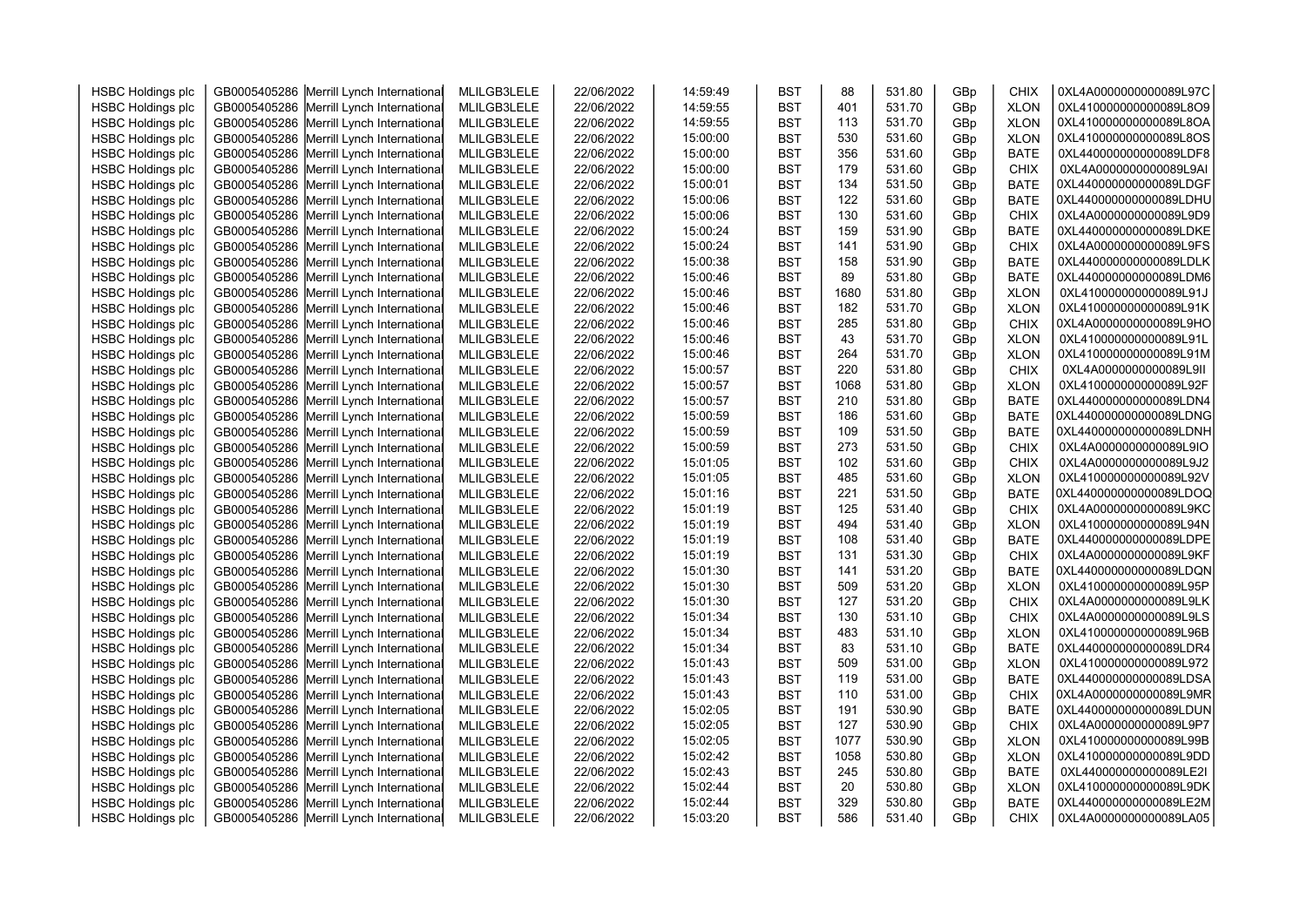| <b>HSBC Holdings plc</b> | GB0005405286 Merrill Lynch International | MLILGB3LELE | 22/06/2022 | 14:59:49 | <b>BST</b> | 88   | 531.80 | GBp | CHIX        | 0XL4A0000000000089L97C |  |
|--------------------------|------------------------------------------|-------------|------------|----------|------------|------|--------|-----|-------------|------------------------|--|
| <b>HSBC Holdings plc</b> | GB0005405286 Merrill Lynch International | MLILGB3LELE | 22/06/2022 | 14:59:55 | <b>BST</b> | 401  | 531.70 | GBp | <b>XLON</b> | 0XL410000000000089L8O9 |  |
| <b>HSBC Holdings plc</b> | GB0005405286 Merrill Lynch International | MLILGB3LELE | 22/06/2022 | 14:59:55 | <b>BST</b> | 113  | 531.70 | GBp | <b>XLON</b> | 0XL410000000000089L8OA |  |
| <b>HSBC Holdings plc</b> | GB0005405286 Merrill Lynch International | MLILGB3LELE | 22/06/2022 | 15:00:00 | <b>BST</b> | 530  | 531.60 | GBp | <b>XLON</b> | 0XL410000000000089L8OS |  |
| <b>HSBC Holdings plc</b> | GB0005405286 Merrill Lynch International | MLILGB3LELE | 22/06/2022 | 15:00:00 | <b>BST</b> | 356  | 531.60 | GBp | <b>BATE</b> | 0XL440000000000089LDF8 |  |
| <b>HSBC Holdings plc</b> | GB0005405286 Merrill Lynch International | MLILGB3LELE | 22/06/2022 | 15:00:00 | <b>BST</b> | 179  | 531.60 | GBp | <b>CHIX</b> | 0XL4A0000000000089L9AI |  |
| <b>HSBC Holdings plc</b> | GB0005405286 Merrill Lynch International | MLILGB3LELE | 22/06/2022 | 15:00:01 | <b>BST</b> | 134  | 531.50 | GBp | <b>BATE</b> | 0XL440000000000089LDGF |  |
| <b>HSBC Holdings plc</b> | GB0005405286 Merrill Lynch International | MLILGB3LELE | 22/06/2022 | 15:00:06 | <b>BST</b> | 122  | 531.60 | GBp | <b>BATE</b> | 0XL440000000000089LDHU |  |
| <b>HSBC Holdings plc</b> | GB0005405286 Merrill Lynch International | MLILGB3LELE | 22/06/2022 | 15:00:06 | <b>BST</b> | 130  | 531.60 | GBp | <b>CHIX</b> | 0XL4A0000000000089L9D9 |  |
| <b>HSBC Holdings plc</b> | GB0005405286 Merrill Lynch International | MLILGB3LELE | 22/06/2022 | 15:00:24 | <b>BST</b> | 159  | 531.90 | GBp | <b>BATE</b> | 0XL440000000000089LDKE |  |
| <b>HSBC Holdings plc</b> | GB0005405286 Merrill Lynch International | MLILGB3LELE | 22/06/2022 | 15:00:24 | <b>BST</b> | 141  | 531.90 | GBp | <b>CHIX</b> | 0XL4A0000000000089L9FS |  |
| <b>HSBC Holdings plc</b> | GB0005405286 Merrill Lynch International | MLILGB3LELE | 22/06/2022 | 15:00:38 | <b>BST</b> | 158  | 531.90 | GBp | <b>BATE</b> | 0XL440000000000089LDLK |  |
| <b>HSBC Holdings plc</b> | GB0005405286 Merrill Lynch International | MLILGB3LELE | 22/06/2022 | 15:00:46 | <b>BST</b> | 89   | 531.80 | GBp | <b>BATE</b> | 0XL440000000000089LDM6 |  |
| <b>HSBC Holdings plc</b> | GB0005405286 Merrill Lynch International | MLILGB3LELE | 22/06/2022 | 15:00:46 | <b>BST</b> | 1680 | 531.80 | GBp | <b>XLON</b> | 0XL410000000000089L91J |  |
| <b>HSBC Holdings plc</b> | GB0005405286 Merrill Lynch International | MLILGB3LELE | 22/06/2022 | 15:00:46 | <b>BST</b> | 182  | 531.70 | GBp | <b>XLON</b> | 0XL410000000000089L91K |  |
| <b>HSBC Holdings plc</b> | GB0005405286 Merrill Lynch International | MLILGB3LELE | 22/06/2022 | 15:00:46 | <b>BST</b> | 285  | 531.80 | GBp | <b>CHIX</b> | 0XL4A0000000000089L9HO |  |
| <b>HSBC Holdings plc</b> | GB0005405286 Merrill Lynch International | MLILGB3LELE | 22/06/2022 | 15:00:46 | <b>BST</b> | 43   | 531.70 | GBp | <b>XLON</b> | 0XL410000000000089L91L |  |
| <b>HSBC Holdings plc</b> | GB0005405286 Merrill Lynch International | MLILGB3LELE | 22/06/2022 | 15:00:46 | <b>BST</b> | 264  | 531.70 | GBp | <b>XLON</b> | 0XL410000000000089L91M |  |
| <b>HSBC Holdings plc</b> | GB0005405286 Merrill Lynch International | MLILGB3LELE | 22/06/2022 | 15:00:57 | <b>BST</b> | 220  | 531.80 | GBp | <b>CHIX</b> | 0XL4A0000000000089L9II |  |
| <b>HSBC Holdings plc</b> | GB0005405286 Merrill Lynch International | MLILGB3LELE | 22/06/2022 | 15:00:57 | <b>BST</b> | 1068 | 531.80 | GBp | <b>XLON</b> | 0XL410000000000089L92F |  |
| <b>HSBC Holdings plc</b> | GB0005405286 Merrill Lynch International | MLILGB3LELE | 22/06/2022 | 15:00:57 | <b>BST</b> | 210  | 531.80 | GBp | <b>BATE</b> | 0XL440000000000089LDN4 |  |
| <b>HSBC Holdings plc</b> | GB0005405286 Merrill Lynch International | MLILGB3LELE | 22/06/2022 | 15:00:59 | <b>BST</b> | 186  | 531.60 | GBp | <b>BATE</b> | 0XL440000000000089LDNG |  |
| <b>HSBC Holdings plc</b> | GB0005405286 Merrill Lynch International | MLILGB3LELE | 22/06/2022 | 15:00:59 | <b>BST</b> | 109  | 531.50 | GBp | <b>BATE</b> | 0XL440000000000089LDNH |  |
| <b>HSBC Holdings plc</b> | GB0005405286 Merrill Lynch International | MLILGB3LELE | 22/06/2022 | 15:00:59 | <b>BST</b> | 273  | 531.50 | GBp | <b>CHIX</b> | 0XL4A0000000000089L9IO |  |
| <b>HSBC Holdings plc</b> | GB0005405286 Merrill Lynch International | MLILGB3LELE | 22/06/2022 | 15:01:05 | <b>BST</b> | 102  | 531.60 | GBp | <b>CHIX</b> | 0XL4A0000000000089L9J2 |  |
| <b>HSBC Holdings plc</b> | GB0005405286 Merrill Lynch International | MLILGB3LELE | 22/06/2022 | 15:01:05 | <b>BST</b> | 485  | 531.60 | GBp | <b>XLON</b> | 0XL410000000000089L92V |  |
| <b>HSBC Holdings plc</b> | GB0005405286 Merrill Lynch International | MLILGB3LELE | 22/06/2022 | 15:01:16 | <b>BST</b> | 221  | 531.50 | GBp | <b>BATE</b> | 0XL440000000000089LDOQ |  |
| <b>HSBC Holdings plc</b> | GB0005405286 Merrill Lynch International | MLILGB3LELE | 22/06/2022 | 15:01:19 | <b>BST</b> | 125  | 531.40 | GBp | <b>CHIX</b> | 0XL4A0000000000089L9KC |  |
| <b>HSBC Holdings plc</b> | GB0005405286 Merrill Lynch International | MLILGB3LELE | 22/06/2022 | 15:01:19 | <b>BST</b> | 494  | 531.40 | GBp | <b>XLON</b> | 0XL410000000000089L94N |  |
| <b>HSBC Holdings plc</b> | GB0005405286 Merrill Lynch International | MLILGB3LELE | 22/06/2022 | 15:01:19 | <b>BST</b> | 108  | 531.40 | GBp | <b>BATE</b> | 0XL440000000000089LDPE |  |
| <b>HSBC Holdings plc</b> | GB0005405286 Merrill Lynch International | MLILGB3LELE | 22/06/2022 | 15:01:19 | <b>BST</b> | 131  | 531.30 | GBp | <b>CHIX</b> | 0XL4A0000000000089L9KF |  |
| <b>HSBC Holdings plc</b> | GB0005405286 Merrill Lynch International | MLILGB3LELE | 22/06/2022 | 15:01:30 | <b>BST</b> | 141  | 531.20 | GBp | <b>BATE</b> | 0XL440000000000089LDQN |  |
| <b>HSBC Holdings plc</b> | GB0005405286 Merrill Lynch International | MLILGB3LELE | 22/06/2022 | 15:01:30 | <b>BST</b> | 509  | 531.20 | GBp | <b>XLON</b> | 0XL410000000000089L95P |  |
| <b>HSBC Holdings plc</b> | GB0005405286 Merrill Lynch International | MLILGB3LELE | 22/06/2022 | 15:01:30 | <b>BST</b> | 127  | 531.20 | GBp | <b>CHIX</b> | 0XL4A0000000000089L9LK |  |
| <b>HSBC Holdings plc</b> | GB0005405286 Merrill Lynch International | MLILGB3LELE | 22/06/2022 | 15:01:34 | <b>BST</b> | 130  | 531.10 | GBp | <b>CHIX</b> | 0XL4A0000000000089L9LS |  |
| <b>HSBC Holdings plc</b> | GB0005405286 Merrill Lynch International | MLILGB3LELE | 22/06/2022 | 15:01:34 | <b>BST</b> | 483  | 531.10 | GBp | <b>XLON</b> | 0XL410000000000089L96B |  |
| <b>HSBC Holdings plc</b> | GB0005405286 Merrill Lynch International | MLILGB3LELE | 22/06/2022 | 15:01:34 | <b>BST</b> | 83   | 531.10 | GBp | <b>BATE</b> | 0XL440000000000089LDR4 |  |
| <b>HSBC Holdings plc</b> | GB0005405286 Merrill Lynch International | MLILGB3LELE | 22/06/2022 | 15:01:43 | <b>BST</b> | 509  | 531.00 | GBp | <b>XLON</b> | 0XL410000000000089L972 |  |
| <b>HSBC Holdings plc</b> | GB0005405286 Merrill Lynch International | MLILGB3LELE | 22/06/2022 | 15:01:43 | <b>BST</b> | 119  | 531.00 | GBp | <b>BATE</b> | 0XL440000000000089LDSA |  |
| <b>HSBC Holdings plc</b> | GB0005405286 Merrill Lynch International | MLILGB3LELE | 22/06/2022 | 15:01:43 | <b>BST</b> | 110  | 531.00 | GBp | <b>CHIX</b> | 0XL4A0000000000089L9MR |  |
| <b>HSBC Holdings plc</b> | GB0005405286 Merrill Lynch International | MLILGB3LELE | 22/06/2022 | 15:02:05 | <b>BST</b> | 191  | 530.90 | GBp | <b>BATE</b> | 0XL440000000000089LDUN |  |
| <b>HSBC Holdings plc</b> | GB0005405286 Merrill Lynch International | MLILGB3LELE | 22/06/2022 | 15:02:05 | <b>BST</b> | 127  | 530.90 | GBp | <b>CHIX</b> | 0XL4A0000000000089L9P7 |  |
| <b>HSBC Holdings plc</b> | GB0005405286 Merrill Lynch International | MLILGB3LELE | 22/06/2022 | 15:02:05 | <b>BST</b> | 1077 | 530.90 | GBp | <b>XLON</b> | 0XL410000000000089L99B |  |
| <b>HSBC Holdings plc</b> | GB0005405286 Merrill Lynch International | MLILGB3LELE | 22/06/2022 | 15:02:42 | <b>BST</b> | 1058 | 530.80 | GBp | <b>XLON</b> | 0XL410000000000089L9DD |  |
| <b>HSBC Holdings plc</b> | GB0005405286 Merrill Lynch International | MLILGB3LELE | 22/06/2022 | 15:02:43 | <b>BST</b> | 245  | 530.80 | GBp | <b>BATE</b> | 0XL440000000000089LE2I |  |
| <b>HSBC Holdings plc</b> | GB0005405286 Merrill Lynch International | MLILGB3LELE | 22/06/2022 | 15:02:44 | <b>BST</b> | 20   | 530.80 | GBp | <b>XLON</b> | 0XL410000000000089L9DK |  |
| <b>HSBC Holdings plc</b> | GB0005405286 Merrill Lynch International | MLILGB3LELE | 22/06/2022 | 15:02:44 | <b>BST</b> | 329  | 530.80 | GBp | <b>BATE</b> | 0XL440000000000089LE2M |  |
| <b>HSBC Holdings plc</b> | GB0005405286 Merrill Lynch International | MLILGB3LELE | 22/06/2022 | 15:03:20 | <b>BST</b> | 586  | 531.40 | GBp | <b>CHIX</b> | 0XL4A0000000000089LA05 |  |
|                          |                                          |             |            |          |            |      |        |     |             |                        |  |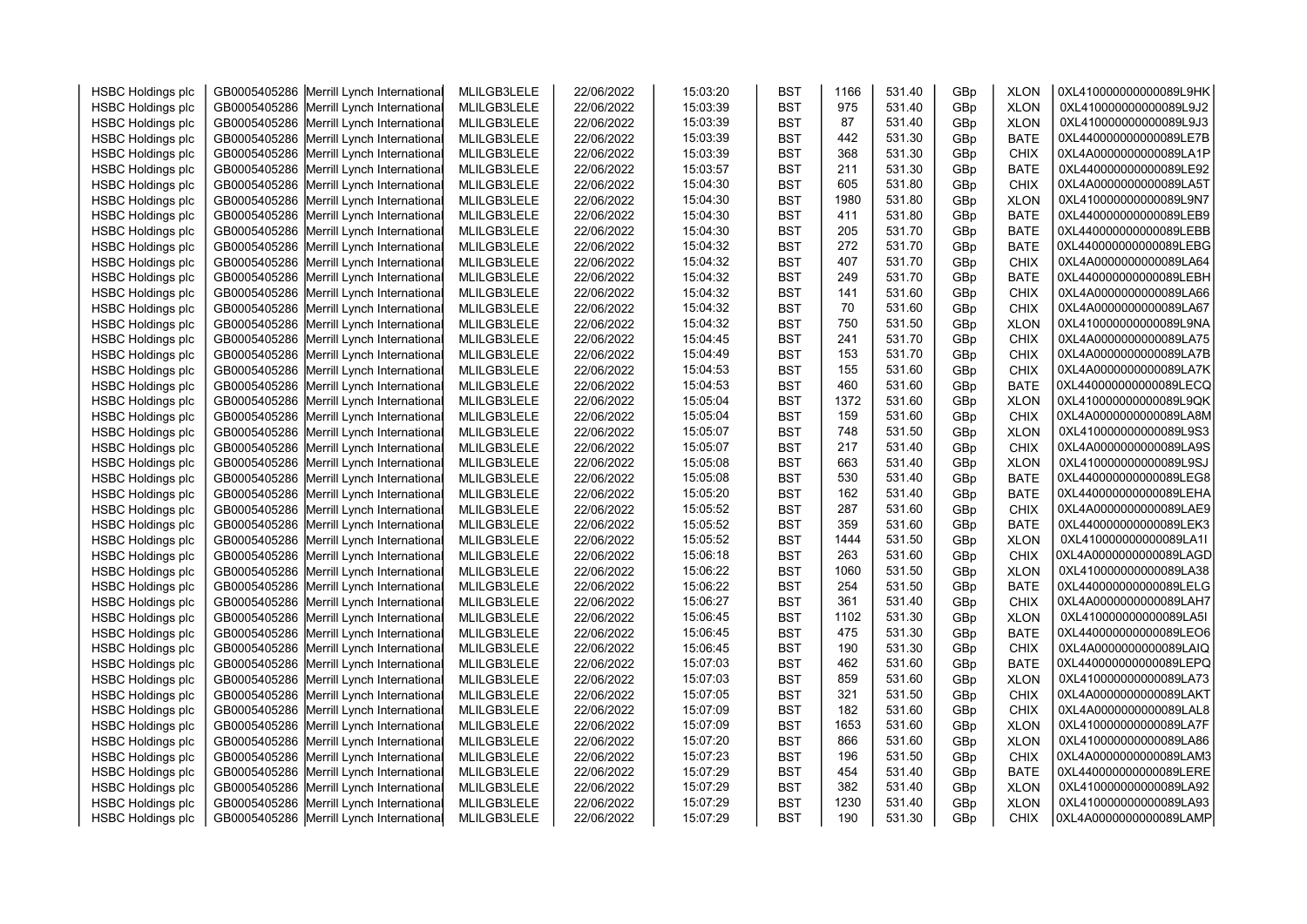| <b>HSBC Holdings plc</b> | GB0005405286 Merrill Lynch International | MLILGB3LELE | 22/06/2022 | 15:03:20 | <b>BST</b> | 1166 | 531.40 | GBp | <b>XLON</b> | 0XL410000000000089L9HK |  |
|--------------------------|------------------------------------------|-------------|------------|----------|------------|------|--------|-----|-------------|------------------------|--|
| <b>HSBC Holdings plc</b> | GB0005405286 Merrill Lynch International | MLILGB3LELE | 22/06/2022 | 15:03:39 | <b>BST</b> | 975  | 531.40 | GBp | <b>XLON</b> | 0XL410000000000089L9J2 |  |
| <b>HSBC Holdings plc</b> | GB0005405286 Merrill Lynch International | MLILGB3LELE | 22/06/2022 | 15:03:39 | <b>BST</b> | 87   | 531.40 | GBp | <b>XLON</b> | 0XL410000000000089L9J3 |  |
| <b>HSBC Holdings plc</b> | GB0005405286 Merrill Lynch International | MLILGB3LELE | 22/06/2022 | 15:03:39 | <b>BST</b> | 442  | 531.30 | GBp | <b>BATE</b> | 0XL440000000000089LE7B |  |
| <b>HSBC Holdings plc</b> | GB0005405286 Merrill Lynch International | MLILGB3LELE | 22/06/2022 | 15:03:39 | <b>BST</b> | 368  | 531.30 | GBp | <b>CHIX</b> | 0XL4A0000000000089LA1P |  |
|                          |                                          |             |            |          |            |      |        |     |             | 0XL440000000000089LE92 |  |
| <b>HSBC Holdings plc</b> | GB0005405286 Merrill Lynch International | MLILGB3LELE | 22/06/2022 | 15:03:57 | <b>BST</b> | 211  | 531.30 | GBp | <b>BATE</b> |                        |  |
| <b>HSBC Holdings plc</b> | GB0005405286 Merrill Lynch International | MLILGB3LELE | 22/06/2022 | 15:04:30 | <b>BST</b> | 605  | 531.80 | GBp | <b>CHIX</b> | 0XL4A0000000000089LA5T |  |
| <b>HSBC Holdings plc</b> | GB0005405286 Merrill Lynch International | MLILGB3LELE | 22/06/2022 | 15:04:30 | <b>BST</b> | 1980 | 531.80 | GBp | <b>XLON</b> | 0XL410000000000089L9N7 |  |
| <b>HSBC Holdings plc</b> | GB0005405286 Merrill Lynch International | MLILGB3LELE | 22/06/2022 | 15:04:30 | <b>BST</b> | 411  | 531.80 | GBp | <b>BATE</b> | 0XL440000000000089LEB9 |  |
| <b>HSBC Holdings plc</b> | GB0005405286 Merrill Lynch International | MLILGB3LELE | 22/06/2022 | 15:04:30 | <b>BST</b> | 205  | 531.70 | GBp | <b>BATE</b> | 0XL440000000000089LEBB |  |
| <b>HSBC Holdings plc</b> | GB0005405286 Merrill Lynch International | MLILGB3LELE | 22/06/2022 | 15:04:32 | <b>BST</b> | 272  | 531.70 | GBp | <b>BATE</b> | 0XL440000000000089LEBG |  |
| <b>HSBC Holdings plc</b> | GB0005405286 Merrill Lynch International | MLILGB3LELE | 22/06/2022 | 15:04:32 | <b>BST</b> | 407  | 531.70 | GBp | <b>CHIX</b> | 0XL4A0000000000089LA64 |  |
| <b>HSBC Holdings plc</b> | GB0005405286 Merrill Lynch International | MLILGB3LELE | 22/06/2022 | 15:04:32 | <b>BST</b> | 249  | 531.70 | GBp | <b>BATE</b> | 0XL440000000000089LEBH |  |
| <b>HSBC Holdings plc</b> | GB0005405286 Merrill Lynch International | MLILGB3LELE | 22/06/2022 | 15:04:32 | <b>BST</b> | 141  | 531.60 | GBp | <b>CHIX</b> | 0XL4A0000000000089LA66 |  |
| <b>HSBC Holdings plc</b> | GB0005405286 Merrill Lynch International | MLILGB3LELE | 22/06/2022 | 15:04:32 | <b>BST</b> | 70   | 531.60 | GBp | <b>CHIX</b> | 0XL4A0000000000089LA67 |  |
| <b>HSBC Holdings plc</b> | GB0005405286 Merrill Lynch International | MLILGB3LELE | 22/06/2022 | 15:04:32 | <b>BST</b> | 750  | 531.50 | GBp | <b>XLON</b> | 0XL410000000000089L9NA |  |
| <b>HSBC Holdings plc</b> | GB0005405286 Merrill Lynch International | MLILGB3LELE | 22/06/2022 | 15:04:45 | <b>BST</b> | 241  | 531.70 | GBp | <b>CHIX</b> | 0XL4A0000000000089LA75 |  |
| <b>HSBC Holdings plc</b> | GB0005405286 Merrill Lynch International | MLILGB3LELE | 22/06/2022 | 15:04:49 | <b>BST</b> | 153  | 531.70 | GBp | <b>CHIX</b> | 0XL4A0000000000089LA7B |  |
| <b>HSBC Holdings plc</b> | GB0005405286 Merrill Lynch International | MLILGB3LELE | 22/06/2022 | 15:04:53 | <b>BST</b> | 155  | 531.60 | GBp | <b>CHIX</b> | 0XL4A0000000000089LA7K |  |
| <b>HSBC Holdings plc</b> | GB0005405286 Merrill Lynch International | MLILGB3LELE | 22/06/2022 | 15:04:53 | <b>BST</b> | 460  | 531.60 | GBp | <b>BATE</b> | 0XL440000000000089LECQ |  |
| <b>HSBC Holdings plc</b> | GB0005405286 Merrill Lynch International | MLILGB3LELE | 22/06/2022 | 15:05:04 | <b>BST</b> | 1372 | 531.60 | GBp | <b>XLON</b> | 0XL410000000000089L9QK |  |
| <b>HSBC Holdings plc</b> | GB0005405286 Merrill Lynch International | MLILGB3LELE | 22/06/2022 | 15:05:04 | <b>BST</b> | 159  | 531.60 | GBp | <b>CHIX</b> | 0XL4A0000000000089LA8M |  |
| <b>HSBC Holdings plc</b> | GB0005405286 Merrill Lynch International | MLILGB3LELE | 22/06/2022 | 15:05:07 | <b>BST</b> | 748  | 531.50 | GBp | <b>XLON</b> | 0XL410000000000089L9S3 |  |
| <b>HSBC Holdings plc</b> | GB0005405286 Merrill Lynch International | MLILGB3LELE | 22/06/2022 | 15:05:07 | <b>BST</b> | 217  | 531.40 | GBp | <b>CHIX</b> | 0XL4A0000000000089LA9S |  |
| <b>HSBC Holdings plc</b> | GB0005405286 Merrill Lynch International | MLILGB3LELE | 22/06/2022 | 15:05:08 | <b>BST</b> | 663  | 531.40 | GBp | <b>XLON</b> | 0XL410000000000089L9SJ |  |
| <b>HSBC Holdings plc</b> | GB0005405286 Merrill Lynch International | MLILGB3LELE | 22/06/2022 | 15:05:08 | <b>BST</b> | 530  | 531.40 | GBp | <b>BATE</b> | 0XL440000000000089LEG8 |  |
| <b>HSBC Holdings plc</b> | GB0005405286 Merrill Lynch International | MLILGB3LELE | 22/06/2022 | 15:05:20 | <b>BST</b> | 162  | 531.40 | GBp | <b>BATE</b> | 0XL440000000000089LEHA |  |
| <b>HSBC Holdings plc</b> | GB0005405286 Merrill Lynch International | MLILGB3LELE | 22/06/2022 | 15:05:52 | <b>BST</b> | 287  | 531.60 | GBp | <b>CHIX</b> | 0XL4A0000000000089LAE9 |  |
| <b>HSBC Holdings plc</b> | GB0005405286 Merrill Lynch International | MLILGB3LELE | 22/06/2022 | 15:05:52 | <b>BST</b> | 359  | 531.60 | GBp | <b>BATE</b> | 0XL440000000000089LEK3 |  |
| <b>HSBC Holdings plc</b> | GB0005405286 Merrill Lynch International | MLILGB3LELE | 22/06/2022 | 15:05:52 | <b>BST</b> | 1444 | 531.50 | GBp | <b>XLON</b> | 0XL410000000000089LA1I |  |
| <b>HSBC Holdings plc</b> | GB0005405286 Merrill Lynch International | MLILGB3LELE | 22/06/2022 | 15:06:18 | <b>BST</b> | 263  | 531.60 | GBp | CHIX        | 0XL4A0000000000089LAGD |  |
| <b>HSBC Holdings plc</b> | GB0005405286 Merrill Lynch International | MLILGB3LELE | 22/06/2022 | 15:06:22 | <b>BST</b> | 1060 | 531.50 | GBp | <b>XLON</b> | 0XL410000000000089LA38 |  |
| <b>HSBC Holdings plc</b> | GB0005405286 Merrill Lynch International | MLILGB3LELE | 22/06/2022 | 15:06:22 | <b>BST</b> | 254  | 531.50 | GBp | <b>BATE</b> | 0XL440000000000089LELG |  |
| <b>HSBC Holdings plc</b> | GB0005405286 Merrill Lynch International | MLILGB3LELE | 22/06/2022 | 15:06:27 | <b>BST</b> | 361  | 531.40 | GBp | <b>CHIX</b> | 0XL4A0000000000089LAH7 |  |
| <b>HSBC Holdings plc</b> | GB0005405286 Merrill Lynch International | MLILGB3LELE | 22/06/2022 | 15:06:45 | <b>BST</b> | 1102 | 531.30 | GBp | <b>XLON</b> | 0XL410000000000089LA5I |  |
| <b>HSBC Holdings plc</b> | GB0005405286 Merrill Lynch International | MLILGB3LELE | 22/06/2022 | 15:06:45 | <b>BST</b> | 475  | 531.30 | GBp | <b>BATE</b> | 0XL440000000000089LEO6 |  |
| <b>HSBC Holdings plc</b> | GB0005405286 Merrill Lynch International | MLILGB3LELE | 22/06/2022 | 15:06:45 | <b>BST</b> | 190  | 531.30 | GBp | <b>CHIX</b> | 0XL4A0000000000089LAIQ |  |
| <b>HSBC Holdings plc</b> | GB0005405286 Merrill Lynch International | MLILGB3LELE | 22/06/2022 | 15:07:03 | <b>BST</b> | 462  | 531.60 | GBp | <b>BATE</b> | 0XL440000000000089LEPQ |  |
| <b>HSBC Holdings plc</b> | GB0005405286 Merrill Lynch International | MLILGB3LELE | 22/06/2022 | 15:07:03 | <b>BST</b> | 859  | 531.60 | GBp | <b>XLON</b> | 0XL410000000000089LA73 |  |
| <b>HSBC Holdings plc</b> | GB0005405286 Merrill Lynch International | MLILGB3LELE | 22/06/2022 | 15:07:05 | <b>BST</b> | 321  | 531.50 | GBp | <b>CHIX</b> | 0XL4A0000000000089LAKT |  |
| <b>HSBC Holdings plc</b> | GB0005405286 Merrill Lynch International | MLILGB3LELE | 22/06/2022 | 15:07:09 | <b>BST</b> | 182  | 531.60 | GBp | <b>CHIX</b> | 0XL4A0000000000089LAL8 |  |
| <b>HSBC Holdings plc</b> | GB0005405286 Merrill Lynch International | MLILGB3LELE | 22/06/2022 | 15:07:09 | <b>BST</b> | 1653 | 531.60 | GBp | <b>XLON</b> | 0XL410000000000089LA7F |  |
| <b>HSBC Holdings plc</b> | GB0005405286 Merrill Lynch International | MLILGB3LELE | 22/06/2022 | 15:07:20 | <b>BST</b> | 866  | 531.60 | GBp | <b>XLON</b> | 0XL410000000000089LA86 |  |
| <b>HSBC Holdings plc</b> | GB0005405286 Merrill Lynch International | MLILGB3LELE | 22/06/2022 | 15:07:23 | <b>BST</b> | 196  | 531.50 | GBp | <b>CHIX</b> | 0XL4A0000000000089LAM3 |  |
| <b>HSBC Holdings plc</b> | GB0005405286 Merrill Lynch International | MLILGB3LELE | 22/06/2022 | 15:07:29 | <b>BST</b> | 454  | 531.40 | GBp | <b>BATE</b> | 0XL440000000000089LERE |  |
| <b>HSBC Holdings plc</b> | GB0005405286 Merrill Lynch International | MLILGB3LELE | 22/06/2022 | 15:07:29 | <b>BST</b> | 382  | 531.40 | GBp | <b>XLON</b> | 0XL410000000000089LA92 |  |
| <b>HSBC Holdings plc</b> | GB0005405286 Merrill Lynch International | MLILGB3LELE | 22/06/2022 | 15:07:29 | <b>BST</b> | 1230 | 531.40 | GBp | <b>XLON</b> | 0XL410000000000089LA93 |  |
| <b>HSBC Holdings plc</b> | GB0005405286 Merrill Lynch International | MLILGB3LELE | 22/06/2022 | 15:07:29 | <b>BST</b> | 190  | 531.30 | GBp | <b>CHIX</b> | 0XL4A0000000000089LAMP |  |
|                          |                                          |             |            |          |            |      |        |     |             |                        |  |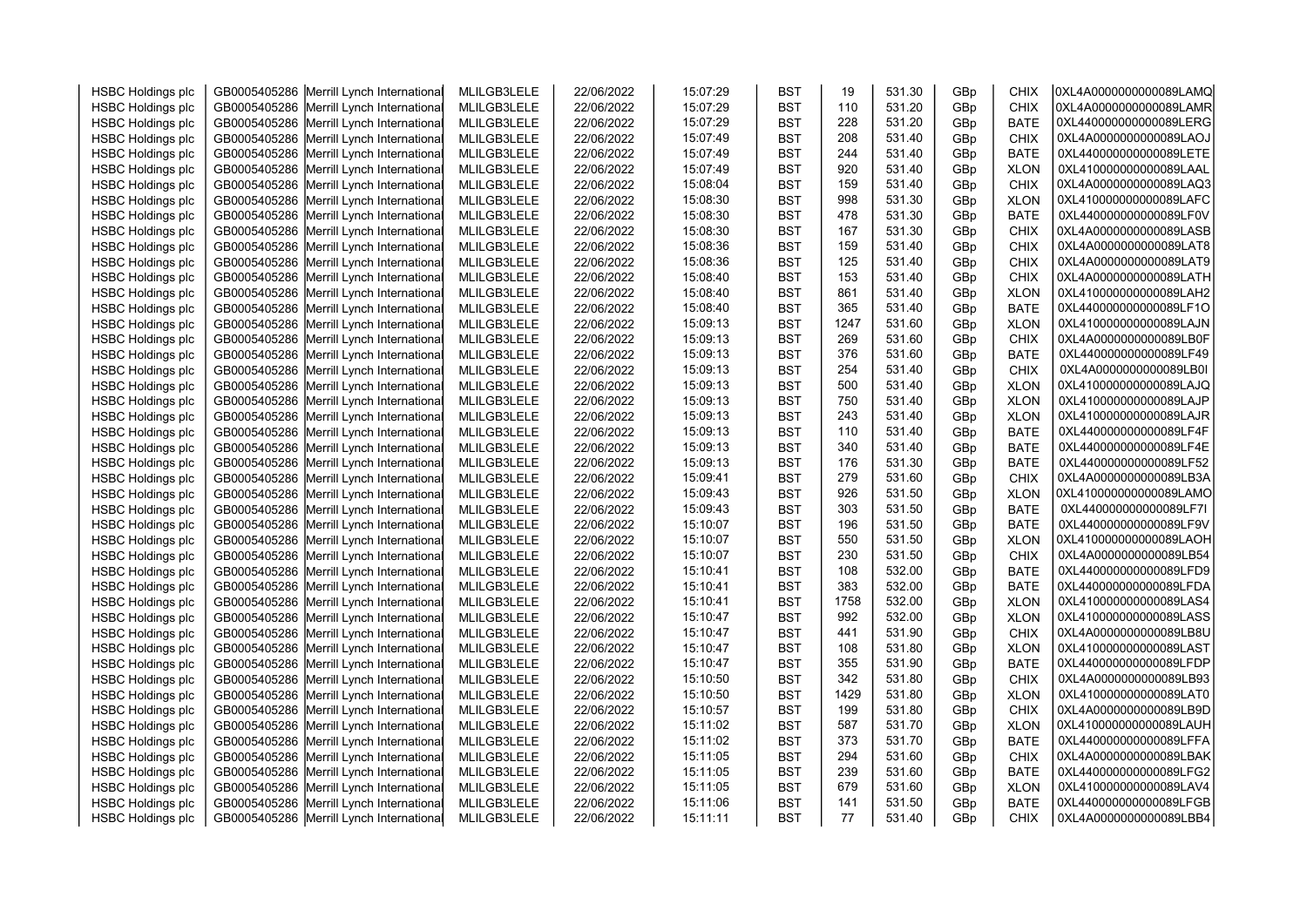| <b>HSBC Holdings plc</b> | GB0005405286 Merrill Lynch International | MLILGB3LELE | 22/06/2022 | 15:07:29 | <b>BST</b> | 19   | 531.30 | GBp | CHIX        | 0XL4A0000000000089LAMQ |  |
|--------------------------|------------------------------------------|-------------|------------|----------|------------|------|--------|-----|-------------|------------------------|--|
| <b>HSBC Holdings plc</b> | GB0005405286 Merrill Lynch International | MLILGB3LELE | 22/06/2022 | 15:07:29 | <b>BST</b> | 110  | 531.20 | GBp | <b>CHIX</b> | 0XL4A0000000000089LAMR |  |
| <b>HSBC Holdings plc</b> | GB0005405286 Merrill Lynch International | MLILGB3LELE | 22/06/2022 | 15:07:29 | <b>BST</b> | 228  | 531.20 | GBp | <b>BATE</b> | 0XL440000000000089LERG |  |
| <b>HSBC Holdings plc</b> | GB0005405286 Merrill Lynch International | MLILGB3LELE | 22/06/2022 | 15:07:49 | <b>BST</b> | 208  | 531.40 | GBp | <b>CHIX</b> | 0XL4A0000000000089LAOJ |  |
| <b>HSBC Holdings plc</b> | GB0005405286 Merrill Lynch International | MLILGB3LELE | 22/06/2022 | 15:07:49 | <b>BST</b> | 244  | 531.40 | GBp | <b>BATE</b> | 0XL440000000000089LETE |  |
| <b>HSBC Holdings plc</b> | GB0005405286 Merrill Lynch International | MLILGB3LELE | 22/06/2022 | 15:07:49 | <b>BST</b> | 920  | 531.40 | GBp | <b>XLON</b> | 0XL410000000000089LAAL |  |
| <b>HSBC Holdings plc</b> | GB0005405286 Merrill Lynch International | MLILGB3LELE | 22/06/2022 | 15:08:04 | <b>BST</b> | 159  | 531.40 | GBp | <b>CHIX</b> | 0XL4A0000000000089LAQ3 |  |
| <b>HSBC Holdings plc</b> | GB0005405286 Merrill Lynch International | MLILGB3LELE | 22/06/2022 | 15:08:30 | <b>BST</b> | 998  | 531.30 | GBp | <b>XLON</b> | 0XL410000000000089LAFC |  |
| <b>HSBC Holdings plc</b> | GB0005405286 Merrill Lynch International | MLILGB3LELE | 22/06/2022 | 15:08:30 | <b>BST</b> | 478  | 531.30 | GBp | <b>BATE</b> | 0XL440000000000089LF0V |  |
| <b>HSBC Holdings plc</b> | GB0005405286 Merrill Lynch International | MLILGB3LELE | 22/06/2022 | 15:08:30 | <b>BST</b> | 167  | 531.30 | GBp | <b>CHIX</b> | 0XL4A0000000000089LASB |  |
| <b>HSBC Holdings plc</b> | GB0005405286 Merrill Lynch International | MLILGB3LELE | 22/06/2022 | 15:08:36 | <b>BST</b> | 159  | 531.40 | GBp | <b>CHIX</b> | 0XL4A0000000000089LAT8 |  |
| <b>HSBC Holdings plc</b> | GB0005405286 Merrill Lynch International | MLILGB3LELE | 22/06/2022 | 15:08:36 | <b>BST</b> | 125  | 531.40 | GBp | <b>CHIX</b> | 0XL4A0000000000089LAT9 |  |
| <b>HSBC Holdings plc</b> | GB0005405286 Merrill Lynch International | MLILGB3LELE | 22/06/2022 | 15:08:40 | <b>BST</b> | 153  | 531.40 | GBp | <b>CHIX</b> | 0XL4A0000000000089LATH |  |
| <b>HSBC Holdings plc</b> | GB0005405286 Merrill Lynch International | MLILGB3LELE | 22/06/2022 | 15:08:40 | <b>BST</b> | 861  | 531.40 | GBp | <b>XLON</b> | 0XL410000000000089LAH2 |  |
| <b>HSBC Holdings plc</b> | GB0005405286 Merrill Lynch International | MLILGB3LELE | 22/06/2022 | 15:08:40 | <b>BST</b> | 365  | 531.40 | GBp | <b>BATE</b> | 0XL440000000000089LF1O |  |
| <b>HSBC Holdings plc</b> | GB0005405286 Merrill Lynch International | MLILGB3LELE | 22/06/2022 | 15:09:13 | <b>BST</b> | 1247 | 531.60 | GBp | <b>XLON</b> | 0XL410000000000089LAJN |  |
| <b>HSBC Holdings plc</b> | GB0005405286 Merrill Lynch International | MLILGB3LELE | 22/06/2022 | 15:09:13 | <b>BST</b> | 269  | 531.60 | GBp | <b>CHIX</b> | 0XL4A0000000000089LB0F |  |
| <b>HSBC Holdings plc</b> | GB0005405286 Merrill Lynch International | MLILGB3LELE | 22/06/2022 | 15:09:13 | <b>BST</b> | 376  | 531.60 | GBp | <b>BATE</b> | 0XL440000000000089LF49 |  |
| <b>HSBC Holdings plc</b> | GB0005405286 Merrill Lynch International | MLILGB3LELE | 22/06/2022 | 15:09:13 | <b>BST</b> | 254  | 531.40 | GBp | <b>CHIX</b> | 0XL4A0000000000089LB0I |  |
| <b>HSBC Holdings plc</b> | GB0005405286 Merrill Lynch International | MLILGB3LELE | 22/06/2022 | 15:09:13 | <b>BST</b> | 500  | 531.40 | GBp | <b>XLON</b> | 0XL410000000000089LAJQ |  |
| <b>HSBC Holdings plc</b> | GB0005405286 Merrill Lynch International | MLILGB3LELE | 22/06/2022 | 15:09:13 | <b>BST</b> | 750  | 531.40 | GBp | <b>XLON</b> | 0XL410000000000089LAJP |  |
| <b>HSBC Holdings plc</b> | GB0005405286 Merrill Lynch International | MLILGB3LELE | 22/06/2022 | 15:09:13 | <b>BST</b> | 243  | 531.40 | GBp | <b>XLON</b> | 0XL410000000000089LAJR |  |
| <b>HSBC Holdings plc</b> | GB0005405286 Merrill Lynch International | MLILGB3LELE | 22/06/2022 | 15:09:13 | <b>BST</b> | 110  | 531.40 | GBp | <b>BATE</b> | 0XL440000000000089LF4F |  |
| <b>HSBC Holdings plc</b> | GB0005405286 Merrill Lynch International | MLILGB3LELE | 22/06/2022 | 15:09:13 | <b>BST</b> | 340  | 531.40 | GBp | <b>BATE</b> | 0XL440000000000089LF4E |  |
| <b>HSBC Holdings plc</b> | GB0005405286 Merrill Lynch International | MLILGB3LELE | 22/06/2022 | 15:09:13 | <b>BST</b> | 176  | 531.30 | GBp | <b>BATE</b> | 0XL440000000000089LF52 |  |
| <b>HSBC Holdings plc</b> | GB0005405286 Merrill Lynch International | MLILGB3LELE | 22/06/2022 | 15:09:41 | <b>BST</b> | 279  | 531.60 | GBp | <b>CHIX</b> | 0XL4A0000000000089LB3A |  |
| <b>HSBC Holdings plc</b> | GB0005405286 Merrill Lynch International | MLILGB3LELE | 22/06/2022 | 15:09:43 | <b>BST</b> | 926  | 531.50 | GBp | <b>XLON</b> | 0XL410000000000089LAMO |  |
| <b>HSBC Holdings plc</b> | GB0005405286 Merrill Lynch International | MLILGB3LELE | 22/06/2022 | 15:09:43 | <b>BST</b> | 303  | 531.50 | GBp | <b>BATE</b> | 0XL440000000000089LF7I |  |
| <b>HSBC Holdings plc</b> | GB0005405286 Merrill Lynch International | MLILGB3LELE | 22/06/2022 | 15:10:07 | <b>BST</b> | 196  | 531.50 | GBp | <b>BATE</b> | 0XL440000000000089LF9V |  |
| <b>HSBC Holdings plc</b> | GB0005405286 Merrill Lynch International | MLILGB3LELE | 22/06/2022 | 15:10:07 | <b>BST</b> | 550  | 531.50 | GBp | <b>XLON</b> | 0XL410000000000089LAOH |  |
| <b>HSBC Holdings plc</b> | GB0005405286 Merrill Lynch International | MLILGB3LELE | 22/06/2022 | 15:10:07 | <b>BST</b> | 230  | 531.50 | GBp | CHIX        | 0XL4A0000000000089LB54 |  |
| <b>HSBC Holdings plc</b> | GB0005405286 Merrill Lynch International | MLILGB3LELE | 22/06/2022 | 15:10:41 | <b>BST</b> | 108  | 532.00 | GBp | <b>BATE</b> | 0XL440000000000089LFD9 |  |
| <b>HSBC Holdings plc</b> | GB0005405286 Merrill Lynch International | MLILGB3LELE | 22/06/2022 | 15:10:41 | <b>BST</b> | 383  | 532.00 | GBp | <b>BATE</b> | 0XL440000000000089LFDA |  |
| <b>HSBC Holdings plc</b> | GB0005405286 Merrill Lynch International | MLILGB3LELE | 22/06/2022 | 15:10:41 | <b>BST</b> | 1758 | 532.00 | GBp | <b>XLON</b> | 0XL410000000000089LAS4 |  |
| <b>HSBC Holdings plc</b> | GB0005405286 Merrill Lynch International | MLILGB3LELE | 22/06/2022 | 15:10:47 | <b>BST</b> | 992  | 532.00 | GBp | <b>XLON</b> | 0XL410000000000089LASS |  |
| <b>HSBC Holdings plc</b> | GB0005405286 Merrill Lynch International | MLILGB3LELE | 22/06/2022 | 15:10:47 | <b>BST</b> | 441  | 531.90 | GBp | <b>CHIX</b> | 0XL4A0000000000089LB8U |  |
| <b>HSBC Holdings plc</b> | GB0005405286 Merrill Lynch International | MLILGB3LELE | 22/06/2022 | 15:10:47 | <b>BST</b> | 108  | 531.80 | GBp | <b>XLON</b> | 0XL410000000000089LAST |  |
| <b>HSBC Holdings plc</b> | GB0005405286 Merrill Lynch International | MLILGB3LELE | 22/06/2022 | 15:10:47 | <b>BST</b> | 355  | 531.90 | GBp | <b>BATE</b> | 0XL440000000000089LFDP |  |
| <b>HSBC Holdings plc</b> | GB0005405286 Merrill Lynch International | MLILGB3LELE | 22/06/2022 | 15:10:50 | <b>BST</b> | 342  | 531.80 | GBp | <b>CHIX</b> | 0XL4A0000000000089LB93 |  |
| <b>HSBC Holdings plc</b> | GB0005405286 Merrill Lynch International | MLILGB3LELE | 22/06/2022 | 15:10:50 | <b>BST</b> | 1429 | 531.80 | GBp | <b>XLON</b> | 0XL410000000000089LAT0 |  |
| <b>HSBC Holdings plc</b> | GB0005405286 Merrill Lynch International | MLILGB3LELE | 22/06/2022 | 15:10:57 | <b>BST</b> | 199  | 531.80 | GBp | <b>CHIX</b> | 0XL4A0000000000089LB9D |  |
| <b>HSBC Holdings plc</b> | GB0005405286 Merrill Lynch International | MLILGB3LELE | 22/06/2022 | 15:11:02 | <b>BST</b> | 587  | 531.70 | GBp | <b>XLON</b> | 0XL410000000000089LAUH |  |
| <b>HSBC Holdings plc</b> | GB0005405286 Merrill Lynch International | MLILGB3LELE | 22/06/2022 | 15:11:02 | <b>BST</b> | 373  | 531.70 | GBp | <b>BATE</b> | 0XL440000000000089LFFA |  |
| <b>HSBC Holdings plc</b> | GB0005405286 Merrill Lynch International | MLILGB3LELE | 22/06/2022 | 15:11:05 | <b>BST</b> | 294  | 531.60 | GBp | <b>CHIX</b> | 0XL4A0000000000089LBAK |  |
| <b>HSBC Holdings plc</b> | GB0005405286 Merrill Lynch International | MLILGB3LELE | 22/06/2022 | 15:11:05 | <b>BST</b> | 239  | 531.60 | GBp | <b>BATE</b> | 0XL440000000000089LFG2 |  |
| <b>HSBC Holdings plc</b> | GB0005405286 Merrill Lynch International | MLILGB3LELE | 22/06/2022 | 15:11:05 | <b>BST</b> | 679  | 531.60 | GBp | <b>XLON</b> | 0XL410000000000089LAV4 |  |
| <b>HSBC Holdings plc</b> | GB0005405286 Merrill Lynch International | MLILGB3LELE | 22/06/2022 | 15:11:06 | <b>BST</b> | 141  | 531.50 | GBp | <b>BATE</b> | 0XL440000000000089LFGB |  |
| <b>HSBC Holdings plc</b> | GB0005405286 Merrill Lynch International | MLILGB3LELE | 22/06/2022 | 15:11:11 | <b>BST</b> | 77   | 531.40 | GBp | <b>CHIX</b> | 0XL4A0000000000089LBB4 |  |
|                          |                                          |             |            |          |            |      |        |     |             |                        |  |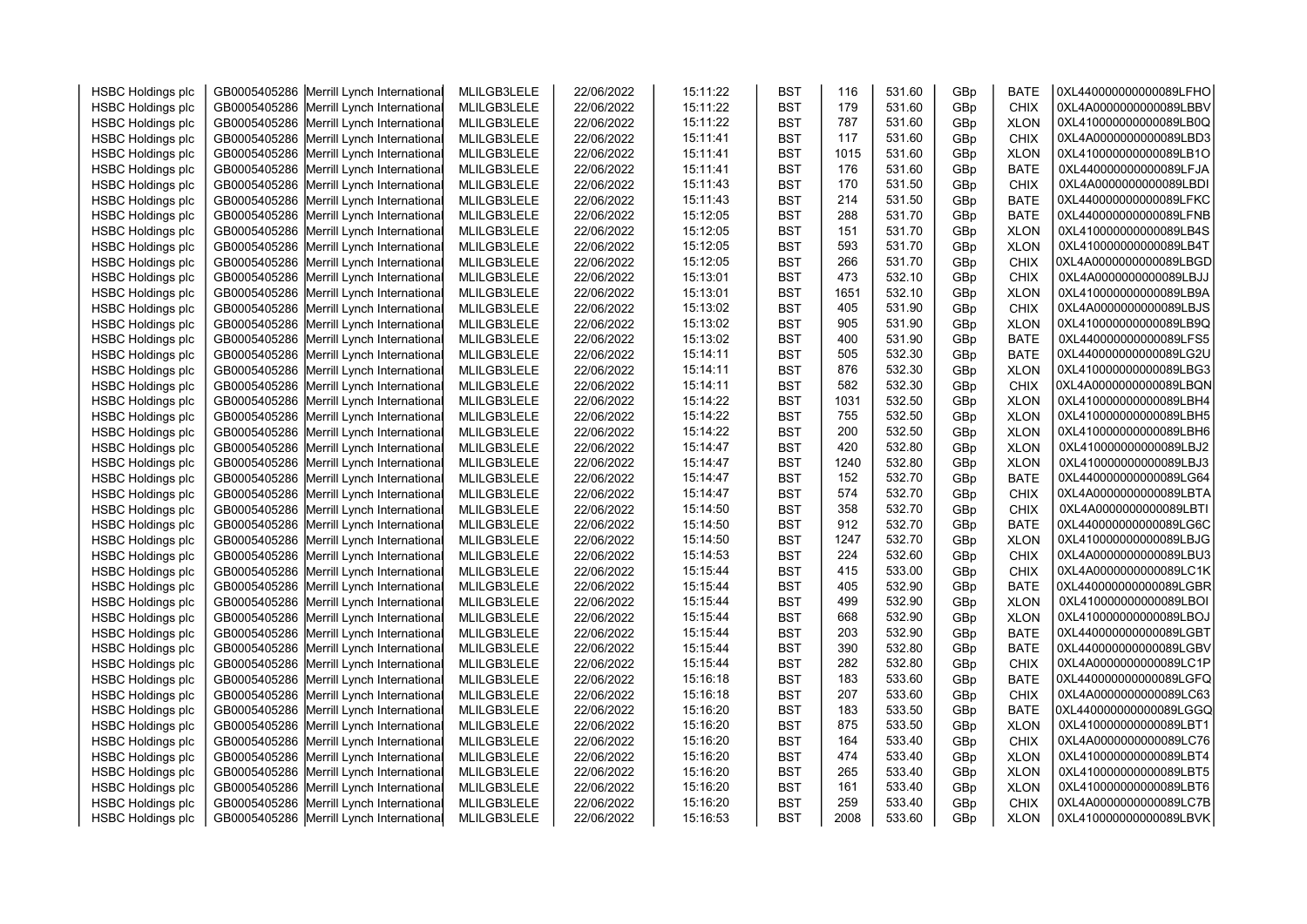| <b>HSBC Holdings plc</b> | GB0005405286 Merrill Lynch International | MLILGB3LELE | 22/06/2022 | 15:11:22 | <b>BST</b> | 116  | 531.60 | GBp | <b>BATE</b> | 0XL440000000000089LFHO |  |
|--------------------------|------------------------------------------|-------------|------------|----------|------------|------|--------|-----|-------------|------------------------|--|
| <b>HSBC Holdings plc</b> | GB0005405286 Merrill Lynch International | MLILGB3LELE | 22/06/2022 | 15:11:22 | <b>BST</b> | 179  | 531.60 | GBp | <b>CHIX</b> | 0XL4A0000000000089LBBV |  |
| <b>HSBC Holdings plc</b> | GB0005405286 Merrill Lynch International | MLILGB3LELE | 22/06/2022 | 15:11:22 | <b>BST</b> | 787  | 531.60 | GBp | <b>XLON</b> | 0XL410000000000089LB0Q |  |
| <b>HSBC Holdings plc</b> | GB0005405286 Merrill Lynch International | MLILGB3LELE | 22/06/2022 | 15:11:41 | <b>BST</b> | 117  | 531.60 | GBp | <b>CHIX</b> | 0XL4A0000000000089LBD3 |  |
| <b>HSBC Holdings plc</b> | GB0005405286 Merrill Lynch International | MLILGB3LELE | 22/06/2022 | 15:11:41 | <b>BST</b> | 1015 | 531.60 | GBp | <b>XLON</b> | 0XL410000000000089LB1O |  |
| <b>HSBC Holdings plc</b> | GB0005405286 Merrill Lynch International | MLILGB3LELE | 22/06/2022 | 15:11:41 | <b>BST</b> | 176  | 531.60 | GBp | <b>BATE</b> | 0XL440000000000089LFJA |  |
| <b>HSBC Holdings plc</b> | GB0005405286 Merrill Lynch International | MLILGB3LELE | 22/06/2022 | 15:11:43 | <b>BST</b> | 170  | 531.50 | GBp | <b>CHIX</b> | 0XL4A0000000000089LBDI |  |
| <b>HSBC Holdings plc</b> | GB0005405286 Merrill Lynch International | MLILGB3LELE | 22/06/2022 | 15:11:43 | <b>BST</b> | 214  | 531.50 | GBp | <b>BATE</b> | 0XL440000000000089LFKC |  |
| <b>HSBC Holdings plc</b> | GB0005405286 Merrill Lynch International | MLILGB3LELE | 22/06/2022 | 15:12:05 | <b>BST</b> | 288  | 531.70 | GBp | <b>BATE</b> | 0XL440000000000089LFNB |  |
| <b>HSBC Holdings plc</b> | GB0005405286 Merrill Lynch International | MLILGB3LELE | 22/06/2022 | 15:12:05 | <b>BST</b> | 151  | 531.70 | GBp | <b>XLON</b> | 0XL410000000000089LB4S |  |
| <b>HSBC Holdings plc</b> | GB0005405286 Merrill Lynch International | MLILGB3LELE | 22/06/2022 | 15:12:05 | <b>BST</b> | 593  | 531.70 | GBp | <b>XLON</b> | 0XL410000000000089LB4T |  |
| <b>HSBC Holdings plc</b> | GB0005405286 Merrill Lynch International | MLILGB3LELE | 22/06/2022 | 15:12:05 | <b>BST</b> | 266  | 531.70 | GBp | CHIX        | 0XL4A0000000000089LBGD |  |
| <b>HSBC Holdings plc</b> | GB0005405286 Merrill Lynch International | MLILGB3LELE | 22/06/2022 | 15:13:01 | <b>BST</b> | 473  | 532.10 | GBp | <b>CHIX</b> | 0XL4A0000000000089LBJJ |  |
| <b>HSBC Holdings plc</b> | GB0005405286 Merrill Lynch International | MLILGB3LELE | 22/06/2022 | 15:13:01 | <b>BST</b> | 1651 | 532.10 | GBp | <b>XLON</b> | 0XL410000000000089LB9A |  |
| <b>HSBC Holdings plc</b> | GB0005405286 Merrill Lynch International | MLILGB3LELE | 22/06/2022 | 15:13:02 | <b>BST</b> | 405  | 531.90 | GBp | <b>CHIX</b> | 0XL4A0000000000089LBJS |  |
| <b>HSBC Holdings plc</b> | GB0005405286 Merrill Lynch International | MLILGB3LELE | 22/06/2022 | 15:13:02 | <b>BST</b> | 905  | 531.90 | GBp | <b>XLON</b> | 0XL410000000000089LB9Q |  |
| <b>HSBC Holdings plc</b> | GB0005405286 Merrill Lynch International | MLILGB3LELE | 22/06/2022 | 15:13:02 | <b>BST</b> | 400  | 531.90 | GBp | <b>BATE</b> | 0XL440000000000089LFS5 |  |
| <b>HSBC Holdings plc</b> | GB0005405286 Merrill Lynch International | MLILGB3LELE | 22/06/2022 | 15:14:11 | <b>BST</b> | 505  | 532.30 | GBp | <b>BATE</b> | 0XL440000000000089LG2U |  |
| <b>HSBC Holdings plc</b> | GB0005405286 Merrill Lynch International | MLILGB3LELE | 22/06/2022 | 15:14:11 | <b>BST</b> | 876  | 532.30 | GBp | <b>XLON</b> | 0XL410000000000089LBG3 |  |
| <b>HSBC Holdings plc</b> | GB0005405286 Merrill Lynch International | MLILGB3LELE | 22/06/2022 | 15:14:11 | <b>BST</b> | 582  | 532.30 | GBp | <b>CHIX</b> | 0XL4A0000000000089LBQN |  |
| <b>HSBC Holdings plc</b> | GB0005405286 Merrill Lynch International | MLILGB3LELE | 22/06/2022 | 15:14:22 | <b>BST</b> | 1031 | 532.50 | GBp | <b>XLON</b> | 0XL410000000000089LBH4 |  |
| <b>HSBC Holdings plc</b> | GB0005405286 Merrill Lynch International | MLILGB3LELE | 22/06/2022 | 15:14:22 | <b>BST</b> | 755  | 532.50 | GBp | <b>XLON</b> | 0XL410000000000089LBH5 |  |
| <b>HSBC Holdings plc</b> | GB0005405286 Merrill Lynch International | MLILGB3LELE | 22/06/2022 | 15:14:22 | <b>BST</b> | 200  | 532.50 | GBp | <b>XLON</b> | 0XL410000000000089LBH6 |  |
| <b>HSBC Holdings plc</b> | GB0005405286 Merrill Lynch International | MLILGB3LELE | 22/06/2022 | 15:14:47 | <b>BST</b> | 420  | 532.80 | GBp | <b>XLON</b> | 0XL410000000000089LBJ2 |  |
| <b>HSBC Holdings plc</b> | GB0005405286 Merrill Lynch International | MLILGB3LELE | 22/06/2022 | 15:14:47 | <b>BST</b> | 1240 | 532.80 | GBp | <b>XLON</b> | 0XL410000000000089LBJ3 |  |
| <b>HSBC Holdings plc</b> | GB0005405286 Merrill Lynch International | MLILGB3LELE | 22/06/2022 | 15:14:47 | <b>BST</b> | 152  | 532.70 | GBp | <b>BATE</b> | 0XL440000000000089LG64 |  |
| <b>HSBC Holdings plc</b> | GB0005405286 Merrill Lynch International | MLILGB3LELE | 22/06/2022 | 15:14:47 | <b>BST</b> | 574  | 532.70 | GBp | <b>CHIX</b> | 0XL4A0000000000089LBTA |  |
| <b>HSBC Holdings plc</b> | GB0005405286 Merrill Lynch International | MLILGB3LELE | 22/06/2022 | 15:14:50 | <b>BST</b> | 358  | 532.70 | GBp | <b>CHIX</b> | 0XL4A0000000000089LBTI |  |
| <b>HSBC Holdings plc</b> | GB0005405286 Merrill Lynch International | MLILGB3LELE | 22/06/2022 | 15:14:50 | <b>BST</b> | 912  | 532.70 | GBp | <b>BATE</b> | 0XL440000000000089LG6C |  |
| <b>HSBC Holdings plc</b> | GB0005405286 Merrill Lynch International | MLILGB3LELE | 22/06/2022 | 15:14:50 | <b>BST</b> | 1247 | 532.70 | GBp | <b>XLON</b> | 0XL410000000000089LBJG |  |
| <b>HSBC Holdings plc</b> | GB0005405286 Merrill Lynch International | MLILGB3LELE | 22/06/2022 | 15:14:53 | <b>BST</b> | 224  | 532.60 | GBp | CHIX        | 0XL4A0000000000089LBU3 |  |
| <b>HSBC Holdings plc</b> | GB0005405286 Merrill Lynch International | MLILGB3LELE | 22/06/2022 | 15:15:44 | <b>BST</b> | 415  | 533.00 | GBp | <b>CHIX</b> | 0XL4A0000000000089LC1K |  |
| <b>HSBC Holdings plc</b> | GB0005405286 Merrill Lynch International | MLILGB3LELE | 22/06/2022 | 15:15:44 | <b>BST</b> | 405  | 532.90 | GBp | <b>BATE</b> | 0XL440000000000089LGBR |  |
| <b>HSBC Holdings plc</b> | GB0005405286 Merrill Lynch International | MLILGB3LELE | 22/06/2022 | 15:15:44 | <b>BST</b> | 499  | 532.90 | GBp | <b>XLON</b> | 0XL410000000000089LBOI |  |
| <b>HSBC Holdings plc</b> | GB0005405286 Merrill Lynch International | MLILGB3LELE | 22/06/2022 | 15:15:44 | <b>BST</b> | 668  | 532.90 | GBp | <b>XLON</b> | 0XL410000000000089LBOJ |  |
| <b>HSBC Holdings plc</b> | GB0005405286 Merrill Lynch International | MLILGB3LELE | 22/06/2022 | 15:15:44 | <b>BST</b> | 203  | 532.90 | GBp | <b>BATE</b> | 0XL440000000000089LGBT |  |
| <b>HSBC Holdings plc</b> | GB0005405286 Merrill Lynch International | MLILGB3LELE | 22/06/2022 | 15:15:44 | <b>BST</b> | 390  | 532.80 | GBp | <b>BATE</b> | 0XL440000000000089LGBV |  |
| <b>HSBC Holdings plc</b> | GB0005405286 Merrill Lynch International | MLILGB3LELE | 22/06/2022 | 15:15:44 | <b>BST</b> | 282  | 532.80 | GBp | <b>CHIX</b> | 0XL4A0000000000089LC1P |  |
| <b>HSBC Holdings plc</b> | GB0005405286 Merrill Lynch International | MLILGB3LELE | 22/06/2022 | 15:16:18 | <b>BST</b> | 183  | 533.60 | GBp | <b>BATE</b> | 0XL440000000000089LGFQ |  |
| <b>HSBC Holdings plc</b> | GB0005405286 Merrill Lynch International | MLILGB3LELE | 22/06/2022 | 15:16:18 | <b>BST</b> | 207  | 533.60 | GBp | <b>CHIX</b> | 0XL4A0000000000089LC63 |  |
| <b>HSBC Holdings plc</b> | GB0005405286 Merrill Lynch International | MLILGB3LELE | 22/06/2022 | 15:16:20 | <b>BST</b> | 183  | 533.50 | GBp | <b>BATE</b> | 0XL440000000000089LGGQ |  |
| <b>HSBC Holdings plc</b> | GB0005405286 Merrill Lynch International | MLILGB3LELE | 22/06/2022 | 15:16:20 | <b>BST</b> | 875  | 533.50 | GBp | <b>XLON</b> | 0XL410000000000089LBT1 |  |
| <b>HSBC Holdings plc</b> | GB0005405286 Merrill Lynch International | MLILGB3LELE | 22/06/2022 | 15:16:20 | <b>BST</b> | 164  | 533.40 | GBp | <b>CHIX</b> | 0XL4A0000000000089LC76 |  |
| <b>HSBC Holdings plc</b> | GB0005405286 Merrill Lynch International | MLILGB3LELE | 22/06/2022 | 15:16:20 | <b>BST</b> | 474  | 533.40 | GBp | <b>XLON</b> | 0XL410000000000089LBT4 |  |
| <b>HSBC Holdings plc</b> | GB0005405286 Merrill Lynch International | MLILGB3LELE | 22/06/2022 | 15:16:20 | <b>BST</b> | 265  | 533.40 | GBp | <b>XLON</b> | 0XL410000000000089LBT5 |  |
| <b>HSBC Holdings plc</b> | GB0005405286 Merrill Lynch International | MLILGB3LELE | 22/06/2022 | 15:16:20 | <b>BST</b> | 161  | 533.40 | GBp | <b>XLON</b> | 0XL410000000000089LBT6 |  |
| <b>HSBC Holdings plc</b> | GB0005405286 Merrill Lynch International | MLILGB3LELE | 22/06/2022 | 15:16:20 | <b>BST</b> | 259  | 533.40 | GBp | <b>CHIX</b> | 0XL4A0000000000089LC7B |  |
| <b>HSBC Holdings plc</b> | GB0005405286 Merrill Lynch International | MLILGB3LELE | 22/06/2022 | 15:16:53 | <b>BST</b> | 2008 | 533.60 | GBp | <b>XLON</b> | 0XL410000000000089LBVK |  |
|                          |                                          |             |            |          |            |      |        |     |             |                        |  |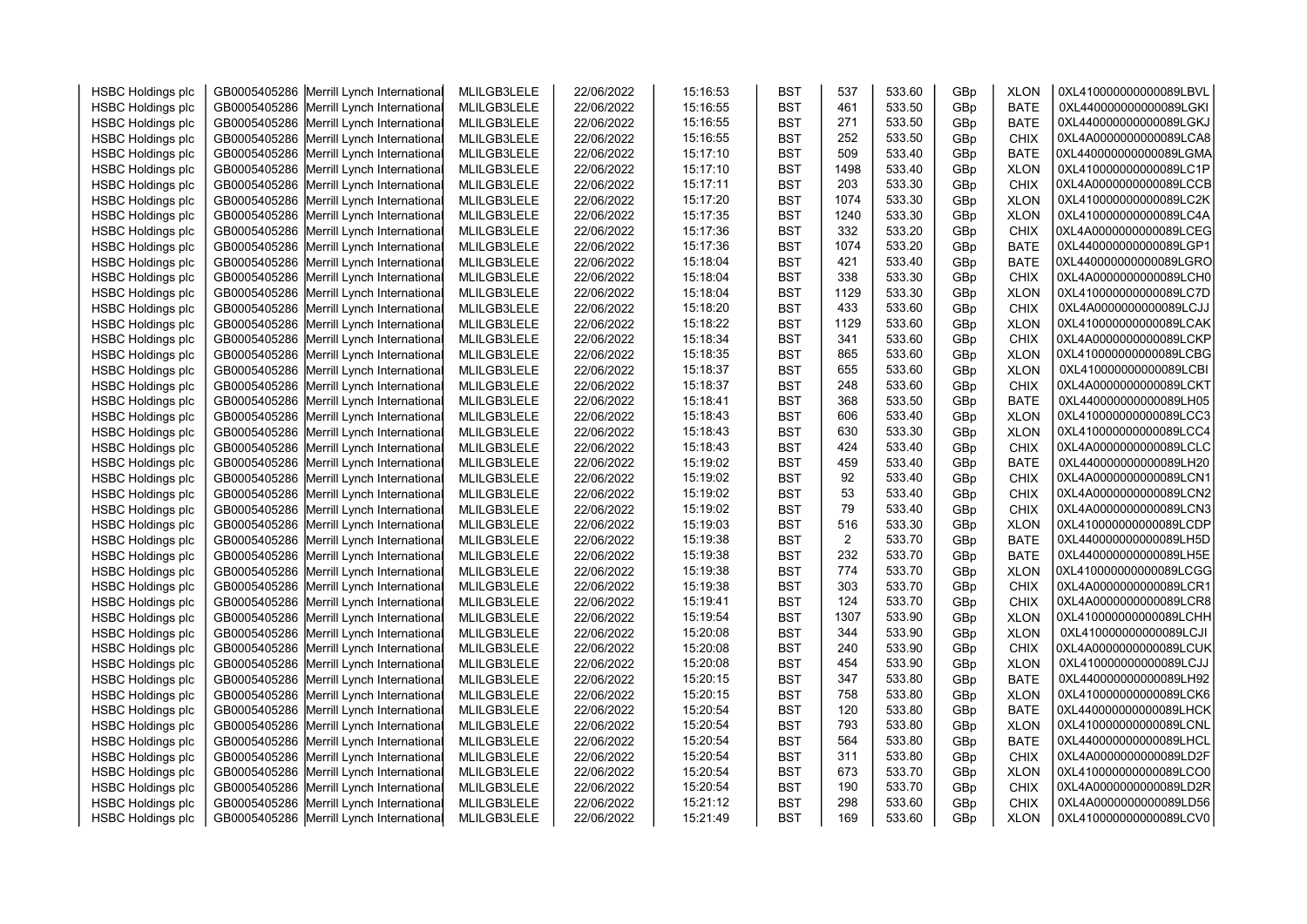| <b>HSBC Holdings plc</b> | GB0005405286 Merrill Lynch International                                             | MLILGB3LELE | 22/06/2022 | 15:16:53 | <b>BST</b> | 537        | 533.60           | GBp        | <b>XLON</b> | 0XL410000000000089LBVL                           |  |
|--------------------------|--------------------------------------------------------------------------------------|-------------|------------|----------|------------|------------|------------------|------------|-------------|--------------------------------------------------|--|
| <b>HSBC Holdings plc</b> | GB0005405286 Merrill Lynch International                                             | MLILGB3LELE | 22/06/2022 | 15:16:55 | <b>BST</b> | 461        | 533.50           | GBp        | <b>BATE</b> | 0XL440000000000089LGKI                           |  |
| <b>HSBC Holdings plc</b> | GB0005405286 Merrill Lynch International                                             | MLILGB3LELE | 22/06/2022 | 15:16:55 | <b>BST</b> | 271        | 533.50           | GBp        | <b>BATE</b> | 0XL440000000000089LGKJ                           |  |
| <b>HSBC Holdings plc</b> | GB0005405286 Merrill Lynch International                                             | MLILGB3LELE | 22/06/2022 | 15:16:55 | <b>BST</b> | 252        | 533.50           | GBp        | <b>CHIX</b> | 0XL4A0000000000089LCA8                           |  |
| <b>HSBC Holdings plc</b> | GB0005405286 Merrill Lynch International                                             | MLILGB3LELE | 22/06/2022 | 15:17:10 | <b>BST</b> | 509        | 533.40           | GBp        | <b>BATE</b> | 0XL440000000000089LGMA                           |  |
| <b>HSBC Holdings plc</b> | GB0005405286 Merrill Lynch International                                             | MLILGB3LELE | 22/06/2022 | 15:17:10 | <b>BST</b> | 1498       | 533.40           | GBp        | <b>XLON</b> | 0XL410000000000089LC1P                           |  |
| <b>HSBC Holdings plc</b> | GB0005405286 Merrill Lynch International                                             | MLILGB3LELE | 22/06/2022 | 15:17:11 | <b>BST</b> | 203        | 533.30           | GBp        | <b>CHIX</b> | 0XL4A0000000000089LCCB                           |  |
| <b>HSBC Holdings plc</b> | GB0005405286 Merrill Lynch International                                             | MLILGB3LELE | 22/06/2022 | 15:17:20 | <b>BST</b> | 1074       | 533.30           | GBp        | <b>XLON</b> | 0XL410000000000089LC2K                           |  |
| <b>HSBC Holdings plc</b> | GB0005405286 Merrill Lynch International                                             | MLILGB3LELE | 22/06/2022 | 15:17:35 | <b>BST</b> | 1240       | 533.30           | GBp        | <b>XLON</b> | 0XL410000000000089LC4A                           |  |
| <b>HSBC Holdings plc</b> | GB0005405286 Merrill Lynch International                                             | MLILGB3LELE | 22/06/2022 | 15:17:36 | <b>BST</b> | 332        | 533.20           | GBp        | <b>CHIX</b> | 0XL4A0000000000089LCEG                           |  |
| <b>HSBC Holdings plc</b> | GB0005405286 Merrill Lynch International                                             | MLILGB3LELE | 22/06/2022 | 15:17:36 | <b>BST</b> | 1074       | 533.20           | GBp        | <b>BATE</b> | 0XL440000000000089LGP1                           |  |
| <b>HSBC Holdings plc</b> | GB0005405286 Merrill Lynch International                                             | MLILGB3LELE | 22/06/2022 | 15:18:04 | <b>BST</b> | 421        | 533.40           | GBp        | <b>BATE</b> | 0XL440000000000089LGRO                           |  |
| <b>HSBC Holdings plc</b> | GB0005405286 Merrill Lynch International                                             | MLILGB3LELE | 22/06/2022 | 15:18:04 | <b>BST</b> | 338        | 533.30           | GBp        | <b>CHIX</b> | 0XL4A0000000000089LCH0                           |  |
| <b>HSBC Holdings plc</b> | GB0005405286 Merrill Lynch International                                             | MLILGB3LELE | 22/06/2022 | 15:18:04 | <b>BST</b> | 1129       | 533.30           | GBp        | <b>XLON</b> | 0XL410000000000089LC7D                           |  |
| <b>HSBC Holdings plc</b> | GB0005405286 Merrill Lynch International                                             | MLILGB3LELE | 22/06/2022 | 15:18:20 | <b>BST</b> | 433        | 533.60           | GBp        | <b>CHIX</b> | 0XL4A0000000000089LCJJ                           |  |
| <b>HSBC Holdings plc</b> | GB0005405286 Merrill Lynch International                                             | MLILGB3LELE | 22/06/2022 | 15:18:22 | <b>BST</b> | 1129       | 533.60           | GBp        | <b>XLON</b> | 0XL410000000000089LCAK                           |  |
| <b>HSBC Holdings plc</b> | GB0005405286 Merrill Lynch International                                             | MLILGB3LELE | 22/06/2022 | 15:18:34 | <b>BST</b> | 341        | 533.60           | GBp        | <b>CHIX</b> | 0XL4A0000000000089LCKP                           |  |
| <b>HSBC Holdings plc</b> | GB0005405286 Merrill Lynch International                                             | MLILGB3LELE | 22/06/2022 | 15:18:35 | <b>BST</b> | 865        | 533.60           | GBp        | <b>XLON</b> | 0XL410000000000089LCBG                           |  |
| <b>HSBC Holdings plc</b> | GB0005405286 Merrill Lynch International                                             | MLILGB3LELE | 22/06/2022 | 15:18:37 | <b>BST</b> | 655        | 533.60           | GBp        | <b>XLON</b> | 0XL410000000000089LCBI                           |  |
| <b>HSBC Holdings plc</b> | GB0005405286 Merrill Lynch International                                             | MLILGB3LELE | 22/06/2022 | 15:18:37 | <b>BST</b> | 248        | 533.60           | GBp        | <b>CHIX</b> | 0XL4A0000000000089LCKT                           |  |
| <b>HSBC Holdings plc</b> | GB0005405286 Merrill Lynch International                                             | MLILGB3LELE | 22/06/2022 | 15:18:41 | <b>BST</b> | 368        | 533.50           | GBp        | <b>BATE</b> | 0XL440000000000089LH05                           |  |
| <b>HSBC Holdings plc</b> | GB0005405286 Merrill Lynch International                                             | MLILGB3LELE | 22/06/2022 | 15:18:43 | <b>BST</b> | 606        | 533.40           | GBp        | <b>XLON</b> | 0XL410000000000089LCC3                           |  |
| <b>HSBC Holdings plc</b> | GB0005405286 Merrill Lynch International                                             | MLILGB3LELE | 22/06/2022 | 15:18:43 | <b>BST</b> | 630        | 533.30           | GBp        | <b>XLON</b> | 0XL410000000000089LCC4                           |  |
| <b>HSBC Holdings plc</b> | GB0005405286 Merrill Lynch International                                             | MLILGB3LELE | 22/06/2022 | 15:18:43 | <b>BST</b> | 424        | 533.40           | GBp        | <b>CHIX</b> | 0XL4A0000000000089LCLC                           |  |
| <b>HSBC Holdings plc</b> | GB0005405286 Merrill Lynch International                                             | MLILGB3LELE | 22/06/2022 | 15:19:02 | <b>BST</b> | 459        | 533.40           | GBp        | <b>BATE</b> | 0XL440000000000089LH20                           |  |
| <b>HSBC Holdings plc</b> | GB0005405286 Merrill Lynch International                                             | MLILGB3LELE | 22/06/2022 | 15:19:02 | <b>BST</b> | 92         | 533.40           | GBp        | <b>CHIX</b> | 0XL4A0000000000089LCN1                           |  |
| <b>HSBC Holdings plc</b> | GB0005405286 Merrill Lynch International                                             | MLILGB3LELE | 22/06/2022 | 15:19:02 | <b>BST</b> | 53         | 533.40           | GBp        | CHIX        | 0XL4A0000000000089LCN2                           |  |
| <b>HSBC Holdings plc</b> | GB0005405286 Merrill Lynch International                                             | MLILGB3LELE | 22/06/2022 | 15:19:02 | <b>BST</b> | 79         | 533.40           | GBp        | <b>CHIX</b> | 0XL4A0000000000089LCN3                           |  |
| <b>HSBC Holdings plc</b> | GB0005405286 Merrill Lynch International                                             | MLILGB3LELE | 22/06/2022 | 15:19:03 | <b>BST</b> | 516        | 533.30           | GBp        | <b>XLON</b> | 0XL410000000000089LCDP                           |  |
| <b>HSBC Holdings plc</b> | GB0005405286 Merrill Lynch International                                             | MLILGB3LELE | 22/06/2022 | 15:19:38 | <b>BST</b> | 2          | 533.70           | GBp        | <b>BATE</b> | 0XL440000000000089LH5D                           |  |
| <b>HSBC Holdings plc</b> | GB0005405286 Merrill Lynch International                                             | MLILGB3LELE | 22/06/2022 | 15:19:38 | <b>BST</b> | 232        | 533.70           | GBp        | <b>BATE</b> | 0XL440000000000089LH5E                           |  |
| <b>HSBC Holdings plc</b> | GB0005405286 Merrill Lynch International                                             | MLILGB3LELE | 22/06/2022 | 15:19:38 | <b>BST</b> | 774        | 533.70           | GBp        | <b>XLON</b> | 0XL410000000000089LCGG                           |  |
| <b>HSBC Holdings plc</b> | GB0005405286 Merrill Lynch International                                             | MLILGB3LELE | 22/06/2022 | 15:19:38 | <b>BST</b> | 303        | 533.70           | GBp        | <b>CHIX</b> | 0XL4A0000000000089LCR1                           |  |
| <b>HSBC Holdings plc</b> | GB0005405286 Merrill Lynch International                                             | MLILGB3LELE | 22/06/2022 | 15:19:41 | <b>BST</b> | 124        | 533.70           | GBp        | <b>CHIX</b> | 0XL4A0000000000089LCR8                           |  |
| <b>HSBC Holdings plc</b> | GB0005405286 Merrill Lynch International                                             | MLILGB3LELE | 22/06/2022 | 15:19:54 | <b>BST</b> | 1307       | 533.90           | GBp        | <b>XLON</b> | OXL410000000000089LCHH                           |  |
| <b>HSBC Holdings plc</b> | GB0005405286 Merrill Lynch International                                             | MLILGB3LELE | 22/06/2022 | 15:20:08 | <b>BST</b> | 344        | 533.90           | GBp        | <b>XLON</b> | 0XL410000000000089LCJI                           |  |
| <b>HSBC Holdings plc</b> | GB0005405286 Merrill Lynch International                                             | MLILGB3LELE | 22/06/2022 | 15:20:08 | <b>BST</b> | 240        | 533.90           | GBp        | <b>CHIX</b> | 0XL4A0000000000089LCUK                           |  |
| <b>HSBC Holdings plc</b> | GB0005405286 Merrill Lynch International                                             | MLILGB3LELE | 22/06/2022 | 15:20:08 | <b>BST</b> | 454        | 533.90           | GBp        | <b>XLON</b> | 0XL410000000000089LCJJ                           |  |
| <b>HSBC Holdings plc</b> | GB0005405286 Merrill Lynch International                                             | MLILGB3LELE | 22/06/2022 | 15:20:15 | <b>BST</b> | 347        | 533.80           | GBp        | <b>BATE</b> | 0XL440000000000089LH92                           |  |
| <b>HSBC Holdings plc</b> | GB0005405286 Merrill Lynch International                                             | MLILGB3LELE | 22/06/2022 | 15:20:15 | <b>BST</b> | 758        | 533.80           | GBp        | <b>XLON</b> | 0XL410000000000089LCK6                           |  |
| <b>HSBC Holdings plc</b> | GB0005405286 Merrill Lynch International                                             | MLILGB3LELE | 22/06/2022 | 15:20:54 | <b>BST</b> | 120        | 533.80           | GBp        | <b>BATE</b> | 0XL440000000000089LHCK                           |  |
| <b>HSBC Holdings plc</b> | GB0005405286 Merrill Lynch International                                             | MLILGB3LELE | 22/06/2022 | 15:20:54 | <b>BST</b> | 793        | 533.80           | GBp        | <b>XLON</b> | 0XL410000000000089LCNL                           |  |
| <b>HSBC Holdings plc</b> | GB0005405286 Merrill Lynch International                                             | MLILGB3LELE | 22/06/2022 | 15:20:54 | <b>BST</b> | 564        | 533.80           | GBp        | <b>BATE</b> | 0XL440000000000089LHCL                           |  |
|                          |                                                                                      |             |            |          |            | 311        | 533.80           |            |             | 0XL4A0000000000089LD2F                           |  |
| <b>HSBC Holdings plc</b> | GB0005405286 Merrill Lynch International                                             | MLILGB3LELE | 22/06/2022 | 15:20:54 | <b>BST</b> | 673        | 533.70           | GBp        | <b>CHIX</b> |                                                  |  |
| <b>HSBC Holdings plc</b> | GB0005405286 Merrill Lynch International                                             | MLILGB3LELE | 22/06/2022 | 15:20:54 | <b>BST</b> |            |                  | GBp        | <b>XLON</b> | 0XL410000000000089LCO0<br>0XL4A0000000000089LD2R |  |
| <b>HSBC Holdings plc</b> | GB0005405286 Merrill Lynch International<br>GB0005405286 Merrill Lynch International | MLILGB3LELE | 22/06/2022 | 15:20:54 | <b>BST</b> | 190<br>298 | 533.70<br>533.60 | GBp<br>GBp | <b>CHIX</b> | 0XL4A0000000000089LD56                           |  |
| <b>HSBC Holdings plc</b> |                                                                                      | MLILGB3LELE | 22/06/2022 | 15:21:12 | <b>BST</b> |            |                  |            | <b>CHIX</b> | 0XL410000000000089LCV0                           |  |
| <b>HSBC Holdings plc</b> | GB0005405286 Merrill Lynch International                                             | MLILGB3LELE | 22/06/2022 | 15:21:49 | <b>BST</b> | 169        | 533.60           | GBp        | <b>XLON</b> |                                                  |  |
|                          |                                                                                      |             |            |          |            |            |                  |            |             |                                                  |  |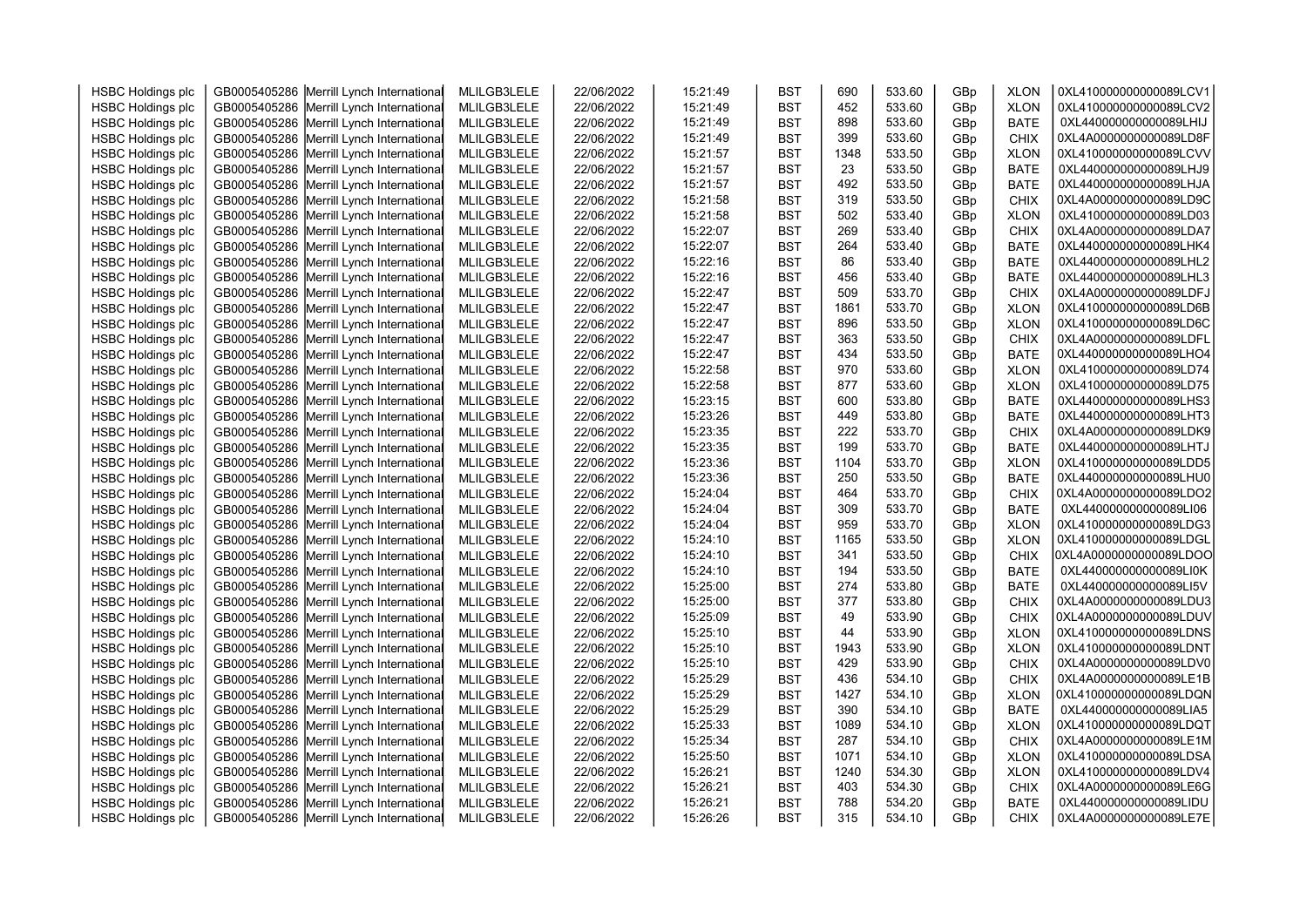| <b>HSBC Holdings plc</b> | GB0005405286 Merrill Lynch International | MLILGB3LELE | 22/06/2022 | 15:21:49 | <b>BST</b> | 690  | 533.60 | GBp | <b>XLON</b> | 0XL410000000000089LCV1 |  |
|--------------------------|------------------------------------------|-------------|------------|----------|------------|------|--------|-----|-------------|------------------------|--|
|                          | GB0005405286 Merrill Lynch International | MLILGB3LELE | 22/06/2022 | 15:21:49 | <b>BST</b> | 452  | 533.60 | GBp | <b>XLON</b> | 0XL410000000000089LCV2 |  |
| <b>HSBC Holdings plc</b> | GB0005405286 Merrill Lynch International | MLILGB3LELE | 22/06/2022 | 15:21:49 | <b>BST</b> | 898  | 533.60 | GBp | <b>BATE</b> | 0XL440000000000089LHIJ |  |
| <b>HSBC Holdings plc</b> |                                          |             |            |          | <b>BST</b> | 399  | 533.60 |     |             | 0XL4A0000000000089LD8F |  |
| <b>HSBC Holdings plc</b> | GB0005405286 Merrill Lynch International | MLILGB3LELE | 22/06/2022 | 15:21:49 |            | 1348 | 533.50 | GBp | <b>CHIX</b> | 0XL410000000000089LCVV |  |
| <b>HSBC Holdings plc</b> | GB0005405286 Merrill Lynch International | MLILGB3LELE | 22/06/2022 | 15:21:57 | <b>BST</b> |      |        | GBp | <b>XLON</b> |                        |  |
| <b>HSBC Holdings plc</b> | GB0005405286 Merrill Lynch International | MLILGB3LELE | 22/06/2022 | 15:21:57 | <b>BST</b> | 23   | 533.50 | GBp | <b>BATE</b> | 0XL440000000000089LHJ9 |  |
| <b>HSBC Holdings plc</b> | GB0005405286 Merrill Lynch International | MLILGB3LELE | 22/06/2022 | 15:21:57 | <b>BST</b> | 492  | 533.50 | GBp | <b>BATE</b> | 0XL440000000000089LHJA |  |
| <b>HSBC Holdings plc</b> | GB0005405286 Merrill Lynch International | MLILGB3LELE | 22/06/2022 | 15:21:58 | <b>BST</b> | 319  | 533.50 | GBp | <b>CHIX</b> | 0XL4A0000000000089LD9C |  |
| <b>HSBC Holdings plc</b> | GB0005405286 Merrill Lynch International | MLILGB3LELE | 22/06/2022 | 15:21:58 | <b>BST</b> | 502  | 533.40 | GBp | <b>XLON</b> | 0XL410000000000089LD03 |  |
| <b>HSBC Holdings plc</b> | GB0005405286 Merrill Lynch International | MLILGB3LELE | 22/06/2022 | 15:22:07 | <b>BST</b> | 269  | 533.40 | GBp | <b>CHIX</b> | 0XL4A0000000000089LDA7 |  |
| <b>HSBC Holdings plc</b> | GB0005405286 Merrill Lynch International | MLILGB3LELE | 22/06/2022 | 15:22:07 | <b>BST</b> | 264  | 533.40 | GBp | <b>BATE</b> | 0XL440000000000089LHK4 |  |
| <b>HSBC Holdings plc</b> | GB0005405286 Merrill Lynch International | MLILGB3LELE | 22/06/2022 | 15:22:16 | <b>BST</b> | 86   | 533.40 | GBp | <b>BATE</b> | 0XL440000000000089LHL2 |  |
| <b>HSBC Holdings plc</b> | GB0005405286 Merrill Lynch International | MLILGB3LELE | 22/06/2022 | 15:22:16 | <b>BST</b> | 456  | 533.40 | GBp | <b>BATE</b> | 0XL440000000000089LHL3 |  |
| <b>HSBC Holdings plc</b> | GB0005405286 Merrill Lynch International | MLILGB3LELE | 22/06/2022 | 15:22:47 | <b>BST</b> | 509  | 533.70 | GBp | <b>CHIX</b> | 0XL4A0000000000089LDFJ |  |
| <b>HSBC Holdings plc</b> | GB0005405286 Merrill Lynch International | MLILGB3LELE | 22/06/2022 | 15:22:47 | <b>BST</b> | 1861 | 533.70 | GBp | <b>XLON</b> | 0XL410000000000089LD6B |  |
| <b>HSBC Holdings plc</b> | GB0005405286 Merrill Lynch International | MLILGB3LELE | 22/06/2022 | 15:22:47 | <b>BST</b> | 896  | 533.50 | GBp | <b>XLON</b> | 0XL410000000000089LD6C |  |
| <b>HSBC Holdings plc</b> | GB0005405286 Merrill Lynch International | MLILGB3LELE | 22/06/2022 | 15:22:47 | <b>BST</b> | 363  | 533.50 | GBp | <b>CHIX</b> | 0XL4A0000000000089LDFL |  |
| <b>HSBC Holdings plc</b> | GB0005405286 Merrill Lynch International | MLILGB3LELE | 22/06/2022 | 15:22:47 | <b>BST</b> | 434  | 533.50 | GBp | <b>BATE</b> | 0XL440000000000089LHO4 |  |
| <b>HSBC Holdings plc</b> | GB0005405286 Merrill Lynch International | MLILGB3LELE | 22/06/2022 | 15:22:58 | <b>BST</b> | 970  | 533.60 | GBp | <b>XLON</b> | 0XL410000000000089LD74 |  |
| <b>HSBC Holdings plc</b> | GB0005405286 Merrill Lynch International | MLILGB3LELE | 22/06/2022 | 15:22:58 | <b>BST</b> | 877  | 533.60 | GBp | <b>XLON</b> | 0XL410000000000089LD75 |  |
| <b>HSBC Holdings plc</b> | GB0005405286 Merrill Lynch International | MLILGB3LELE | 22/06/2022 | 15:23:15 | <b>BST</b> | 600  | 533.80 | GBp | <b>BATE</b> | 0XL440000000000089LHS3 |  |
| <b>HSBC Holdings plc</b> | GB0005405286 Merrill Lynch International | MLILGB3LELE | 22/06/2022 | 15:23:26 | <b>BST</b> | 449  | 533.80 | GBp | <b>BATE</b> | 0XL440000000000089LHT3 |  |
| <b>HSBC Holdings plc</b> | GB0005405286 Merrill Lynch International | MLILGB3LELE | 22/06/2022 | 15:23:35 | <b>BST</b> | 222  | 533.70 | GBp | CHIX        | 0XL4A0000000000089LDK9 |  |
| <b>HSBC Holdings plc</b> | GB0005405286 Merrill Lynch International | MLILGB3LELE | 22/06/2022 | 15:23:35 | <b>BST</b> | 199  | 533.70 | GBp | <b>BATE</b> | 0XL440000000000089LHTJ |  |
| <b>HSBC Holdings plc</b> | GB0005405286 Merrill Lynch International | MLILGB3LELE | 22/06/2022 | 15:23:36 | <b>BST</b> | 1104 | 533.70 | GBp | <b>XLON</b> | 0XL410000000000089LDD5 |  |
| <b>HSBC Holdings plc</b> | GB0005405286 Merrill Lynch International | MLILGB3LELE | 22/06/2022 | 15:23:36 | <b>BST</b> | 250  | 533.50 | GBp | <b>BATE</b> | 0XL440000000000089LHU0 |  |
| <b>HSBC Holdings plc</b> | GB0005405286 Merrill Lynch International | MLILGB3LELE | 22/06/2022 | 15:24:04 | <b>BST</b> | 464  | 533.70 | GBp | CHIX        | 0XL4A0000000000089LDO2 |  |
| <b>HSBC Holdings plc</b> | GB0005405286 Merrill Lynch International | MLILGB3LELE | 22/06/2022 | 15:24:04 | <b>BST</b> | 309  | 533.70 | GBp | <b>BATE</b> | 0XL440000000000089LI06 |  |
| <b>HSBC Holdings plc</b> | GB0005405286 Merrill Lynch International | MLILGB3LELE | 22/06/2022 | 15:24:04 | <b>BST</b> | 959  | 533.70 | GBp | <b>XLON</b> | 0XL410000000000089LDG3 |  |
| <b>HSBC Holdings plc</b> | GB0005405286 Merrill Lynch International | MLILGB3LELE | 22/06/2022 | 15:24:10 | <b>BST</b> | 1165 | 533.50 | GBp | <b>XLON</b> | 0XL410000000000089LDGL |  |
| <b>HSBC Holdings plc</b> | GB0005405286 Merrill Lynch International | MLILGB3LELE | 22/06/2022 | 15:24:10 | <b>BST</b> | 341  | 533.50 | GBp | CHIX        | 0XL4A0000000000089LDOO |  |
| <b>HSBC Holdings plc</b> | GB0005405286 Merrill Lynch International | MLILGB3LELE | 22/06/2022 | 15:24:10 | <b>BST</b> | 194  | 533.50 | GBp | <b>BATE</b> | 0XL440000000000089LI0K |  |
| <b>HSBC Holdings plc</b> | GB0005405286 Merrill Lynch International | MLILGB3LELE | 22/06/2022 | 15:25:00 | <b>BST</b> | 274  | 533.80 | GBp | <b>BATE</b> | 0XL440000000000089LI5V |  |
| <b>HSBC Holdings plc</b> | GB0005405286 Merrill Lynch International | MLILGB3LELE | 22/06/2022 | 15:25:00 | <b>BST</b> | 377  | 533.80 | GBp | <b>CHIX</b> | 0XL4A0000000000089LDU3 |  |
| <b>HSBC Holdings plc</b> | GB0005405286 Merrill Lynch International | MLILGB3LELE | 22/06/2022 | 15:25:09 | <b>BST</b> | 49   | 533.90 | GBp | <b>CHIX</b> | 0XL4A0000000000089LDUV |  |
| <b>HSBC Holdings plc</b> | GB0005405286 Merrill Lynch International | MLILGB3LELE | 22/06/2022 | 15:25:10 | <b>BST</b> | 44   | 533.90 | GBp | <b>XLON</b> | 0XL410000000000089LDNS |  |
| <b>HSBC Holdings plc</b> | GB0005405286 Merrill Lynch International | MLILGB3LELE | 22/06/2022 | 15:25:10 | <b>BST</b> | 1943 | 533.90 | GBp | <b>XLON</b> | 0XL410000000000089LDNT |  |
| <b>HSBC Holdings plc</b> | GB0005405286 Merrill Lynch International | MLILGB3LELE | 22/06/2022 | 15:25:10 | <b>BST</b> | 429  | 533.90 | GBp | <b>CHIX</b> | 0XL4A0000000000089LDV0 |  |
| <b>HSBC Holdings plc</b> | GB0005405286 Merrill Lynch International | MLILGB3LELE | 22/06/2022 | 15:25:29 | <b>BST</b> | 436  | 534.10 | GBp | <b>CHIX</b> | 0XL4A0000000000089LE1B |  |
| <b>HSBC Holdings plc</b> | GB0005405286 Merrill Lynch International | MLILGB3LELE | 22/06/2022 | 15:25:29 | <b>BST</b> | 1427 | 534.10 | GBp | <b>XLON</b> | 0XL410000000000089LDQN |  |
| <b>HSBC Holdings plc</b> | GB0005405286 Merrill Lynch International | MLILGB3LELE | 22/06/2022 | 15:25:29 | <b>BST</b> | 390  | 534.10 | GBp | <b>BATE</b> | 0XL440000000000089LIA5 |  |
| <b>HSBC Holdings plc</b> | GB0005405286 Merrill Lynch International | MLILGB3LELE | 22/06/2022 | 15:25:33 | <b>BST</b> | 1089 | 534.10 | GBp | <b>XLON</b> | 0XL410000000000089LDQT |  |
| <b>HSBC Holdings plc</b> | GB0005405286 Merrill Lynch International | MLILGB3LELE | 22/06/2022 | 15:25:34 | <b>BST</b> | 287  | 534.10 | GBp | <b>CHIX</b> | 0XL4A0000000000089LE1M |  |
| <b>HSBC Holdings plc</b> | GB0005405286 Merrill Lynch International | MLILGB3LELE | 22/06/2022 | 15:25:50 | <b>BST</b> | 1071 | 534.10 | GBp | <b>XLON</b> | 0XL410000000000089LDSA |  |
| <b>HSBC Holdings plc</b> | GB0005405286 Merrill Lynch International | MLILGB3LELE | 22/06/2022 | 15:26:21 | <b>BST</b> | 1240 | 534.30 | GBp | <b>XLON</b> | 0XL410000000000089LDV4 |  |
| <b>HSBC Holdings plc</b> | GB0005405286 Merrill Lynch International | MLILGB3LELE | 22/06/2022 | 15:26:21 | <b>BST</b> | 403  | 534.30 | GBp | <b>CHIX</b> | 0XL4A0000000000089LE6G |  |
| <b>HSBC Holdings plc</b> | GB0005405286 Merrill Lynch International | MLILGB3LELE | 22/06/2022 | 15:26:21 | <b>BST</b> | 788  | 534.20 | GBp | <b>BATE</b> | 0XL440000000000089LIDU |  |
| <b>HSBC Holdings plc</b> | GB0005405286 Merrill Lynch International |             |            | 15:26:26 | <b>BST</b> | 315  | 534.10 | GBp | <b>CHIX</b> | 0XL4A0000000000089LE7E |  |
|                          |                                          | MLILGB3LELE | 22/06/2022 |          |            |      |        |     |             |                        |  |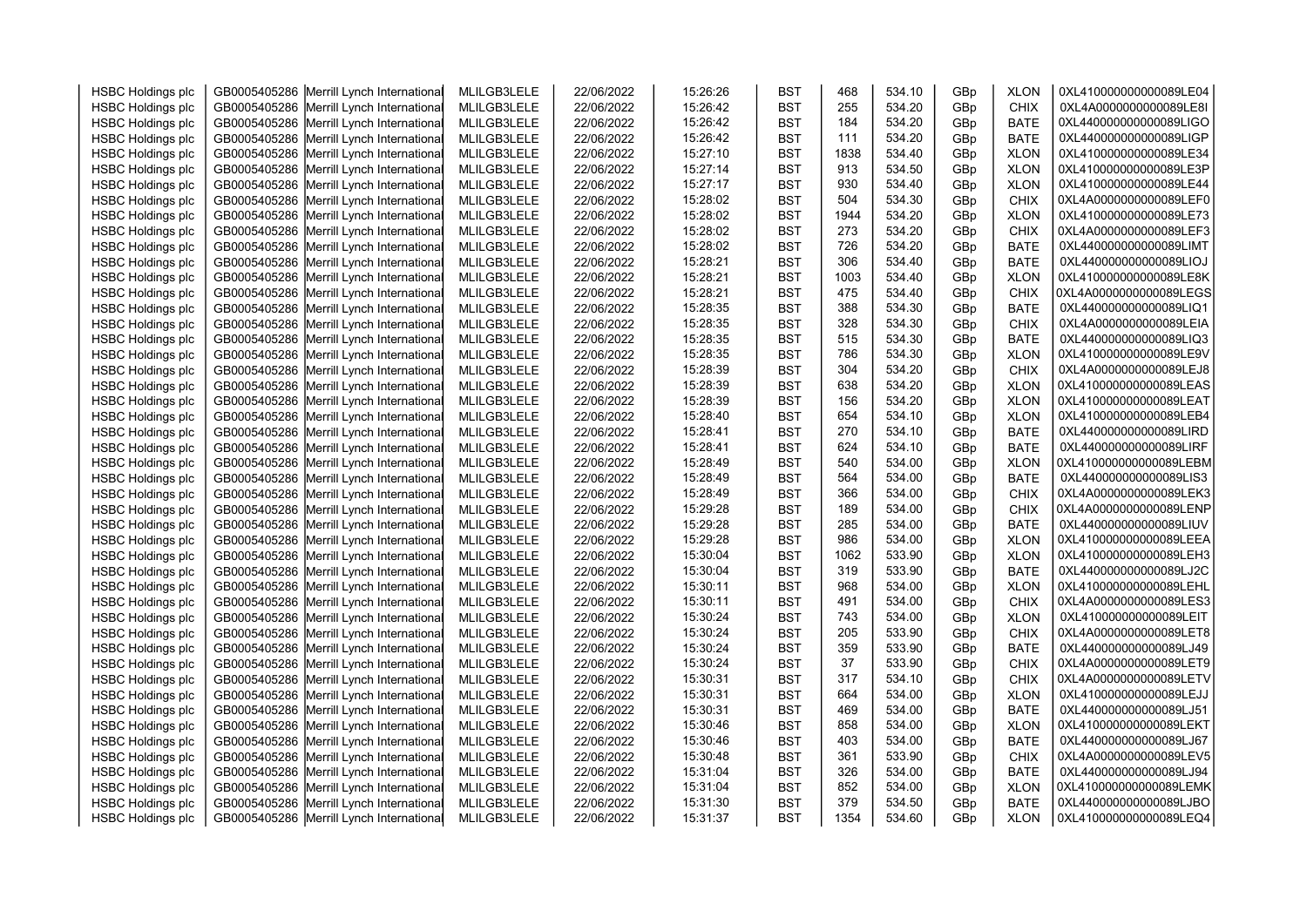| <b>HSBC Holdings plc</b> | GB0005405286 Merrill Lynch International | MLILGB3LELE | 22/06/2022 | 15:26:26 | <b>BST</b> | 468  | 534.10 | GBp | <b>XLON</b> | 0XL410000000000089LE04 |  |
|--------------------------|------------------------------------------|-------------|------------|----------|------------|------|--------|-----|-------------|------------------------|--|
| <b>HSBC Holdings plc</b> | GB0005405286 Merrill Lynch International | MLILGB3LELE | 22/06/2022 | 15:26:42 | <b>BST</b> | 255  | 534.20 | GBp | <b>CHIX</b> | 0XL4A0000000000089LE8I |  |
| <b>HSBC Holdings plc</b> | GB0005405286 Merrill Lynch International | MLILGB3LELE | 22/06/2022 | 15:26:42 | <b>BST</b> | 184  | 534.20 | GBp | <b>BATE</b> | 0XL440000000000089LIGO |  |
| <b>HSBC Holdings plc</b> | GB0005405286 Merrill Lynch International | MLILGB3LELE | 22/06/2022 | 15:26:42 | <b>BST</b> | 111  | 534.20 | GBp | <b>BATE</b> | 0XL440000000000089LIGP |  |
| <b>HSBC Holdings plc</b> | GB0005405286 Merrill Lynch International | MLILGB3LELE | 22/06/2022 | 15:27:10 | <b>BST</b> | 1838 | 534.40 | GBp | <b>XLON</b> | 0XL410000000000089LE34 |  |
| <b>HSBC Holdings plc</b> | GB0005405286 Merrill Lynch International | MLILGB3LELE | 22/06/2022 | 15:27:14 | <b>BST</b> | 913  | 534.50 | GBp | <b>XLON</b> | 0XL410000000000089LE3P |  |
| <b>HSBC Holdings plc</b> | GB0005405286 Merrill Lynch International | MLILGB3LELE | 22/06/2022 | 15:27:17 | <b>BST</b> | 930  | 534.40 | GBp | <b>XLON</b> | 0XL410000000000089LE44 |  |
| <b>HSBC Holdings plc</b> | GB0005405286 Merrill Lynch International | MLILGB3LELE | 22/06/2022 | 15:28:02 | <b>BST</b> | 504  | 534.30 | GBp | <b>CHIX</b> | 0XL4A0000000000089LEF0 |  |
| <b>HSBC Holdings plc</b> | GB0005405286 Merrill Lynch International | MLILGB3LELE | 22/06/2022 | 15:28:02 | <b>BST</b> | 1944 | 534.20 | GBp | <b>XLON</b> | 0XL410000000000089LE73 |  |
| <b>HSBC Holdings plc</b> | GB0005405286 Merrill Lynch International | MLILGB3LELE | 22/06/2022 | 15:28:02 | <b>BST</b> | 273  | 534.20 | GBp | <b>CHIX</b> | 0XL4A0000000000089LEF3 |  |
| <b>HSBC Holdings plc</b> | GB0005405286 Merrill Lynch International | MLILGB3LELE | 22/06/2022 | 15:28:02 | <b>BST</b> | 726  | 534.20 | GBp | <b>BATE</b> | 0XL440000000000089LIMT |  |
| <b>HSBC Holdings plc</b> | GB0005405286 Merrill Lynch International | MLILGB3LELE | 22/06/2022 | 15:28:21 | <b>BST</b> | 306  | 534.40 | GBp | <b>BATE</b> | 0XL440000000000089LIOJ |  |
| <b>HSBC Holdings plc</b> | GB0005405286 Merrill Lynch International | MLILGB3LELE | 22/06/2022 | 15:28:21 | <b>BST</b> | 1003 | 534.40 | GBp | <b>XLON</b> | 0XL410000000000089LE8K |  |
| <b>HSBC Holdings plc</b> | GB0005405286 Merrill Lynch International | MLILGB3LELE | 22/06/2022 | 15:28:21 | <b>BST</b> | 475  | 534.40 | GBp | CHIX        | 0XL4A0000000000089LEGS |  |
| <b>HSBC Holdings plc</b> | GB0005405286 Merrill Lynch International | MLILGB3LELE | 22/06/2022 | 15:28:35 | <b>BST</b> | 388  | 534.30 | GBp | <b>BATE</b> | 0XL440000000000089LIQ1 |  |
| <b>HSBC Holdings plc</b> | GB0005405286 Merrill Lynch International | MLILGB3LELE | 22/06/2022 | 15:28:35 | <b>BST</b> | 328  | 534.30 | GBp | CHIX        | 0XL4A0000000000089LEIA |  |
| <b>HSBC Holdings plc</b> | GB0005405286 Merrill Lynch International | MLILGB3LELE | 22/06/2022 | 15:28:35 | <b>BST</b> | 515  | 534.30 | GBp | <b>BATE</b> | 0XL440000000000089LIQ3 |  |
| <b>HSBC Holdings plc</b> | GB0005405286 Merrill Lynch International | MLILGB3LELE | 22/06/2022 | 15:28:35 | <b>BST</b> | 786  | 534.30 | GBp | <b>XLON</b> | 0XL410000000000089LE9V |  |
| <b>HSBC Holdings plc</b> | GB0005405286 Merrill Lynch International | MLILGB3LELE | 22/06/2022 | 15:28:39 | <b>BST</b> | 304  | 534.20 | GBp | <b>CHIX</b> | 0XL4A0000000000089LEJ8 |  |
| <b>HSBC Holdings plc</b> | GB0005405286 Merrill Lynch International | MLILGB3LELE | 22/06/2022 | 15:28:39 | <b>BST</b> | 638  | 534.20 | GBp | <b>XLON</b> | 0XL410000000000089LEAS |  |
| <b>HSBC Holdings plc</b> | GB0005405286 Merrill Lynch International | MLILGB3LELE | 22/06/2022 | 15:28:39 | <b>BST</b> | 156  | 534.20 | GBp | <b>XLON</b> | 0XL410000000000089LEAT |  |
| <b>HSBC Holdings plc</b> | GB0005405286 Merrill Lynch International | MLILGB3LELE | 22/06/2022 | 15:28:40 | <b>BST</b> | 654  | 534.10 | GBp | <b>XLON</b> | 0XL410000000000089LEB4 |  |
| <b>HSBC Holdings plc</b> | GB0005405286 Merrill Lynch International | MLILGB3LELE | 22/06/2022 | 15:28:41 | <b>BST</b> | 270  | 534.10 | GBp | <b>BATE</b> | 0XL440000000000089LIRD |  |
| <b>HSBC Holdings plc</b> | GB0005405286 Merrill Lynch International | MLILGB3LELE | 22/06/2022 | 15:28:41 | <b>BST</b> | 624  | 534.10 | GBp | <b>BATE</b> | 0XL440000000000089LIRF |  |
| <b>HSBC Holdings plc</b> | GB0005405286 Merrill Lynch International | MLILGB3LELE | 22/06/2022 | 15:28:49 | <b>BST</b> | 540  | 534.00 | GBp | <b>XLON</b> | 0XL410000000000089LEBM |  |
| <b>HSBC Holdings plc</b> | GB0005405286 Merrill Lynch International | MLILGB3LELE | 22/06/2022 | 15:28:49 | <b>BST</b> | 564  | 534.00 | GBp | <b>BATE</b> | 0XL440000000000089LIS3 |  |
| <b>HSBC Holdings plc</b> | GB0005405286 Merrill Lynch International | MLILGB3LELE | 22/06/2022 | 15:28:49 | <b>BST</b> | 366  | 534.00 | GBp | <b>CHIX</b> | 0XL4A0000000000089LEK3 |  |
| <b>HSBC Holdings plc</b> | GB0005405286 Merrill Lynch International | MLILGB3LELE | 22/06/2022 | 15:29:28 | <b>BST</b> | 189  | 534.00 | GBp | <b>CHIX</b> | 0XL4A0000000000089LENP |  |
| <b>HSBC Holdings plc</b> | GB0005405286 Merrill Lynch International | MLILGB3LELE | 22/06/2022 | 15:29:28 | <b>BST</b> | 285  | 534.00 | GBp | <b>BATE</b> | 0XL440000000000089LIUV |  |
| <b>HSBC Holdings plc</b> | GB0005405286 Merrill Lynch International | MLILGB3LELE | 22/06/2022 | 15:29:28 | <b>BST</b> | 986  | 534.00 | GBp | <b>XLON</b> | 0XL410000000000089LEEA |  |
| <b>HSBC Holdings plc</b> | GB0005405286 Merrill Lynch International | MLILGB3LELE | 22/06/2022 | 15:30:04 | <b>BST</b> | 1062 | 533.90 | GBp | <b>XLON</b> | 0XL410000000000089LEH3 |  |
| <b>HSBC Holdings plc</b> | GB0005405286 Merrill Lynch International | MLILGB3LELE | 22/06/2022 | 15:30:04 | <b>BST</b> | 319  | 533.90 | GBp | <b>BATE</b> | 0XL440000000000089LJ2C |  |
| <b>HSBC Holdings plc</b> | GB0005405286 Merrill Lynch International | MLILGB3LELE | 22/06/2022 | 15:30:11 | <b>BST</b> | 968  | 534.00 | GBp | <b>XLON</b> | 0XL410000000000089LEHL |  |
| <b>HSBC Holdings plc</b> | GB0005405286 Merrill Lynch International | MLILGB3LELE | 22/06/2022 | 15:30:11 | <b>BST</b> | 491  | 534.00 | GBp | <b>CHIX</b> | 0XL4A0000000000089LES3 |  |
| <b>HSBC Holdings plc</b> | GB0005405286 Merrill Lynch International | MLILGB3LELE | 22/06/2022 | 15:30:24 | <b>BST</b> | 743  | 534.00 | GBp | <b>XLON</b> | 0XL410000000000089LEIT |  |
| <b>HSBC Holdings plc</b> | GB0005405286 Merrill Lynch International | MLILGB3LELE | 22/06/2022 | 15:30:24 | <b>BST</b> | 205  | 533.90 | GBp | <b>CHIX</b> | 0XL4A0000000000089LET8 |  |
| <b>HSBC Holdings plc</b> | GB0005405286 Merrill Lynch International | MLILGB3LELE | 22/06/2022 | 15:30:24 | <b>BST</b> | 359  | 533.90 | GBp | <b>BATE</b> | 0XL440000000000089LJ49 |  |
| <b>HSBC Holdings plc</b> | GB0005405286 Merrill Lynch International | MLILGB3LELE | 22/06/2022 | 15:30:24 | <b>BST</b> | 37   | 533.90 | GBp | <b>CHIX</b> | 0XL4A0000000000089LET9 |  |
| <b>HSBC Holdings plc</b> | GB0005405286 Merrill Lynch International | MLILGB3LELE | 22/06/2022 | 15:30:31 | <b>BST</b> | 317  | 534.10 | GBp | <b>CHIX</b> | 0XL4A0000000000089LETV |  |
| <b>HSBC Holdings plc</b> | GB0005405286 Merrill Lynch International | MLILGB3LELE | 22/06/2022 | 15:30:31 | <b>BST</b> | 664  | 534.00 | GBp | <b>XLON</b> | 0XL410000000000089LEJJ |  |
| <b>HSBC Holdings plc</b> | GB0005405286 Merrill Lynch International | MLILGB3LELE | 22/06/2022 | 15:30:31 | <b>BST</b> | 469  | 534.00 | GBp | <b>BATE</b> | 0XL440000000000089LJ51 |  |
| <b>HSBC Holdings plc</b> | GB0005405286 Merrill Lynch International | MLILGB3LELE | 22/06/2022 | 15:30:46 | <b>BST</b> | 858  | 534.00 | GBp | <b>XLON</b> | 0XL410000000000089LEKT |  |
| <b>HSBC Holdings plc</b> | GB0005405286 Merrill Lynch International | MLILGB3LELE | 22/06/2022 | 15:30:46 | <b>BST</b> | 403  | 534.00 | GBp | <b>BATE</b> | 0XL440000000000089LJ67 |  |
| <b>HSBC Holdings plc</b> | GB0005405286 Merrill Lynch International | MLILGB3LELE | 22/06/2022 | 15:30:48 | <b>BST</b> | 361  | 533.90 | GBp | <b>CHIX</b> | 0XL4A0000000000089LEV5 |  |
| <b>HSBC Holdings plc</b> | GB0005405286 Merrill Lynch International | MLILGB3LELE | 22/06/2022 | 15:31:04 | <b>BST</b> | 326  | 534.00 | GBp | <b>BATE</b> | 0XL440000000000089LJ94 |  |
| <b>HSBC Holdings plc</b> | GB0005405286 Merrill Lynch International | MLILGB3LELE | 22/06/2022 | 15:31:04 | <b>BST</b> | 852  | 534.00 | GBp | <b>XLON</b> | 0XL410000000000089LEMK |  |
| <b>HSBC Holdings plc</b> | GB0005405286 Merrill Lynch International | MLILGB3LELE | 22/06/2022 | 15:31:30 | <b>BST</b> | 379  | 534.50 | GBp | <b>BATE</b> | 0XL440000000000089LJBO |  |
| <b>HSBC Holdings plc</b> | GB0005405286 Merrill Lynch International | MLILGB3LELE | 22/06/2022 | 15:31:37 | <b>BST</b> | 1354 | 534.60 | GBp | <b>XLON</b> | 0XL410000000000089LEQ4 |  |
|                          |                                          |             |            |          |            |      |        |     |             |                        |  |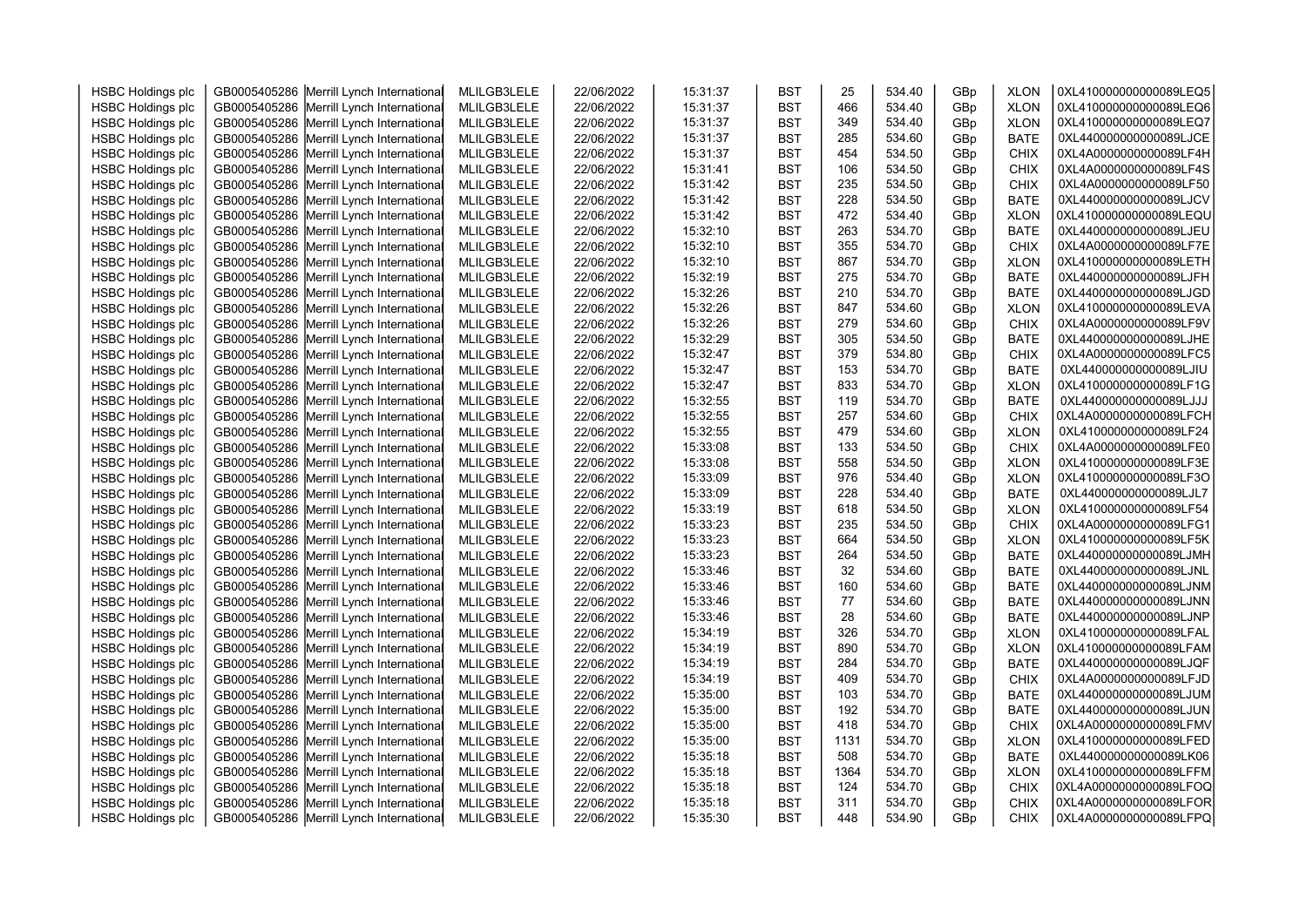| <b>HSBC Holdings plc</b>                             | GB0005405286 Merrill Lynch International | MLILGB3LELE | 22/06/2022 | 15:31:37 | <b>BST</b> | 25   | 534.40 | GBp | <b>XLON</b> | 0XL410000000000089LEQ5 |  |
|------------------------------------------------------|------------------------------------------|-------------|------------|----------|------------|------|--------|-----|-------------|------------------------|--|
| <b>HSBC Holdings plc</b>                             | GB0005405286 Merrill Lynch International | MLILGB3LELE | 22/06/2022 | 15:31:37 | <b>BST</b> | 466  | 534.40 | GBp | <b>XLON</b> | 0XL410000000000089LEQ6 |  |
| <b>HSBC Holdings plc</b>                             | GB0005405286 Merrill Lynch International | MLILGB3LELE | 22/06/2022 | 15:31:37 | <b>BST</b> | 349  | 534.40 | GBp | <b>XLON</b> | 0XL410000000000089LEQ7 |  |
| <b>HSBC Holdings plc</b>                             | GB0005405286 Merrill Lynch International | MLILGB3LELE | 22/06/2022 | 15:31:37 | <b>BST</b> | 285  | 534.60 | GBp | <b>BATE</b> | 0XL440000000000089LJCE |  |
| <b>HSBC Holdings plc</b>                             | GB0005405286 Merrill Lynch International | MLILGB3LELE | 22/06/2022 | 15:31:37 | <b>BST</b> | 454  | 534.50 | GBp | <b>CHIX</b> | 0XL4A0000000000089LF4H |  |
| <b>HSBC Holdings plc</b>                             | GB0005405286 Merrill Lynch International | MLILGB3LELE | 22/06/2022 | 15:31:41 | <b>BST</b> | 106  | 534.50 | GBp | <b>CHIX</b> | 0XL4A0000000000089LF4S |  |
| <b>HSBC Holdings plc</b>                             | GB0005405286 Merrill Lynch International | MLILGB3LELE | 22/06/2022 | 15:31:42 | <b>BST</b> | 235  | 534.50 | GBp | <b>CHIX</b> | 0XL4A0000000000089LF50 |  |
| <b>HSBC Holdings plc</b>                             | GB0005405286 Merrill Lynch International | MLILGB3LELE | 22/06/2022 | 15:31:42 | <b>BST</b> | 228  | 534.50 | GBp | <b>BATE</b> | 0XL440000000000089LJCV |  |
| <b>HSBC Holdings plc</b>                             | GB0005405286 Merrill Lynch International | MLILGB3LELE | 22/06/2022 | 15:31:42 | <b>BST</b> | 472  | 534.40 | GBp | <b>XLON</b> | 0XL410000000000089LEQU |  |
| <b>HSBC Holdings plc</b>                             | GB0005405286 Merrill Lynch International | MLILGB3LELE | 22/06/2022 | 15:32:10 | <b>BST</b> | 263  | 534.70 | GBp | <b>BATE</b> | 0XL440000000000089LJEU |  |
| <b>HSBC Holdings plc</b>                             | GB0005405286 Merrill Lynch International | MLILGB3LELE | 22/06/2022 | 15:32:10 | <b>BST</b> | 355  | 534.70 | GBp | <b>CHIX</b> | 0XL4A0000000000089LF7E |  |
| <b>HSBC Holdings plc</b>                             | GB0005405286 Merrill Lynch International | MLILGB3LELE | 22/06/2022 | 15:32:10 | <b>BST</b> | 867  | 534.70 | GBp | <b>XLON</b> | 0XL410000000000089LETH |  |
| <b>HSBC Holdings plc</b>                             | GB0005405286 Merrill Lynch International | MLILGB3LELE | 22/06/2022 | 15:32:19 | <b>BST</b> | 275  | 534.70 | GBp | <b>BATE</b> | 0XL440000000000089LJFH |  |
| <b>HSBC Holdings plc</b>                             | GB0005405286 Merrill Lynch International | MLILGB3LELE | 22/06/2022 | 15:32:26 | <b>BST</b> | 210  | 534.70 | GBp | <b>BATE</b> | 0XL440000000000089LJGD |  |
| <b>HSBC Holdings plc</b>                             | GB0005405286 Merrill Lynch International | MLILGB3LELE | 22/06/2022 | 15:32:26 | <b>BST</b> | 847  | 534.60 | GBp | <b>XLON</b> | 0XL410000000000089LEVA |  |
| <b>HSBC Holdings plc</b>                             | GB0005405286 Merrill Lynch International | MLILGB3LELE | 22/06/2022 | 15:32:26 | <b>BST</b> | 279  | 534.60 | GBp | <b>CHIX</b> | 0XL4A0000000000089LF9V |  |
| <b>HSBC Holdings plc</b>                             | GB0005405286 Merrill Lynch International | MLILGB3LELE | 22/06/2022 | 15:32:29 | <b>BST</b> | 305  | 534.50 | GBp | <b>BATE</b> | 0XL440000000000089LJHE |  |
| <b>HSBC Holdings plc</b>                             | GB0005405286 Merrill Lynch International | MLILGB3LELE | 22/06/2022 | 15:32:47 | <b>BST</b> | 379  | 534.80 | GBp | <b>CHIX</b> | 0XL4A0000000000089LFC5 |  |
| <b>HSBC Holdings plc</b>                             | GB0005405286 Merrill Lynch International | MLILGB3LELE | 22/06/2022 | 15:32:47 | <b>BST</b> | 153  | 534.70 | GBp | <b>BATE</b> | 0XL440000000000089LJIU |  |
| <b>HSBC Holdings plc</b>                             | GB0005405286 Merrill Lynch International | MLILGB3LELE | 22/06/2022 | 15:32:47 | <b>BST</b> | 833  | 534.70 | GBp | <b>XLON</b> | 0XL410000000000089LF1G |  |
| <b>HSBC Holdings plc</b>                             | GB0005405286 Merrill Lynch International | MLILGB3LELE | 22/06/2022 | 15:32:55 | <b>BST</b> | 119  | 534.70 | GBp | <b>BATE</b> | 0XL440000000000089LJJJ |  |
| <b>HSBC Holdings plc</b>                             | GB0005405286 Merrill Lynch International | MLILGB3LELE | 22/06/2022 | 15:32:55 | <b>BST</b> | 257  | 534.60 | GBp | <b>CHIX</b> | 0XL4A0000000000089LFCH |  |
| <b>HSBC Holdings plc</b>                             | GB0005405286 Merrill Lynch International | MLILGB3LELE | 22/06/2022 | 15:32:55 | <b>BST</b> | 479  | 534.60 | GBp | <b>XLON</b> | 0XL410000000000089LF24 |  |
| <b>HSBC Holdings plc</b>                             | GB0005405286 Merrill Lynch International | MLILGB3LELE | 22/06/2022 | 15:33:08 | <b>BST</b> | 133  | 534.50 | GBp | <b>CHIX</b> | 0XL4A0000000000089LFE0 |  |
| <b>HSBC Holdings plc</b>                             | GB0005405286 Merrill Lynch International | MLILGB3LELE | 22/06/2022 | 15:33:08 | <b>BST</b> | 558  | 534.50 | GBp | <b>XLON</b> | 0XL410000000000089LF3E |  |
| <b>HSBC Holdings plc</b>                             | GB0005405286 Merrill Lynch International | MLILGB3LELE | 22/06/2022 | 15:33:09 | <b>BST</b> | 976  | 534.40 | GBp | <b>XLON</b> | 0XL410000000000089LF3O |  |
| <b>HSBC Holdings plc</b>                             | GB0005405286 Merrill Lynch International | MLILGB3LELE | 22/06/2022 | 15:33:09 | <b>BST</b> | 228  | 534.40 | GBp | <b>BATE</b> | 0XL440000000000089LJL7 |  |
| <b>HSBC Holdings plc</b>                             | GB0005405286 Merrill Lynch International | MLILGB3LELE | 22/06/2022 | 15:33:19 | <b>BST</b> | 618  | 534.50 | GBp | <b>XLON</b> | 0XL410000000000089LF54 |  |
| <b>HSBC Holdings plc</b>                             | GB0005405286 Merrill Lynch International | MLILGB3LELE | 22/06/2022 | 15:33:23 | <b>BST</b> | 235  | 534.50 | GBp | <b>CHIX</b> | 0XL4A0000000000089LFG1 |  |
| <b>HSBC Holdings plc</b>                             | GB0005405286 Merrill Lynch International | MLILGB3LELE | 22/06/2022 | 15:33:23 | <b>BST</b> | 664  | 534.50 | GBp | <b>XLON</b> | 0XL410000000000089LF5K |  |
| <b>HSBC Holdings plc</b>                             | GB0005405286 Merrill Lynch International | MLILGB3LELE | 22/06/2022 | 15:33:23 | <b>BST</b> | 264  | 534.50 | GBp | <b>BATE</b> | 0XL440000000000089LJMH |  |
| <b>HSBC Holdings plc</b>                             | GB0005405286 Merrill Lynch International | MLILGB3LELE | 22/06/2022 | 15:33:46 | <b>BST</b> | 32   | 534.60 | GBp | <b>BATE</b> | 0XL440000000000089LJNL |  |
| <b>HSBC Holdings plc</b>                             | GB0005405286 Merrill Lynch International | MLILGB3LELE | 22/06/2022 | 15:33:46 | <b>BST</b> | 160  | 534.60 | GBp | <b>BATE</b> | 0XL440000000000089LJNM |  |
| <b>HSBC Holdings plc</b>                             | GB0005405286 Merrill Lynch International | MLILGB3LELE | 22/06/2022 | 15:33:46 | <b>BST</b> | 77   | 534.60 | GBp | <b>BATE</b> | 0XL440000000000089LJNN |  |
| <b>HSBC Holdings plc</b>                             | GB0005405286 Merrill Lynch International | MLILGB3LELE | 22/06/2022 | 15:33:46 | <b>BST</b> | 28   | 534.60 | GBp | <b>BATE</b> | 0XL440000000000089LJNP |  |
| <b>HSBC Holdings plc</b>                             | GB0005405286 Merrill Lynch International | MLILGB3LELE | 22/06/2022 | 15:34:19 | <b>BST</b> | 326  | 534.70 | GBp | <b>XLON</b> | 0XL410000000000089LFAL |  |
| <b>HSBC Holdings plc</b>                             | GB0005405286 Merrill Lynch International | MLILGB3LELE | 22/06/2022 | 15:34:19 | <b>BST</b> | 890  | 534.70 | GBp | <b>XLON</b> | 0XL410000000000089LFAM |  |
| <b>HSBC Holdings plc</b>                             | GB0005405286 Merrill Lynch International | MLILGB3LELE | 22/06/2022 | 15:34:19 | <b>BST</b> | 284  | 534.70 | GBp | <b>BATE</b> | 0XL440000000000089LJQF |  |
| <b>HSBC Holdings plc</b>                             | GB0005405286 Merrill Lynch International | MLILGB3LELE | 22/06/2022 | 15:34:19 | <b>BST</b> | 409  | 534.70 | GBp | <b>CHIX</b> | 0XL4A0000000000089LFJD |  |
| <b>HSBC Holdings plc</b>                             | GB0005405286 Merrill Lynch International | MLILGB3LELE | 22/06/2022 | 15:35:00 | <b>BST</b> | 103  | 534.70 | GBp | <b>BATE</b> | 0XL440000000000089LJUM |  |
| <b>HSBC Holdings plc</b>                             | GB0005405286 Merrill Lynch International | MLILGB3LELE | 22/06/2022 | 15:35:00 | <b>BST</b> | 192  | 534.70 | GBp | <b>BATE</b> | 0XL440000000000089LJUN |  |
| <b>HSBC Holdings plc</b>                             | GB0005405286 Merrill Lynch International | MLILGB3LELE | 22/06/2022 | 15:35:00 | <b>BST</b> | 418  | 534.70 | GBp | <b>CHIX</b> | 0XL4A0000000000089LFMV |  |
| <b>HSBC Holdings plc</b>                             | GB0005405286 Merrill Lynch International | MLILGB3LELE | 22/06/2022 | 15:35:00 | <b>BST</b> | 1131 | 534.70 | GBp | <b>XLON</b> | 0XL410000000000089LFED |  |
| <b>HSBC Holdings plc</b>                             | GB0005405286 Merrill Lynch International | MLILGB3LELE | 22/06/2022 | 15:35:18 | <b>BST</b> | 508  | 534.70 | GBp | <b>BATE</b> | 0XL440000000000089LK06 |  |
| <b>HSBC Holdings plc</b>                             | GB0005405286 Merrill Lynch International | MLILGB3LELE | 22/06/2022 | 15:35:18 | <b>BST</b> | 1364 | 534.70 | GBp | <b>XLON</b> | 0XL410000000000089LFFM |  |
| <b>HSBC Holdings plc</b>                             | GB0005405286 Merrill Lynch International | MLILGB3LELE | 22/06/2022 | 15:35:18 | <b>BST</b> | 124  | 534.70 | GBp | <b>CHIX</b> | 0XL4A0000000000089LFOQ |  |
|                                                      | GB0005405286 Merrill Lynch International | MLILGB3LELE | 22/06/2022 | 15:35:18 | <b>BST</b> | 311  | 534.70 | GBp | <b>CHIX</b> | 0XL4A0000000000089LFOR |  |
| <b>HSBC Holdings plc</b><br><b>HSBC Holdings plc</b> | GB0005405286 Merrill Lynch International |             |            | 15:35:30 | <b>BST</b> | 448  | 534.90 | GBp | <b>CHIX</b> | 0XL4A0000000000089LFPQ |  |
|                                                      |                                          | MLILGB3LELE | 22/06/2022 |          |            |      |        |     |             |                        |  |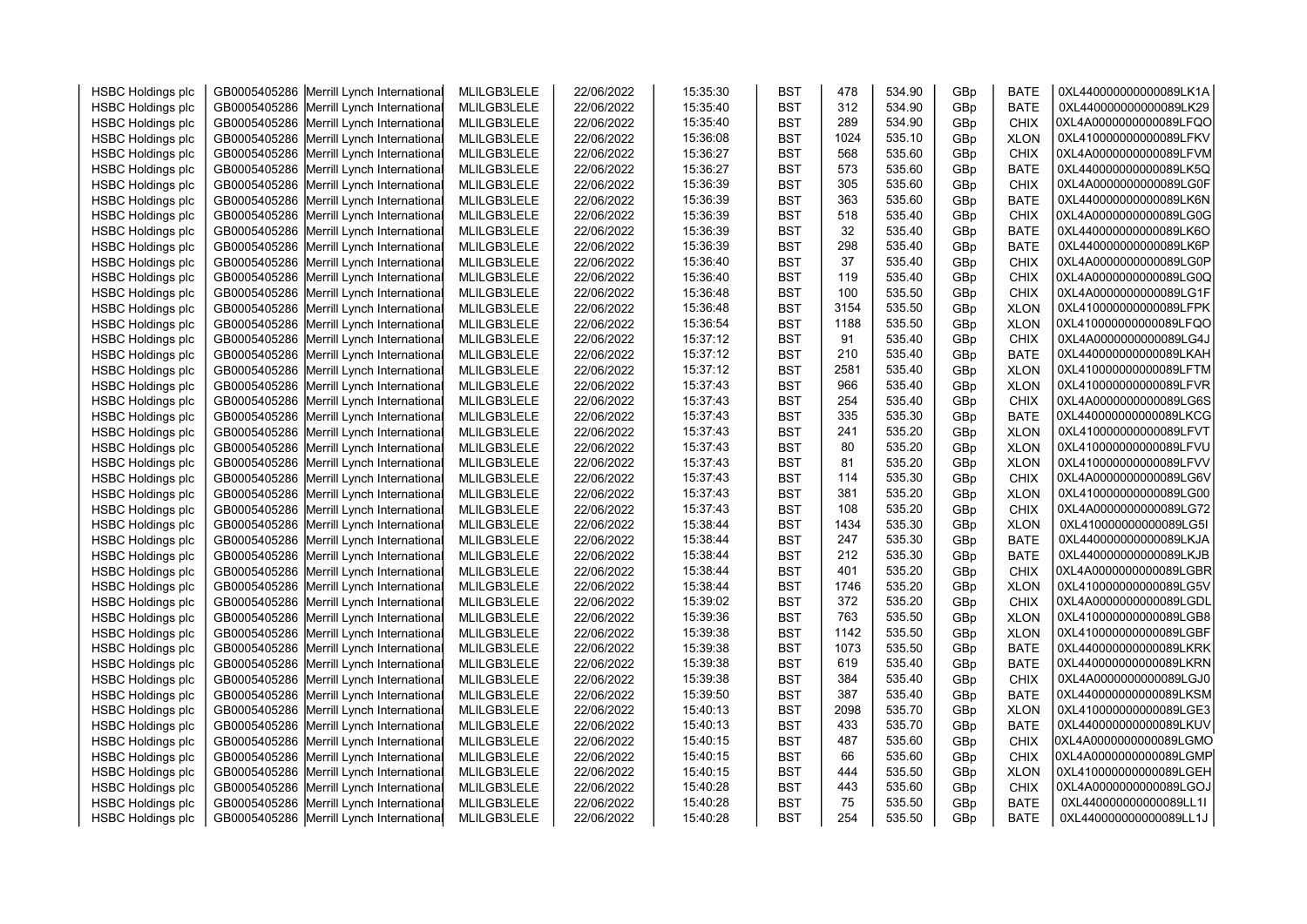| <b>HSBC Holdings plc</b> | GB0005405286 Merrill Lynch International | MLILGB3LELE | 22/06/2022 | 15:35:30 | <b>BST</b> | 478  | 534.90 | GBp | <b>BATE</b>                | 0XL440000000000089LK1A |  |
|--------------------------|------------------------------------------|-------------|------------|----------|------------|------|--------|-----|----------------------------|------------------------|--|
| <b>HSBC Holdings plc</b> | GB0005405286 Merrill Lynch International | MLILGB3LELE | 22/06/2022 | 15:35:40 | <b>BST</b> | 312  | 534.90 | GBp | <b>BATE</b>                | 0XL440000000000089LK29 |  |
| <b>HSBC Holdings plc</b> | GB0005405286 Merrill Lynch International | MLILGB3LELE | 22/06/2022 | 15:35:40 | <b>BST</b> | 289  | 534.90 | GBp | CHIX                       | 0XL4A0000000000089LFQO |  |
| <b>HSBC Holdings plc</b> | GB0005405286 Merrill Lynch International | MLILGB3LELE | 22/06/2022 | 15:36:08 | <b>BST</b> | 1024 | 535.10 | GBp | <b>XLON</b>                | 0XL410000000000089LFKV |  |
| <b>HSBC Holdings plc</b> | GB0005405286 Merrill Lynch International | MLILGB3LELE | 22/06/2022 | 15:36:27 | <b>BST</b> | 568  | 535.60 | GBp | <b>CHIX</b>                | 0XL4A0000000000089LFVM |  |
| <b>HSBC Holdings plc</b> | GB0005405286 Merrill Lynch International | MLILGB3LELE | 22/06/2022 | 15:36:27 | <b>BST</b> | 573  | 535.60 | GBp | <b>BATE</b>                | 0XL440000000000089LK5Q |  |
|                          |                                          |             |            | 15:36:39 | <b>BST</b> | 305  | 535.60 |     |                            | 0XL4A0000000000089LG0F |  |
| <b>HSBC Holdings plc</b> | GB0005405286 Merrill Lynch International | MLILGB3LELE | 22/06/2022 | 15:36:39 | <b>BST</b> | 363  | 535.60 | GBp | <b>CHIX</b><br><b>BATE</b> | 0XL440000000000089LK6N |  |
| <b>HSBC Holdings plc</b> | GB0005405286 Merrill Lynch International | MLILGB3LELE | 22/06/2022 |          |            | 518  | 535.40 | GBp |                            |                        |  |
| <b>HSBC Holdings plc</b> | GB0005405286 Merrill Lynch International | MLILGB3LELE | 22/06/2022 | 15:36:39 | <b>BST</b> |      |        | GBp | <b>CHIX</b>                | 0XL4A0000000000089LG0G |  |
| <b>HSBC Holdings plc</b> | GB0005405286 Merrill Lynch International | MLILGB3LELE | 22/06/2022 | 15:36:39 | <b>BST</b> | 32   | 535.40 | GBp | <b>BATE</b>                | 0XL440000000000089LK6O |  |
| <b>HSBC Holdings plc</b> | GB0005405286 Merrill Lynch International | MLILGB3LELE | 22/06/2022 | 15:36:39 | <b>BST</b> | 298  | 535.40 | GBp | <b>BATE</b>                | 0XL440000000000089LK6P |  |
| <b>HSBC Holdings plc</b> | GB0005405286 Merrill Lynch International | MLILGB3LELE | 22/06/2022 | 15:36:40 | <b>BST</b> | 37   | 535.40 | GBp | <b>CHIX</b>                | 0XL4A0000000000089LG0P |  |
| <b>HSBC Holdings plc</b> | GB0005405286 Merrill Lynch International | MLILGB3LELE | 22/06/2022 | 15:36:40 | <b>BST</b> | 119  | 535.40 | GBp | <b>CHIX</b>                | 0XL4A0000000000089LG0Q |  |
| <b>HSBC Holdings plc</b> | GB0005405286 Merrill Lynch International | MLILGB3LELE | 22/06/2022 | 15:36:48 | <b>BST</b> | 100  | 535.50 | GBp | <b>CHIX</b>                | 0XL4A0000000000089LG1F |  |
| <b>HSBC Holdings plc</b> | GB0005405286 Merrill Lynch International | MLILGB3LELE | 22/06/2022 | 15:36:48 | <b>BST</b> | 3154 | 535.50 | GBp | <b>XLON</b>                | 0XL410000000000089LFPK |  |
| <b>HSBC Holdings plc</b> | GB0005405286 Merrill Lynch International | MLILGB3LELE | 22/06/2022 | 15:36:54 | <b>BST</b> | 1188 | 535.50 | GBp | <b>XLON</b>                | 0XL410000000000089LFQO |  |
| <b>HSBC Holdings plc</b> | GB0005405286 Merrill Lynch International | MLILGB3LELE | 22/06/2022 | 15:37:12 | <b>BST</b> | 91   | 535.40 | GBp | <b>CHIX</b>                | 0XL4A0000000000089LG4J |  |
| <b>HSBC Holdings plc</b> | GB0005405286 Merrill Lynch International | MLILGB3LELE | 22/06/2022 | 15:37:12 | <b>BST</b> | 210  | 535.40 | GBp | <b>BATE</b>                | 0XL440000000000089LKAH |  |
| <b>HSBC Holdings plc</b> | GB0005405286 Merrill Lynch International | MLILGB3LELE | 22/06/2022 | 15:37:12 | <b>BST</b> | 2581 | 535.40 | GBp | <b>XLON</b>                | 0XL410000000000089LFTM |  |
| <b>HSBC Holdings plc</b> | GB0005405286 Merrill Lynch International | MLILGB3LELE | 22/06/2022 | 15:37:43 | <b>BST</b> | 966  | 535.40 | GBp | <b>XLON</b>                | 0XL410000000000089LFVR |  |
| <b>HSBC Holdings plc</b> | GB0005405286 Merrill Lynch International | MLILGB3LELE | 22/06/2022 | 15:37:43 | <b>BST</b> | 254  | 535.40 | GBp | <b>CHIX</b>                | 0XL4A0000000000089LG6S |  |
| <b>HSBC Holdings plc</b> | GB0005405286 Merrill Lynch International | MLILGB3LELE | 22/06/2022 | 15:37:43 | <b>BST</b> | 335  | 535.30 | GBp | <b>BATE</b>                | 0XL440000000000089LKCG |  |
| <b>HSBC Holdings plc</b> | GB0005405286 Merrill Lynch International | MLILGB3LELE | 22/06/2022 | 15:37:43 | <b>BST</b> | 241  | 535.20 | GBp | <b>XLON</b>                | 0XL410000000000089LFVT |  |
| <b>HSBC Holdings plc</b> | GB0005405286 Merrill Lynch International | MLILGB3LELE | 22/06/2022 | 15:37:43 | <b>BST</b> | 80   | 535.20 | GBp | <b>XLON</b>                | 0XL410000000000089LFVU |  |
| <b>HSBC Holdings plc</b> | GB0005405286 Merrill Lynch International | MLILGB3LELE | 22/06/2022 | 15:37:43 | <b>BST</b> | 81   | 535.20 | GBp | <b>XLON</b>                | 0XL410000000000089LFVV |  |
| <b>HSBC Holdings plc</b> | GB0005405286 Merrill Lynch International | MLILGB3LELE | 22/06/2022 | 15:37:43 | <b>BST</b> | 114  | 535.30 | GBp | <b>CHIX</b>                | 0XL4A0000000000089LG6V |  |
| <b>HSBC Holdings plc</b> | GB0005405286 Merrill Lynch International | MLILGB3LELE | 22/06/2022 | 15:37:43 | <b>BST</b> | 381  | 535.20 | GBp | <b>XLON</b>                | 0XL410000000000089LG00 |  |
| <b>HSBC Holdings plc</b> | GB0005405286 Merrill Lynch International | MLILGB3LELE | 22/06/2022 | 15:37:43 | <b>BST</b> | 108  | 535.20 | GBp | <b>CHIX</b>                | 0XL4A0000000000089LG72 |  |
| <b>HSBC Holdings plc</b> | GB0005405286 Merrill Lynch International | MLILGB3LELE | 22/06/2022 | 15:38:44 | <b>BST</b> | 1434 | 535.30 | GBp | <b>XLON</b>                | 0XL410000000000089LG5I |  |
| <b>HSBC Holdings plc</b> | GB0005405286 Merrill Lynch International | MLILGB3LELE | 22/06/2022 | 15:38:44 | <b>BST</b> | 247  | 535.30 | GBp | <b>BATE</b>                | 0XL440000000000089LKJA |  |
| <b>HSBC Holdings plc</b> | GB0005405286 Merrill Lynch International | MLILGB3LELE | 22/06/2022 | 15:38:44 | <b>BST</b> | 212  | 535.30 | GBp | <b>BATE</b>                | 0XL440000000000089LKJB |  |
| <b>HSBC Holdings plc</b> | GB0005405286 Merrill Lynch International | MLILGB3LELE | 22/06/2022 | 15:38:44 | <b>BST</b> | 401  | 535.20 | GBp | <b>CHIX</b>                | 0XL4A0000000000089LGBR |  |
| <b>HSBC Holdings plc</b> | GB0005405286 Merrill Lynch International | MLILGB3LELE | 22/06/2022 | 15:38:44 | <b>BST</b> | 1746 | 535.20 | GBp | <b>XLON</b>                | 0XL410000000000089LG5V |  |
| <b>HSBC Holdings plc</b> | GB0005405286 Merrill Lynch International | MLILGB3LELE | 22/06/2022 | 15:39:02 | <b>BST</b> | 372  | 535.20 | GBp | <b>CHIX</b>                | 0XL4A0000000000089LGDL |  |
| <b>HSBC Holdings plc</b> | GB0005405286 Merrill Lynch International | MLILGB3LELE | 22/06/2022 | 15:39:36 | <b>BST</b> | 763  | 535.50 | GBp | <b>XLON</b>                | 0XL410000000000089LGB8 |  |
| <b>HSBC Holdings plc</b> | GB0005405286 Merrill Lynch International | MLILGB3LELE | 22/06/2022 | 15:39:38 | <b>BST</b> | 1142 | 535.50 | GBp | <b>XLON</b>                | 0XL410000000000089LGBF |  |
| <b>HSBC Holdings plc</b> | GB0005405286 Merrill Lynch International | MLILGB3LELE | 22/06/2022 | 15:39:38 | <b>BST</b> | 1073 | 535.50 | GBp | <b>BATE</b>                | 0XL440000000000089LKRK |  |
| <b>HSBC Holdings plc</b> | GB0005405286 Merrill Lynch International | MLILGB3LELE | 22/06/2022 | 15:39:38 | <b>BST</b> | 619  | 535.40 | GBp | <b>BATE</b>                | 0XL440000000000089LKRN |  |
| <b>HSBC Holdings plc</b> | GB0005405286 Merrill Lynch International | MLILGB3LELE | 22/06/2022 | 15:39:38 | <b>BST</b> | 384  | 535.40 | GBp | <b>CHIX</b>                | 0XL4A0000000000089LGJ0 |  |
| <b>HSBC Holdings plc</b> | GB0005405286 Merrill Lynch International | MLILGB3LELE | 22/06/2022 | 15:39:50 | <b>BST</b> | 387  | 535.40 | GBp | <b>BATE</b>                | 0XL440000000000089LKSM |  |
| <b>HSBC Holdings plc</b> | GB0005405286 Merrill Lynch International | MLILGB3LELE | 22/06/2022 | 15:40:13 | <b>BST</b> | 2098 | 535.70 | GBp | <b>XLON</b>                | 0XL410000000000089LGE3 |  |
| <b>HSBC Holdings plc</b> | GB0005405286 Merrill Lynch International | MLILGB3LELE | 22/06/2022 | 15:40:13 | <b>BST</b> | 433  | 535.70 | GBp | <b>BATE</b>                | 0XL440000000000089LKUV |  |
| <b>HSBC Holdings plc</b> | GB0005405286 Merrill Lynch International | MLILGB3LELE | 22/06/2022 | 15:40:15 | <b>BST</b> | 487  | 535.60 | GBp | <b>CHIX</b>                | 0XL4A0000000000089LGMO |  |
| <b>HSBC Holdings plc</b> | GB0005405286 Merrill Lynch International | MLILGB3LELE | 22/06/2022 | 15:40:15 | <b>BST</b> | 66   | 535.60 | GBp | <b>CHIX</b>                | 0XL4A0000000000089LGMP |  |
| <b>HSBC Holdings plc</b> | GB0005405286 Merrill Lynch International | MLILGB3LELE | 22/06/2022 | 15:40:15 | <b>BST</b> | 444  | 535.50 | GBp | <b>XLON</b>                | 0XL410000000000089LGEH |  |
| <b>HSBC Holdings plc</b> | GB0005405286 Merrill Lynch International | MLILGB3LELE | 22/06/2022 | 15:40:28 | <b>BST</b> | 443  | 535.60 | GBp | <b>CHIX</b>                | 0XL4A0000000000089LGOJ |  |
| <b>HSBC Holdings plc</b> | GB0005405286 Merrill Lynch International | MLILGB3LELE | 22/06/2022 | 15:40:28 | <b>BST</b> | 75   | 535.50 | GBp | <b>BATE</b>                | 0XL440000000000089LL1I |  |
| <b>HSBC Holdings plc</b> | GB0005405286 Merrill Lynch International | MLILGB3LELE | 22/06/2022 | 15:40:28 | <b>BST</b> | 254  | 535.50 | GBp | <b>BATE</b>                | 0XL440000000000089LL1J |  |
|                          |                                          |             |            |          |            |      |        |     |                            |                        |  |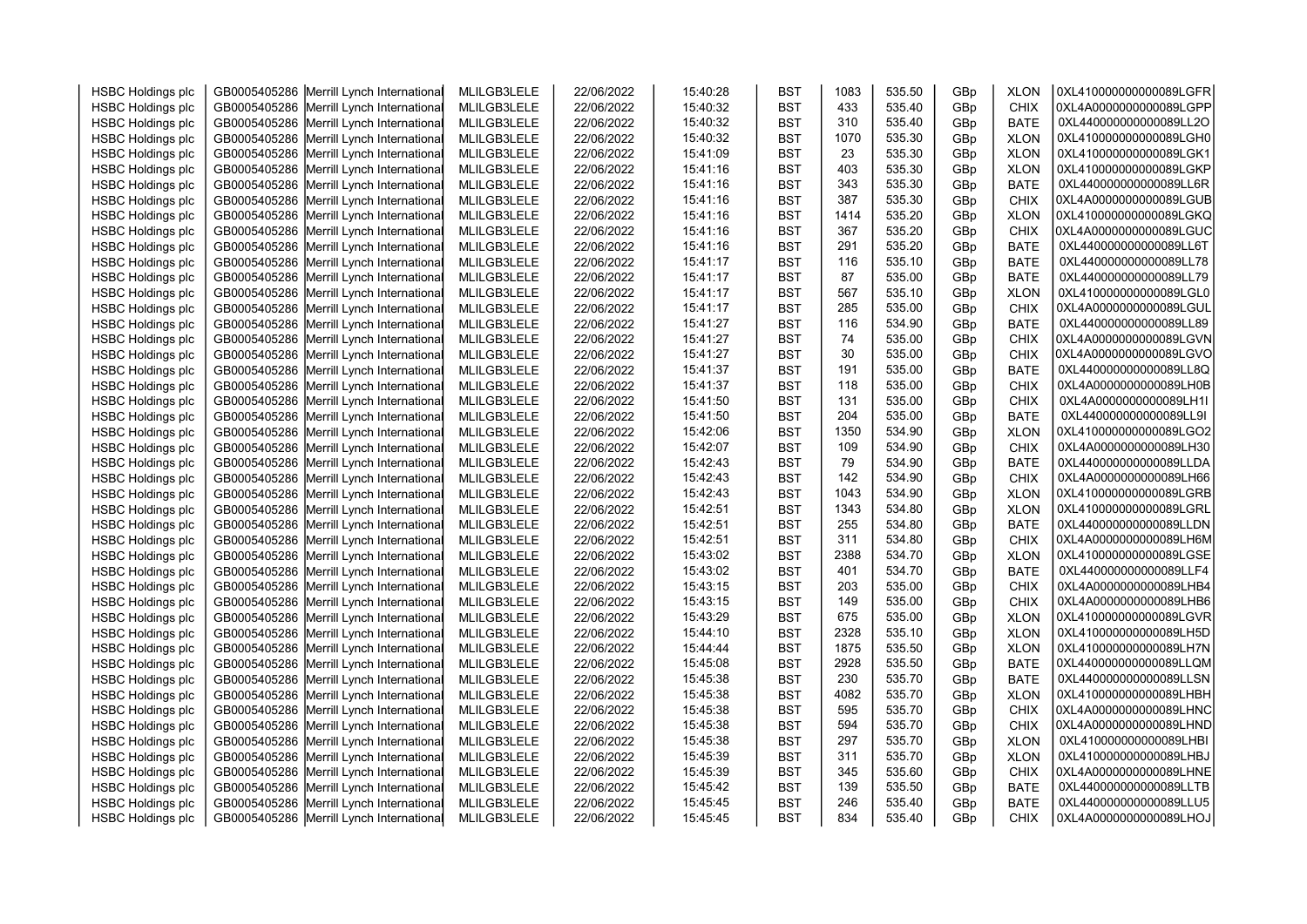| <b>HSBC Holdings plc</b> | GB0005405286 Merrill Lynch International | MLILGB3LELE | 22/06/2022 | 15:40:28 | <b>BST</b> | 1083 | 535.50 | GBp | <b>XLON</b> | 0XL410000000000089LGFR |  |
|--------------------------|------------------------------------------|-------------|------------|----------|------------|------|--------|-----|-------------|------------------------|--|
| <b>HSBC Holdings plc</b> | GB0005405286 Merrill Lynch International | MLILGB3LELE | 22/06/2022 | 15:40:32 | <b>BST</b> | 433  | 535.40 | GBp | <b>CHIX</b> | 0XL4A0000000000089LGPP |  |
| <b>HSBC Holdings plc</b> | GB0005405286 Merrill Lynch International | MLILGB3LELE | 22/06/2022 | 15:40:32 | <b>BST</b> | 310  | 535.40 | GBp | <b>BATE</b> | 0XL440000000000089LL2O |  |
| <b>HSBC Holdings plc</b> | GB0005405286 Merrill Lynch International | MLILGB3LELE | 22/06/2022 | 15:40:32 | <b>BST</b> | 1070 | 535.30 | GBp | <b>XLON</b> | 0XL410000000000089LGH0 |  |
| <b>HSBC Holdings plc</b> | GB0005405286 Merrill Lynch International | MLILGB3LELE | 22/06/2022 | 15:41:09 | <b>BST</b> | 23   | 535.30 | GBp | <b>XLON</b> | 0XL410000000000089LGK1 |  |
| <b>HSBC Holdings plc</b> | GB0005405286 Merrill Lynch International | MLILGB3LELE | 22/06/2022 | 15:41:16 | <b>BST</b> | 403  | 535.30 | GBp | <b>XLON</b> | 0XL410000000000089LGKP |  |
| <b>HSBC Holdings plc</b> | GB0005405286 Merrill Lynch International | MLILGB3LELE | 22/06/2022 | 15:41:16 | <b>BST</b> | 343  | 535.30 | GBp | <b>BATE</b> | 0XL440000000000089LL6R |  |
| <b>HSBC Holdings plc</b> | GB0005405286 Merrill Lynch International | MLILGB3LELE | 22/06/2022 | 15:41:16 | <b>BST</b> | 387  | 535.30 | GBp | <b>CHIX</b> | 0XL4A0000000000089LGUB |  |
| <b>HSBC Holdings plc</b> | GB0005405286 Merrill Lynch International | MLILGB3LELE | 22/06/2022 | 15:41:16 | <b>BST</b> | 1414 | 535.20 | GBp | <b>XLON</b> | 0XL410000000000089LGKQ |  |
| <b>HSBC Holdings plc</b> | GB0005405286 Merrill Lynch International | MLILGB3LELE | 22/06/2022 | 15:41:16 | <b>BST</b> | 367  | 535.20 | GBp | <b>CHIX</b> | 0XL4A0000000000089LGUC |  |
| <b>HSBC Holdings plc</b> | GB0005405286 Merrill Lynch International | MLILGB3LELE | 22/06/2022 | 15:41:16 | <b>BST</b> | 291  | 535.20 | GBp | <b>BATE</b> | 0XL440000000000089LL6T |  |
| <b>HSBC Holdings plc</b> | GB0005405286 Merrill Lynch International | MLILGB3LELE | 22/06/2022 | 15:41:17 | <b>BST</b> | 116  | 535.10 | GBp | <b>BATE</b> | 0XL440000000000089LL78 |  |
| <b>HSBC Holdings plc</b> | GB0005405286 Merrill Lynch International | MLILGB3LELE | 22/06/2022 | 15:41:17 | <b>BST</b> | 87   | 535.00 | GBp | <b>BATE</b> | 0XL440000000000089LL79 |  |
| <b>HSBC Holdings plc</b> | GB0005405286 Merrill Lynch International | MLILGB3LELE | 22/06/2022 | 15:41:17 | <b>BST</b> | 567  | 535.10 | GBp | <b>XLON</b> | 0XL410000000000089LGL0 |  |
| <b>HSBC Holdings plc</b> | GB0005405286 Merrill Lynch International | MLILGB3LELE | 22/06/2022 | 15:41:17 | <b>BST</b> | 285  | 535.00 | GBp | <b>CHIX</b> | 0XL4A0000000000089LGUL |  |
| <b>HSBC Holdings plc</b> | GB0005405286 Merrill Lynch International | MLILGB3LELE | 22/06/2022 | 15:41:27 | <b>BST</b> | 116  | 534.90 | GBp | <b>BATE</b> | 0XL440000000000089LL89 |  |
| <b>HSBC Holdings plc</b> | GB0005405286 Merrill Lynch International | MLILGB3LELE | 22/06/2022 | 15:41:27 | <b>BST</b> | 74   | 535.00 | GBp | <b>CHIX</b> | 0XL4A0000000000089LGVN |  |
| <b>HSBC Holdings plc</b> | GB0005405286 Merrill Lynch International | MLILGB3LELE | 22/06/2022 | 15:41:27 | <b>BST</b> | 30   | 535.00 | GBp | <b>CHIX</b> | 0XL4A0000000000089LGVO |  |
| <b>HSBC Holdings plc</b> | GB0005405286 Merrill Lynch International | MLILGB3LELE | 22/06/2022 | 15:41:37 | <b>BST</b> | 191  | 535.00 | GBp | <b>BATE</b> | 0XL440000000000089LL8Q |  |
| <b>HSBC Holdings plc</b> | GB0005405286 Merrill Lynch International | MLILGB3LELE | 22/06/2022 | 15:41:37 | <b>BST</b> | 118  | 535.00 | GBp | <b>CHIX</b> | 0XL4A0000000000089LH0B |  |
| <b>HSBC Holdings plc</b> | GB0005405286 Merrill Lynch International | MLILGB3LELE | 22/06/2022 | 15:41:50 | <b>BST</b> | 131  | 535.00 | GBp | <b>CHIX</b> | 0XL4A0000000000089LH1I |  |
| <b>HSBC Holdings plc</b> | GB0005405286 Merrill Lynch International | MLILGB3LELE | 22/06/2022 | 15:41:50 | <b>BST</b> | 204  | 535.00 | GBp | <b>BATE</b> | 0XL440000000000089LL9I |  |
| <b>HSBC Holdings plc</b> | GB0005405286 Merrill Lynch International | MLILGB3LELE | 22/06/2022 | 15:42:06 | <b>BST</b> | 1350 | 534.90 | GBp | <b>XLON</b> | 0XL410000000000089LGO2 |  |
| <b>HSBC Holdings plc</b> | GB0005405286 Merrill Lynch International | MLILGB3LELE | 22/06/2022 | 15:42:07 | <b>BST</b> | 109  | 534.90 | GBp | <b>CHIX</b> | 0XL4A0000000000089LH30 |  |
| <b>HSBC Holdings plc</b> | GB0005405286 Merrill Lynch International | MLILGB3LELE | 22/06/2022 | 15:42:43 | <b>BST</b> | 79   | 534.90 | GBp | <b>BATE</b> | 0XL440000000000089LLDA |  |
| <b>HSBC Holdings plc</b> | GB0005405286 Merrill Lynch International | MLILGB3LELE | 22/06/2022 | 15:42:43 | <b>BST</b> | 142  | 534.90 | GBp | <b>CHIX</b> | 0XL4A0000000000089LH66 |  |
| <b>HSBC Holdings plc</b> | GB0005405286 Merrill Lynch International | MLILGB3LELE | 22/06/2022 | 15:42:43 | <b>BST</b> | 1043 | 534.90 | GBp | <b>XLON</b> | 0XL410000000000089LGRB |  |
| <b>HSBC Holdings plc</b> | GB0005405286 Merrill Lynch International | MLILGB3LELE | 22/06/2022 | 15:42:51 | <b>BST</b> | 1343 | 534.80 | GBp | <b>XLON</b> | 0XL410000000000089LGRL |  |
| <b>HSBC Holdings plc</b> | GB0005405286 Merrill Lynch International | MLILGB3LELE | 22/06/2022 | 15:42:51 | <b>BST</b> | 255  | 534.80 | GBp | <b>BATE</b> | 0XL440000000000089LLDN |  |
| <b>HSBC Holdings plc</b> | GB0005405286 Merrill Lynch International | MLILGB3LELE | 22/06/2022 | 15:42:51 | <b>BST</b> | 311  | 534.80 | GBp | <b>CHIX</b> | 0XL4A0000000000089LH6M |  |
| <b>HSBC Holdings plc</b> | GB0005405286 Merrill Lynch International | MLILGB3LELE | 22/06/2022 | 15:43:02 | <b>BST</b> | 2388 | 534.70 | GBp | <b>XLON</b> | 0XL410000000000089LGSE |  |
| <b>HSBC Holdings plc</b> | GB0005405286 Merrill Lynch International | MLILGB3LELE | 22/06/2022 | 15:43:02 | <b>BST</b> | 401  | 534.70 | GBp | <b>BATE</b> | 0XL440000000000089LLF4 |  |
| <b>HSBC Holdings plc</b> | GB0005405286 Merrill Lynch International | MLILGB3LELE | 22/06/2022 | 15:43:15 | <b>BST</b> | 203  | 535.00 | GBp | <b>CHIX</b> | 0XL4A0000000000089LHB4 |  |
| <b>HSBC Holdings plc</b> | GB0005405286 Merrill Lynch International | MLILGB3LELE | 22/06/2022 | 15:43:15 | <b>BST</b> | 149  | 535.00 | GBp | <b>CHIX</b> | 0XL4A0000000000089LHB6 |  |
| <b>HSBC Holdings plc</b> | GB0005405286 Merrill Lynch International | MLILGB3LELE | 22/06/2022 | 15:43:29 | <b>BST</b> | 675  | 535.00 | GBp | <b>XLON</b> | 0XL410000000000089LGVR |  |
| <b>HSBC Holdings plc</b> | GB0005405286 Merrill Lynch International | MLILGB3LELE | 22/06/2022 | 15:44:10 | <b>BST</b> | 2328 | 535.10 | GBp | <b>XLON</b> | 0XL410000000000089LH5D |  |
| <b>HSBC Holdings plc</b> | GB0005405286 Merrill Lynch International | MLILGB3LELE | 22/06/2022 | 15:44:44 | <b>BST</b> | 1875 | 535.50 | GBp | <b>XLON</b> | 0XL410000000000089LH7N |  |
| <b>HSBC Holdings plc</b> | GB0005405286 Merrill Lynch International | MLILGB3LELE | 22/06/2022 | 15:45:08 | <b>BST</b> | 2928 | 535.50 | GBp | <b>BATE</b> | 0XL440000000000089LLQM |  |
| <b>HSBC Holdings plc</b> | GB0005405286 Merrill Lynch International | MLILGB3LELE | 22/06/2022 | 15:45:38 | <b>BST</b> | 230  | 535.70 | GBp | <b>BATE</b> | 0XL440000000000089LLSN |  |
| <b>HSBC Holdings plc</b> | GB0005405286 Merrill Lynch International | MLILGB3LELE | 22/06/2022 | 15:45:38 | <b>BST</b> | 4082 | 535.70 | GBp | <b>XLON</b> | 0XL410000000000089LHBH |  |
| <b>HSBC Holdings plc</b> | GB0005405286 Merrill Lynch International | MLILGB3LELE | 22/06/2022 | 15:45:38 | <b>BST</b> | 595  | 535.70 | GBp | <b>CHIX</b> | 0XL4A0000000000089LHNC |  |
| <b>HSBC Holdings plc</b> | GB0005405286 Merrill Lynch International | MLILGB3LELE | 22/06/2022 | 15:45:38 | <b>BST</b> | 594  | 535.70 | GBp | <b>CHIX</b> | 0XL4A0000000000089LHND |  |
| <b>HSBC Holdings plc</b> | GB0005405286 Merrill Lynch International | MLILGB3LELE | 22/06/2022 | 15:45:38 | <b>BST</b> | 297  | 535.70 | GBp | <b>XLON</b> | 0XL410000000000089LHBI |  |
| <b>HSBC Holdings plc</b> | GB0005405286 Merrill Lynch International | MLILGB3LELE | 22/06/2022 | 15:45:39 | <b>BST</b> | 311  | 535.70 | GBp | <b>XLON</b> | 0XL410000000000089LHBJ |  |
| <b>HSBC Holdings plc</b> | GB0005405286 Merrill Lynch International | MLILGB3LELE | 22/06/2022 | 15:45:39 | <b>BST</b> | 345  | 535.60 | GBp | <b>CHIX</b> | 0XL4A0000000000089LHNE |  |
| <b>HSBC Holdings plc</b> | GB0005405286 Merrill Lynch International | MLILGB3LELE | 22/06/2022 | 15:45:42 | <b>BST</b> | 139  | 535.50 | GBp | <b>BATE</b> | 0XL440000000000089LLTB |  |
| <b>HSBC Holdings plc</b> | GB0005405286 Merrill Lynch International | MLILGB3LELE | 22/06/2022 | 15:45:45 | <b>BST</b> | 246  | 535.40 | GBp | <b>BATE</b> | 0XL440000000000089LLU5 |  |
| <b>HSBC Holdings plc</b> | GB0005405286 Merrill Lynch International | MLILGB3LELE | 22/06/2022 | 15:45:45 | <b>BST</b> | 834  | 535.40 | GBp | <b>CHIX</b> | 0XL4A0000000000089LHOJ |  |
|                          |                                          |             |            |          |            |      |        |     |             |                        |  |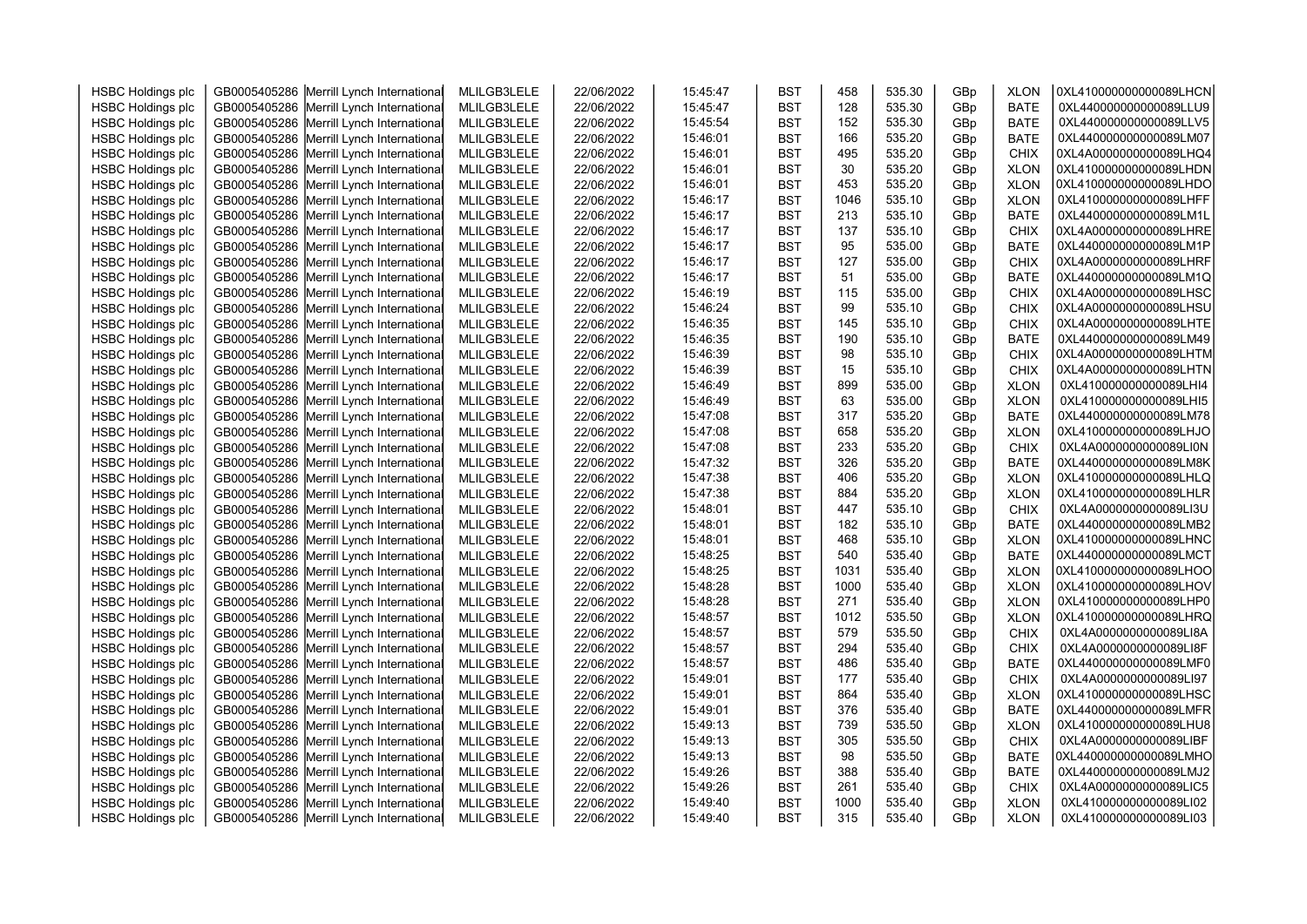| <b>HSBC Holdings plc</b> | GB0005405286 Merrill Lynch International | MLILGB3LELE | 22/06/2022 | 15:45:47 | <b>BST</b> | 458        | 535.30           | GBp | <b>XLON</b> | 0XL410000000000089LHCN                           |  |
|--------------------------|------------------------------------------|-------------|------------|----------|------------|------------|------------------|-----|-------------|--------------------------------------------------|--|
| <b>HSBC Holdings plc</b> | GB0005405286 Merrill Lynch International | MLILGB3LELE | 22/06/2022 | 15:45:47 | <b>BST</b> | 128        | 535.30           | GBp | <b>BATE</b> | 0XL440000000000089LLU9                           |  |
| <b>HSBC Holdings plc</b> | GB0005405286 Merrill Lynch International | MLILGB3LELE | 22/06/2022 | 15:45:54 | <b>BST</b> | 152        | 535.30           | GBp | <b>BATE</b> | 0XL440000000000089LLV5                           |  |
| <b>HSBC Holdings plc</b> | GB0005405286 Merrill Lynch International | MLILGB3LELE | 22/06/2022 | 15:46:01 | <b>BST</b> | 166        | 535.20           | GBp | <b>BATE</b> | 0XL440000000000089LM07                           |  |
| <b>HSBC Holdings plc</b> | GB0005405286 Merrill Lynch International | MLILGB3LELE | 22/06/2022 | 15:46:01 | <b>BST</b> | 495        | 535.20           | GBp | <b>CHIX</b> | 0XL4A0000000000089LHQ4                           |  |
| <b>HSBC Holdings plc</b> | GB0005405286 Merrill Lynch International | MLILGB3LELE | 22/06/2022 | 15:46:01 | <b>BST</b> | 30         | 535.20           | GBp | <b>XLON</b> | 0XL410000000000089LHDN                           |  |
| <b>HSBC Holdings plc</b> | GB0005405286 Merrill Lynch International | MLILGB3LELE | 22/06/2022 | 15:46:01 | <b>BST</b> | 453        | 535.20           | GBp | <b>XLON</b> | 0XL410000000000089LHDO                           |  |
| <b>HSBC Holdings plc</b> | GB0005405286 Merrill Lynch International | MLILGB3LELE | 22/06/2022 | 15:46:17 | <b>BST</b> | 1046       | 535.10           | GBp | <b>XLON</b> | 0XL410000000000089LHFF                           |  |
| <b>HSBC Holdings plc</b> | GB0005405286 Merrill Lynch International | MLILGB3LELE | 22/06/2022 | 15:46:17 | <b>BST</b> | 213        | 535.10           | GBp | <b>BATE</b> | 0XL440000000000089LM1L                           |  |
| <b>HSBC Holdings plc</b> | GB0005405286 Merrill Lynch International | MLILGB3LELE | 22/06/2022 | 15:46:17 | <b>BST</b> | 137        | 535.10           | GBp | <b>CHIX</b> | 0XL4A0000000000089LHRE                           |  |
| <b>HSBC Holdings plc</b> | GB0005405286 Merrill Lynch International | MLILGB3LELE | 22/06/2022 | 15:46:17 | <b>BST</b> | 95         | 535.00           | GBp | <b>BATE</b> | 0XL440000000000089LM1P                           |  |
| <b>HSBC Holdings plc</b> | GB0005405286 Merrill Lynch International | MLILGB3LELE | 22/06/2022 | 15:46:17 | <b>BST</b> | 127        | 535.00           | GBp | <b>CHIX</b> | 0XL4A0000000000089LHRF                           |  |
| <b>HSBC Holdings plc</b> | GB0005405286 Merrill Lynch International | MLILGB3LELE | 22/06/2022 | 15:46:17 | <b>BST</b> | 51         | 535.00           | GBp | <b>BATE</b> | 0XL440000000000089LM1Q                           |  |
| <b>HSBC Holdings plc</b> | GB0005405286 Merrill Lynch International | MLILGB3LELE | 22/06/2022 | 15:46:19 | <b>BST</b> | 115        | 535.00           | GBp | CHIX        | 0XL4A0000000000089LHSC                           |  |
| <b>HSBC Holdings plc</b> | GB0005405286 Merrill Lynch International | MLILGB3LELE | 22/06/2022 | 15:46:24 | <b>BST</b> | 99         | 535.10           | GBp | CHIX        | 0XL4A0000000000089LHSU                           |  |
| <b>HSBC Holdings plc</b> | GB0005405286 Merrill Lynch International | MLILGB3LELE | 22/06/2022 | 15:46:35 | <b>BST</b> | 145        | 535.10           | GBp | CHIX        | 0XL4A0000000000089LHTE                           |  |
| <b>HSBC Holdings plc</b> | GB0005405286 Merrill Lynch International | MLILGB3LELE | 22/06/2022 | 15:46:35 | <b>BST</b> | 190        | 535.10           | GBp | <b>BATE</b> | 0XL440000000000089LM49                           |  |
| <b>HSBC Holdings plc</b> | GB0005405286 Merrill Lynch International | MLILGB3LELE | 22/06/2022 | 15:46:39 | <b>BST</b> | 98         | 535.10           | GBp | <b>CHIX</b> | 0XL4A0000000000089LHTM                           |  |
| <b>HSBC Holdings plc</b> | GB0005405286 Merrill Lynch International | MLILGB3LELE | 22/06/2022 | 15:46:39 | <b>BST</b> | 15         | 535.10           | GBp | <b>CHIX</b> | 0XL4A0000000000089LHTN                           |  |
| <b>HSBC Holdings plc</b> | GB0005405286 Merrill Lynch International | MLILGB3LELE | 22/06/2022 | 15:46:49 | <b>BST</b> | 899        | 535.00           | GBp | <b>XLON</b> | 0XL410000000000089LHI4                           |  |
| <b>HSBC Holdings plc</b> | GB0005405286 Merrill Lynch International | MLILGB3LELE | 22/06/2022 | 15:46:49 | <b>BST</b> | 63         | 535.00           | GBp | <b>XLON</b> | 0XL410000000000089LHI5                           |  |
| <b>HSBC Holdings plc</b> | GB0005405286 Merrill Lynch International | MLILGB3LELE | 22/06/2022 | 15:47:08 | <b>BST</b> | 317        | 535.20           | GBp | <b>BATE</b> | 0XL440000000000089LM78                           |  |
| <b>HSBC Holdings plc</b> | GB0005405286 Merrill Lynch International | MLILGB3LELE | 22/06/2022 | 15:47:08 | <b>BST</b> | 658        | 535.20           | GBp | <b>XLON</b> | 0XL410000000000089LHJO                           |  |
| <b>HSBC Holdings plc</b> | GB0005405286 Merrill Lynch International | MLILGB3LELE | 22/06/2022 | 15:47:08 | <b>BST</b> | 233        | 535.20           | GBp | <b>CHIX</b> | 0XL4A0000000000089LI0N                           |  |
| <b>HSBC Holdings plc</b> | GB0005405286 Merrill Lynch International | MLILGB3LELE | 22/06/2022 | 15:47:32 | <b>BST</b> | 326        | 535.20           | GBp | <b>BATE</b> | 0XL440000000000089LM8K                           |  |
| <b>HSBC Holdings plc</b> | GB0005405286 Merrill Lynch International | MLILGB3LELE | 22/06/2022 | 15:47:38 | <b>BST</b> | 406        | 535.20           | GBp | <b>XLON</b> | 0XL410000000000089LHLQ                           |  |
| <b>HSBC Holdings plc</b> | GB0005405286 Merrill Lynch International | MLILGB3LELE | 22/06/2022 | 15:47:38 | <b>BST</b> | 884        | 535.20           | GBp | <b>XLON</b> | 0XL410000000000089LHLR                           |  |
| <b>HSBC Holdings plc</b> | GB0005405286 Merrill Lynch International | MLILGB3LELE | 22/06/2022 | 15:48:01 | <b>BST</b> | 447        | 535.10           | GBp | <b>CHIX</b> | 0XL4A0000000000089LI3U                           |  |
| <b>HSBC Holdings plc</b> | GB0005405286 Merrill Lynch International | MLILGB3LELE | 22/06/2022 | 15:48:01 | <b>BST</b> | 182        | 535.10           | GBp | <b>BATE</b> | 0XL440000000000089LMB2                           |  |
| <b>HSBC Holdings plc</b> | GB0005405286 Merrill Lynch International | MLILGB3LELE | 22/06/2022 | 15:48:01 | <b>BST</b> | 468        | 535.10           | GBp | <b>XLON</b> | 0XL410000000000089LHNC                           |  |
| <b>HSBC Holdings plc</b> | GB0005405286 Merrill Lynch International | MLILGB3LELE | 22/06/2022 | 15:48:25 | <b>BST</b> | 540        | 535.40           | GBp | <b>BATE</b> | 0XL440000000000089LMCT                           |  |
| <b>HSBC Holdings plc</b> | GB0005405286 Merrill Lynch International | MLILGB3LELE | 22/06/2022 | 15:48:25 | <b>BST</b> | 1031       | 535.40           | GBp | <b>XLON</b> | 0XL410000000000089LHOO                           |  |
| <b>HSBC Holdings plc</b> | GB0005405286 Merrill Lynch International | MLILGB3LELE | 22/06/2022 | 15:48:28 | <b>BST</b> | 1000       | 535.40           | GBp | <b>XLON</b> | 0XL410000000000089LHOV                           |  |
| <b>HSBC Holdings plc</b> | GB0005405286 Merrill Lynch International | MLILGB3LELE | 22/06/2022 | 15:48:28 | <b>BST</b> | 271        | 535.40           | GBp | <b>XLON</b> | 0XL410000000000089LHP0                           |  |
| <b>HSBC Holdings plc</b> | GB0005405286 Merrill Lynch International | MLILGB3LELE | 22/06/2022 | 15:48:57 | <b>BST</b> | 1012       | 535.50           | GBp | <b>XLON</b> | 0XL410000000000089LHRQ                           |  |
| <b>HSBC Holdings plc</b> | GB0005405286 Merrill Lynch International | MLILGB3LELE | 22/06/2022 | 15:48:57 | <b>BST</b> | 579        | 535.50           | GBp | <b>CHIX</b> | 0XL4A0000000000089LI8A                           |  |
| <b>HSBC Holdings plc</b> | GB0005405286 Merrill Lynch International | MLILGB3LELE | 22/06/2022 | 15:48:57 | <b>BST</b> | 294        | 535.40           | GBp | <b>CHIX</b> | 0XL4A0000000000089LI8F                           |  |
| <b>HSBC Holdings plc</b> | GB0005405286 Merrill Lynch International | MLILGB3LELE | 22/06/2022 | 15:48:57 | <b>BST</b> | 486        | 535.40           | GBp | <b>BATE</b> | 0XL440000000000089LMF0                           |  |
| <b>HSBC Holdings plc</b> | GB0005405286 Merrill Lynch International | MLILGB3LELE | 22/06/2022 | 15:49:01 | <b>BST</b> | 177        | 535.40           | GBp | <b>CHIX</b> | 0XL4A0000000000089LI97                           |  |
| <b>HSBC Holdings plc</b> |                                          | MLILGB3LELE | 22/06/2022 | 15:49:01 | <b>BST</b> | 864        | 535.40           |     | <b>XLON</b> | 0XL410000000000089LHSC                           |  |
|                          | GB0005405286 Merrill Lynch International |             |            |          |            | 376        | 535.40           | GBp |             | 0XL440000000000089LMFR                           |  |
| <b>HSBC Holdings plc</b> | GB0005405286 Merrill Lynch International | MLILGB3LELE | 22/06/2022 | 15:49:01 | <b>BST</b> |            |                  | GBp | <b>BATE</b> |                                                  |  |
| <b>HSBC Holdings plc</b> | GB0005405286 Merrill Lynch International | MLILGB3LELE | 22/06/2022 | 15:49:13 | <b>BST</b> | 739<br>305 | 535.50<br>535.50 | GBp | <b>XLON</b> | 0XL410000000000089LHU8<br>0XL4A0000000000089LIBF |  |
| <b>HSBC Holdings plc</b> | GB0005405286 Merrill Lynch International | MLILGB3LELE | 22/06/2022 | 15:49:13 | <b>BST</b> |            |                  | GBp | <b>CHIX</b> |                                                  |  |
| <b>HSBC Holdings plc</b> | GB0005405286 Merrill Lynch International | MLILGB3LELE | 22/06/2022 | 15:49:13 | <b>BST</b> | 98         | 535.50           | GBp | <b>BATE</b> | 0XL440000000000089LMHO                           |  |
| <b>HSBC Holdings plc</b> | GB0005405286 Merrill Lynch International | MLILGB3LELE | 22/06/2022 | 15:49:26 | <b>BST</b> | 388        | 535.40           | GBp | <b>BATE</b> | 0XL440000000000089LMJ2                           |  |
| <b>HSBC Holdings plc</b> | GB0005405286 Merrill Lynch International | MLILGB3LELE | 22/06/2022 | 15:49:26 | <b>BST</b> | 261        | 535.40           | GBp | <b>CHIX</b> | 0XL4A0000000000089LIC5                           |  |
| <b>HSBC Holdings plc</b> | GB0005405286 Merrill Lynch International | MLILGB3LELE | 22/06/2022 | 15:49:40 | <b>BST</b> | 1000       | 535.40           | GBp | <b>XLON</b> | 0XL410000000000089LI02                           |  |
| <b>HSBC Holdings plc</b> | GB0005405286 Merrill Lynch International | MLILGB3LELE | 22/06/2022 | 15:49:40 | <b>BST</b> | 315        | 535.40           | GBp | <b>XLON</b> | 0XL410000000000089LI03                           |  |
|                          |                                          |             |            |          |            |            |                  |     |             |                                                  |  |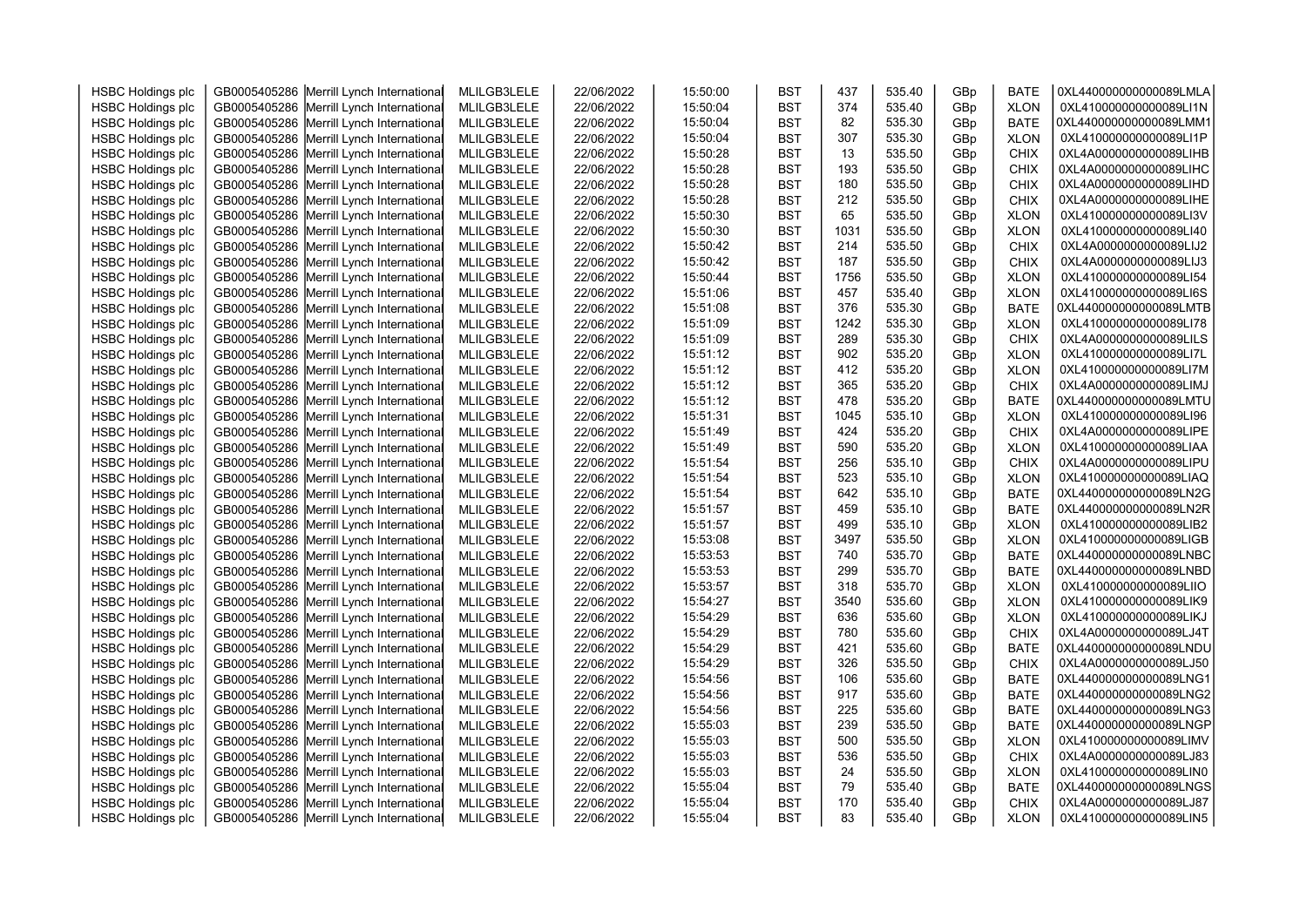| <b>HSBC Holdings plc</b> | GB0005405286 Merrill Lynch International | MLILGB3LELE | 22/06/2022 | 15:50:00 | <b>BST</b> | 437  | 535.40 | GBp | <b>BATE</b> | 0XL440000000000089LMLA |  |
|--------------------------|------------------------------------------|-------------|------------|----------|------------|------|--------|-----|-------------|------------------------|--|
| <b>HSBC Holdings plc</b> | GB0005405286 Merrill Lynch International | MLILGB3LELE | 22/06/2022 | 15:50:04 | <b>BST</b> | 374  | 535.40 | GBp | <b>XLON</b> | 0XL410000000000089LI1N |  |
| <b>HSBC Holdings plc</b> | GB0005405286 Merrill Lynch International | MLILGB3LELE | 22/06/2022 | 15:50:04 | <b>BST</b> | 82   | 535.30 | GBp | <b>BATE</b> | 0XL440000000000089LMM1 |  |
| <b>HSBC Holdings plc</b> | GB0005405286 Merrill Lynch International | MLILGB3LELE | 22/06/2022 | 15:50:04 | <b>BST</b> | 307  | 535.30 | GBp | <b>XLON</b> | 0XL410000000000089LI1P |  |
| <b>HSBC Holdings plc</b> | GB0005405286 Merrill Lynch International | MLILGB3LELE | 22/06/2022 | 15:50:28 | <b>BST</b> | 13   | 535.50 | GBp | <b>CHIX</b> | 0XL4A0000000000089LIHB |  |
| <b>HSBC Holdings plc</b> | GB0005405286 Merrill Lynch International | MLILGB3LELE | 22/06/2022 | 15:50:28 | <b>BST</b> | 193  | 535.50 | GBp | <b>CHIX</b> | 0XL4A0000000000089LIHC |  |
| <b>HSBC Holdings plc</b> | GB0005405286 Merrill Lynch International | MLILGB3LELE | 22/06/2022 | 15:50:28 | <b>BST</b> | 180  | 535.50 | GBp | <b>CHIX</b> | 0XL4A0000000000089LIHD |  |
| <b>HSBC Holdings plc</b> | GB0005405286 Merrill Lynch International | MLILGB3LELE | 22/06/2022 | 15:50:28 | <b>BST</b> | 212  | 535.50 | GBp | <b>CHIX</b> | 0XL4A0000000000089LIHE |  |
| <b>HSBC Holdings plc</b> | GB0005405286 Merrill Lynch International | MLILGB3LELE | 22/06/2022 | 15:50:30 | <b>BST</b> | 65   | 535.50 | GBp | <b>XLON</b> | 0XL410000000000089LI3V |  |
| <b>HSBC Holdings plc</b> | GB0005405286 Merrill Lynch International | MLILGB3LELE | 22/06/2022 | 15:50:30 | <b>BST</b> | 1031 | 535.50 | GBp | <b>XLON</b> | 0XL410000000000089LI40 |  |
| <b>HSBC Holdings plc</b> | GB0005405286 Merrill Lynch International | MLILGB3LELE | 22/06/2022 | 15:50:42 | <b>BST</b> | 214  | 535.50 | GBp | <b>CHIX</b> | 0XL4A0000000000089LIJ2 |  |
| <b>HSBC Holdings plc</b> | GB0005405286 Merrill Lynch International | MLILGB3LELE | 22/06/2022 | 15:50:42 | <b>BST</b> | 187  | 535.50 | GBp | <b>CHIX</b> | 0XL4A0000000000089LIJ3 |  |
| <b>HSBC Holdings plc</b> | GB0005405286 Merrill Lynch International | MLILGB3LELE | 22/06/2022 | 15:50:44 | <b>BST</b> | 1756 | 535.50 | GBp | <b>XLON</b> | 0XL410000000000089LI54 |  |
| <b>HSBC Holdings plc</b> | GB0005405286 Merrill Lynch International | MLILGB3LELE | 22/06/2022 | 15:51:06 | <b>BST</b> | 457  | 535.40 | GBp | <b>XLON</b> | 0XL410000000000089LI6S |  |
| <b>HSBC Holdings plc</b> | GB0005405286 Merrill Lynch International | MLILGB3LELE | 22/06/2022 | 15:51:08 | <b>BST</b> | 376  | 535.30 | GBp | <b>BATE</b> | 0XL440000000000089LMTB |  |
| <b>HSBC Holdings plc</b> | GB0005405286 Merrill Lynch International | MLILGB3LELE | 22/06/2022 | 15:51:09 | <b>BST</b> | 1242 | 535.30 | GBp | <b>XLON</b> | 0XL410000000000089LI78 |  |
| <b>HSBC Holdings plc</b> | GB0005405286 Merrill Lynch International | MLILGB3LELE | 22/06/2022 | 15:51:09 | <b>BST</b> | 289  | 535.30 | GBp | <b>CHIX</b> | 0XL4A0000000000089LILS |  |
| <b>HSBC Holdings plc</b> | GB0005405286 Merrill Lynch International | MLILGB3LELE | 22/06/2022 | 15:51:12 | <b>BST</b> | 902  | 535.20 | GBp | <b>XLON</b> | 0XL410000000000089LI7L |  |
| <b>HSBC Holdings plc</b> | GB0005405286 Merrill Lynch International | MLILGB3LELE | 22/06/2022 | 15:51:12 | <b>BST</b> | 412  | 535.20 | GBp | <b>XLON</b> | 0XL410000000000089LI7M |  |
| <b>HSBC Holdings plc</b> | GB0005405286 Merrill Lynch International | MLILGB3LELE | 22/06/2022 | 15:51:12 | <b>BST</b> | 365  | 535.20 | GBp | <b>CHIX</b> | 0XL4A0000000000089LIMJ |  |
| <b>HSBC Holdings plc</b> | GB0005405286 Merrill Lynch International | MLILGB3LELE | 22/06/2022 | 15:51:12 | <b>BST</b> | 478  | 535.20 | GBp | <b>BATE</b> | 0XL440000000000089LMTU |  |
| <b>HSBC Holdings plc</b> | GB0005405286 Merrill Lynch International | MLILGB3LELE | 22/06/2022 | 15:51:31 | <b>BST</b> | 1045 | 535.10 | GBp | <b>XLON</b> | 0XL410000000000089LI96 |  |
| <b>HSBC Holdings plc</b> | GB0005405286 Merrill Lynch International | MLILGB3LELE | 22/06/2022 | 15:51:49 | <b>BST</b> | 424  | 535.20 | GBp | <b>CHIX</b> | 0XL4A0000000000089LIPE |  |
| <b>HSBC Holdings plc</b> | GB0005405286 Merrill Lynch International | MLILGB3LELE | 22/06/2022 | 15:51:49 | <b>BST</b> | 590  | 535.20 | GBp | <b>XLON</b> | 0XL410000000000089LIAA |  |
| <b>HSBC Holdings plc</b> | GB0005405286 Merrill Lynch International | MLILGB3LELE | 22/06/2022 | 15:51:54 | <b>BST</b> | 256  | 535.10 | GBp | <b>CHIX</b> | 0XL4A0000000000089LIPU |  |
| <b>HSBC Holdings plc</b> | GB0005405286 Merrill Lynch International | MLILGB3LELE | 22/06/2022 | 15:51:54 | <b>BST</b> | 523  | 535.10 | GBp | <b>XLON</b> | 0XL410000000000089LIAQ |  |
| <b>HSBC Holdings plc</b> | GB0005405286 Merrill Lynch International | MLILGB3LELE | 22/06/2022 | 15:51:54 | <b>BST</b> | 642  | 535.10 | GBp | <b>BATE</b> | 0XL440000000000089LN2G |  |
| <b>HSBC Holdings plc</b> | GB0005405286 Merrill Lynch International | MLILGB3LELE | 22/06/2022 | 15:51:57 | <b>BST</b> | 459  | 535.10 | GBp | <b>BATE</b> | 0XL440000000000089LN2R |  |
| <b>HSBC Holdings plc</b> | GB0005405286 Merrill Lynch International | MLILGB3LELE | 22/06/2022 | 15:51:57 | <b>BST</b> | 499  | 535.10 | GBp | <b>XLON</b> | 0XL410000000000089LIB2 |  |
| <b>HSBC Holdings plc</b> | GB0005405286 Merrill Lynch International | MLILGB3LELE | 22/06/2022 | 15:53:08 | <b>BST</b> | 3497 | 535.50 | GBp | <b>XLON</b> | 0XL410000000000089LIGB |  |
| <b>HSBC Holdings plc</b> | GB0005405286 Merrill Lynch International | MLILGB3LELE | 22/06/2022 | 15:53:53 | <b>BST</b> | 740  | 535.70 | GBp | <b>BATE</b> | 0XL440000000000089LNBC |  |
| <b>HSBC Holdings plc</b> | GB0005405286 Merrill Lynch International | MLILGB3LELE | 22/06/2022 | 15:53:53 | <b>BST</b> | 299  | 535.70 | GBp | <b>BATE</b> | 0XL440000000000089LNBD |  |
| <b>HSBC Holdings plc</b> | GB0005405286 Merrill Lynch International | MLILGB3LELE | 22/06/2022 | 15:53:57 | <b>BST</b> | 318  | 535.70 | GBp | <b>XLON</b> | 0XL410000000000089LIIO |  |
| <b>HSBC Holdings plc</b> | GB0005405286 Merrill Lynch International | MLILGB3LELE | 22/06/2022 | 15:54:27 | <b>BST</b> | 3540 | 535.60 | GBp | <b>XLON</b> | 0XL410000000000089LIK9 |  |
| <b>HSBC Holdings plc</b> | GB0005405286 Merrill Lynch International | MLILGB3LELE | 22/06/2022 | 15:54:29 | <b>BST</b> | 636  | 535.60 | GBp | <b>XLON</b> | 0XL410000000000089LIKJ |  |
| <b>HSBC Holdings plc</b> | GB0005405286 Merrill Lynch International | MLILGB3LELE | 22/06/2022 | 15:54:29 | <b>BST</b> | 780  | 535.60 | GBp | <b>CHIX</b> | 0XL4A0000000000089LJ4T |  |
| <b>HSBC Holdings plc</b> | GB0005405286 Merrill Lynch International | MLILGB3LELE | 22/06/2022 | 15:54:29 | <b>BST</b> | 421  | 535.60 | GBp | <b>BATE</b> | 0XL440000000000089LNDU |  |
| <b>HSBC Holdings plc</b> | GB0005405286 Merrill Lynch International | MLILGB3LELE | 22/06/2022 | 15:54:29 | <b>BST</b> | 326  | 535.50 | GBp | <b>CHIX</b> | 0XL4A0000000000089LJ50 |  |
| <b>HSBC Holdings plc</b> | GB0005405286 Merrill Lynch International | MLILGB3LELE | 22/06/2022 | 15:54:56 | <b>BST</b> | 106  | 535.60 | GBp | <b>BATE</b> | 0XL440000000000089LNG1 |  |
| <b>HSBC Holdings plc</b> | GB0005405286 Merrill Lynch International | MLILGB3LELE | 22/06/2022 | 15:54:56 | <b>BST</b> | 917  | 535.60 | GBp | <b>BATE</b> | 0XL440000000000089LNG2 |  |
| <b>HSBC Holdings plc</b> | GB0005405286 Merrill Lynch International | MLILGB3LELE | 22/06/2022 | 15:54:56 | <b>BST</b> | 225  | 535.60 | GBp | <b>BATE</b> | 0XL440000000000089LNG3 |  |
| <b>HSBC Holdings plc</b> | GB0005405286 Merrill Lynch International | MLILGB3LELE | 22/06/2022 | 15:55:03 | <b>BST</b> | 239  | 535.50 | GBp | <b>BATE</b> | 0XL440000000000089LNGP |  |
| <b>HSBC Holdings plc</b> | GB0005405286 Merrill Lynch International | MLILGB3LELE | 22/06/2022 | 15:55:03 | <b>BST</b> | 500  | 535.50 | GBp | <b>XLON</b> | 0XL410000000000089LIMV |  |
| <b>HSBC Holdings plc</b> | GB0005405286 Merrill Lynch International | MLILGB3LELE | 22/06/2022 | 15:55:03 | <b>BST</b> | 536  | 535.50 | GBp | CHIX        | 0XL4A0000000000089LJ83 |  |
| <b>HSBC Holdings plc</b> | GB0005405286 Merrill Lynch International | MLILGB3LELE | 22/06/2022 | 15:55:03 | <b>BST</b> | 24   | 535.50 | GBp | <b>XLON</b> | 0XL410000000000089LIN0 |  |
| <b>HSBC Holdings plc</b> | GB0005405286 Merrill Lynch International | MLILGB3LELE | 22/06/2022 | 15:55:04 | <b>BST</b> | 79   | 535.40 | GBp | <b>BATE</b> | 0XL440000000000089LNGS |  |
| <b>HSBC Holdings plc</b> | GB0005405286 Merrill Lynch International | MLILGB3LELE | 22/06/2022 | 15:55:04 | <b>BST</b> | 170  | 535.40 | GBp | <b>CHIX</b> | 0XL4A0000000000089LJ87 |  |
| <b>HSBC Holdings plc</b> | GB0005405286 Merrill Lynch International | MLILGB3LELE | 22/06/2022 | 15:55:04 | <b>BST</b> | 83   | 535.40 | GBp | <b>XLON</b> | 0XL410000000000089LIN5 |  |
|                          |                                          |             |            |          |            |      |        |     |             |                        |  |